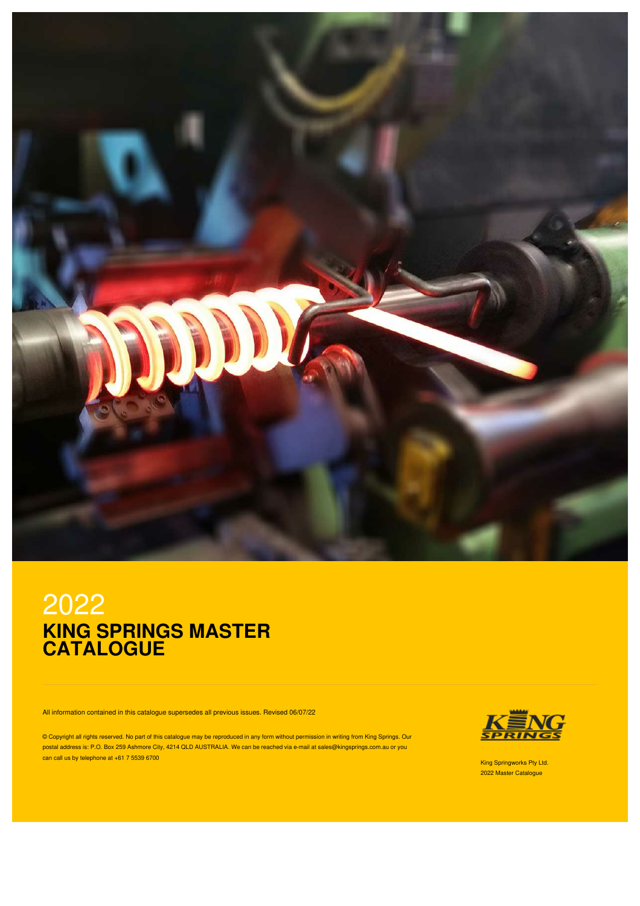

# 2022 **KING SPRINGS MASTER CATALOGUE**

All information contained in this catalogue supersedes all previous issues. Revised 06/07/22

© Copyright all rights reserved. No part of this catalogue may be reproduced in any form without permission in writing from King Springs. Our postal address is: P.O. Box 259 Ashmore City, 4214 QLD AUSTRALIA. We can be reached via e-mail at sales@kingsprings.com.au or you can call us by telephone at +61 7 5539 6700 King Springworks Pty Ltd. Can be a state of the state of the state of the state of the state of the state of the state of the state of the state of the state of the state of the



2022 Master Catalogue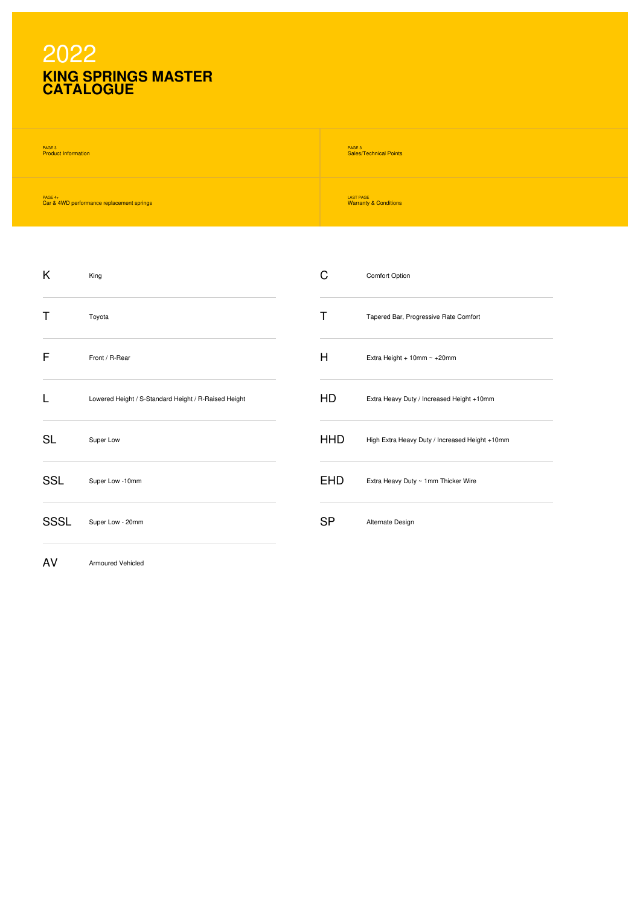# 2022 **KING SPRINGS MASTER CATALOGUE**

AV Armoured Vehicled

| PAGE 3                                    | PAGE 3                           |
|-------------------------------------------|----------------------------------|
| <b>Product Information</b>                | <b>Sales/Technical Points</b>    |
| PAGE $4+$                                 | <b>LAST PAGE</b>                 |
| Car & 4WD performance replacement springs | <b>Warranty &amp; Conditions</b> |

| K          | King                                                 | C          | Comfort Option                                 |
|------------|------------------------------------------------------|------------|------------------------------------------------|
| Т          | Toyota                                               | Т          | Tapered Bar, Progressive Rate Comfort          |
| F          | Front / R-Rear                                       | H          | Extra Height + $10$ mm ~ $+20$ mm              |
|            | Lowered Height / S-Standard Height / R-Raised Height | HD         | Extra Heavy Duty / Increased Height +10mm      |
| <b>SL</b>  | Super Low                                            | <b>HHD</b> | High Extra Heavy Duty / Increased Height +10mm |
| <b>SSL</b> | Super Low -10mm                                      | <b>EHD</b> | Extra Heavy Duty ~ 1mm Thicker Wire            |
| SSSL       | Super Low - 20mm                                     | <b>SP</b>  | Alternate Design                               |
|            |                                                      |            |                                                |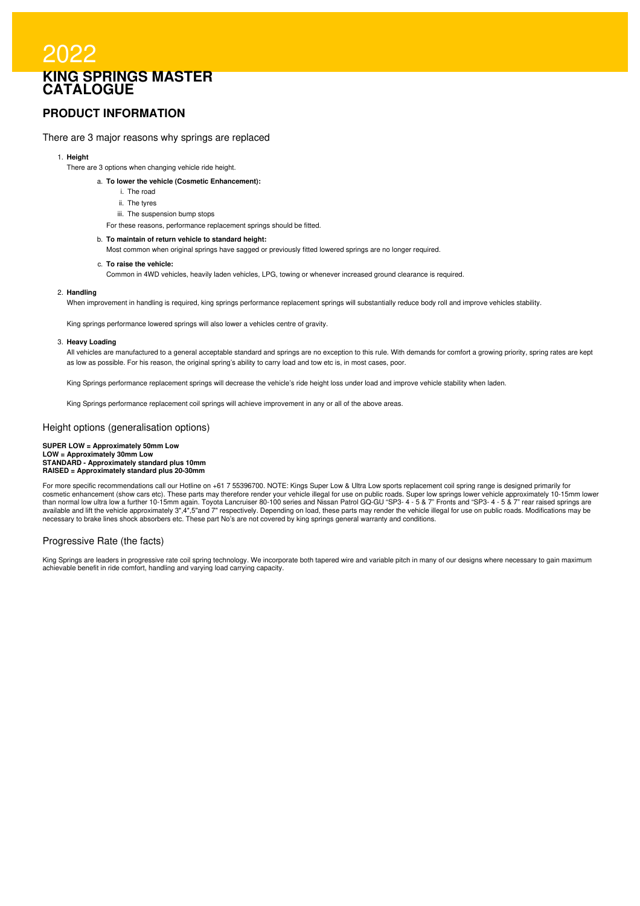# 2022 **KING SPRINGS MASTER CATALOGUE**

### **PRODUCT INFORMATION**

### There are 3 major reasons why springs are replaced

### 1. **Height**

- There are 3 options when changing vehicle ride height.
	- a. **To lower the vehicle (Cosmetic Enhancement):**
		- i. The road
		- ii. The tyres
		- iii. The suspension bump stops
		- For these reasons, performance replacement springs should be fitted.

#### b. **To maintain of return vehicle to standard height:**

Most common when original springs have sagged or previously fitted lowered springs are no longer required.

#### c. **To raise the vehicle:**

Common in 4WD vehicles, heavily laden vehicles, LPG, towing or whenever increased ground clearance is required.

#### 2. **Handling**

When improvement in handling is required, king springs performance replacement springs will substantially reduce body roll and improve vehicles stability.

King springs performance lowered springs will also lower a vehicles centre of gravity.

#### 3. **Heavy Loading**

All vehicles are manufactured to a general acceptable standard and springs are no exception to this rule. With demands for comfort a growing priority, spring rates are kept as low as possible. For his reason, the original spring's ability to carry load and tow etc is, in most cases, poor.

King Springs performance replacement springs will decrease the vehicle's ride height loss under load and improve vehicle stability when laden.

King Springs performance replacement coil springs will achieve improvement in any or all of the above areas.

#### Height options (generalisation options)

## SUPER LOW = Approximately 50mm Low<br>LOW = Approximately 30mm Low<br>STANDARD - Approximately standard plus 10mm **RAISED = Approximately standard plus 20-30mm**

For more specific recommendations call our Hotline on +61 7 55396700. NOTE: Kings Super Low & Ultra Low sports replacement coil spring range is designed primarily for cosmetic enhancement (show cars etc). These parts may therefore render your vehicle illegal for use on public roads. Super low springs lower vehicle approximately 10-15mm lower<br>than normal low ultra low a further 10-15mm a necessary to brake lines shock absorbers etc. These part No's are not covered by king springs general warranty and conditions.

### Progressive Rate (the facts)

King Springs are leaders in progressive rate coil spring technology. We incorporate both tapered wire and variable pitch in many of our designs where necessary to gain maximum achievable benefit in ride comfort, handling and varying load carrying capacity.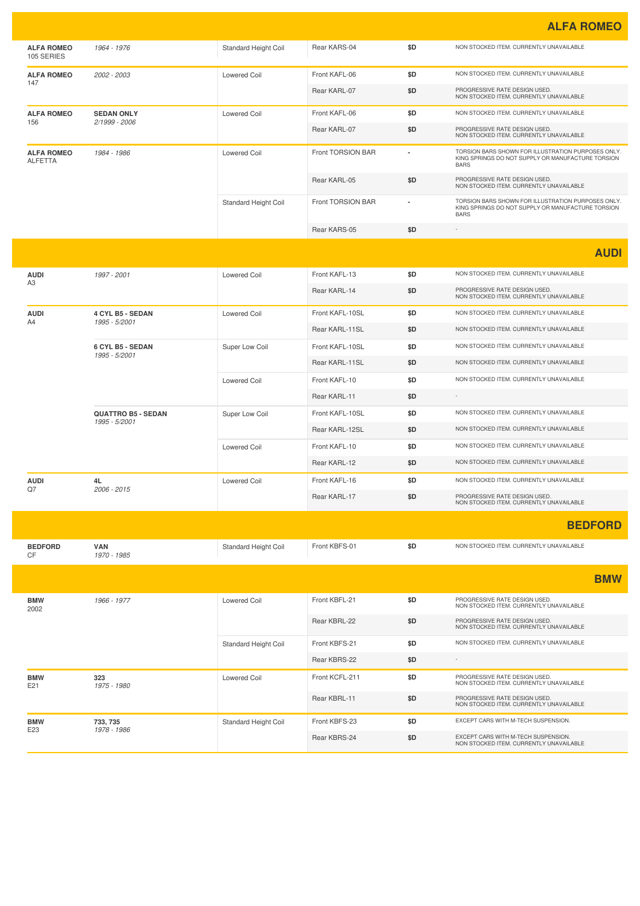**ALFA ROMEO**

|                                     |                                    |                             |                   |     | <b>ALLA HUIVILU</b>                                                                                                    |
|-------------------------------------|------------------------------------|-----------------------------|-------------------|-----|------------------------------------------------------------------------------------------------------------------------|
| <b>ALFA ROMEO</b><br>105 SERIES     | 1964 - 1976                        | <b>Standard Height Coil</b> | Rear KARS-04      | \$D | NON STOCKED ITEM. CURRENTLY UNAVAILABLE                                                                                |
| <b>ALFA ROMEO</b>                   | 2002 - 2003                        | <b>Lowered Coil</b>         | Front KAFL-06     | \$D | NON STOCKED ITEM. CURRENTLY UNAVAILABLE                                                                                |
| 147                                 |                                    |                             | Rear KARL-07      | \$D | PROGRESSIVE RATE DESIGN USED.<br>NON STOCKED ITEM. CURRENTLY UNAVAILABLE                                               |
| <b>ALFA ROMEO</b><br>156            | <b>SEDAN ONLY</b><br>2/1999 - 2006 | <b>Lowered Coil</b>         | Front KAFL-06     | \$D | NON STOCKED ITEM. CURRENTLY UNAVAILABLE                                                                                |
|                                     |                                    |                             | Rear KARL-07      | \$D | PROGRESSIVE RATE DESIGN USED.<br>NON STOCKED ITEM. CURRENTLY UNAVAILABLE                                               |
| <b>ALFA ROMEO</b><br><b>ALFETTA</b> | 1984 - 1986                        | <b>Lowered Coil</b>         | Front TORSION BAR |     | TORSION BARS SHOWN FOR ILLUSTRATION PURPOSES ONLY.<br>KING SPRINGS DO NOT SUPPLY OR MANUFACTURE TORSION<br><b>BARS</b> |
|                                     |                                    |                             | Rear KARL-05      | \$D | PROGRESSIVE RATE DESIGN USED.<br>NON STOCKED ITEM. CURRENTLY UNAVAILABLE                                               |
|                                     |                                    | Standard Height Coil        | Front TORSION BAR |     | TORSION BARS SHOWN FOR ILLUSTRATION PURPOSES ONLY.<br>KING SPRINGS DO NOT SUPPLY OR MANUFACTURE TORSION<br><b>BARS</b> |
|                                     |                                    |                             | Rear KARS-05      | \$D |                                                                                                                        |
|                                     |                                    |                             |                   |     | <b>AUDI</b>                                                                                                            |
| <b>AUDI</b>                         | 1997 - 2001                        | <b>Lowered Coil</b>         | Front KAFL-13     | \$D | NON STOCKED ITEM. CURRENTLY UNAVAILABLE                                                                                |
| A3                                  |                                    |                             | Rear KARL-14      | \$D | PROGRESSIVE RATE DESIGN USED.<br>NON STOCKED ITEM. CURRENTLY UNAVAILABLE                                               |
| <b>AUDI</b>                         | 4 CYL B5 - SEDAN                   | <b>Lowered Coil</b>         | Front KAFL-10SL   | \$D | NON STOCKED ITEM. CURRENTLY UNAVAILABLE                                                                                |
| A4                                  | 1995 - 5/2001                      |                             | Rear KARL-11SL    | \$D | NON STOCKED ITEM. CURRENTLY UNAVAILABLE                                                                                |
|                                     | 6 CYL B5 - SEDAN                   | Super Low Coil              | Front KAFL-10SL   | \$D | NON STOCKED ITEM. CURRENTLY UNAVAILABLE                                                                                |
|                                     | 1995 - 5/2001                      |                             | Rear KARL-11SL    | \$D | NON STOCKED ITEM. CURRENTLY UNAVAILABLE                                                                                |
|                                     |                                    | <b>Lowered Coil</b>         | Front KAFL-10     | \$D | NON STOCKED ITEM. CURRENTLY UNAVAILABLE                                                                                |
|                                     |                                    |                             | Rear KARL-11      | \$D |                                                                                                                        |
|                                     | <b>QUATTRO B5 - SEDAN</b>          | Super Low Coil              | Front KAFL-10SL   | \$D | NON STOCKED ITEM. CURRENTLY UNAVAILABLE                                                                                |
|                                     | 1995 - 5/2001                      |                             | Rear KARL-12SL    | \$D | NON STOCKED ITEM. CURRENTLY UNAVAILABLE                                                                                |
|                                     |                                    | <b>Lowered Coil</b>         | Front KAFL-10     | \$D | NON STOCKED ITEM. CURRENTLY UNAVAILABLE                                                                                |
|                                     |                                    |                             | Rear KARL-12      | \$D | NON STOCKED ITEM. CURRENTLY UNAVAILABLE                                                                                |
| <b>AUDI</b>                         | 4L                                 | <b>Lowered Coil</b>         | Front KAFL-16     | \$D | NON STOCKED ITEM. CURRENTLY UNAVAILABLE                                                                                |
| Q7                                  | 2006 - 2015                        |                             | Rear KARL-17      | \$D | PROGRESSIVE RATE DESIGN USED.<br>NON STOCKED ITEM. CURRENTLY UNAVAILABLE                                               |
|                                     |                                    |                             |                   |     | <b>BEDFORD</b>                                                                                                         |
| <b>BEDFORD</b><br>CF                | VAN<br>1970 - 1985                 | Standard Height Coil        | Front KBFS-01     | \$D | NON STOCKED ITEM. CURRENTLY UNAVAILABLE                                                                                |
|                                     |                                    |                             |                   |     | <b>BMW</b>                                                                                                             |
| <b>BMW</b><br>2002                  | 1966 - 1977                        | <b>Lowered Coil</b>         | Front KBFL-21     | \$D | PROGRESSIVE RATE DESIGN USED.<br>NON STOCKED ITEM. CURRENTLY UNAVAILABLE                                               |
|                                     |                                    |                             | Rear KBRL-22      | \$D | PROGRESSIVE RATE DESIGN USED.<br>NON STOCKED ITEM. CURRENTLY UNAVAILABLE                                               |
|                                     |                                    | Standard Height Coil        | Front KBFS-21     | \$D | NON STOCKED ITEM. CURRENTLY UNAVAILABLE                                                                                |
|                                     |                                    |                             | Rear KBRS-22      | \$D | $\sim$                                                                                                                 |
| <b>BMW</b><br>E21                   | 323<br>1975 - 1980                 | <b>Lowered Coil</b>         | Front KCFL-211    | \$D | PROGRESSIVE RATE DESIGN USED.<br>NON STOCKED ITEM. CURRENTLY UNAVAILABLE                                               |
|                                     |                                    |                             | Rear KBRL-11      | \$D | PROGRESSIVE RATE DESIGN USED.<br>NON STOCKED ITEM. CURRENTLY UNAVAILABLE                                               |
| <b>BMW</b>                          | 733, 735                           | Standard Height Coil        | Front KBFS-23     | \$D | EXCEPT CARS WITH M-TECH SUSPENSION.                                                                                    |
| E23                                 | 1978 - 1986                        |                             | Rear KBRS-24      | \$D | EXCEPT CARS WITH M-TECH SUSPENSION.<br>NON STOCKED ITEM. CURRENTLY UNAVAILABLE                                         |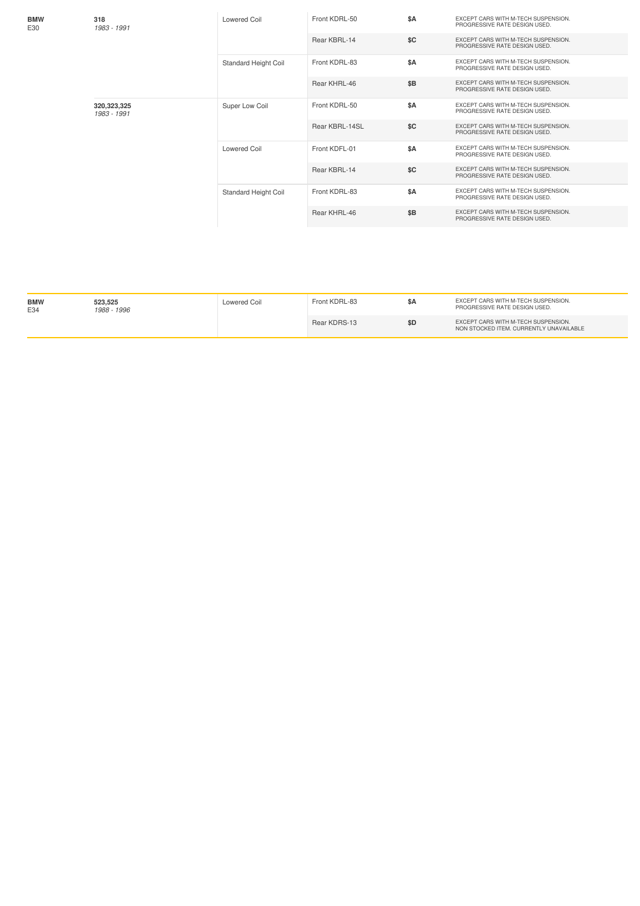| <b>BMW</b><br>E30 | 318<br>1983 - 1991           | Lowered Coil                | Front KDRL-50  | \$A | EXCEPT CARS WITH M-TECH SUSPENSION.<br>PROGRESSIVE RATE DESIGN USED. |
|-------------------|------------------------------|-----------------------------|----------------|-----|----------------------------------------------------------------------|
|                   |                              |                             | Rear KBRL-14   | \$C | EXCEPT CARS WITH M-TECH SUSPENSION.<br>PROGRESSIVE RATE DESIGN USED. |
|                   |                              | <b>Standard Height Coil</b> | Front KDRL-83  | \$A | EXCEPT CARS WITH M-TECH SUSPENSION.<br>PROGRESSIVE RATE DESIGN USED. |
|                   |                              |                             | Rear KHRL-46   | \$B | EXCEPT CARS WITH M-TECH SUSPENSION.<br>PROGRESSIVE RATE DESIGN USED. |
|                   | 320, 323, 325<br>1983 - 1991 | Super Low Coil              | Front KDRL-50  | \$A | EXCEPT CARS WITH M-TECH SUSPENSION.<br>PROGRESSIVE RATE DESIGN USED. |
|                   |                              |                             | Rear KBRL-14SL | \$C | EXCEPT CARS WITH M-TECH SUSPENSION.<br>PROGRESSIVE RATE DESIGN USED. |
|                   |                              | <b>Lowered Coil</b>         | Front KDFL-01  | \$A | EXCEPT CARS WITH M-TECH SUSPENSION.<br>PROGRESSIVE RATE DESIGN USED. |
|                   |                              |                             | Rear KBRL-14   | SC  | EXCEPT CARS WITH M-TECH SUSPENSION.<br>PROGRESSIVE RATE DESIGN USED. |
|                   |                              | Standard Height Coil        | Front KDRL-83  | \$A | EXCEPT CARS WITH M-TECH SUSPENSION.<br>PROGRESSIVE RATE DESIGN USED. |
|                   |                              |                             | Rear KHRL-46   | \$B | EXCEPT CARS WITH M-TECH SUSPENSION.<br>PROGRESSIVE RATE DESIGN USED. |

| <b>BMW</b><br>E34 | 523.525<br>1988 - 1996 | Lowered Coil | Front KDRL-83 | SΑ  | EXCEPT CARS WITH M-TECH SUSPENSION.<br>PROGRESSIVE RATE DESIGN USED.           |
|-------------------|------------------------|--------------|---------------|-----|--------------------------------------------------------------------------------|
|                   |                        |              | Rear KDRS-13  | \$D | EXCEPT CARS WITH M-TECH SUSPENSION.<br>NON STOCKED ITEM. CURRENTLY UNAVAILABLE |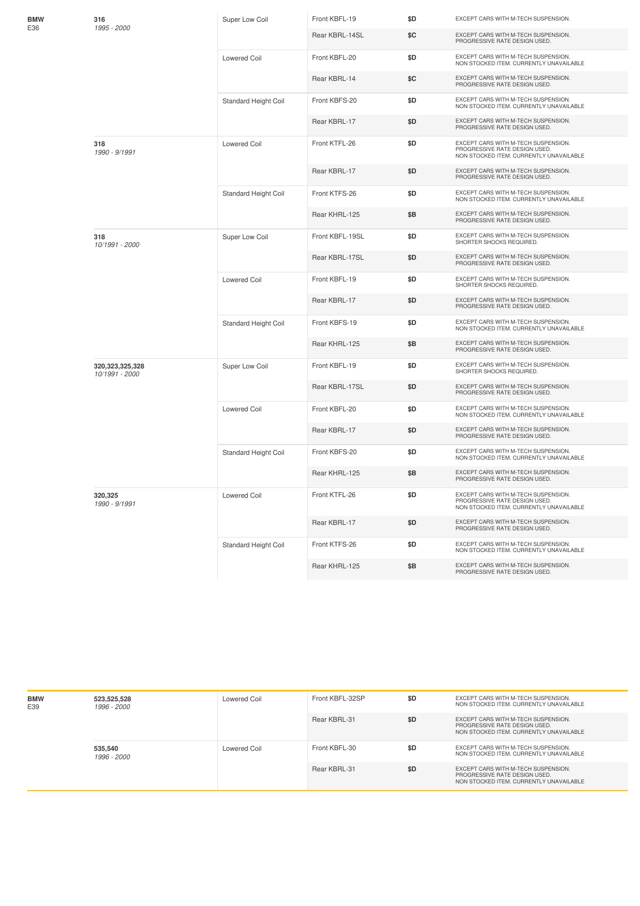| 316<br>1995 - 2000                   | Super Low Coil       | Front KBFL-19   | \$D | EXCEPT CARS WITH M-TECH SUSPENSION.                                                                             |
|--------------------------------------|----------------------|-----------------|-----|-----------------------------------------------------------------------------------------------------------------|
|                                      |                      | Rear KBRL-14SL  | \$C | EXCEPT CARS WITH M-TECH SUSPENSION.<br>PROGRESSIVE RATE DESIGN USED.                                            |
|                                      | <b>Lowered Coil</b>  | Front KBFL-20   | \$D | EXCEPT CARS WITH M-TECH SUSPENSION.<br>NON STOCKED ITEM. CURRENTLY UNAVAILABLE                                  |
|                                      |                      | Rear KBRL-14    | \$C | EXCEPT CARS WITH M-TECH SUSPENSION.<br>PROGRESSIVE RATE DESIGN USED.                                            |
|                                      | Standard Height Coil | Front KBFS-20   | \$D | EXCEPT CARS WITH M-TECH SUSPENSION.<br>NON STOCKED ITEM. CURRENTLY UNAVAILABLE                                  |
|                                      |                      | Rear KBRL-17    | \$D | EXCEPT CARS WITH M-TECH SUSPENSION.<br>PROGRESSIVE RATE DESIGN USED.                                            |
| 318<br>1990 - 9/1991                 | <b>Lowered Coil</b>  | Front KTFL-26   | \$D | EXCEPT CARS WITH M-TECH SUSPENSION.<br>PROGRESSIVE RATE DESIGN USED.<br>NON STOCKED ITEM. CURRENTLY UNAVAILABLE |
|                                      |                      | Rear KBRL-17    | \$D | EXCEPT CARS WITH M-TECH SUSPENSION.<br>PROGRESSIVE RATE DESIGN USED.                                            |
|                                      | Standard Height Coil | Front KTFS-26   | \$D | EXCEPT CARS WITH M-TECH SUSPENSION.<br>NON STOCKED ITEM. CURRENTLY UNAVAILABLE                                  |
|                                      |                      | Rear KHRL-125   | \$Β | EXCEPT CARS WITH M-TECH SUSPENSION.<br>PROGRESSIVE RATE DESIGN USED.                                            |
| 318<br>10/1991 - 2000                | Super Low Coil       | Front KBFL-19SL | \$D | EXCEPT CARS WITH M-TECH SUSPENSION.<br>SHORTER SHOCKS REQUIRED.                                                 |
|                                      |                      | Rear KBRL-17SL  | \$D | EXCEPT CARS WITH M-TECH SUSPENSION.<br>PROGRESSIVE RATE DESIGN USED.                                            |
|                                      | <b>Lowered Coil</b>  | Front KBFL-19   | \$D | EXCEPT CARS WITH M-TECH SUSPENSION.<br>SHORTER SHOCKS REQUIRED.                                                 |
|                                      |                      | Rear KBRL-17    | \$D | EXCEPT CARS WITH M-TECH SUSPENSION.<br>PROGRESSIVE RATE DESIGN USED.                                            |
|                                      | Standard Height Coil | Front KBFS-19   | \$D | EXCEPT CARS WITH M-TECH SUSPENSION.<br>NON STOCKED ITEM. CURRENTLY UNAVAILABLE                                  |
|                                      |                      | Rear KHRL-125   | \$Β | EXCEPT CARS WITH M-TECH SUSPENSION.<br>PROGRESSIVE RATE DESIGN USED.                                            |
| 320, 323, 325, 328<br>10/1991 - 2000 | Super Low Coil       | Front KBFL-19   | \$D | EXCEPT CARS WITH M-TECH SUSPENSION.<br>SHORTER SHOCKS REQUIRED.                                                 |
|                                      |                      | Rear KBRL-17SL  | \$D | EXCEPT CARS WITH M-TECH SUSPENSION.<br>PROGRESSIVE RATE DESIGN USED.                                            |
|                                      | <b>Lowered Coil</b>  | Front KBFL-20   | \$D | EXCEPT CARS WITH M-TECH SUSPENSION.<br>NON STOCKED ITEM. CURRENTLY UNAVAILABLE                                  |
|                                      |                      | Rear KBRL-17    | \$D | EXCEPT CARS WITH M-TECH SUSPENSION.<br>PROGRESSIVE RATE DESIGN USED.                                            |
|                                      | Standard Height Coil | Front KBFS-20   | \$D | EXCEPT CARS WITH M-TECH SUSPENSION.<br>NON STOCKED ITEM. CURRENTLY UNAVAILABLE                                  |
|                                      |                      | Rear KHRL-125   | \$Β | EXCEPT CARS WITH M-TECH SUSPENSION.<br>PROGRESSIVE RATE DESIGN USED.                                            |
| 320,325<br>1990 - 9/1991             | Lowered Coil         | Front KTFL-26   | \$D | EXCEPT CARS WITH M-TECH SUSPENSION.<br>PROGRESSIVE RATE DESIGN USED.<br>NON STOCKED ITEM. CURRENTLY UNAVAILABLE |
|                                      |                      | Rear KBRL-17    | \$D | EXCEPT CARS WITH M-TECH SUSPENSION.<br>PROGRESSIVE RATE DESIGN USED.                                            |
|                                      | Standard Height Coil | Front KTFS-26   | \$D | EXCEPT CARS WITH M-TECH SUSPENSION.<br>NON STOCKED ITEM. CURRENTLY UNAVAILABLE                                  |
|                                      |                      | Rear KHRL-125   | \$Β | EXCEPT CARS WITH M-TECH SUSPENSION.<br>PROGRESSIVE RATE DESIGN USED.                                            |

**BMW** E36

| <b>BMW</b><br>E39 | 523,525,528<br>1996 - 2000 | Lowered Coil | Front KBFL-32SP | \$D | EXCEPT CARS WITH M-TECH SUSPENSION.<br>NON STOCKED ITEM. CURRENTLY UNAVAILABLE                                  |
|-------------------|----------------------------|--------------|-----------------|-----|-----------------------------------------------------------------------------------------------------------------|
|                   |                            |              | Rear KBRL-31    | \$D | EXCEPT CARS WITH M-TECH SUSPENSION.<br>PROGRESSIVE RATE DESIGN USED.<br>NON STOCKED ITEM, CURRENTLY UNAVAILABLE |
|                   | 535,540<br>1996 - 2000     | Lowered Coil | Front KBFL-30   | \$D | EXCEPT CARS WITH M-TECH SUSPENSION.<br>NON STOCKED ITEM. CURRENTLY UNAVAILABLE                                  |
|                   |                            |              | Rear KBRL-31    | \$D | EXCEPT CARS WITH M-TECH SUSPENSION.<br>PROGRESSIVE RATE DESIGN USED.<br>NON STOCKED ITEM, CURRENTLY UNAVAILABLE |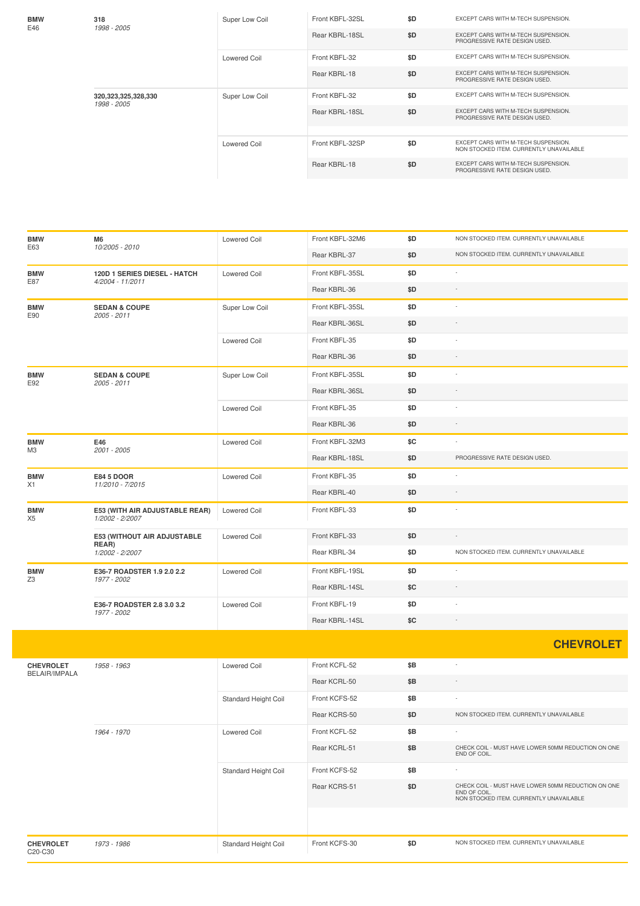| <b>BMW</b>                   | M6                                                | Lowered Coil         | Front KBFL-32M6 | \$D | NON STOCKED ITEM. CURRENTLY UNAVAILABLE                                                                       |
|------------------------------|---------------------------------------------------|----------------------|-----------------|-----|---------------------------------------------------------------------------------------------------------------|
| E63                          | 10/2005 - 2010                                    |                      | Rear KBRL-37    | \$D | NON STOCKED ITEM. CURRENTLY UNAVAILABLE                                                                       |
| <b>BMW</b>                   | 120D 1 SERIES DIESEL - HATCH                      | Lowered Coil         | Front KBFL-35SL | \$D | $\overline{\phantom{a}}$                                                                                      |
| E87                          | 4/2004 - 11/2011                                  |                      | Rear KBRL-36    | \$D | $\overline{\phantom{a}}$                                                                                      |
| <b>BMW</b>                   | <b>SEDAN &amp; COUPE</b>                          | Super Low Coil       | Front KBFL-35SL | \$D | $\overline{\phantom{a}}$                                                                                      |
| E90                          | 2005 - 2011                                       |                      | Rear KBRL-36SL  | \$D |                                                                                                               |
|                              |                                                   | <b>Lowered Coil</b>  | Front KBFL-35   | \$D |                                                                                                               |
|                              |                                                   |                      | Rear KBRL-36    | \$D | $\overline{\phantom{a}}$                                                                                      |
| <b>BMW</b><br>E92            | <b>SEDAN &amp; COUPE</b><br>2005 - 2011           | Super Low Coil       | Front KBFL-35SL | \$D | ×,                                                                                                            |
|                              |                                                   |                      | Rear KBRL-36SL  | \$D |                                                                                                               |
|                              |                                                   | Lowered Coil         | Front KBFL-35   | \$D | J.                                                                                                            |
|                              |                                                   |                      | Rear KBRL-36    | \$D | $\overline{\phantom{a}}$                                                                                      |
| <b>BMW</b>                   | E46                                               | Lowered Coil         | Front KBFL-32M3 | \$C | $\overline{\phantom{a}}$                                                                                      |
| M3                           | 2001 - 2005                                       |                      | Rear KBRL-18SL  | \$D | PROGRESSIVE RATE DESIGN USED.                                                                                 |
| <b>BMW</b>                   | E84 5 DOOR                                        | Lowered Coil         | Front KBFL-35   | \$D | $\overline{\phantom{a}}$                                                                                      |
| X1                           | 11/2010 - 7/2015                                  |                      | Rear KBRL-40    | \$D | $\overline{\phantom{a}}$                                                                                      |
| <b>BMW</b><br>X <sub>5</sub> | E53 (WITH AIR ADJUSTABLE REAR)<br>1/2002 - 2/2007 | Lowered Coil         | Front KBFL-33   | \$D | í,                                                                                                            |
|                              | E53 (WITHOUT AIR ADJUSTABLE                       | <b>Lowered Coil</b>  | Front KBFL-33   | \$D |                                                                                                               |
|                              | REAR)<br>1/2002 - 2/2007                          |                      | Rear KBRL-34    | \$D | NON STOCKED ITEM. CURRENTLY UNAVAILABLE                                                                       |
| <b>BMW</b>                   | E36-7 ROADSTER 1.9 2.0 2.2                        | Lowered Coil         | Front KBFL-19SL | \$D | $\overline{\phantom{a}}$                                                                                      |
| Z3                           | 1977 - 2002                                       |                      | Rear KBRL-14SL  | \$C |                                                                                                               |
|                              | E36-7 ROADSTER 2.8 3.0 3.2<br>1977 - 2002         | <b>Lowered Coil</b>  | Front KBFL-19   | \$D |                                                                                                               |
|                              |                                                   |                      | Rear KBRL-14SL  | \$C | $\overline{\phantom{a}}$                                                                                      |
|                              |                                                   |                      |                 |     | <b>CHEVROLET</b>                                                                                              |
| <b>CHEVROLET</b>             | 1958 - 1963                                       | <b>Lowered Coil</b>  | Front KCFL-52   | \$B | ×,                                                                                                            |
| BELAIR/IMPALA                |                                                   |                      | Rear KCRL-50    | \$Β |                                                                                                               |
|                              |                                                   | Standard Height Coil | Front KCFS-52   | \$B |                                                                                                               |
|                              |                                                   |                      | Rear KCRS-50    | \$D | NON STOCKED ITEM. CURRENTLY UNAVAILABLE                                                                       |
|                              | 1964 - 1970                                       | <b>Lowered Coil</b>  | Front KCFL-52   | \$B | $\overline{\phantom{a}}$                                                                                      |
|                              |                                                   |                      | Rear KCRL-51    | \$Β | CHECK COIL - MUST HAVE LOWER 50MM REDUCTION ON ONE<br>END OF COIL.                                            |
|                              |                                                   | Standard Height Coil | Front KCFS-52   | \$Β | ÷                                                                                                             |
|                              |                                                   |                      | Rear KCRS-51    | \$D | CHECK COIL - MUST HAVE LOWER 50MM REDUCTION ON ONE<br>END OF COIL.<br>NON STOCKED ITEM. CURRENTLY UNAVAILABLE |
|                              |                                                   |                      |                 |     |                                                                                                               |
| <b>CHEVROLET</b><br>C20-C30  | 1973 - 1986                                       | Standard Height Coil | Front KCFS-30   | \$D | NON STOCKED ITEM. CURRENTLY UNAVAILABLE                                                                       |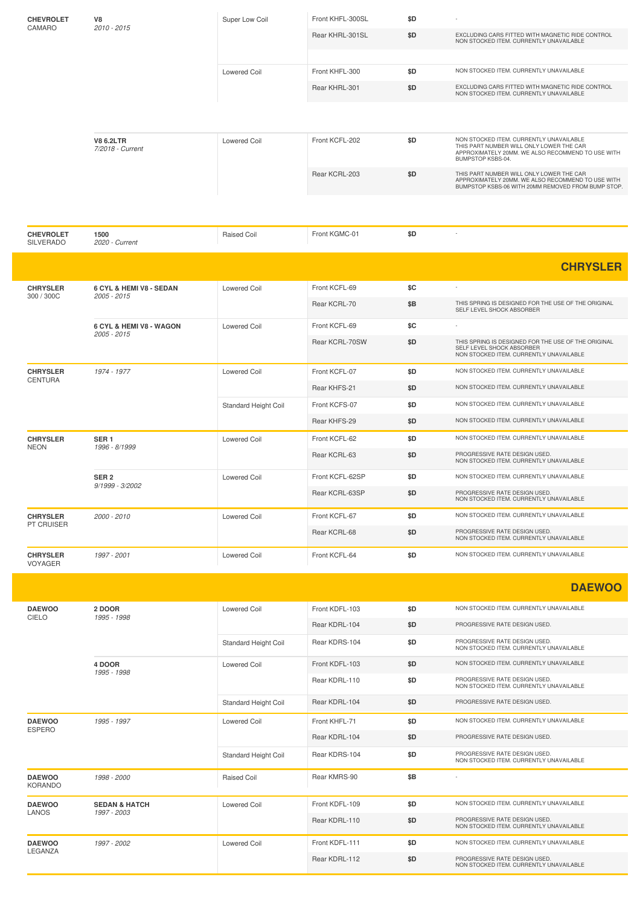| <b>CHEVROLET</b>                             | V8                                   | Super Low Coil      | Front KHFL-300SL                                                                            | \$D                                     |                                                                                                                                                               |
|----------------------------------------------|--------------------------------------|---------------------|---------------------------------------------------------------------------------------------|-----------------------------------------|---------------------------------------------------------------------------------------------------------------------------------------------------------------|
| CAMARO<br>2010 - 2015<br><b>Lowered Coil</b> | Rear KHRL-301SL                      | \$D                 | EXCLUDING CARS FITTED WITH MAGNETIC RIDE CONTROL<br>NON STOCKED ITEM, CURRENTLY UNAVAILABLE |                                         |                                                                                                                                                               |
|                                              |                                      |                     |                                                                                             |                                         |                                                                                                                                                               |
|                                              |                                      | Front KHFL-300      | \$D                                                                                         | NON STOCKED ITEM. CURRENTLY UNAVAILABLE |                                                                                                                                                               |
|                                              |                                      |                     | Rear KHRL-301                                                                               | \$D                                     | EXCLUDING CARS FITTED WITH MAGNETIC RIDE CONTROL<br>NON STOCKED ITEM. CURRENTLY UNAVAILABLE                                                                   |
|                                              |                                      |                     |                                                                                             |                                         |                                                                                                                                                               |
|                                              | <b>V8 6.2LTR</b><br>7/2018 - Current | <b>Lowered Coil</b> | Front KCFL-202                                                                              | \$D                                     | NON STOCKED ITEM. CURRENTLY UNAVAILABLE<br>THIS PART NUMBER WILL ONLY LOWER THE CAR<br>APPROXIMATELY 20MM, WE ALSO RECOMMEND TO USE WITH<br>BUMPSTOP KSBS-04. |
|                                              |                                      |                     | Rear KCRL-203                                                                               | \$D                                     | THIS PART NUMBER WILL ONLY LOWER THE CAR<br>APPROXIMATELY 20MM, WE ALSO RECOMMEND TO USE WITH<br>BUMPSTOP KSBS-06 WITH 20MM REMOVED FROM BUMP STOP.           |
|                                              |                                      |                     |                                                                                             |                                         |                                                                                                                                                               |

| <b>CHEVROLET</b><br><b>SILVERADO</b> | 1500<br>2020 - Current                 | Raised Coil                 | Front KGMC-01   | \$D                                     | $\sim$                                                                                                                      |
|--------------------------------------|----------------------------------------|-----------------------------|-----------------|-----------------------------------------|-----------------------------------------------------------------------------------------------------------------------------|
|                                      |                                        |                             |                 |                                         | <b>CHRYSLER</b>                                                                                                             |
| <b>CHRYSLER</b><br>300 / 300C        | 6 CYL & HEMI V8 - SEDAN<br>2005 - 2015 | Lowered Coil                | Front KCFL-69   | \$C                                     | $\sim$                                                                                                                      |
|                                      |                                        |                             | Rear KCRL-70    | \$B                                     | THIS SPRING IS DESIGNED FOR THE USE OF THE ORIGINAL<br>SELF LEVEL SHOCK ABSORBER                                            |
|                                      | 6 CYL & HEMI V8 - WAGON<br>2005 - 2015 | Lowered Coil                | Front KCFL-69   | \$C                                     | $\sim$                                                                                                                      |
|                                      |                                        |                             | Rear KCRL-70SW  | \$D                                     | THIS SPRING IS DESIGNED FOR THE USE OF THE ORIGINAL<br>SELF LEVEL SHOCK ABSORBER<br>NON STOCKED ITEM. CURRENTLY UNAVAILABLE |
| <b>CHRYSLER</b><br><b>CENTURA</b>    | 1974 - 1977                            | <b>Lowered Coil</b>         | Front KCFL-07   | \$D                                     | NON STOCKED ITEM. CURRENTLY UNAVAILABLE                                                                                     |
|                                      |                                        |                             | Rear KHFS-21    | \$D                                     | NON STOCKED ITEM. CURRENTLY UNAVAILABLE                                                                                     |
|                                      |                                        | <b>Standard Height Coil</b> | Front KCFS-07   | \$D                                     | NON STOCKED ITEM. CURRENTLY UNAVAILABLE                                                                                     |
|                                      |                                        |                             | Rear KHFS-29    | \$D                                     | NON STOCKED ITEM. CURRENTLY UNAVAILABLE                                                                                     |
| <b>CHRYSLER</b><br>SER <sub>1</sub>  | <b>Lowered Coil</b><br>1996 - 8/1999   | Front KCFL-62               | \$D             | NON STOCKED ITEM. CURRENTLY UNAVAILABLE |                                                                                                                             |
| <b>NEON</b>                          |                                        |                             | Rear KCRL-63    | \$D                                     | PROGRESSIVE RATE DESIGN USED.<br>NON STOCKED ITEM. CURRENTLY UNAVAILABLE                                                    |
|                                      | SER <sub>2</sub><br>9/1999 - 3/2002    | <b>Lowered Coil</b>         | Front KCFL-62SP | \$D                                     | NON STOCKED ITEM. CURRENTLY UNAVAILABLE                                                                                     |
|                                      |                                        |                             | Rear KCRL-63SP  | \$D                                     | PROGRESSIVE RATE DESIGN USED.<br>NON STOCKED ITEM. CURRENTLY UNAVAILABLE                                                    |
| <b>CHRYSLER</b><br><b>PT CRUISER</b> | 2000 - 2010                            | <b>Lowered Coil</b>         | Front KCFL-67   | \$D                                     | NON STOCKED ITEM, CURRENTLY UNAVAILABLE                                                                                     |
|                                      |                                        |                             | Rear KCRL-68    | \$D                                     | PROGRESSIVE RATE DESIGN USED.<br>NON STOCKED ITEM. CURRENTLY UNAVAILABLE                                                    |
| <b>CHRYSLER</b><br><b>VOYAGER</b>    | 1997 - 2001                            | <b>Lowered Coil</b>         | Front KCFL-64   | \$D                                     | NON STOCKED ITEM. CURRENTLY UNAVAILABLE                                                                                     |

|                                 |                          |                             |                |                                                                          | <b>DAEWOO</b>                                                            |
|---------------------------------|--------------------------|-----------------------------|----------------|--------------------------------------------------------------------------|--------------------------------------------------------------------------|
| <b>DAEWOO</b><br>CIELO          | 2 DOOR<br>1995 - 1998    | <b>Lowered Coil</b>         | Front KDFL-103 | \$D                                                                      | NON STOCKED ITEM. CURRENTLY UNAVAILABLE                                  |
|                                 |                          |                             | Rear KDRL-104  | \$D                                                                      | PROGRESSIVE RATE DESIGN USED.                                            |
|                                 |                          | <b>Standard Height Coil</b> | Rear KDRS-104  | \$D                                                                      | PROGRESSIVE RATE DESIGN USED.<br>NON STOCKED ITEM. CURRENTLY UNAVAILABLE |
|                                 | 4 DOOR<br>1995 - 1998    | <b>Lowered Coil</b>         | Front KDFL-103 | \$D                                                                      | NON STOCKED ITEM. CURRENTLY UNAVAILABLE                                  |
|                                 |                          | Rear KDRL-110               | \$D            | PROGRESSIVE RATE DESIGN USED.<br>NON STOCKED ITEM, CURRENTLY UNAVAILABLE |                                                                          |
|                                 |                          | Standard Height Coil        | Rear KDRL-104  | \$D                                                                      | PROGRESSIVE RATE DESIGN USED.                                            |
| <b>DAEWOO</b><br><b>ESPERO</b>  | 1995 - 1997              | <b>Lowered Coil</b>         | Front KHFL-71  | \$D                                                                      | NON STOCKED ITEM, CURRENTLY UNAVAILABLE                                  |
|                                 |                          |                             | Rear KDRL-104  | \$D                                                                      | PROGRESSIVE RATE DESIGN USED.                                            |
|                                 |                          | <b>Standard Height Coil</b> | Rear KDRS-104  | \$D                                                                      | PROGRESSIVE RATE DESIGN USED.<br>NON STOCKED ITEM. CURRENTLY UNAVAILABLE |
| <b>DAEWOO</b><br><b>KORANDO</b> | 1998 - 2000              | <b>Raised Coil</b>          | Rear KMRS-90   | \$B                                                                      |                                                                          |
| <b>DAEWOO</b>                   | <b>SEDAN &amp; HATCH</b> | <b>Lowered Coil</b>         | Front KDFL-109 | \$D                                                                      | NON STOCKED ITEM, CURRENTLY UNAVAILABLE                                  |
| LANOS<br>1997 - 2003            |                          |                             | Rear KDRL-110  | \$D                                                                      | PROGRESSIVE RATE DESIGN USED.<br>NON STOCKED ITEM. CURRENTLY UNAVAILABLE |
| <b>DAEWOO</b>                   | 1997 - 2002              | <b>Lowered Coil</b>         | Front KDFL-111 | \$D                                                                      | NON STOCKED ITEM, CURRENTLY UNAVAILABLE                                  |
| LEGANZA                         |                          | Rear KDRL-112               | \$D            | PROGRESSIVE RATE DESIGN USED.<br>NON STOCKED ITEM. CURRENTLY UNAVAILABLE |                                                                          |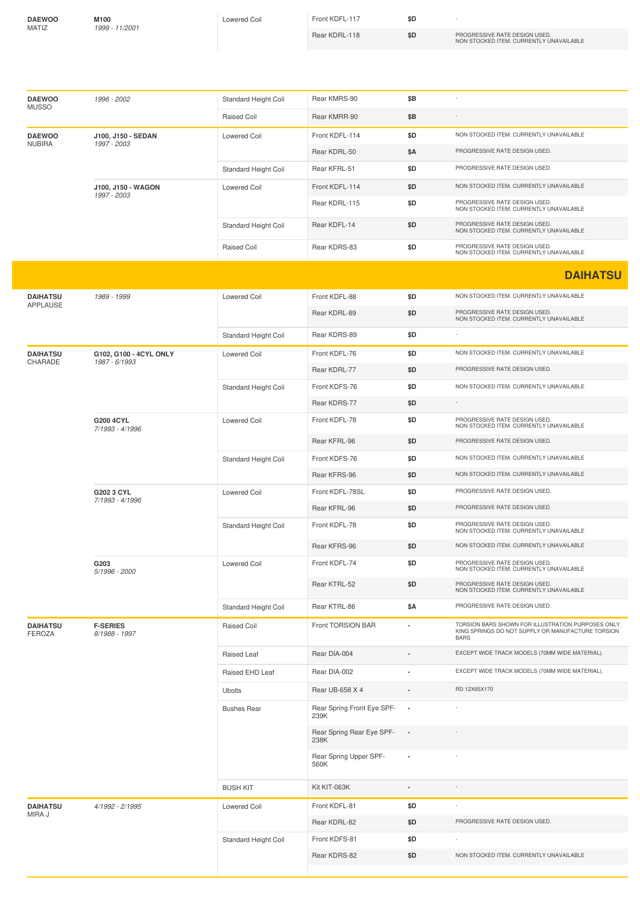| <b>DAEWOO</b> |  |
|---------------|--|
| MATIZ         |  |

**M100** *1999 -11/2001*

Lowered Coil **Front KDFL-117 \$D** 

Rear KDRL-118 **\$D** PROGRESSIVE RATE DESIGN USED. NON STOCKED ITEM. CURRENTLY UNAVAILABLE

| <b>DAEWOO</b><br><b>MUSSO</b>    | 1996 - 2002                             | Standard Height Coil | Rear KMRS-90                       | \$Β            |                                                                                                                        |
|----------------------------------|-----------------------------------------|----------------------|------------------------------------|----------------|------------------------------------------------------------------------------------------------------------------------|
|                                  |                                         | Raised Coil          | Rear KMRR-90                       | \$Β            |                                                                                                                        |
| <b>DAEWOO</b><br><b>NUBIRA</b>   | J100, J150 - SEDAN<br>1997 - 2003       | <b>Lowered Coil</b>  | Front KDFL-114                     | \$D            | NON STOCKED ITEM. CURRENTLY UNAVAILABLE                                                                                |
|                                  |                                         |                      | Rear KDRL-50                       | \$Α            | PROGRESSIVE RATE DESIGN USED.                                                                                          |
|                                  |                                         | Standard Height Coil | Rear KFRL-51                       | \$D            | PROGRESSIVE RATE DESIGN USED.                                                                                          |
|                                  | J100, J150 - WAGON<br>1997 - 2003       | <b>Lowered Coil</b>  | Front KDFL-114                     | \$D            | NON STOCKED ITEM. CURRENTLY UNAVAILABLE                                                                                |
|                                  |                                         |                      | Rear KDRL-115                      | \$D            | PROGRESSIVE RATE DESIGN USED.<br>NON STOCKED ITEM. CURRENTLY UNAVAILABLE                                               |
|                                  |                                         | Standard Height Coil | Rear KDFL-14                       | \$D            | PROGRESSIVE RATE DESIGN USED.<br>NON STOCKED ITEM. CURRENTLY UNAVAILABLE                                               |
|                                  |                                         | Raised Coil          | Rear KDRS-83                       | \$D            | PROGRESSIVE RATE DESIGN USED.<br>NON STOCKED ITEM. CURRENTLY UNAVAILABLE                                               |
|                                  |                                         |                      |                                    |                | <b>DAIHATSU</b>                                                                                                        |
| <b>DAIHATSU</b>                  | 1989 - 1999                             | <b>Lowered Coil</b>  | Front KDFL-88                      | \$D            | NON STOCKED ITEM. CURRENTLY UNAVAILABLE                                                                                |
| <b>APPLAUSE</b>                  |                                         |                      | Rear KDRL-89                       | \$D            | PROGRESSIVE RATE DESIGN USED.                                                                                          |
|                                  |                                         |                      |                                    |                | NON STOCKED ITEM. CURRENTLY UNAVAILABLE                                                                                |
|                                  |                                         | Standard Height Coil | Rear KDRS-89                       | \$D            |                                                                                                                        |
| <b>DAIHATSU</b><br>CHARADE       | G102, G100 - 4CYL ONLY<br>1987 - 6/1993 | <b>Lowered Coil</b>  | Front KDFL-76                      | \$D            | NON STOCKED ITEM. CURRENTLY UNAVAILABLE                                                                                |
|                                  |                                         |                      | Rear KDRL-77                       | \$D            | PROGRESSIVE RATE DESIGN USED.                                                                                          |
|                                  |                                         | Standard Height Coil | Front KDFS-76                      | \$D            | NON STOCKED ITEM. CURRENTLY UNAVAILABLE                                                                                |
|                                  |                                         |                      | Rear KDRS-77                       | \$D            |                                                                                                                        |
|                                  | G200 4CYL<br>7/1993 - 4/1996            | <b>Lowered Coil</b>  | Front KDFL-78                      | \$D            | PROGRESSIVE RATE DESIGN USED.<br>NON STOCKED ITEM. CURRENTLY UNAVAILABLE                                               |
|                                  |                                         |                      | Rear KFRL-96                       | \$D            | PROGRESSIVE RATE DESIGN USED.                                                                                          |
|                                  |                                         | Standard Height Coil | Front KDFS-76                      | \$D            | NON STOCKED ITEM. CURRENTLY UNAVAILABLE                                                                                |
|                                  |                                         |                      | Rear KFRS-96                       | \$D            | NON STOCKED ITEM. CURRENTLY UNAVAILABLE                                                                                |
|                                  | G202 3 CYL<br>7/1993 - 4/1996           | <b>Lowered Coil</b>  | Front KDFL-78SL                    | \$D            | PROGRESSIVE RATE DESIGN USED.                                                                                          |
|                                  |                                         |                      | Rear KFRL-96                       | \$D            | PROGRESSIVE RATE DESIGN USED.                                                                                          |
|                                  |                                         | Standard Height Coil | Front KDFL-78                      | \$D            | PROGRESSIVE RATE DESIGN USED.<br>NON STOCKED ITEM. CURRENTLY UNAVAILABLE                                               |
|                                  |                                         |                      | Rear KFRS-96                       | \$D            | NON STOCKED ITEM. CURRENTLY UNAVAILABLE                                                                                |
|                                  | G203<br>5/1996 - 2000                   | Lowered Coil         | Front KDFL-74                      | \$D            | PROGRESSIVE RATE DESIGN USED.<br>NON STOCKED ITEM. CURRENTLY UNAVAILABLE                                               |
|                                  |                                         |                      | Rear KTRL-52                       | \$D            | PROGRESSIVE RATE DESIGN USED.<br>NON STOCKED ITEM. CURRENTLY UNAVAILABLE                                               |
|                                  |                                         | Standard Height Coil | Rear KTRL-86                       | \$Α            | PROGRESSIVE RATE DESIGN USED.                                                                                          |
| <b>DAIHATSU</b><br><b>FEROZA</b> | <b>F-SERIES</b><br>8/1988 - 1997        | Raised Coil          | Front TORSION BAR                  |                | TORSION BARS SHOWN FOR ILLUSTRATION PURPOSES ONLY.<br>KING SPRINGS DO NOT SUPPLY OR MANUFACTURE TORSION<br><b>BARS</b> |
|                                  |                                         | Raised Leaf          | Rear DIA-004                       |                | EXCEPT WIDE TRACK MODELS (70MM WIDE MATERIAL).                                                                         |
|                                  |                                         | Raised EHD Leaf      | Rear DIA-002                       |                | EXCEPT WIDE TRACK MODELS (70MM WIDE MATERIAL).                                                                         |
|                                  |                                         | <b>Ubolts</b>        | Rear UB-658 X 4                    |                | RD 12X65X170                                                                                                           |
|                                  |                                         | <b>Bushes Rear</b>   | Rear Spring Front Eye SPF-<br>239K | $\blacksquare$ |                                                                                                                        |
|                                  |                                         |                      | Rear Spring Rear Eye SPF-<br>238K  |                |                                                                                                                        |
|                                  |                                         |                      | Rear Spring Upper SPF-<br>560K     |                |                                                                                                                        |
|                                  |                                         | <b>BUSH KIT</b>      | Kit KIT-063K                       |                |                                                                                                                        |
| <b>DAIHATSU</b>                  | 4/1992 - 2/1995                         | Lowered Coil         | Front KDFL-81                      | \$D            |                                                                                                                        |
| MIRA J                           |                                         |                      | Rear KDRL-82                       | \$D            | PROGRESSIVE RATE DESIGN USED.                                                                                          |
|                                  |                                         | Standard Height Coil | Front KDFS-81                      | \$D            |                                                                                                                        |
|                                  |                                         |                      | Rear KDRS-82                       | \$D            | NON STOCKED ITEM. CURRENTLY UNAVAILABLE                                                                                |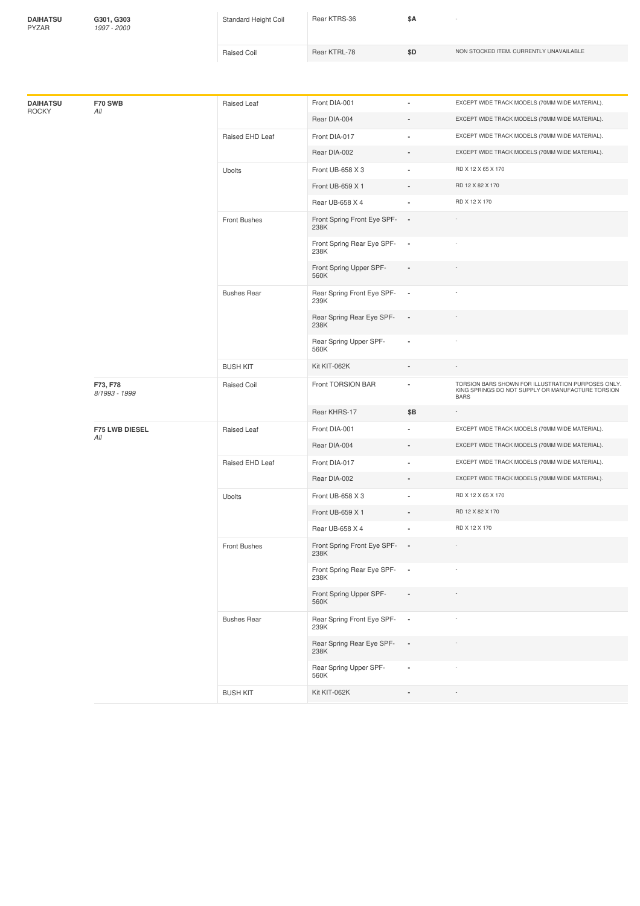| <b>DAIHATSU</b><br><b>PYZAR</b> | G301, G303<br>1997 - 2000 | Standard Height Coil | Rear KTRS-36 | \$Α |                                         |
|---------------------------------|---------------------------|----------------------|--------------|-----|-----------------------------------------|
|                                 |                           | Raised Coil          | Rear KTRL-78 | \$D | NON STOCKED ITEM. CURRENTLY UNAVAILABLE |
|                                 |                           |                      |              |     |                                         |

| EXCEPT WIDE TRACK MODELS (70MM WIDE MATERIAL).<br>Rear DIA-004<br>EXCEPT WIDE TRACK MODELS (70MM WIDE MATERIAL).<br>Front DIA-017<br>Raised EHD Leaf<br>×,<br>EXCEPT WIDE TRACK MODELS (70MM WIDE MATERIAL).<br>Rear DIA-002<br>$\overline{a}$<br>RD X 12 X 65 X 170<br><b>Ubolts</b><br>Front UB-658 X 3<br>÷.<br>Front UB-659 X 1<br>RD 12 X 82 X 170<br>ä,<br>RD X 12 X 170<br>Rear UB-658 X 4<br>ä,<br>Front Spring Front Eye SPF-<br>Front Bushes<br>$\overline{\phantom{a}}$<br>238K<br>Front Spring Rear Eye SPF-<br>$\overline{\phantom{a}}$<br>238K<br>Front Spring Upper SPF-<br>$\blacksquare$<br>560K<br>Rear Spring Front Eye SPF-<br><b>Bushes Rear</b><br>$\overline{\phantom{a}}$<br>239K<br>Rear Spring Rear Eye SPF-<br>$\blacksquare$<br>238K<br>Rear Spring Upper SPF-<br>ä,<br>560K<br>Kit KIT-062K<br><b>BUSH KIT</b><br>TORSION BARS SHOWN FOR ILLUSTRATION PURPOSES ONLY.<br>Front TORSION BAR<br>F73, F78<br><b>Raised Coil</b><br>ä,<br>KING SPRINGS DO NOT SUPPLY OR MANUFACTURE TORSION<br>8/1993 - 1999<br><b>BARS</b><br>Rear KHRS-17<br>\$Β<br>EXCEPT WIDE TRACK MODELS (70MM WIDE MATERIAL).<br>Front DIA-001<br><b>F75 LWB DIESEL</b><br>Raised Leaf<br>ä,<br>All<br>EXCEPT WIDE TRACK MODELS (70MM WIDE MATERIAL).<br>Rear DIA-004<br>EXCEPT WIDE TRACK MODELS (70MM WIDE MATERIAL).<br>Raised EHD Leaf<br>Front DIA-017<br>ä,<br>Rear DIA-002<br>EXCEPT WIDE TRACK MODELS (70MM WIDE MATERIAL).<br>$\overline{a}$<br>RD X 12 X 65 X 170<br>Ubolts<br>Front UB-658 X 3<br>RD 12 X 82 X 170<br>Front UB-659 X 1<br>Rear UB-658 X 4<br>RD X 12 X 170<br>Front Spring Front Eye SPF-<br>$\overline{\phantom{a}}$<br><b>Front Bushes</b><br>238K<br>Front Spring Rear Eye SPF-<br>$\overline{\phantom{a}}$<br>238K<br>Front Spring Upper SPF-<br>$\sim$<br>$\overline{\phantom{a}}$<br>560K<br>Rear Spring Front Eye SPF-<br><b>Bushes Rear</b><br>$\overline{\phantom{a}}$<br>239K<br>Rear Spring Rear Eye SPF-<br>$\overline{\phantom{a}}$<br>238K<br>Rear Spring Upper SPF-<br>ä,<br>560K<br>Kit KIT-062K<br><b>BUSH KIT</b> | <b>DAIHATSU</b>     | F70 SWB | Raised Leaf | Front DIA-001 | ٠ | EXCEPT WIDE TRACK MODELS (70MM WIDE MATERIAL). |
|---------------------------------------------------------------------------------------------------------------------------------------------------------------------------------------------------------------------------------------------------------------------------------------------------------------------------------------------------------------------------------------------------------------------------------------------------------------------------------------------------------------------------------------------------------------------------------------------------------------------------------------------------------------------------------------------------------------------------------------------------------------------------------------------------------------------------------------------------------------------------------------------------------------------------------------------------------------------------------------------------------------------------------------------------------------------------------------------------------------------------------------------------------------------------------------------------------------------------------------------------------------------------------------------------------------------------------------------------------------------------------------------------------------------------------------------------------------------------------------------------------------------------------------------------------------------------------------------------------------------------------------------------------------------------------------------------------------------------------------------------------------------------------------------------------------------------------------------------------------------------------------------------------------------------------------------------------------------------------------------------------------------------------------------------------------|---------------------|---------|-------------|---------------|---|------------------------------------------------|
|                                                                                                                                                                                                                                                                                                                                                                                                                                                                                                                                                                                                                                                                                                                                                                                                                                                                                                                                                                                                                                                                                                                                                                                                                                                                                                                                                                                                                                                                                                                                                                                                                                                                                                                                                                                                                                                                                                                                                                                                                                                               | <b>ROCKY</b><br>All |         |             |               |   |                                                |
|                                                                                                                                                                                                                                                                                                                                                                                                                                                                                                                                                                                                                                                                                                                                                                                                                                                                                                                                                                                                                                                                                                                                                                                                                                                                                                                                                                                                                                                                                                                                                                                                                                                                                                                                                                                                                                                                                                                                                                                                                                                               |                     |         |             |               |   |                                                |
|                                                                                                                                                                                                                                                                                                                                                                                                                                                                                                                                                                                                                                                                                                                                                                                                                                                                                                                                                                                                                                                                                                                                                                                                                                                                                                                                                                                                                                                                                                                                                                                                                                                                                                                                                                                                                                                                                                                                                                                                                                                               |                     |         |             |               |   |                                                |
|                                                                                                                                                                                                                                                                                                                                                                                                                                                                                                                                                                                                                                                                                                                                                                                                                                                                                                                                                                                                                                                                                                                                                                                                                                                                                                                                                                                                                                                                                                                                                                                                                                                                                                                                                                                                                                                                                                                                                                                                                                                               |                     |         |             |               |   |                                                |
|                                                                                                                                                                                                                                                                                                                                                                                                                                                                                                                                                                                                                                                                                                                                                                                                                                                                                                                                                                                                                                                                                                                                                                                                                                                                                                                                                                                                                                                                                                                                                                                                                                                                                                                                                                                                                                                                                                                                                                                                                                                               |                     |         |             |               |   |                                                |
|                                                                                                                                                                                                                                                                                                                                                                                                                                                                                                                                                                                                                                                                                                                                                                                                                                                                                                                                                                                                                                                                                                                                                                                                                                                                                                                                                                                                                                                                                                                                                                                                                                                                                                                                                                                                                                                                                                                                                                                                                                                               |                     |         |             |               |   |                                                |
|                                                                                                                                                                                                                                                                                                                                                                                                                                                                                                                                                                                                                                                                                                                                                                                                                                                                                                                                                                                                                                                                                                                                                                                                                                                                                                                                                                                                                                                                                                                                                                                                                                                                                                                                                                                                                                                                                                                                                                                                                                                               |                     |         |             |               |   |                                                |
|                                                                                                                                                                                                                                                                                                                                                                                                                                                                                                                                                                                                                                                                                                                                                                                                                                                                                                                                                                                                                                                                                                                                                                                                                                                                                                                                                                                                                                                                                                                                                                                                                                                                                                                                                                                                                                                                                                                                                                                                                                                               |                     |         |             |               |   |                                                |
|                                                                                                                                                                                                                                                                                                                                                                                                                                                                                                                                                                                                                                                                                                                                                                                                                                                                                                                                                                                                                                                                                                                                                                                                                                                                                                                                                                                                                                                                                                                                                                                                                                                                                                                                                                                                                                                                                                                                                                                                                                                               |                     |         |             |               |   |                                                |
|                                                                                                                                                                                                                                                                                                                                                                                                                                                                                                                                                                                                                                                                                                                                                                                                                                                                                                                                                                                                                                                                                                                                                                                                                                                                                                                                                                                                                                                                                                                                                                                                                                                                                                                                                                                                                                                                                                                                                                                                                                                               |                     |         |             |               |   |                                                |
|                                                                                                                                                                                                                                                                                                                                                                                                                                                                                                                                                                                                                                                                                                                                                                                                                                                                                                                                                                                                                                                                                                                                                                                                                                                                                                                                                                                                                                                                                                                                                                                                                                                                                                                                                                                                                                                                                                                                                                                                                                                               |                     |         |             |               |   |                                                |
|                                                                                                                                                                                                                                                                                                                                                                                                                                                                                                                                                                                                                                                                                                                                                                                                                                                                                                                                                                                                                                                                                                                                                                                                                                                                                                                                                                                                                                                                                                                                                                                                                                                                                                                                                                                                                                                                                                                                                                                                                                                               |                     |         |             |               |   |                                                |
|                                                                                                                                                                                                                                                                                                                                                                                                                                                                                                                                                                                                                                                                                                                                                                                                                                                                                                                                                                                                                                                                                                                                                                                                                                                                                                                                                                                                                                                                                                                                                                                                                                                                                                                                                                                                                                                                                                                                                                                                                                                               |                     |         |             |               |   |                                                |
|                                                                                                                                                                                                                                                                                                                                                                                                                                                                                                                                                                                                                                                                                                                                                                                                                                                                                                                                                                                                                                                                                                                                                                                                                                                                                                                                                                                                                                                                                                                                                                                                                                                                                                                                                                                                                                                                                                                                                                                                                                                               |                     |         |             |               |   |                                                |
|                                                                                                                                                                                                                                                                                                                                                                                                                                                                                                                                                                                                                                                                                                                                                                                                                                                                                                                                                                                                                                                                                                                                                                                                                                                                                                                                                                                                                                                                                                                                                                                                                                                                                                                                                                                                                                                                                                                                                                                                                                                               |                     |         |             |               |   |                                                |
|                                                                                                                                                                                                                                                                                                                                                                                                                                                                                                                                                                                                                                                                                                                                                                                                                                                                                                                                                                                                                                                                                                                                                                                                                                                                                                                                                                                                                                                                                                                                                                                                                                                                                                                                                                                                                                                                                                                                                                                                                                                               |                     |         |             |               |   |                                                |
|                                                                                                                                                                                                                                                                                                                                                                                                                                                                                                                                                                                                                                                                                                                                                                                                                                                                                                                                                                                                                                                                                                                                                                                                                                                                                                                                                                                                                                                                                                                                                                                                                                                                                                                                                                                                                                                                                                                                                                                                                                                               |                     |         |             |               |   |                                                |
|                                                                                                                                                                                                                                                                                                                                                                                                                                                                                                                                                                                                                                                                                                                                                                                                                                                                                                                                                                                                                                                                                                                                                                                                                                                                                                                                                                                                                                                                                                                                                                                                                                                                                                                                                                                                                                                                                                                                                                                                                                                               |                     |         |             |               |   |                                                |
|                                                                                                                                                                                                                                                                                                                                                                                                                                                                                                                                                                                                                                                                                                                                                                                                                                                                                                                                                                                                                                                                                                                                                                                                                                                                                                                                                                                                                                                                                                                                                                                                                                                                                                                                                                                                                                                                                                                                                                                                                                                               |                     |         |             |               |   |                                                |
|                                                                                                                                                                                                                                                                                                                                                                                                                                                                                                                                                                                                                                                                                                                                                                                                                                                                                                                                                                                                                                                                                                                                                                                                                                                                                                                                                                                                                                                                                                                                                                                                                                                                                                                                                                                                                                                                                                                                                                                                                                                               |                     |         |             |               |   |                                                |
|                                                                                                                                                                                                                                                                                                                                                                                                                                                                                                                                                                                                                                                                                                                                                                                                                                                                                                                                                                                                                                                                                                                                                                                                                                                                                                                                                                                                                                                                                                                                                                                                                                                                                                                                                                                                                                                                                                                                                                                                                                                               |                     |         |             |               |   |                                                |
|                                                                                                                                                                                                                                                                                                                                                                                                                                                                                                                                                                                                                                                                                                                                                                                                                                                                                                                                                                                                                                                                                                                                                                                                                                                                                                                                                                                                                                                                                                                                                                                                                                                                                                                                                                                                                                                                                                                                                                                                                                                               |                     |         |             |               |   |                                                |
|                                                                                                                                                                                                                                                                                                                                                                                                                                                                                                                                                                                                                                                                                                                                                                                                                                                                                                                                                                                                                                                                                                                                                                                                                                                                                                                                                                                                                                                                                                                                                                                                                                                                                                                                                                                                                                                                                                                                                                                                                                                               |                     |         |             |               |   |                                                |
|                                                                                                                                                                                                                                                                                                                                                                                                                                                                                                                                                                                                                                                                                                                                                                                                                                                                                                                                                                                                                                                                                                                                                                                                                                                                                                                                                                                                                                                                                                                                                                                                                                                                                                                                                                                                                                                                                                                                                                                                                                                               |                     |         |             |               |   |                                                |
|                                                                                                                                                                                                                                                                                                                                                                                                                                                                                                                                                                                                                                                                                                                                                                                                                                                                                                                                                                                                                                                                                                                                                                                                                                                                                                                                                                                                                                                                                                                                                                                                                                                                                                                                                                                                                                                                                                                                                                                                                                                               |                     |         |             |               |   |                                                |
|                                                                                                                                                                                                                                                                                                                                                                                                                                                                                                                                                                                                                                                                                                                                                                                                                                                                                                                                                                                                                                                                                                                                                                                                                                                                                                                                                                                                                                                                                                                                                                                                                                                                                                                                                                                                                                                                                                                                                                                                                                                               |                     |         |             |               |   |                                                |
|                                                                                                                                                                                                                                                                                                                                                                                                                                                                                                                                                                                                                                                                                                                                                                                                                                                                                                                                                                                                                                                                                                                                                                                                                                                                                                                                                                                                                                                                                                                                                                                                                                                                                                                                                                                                                                                                                                                                                                                                                                                               |                     |         |             |               |   |                                                |
|                                                                                                                                                                                                                                                                                                                                                                                                                                                                                                                                                                                                                                                                                                                                                                                                                                                                                                                                                                                                                                                                                                                                                                                                                                                                                                                                                                                                                                                                                                                                                                                                                                                                                                                                                                                                                                                                                                                                                                                                                                                               |                     |         |             |               |   |                                                |
|                                                                                                                                                                                                                                                                                                                                                                                                                                                                                                                                                                                                                                                                                                                                                                                                                                                                                                                                                                                                                                                                                                                                                                                                                                                                                                                                                                                                                                                                                                                                                                                                                                                                                                                                                                                                                                                                                                                                                                                                                                                               |                     |         |             |               |   |                                                |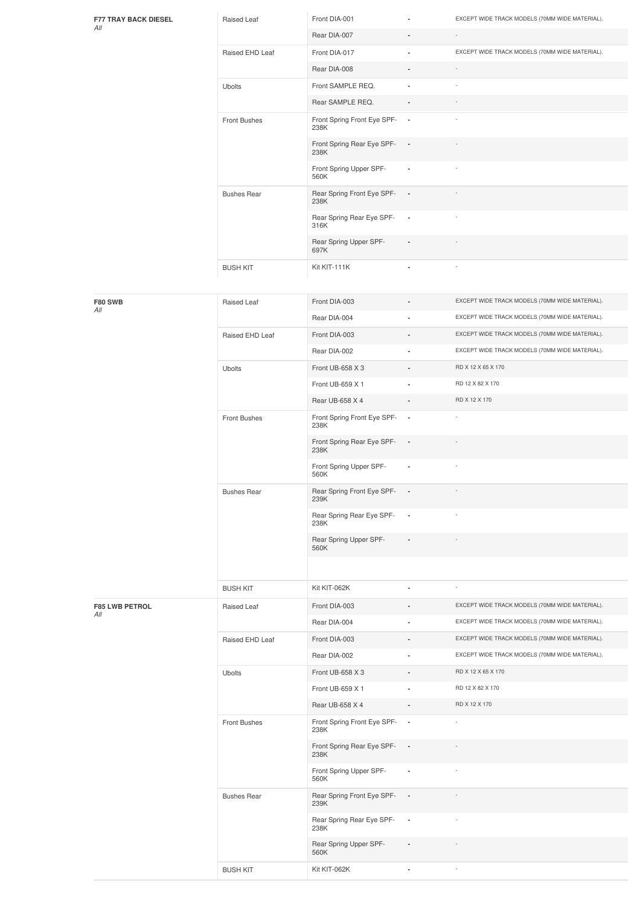| <b>F77 TRAY BACK DIESEL</b> | Raised Leaf                              | Front DIA-001                         | $\blacksquare$           | EXCEPT WIDE TRACK MODELS (70MM WIDE MATERIAL). |
|-----------------------------|------------------------------------------|---------------------------------------|--------------------------|------------------------------------------------|
| All                         | Rear DIA-007<br>$\sim$<br>$\blacksquare$ |                                       |                          |                                                |
|                             | Raised EHD Leaf                          | Front DIA-017                         | ٠                        | EXCEPT WIDE TRACK MODELS (70MM WIDE MATERIAL). |
|                             |                                          | Rear DIA-008                          | $\sim$                   | $\sim$                                         |
|                             | <b>Ubolts</b>                            | Front SAMPLE REQ.                     | $\blacksquare$           | ٠                                              |
|                             |                                          | Rear SAMPLE REQ.                      | $\overline{\phantom{a}}$ | $\sim$                                         |
|                             | Front Bushes                             | Front Spring Front Eye SPF- -<br>238K |                          | ٠                                              |
|                             |                                          | Front Spring Rear Eye SPF- -<br>238K  |                          |                                                |
|                             |                                          | Front Spring Upper SPF-<br>560K       | $\blacksquare$           | $\overline{\phantom{a}}$                       |
|                             | <b>Bushes Rear</b>                       | Rear Spring Front Eye SPF- -<br>238K  |                          |                                                |
|                             |                                          | Rear Spring Rear Eye SPF-<br>316K     | $\overline{\phantom{a}}$ |                                                |
|                             |                                          | Rear Spring Upper SPF-<br>697K        | $\overline{\phantom{a}}$ | $\sim$                                         |
|                             | <b>BUSH KIT</b>                          | Kit KIT-111K                          | $\blacksquare$           | $\sim$                                         |

| F80 SWB                      | Raised Leaf        | Front DIA-003                       |                          | EXCEPT WIDE TRACK MODELS (70MM WIDE MATERIAL). |
|------------------------------|--------------------|-------------------------------------|--------------------------|------------------------------------------------|
| All                          |                    | Rear DIA-004                        |                          | EXCEPT WIDE TRACK MODELS (70MM WIDE MATERIAL). |
|                              | Raised EHD Leaf    | Front DIA-003                       |                          | EXCEPT WIDE TRACK MODELS (70MM WIDE MATERIAL). |
|                              |                    | Rear DIA-002                        | $\blacksquare$           | EXCEPT WIDE TRACK MODELS (70MM WIDE MATERIAL). |
|                              | Ubolts             | Front UB-658 X 3                    |                          | RD X 12 X 65 X 170                             |
|                              |                    | Front UB-659 X 1                    |                          | RD 12 X 82 X 170                               |
|                              |                    | Rear UB-658 X 4                     | $\overline{a}$           | RD X 12 X 170                                  |
|                              | Front Bushes       | Front Spring Front Eye SPF-<br>238K | $\overline{\phantom{a}}$ |                                                |
|                              |                    | Front Spring Rear Eye SPF-<br>238K  | $\overline{\phantom{a}}$ |                                                |
|                              |                    | Front Spring Upper SPF-<br>560K     | ×,                       |                                                |
|                              | <b>Bushes Rear</b> | Rear Spring Front Eye SPF-<br>239K  | $\overline{\phantom{a}}$ |                                                |
|                              |                    | Rear Spring Rear Eye SPF-<br>238K   | $\blacksquare$           |                                                |
|                              |                    | Rear Spring Upper SPF-<br>560K      |                          |                                                |
|                              |                    |                                     |                          |                                                |
|                              | <b>BUSH KIT</b>    | Kit KIT-062K                        | $\blacksquare$           |                                                |
| <b>F85 LWB PETROL</b><br>All | Raised Leaf        | Front DIA-003                       |                          | EXCEPT WIDE TRACK MODELS (70MM WIDE MATERIAL). |
|                              |                    | Rear DIA-004                        |                          | EXCEPT WIDE TRACK MODELS (70MM WIDE MATERIAL). |
|                              | Raised EHD Leaf    | Front DIA-003                       |                          | EXCEPT WIDE TRACK MODELS (70MM WIDE MATERIAL). |
|                              |                    |                                     |                          |                                                |
|                              |                    | Rear DIA-002                        | ä,                       | EXCEPT WIDE TRACK MODELS (70MM WIDE MATERIAL). |
|                              | Ubolts             | Front UB-658 X 3                    |                          | RD X 12 X 65 X 170                             |
|                              |                    | Front UB-659 X 1                    |                          | RD 12 X 82 X 170                               |
|                              |                    | Rear UB-658 X 4                     |                          | RD X 12 X 170                                  |
|                              | Front Bushes       | Front Spring Front Eye SPF-<br>238K | $\overline{\phantom{a}}$ | i,                                             |
|                              |                    | Front Spring Rear Eye SPF-<br>238K  | $\overline{\phantom{a}}$ |                                                |
|                              |                    | Front Spring Upper SPF-<br>560K     | ×,                       |                                                |
|                              | <b>Bushes Rear</b> | Rear Spring Front Eye SPF-<br>239K  | $\blacksquare$           |                                                |
|                              |                    | Rear Spring Rear Eye SPF-<br>238K   | $\overline{\phantom{a}}$ |                                                |
|                              |                    | Rear Spring Upper SPF-<br>560K      |                          |                                                |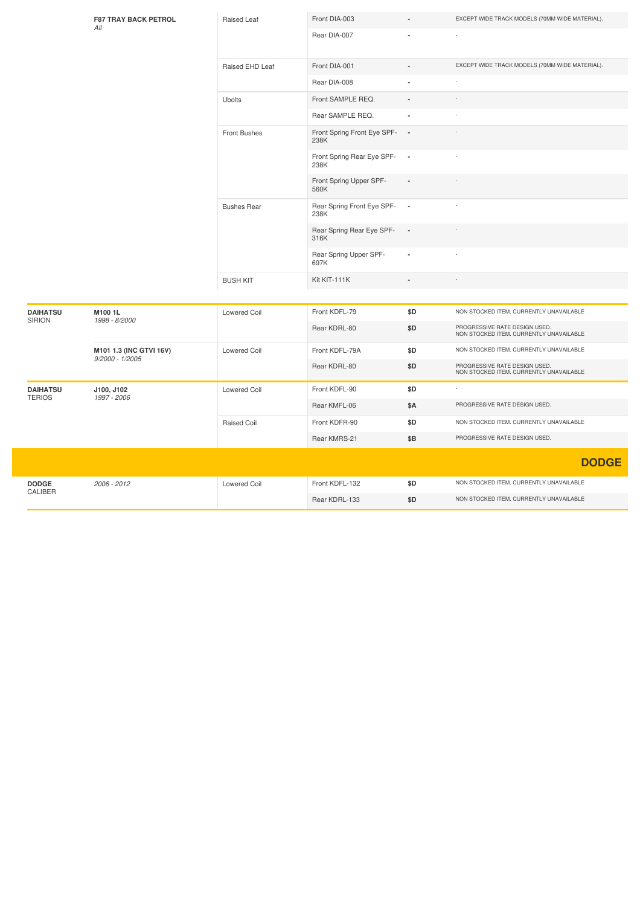|                                  | <b>F87 TRAY BACK PETROL</b><br>All           | Raised Leaf         | Front DIA-003                        |                | EXCEPT WIDE TRACK MODELS (70MM WIDE MATERIAL).                           |
|----------------------------------|----------------------------------------------|---------------------|--------------------------------------|----------------|--------------------------------------------------------------------------|
|                                  |                                              |                     | Rear DIA-007                         |                |                                                                          |
|                                  |                                              |                     |                                      |                |                                                                          |
|                                  |                                              | Raised EHD Leaf     | Front DIA-001                        |                | EXCEPT WIDE TRACK MODELS (70MM WIDE MATERIAL).                           |
|                                  |                                              |                     | Rear DIA-008                         |                |                                                                          |
|                                  |                                              | <b>Ubolts</b>       | Front SAMPLE REQ.                    |                |                                                                          |
|                                  |                                              |                     | Rear SAMPLE REQ.                     | ä,             |                                                                          |
|                                  |                                              | <b>Front Bushes</b> | Front Spring Front Eye SPF-<br>238K  | ٠.             |                                                                          |
|                                  |                                              |                     | Front Spring Rear Eye SPF- -<br>238K |                |                                                                          |
|                                  |                                              |                     | Front Spring Upper SPF-<br>560K      |                |                                                                          |
|                                  |                                              | <b>Bushes Rear</b>  | Rear Spring Front Eye SPF-<br>238K   | $\blacksquare$ |                                                                          |
|                                  |                                              |                     | Rear Spring Rear Eye SPF-<br>316K    |                |                                                                          |
|                                  |                                              |                     | Rear Spring Upper SPF-<br>697K       |                |                                                                          |
|                                  |                                              | <b>BUSH KIT</b>     | Kit KIT-111K                         |                |                                                                          |
| <b>DAIHATSU</b><br><b>SIRION</b> | M1001L<br>1998 - 8/2000                      | <b>Lowered Coil</b> | Front KDFL-79                        | \$D            | NON STOCKED ITEM. CURRENTLY UNAVAILABLE                                  |
|                                  |                                              |                     | Rear KDRL-80                         | \$D            | PROGRESSIVE RATE DESIGN USED.<br>NON STOCKED ITEM. CURRENTLY UNAVAILABLE |
|                                  | M101 1.3 (INC GTVI 16V)<br>$9/2000 - 1/2005$ | Lowered Coil        | Front KDFL-79A                       | \$D            | NON STOCKED ITEM. CURRENTLY UNAVAILABLE                                  |
|                                  |                                              |                     | Rear KDRL-80                         | \$D            | PROGRESSIVE RATE DESIGN USED.<br>NON STOCKED ITEM. CURRENTLY UNAVAILABLE |
| <b>DAIHATSU</b><br><b>TERIOS</b> | J100, J102<br>1997 - 2006                    | Lowered Coil        | Front KDFL-90                        | \$D            |                                                                          |
|                                  |                                              |                     | Rear KMFL-06                         | \$Α            | PROGRESSIVE RATE DESIGN USED.                                            |
|                                  |                                              | Raised Coil         | Front KDFR-90                        | \$D            | NON STOCKED ITEM. CURRENTLY UNAVAILABLE                                  |
|                                  |                                              |                     | Rear KMRS-21                         | \$B            | PROGRESSIVE RATE DESIGN USED.                                            |
|                                  |                                              |                     |                                      |                | <b>DODGE</b>                                                             |
| <b>DODGE</b>                     | 2006 - 2012                                  | <b>Lowered Coil</b> | Front KDFL-132                       | \$D            | NON STOCKED ITEM. CURRENTLY UNAVAILABLE                                  |
| CALIBER                          |                                              |                     | Rear KDRL-133                        | \$D            | NON STOCKED ITEM. CURRENTLY UNAVAILABLE                                  |
|                                  |                                              |                     |                                      |                |                                                                          |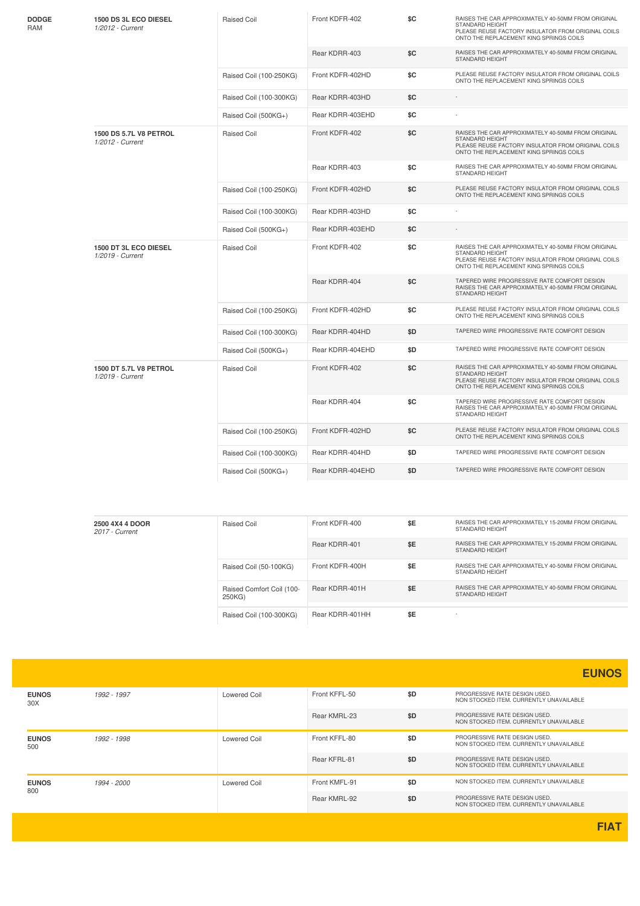| DODGE<br>RAM | 1500 DS 3L ECO DIESEL<br>1/2012 - Current  | <b>Raised Coil</b>      | Front KDFR-402   | \$C | RAISES THE CAR APPROXIMATELY 40-50MM FROM ORIGINAL<br>STANDARD HEIGHT<br>PLEASE REUSE FACTORY INSULATOR FROM ORIGINAL COILS<br>ONTO THE REPLACEMENT KING SPRINGS COILS        |
|--------------|--------------------------------------------|-------------------------|------------------|-----|-------------------------------------------------------------------------------------------------------------------------------------------------------------------------------|
|              |                                            |                         | Rear KDRR-403    | \$C | RAISES THE CAR APPROXIMATELY 40-50MM FROM ORIGINAL<br>STANDARD HEIGHT                                                                                                         |
|              |                                            | Raised Coil (100-250KG) | Front KDFR-402HD | \$C | PLEASE REUSE FACTORY INSULATOR FROM ORIGINAL COILS<br>ONTO THE REPLACEMENT KING SPRINGS COILS                                                                                 |
|              |                                            | Raised Coil (100-300KG) | Rear KDRR-403HD  | \$C |                                                                                                                                                                               |
|              |                                            | Raised Coil (500KG+)    | Rear KDRR-403EHD | \$C |                                                                                                                                                                               |
|              | 1500 DS 5.7L V8 PETROL<br>1/2012 - Current | <b>Raised Coil</b>      | Front KDFR-402   | \$C | RAISES THE CAR APPROXIMATELY 40-50MM FROM ORIGINAL<br><b>STANDARD HEIGHT</b><br>PLEASE REUSE FACTORY INSULATOR FROM ORIGINAL COILS<br>ONTO THE REPLACEMENT KING SPRINGS COILS |
|              |                                            |                         | Rear KDRR-403    | \$C | RAISES THE CAR APPROXIMATELY 40-50MM FROM ORIGINAL<br>STANDARD HEIGHT                                                                                                         |
|              |                                            | Raised Coil (100-250KG) | Front KDFR-402HD | \$C | PLEASE REUSE FACTORY INSULATOR FROM ORIGINAL COILS<br>ONTO THE REPLACEMENT KING SPRINGS COILS                                                                                 |
|              |                                            | Raised Coil (100-300KG) | Rear KDRR-403HD  | \$C |                                                                                                                                                                               |
|              |                                            | Raised Coil (500KG+)    | Rear KDRR-403EHD | \$C |                                                                                                                                                                               |
|              | 1500 DT 3L ECO DIESEL<br>1/2019 - Current  | <b>Raised Coil</b>      | Front KDFR-402   | \$C | RAISES THE CAR APPROXIMATELY 40-50MM FROM ORIGINAL<br><b>STANDARD HEIGHT</b><br>PLEASE REUSE FACTORY INSULATOR FROM ORIGINAL COILS<br>ONTO THE REPLACEMENT KING SPRINGS COILS |
|              |                                            |                         | Rear KDRR-404    | \$C | TAPERED WIRE PROGRESSIVE RATE COMFORT DESIGN<br>RAISES THE CAR APPROXIMATELY 40-50MM FROM ORIGINAL<br><b>STANDARD HEIGHT</b>                                                  |
|              |                                            | Raised Coil (100-250KG) | Front KDFR-402HD | \$C | PLEASE REUSE FACTORY INSULATOR FROM ORIGINAL COILS<br>ONTO THE REPLACEMENT KING SPRINGS COILS                                                                                 |
|              |                                            | Raised Coil (100-300KG) | Rear KDRR-404HD  | \$D | TAPERED WIRE PROGRESSIVE RATE COMFORT DESIGN                                                                                                                                  |
|              |                                            | Raised Coil (500KG+)    | Rear KDRR-404EHD | \$D | TAPERED WIRE PROGRESSIVE RATE COMFORT DESIGN                                                                                                                                  |
|              | 1500 DT 5.7L V8 PETROL<br>1/2019 - Current | <b>Raised Coil</b>      | Front KDFR-402   | \$C | RAISES THE CAR APPROXIMATELY 40-50MM FROM ORIGINAL<br>STANDARD HEIGHT<br>PLEASE REUSE FACTORY INSULATOR FROM ORIGINAL COILS<br>ONTO THE REPLACEMENT KING SPRINGS COILS        |
|              |                                            |                         | Rear KDRR-404    | \$C | TAPERED WIRE PROGRESSIVE RATE COMFORT DESIGN<br>RAISES THE CAR APPROXIMATELY 40-50MM FROM ORIGINAL<br>STANDARD HEIGHT                                                         |
|              |                                            | Raised Coil (100-250KG) | Front KDFR-402HD | \$C | PLEASE REUSE FACTORY INSULATOR FROM ORIGINAL COILS<br>ONTO THE REPLACEMENT KING SPRINGS COILS                                                                                 |
|              |                                            | Raised Coil (100-300KG) | Rear KDRR-404HD  | \$D | TAPERED WIRE PROGRESSIVE RATE COMFORT DESIGN                                                                                                                                  |
|              |                                            | Raised Coil (500KG+)    | Rear KDRR-404EHD | \$D | TAPERED WIRE PROGRESSIVE RATE COMFORT DESIGN                                                                                                                                  |

| 2500 4X4 4 DOOR<br>2017 - Current | Raised Coil                         | Front KDFR-400  | \$E | RAISES THE CAR APPROXIMATELY 15-20MM FROM ORIGINAL<br><b>STANDARD HEIGHT</b> |
|-----------------------------------|-------------------------------------|-----------------|-----|------------------------------------------------------------------------------|
|                                   |                                     | Rear KDRR-401   | \$E | RAISES THE CAR APPROXIMATELY 15-20MM FROM ORIGINAL<br><b>STANDARD HEIGHT</b> |
|                                   | Raised Coil (50-100KG)              | Front KDFR-400H | \$E | RAISES THE CAR APPROXIMATELY 40-50MM FROM ORIGINAL<br>STANDARD HEIGHT        |
|                                   | Raised Comfort Coil (100-<br>250KG) | Rear KDRR-401H  | \$E | RAISES THE CAR APPROXIMATELY 40-50MM FROM ORIGINAL<br><b>STANDARD HEIGHT</b> |
|                                   |                                     |                 |     |                                                                              |
|                                   | Raised Coil (100-300KG)             | Rear KDRR-401HH | \$E |                                                                              |

|                     |             |                     |               |     | <b>EUNOS</b>                                                             |
|---------------------|-------------|---------------------|---------------|-----|--------------------------------------------------------------------------|
| <b>EUNOS</b><br>30X | 1992 - 1997 | <b>Lowered Coil</b> | Front KFFL-50 | \$D | PROGRESSIVE RATE DESIGN USED.<br>NON STOCKED ITEM, CURRENTLY UNAVAILABLE |
|                     |             |                     | Rear KMRL-23  | \$D | PROGRESSIVE RATE DESIGN USED.<br>NON STOCKED ITEM, CURRENTLY UNAVAILABLE |
| <b>EUNOS</b><br>500 | 1992 - 1998 | <b>Lowered Coil</b> | Front KFFL-80 | \$D | PROGRESSIVE RATE DESIGN USED.<br>NON STOCKED ITEM. CURRENTLY UNAVAILABLE |
|                     |             |                     | Rear KFRL-81  | \$D | PROGRESSIVE RATE DESIGN USED.<br>NON STOCKED ITEM, CURRENTLY UNAVAILABLE |
| <b>EUNOS</b><br>800 | 1994 - 2000 | <b>Lowered Coil</b> | Front KMFL-91 | \$D | NON STOCKED ITEM. CURRENTLY UNAVAILABLE                                  |
|                     |             |                     | Rear KMRL-92  | \$D | PROGRESSIVE RATE DESIGN USED.<br>NON STOCKED ITEM. CURRENTLY UNAVAILABLE |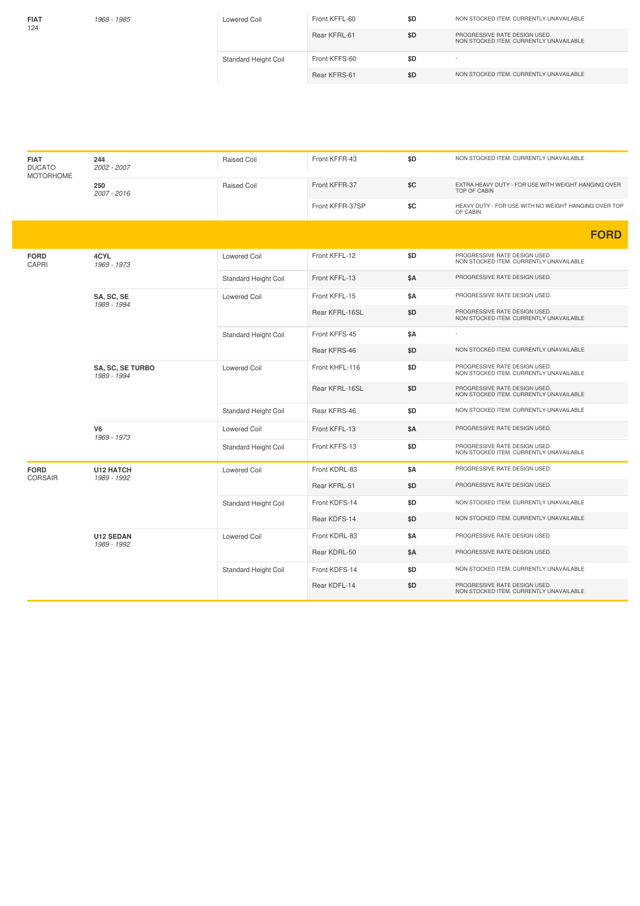| <b>FIAT</b><br>124 | 1968 - 1985 | <b>Lowered Coil</b>         | Front KFFL-60 | \$D | NON STOCKED ITEM. CURRENTLY UNAVAILABLE                                  |
|--------------------|-------------|-----------------------------|---------------|-----|--------------------------------------------------------------------------|
|                    |             |                             | Rear KFRL-61  | \$D | PROGRESSIVE RATE DESIGN USED.<br>NON STOCKED ITEM, CURRENTLY UNAVAILABLE |
|                    |             | <b>Standard Height Coil</b> | Front KFFS-60 | \$D |                                                                          |
|                    |             |                             | Rear KFRS-61  | \$D | NON STOCKED ITEM, CURRENTLY UNAVAILABLE                                  |
|                    |             |                             |               |     |                                                                          |

| <b>DUCATO</b><br><b>MOTORHOME</b>      | 2002 - 2007                     | <b>Raised Coil</b>          | Front KFFR-43   | \$D        | NON STOCKED ITEM. CURRENTLY UNAVAILABLE                                    |
|----------------------------------------|---------------------------------|-----------------------------|-----------------|------------|----------------------------------------------------------------------------|
|                                        | 250<br>2007 - 2016              | <b>Raised Coil</b>          | Front KFFR-37   | \$C        | EXTRA HEAVY DUTY - FOR USE WITH WEIGHT HANGING OVER<br><b>TOP OF CABIN</b> |
|                                        |                                 |                             | Front KFFR-37SP | \$C        | HEAVY DUTY - FOR USE WITH NO WEIGHT HANGING OVER TOP<br>OF CABIN           |
|                                        |                                 |                             |                 |            | <b>FORD</b>                                                                |
| <b>FORD</b><br>CAPRI                   | 4CYL<br>1969 - 1973             | <b>Lowered Coil</b>         | Front KFFL-12   | \$D        | PROGRESSIVE RATE DESIGN USED.<br>NON STOCKED ITEM. CURRENTLY UNAVAILABLE   |
|                                        |                                 | Standard Height Coil        | Front KFFL-13   | <b>\$A</b> | PROGRESSIVE RATE DESIGN USED.                                              |
|                                        | SA, SC, SE<br>1989 - 1994       | <b>Lowered Coil</b>         | Front KFFL-15   | <b>\$A</b> | PROGRESSIVE RATE DESIGN USED.                                              |
|                                        |                                 |                             | Rear KFRL-16SL  | \$D        | PROGRESSIVE RATE DESIGN USED.<br>NON STOCKED ITEM. CURRENTLY UNAVAILABLE   |
|                                        |                                 | <b>Standard Height Coil</b> | Front KFFS-45   | \$A        |                                                                            |
|                                        |                                 |                             | Rear KFRS-46    | \$D        | NON STOCKED ITEM. CURRENTLY UNAVAILABLE                                    |
| <b>SA, SC, SE TURBO</b><br>1989 - 1994 |                                 | <b>Lowered Coil</b>         | Front KHFL-116  | \$D        | PROGRESSIVE RATE DESIGN USED.<br>NON STOCKED ITEM. CURRENTLY UNAVAILABLE   |
|                                        |                                 |                             | Rear KFRL-16SL  | \$D        | PROGRESSIVE RATE DESIGN USED.<br>NON STOCKED ITEM, CURRENTLY UNAVAILABLE   |
|                                        |                                 | Standard Height Coil        | Rear KFRS-46    | \$D        | NON STOCKED ITEM. CURRENTLY UNAVAILABLE                                    |
|                                        | V6<br>1969 - 1973               | <b>Lowered Coil</b>         | Front KFFL-13   | <b>\$A</b> | PROGRESSIVE RATE DESIGN USED.                                              |
|                                        |                                 | Standard Height Coil        | Front KFFS-13   | \$D        | PROGRESSIVE RATE DESIGN USED.<br>NON STOCKED ITEM. CURRENTLY UNAVAILABLE   |
| <b>FORD</b><br>CORSAIR                 | <b>U12 HATCH</b><br>1989 - 1992 | <b>Lowered Coil</b>         | Front KDRL-83   | <b>\$A</b> | PROGRESSIVE RATE DESIGN USED.                                              |
|                                        |                                 |                             | Rear KFRL-51    | \$D        | PROGRESSIVE RATE DESIGN USED.                                              |
|                                        |                                 | <b>Standard Height Coil</b> | Front KDFS-14   | \$D        | NON STOCKED ITEM. CURRENTLY UNAVAILABLE                                    |
|                                        |                                 |                             | Rear KDFS-14    | \$D        | NON STOCKED ITEM. CURRENTLY UNAVAILABLE                                    |
|                                        | <b>U12 SEDAN</b>                | <b>Lowered Coil</b>         | Front KDRL-83   | <b>\$A</b> | PROGRESSIVE RATE DESIGN USED.                                              |
|                                        | 1989 - 1992                     |                             | Rear KDRL-50    | \$A        | PROGRESSIVE RATE DESIGN USED.                                              |
|                                        |                                 | Standard Height Coil        | Front KDFS-14   | \$D        | NON STOCKED ITEM. CURRENTLY UNAVAILABLE                                    |
|                                        |                                 |                             | Rear KDFL-14    | \$D        | PROGRESSIVE RATE DESIGN USED.<br>NON STOCKED ITEM. CURRENTLY UNAVAILABLE   |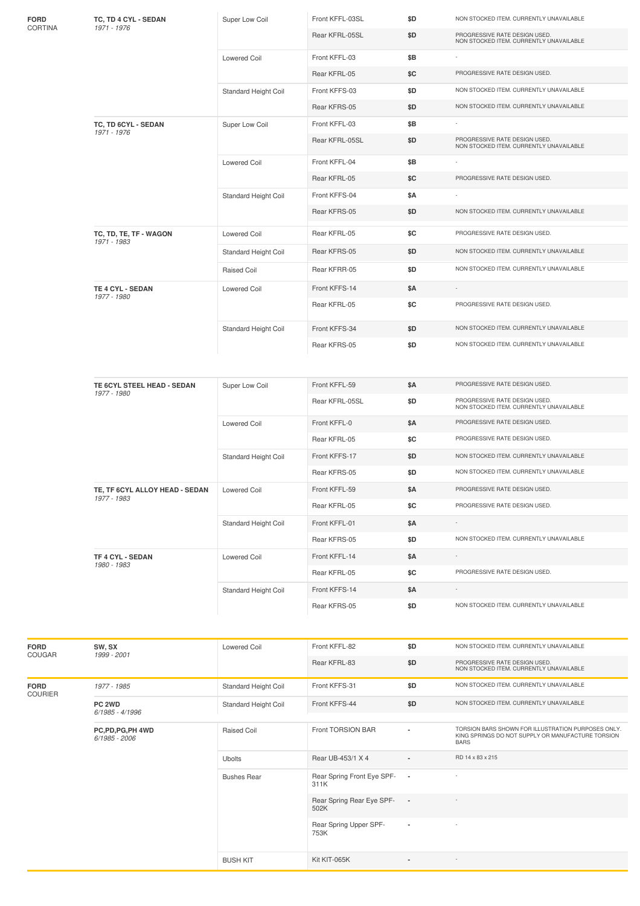|         | TE 6CYL STEEL HEAD - SEDAN<br>1977 - 1980 | Super Low Coil       | Front KFFL-59   | \$Α | PROGRESSIVE RATE DESIGN USED.           |
|---------|-------------------------------------------|----------------------|-----------------|-----|-----------------------------------------|
|         |                                           |                      |                 |     |                                         |
|         |                                           |                      |                 |     |                                         |
|         |                                           |                      |                 |     |                                         |
|         |                                           |                      |                 |     |                                         |
|         |                                           |                      |                 |     |                                         |
|         |                                           |                      | Rear KFRS-05    | \$D | NON STOCKED ITEM. CURRENTLY UNAVAILABLE |
|         |                                           | Standard Height Coil | Front KFFS-34   | \$D | NON STOCKED ITEM. CURRENTLY UNAVAILABLE |
|         |                                           |                      | Rear KFRL-05    | \$C | PROGRESSIVE RATE DESIGN USED.           |
|         | <b>TE 4 CYL - SEDAN</b><br>1977 - 1980    | <b>Lowered Coil</b>  | Front KFFS-14   | \$Α | $\overline{\phantom{a}}$                |
|         |                                           |                      |                 |     |                                         |
|         |                                           | Raised Coil          | Rear KFRR-05    | \$D | NON STOCKED ITEM. CURRENTLY UNAVAILABLE |
|         |                                           |                      |                 |     |                                         |
|         |                                           | Standard Height Coil | Rear KFRS-05    | \$D | NON STOCKED ITEM. CURRENTLY UNAVAILABLE |
|         | TC, TD, TE, TF - WAGON<br>1971 - 1983     | <b>Lowered Coil</b>  | Rear KFRL-05    | \$C | PROGRESSIVE RATE DESIGN USED.           |
|         |                                           |                      |                 |     |                                         |
|         |                                           |                      | Rear KFRS-05    | \$D | NON STOCKED ITEM. CURRENTLY UNAVAILABLE |
|         |                                           | Standard Height Coil | Front KFFS-04   | \$Α |                                         |
|         |                                           |                      | Rear KFRL-05    | \$C | PROGRESSIVE RATE DESIGN USED.           |
|         |                                           | <b>Lowered Coil</b>  | Front KFFL-04   | \$Β |                                         |
|         |                                           |                      |                 |     | NON STOCKED ITEM. CURRENTLY UNAVAILABLE |
|         | 1971 - 1976                               |                      | Rear KFRL-05SL  | \$D | PROGRESSIVE RATE DESIGN USED.           |
|         | TC, TD 6CYL - SEDAN                       | Super Low Coil       | Front KFFL-03   | \$Β |                                         |
|         |                                           |                      | Rear KFRS-05    | \$D | NON STOCKED ITEM. CURRENTLY UNAVAILABLE |
|         |                                           | Standard Height Coil | Front KFFS-03   | \$D | NON STOCKED ITEM. CURRENTLY UNAVAILABLE |
|         |                                           |                      | Rear KFRL-05    | \$C | PROGRESSIVE RATE DESIGN USED.           |
|         |                                           | <b>Lowered Coil</b>  | Front KFFL-03   | \$Β |                                         |
|         |                                           |                      |                 |     | NON STOCKED ITEM. CURRENTLY UNAVAILABLE |
|         | 1971 - 1976                               |                      | Rear KFRL-05SL  | \$D | PROGRESSIVE RATE DESIGN USED.           |
| CORTINA | TC, TD 4 CYL - SEDAN                      | Super Low Coil       | Front KFFL-03SL | \$D | NON STOCKED ITEM. CURRENTLY UNAVAILABLE |

| <b>FORD</b><br>COUGAR         | SW, SX<br>1999 - 2001                | <b>Lowered Coil</b>  | Front KFFL-82                      | \$D                      | NON STOCKED ITEM. CURRENTLY UNAVAILABLE                                                                                |
|-------------------------------|--------------------------------------|----------------------|------------------------------------|--------------------------|------------------------------------------------------------------------------------------------------------------------|
|                               |                                      | Rear KFRL-83         |                                    | \$D                      | PROGRESSIVE RATE DESIGN USED.<br>NON STOCKED ITEM. CURRENTLY UNAVAILABLE                                               |
| <b>FORD</b><br><b>COURIER</b> | 1977 - 1985                          | Standard Height Coil | Front KFFS-31                      | \$D                      | NON STOCKED ITEM. CURRENTLY UNAVAILABLE                                                                                |
|                               | PC <sub>2WD</sub><br>6/1985 - 4/1996 | Standard Height Coil | Front KFFS-44                      | \$D                      | NON STOCKED ITEM. CURRENTLY UNAVAILABLE                                                                                |
|                               | PC,PD,PG,PH 4WD<br>6/1985 - 2006     | <b>Raised Coil</b>   | Front TORSION BAR                  | $\overline{\phantom{a}}$ | TORSION BARS SHOWN FOR ILLUSTRATION PURPOSES ONLY.<br>KING SPRINGS DO NOT SUPPLY OR MANUFACTURE TORSION<br><b>BARS</b> |
|                               |                                      | <b>Ubolts</b>        | Rear UB-453/1 X 4                  | $\blacksquare$           | RD 14 x 83 x 215                                                                                                       |
|                               |                                      | <b>Bushes Rear</b>   | Rear Spring Front Eye SPF-<br>311K | $\overline{\phantom{a}}$ |                                                                                                                        |
|                               |                                      |                      | Rear Spring Rear Eye SPF-<br>502K  | $\overline{\phantom{a}}$ | ٠                                                                                                                      |
|                               |                                      |                      | Rear Spring Upper SPF-<br>753K     | $\overline{\phantom{a}}$ |                                                                                                                        |
|                               |                                      | <b>BUSH KIT</b>      | Kit KIT-065K                       | $\overline{\phantom{a}}$ |                                                                                                                        |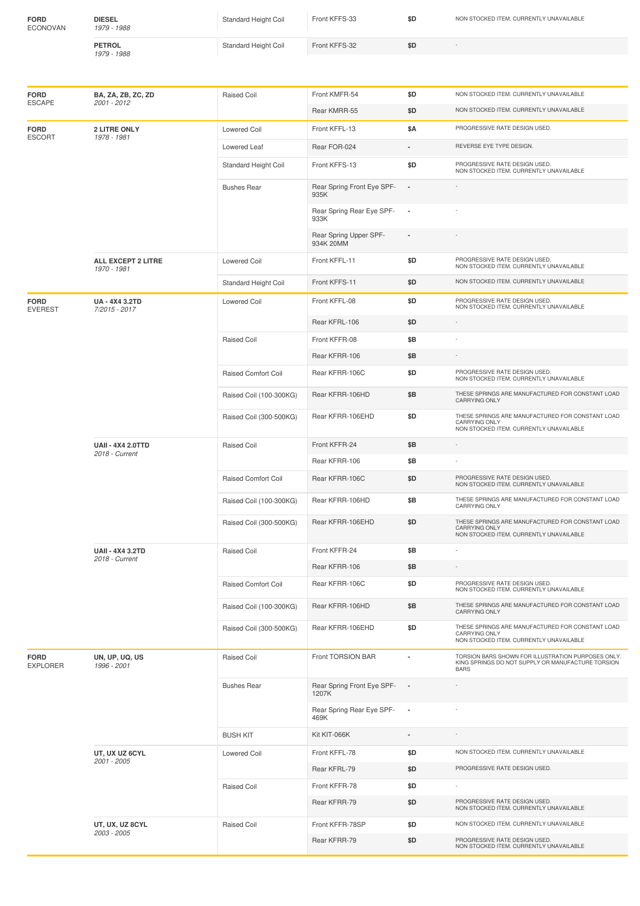| <b>FORD</b><br><b>ECONOVAN</b>    | <b>DIESEL</b><br>1979 - 1988               | Standard Height Coil       | Front KFFS-33                       | \$D            | NON STOCKED ITEM. CURRENTLY UNAVAILABLE                                                                                |
|-----------------------------------|--------------------------------------------|----------------------------|-------------------------------------|----------------|------------------------------------------------------------------------------------------------------------------------|
|                                   | <b>PETROL</b><br>1979 - 1988               | Standard Height Coil       | Front KFFS-32                       | \$D            |                                                                                                                        |
|                                   |                                            |                            |                                     |                |                                                                                                                        |
| <b>FORD</b><br><b>ESCAPE</b>      | BA, ZA, ZB, ZC, ZD<br>2001 - 2012          | <b>Raised Coil</b>         | Front KMFR-54                       | \$D            | NON STOCKED ITEM. CURRENTLY UNAVAILABLE                                                                                |
|                                   |                                            |                            | Rear KMRR-55                        | \$D            | NON STOCKED ITEM. CURRENTLY UNAVAILABLE                                                                                |
| <b>FORD</b><br><b>ESCORT</b>      | <b>2 LITRE ONLY</b><br>1978 - 1981         | <b>Lowered Coil</b>        | Front KFFL-13                       | \$Α            | PROGRESSIVE RATE DESIGN USED.                                                                                          |
|                                   |                                            | Lowered Leaf               | Rear FOR-024                        |                | REVERSE EYE TYPE DESIGN.                                                                                               |
|                                   |                                            | Standard Height Coil       | Front KFFS-13                       | \$D            | PROGRESSIVE RATE DESIGN USED.<br>NON STOCKED ITEM. CURRENTLY UNAVAILABLE                                               |
|                                   |                                            | <b>Bushes Rear</b>         | Rear Spring Front Eye SPF-<br>935K  |                |                                                                                                                        |
|                                   |                                            |                            | Rear Spring Rear Eye SPF-<br>933K   | $\sim$         |                                                                                                                        |
|                                   |                                            |                            | Rear Spring Upper SPF-<br>934K 20MM | $\blacksquare$ |                                                                                                                        |
| ALL EXCEPT 2 LITRE<br>1970 - 1981 |                                            | <b>Lowered Coil</b>        | Front KFFL-11                       | \$D            | PROGRESSIVE RATE DESIGN USED.<br>NON STOCKED ITEM. CURRENTLY UNAVAILABLE                                               |
|                                   |                                            | Standard Height Coil       | Front KFFS-11                       | \$D            | NON STOCKED ITEM. CURRENTLY UNAVAILABLE                                                                                |
| <b>FORD</b><br><b>EVEREST</b>     | UA - 4X4 3.2TD<br>7/2015 - 2017            | <b>Lowered Coil</b>        | Front KFFL-08                       | \$D            | PROGRESSIVE RATE DESIGN USED.<br>NON STOCKED ITEM. CURRENTLY UNAVAILABLE                                               |
|                                   |                                            |                            | Rear KFRL-106                       | \$D            |                                                                                                                        |
|                                   |                                            | <b>Raised Coil</b>         | Front KFFR-08                       | \$B            |                                                                                                                        |
|                                   |                                            |                            | Rear KFRR-106                       | \$Β            |                                                                                                                        |
|                                   |                                            | <b>Raised Comfort Coil</b> | Rear KFRR-106C                      | \$D            | PROGRESSIVE RATE DESIGN USED.<br>NON STOCKED ITEM. CURRENTLY UNAVAILABLE                                               |
|                                   |                                            | Raised Coil (100-300KG)    | Rear KFRR-106HD                     | \$Β            | THESE SPRINGS ARE MANUFACTURED FOR CONSTANT LOAD<br>CARRYING ONLY                                                      |
|                                   |                                            | Raised Coil (300-500KG)    | Rear KFRR-106EHD                    | \$D            | THESE SPRINGS ARE MANUFACTURED FOR CONSTANT LOAD<br><b>CARRYING ONLY</b><br>NON STOCKED ITEM. CURRENTLY UNAVAILABLE    |
|                                   | <b>UAII - 4X4 2.0TTD</b><br>2018 - Current | <b>Raised Coil</b>         | Front KFFR-24                       | \$Β            |                                                                                                                        |
|                                   |                                            |                            | Rear KFRR-106                       | \$Β            |                                                                                                                        |
|                                   |                                            | <b>Raised Comfort Coil</b> | Rear KFRR-106C                      | \$D            | PROGRESSIVE RATE DESIGN USED.<br>NON STOCKED ITEM. CURRENTLY UNAVAILABLE                                               |
|                                   |                                            | Raised Coil (100-300KG)    | Rear KFRR-106HD                     | \$B            | THESE SPRINGS ARE MANUFACTURED FOR CONSTANT LOAD<br><b>CARRYING ONLY</b>                                               |
|                                   |                                            | Raised Coil (300-500KG)    | Rear KFRR-106EHD                    | \$D            | THESE SPRINGS ARE MANUFACTURED FOR CONSTANT LOAD<br><b>CARRYING ONLY</b><br>NON STOCKED ITEM. CURRENTLY UNAVAILABLE    |
|                                   | <b>UAII - 4X4 3.2TD</b><br>2018 - Current  | Raised Coil                | Front KFFR-24                       | \$B            |                                                                                                                        |
|                                   |                                            |                            | Rear KFRR-106                       | \$Β            |                                                                                                                        |
|                                   |                                            | Raised Comfort Coil        | Rear KFRR-106C                      | \$D            | PROGRESSIVE RATE DESIGN USED.<br>NON STOCKED ITEM. CURRENTLY UNAVAILABLE                                               |
|                                   |                                            | Raised Coil (100-300KG)    | Rear KFRR-106HD                     | \$Β            | THESE SPRINGS ARE MANUFACTURED FOR CONSTANT LOAD<br>CARRYING ONLY                                                      |
|                                   |                                            | Raised Coil (300-500KG)    | Rear KFRR-106EHD                    | \$D            | THESE SPRINGS ARE MANUFACTURED FOR CONSTANT LOAD<br><b>CARRYING ONLY</b><br>NON STOCKED ITEM. CURRENTLY UNAVAILABLE    |
| <b>FORD</b><br><b>EXPLORER</b>    | UN, UP, UQ, US<br>1996 - 2001              | <b>Raised Coil</b>         | Front TORSION BAR                   | ٠              | TORSION BARS SHOWN FOR ILLUSTRATION PURPOSES ONLY.<br>KING SPRINGS DO NOT SUPPLY OR MANUFACTURE TORSION<br><b>BARS</b> |

Bushes Rear Rear Rear Spring Front Eye SPF-1207K

**Raised Coil** Front KFFR-78 **\$D** 

**UT, UX UZ 6CYL** *2001 -2005*

**UT, UX, UZ 8CYL** *2003 -2005*

Rear Spring Rear Eye SPF-<br>469K

BUSH KIT Kit KIT-066K **-** -

**-** -

**-** -

Rear KFRL-79 **\$D** PROGRESSIVE RATE DESIGN USED.

Rear KFRR-79 **\$D** PROGRESSIVE RATE DESIGN USED. NON STOCKED ITEM. CURRENTLY UNAVAILABLE

Rear KFRR-79 **\$D** PROGRESSIVE RATE DESIGN USED. NON STOCKED ITEM. CURRENTLY UNAVAILABLE

Lowered Coil Front KFFL-78 **\$D** NON STOCKED ITEM. CURRENTLY UNAVAILABLE

Raised Coil **Front KFFR-78SP \$D** NON STOCKED ITEM. CURRENTLY UNAVAILABLE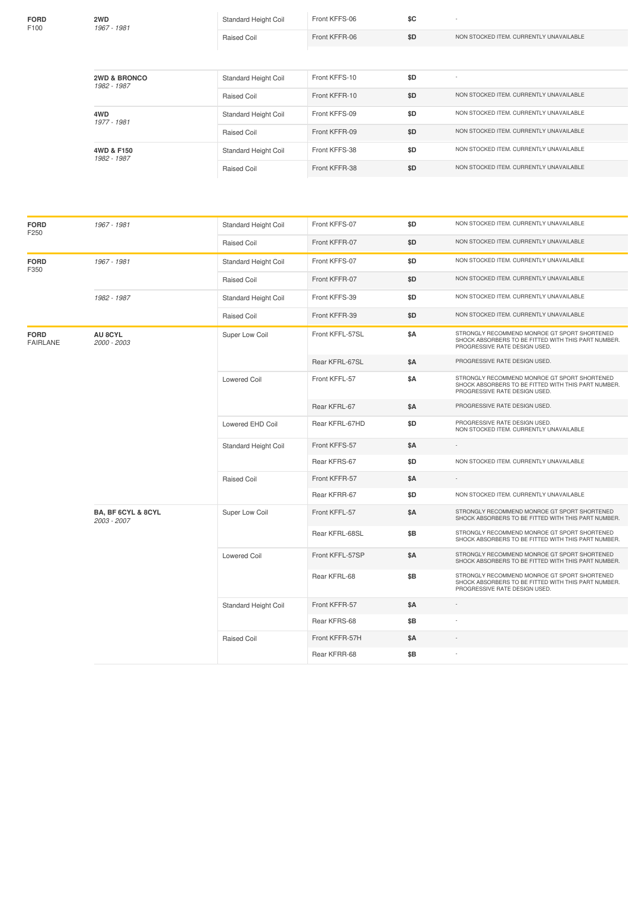| <b>FORD</b><br>F100            | 2WD<br>1967 - 1981                           | Standard Height Coil        | Front KFFS-06   | \$C |                                                                                                                                      |
|--------------------------------|----------------------------------------------|-----------------------------|-----------------|-----|--------------------------------------------------------------------------------------------------------------------------------------|
|                                |                                              | <b>Raised Coil</b>          | Front KFFR-06   | \$D | NON STOCKED ITEM. CURRENTLY UNAVAILABLE                                                                                              |
|                                |                                              |                             |                 |     |                                                                                                                                      |
|                                | <b>2WD &amp; BRONCO</b><br>1982 - 1987       | Standard Height Coil        | Front KFFS-10   | \$D |                                                                                                                                      |
|                                |                                              | <b>Raised Coil</b>          | Front KFFR-10   | \$D | NON STOCKED ITEM. CURRENTLY UNAVAILABLE                                                                                              |
|                                | 4WD<br>1977 - 1981                           | Standard Height Coil        | Front KFFS-09   | \$D | NON STOCKED ITEM. CURRENTLY UNAVAILABLE                                                                                              |
|                                |                                              | <b>Raised Coil</b>          | Front KFFR-09   | \$D | NON STOCKED ITEM. CURRENTLY UNAVAILABLE                                                                                              |
|                                | 4WD & F150<br>1982 - 1987                    | Standard Height Coil        | Front KFFS-38   | \$D | NON STOCKED ITEM. CURRENTLY UNAVAILABLE                                                                                              |
|                                |                                              | <b>Raised Coil</b>          | Front KFFR-38   | \$D | NON STOCKED ITEM. CURRENTLY UNAVAILABLE                                                                                              |
|                                |                                              |                             |                 |     |                                                                                                                                      |
|                                |                                              |                             |                 |     |                                                                                                                                      |
| <b>FORD</b><br>F250            | 1967 - 1981                                  | <b>Standard Height Coil</b> | Front KFFS-07   | \$D | NON STOCKED ITEM. CURRENTLY UNAVAILABLE                                                                                              |
|                                |                                              | <b>Raised Coil</b>          | Front KFFR-07   | \$D | NON STOCKED ITEM. CURRENTLY UNAVAILABLE                                                                                              |
| <b>FORD</b><br>F350            | 1967 - 1981                                  | Standard Height Coil        | Front KFFS-07   | \$D | NON STOCKED ITEM. CURRENTLY UNAVAILABLE                                                                                              |
|                                |                                              | Raised Coil                 | Front KFFR-07   | \$D | NON STOCKED ITEM. CURRENTLY UNAVAILABLE                                                                                              |
|                                | 1982 - 1987                                  | Standard Height Coil        | Front KFFS-39   | \$D | NON STOCKED ITEM. CURRENTLY UNAVAILABLE                                                                                              |
|                                |                                              | <b>Raised Coil</b>          | Front KFFR-39   | \$D | NON STOCKED ITEM. CURRENTLY UNAVAILABLE                                                                                              |
| <b>FORD</b><br><b>FAIRLANE</b> | <b>AU 8CYL</b><br>2000 - 2003                | Super Low Coil              | Front KFFL-57SL | \$Α | STRONGLY RECOMMEND MONROE GT SPORT SHORTENED<br>SHOCK ABSORBERS TO BE FITTED WITH THIS PART NUMBER.<br>PROGRESSIVE RATE DESIGN USED. |
|                                |                                              |                             | Rear KFRL-67SL  | \$Α | PROGRESSIVE RATE DESIGN USED.                                                                                                        |
|                                |                                              | <b>Lowered Coil</b>         | Front KFFL-57   | \$Α | STRONGLY RECOMMEND MONROE GT SPORT SHORTENED<br>SHOCK ABSORBERS TO BE FITTED WITH THIS PART NUMBER.<br>PROGRESSIVE RATE DESIGN USED. |
|                                |                                              |                             | Rear KFRL-67    | \$Α | PROGRESSIVE RATE DESIGN USED.                                                                                                        |
|                                |                                              | Lowered EHD Coil            | Rear KFRL-67HD  | \$D | PROGRESSIVE RATE DESIGN USED.<br>NON STOCKED ITEM. CURRENTLY UNAVAILABLE                                                             |
|                                |                                              | Standard Height Coil        | Front KFFS-57   | \$Α |                                                                                                                                      |
|                                |                                              |                             | Rear KFRS-67    | \$D | NON STOCKED ITEM. CURRENTLY UNAVAILABLE                                                                                              |
|                                |                                              | Raised Coil                 | Front KFFR-57   | \$Α |                                                                                                                                      |
|                                |                                              |                             | Rear KFRR-67    | \$D | NON STOCKED ITEM. CURRENTLY UNAVAILABLE                                                                                              |
|                                | <b>BA, BF 6CYL &amp; 8CYL</b><br>2003 - 2007 | Super Low Coil              | Front KFFL-57   | \$Α | STRONGLY RECOMMEND MONROE GT SPORT SHORTENED<br>SHOCK ABSORBERS TO BE FITTED WITH THIS PART NUMBER.                                  |
|                                |                                              |                             | Rear KFRL-68SL  | \$Β | STRONGLY RECOMMEND MONROE GT SPORT SHORTENED<br>SHOCK ABSORBERS TO BE FITTED WITH THIS PART NUMBER.                                  |
|                                |                                              | <b>Lowered Coil</b>         | Front KFFL-57SP | \$Α | STRONGLY RECOMMEND MONROE GT SPORT SHORTENED<br>SHOCK ABSORBERS TO BE FITTED WITH THIS PART NUMBER.                                  |
|                                |                                              |                             | Rear KFRL-68    | \$Β | STRONGLY RECOMMEND MONROE GT SPORT SHORTENED<br>SHOCK ABSORBERS TO BE FITTED WITH THIS PART NUMBER.<br>PROGRESSIVE RATE DESIGN USED. |
|                                |                                              | Standard Height Coil        | Front KFFR-57   | \$Α |                                                                                                                                      |
|                                |                                              |                             | Rear KFRS-68    | \$Β |                                                                                                                                      |

Raised Coil Front KFFR-57H **\$A** -

Rear KFRR-68 **\$B** -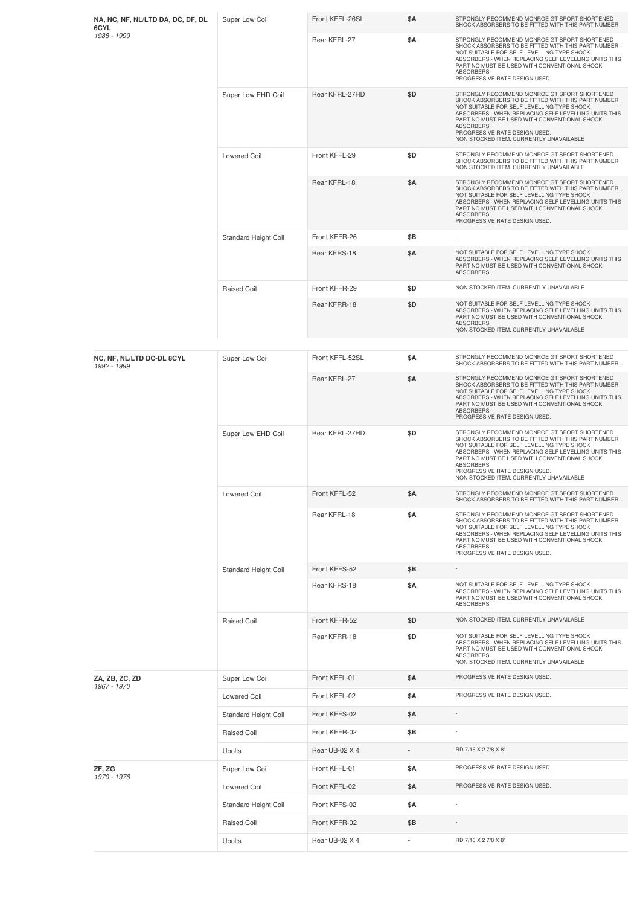| NA, NC, NF, NL/LTD DA, DC, DF, DL<br>6CYL | Super Low Coil       | Front KFFL-26SL | \$Α        | STRONGLY RECOMMEND MONROE GT SPORT SHORTENED<br>SHOCK ABSORBERS TO BE FITTED WITH THIS PART NUMBER.                                                                                                                                                                                                                                                 |
|-------------------------------------------|----------------------|-----------------|------------|-----------------------------------------------------------------------------------------------------------------------------------------------------------------------------------------------------------------------------------------------------------------------------------------------------------------------------------------------------|
| 1988 - 1999                               |                      | Rear KFRL-27    | \$Α        | STRONGLY RECOMMEND MONROE GT SPORT SHORTENED<br>SHOCK ABSORBERS TO BE FITTED WITH THIS PART NUMBER.<br>NOT SUITABLE FOR SELF LEVELLING TYPE SHOCK<br>ABSORBERS - WHEN REPLACING SELF LEVELLING UNITS THIS<br>PART NO MUST BE USED WITH CONVENTIONAL SHOCK<br>ABSORBERS.<br>PROGRESSIVE RATE DESIGN USED.                                            |
|                                           | Super Low EHD Coil   | Rear KFRL-27HD  | \$D        | STRONGLY RECOMMEND MONROE GT SPORT SHORTENED<br>SHOCK ABSORBERS TO BE FITTED WITH THIS PART NUMBER.<br>NOT SUITABLE FOR SELF LEVELLING TYPE SHOCK<br>ABSORBERS - WHEN REPLACING SELF LEVELLING UNITS THIS<br>PART NO MUST BE USED WITH CONVENTIONAL SHOCK<br>ABSORBERS.<br>PROGRESSIVE RATE DESIGN USED.<br>NON STOCKED ITEM. CURRENTLY UNAVAILABLE |
|                                           | <b>Lowered Coil</b>  | Front KFFL-29   | \$D        | STRONGLY RECOMMEND MONROE GT SPORT SHORTENED<br>SHOCK ABSORBERS TO BE FITTED WITH THIS PART NUMBER.<br>NON STOCKED ITEM. CURRENTLY UNAVAILABLE                                                                                                                                                                                                      |
|                                           |                      | Rear KFRL-18    | \$Α        | STRONGLY RECOMMEND MONROE GT SPORT SHORTENED<br>SHOCK ABSORBERS TO BE FITTED WITH THIS PART NUMBER.<br>NOT SUITABLE FOR SELF LEVELLING TYPE SHOCK<br>ABSORBERS - WHEN REPLACING SELF LEVELLING UNITS THIS<br>PART NO MUST BE USED WITH CONVENTIONAL SHOCK<br>ABSORBERS.<br>PROGRESSIVE RATE DESIGN USED.                                            |
|                                           | Standard Height Coil | Front KFFR-26   | \$B        |                                                                                                                                                                                                                                                                                                                                                     |
|                                           |                      | Rear KFRS-18    | \$Α        | NOT SUITABLE FOR SELF LEVELLING TYPE SHOCK<br>ABSORBERS - WHEN REPLACING SELF LEVELLING UNITS THIS<br>PART NO MUST BE USED WITH CONVENTIONAL SHOCK<br>ABSORBERS.                                                                                                                                                                                    |
|                                           | Raised Coil          | Front KFFR-29   | \$D        | NON STOCKED ITEM. CURRENTLY UNAVAILABLE                                                                                                                                                                                                                                                                                                             |
|                                           |                      | Rear KFRR-18    | \$D        | NOT SUITABLE FOR SELF LEVELLING TYPE SHOCK<br>ABSORBERS - WHEN REPLACING SELF LEVELLING UNITS THIS<br>PART NO MUST BE USED WITH CONVENTIONAL SHOCK<br>ABSORBERS.<br>NON STOCKED ITEM. CURRENTLY UNAVAILABLE                                                                                                                                         |
|                                           |                      |                 |            |                                                                                                                                                                                                                                                                                                                                                     |
| NC, NF, NL/LTD DC-DL 8CYL<br>1992 - 1999  | Super Low Coil       | Front KFFL-52SL | \$A        | STRONGLY RECOMMEND MONROE GT SPORT SHORTENED<br>SHOCK ABSORBERS TO BE FITTED WITH THIS PART NUMBER.                                                                                                                                                                                                                                                 |
|                                           |                      | Rear KFRL-27    | \$Α        | STRONGLY RECOMMEND MONROE GT SPORT SHORTENED<br>SHOCK ABSORBERS TO BE FITTED WITH THIS PART NUMBER.<br>NOT SUITABLE FOR SELF LEVELLING TYPE SHOCK<br>ABSORBERS - WHEN REPLACING SELF LEVELLING UNITS THIS<br>PART NO MUST BE USED WITH CONVENTIONAL SHOCK<br>ABSORBERS.<br>PROGRESSIVE RATE DESIGN USED.                                            |
|                                           | Super Low EHD Coil   | Rear KFRL-27HD  | \$D        | STRONGLY RECOMMEND MONROE GT SPORT SHORTENED<br>SHOCK ABSORBERS TO BE FITTED WITH THIS PART NUMBER.<br>NOT SUITABLE FOR SELF LEVELLING TYPE SHOCK<br>ABSORBERS - WHEN REPLACING SELF LEVELLING UNITS THIS<br>PART NO MUST BE USED WITH CONVENTIONAL SHOCK<br>ABSORBERS.<br>PROGRESSIVE RATE DESIGN USED.<br>NON STOCKED ITEM. CURRENTLY UNAVAILABLE |
|                                           | <b>Lowered Coil</b>  | Front KFFL-52   | \$Α        | STRONGLY RECOMMEND MONROE GT SPORT SHORTENED<br>SHOCK ABSORBERS TO BE FITTED WITH THIS PART NUMBER.                                                                                                                                                                                                                                                 |
|                                           |                      | Rear KFRL-18    | \$Α        | STRONGLY RECOMMEND MONROE GT SPORT SHORTENED<br>SHOCK ABSORBERS TO BE FITTED WITH THIS PART NUMBER.<br>NOT SUITABLE FOR SELF LEVELLING TYPE SHOCK<br>ABSORBERS - WHEN REPLACING SELF LEVELLING UNITS THIS<br>PART NO MUST BE USED WITH CONVENTIONAL SHOCK<br>ABSORBERS.<br>PROGRESSIVE RATE DESIGN USED.                                            |
|                                           | Standard Height Coil | Front KFFS-52   | \$B        |                                                                                                                                                                                                                                                                                                                                                     |
|                                           |                      | Rear KFRS-18    | \$Α        | NOT SUITABLE FOR SELF LEVELLING TYPE SHOCK<br>ABSORBERS - WHEN REPLACING SELF LEVELLING UNITS THIS<br>PART NO MUST BE USED WITH CONVENTIONAL SHOCK<br>ABSORBERS.                                                                                                                                                                                    |
|                                           | Raised Coil          | Front KFFR-52   | \$D        | NON STOCKED ITEM. CURRENTLY UNAVAILABLE                                                                                                                                                                                                                                                                                                             |
|                                           |                      | Rear KFRR-18    | \$D        | NOT SUITABLE FOR SELF LEVELLING TYPE SHOCK<br>ABSORBERS - WHEN REPLACING SELF LEVELLING UNITS THIS<br>PART NO MUST BE USED WITH CONVENTIONAL SHOCK<br>ABSORBERS.<br>NON STOCKED ITEM. CURRENTLY UNAVAILABLE                                                                                                                                         |
| ZA, ZB, ZC, ZD                            | Super Low Coil       | Front KFFL-01   | \$Α        | PROGRESSIVE RATE DESIGN USED.                                                                                                                                                                                                                                                                                                                       |
| 1967 - 1970                               | <b>Lowered Coil</b>  | Front KFFL-02   | <b>\$A</b> | PROGRESSIVE RATE DESIGN USED.                                                                                                                                                                                                                                                                                                                       |
|                                           | Standard Height Coil | Front KFFS-02   | \$Α        |                                                                                                                                                                                                                                                                                                                                                     |
|                                           | Raised Coil          | Front KFFR-02   | \$B        |                                                                                                                                                                                                                                                                                                                                                     |
|                                           | <b>Ubolts</b>        | Rear UB-02 X 4  |            | RD 7/16 X 2 7/8 X 8"                                                                                                                                                                                                                                                                                                                                |
| ZF, ZG                                    | Super Low Coil       | Front KFFL-01   | \$Α        | PROGRESSIVE RATE DESIGN USED.                                                                                                                                                                                                                                                                                                                       |
| 1970 - 1976                               | Lowered Coil         | Front KFFL-02   | <b>\$A</b> | PROGRESSIVE RATE DESIGN USED.                                                                                                                                                                                                                                                                                                                       |
|                                           | Standard Height Coil | Front KFFS-02   | \$Α        |                                                                                                                                                                                                                                                                                                                                                     |
|                                           | Raised Coil          | Front KFFR-02   | \$Β        |                                                                                                                                                                                                                                                                                                                                                     |
|                                           | Ubolts               | Rear UB-02 X 4  |            | RD 7/16 X 2 7/8 X 8"                                                                                                                                                                                                                                                                                                                                |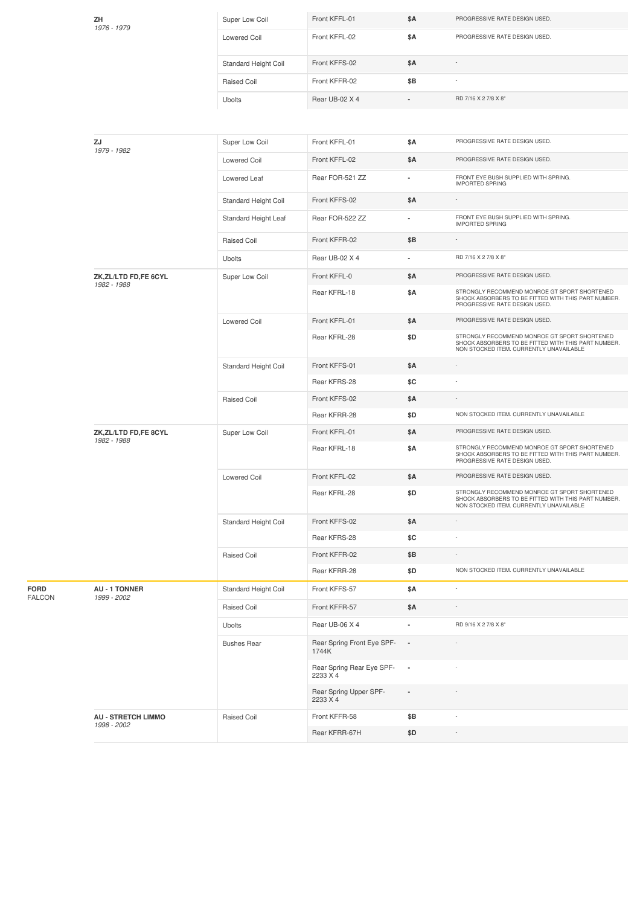| ZΗ<br>1976 - 1979                        | Super Low Coil       | Front KFFL-01                         | \$Α                      | PROGRESSIVE RATE DESIGN USED.                                                                                                                  |
|------------------------------------------|----------------------|---------------------------------------|--------------------------|------------------------------------------------------------------------------------------------------------------------------------------------|
|                                          | <b>Lowered Coil</b>  | Front KFFL-02                         | \$Α                      | PROGRESSIVE RATE DESIGN USED.                                                                                                                  |
|                                          | Standard Height Coil | Front KFFS-02                         | \$Α                      |                                                                                                                                                |
|                                          | Raised Coil          | Front KFFR-02                         | \$Β                      |                                                                                                                                                |
|                                          | <b>Ubolts</b>        | Rear UB-02 X 4                        |                          | RD 7/16 X 2 7/8 X 8"                                                                                                                           |
|                                          |                      |                                       |                          |                                                                                                                                                |
| ZJ<br>1979 - 1982                        | Super Low Coil       | Front KFFL-01                         | \$Α                      | PROGRESSIVE RATE DESIGN USED.                                                                                                                  |
|                                          | <b>Lowered Coil</b>  | Front KFFL-02                         | \$Α                      | PROGRESSIVE RATE DESIGN USED.                                                                                                                  |
|                                          | Lowered Leaf         | Rear FOR-521 ZZ                       |                          | FRONT EYE BUSH SUPPLIED WITH SPRING.<br><b>IMPORTED SPRING</b>                                                                                 |
|                                          | Standard Height Coil | Front KFFS-02                         | \$Α                      |                                                                                                                                                |
|                                          | Standard Height Leaf | Rear FOR-522 ZZ                       | ٠                        | FRONT EYE BUSH SUPPLIED WITH SPRING.<br><b>IMPORTED SPRING</b>                                                                                 |
|                                          | <b>Raised Coil</b>   | Front KFFR-02                         | \$Β                      |                                                                                                                                                |
|                                          | <b>Ubolts</b>        | Rear UB-02 X 4                        | ÷.                       | RD 7/16 X 2 7/8 X 8"                                                                                                                           |
| ZK,ZL/LTD FD,FE 6CYL<br>1982 - 1988      | Super Low Coil       | Front KFFL-0                          | \$Α                      | PROGRESSIVE RATE DESIGN USED.                                                                                                                  |
|                                          |                      | Rear KFRL-18                          | \$Α                      | STRONGLY RECOMMEND MONROE GT SPORT SHORTENED<br>SHOCK ABSORBERS TO BE FITTED WITH THIS PART NUMBER.<br>PROGRESSIVE RATE DESIGN USED.           |
|                                          | <b>Lowered Coil</b>  | Front KFFL-01                         | \$Α                      | PROGRESSIVE RATE DESIGN USED.                                                                                                                  |
|                                          |                      | Rear KFRL-28                          | \$D                      | STRONGLY RECOMMEND MONROE GT SPORT SHORTENED<br>SHOCK ABSORBERS TO BE FITTED WITH THIS PART NUMBER.<br>NON STOCKED ITEM. CURRENTLY UNAVAILABLE |
|                                          | Standard Height Coil | Front KFFS-01                         | \$Α                      |                                                                                                                                                |
|                                          |                      | Rear KFRS-28                          | \$C                      |                                                                                                                                                |
|                                          | <b>Raised Coil</b>   | Front KFFS-02                         | \$Α                      |                                                                                                                                                |
|                                          |                      | Rear KFRR-28                          | \$D                      | NON STOCKED ITEM. CURRENTLY UNAVAILABLE                                                                                                        |
| ZK,ZL/LTD FD,FE 8CYL<br>1982 - 1988      | Super Low Coil       | Front KFFL-01                         | \$Α                      | PROGRESSIVE RATE DESIGN USED.                                                                                                                  |
|                                          |                      | Rear KFRL-18                          | \$Α                      | STRONGLY RECOMMEND MONROE GT SPORT SHORTENED<br>SHOCK ABSORBERS TO BE FITTED WITH THIS PART NUMBER.<br>PROGRESSIVE RATE DESIGN USED.           |
|                                          | Lowered Coil         | Front KFFL-02                         | \$Α                      | PROGRESSIVE RATE DESIGN USED.                                                                                                                  |
|                                          |                      | Rear KFRL-28                          | \$D                      | STRONGLY RECOMMEND MONROE GT SPORT SHORTENED<br>SHOCK ABSORBERS TO BE FITTED WITH THIS PART NUMBER.<br>NON STOCKED ITEM. CURRENTLY UNAVAILABLE |
|                                          | Standard Height Coil | Front KFFS-02                         | \$Α                      |                                                                                                                                                |
|                                          |                      | Rear KFRS-28                          | \$C                      |                                                                                                                                                |
|                                          | Raised Coil          | Front KFFR-02                         | \$Β                      |                                                                                                                                                |
|                                          |                      | Rear KFRR-28                          | \$D                      | NON STOCKED ITEM. CURRENTLY UNAVAILABLE                                                                                                        |
| <b>AU - 1 TONNER</b><br>1999 - 2002      | Standard Height Coil | Front KFFS-57                         | \$Α                      | ÷,                                                                                                                                             |
|                                          | Raised Coil          | Front KFFR-57                         | \$Α                      |                                                                                                                                                |
|                                          | <b>Ubolts</b>        | Rear UB-06 X 4                        | ٠                        | RD 9/16 X 2 7/8 X 8"                                                                                                                           |
|                                          | <b>Bushes Rear</b>   | Rear Spring Front Eye SPF-<br>1744K   | $\blacksquare$           |                                                                                                                                                |
|                                          |                      | Rear Spring Rear Eye SPF-<br>2233 X 4 | $\overline{\phantom{a}}$ |                                                                                                                                                |
|                                          |                      | Rear Spring Upper SPF-<br>2233 X 4    | $\overline{\phantom{a}}$ |                                                                                                                                                |
| <b>AU - STRETCH LIMMO</b><br>1998 - 2002 | <b>Raised Coil</b>   | Front KFFR-58                         | \$Β                      | ×,                                                                                                                                             |
|                                          |                      | Rear KFRR-67H                         | \$D                      | ÷                                                                                                                                              |

**FORD** FALCON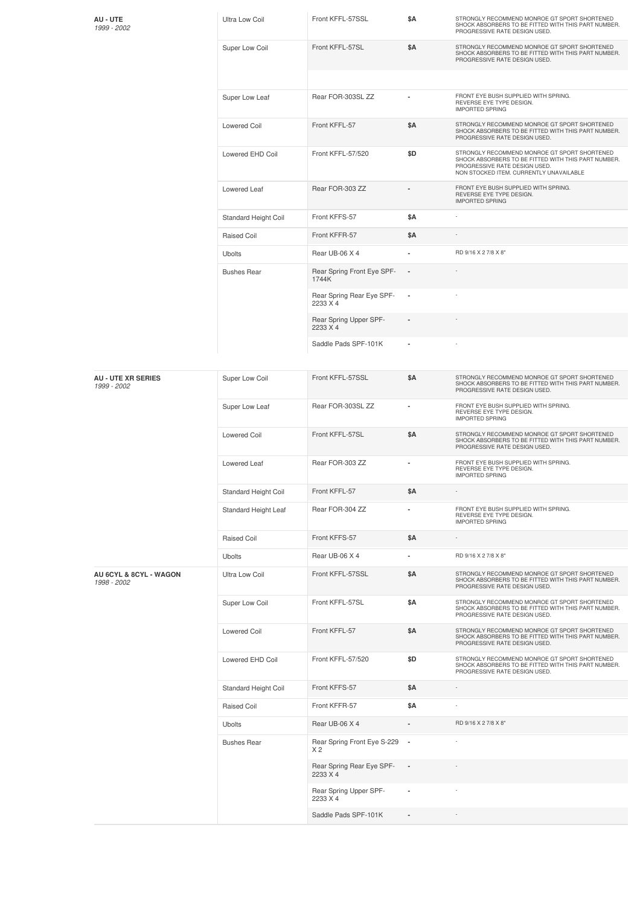| AU - UTE<br>1999 - 2002                  | <b>Ultra Low Coil</b> | Front KFFL-57SSL                              | \$Α                      | STRONGLY RECOMMEND MONROE GT SPORT SHORTENED<br>SHOCK ABSORBERS TO BE FITTED WITH THIS PART NUMBER.<br>PROGRESSIVE RATE DESIGN USED.                                            |
|------------------------------------------|-----------------------|-----------------------------------------------|--------------------------|---------------------------------------------------------------------------------------------------------------------------------------------------------------------------------|
|                                          | Super Low Coil        | Front KFFL-57SL                               | \$Α                      | STRONGLY RECOMMEND MONROE GT SPORT SHORTENED<br>SHOCK ABSORBERS TO BE FITTED WITH THIS PART NUMBER.<br>PROGRESSIVE RATE DESIGN USED.                                            |
|                                          | Super Low Leaf        | Rear FOR-303SL ZZ                             |                          | FRONT EYE BUSH SUPPLIED WITH SPRING.<br>REVERSE EYE TYPE DESIGN.<br>IMPORTED SPRING                                                                                             |
|                                          | <b>Lowered Coil</b>   | Front KFFL-57                                 | \$Α                      | STRONGLY RECOMMEND MONROE GT SPORT SHORTENED<br>SHOCK ABSORBERS TO BE FITTED WITH THIS PART NUMBER.<br>PROGRESSIVE RATE DESIGN USED.                                            |
|                                          | Lowered EHD Coil      | Front KFFL-57/520                             | \$D                      | STRONGLY RECOMMEND MONROE GT SPORT SHORTENED<br>SHOCK ABSORBERS TO BE FITTED WITH THIS PART NUMBER.<br>PROGRESSIVE RATE DESIGN USED.<br>NON STOCKED ITEM. CURRENTLY UNAVAILABLE |
|                                          | Lowered Leaf          | Rear FOR-303 ZZ                               |                          | FRONT EYE BUSH SUPPLIED WITH SPRING.<br>REVERSE EYE TYPE DESIGN.<br><b>IMPORTED SPRING</b>                                                                                      |
|                                          | Standard Height Coil  | Front KFFS-57                                 | \$Α                      |                                                                                                                                                                                 |
|                                          | Raised Coil           | Front KFFR-57                                 | \$Α                      |                                                                                                                                                                                 |
|                                          | <b>Ubolts</b>         | Rear UB-06 X 4                                | $\blacksquare$           | RD 9/16 X 2 7/8 X 8"                                                                                                                                                            |
|                                          | <b>Bushes Rear</b>    | Rear Spring Front Eye SPF-<br>1744K           |                          |                                                                                                                                                                                 |
|                                          |                       | Rear Spring Rear Eye SPF-<br>2233 X 4         | ×                        |                                                                                                                                                                                 |
|                                          |                       | Rear Spring Upper SPF-<br>2233 X 4            |                          |                                                                                                                                                                                 |
|                                          |                       | Saddle Pads SPF-101K                          |                          |                                                                                                                                                                                 |
| <b>AU - UTE XR SERIES</b><br>1999 - 2002 | Super Low Coil        | Front KFFL-57SSL                              | \$Α                      | STRONGLY RECOMMEND MONROE GT SPORT SHORTENED<br>SHOCK ABSORBERS TO BE FITTED WITH THIS PART NUMBER.<br>PROGRESSIVE RATE DESIGN USED.                                            |
|                                          | Super Low Leaf        | Rear FOR-303SL ZZ                             |                          | FRONT EYE BUSH SUPPLIED WITH SPRING.<br>REVERSE EYE TYPE DESIGN.<br><b>IMPORTED SPRING</b>                                                                                      |
|                                          | <b>Lowered Coil</b>   | Front KFFL-57SL                               | \$Α                      | STRONGLY RECOMMEND MONROE GT SPORT SHORTENED<br>SHOCK ABSORBERS TO BE FITTED WITH THIS PART NUMBER.<br>PROGRESSIVE RATE DESIGN USED.                                            |
|                                          | Lowered Leaf          | Rear FOR-303 ZZ                               |                          | FRONT EYE BUSH SUPPLIED WITH SPRING.<br>REVERSE EYE TYPE DESIGN.<br><b>IMPORTED SPRING</b>                                                                                      |
|                                          | Standard Height Coil  | Front KFFL-57                                 | \$Α                      |                                                                                                                                                                                 |
|                                          | Standard Height Leaf  | Rear FOR-304 ZZ                               | $\blacksquare$           | FRONT EYE BUSH SUPPLIED WITH SPRING.<br>REVERSE EYE TYPE DESIGN.<br><b>IMPORTED SPRING</b>                                                                                      |
|                                          | Raised Coil           | Front KFFS-57                                 | \$Α                      |                                                                                                                                                                                 |
|                                          | <b>Ubolts</b>         | Rear UB-06 X 4                                | $\blacksquare$           | RD 9/16 X 2 7/8 X 8"                                                                                                                                                            |
| AU 6CYL & 8CYL - WAGON<br>1998 - 2002    | Ultra Low Coil        | Front KFFL-57SSL                              | \$Α                      | STRONGLY RECOMMEND MONROE GT SPORT SHORTENED<br>SHOCK ABSORBERS TO BE FITTED WITH THIS PART NUMBER.<br>PROGRESSIVE RATE DESIGN USED.                                            |
|                                          | Super Low Coil        | Front KFFL-57SL                               | \$Α                      | STRONGLY RECOMMEND MONROE GT SPORT SHORTENED<br>SHOCK ABSORBERS TO BE FITTED WITH THIS PART NUMBER.<br>PROGRESSIVE RATE DESIGN USED.                                            |
|                                          | <b>Lowered Coil</b>   | Front KFFL-57                                 | \$Α                      | STRONGLY RECOMMEND MONROE GT SPORT SHORTENED<br>SHOCK ABSORBERS TO BE FITTED WITH THIS PART NUMBER.<br>PROGRESSIVE RATE DESIGN USED.                                            |
|                                          | Lowered EHD Coil      | Front KFFL-57/520                             | \$D                      | STRONGLY RECOMMEND MONROE GT SPORT SHORTENED<br>SHOCK ABSORBERS TO BE FITTED WITH THIS PART NUMBER.<br>PROGRESSIVE RATE DESIGN USED.                                            |
|                                          | Standard Height Coil  | Front KFFS-57                                 | \$Α                      |                                                                                                                                                                                 |
|                                          | Raised Coil           | Front KFFR-57                                 | \$Α                      |                                                                                                                                                                                 |
|                                          | <b>Ubolts</b>         | Rear UB-06 X 4                                |                          | RD 9/16 X 2 7/8 X 8"                                                                                                                                                            |
|                                          | <b>Bushes Rear</b>    | Rear Spring Front Eye S-229<br>X <sub>2</sub> | $\overline{\phantom{a}}$ |                                                                                                                                                                                 |
|                                          |                       | Rear Spring Rear Eye SPF-<br>2233 X 4         | $\overline{\phantom{a}}$ |                                                                                                                                                                                 |
|                                          |                       | Rear Spring Upper SPF-<br>2233 X 4            | ×,                       |                                                                                                                                                                                 |
|                                          |                       | Saddle Pads SPF-101K                          |                          |                                                                                                                                                                                 |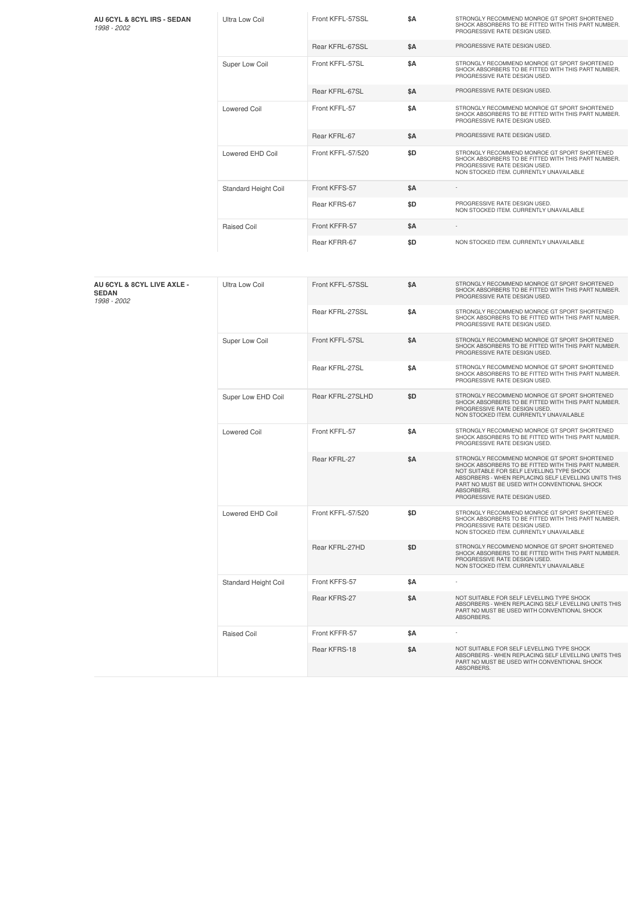| AU 6CYL & 8CYL IRS - SEDAN<br>1998 - 2002                 | Ultra Low Coil        | Front KFFL-57SSL  | \$Α        | STRONGLY RECOMMEND MONROE GT SPORT SHORTENED<br>SHOCK ABSORBERS TO BE FITTED WITH THIS PART NUMBER.<br>PROGRESSIVE RATE DESIGN USED.                                                                                                                                                                     |
|-----------------------------------------------------------|-----------------------|-------------------|------------|----------------------------------------------------------------------------------------------------------------------------------------------------------------------------------------------------------------------------------------------------------------------------------------------------------|
|                                                           |                       | Rear KFRL-67SSL   | \$Α        | PROGRESSIVE RATE DESIGN USED.                                                                                                                                                                                                                                                                            |
|                                                           | Super Low Coil        | Front KFFL-57SL   | \$Α        | STRONGLY RECOMMEND MONROE GT SPORT SHORTENED<br>SHOCK ABSORBERS TO BE FITTED WITH THIS PART NUMBER.<br>PROGRESSIVE RATE DESIGN USED.                                                                                                                                                                     |
|                                                           |                       | Rear KFRL-67SL    | \$Α        | PROGRESSIVE RATE DESIGN USED.                                                                                                                                                                                                                                                                            |
|                                                           | <b>Lowered Coil</b>   | Front KFFL-57     | \$Α        | STRONGLY RECOMMEND MONROE GT SPORT SHORTENED<br>SHOCK ABSORBERS TO BE FITTED WITH THIS PART NUMBER.<br>PROGRESSIVE RATE DESIGN USED.                                                                                                                                                                     |
|                                                           |                       | Rear KFRL-67      | \$Α        | PROGRESSIVE RATE DESIGN USED.                                                                                                                                                                                                                                                                            |
|                                                           | Lowered EHD Coil      | Front KFFL-57/520 | \$D        | STRONGLY RECOMMEND MONROE GT SPORT SHORTENED<br>SHOCK ABSORBERS TO BE FITTED WITH THIS PART NUMBER.<br>PROGRESSIVE RATE DESIGN USED.<br>NON STOCKED ITEM. CURRENTLY UNAVAILABLE                                                                                                                          |
|                                                           | Standard Height Coil  | Front KFFS-57     | \$Α        |                                                                                                                                                                                                                                                                                                          |
|                                                           |                       | Rear KFRS-67      | \$D        | PROGRESSIVE RATE DESIGN USED.<br>NON STOCKED ITEM. CURRENTLY UNAVAILABLE                                                                                                                                                                                                                                 |
|                                                           | Raised Coil           | Front KFFR-57     | \$Α        |                                                                                                                                                                                                                                                                                                          |
|                                                           |                       | Rear KFRR-67      | \$D        | NON STOCKED ITEM. CURRENTLY UNAVAILABLE                                                                                                                                                                                                                                                                  |
|                                                           |                       |                   |            |                                                                                                                                                                                                                                                                                                          |
| AU 6CYL & 8CYL LIVE AXLE -<br><b>SEDAN</b><br>1998 - 2002 | <b>Ultra Low Coil</b> | Front KFFL-57SSL  | \$Α        | STRONGLY RECOMMEND MONROE GT SPORT SHORTENED<br>SHOCK ABSORBERS TO BE FITTED WITH THIS PART NUMBER.<br>PROGRESSIVE RATE DESIGN USED.                                                                                                                                                                     |
|                                                           |                       | Rear KFRL-27SSL   | \$Α        | STRONGLY RECOMMEND MONROE GT SPORT SHORTENED<br>SHOCK ABSORBERS TO BE FITTED WITH THIS PART NUMBER.<br>PROGRESSIVE RATE DESIGN USED.                                                                                                                                                                     |
|                                                           | Super Low Coil        | Front KFFL-57SL   | <b>\$A</b> | STRONGLY RECOMMEND MONROE GT SPORT SHORTENED<br>SHOCK ABSORBERS TO BE FITTED WITH THIS PART NUMBER.<br>PROGRESSIVE RATE DESIGN USED.                                                                                                                                                                     |
|                                                           |                       | Rear KFRL-27SL    | \$Α        | STRONGLY RECOMMEND MONROE GT SPORT SHORTENED<br>SHOCK ABSORBERS TO BE FITTED WITH THIS PART NUMBER.<br>PROGRESSIVE RATE DESIGN USED.                                                                                                                                                                     |
|                                                           | Super Low EHD Coil    | Rear KFRL-27SLHD  | \$D        | STRONGLY RECOMMEND MONROE GT SPORT SHORTENED<br>SHOCK ABSORBERS TO BE FITTED WITH THIS PART NUMBER.<br>PROGRESSIVE RATE DESIGN USED.<br>NON STOCKED ITEM. CURRENTLY UNAVAILABLE                                                                                                                          |
|                                                           | <b>Lowered Coil</b>   | Front KFFL-57     | \$Α        | STRONGLY RECOMMEND MONROE GT SPORT SHORTENED<br>SHOCK ABSORBERS TO BE FITTED WITH THIS PART NUMBER.<br>PROGRESSIVE RATE DESIGN USED.                                                                                                                                                                     |
|                                                           |                       | Rear KFRL-27      | \$Α        | STRONGLY RECOMMEND MONROE GT SPORT SHORTENED<br>SHOCK ABSORBERS TO BE FITTED WITH THIS PART NUMBER.<br>NOT SUITABLE FOR SELF LEVELLING TYPE SHOCK<br>ABSORBERS - WHEN REPLACING SELF LEVELLING UNITS THIS<br>PART NO MUST BE USED WITH CONVENTIONAL SHOCK<br>ABSORBERS.<br>PROGRESSIVE RATE DESIGN USED. |
|                                                           | Lowered EHD Coil      | Front KFFL-57/520 | \$D        | STRONGLY RECOMMEND MONROE GT SPORT SHORTENED<br>SHOCK ABSORBERS TO BE FITTED WITH THIS PART NUMBER.<br>PROGRESSIVE RATE DESIGN USED.<br>NON STOCKED ITEM. CURRENTLY UNAVAILABLE                                                                                                                          |
|                                                           |                       | Rear KFRL-27HD    | \$D        | STRONGLY RECOMMEND MONROE GT SPORT SHORTENED<br>SHOCK ABSORBERS TO BE FITTED WITH THIS PART NUMBER.<br>PROGRESSIVE RATE DESIGN USED.<br>NON STOCKED ITEM. CURRENTLY UNAVAILABLE                                                                                                                          |
|                                                           | Standard Height Coil  | Front KFFS-57     | \$Α        | $\sim$                                                                                                                                                                                                                                                                                                   |
|                                                           |                       | Rear KFRS-27      | \$Α        | NOT SUITABLE FOR SELF LEVELLING TYPE SHOCK<br>ABSORBERS - WHEN REPLACING SELF LEVELLING UNITS THIS<br>PART NO MUST BE USED WITH CONVENTIONAL SHOCK<br>ABSORBERS.                                                                                                                                         |
|                                                           | Raised Coil           | Front KFFR-57     | \$Α        |                                                                                                                                                                                                                                                                                                          |
|                                                           |                       | Rear KFRS-18      | \$Α        | NOT SUITABLE FOR SELF LEVELLING TYPE SHOCK<br>ABSORBERS - WHEN REPLACING SELF LEVELLING UNITS THIS<br>PART NO MUST BE USED WITH CONVENTIONAL SHOCK<br>ABSORBERS.                                                                                                                                         |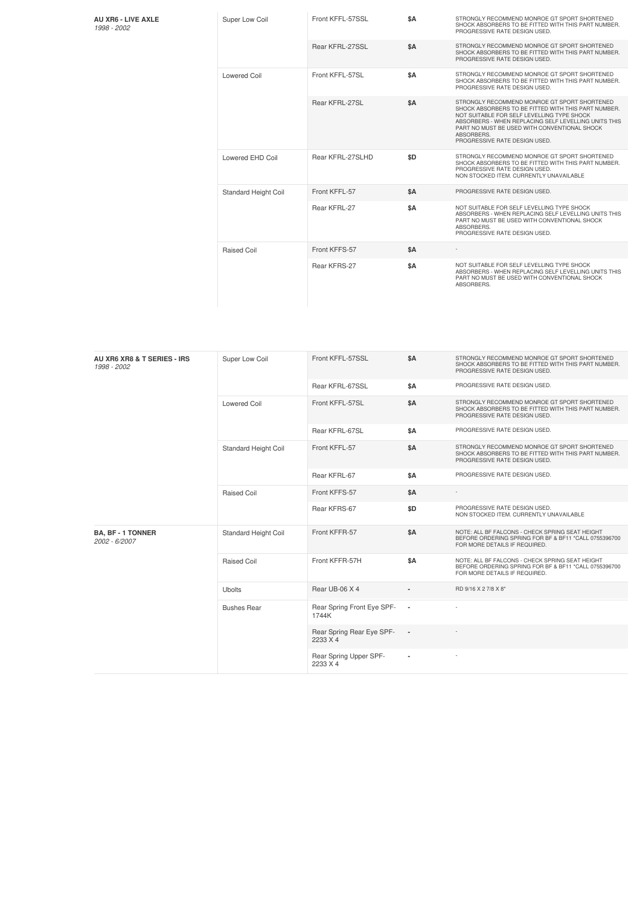| AU XR6 - LIVE AXLE |  |
|--------------------|--|
| 1998 - 2002        |  |

| Super Low Coil       | Front KFFL-57SSL | \$Α | STRONGLY RECOMMEND MONROE GT SPORT SHORTENED<br>SHOCK ABSORBERS TO BE FITTED WITH THIS PART NUMBER.<br>PROGRESSIVE RATE DESIGN USED.                                                                                                                                                                     |
|----------------------|------------------|-----|----------------------------------------------------------------------------------------------------------------------------------------------------------------------------------------------------------------------------------------------------------------------------------------------------------|
|                      | Rear KFRL-27SSL  | \$Α | STRONGLY RECOMMEND MONROE GT SPORT SHORTENED<br>SHOCK ABSORBERS TO BE FITTED WITH THIS PART NUMBER.<br>PROGRESSIVE RATE DESIGN USED.                                                                                                                                                                     |
| Lowered Coil         | Front KFFL-57SL  | \$A | STRONGLY RECOMMEND MONROE GT SPORT SHORTENED<br>SHOCK ABSORBERS TO BE FITTED WITH THIS PART NUMBER.<br>PROGRESSIVE RATE DESIGN USED.                                                                                                                                                                     |
|                      | Rear KFRL-27SL   | \$A | STRONGLY RECOMMEND MONROE GT SPORT SHORTENED<br>SHOCK ABSORBERS TO BE FITTED WITH THIS PART NUMBER.<br>NOT SUITABLE FOR SELF LEVELLING TYPE SHOCK<br>ABSORBERS - WHEN REPLACING SELF LEVELLING UNITS THIS<br>PART NO MUST BE USED WITH CONVENTIONAL SHOCK<br>ABSORBERS.<br>PROGRESSIVE RATE DESIGN USED. |
| Lowered EHD Coil     | Rear KFRL-27SLHD | \$D | STRONGLY RECOMMEND MONROE GT SPORT SHORTENED<br>SHOCK ABSORBERS TO BE FITTED WITH THIS PART NUMBER.<br>PROGRESSIVE RATE DESIGN USED.<br>NON STOCKED ITEM. CURRENTLY UNAVAILABLE                                                                                                                          |
| Standard Height Coil | Front KFFL-57    | \$A | PROGRESSIVE RATE DESIGN USED.                                                                                                                                                                                                                                                                            |
|                      | Rear KFRL-27     | \$A | NOT SUITABLE FOR SELF LEVELLING TYPE SHOCK<br>ABSORBERS - WHEN REPLACING SELF LEVELLING UNITS THIS<br>PART NO MUST BE USED WITH CONVENTIONAL SHOCK<br>ABSORBERS.<br>PROGRESSIVE RATE DESIGN USED.                                                                                                        |
| Raised Coil          | Front KFFS-57    | \$A |                                                                                                                                                                                                                                                                                                          |
|                      | Rear KFRS-27     | \$A | NOT SUITABLE FOR SELF LEVELLING TYPE SHOCK<br>ABSORBERS - WHEN REPLACING SELF LEVELLING UNITS THIS<br>PART NO MUST BE USED WITH CONVENTIONAL SHOCK<br>ABSORBERS.                                                                                                                                         |

| AU XR6 XR8 & T SERIES - IRS<br>1998 - 2002 | Super Low Coil       | Front KFFL-57SSL                      | \$A            | STRONGLY RECOMMEND MONROE GT SPORT SHORTENED<br>SHOCK ABSORBERS TO BE FITTED WITH THIS PART NUMBER.<br>PROGRESSIVE RATE DESIGN USED.      |
|--------------------------------------------|----------------------|---------------------------------------|----------------|-------------------------------------------------------------------------------------------------------------------------------------------|
|                                            |                      | Rear KFRL-67SSL                       | \$A            | PROGRESSIVE RATE DESIGN USED.                                                                                                             |
|                                            | <b>Lowered Coil</b>  | Front KFFL-57SL                       | <b>\$A</b>     | STRONGLY RECOMMEND MONROE GT SPORT SHORTENED<br>SHOCK ABSORBERS TO BE FITTED WITH THIS PART NUMBER.<br>PROGRESSIVE RATE DESIGN USED.      |
|                                            |                      | Rear KFRL-67SL                        | \$A            | PROGRESSIVE RATE DESIGN USED.                                                                                                             |
|                                            | Standard Height Coil | Front KFFL-57                         | \$A            | STRONGLY RECOMMEND MONROE GT SPORT SHORTENED<br>SHOCK ABSORBERS TO BE FITTED WITH THIS PART NUMBER.<br>PROGRESSIVE RATE DESIGN USED.      |
|                                            |                      | Rear KFRL-67                          | \$Α            | PROGRESSIVE RATE DESIGN USED.                                                                                                             |
|                                            | Raised Coil          | Front KFFS-57                         | <b>\$A</b>     |                                                                                                                                           |
|                                            |                      | Rear KFRS-67                          | \$D            | PROGRESSIVE RATE DESIGN USED.<br>NON STOCKED ITEM. CURRENTLY UNAVAILABLE                                                                  |
| <b>BA, BF - 1 TONNER</b><br>2002 - 6/2007  | Standard Height Coil | Front KFFR-57                         | \$A            | NOTE: ALL BF FALCONS - CHECK SPRING SEAT HEIGHT<br>BEFORE ORDERING SPRING FOR BF & BF11 *CALL 0755396700<br>FOR MORE DETAILS IF REQUIRED. |
|                                            | Raised Coil          | Front KFFR-57H                        | \$A            | NOTE: ALL BF FALCONS - CHECK SPRING SEAT HEIGHT<br>BEFORE ORDERING SPRING FOR BF & BF11 *CALL 0755396700<br>FOR MORE DETAILS IF REQUIRED. |
|                                            | Ubolts               | Rear UB-06 X 4                        |                | RD 9/16 X 2 7/8 X 8"                                                                                                                      |
|                                            | <b>Bushes Rear</b>   | Rear Spring Front Eye SPF-<br>1744K   | $\blacksquare$ |                                                                                                                                           |
|                                            |                      | Rear Spring Rear Eye SPF-<br>2233 X 4 | $\blacksquare$ |                                                                                                                                           |
|                                            |                      | Rear Spring Upper SPF-<br>2233 X 4    |                |                                                                                                                                           |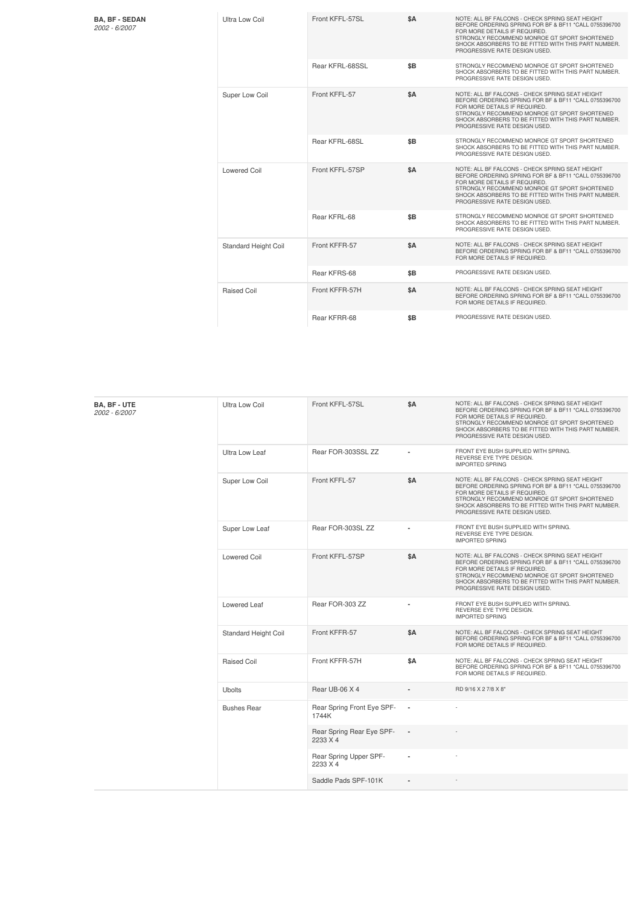**BA, BF - SEDAN**

| 2002 - 6/2007 |  |  |
|---------------|--|--|
|               |  |  |

| <b>BA, BF - SEDAN</b><br>2002 - 6/2007 | Ultra Low Coil              | Front KFFL-57SL | \$A | NOTE: ALL BF FALCONS - CHECK SPRING SEAT HEIGHT<br>BEFORE ORDERING SPRING FOR BF & BF11 *CALL 0755396700<br>FOR MORE DETAILS IF REQUIRED.<br>STRONGLY RECOMMEND MONROE GT SPORT SHORTENED<br>SHOCK ABSORBERS TO BE FITTED WITH THIS PART NUMBER.<br>PROGRESSIVE RATE DESIGN USED. |
|----------------------------------------|-----------------------------|-----------------|-----|-----------------------------------------------------------------------------------------------------------------------------------------------------------------------------------------------------------------------------------------------------------------------------------|
|                                        |                             | Rear KFRL-68SSL | \$B | STRONGLY RECOMMEND MONROE GT SPORT SHORTENED<br>SHOCK ABSORBERS TO BE FITTED WITH THIS PART NUMBER.<br>PROGRESSIVE RATE DESIGN USED.                                                                                                                                              |
|                                        | Super Low Coil              | Front KFFL-57   | \$A | NOTE: ALL BF FALCONS - CHECK SPRING SEAT HEIGHT<br>BEFORE ORDERING SPRING FOR BF & BF11 *CALL 0755396700<br>FOR MORE DETAILS IF REQUIRED.<br>STRONGLY RECOMMEND MONROE GT SPORT SHORTENED<br>SHOCK ABSORBERS TO BE FITTED WITH THIS PART NUMBER.<br>PROGRESSIVE RATE DESIGN USED. |
|                                        |                             | Rear KFRL-68SL  | \$B | STRONGLY RECOMMEND MONROE GT SPORT SHORTENED<br>SHOCK ABSORBERS TO BE FITTED WITH THIS PART NUMBER.<br>PROGRESSIVE RATE DESIGN USED.                                                                                                                                              |
|                                        | <b>Lowered Coil</b>         | Front KFFL-57SP | \$A | NOTE: ALL BF FALCONS - CHECK SPRING SEAT HEIGHT<br>BEFORE ORDERING SPRING FOR BF & BF11 *CALL 0755396700<br>FOR MORE DETAILS IF REQUIRED.<br>STRONGLY RECOMMEND MONROE GT SPORT SHORTENED<br>SHOCK ABSORBERS TO BE FITTED WITH THIS PART NUMBER.<br>PROGRESSIVE RATE DESIGN USED. |
|                                        |                             | Rear KFRL-68    | \$B | STRONGLY RECOMMEND MONROE GT SPORT SHORTENED<br>SHOCK ABSORBERS TO BE FITTED WITH THIS PART NUMBER.<br>PROGRESSIVE RATE DESIGN USED.                                                                                                                                              |
|                                        | <b>Standard Height Coil</b> | Front KFFR-57   | \$A | NOTE: ALL BF FALCONS - CHECK SPRING SEAT HEIGHT<br>BEFORE ORDERING SPRING FOR BF & BF11 *CALL 0755396700<br>FOR MORE DETAILS IF REQUIRED.                                                                                                                                         |
|                                        |                             | Rear KFRS-68    | \$B | PROGRESSIVE RATE DESIGN USED.                                                                                                                                                                                                                                                     |
|                                        | <b>Raised Coil</b>          | Front KFFR-57H  | \$A | NOTE: ALL BF FALCONS - CHECK SPRING SEAT HEIGHT<br>BEFORE ORDERING SPRING FOR BF & BF11 *CALL 0755396700<br>FOR MORE DETAILS IF REQUIRED.                                                                                                                                         |
|                                        |                             | Rear KFRR-68    | \$B | PROGRESSIVE RATE DESIGN USED.                                                                                                                                                                                                                                                     |

| <b>BA, BF - UTE</b><br>2002 - 6/2007 | <b>Ultra Low Coil</b> | Front KFFL-57SL                       | <b>\$A</b>     | NOTE: ALL BF FALCONS - CHECK SPRING SEAT HEIGHT<br>BEFORE ORDERING SPRING FOR BF & BF11 *CALL 0755396700<br>FOR MORE DETAILS IF REQUIRED.<br>STRONGLY RECOMMEND MONROE GT SPORT SHORTENED<br>SHOCK ABSORBERS TO BE FITTED WITH THIS PART NUMBER.<br>PROGRESSIVE RATE DESIGN USED. |
|--------------------------------------|-----------------------|---------------------------------------|----------------|-----------------------------------------------------------------------------------------------------------------------------------------------------------------------------------------------------------------------------------------------------------------------------------|
|                                      | Ultra Low Leaf        | Rear FOR-303SSL ZZ                    |                | FRONT EYE BUSH SUPPLIED WITH SPRING.<br>REVERSE EYE TYPE DESIGN.<br><b>IMPORTED SPRING</b>                                                                                                                                                                                        |
|                                      | Super Low Coil        | Front KFFL-57                         | <b>\$A</b>     | NOTE: ALL BF FALCONS - CHECK SPRING SEAT HEIGHT<br>BEFORE ORDERING SPRING FOR BF & BF11 *CALL 0755396700<br>FOR MORE DETAILS IF REQUIRED.<br>STRONGLY RECOMMEND MONROE GT SPORT SHORTENED<br>SHOCK ABSORBERS TO BE FITTED WITH THIS PART NUMBER.<br>PROGRESSIVE RATE DESIGN USED. |
|                                      | Super Low Leaf        | Rear FOR-303SL ZZ                     |                | FRONT EYE BUSH SUPPLIED WITH SPRING.<br>REVERSE EYE TYPE DESIGN.<br><b>IMPORTED SPRING</b>                                                                                                                                                                                        |
|                                      | <b>Lowered Coil</b>   | Front KFFL-57SP                       | <b>\$A</b>     | NOTE: ALL BF FALCONS - CHECK SPRING SEAT HEIGHT<br>BEFORE ORDERING SPRING FOR BF & BF11 *CALL 0755396700<br>FOR MORE DETAILS IF REQUIRED.<br>STRONGLY RECOMMEND MONROE GT SPORT SHORTENED<br>SHOCK ABSORBERS TO BE FITTED WITH THIS PART NUMBER.<br>PROGRESSIVE RATE DESIGN USED. |
|                                      | Lowered Leaf          | Rear FOR-303 ZZ                       |                | FRONT EYE BUSH SUPPLIED WITH SPRING.<br>REVERSE EYE TYPE DESIGN.<br><b>IMPORTED SPRING</b>                                                                                                                                                                                        |
|                                      | Standard Height Coil  | Front KFFR-57                         | <b>\$A</b>     | NOTE: ALL BF FALCONS - CHECK SPRING SEAT HEIGHT<br>BEFORE ORDERING SPRING FOR BF & BF11 *CALL 0755396700<br>FOR MORE DETAILS IF REQUIRED.                                                                                                                                         |
|                                      | Raised Coil           | Front KFFR-57H                        | \$A            | NOTE: ALL BF FALCONS - CHECK SPRING SEAT HEIGHT<br>BEFORE ORDERING SPRING FOR BF & BF11 *CALL 0755396700<br>FOR MORE DETAILS IF REQUIRED.                                                                                                                                         |
|                                      | <b>Ubolts</b>         | Rear UB-06 X 4                        |                | RD 9/16 X 2 7/8 X 8"                                                                                                                                                                                                                                                              |
|                                      | <b>Bushes Rear</b>    | Rear Spring Front Eye SPF-<br>1744K   |                |                                                                                                                                                                                                                                                                                   |
|                                      |                       | Rear Spring Rear Eye SPF-<br>2233 X 4 |                |                                                                                                                                                                                                                                                                                   |
|                                      |                       | Rear Spring Upper SPF-<br>2233 X 4    |                |                                                                                                                                                                                                                                                                                   |
|                                      |                       | Saddle Pads SPF-101K                  | $\blacksquare$ |                                                                                                                                                                                                                                                                                   |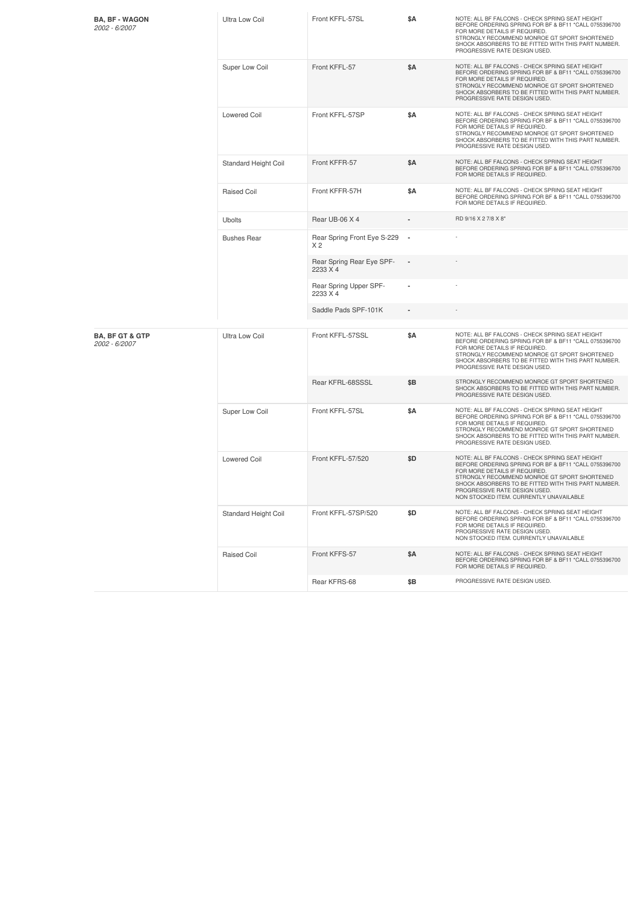| <b>BA, BF - WAGON</b><br>2002 - 6/2007      | Ultra Low Coil              | Front KFFL-57SL                               | \$Α                      | NOTE: ALL BF FALCONS - CHECK SPRING SEAT HEIGHT<br>BEFORE ORDERING SPRING FOR BF & BF11 *CALL 0755396700<br>FOR MORE DETAILS IF REQUIRED.<br>STRONGLY RECOMMEND MONROE GT SPORT SHORTENED<br>SHOCK ABSORBERS TO BE FITTED WITH THIS PART NUMBER.<br>PROGRESSIVE RATE DESIGN USED.                                            |
|---------------------------------------------|-----------------------------|-----------------------------------------------|--------------------------|------------------------------------------------------------------------------------------------------------------------------------------------------------------------------------------------------------------------------------------------------------------------------------------------------------------------------|
|                                             | Super Low Coil              | Front KFFL-57                                 | \$Α                      | NOTE: ALL BF FALCONS - CHECK SPRING SEAT HEIGHT<br>BEFORE ORDERING SPRING FOR BF & BF11 *CALL 0755396700<br>FOR MORE DETAILS IF REQUIRED.<br>STRONGLY RECOMMEND MONROE GT SPORT SHORTENED<br>SHOCK ABSORBERS TO BE FITTED WITH THIS PART NUMBER.<br>PROGRESSIVE RATE DESIGN USED.                                            |
|                                             | <b>Lowered Coil</b>         | Front KFFL-57SP                               | \$Α                      | NOTE: ALL BF FALCONS - CHECK SPRING SEAT HEIGHT<br>BEFORE ORDERING SPRING FOR BF & BF11 *CALL 0755396700<br>FOR MORE DETAILS IF REQUIRED.<br>STRONGLY RECOMMEND MONROE GT SPORT SHORTENED<br>SHOCK ABSORBERS TO BE FITTED WITH THIS PART NUMBER.<br>PROGRESSIVE RATE DESIGN USED.                                            |
|                                             | Standard Height Coil        | Front KFFR-57                                 | \$Α                      | NOTE: ALL BF FALCONS - CHECK SPRING SEAT HEIGHT<br>BEFORE ORDERING SPRING FOR BF & BF11 *CALL 0755396700<br>FOR MORE DETAILS IF REQUIRED.                                                                                                                                                                                    |
|                                             | Raised Coil                 | Front KFFR-57H                                | \$Α                      | NOTE: ALL BF FALCONS - CHECK SPRING SEAT HEIGHT<br>BEFORE ORDERING SPRING FOR BF & BF11 *CALL 0755396700<br>FOR MORE DETAILS IF REQUIRED.                                                                                                                                                                                    |
|                                             | <b>Ubolts</b>               | Rear UB-06 X 4                                |                          | RD 9/16 X 2 7/8 X 8"                                                                                                                                                                                                                                                                                                         |
|                                             | <b>Bushes Rear</b>          | Rear Spring Front Eye S-229<br>X <sub>2</sub> | $\overline{\phantom{a}}$ |                                                                                                                                                                                                                                                                                                                              |
|                                             |                             | Rear Spring Rear Eye SPF-<br>2233 X 4         |                          |                                                                                                                                                                                                                                                                                                                              |
|                                             |                             | Rear Spring Upper SPF-<br>2233 X 4            |                          |                                                                                                                                                                                                                                                                                                                              |
|                                             |                             | Saddle Pads SPF-101K                          |                          |                                                                                                                                                                                                                                                                                                                              |
| <b>BA, BF GT &amp; GTP</b><br>2002 - 6/2007 | Ultra Low Coil              | Front KFFL-57SSL                              | \$Α                      | NOTE: ALL BF FALCONS - CHECK SPRING SEAT HEIGHT<br>BEFORE ORDERING SPRING FOR BF & BF11 *CALL 0755396700<br>FOR MORE DETAILS IF REQUIRED.<br>STRONGLY RECOMMEND MONROE GT SPORT SHORTENED<br>SHOCK ABSORBERS TO BE FITTED WITH THIS PART NUMBER.<br>PROGRESSIVE RATE DESIGN USED.                                            |
|                                             |                             | Rear KFRL-68SSSL                              | \$Β                      | STRONGLY RECOMMEND MONROE GT SPORT SHORTENED<br>SHOCK ABSORBERS TO BE FITTED WITH THIS PART NUMBER.<br>PROGRESSIVE RATE DESIGN USED.                                                                                                                                                                                         |
|                                             | Super Low Coil              | Front KFFL-57SL                               | \$Α                      | NOTE: ALL BF FALCONS - CHECK SPRING SEAT HEIGHT<br>BEFORE ORDERING SPRING FOR BF & BF11 *CALL 0755396700<br>FOR MORE DETAILS IF REQUIRED.<br>STRONGLY RECOMMEND MONROE GT SPORT SHORTENED<br>SHOCK ABSORBERS TO BE FITTED WITH THIS PART NUMBER.<br>PROGRESSIVE RATE DESIGN USED.                                            |
|                                             | <b>Lowered Coil</b>         | Front KFFL-57/520                             | \$D                      | NOTE: ALL BF FALCONS - CHECK SPRING SEAT HEIGHT<br>BEFORE ORDERING SPRING FOR BF & BF11 *CALL 0755396700<br>FOR MORE DETAILS IF REQUIRED.<br>STRONGLY RECOMMEND MONROE GT SPORT SHORTENED<br>SHOCK ABSORBERS TO BE FITTED WITH THIS PART NUMBER.<br>PROGRESSIVE RATE DESIGN USED.<br>NON STOCKED ITEM. CURRENTLY UNAVAILABLE |
|                                             | <b>Standard Height Coil</b> | Front KFFL-57SP/520                           | \$D                      | NOTE: ALL BF FALCONS - CHECK SPRING SEAT HEIGHT<br>BEFORE ORDERING SPRING FOR BF & BF11 *CALL 0755396700<br>FOR MORE DETAILS IF REQUIRED.<br>PROGRESSIVE RATE DESIGN USED.<br>NON STOCKED ITEM. CURRENTLY UNAVAILABLE                                                                                                        |
|                                             | Raised Coil                 | Front KFFS-57                                 | \$Α                      | NOTE: ALL BF FALCONS - CHECK SPRING SEAT HEIGHT<br>BEFORE ORDERING SPRING FOR BF & BF11 *CALL 0755396700<br>FOR MORE DETAILS IF REQUIRED.                                                                                                                                                                                    |
|                                             |                             | Rear KFRS-68                                  | \$Β                      | PROGRESSIVE RATE DESIGN USED.                                                                                                                                                                                                                                                                                                |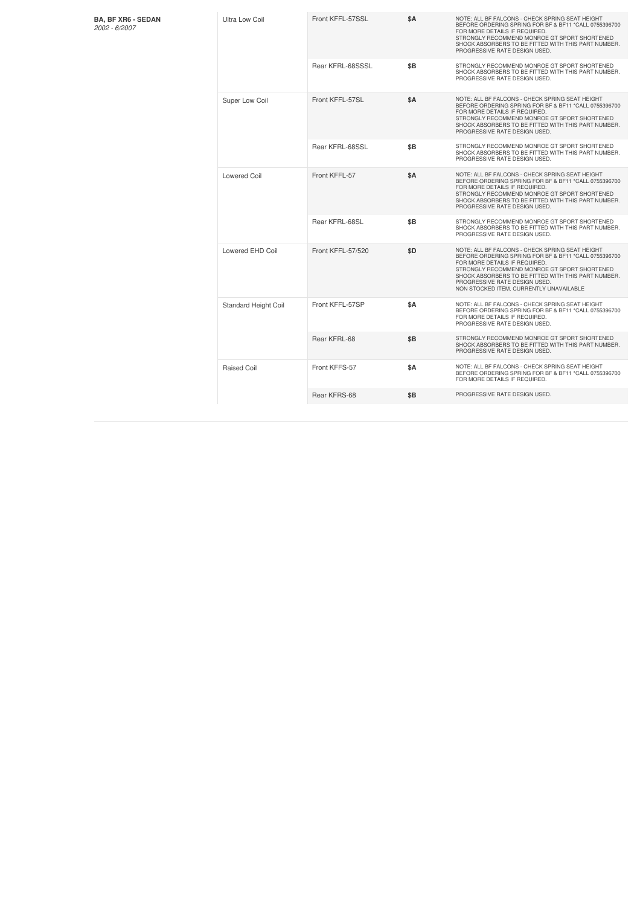| <b>BA, BF XR6 - SEDAN</b><br>2002 - 6/2007 | Ultra Low Coil       | Front KFFL-57SSL  | <b>\$A</b> | NOTE: ALL BF FALCONS - CHECK SPRING SEAT HEIGHT<br>BEFORE ORDERING SPRING FOR BF & BF11 *CALL 0755396700<br>FOR MORE DETAILS IF REQUIRED.<br>STRONGLY RECOMMEND MONROE GT SPORT SHORTENED<br>SHOCK ABSORBERS TO BE FITTED WITH THIS PART NUMBER.<br>PROGRESSIVE RATE DESIGN USED.                                            |
|--------------------------------------------|----------------------|-------------------|------------|------------------------------------------------------------------------------------------------------------------------------------------------------------------------------------------------------------------------------------------------------------------------------------------------------------------------------|
|                                            |                      | Rear KFRL-68SSSL  | \$B        | STRONGLY RECOMMEND MONROE GT SPORT SHORTENED<br>SHOCK ABSORBERS TO BE FITTED WITH THIS PART NUMBER.<br>PROGRESSIVE RATE DESIGN USED.                                                                                                                                                                                         |
|                                            | Super Low Coil       | Front KFFL-57SL   | <b>\$A</b> | NOTE: ALL BF FALCONS - CHECK SPRING SEAT HEIGHT<br>BEFORE ORDERING SPRING FOR BF & BF11 *CALL 0755396700<br>FOR MORE DETAILS IF REQUIRED.<br>STRONGLY RECOMMEND MONROE GT SPORT SHORTENED<br>SHOCK ABSORBERS TO BE FITTED WITH THIS PART NUMBER.<br>PROGRESSIVE RATE DESIGN USED.                                            |
|                                            |                      | Rear KFRL-68SSL   | \$B        | STRONGLY RECOMMEND MONROE GT SPORT SHORTENED<br>SHOCK ABSORBERS TO BE FITTED WITH THIS PART NUMBER.<br>PROGRESSIVE RATE DESIGN USED.                                                                                                                                                                                         |
|                                            | <b>Lowered Coil</b>  | Front KFFL-57     | <b>\$A</b> | NOTE: ALL BF FALCONS - CHECK SPRING SEAT HEIGHT<br>BEFORE ORDERING SPRING FOR BF & BF11 *CALL 0755396700<br>FOR MORE DETAILS IF REQUIRED.<br>STRONGLY RECOMMEND MONROE GT SPORT SHORTENED<br>SHOCK ABSORBERS TO BE FITTED WITH THIS PART NUMBER.<br>PROGRESSIVE RATE DESIGN USED.                                            |
|                                            |                      | Rear KFRL-68SL    | \$B        | STRONGLY RECOMMEND MONROE GT SPORT SHORTENED<br>SHOCK ABSORBERS TO BE FITTED WITH THIS PART NUMBER.<br>PROGRESSIVE RATE DESIGN USED.                                                                                                                                                                                         |
|                                            | Lowered EHD Coil     | Front KFFL-57/520 | \$D        | NOTE: ALL BF FALCONS - CHECK SPRING SEAT HEIGHT<br>BEFORE ORDERING SPRING FOR BF & BF11 *CALL 0755396700<br>FOR MORE DETAILS IF REQUIRED.<br>STRONGLY RECOMMEND MONROE GT SPORT SHORTENED<br>SHOCK ABSORBERS TO BE FITTED WITH THIS PART NUMBER.<br>PROGRESSIVE RATE DESIGN USED.<br>NON STOCKED ITEM. CURRENTLY UNAVAILABLE |
|                                            | Standard Height Coil | Front KFFL-57SP   | \$A        | NOTE: ALL BF FALCONS - CHECK SPRING SEAT HEIGHT<br>BEFORE ORDERING SPRING FOR BF & BF11 *CALL 0755396700<br>FOR MORE DETAILS IF REQUIRED.<br>PROGRESSIVE RATE DESIGN USED.                                                                                                                                                   |
|                                            |                      | Rear KFRL-68      | \$B        | STRONGLY RECOMMEND MONROE GT SPORT SHORTENED<br>SHOCK ABSORBERS TO BE FITTED WITH THIS PART NUMBER.<br>PROGRESSIVE RATE DESIGN USED.                                                                                                                                                                                         |
|                                            | Raised Coil          | Front KFFS-57     | \$A        | NOTE: ALL BF FALCONS - CHECK SPRING SEAT HEIGHT<br>BEFORE ORDERING SPRING FOR BF & BF11 *CALL 0755396700<br>FOR MORE DETAILS IF REQUIRED.                                                                                                                                                                                    |
|                                            |                      | Rear KFRS-68      | \$B        | PROGRESSIVE RATE DESIGN USED.                                                                                                                                                                                                                                                                                                |
|                                            |                      |                   |            |                                                                                                                                                                                                                                                                                                                              |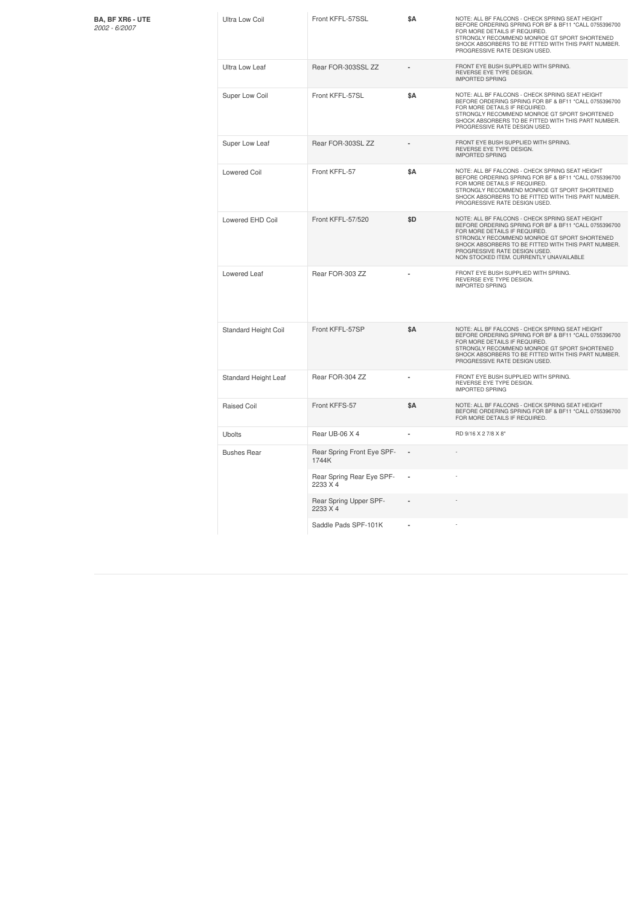| <b>BA. BF XR6 - UTE</b> |
|-------------------------|
| 2002 - 6/2007           |

| <b>BA, BF XR6 - UTE</b><br>2002 - 6/2007 | <b>Ultra Low Coil</b> | Front KFFL-57SSL                      | \$Α | NOTE: ALL BF FALCONS - CHECK SPRING SEAT HEIGHT<br>BEFORE ORDERING SPRING FOR BF & BF11 *CALL 0755396700<br>FOR MORE DETAILS IF REQUIRED.<br>STRONGLY RECOMMEND MONROE GT SPORT SHORTENED<br>SHOCK ABSORBERS TO BE FITTED WITH THIS PART NUMBER.<br>PROGRESSIVE RATE DESIGN USED.                                            |
|------------------------------------------|-----------------------|---------------------------------------|-----|------------------------------------------------------------------------------------------------------------------------------------------------------------------------------------------------------------------------------------------------------------------------------------------------------------------------------|
|                                          | Ultra Low Leaf        | Rear FOR-303SSL ZZ                    |     | FRONT EYE BUSH SUPPLIED WITH SPRING.<br>REVERSE EYE TYPE DESIGN.<br><b>IMPORTED SPRING</b>                                                                                                                                                                                                                                   |
|                                          | Super Low Coil        | Front KFFL-57SL                       | \$Α | NOTE: ALL BF FALCONS - CHECK SPRING SEAT HEIGHT<br>BEFORE ORDERING SPRING FOR BF & BF11 *CALL 0755396700<br>FOR MORE DETAILS IF REQUIRED.<br>STRONGLY RECOMMEND MONROE GT SPORT SHORTENED<br>SHOCK ABSORBERS TO BE FITTED WITH THIS PART NUMBER.<br>PROGRESSIVE RATE DESIGN USED.                                            |
|                                          | Super Low Leaf        | Rear FOR-303SL ZZ                     |     | FRONT EYE BUSH SUPPLIED WITH SPRING.<br>REVERSE EYE TYPE DESIGN.<br><b>IMPORTED SPRING</b>                                                                                                                                                                                                                                   |
|                                          | <b>Lowered Coil</b>   | Front KFFL-57                         | \$Α | NOTE: ALL BF FALCONS - CHECK SPRING SEAT HEIGHT<br>BEFORE ORDERING SPRING FOR BF & BF11 *CALL 0755396700<br>FOR MORE DETAILS IF REQUIRED.<br>STRONGLY RECOMMEND MONROE GT SPORT SHORTENED<br>SHOCK ABSORBERS TO BE FITTED WITH THIS PART NUMBER.<br>PROGRESSIVE RATE DESIGN USED.                                            |
|                                          | Lowered EHD Coil      | Front KFFL-57/520                     | \$D | NOTE: ALL BF FALCONS - CHECK SPRING SEAT HEIGHT<br>BEFORE ORDERING SPRING FOR BF & BF11 *CALL 0755396700<br>FOR MORE DETAILS IF REQUIRED.<br>STRONGLY RECOMMEND MONROE GT SPORT SHORTENED<br>SHOCK ABSORBERS TO BE FITTED WITH THIS PART NUMBER.<br>PROGRESSIVE RATE DESIGN USED.<br>NON STOCKED ITEM. CURRENTLY UNAVAILABLE |
|                                          | Lowered Leaf          | Rear FOR-303 ZZ                       |     | FRONT EYE BUSH SUPPLIED WITH SPRING.<br>REVERSE EYE TYPE DESIGN.<br><b>IMPORTED SPRING</b>                                                                                                                                                                                                                                   |
|                                          | Standard Height Coil  | Front KFFL-57SP                       | \$Α | NOTE: ALL BF FALCONS - CHECK SPRING SEAT HEIGHT<br>BEFORE ORDERING SPRING FOR BF & BF11 *CALL 0755396700<br>FOR MORE DETAILS IF REQUIRED.<br>STRONGLY RECOMMEND MONROE GT SPORT SHORTENED<br>SHOCK ABSORBERS TO BE FITTED WITH THIS PART NUMBER.<br>PROGRESSIVE RATE DESIGN USED.                                            |
|                                          | Standard Height Leaf  | Rear FOR-304 ZZ                       |     | FRONT EYE BUSH SUPPLIED WITH SPRING.<br>REVERSE EYE TYPE DESIGN.<br><b>IMPORTED SPRING</b>                                                                                                                                                                                                                                   |
|                                          | <b>Raised Coil</b>    | Front KFFS-57                         | \$Α | NOTE: ALL BF FALCONS - CHECK SPRING SEAT HEIGHT<br>BEFORE ORDERING SPRING FOR BF & BF11 *CALL 0755396700<br>FOR MORE DETAILS IF REQUIRED.                                                                                                                                                                                    |
|                                          | <b>Ubolts</b>         | Rear UB-06 X 4                        |     | RD 9/16 X 2 7/8 X 8"                                                                                                                                                                                                                                                                                                         |
|                                          | <b>Bushes Rear</b>    | Rear Spring Front Eye SPF-<br>1744K   |     |                                                                                                                                                                                                                                                                                                                              |
|                                          |                       | Rear Spring Rear Eye SPF-<br>2233 X 4 |     |                                                                                                                                                                                                                                                                                                                              |
|                                          |                       | Rear Spring Upper SPF-<br>2233 X 4    |     |                                                                                                                                                                                                                                                                                                                              |
|                                          |                       | Saddle Pads SPF-101K                  |     |                                                                                                                                                                                                                                                                                                                              |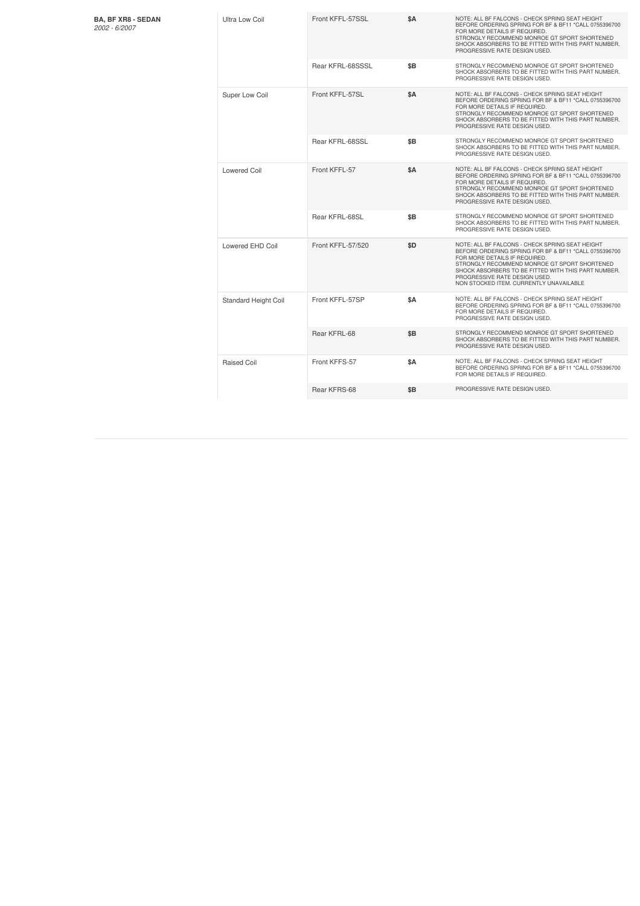| <b>BA, BF XR8 - SEDAN</b><br>$2002 - 6/2007$ | Ultra Low Coil       | Front KFFL-57SSL  | \$A | NOTE: ALL BF FALCONS - CHECK SPRING SEAT HEIGHT<br>BEFORE ORDERING SPRING FOR BF & BF11 *CALL 0755396700<br>FOR MORE DETAILS IF REQUIRED<br>STRONGLY RECOMMEND MONROE GT SPORT SHORTENED<br>SHOCK ABSORBERS TO BE FITTED WITH THIS PART NUMBER.<br>PROGRESSIVE RATE DESIGN USED.                                             |
|----------------------------------------------|----------------------|-------------------|-----|------------------------------------------------------------------------------------------------------------------------------------------------------------------------------------------------------------------------------------------------------------------------------------------------------------------------------|
|                                              |                      | Rear KFRL-68SSSL  | \$B | STRONGLY RECOMMEND MONROE GT SPORT SHORTENED<br>SHOCK ABSORBERS TO BE FITTED WITH THIS PART NUMBER.<br>PROGRESSIVE RATE DESIGN USED.                                                                                                                                                                                         |
|                                              | Super Low Coil       | Front KFFL-57SL   | \$A | NOTE: ALL BF FALCONS - CHECK SPRING SEAT HEIGHT<br>BEFORE ORDERING SPRING FOR BF & BF11 *CALL 0755396700<br>FOR MORE DETAILS IF REQUIRED.<br>STRONGLY RECOMMEND MONROE GT SPORT SHORTENED<br>SHOCK ABSORBERS TO BE FITTED WITH THIS PART NUMBER.<br>PROGRESSIVE RATE DESIGN USED.                                            |
|                                              |                      | Rear KFRL-68SSL   | \$B | STRONGLY RECOMMEND MONROE GT SPORT SHORTENED<br>SHOCK ABSORBERS TO BE FITTED WITH THIS PART NUMBER.<br>PROGRESSIVE RATE DESIGN USED.                                                                                                                                                                                         |
|                                              | <b>Lowered Coil</b>  | Front KFFL-57     | \$A | NOTE: ALL BF FALCONS - CHECK SPRING SEAT HEIGHT<br>BEFORE ORDERING SPRING FOR BF & BF11 *CALL 0755396700<br>FOR MORE DETAILS IF REQUIRED.<br>STRONGLY RECOMMEND MONROE GT SPORT SHORTENED<br>SHOCK ABSORBERS TO BE FITTED WITH THIS PART NUMBER.<br>PROGRESSIVE RATE DESIGN USED.                                            |
|                                              |                      | Rear KFRL-68SL    | \$B | STRONGLY RECOMMEND MONROE GT SPORT SHORTENED<br>SHOCK ABSORBERS TO BE FITTED WITH THIS PART NUMBER.<br>PROGRESSIVE RATE DESIGN USED.                                                                                                                                                                                         |
|                                              | Lowered EHD Coil     | Front KFFL-57/520 | \$D | NOTE: ALL BF FALCONS - CHECK SPRING SEAT HEIGHT<br>BEFORE ORDERING SPRING FOR BF & BF11 *CALL 0755396700<br>FOR MORE DETAILS IF REQUIRED.<br>STRONGLY RECOMMEND MONROE GT SPORT SHORTENED<br>SHOCK ABSORBERS TO BE FITTED WITH THIS PART NUMBER.<br>PROGRESSIVE RATE DESIGN USED.<br>NON STOCKED ITEM. CURRENTLY UNAVAILABLE |
|                                              | Standard Height Coil | Front KFFL-57SP   | \$A | NOTE: ALL BF FALCONS - CHECK SPRING SEAT HEIGHT<br>BEFORE ORDERING SPRING FOR BF & BF11 *CALL 0755396700<br>FOR MORE DETAILS IF REQUIRED<br>PROGRESSIVE RATE DESIGN USED.                                                                                                                                                    |
|                                              |                      | Rear KFRL-68      | \$B | STRONGLY RECOMMEND MONROE GT SPORT SHORTENED<br>SHOCK ABSORBERS TO BE FITTED WITH THIS PART NUMBER.<br>PROGRESSIVE RATE DESIGN USED.                                                                                                                                                                                         |
|                                              | Raised Coil          | Front KFFS-57     | \$A | NOTE: ALL BF FALCONS - CHECK SPRING SEAT HEIGHT<br>BEFORE ORDERING SPRING FOR BF & BF11 *CALL 0755396700<br>FOR MORE DETAILS IF REQUIRED.                                                                                                                                                                                    |
|                                              |                      | Rear KFRS-68      | \$B | PROGRESSIVE RATE DESIGN USED.                                                                                                                                                                                                                                                                                                |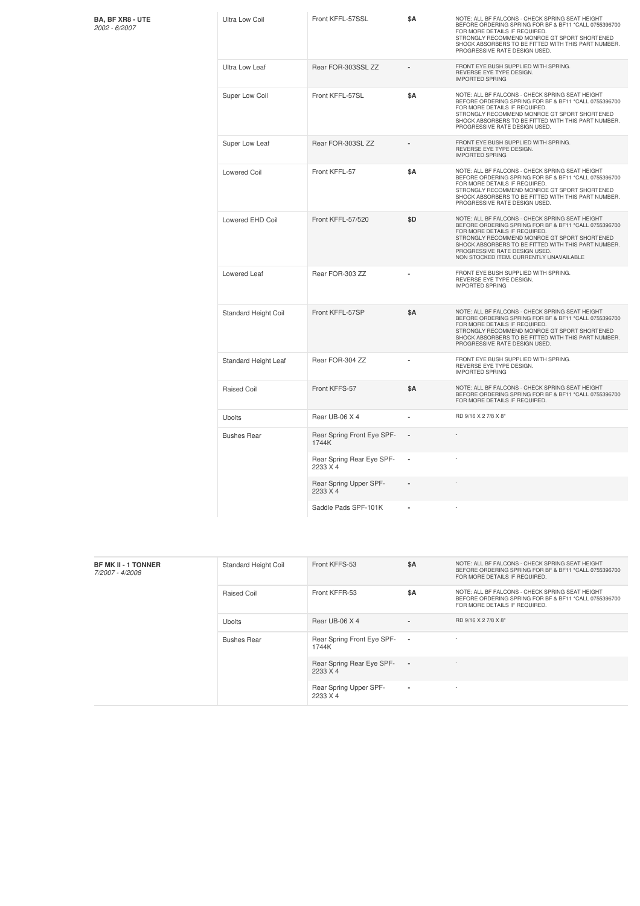|  | BA, BF XR8 - UTE |  |  |
|--|------------------|--|--|
|  | 2002 - 6/2007    |  |  |

| <b>BA, BF XR8 - UTE</b><br>2002 - 6/2007 | Ultra Low Coil       | Front KFFL-57SSL                      | \$Α        | NOTE: ALL BF FALCONS - CHECK SPRING SEAT HEIGHT<br>BEFORE ORDERING SPRING FOR BF & BF11 *CALL 0755396700<br>FOR MORE DETAILS IF REQUIRED.<br>STRONGLY RECOMMEND MONROE GT SPORT SHORTENED<br>SHOCK ABSORBERS TO BE FITTED WITH THIS PART NUMBER.<br>PROGRESSIVE RATE DESIGN USED.                                           |
|------------------------------------------|----------------------|---------------------------------------|------------|-----------------------------------------------------------------------------------------------------------------------------------------------------------------------------------------------------------------------------------------------------------------------------------------------------------------------------|
|                                          | Ultra Low Leaf       | Rear FOR-303SSL ZZ                    |            | FRONT EYE BUSH SUPPLIED WITH SPRING.<br>REVERSE EYE TYPE DESIGN.<br><b>IMPORTED SPRING</b>                                                                                                                                                                                                                                  |
|                                          | Super Low Coil       | Front KFFL-57SL                       | \$Α        | NOTE: ALL BF FALCONS - CHECK SPRING SEAT HEIGHT<br>BEFORE ORDERING SPRING FOR BF & BF11 *CALL 0755396700<br>FOR MORE DETAILS IF REQUIRED.<br>STRONGLY RECOMMEND MONROE GT SPORT SHORTENED<br>SHOCK ABSORBERS TO BE FITTED WITH THIS PART NUMBER.<br>PROGRESSIVE RATE DESIGN USED.                                           |
|                                          | Super Low Leaf       | Rear FOR-303SL ZZ                     |            | FRONT EYE BUSH SUPPLIED WITH SPRING.<br>REVERSE EYE TYPE DESIGN.<br><b>IMPORTED SPRING</b>                                                                                                                                                                                                                                  |
|                                          | <b>Lowered Coil</b>  | Front KFFL-57                         | \$Α        | NOTE: ALL BF FALCONS - CHECK SPRING SEAT HEIGHT<br>BEFORE ORDERING SPRING FOR BF & BF11 *CALL 0755396700<br>FOR MORE DETAILS IF REQUIRED.<br>STRONGLY RECOMMEND MONROE GT SPORT SHORTENED<br>SHOCK ABSORBERS TO BE FITTED WITH THIS PART NUMBER.<br>PROGRESSIVE RATE DESIGN USED.                                           |
|                                          | Lowered EHD Coil     | Front KFFL-57/520                     | \$D        | NOTE: ALL BF FALCONS - CHECK SPRING SEAT HEIGHT<br>BEFORE ORDERING SPRING FOR BF & BF11 *CALL 0755396700<br>FOR MORE DETAILS IF REQUIRED.<br>STRONGLY RECOMMEND MONROE GT SPORT SHORTENED<br>SHOCK ABSORBERS TO BE FITTED WITH THIS PART NUMBER.<br>PROGRESSIVE RATE DESIGN USED<br>NON STOCKED ITEM. CURRENTLY UNAVAILABLE |
|                                          | Lowered Leaf         | Rear FOR-303 ZZ                       |            | FRONT EYE BUSH SUPPLIED WITH SPRING.<br>REVERSE EYE TYPE DESIGN.<br><b>IMPORTED SPRING</b>                                                                                                                                                                                                                                  |
|                                          | Standard Height Coil | Front KFFL-57SP                       | <b>\$A</b> | NOTE: ALL BF FALCONS - CHECK SPRING SEAT HEIGHT<br>BEFORE ORDERING SPRING FOR BF & BF11 *CALL 0755396700<br>FOR MORE DETAILS IF REQUIRED.<br>STRONGLY RECOMMEND MONROE GT SPORT SHORTENED<br>SHOCK ABSORBERS TO BE FITTED WITH THIS PART NUMBER.<br>PROGRESSIVE RATE DESIGN USED.                                           |
|                                          | Standard Height Leaf | Rear FOR-304 ZZ                       |            | FRONT EYE BUSH SUPPLIED WITH SPRING.<br>REVERSE EYE TYPE DESIGN.<br><b>IMPORTED SPRING</b>                                                                                                                                                                                                                                  |
|                                          | <b>Raised Coil</b>   | Front KFFS-57                         | \$Α        | NOTE: ALL BF FALCONS - CHECK SPRING SEAT HEIGHT<br>BEFORE ORDERING SPRING FOR BF & BF11 *CALL 0755396700<br>FOR MORE DETAILS IF REQUIRED.                                                                                                                                                                                   |
|                                          | <b>Ubolts</b>        | Rear UB-06 X 4                        |            | RD 9/16 X 2 7/8 X 8"                                                                                                                                                                                                                                                                                                        |
|                                          | <b>Bushes Rear</b>   | Rear Spring Front Eye SPF-<br>1744K   |            |                                                                                                                                                                                                                                                                                                                             |
|                                          |                      | Rear Spring Rear Eye SPF-<br>2233 X 4 | ×          |                                                                                                                                                                                                                                                                                                                             |
|                                          |                      | Rear Spring Upper SPF-<br>2233 X 4    |            |                                                                                                                                                                                                                                                                                                                             |
|                                          |                      | Saddle Pads SPF-101K                  |            |                                                                                                                                                                                                                                                                                                                             |

| <b>BF MK II - 1 TONNER</b><br>7/2007 - 4/2008 | <b>Standard Height Coil</b> | Front KFFS-53                         | \$A                      | NOTE: ALL BF FALCONS - CHECK SPRING SEAT HEIGHT<br>BEFORE ORDERING SPRING FOR BF & BF11 *CALL 0755396700<br>FOR MORE DETAILS IF REQUIRED. |
|-----------------------------------------------|-----------------------------|---------------------------------------|--------------------------|-------------------------------------------------------------------------------------------------------------------------------------------|
|                                               | Raised Coil                 | Front KFFR-53                         | \$A                      | NOTE: ALL BF FALCONS - CHECK SPRING SEAT HEIGHT<br>BEFORE ORDERING SPRING FOR BF & BF11 *CALL 0755396700<br>FOR MORE DETAILS IF REQUIRED. |
|                                               | <b>Ubolts</b>               | Rear UB-06 X 4                        | $\blacksquare$           | RD 9/16 X 2 7/8 X 8"                                                                                                                      |
|                                               | <b>Bushes Rear</b>          | Rear Spring Front Eye SPF-<br>1744K   | $\overline{\phantom{a}}$ |                                                                                                                                           |
|                                               |                             | Rear Spring Rear Eye SPF-<br>2233 X 4 | $\overline{\phantom{a}}$ |                                                                                                                                           |
|                                               |                             | Rear Spring Upper SPF-<br>2233 X 4    | $\overline{a}$           | $\sim$                                                                                                                                    |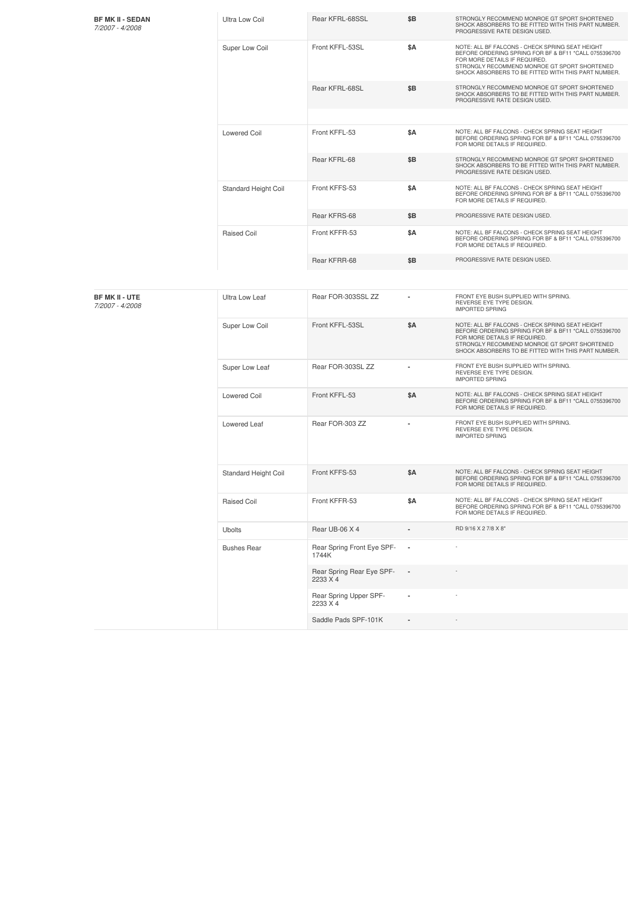| <b>BF MK II - SEDAN</b><br>7/2007 - 4/2008 | <b>Ultra Low Coil</b> | Rear KFRL-68SSL                       | \$Β        | STRONGLY RECOMMEND MONROE GT SPORT SHORTENED<br>SHOCK ABSORBERS TO BE FITTED WITH THIS PART NUMBER.<br>PROGRESSIVE RATE DESIGN USED.                                                                                                             |
|--------------------------------------------|-----------------------|---------------------------------------|------------|--------------------------------------------------------------------------------------------------------------------------------------------------------------------------------------------------------------------------------------------------|
|                                            | Super Low Coil        | Front KFFL-53SL                       | \$Α        | NOTE: ALL BF FALCONS - CHECK SPRING SEAT HEIGHT<br>BEFORE ORDERING SPRING FOR BF & BF11 *CALL 0755396700<br>FOR MORE DETAILS IF REQUIRED.<br>STRONGLY RECOMMEND MONROE GT SPORT SHORTENED<br>SHOCK ABSORBERS TO BE FITTED WITH THIS PART NUMBER. |
|                                            |                       | Rear KFRL-68SL                        | \$Β        | STRONGLY RECOMMEND MONROE GT SPORT SHORTENED<br>SHOCK ABSORBERS TO BE FITTED WITH THIS PART NUMBER.<br>PROGRESSIVE RATE DESIGN USED.                                                                                                             |
|                                            | <b>Lowered Coil</b>   | Front KFFL-53                         | \$Α        | NOTE: ALL BF FALCONS - CHECK SPRING SEAT HEIGHT<br>BEFORE ORDERING SPRING FOR BF & BF11 *CALL 0755396700<br>FOR MORE DETAILS IF REQUIRED.                                                                                                        |
|                                            |                       | Rear KFRL-68                          | \$Β        | STRONGLY RECOMMEND MONROE GT SPORT SHORTENED<br>SHOCK ABSORBERS TO BE FITTED WITH THIS PART NUMBER.<br>PROGRESSIVE RATE DESIGN USED.                                                                                                             |
|                                            | Standard Height Coil  | Front KFFS-53                         | \$Α        | NOTE: ALL BF FALCONS - CHECK SPRING SEAT HEIGHT<br>BEFORE ORDERING SPRING FOR BF & BF11 *CALL 0755396700<br>FOR MORE DETAILS IF REQUIRED.                                                                                                        |
|                                            |                       | Rear KFRS-68                          | \$Β        | PROGRESSIVE RATE DESIGN USED.                                                                                                                                                                                                                    |
|                                            | <b>Raised Coil</b>    | Front KFFR-53                         | \$Α        | NOTE: ALL BF FALCONS - CHECK SPRING SEAT HEIGHT<br>BEFORE ORDERING SPRING FOR BF & BF11 *CALL 0755396700<br>FOR MORE DETAILS IF REQUIRED.                                                                                                        |
|                                            |                       | Rear KFRR-68                          | \$Β        | PROGRESSIVE RATE DESIGN USED.                                                                                                                                                                                                                    |
|                                            |                       |                                       |            |                                                                                                                                                                                                                                                  |
| <b>BF MK II - UTE</b><br>7/2007 - 4/2008   | Ultra Low Leaf        | Rear FOR-303SSL ZZ                    | ٠          | FRONT EYE BUSH SUPPLIED WITH SPRING.<br>REVERSE EYE TYPE DESIGN.<br><b>IMPORTED SPRING</b>                                                                                                                                                       |
|                                            | Super Low Coil        | Front KFFL-53SL                       | <b>\$A</b> | NOTE: ALL BF FALCONS - CHECK SPRING SEAT HEIGHT<br>BEFORE ORDERING SPRING FOR BF & BF11 *CALL 0755396700<br>FOR MORE DETAILS IF REQUIRED.<br>STRONGLY RECOMMEND MONROE GT SPORT SHORTENED<br>SHOCK ABSORBERS TO BE FITTED WITH THIS PART NUMBER. |
|                                            | Super Low Leaf        | Rear FOR-303SL ZZ                     |            | FRONT EYE BUSH SUPPLIED WITH SPRING.<br>REVERSE EYE TYPE DESIGN.<br><b>IMPORTED SPRING</b>                                                                                                                                                       |
|                                            | <b>Lowered Coil</b>   | Front KFFL-53                         | \$Α        | NOTE: ALL BF FALCONS - CHECK SPRING SEAT HEIGHT<br>BEFORE ORDERING SPRING FOR BF & BF11 *CALL 0755396700<br>FOR MORE DETAILS IF REQUIRED.                                                                                                        |
|                                            | Lowered Leaf          | Rear FOR-303 ZZ                       |            | FRONT EYE BUSH SUPPLIED WITH SPRING.<br>REVERSE EYE TYPE DESIGN.<br><b>IMPORTED SPRING</b>                                                                                                                                                       |
|                                            | Standard Height Coil  | Front KFFS-53                         | \$Α        | NOTE: ALL BF FALCONS - CHECK SPRING SEAT HEIGHT<br>BEFORE ORDERING SPRING FOR BF & BF11 *CALL 0755396700<br>FOR MORE DETAILS IF REQUIRED.                                                                                                        |
|                                            | Raised Coil           | Front KFFR-53                         | \$Α        | NOTE: ALL BF FALCONS - CHECK SPRING SEAT HEIGHT<br>BEFORE ORDERING SPRING FOR BF & BF11 *CALL 0755396700<br>FOR MORE DETAILS IF REQUIRED.                                                                                                        |
|                                            | Ubolts                | Rear UB-06 X 4                        |            | RD 9/16 X 2 7/8 X 8"                                                                                                                                                                                                                             |
|                                            | <b>Bushes Rear</b>    | Rear Spring Front Eye SPF-<br>1744K   |            |                                                                                                                                                                                                                                                  |
|                                            |                       | Rear Spring Rear Eye SPF-<br>2233 X 4 |            |                                                                                                                                                                                                                                                  |
|                                            |                       | Rear Spring Upper SPF-<br>2233 X 4    |            |                                                                                                                                                                                                                                                  |
|                                            |                       | Saddle Pads SPF-101K                  |            |                                                                                                                                                                                                                                                  |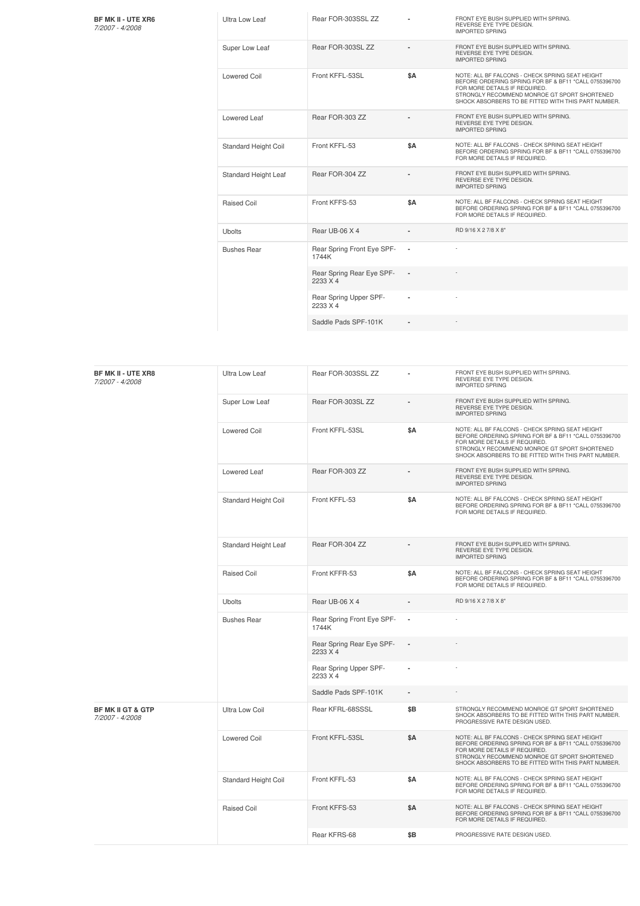**BF MK II - UTE XR6** *7/2007 -4/2008*

| Ultra Low Leaf              | Rear FOR-303SSL ZZ                    |     | FRONT EYE BUSH SUPPLIED WITH SPRING.<br>REVERSE EYE TYPE DESIGN.<br><b>IMPORTED SPRING</b>                                                                                                                                                       |
|-----------------------------|---------------------------------------|-----|--------------------------------------------------------------------------------------------------------------------------------------------------------------------------------------------------------------------------------------------------|
| Super Low Leaf              | Rear FOR-303SL ZZ                     |     | FRONT EYE BUSH SUPPLIED WITH SPRING.<br>REVERSE EYE TYPE DESIGN.<br><b>IMPORTED SPRING</b>                                                                                                                                                       |
| Lowered Coil                | Front KFFL-53SL                       | \$A | NOTE: ALL BF FALCONS - CHECK SPRING SEAT HEIGHT<br>BEFORE ORDERING SPRING FOR BF & BF11 *CALL 0755396700<br>FOR MORE DETAILS IF REQUIRED.<br>STRONGLY RECOMMEND MONROE GT SPORT SHORTENED<br>SHOCK ABSORBERS TO BE FITTED WITH THIS PART NUMBER. |
| Lowered Leaf                | Rear FOR-303 ZZ                       |     | FRONT EYE BUSH SUPPLIED WITH SPRING.<br>REVERSE EYE TYPE DESIGN.<br><b>IMPORTED SPRING</b>                                                                                                                                                       |
| <b>Standard Height Coil</b> | Front KFFL-53                         | \$A | NOTE: ALL BF FALCONS - CHECK SPRING SEAT HEIGHT<br>BEFORE ORDERING SPRING FOR BF & BF11 *CALL 0755396700<br>FOR MORE DETAILS IF REQUIRED.                                                                                                        |
| Standard Height Leaf        | Rear FOR-304 ZZ                       |     | FRONT EYE BUSH SUPPLIED WITH SPRING.<br>REVERSE EYE TYPE DESIGN.<br><b>IMPORTED SPRING</b>                                                                                                                                                       |
| Raised Coil                 | Front KFFS-53                         | \$A | NOTE: ALL BF FALCONS - CHECK SPRING SEAT HEIGHT<br>BEFORE ORDERING SPRING FOR BF & BF11 *CALL 0755396700<br>FOR MORE DETAILS IF REQUIRED.                                                                                                        |
| <b>Ubolts</b>               | Rear UB-06 X 4                        |     | RD 9/16 X 2 7/8 X 8"                                                                                                                                                                                                                             |
| <b>Bushes Rear</b>          | Rear Spring Front Eye SPF-<br>1744K   | ä,  |                                                                                                                                                                                                                                                  |
|                             | Rear Spring Rear Eye SPF-<br>2233 X 4 |     |                                                                                                                                                                                                                                                  |
|                             | Rear Spring Upper SPF-<br>2233 X 4    |     |                                                                                                                                                                                                                                                  |
|                             | Saddle Pads SPF-101K                  |     |                                                                                                                                                                                                                                                  |

| <b>BF MK II - UTE XR8</b><br>7/2007 - 4/2008    | Ultra Low Leaf        | Rear FOR-303SSL ZZ                    |                | FRONT EYE BUSH SUPPLIED WITH SPRING.<br>REVERSE EYE TYPE DESIGN.<br><b>IMPORTED SPRING</b>                                                                                                                                                       |
|-------------------------------------------------|-----------------------|---------------------------------------|----------------|--------------------------------------------------------------------------------------------------------------------------------------------------------------------------------------------------------------------------------------------------|
|                                                 | Super Low Leaf        | Rear FOR-303SL ZZ                     |                | FRONT EYE BUSH SUPPLIED WITH SPRING.<br>REVERSE EYE TYPE DESIGN.<br><b>IMPORTED SPRING</b>                                                                                                                                                       |
|                                                 | <b>Lowered Coil</b>   | Front KFFL-53SL                       | \$Α            | NOTE: ALL BF FALCONS - CHECK SPRING SEAT HEIGHT<br>BEFORE ORDERING SPRING FOR BF & BF11 *CALL 0755396700<br>FOR MORE DETAILS IF REQUIRED.<br>STRONGLY RECOMMEND MONROE GT SPORT SHORTENED<br>SHOCK ABSORBERS TO BE FITTED WITH THIS PART NUMBER. |
|                                                 | Lowered Leaf          | Rear FOR-303 ZZ                       |                | FRONT EYE BUSH SUPPLIED WITH SPRING.<br>REVERSE EYE TYPE DESIGN.<br><b>IMPORTED SPRING</b>                                                                                                                                                       |
|                                                 | Standard Height Coil  | Front KFFL-53                         | \$Α            | NOTE: ALL BF FALCONS - CHECK SPRING SEAT HEIGHT<br>BEFORE ORDERING SPRING FOR BF & BF11 *CALL 0755396700<br>FOR MORE DETAILS IF REQUIRED.                                                                                                        |
|                                                 | Standard Height Leaf  | Rear FOR-304 ZZ                       |                | FRONT EYE BUSH SUPPLIED WITH SPRING.<br>REVERSE EYE TYPE DESIGN.<br><b>IMPORTED SPRING</b>                                                                                                                                                       |
|                                                 | <b>Raised Coil</b>    | Front KFFR-53                         | \$Α            | NOTE: ALL BF FALCONS - CHECK SPRING SEAT HEIGHT<br>BEFORE ORDERING SPRING FOR BF & BF11 *CALL 0755396700<br>FOR MORE DETAILS IF REQUIRED.                                                                                                        |
|                                                 | <b>Ubolts</b>         | Rear UB-06 X 4                        |                | RD 9/16 X 2 7/8 X 8"                                                                                                                                                                                                                             |
|                                                 | <b>Bushes Rear</b>    | Rear Spring Front Eye SPF-<br>1744K   |                |                                                                                                                                                                                                                                                  |
|                                                 |                       | Rear Spring Rear Eye SPF-<br>2233 X 4 |                |                                                                                                                                                                                                                                                  |
|                                                 |                       | Rear Spring Upper SPF-<br>2233 X 4    |                |                                                                                                                                                                                                                                                  |
|                                                 |                       | Saddle Pads SPF-101K                  | $\blacksquare$ |                                                                                                                                                                                                                                                  |
| <b>BF MK II GT &amp; GTP</b><br>7/2007 - 4/2008 | <b>Ultra Low Coil</b> | Rear KFRL-68SSSL                      | \$Β            | STRONGLY RECOMMEND MONROE GT SPORT SHORTENED<br>SHOCK ABSORBERS TO BE FITTED WITH THIS PART NUMBER.<br>PROGRESSIVE RATE DESIGN USED.                                                                                                             |
|                                                 | <b>Lowered Coil</b>   | Front KFFL-53SL                       | \$A            | NOTE: ALL BF FALCONS - CHECK SPRING SEAT HEIGHT<br>BEFORE ORDERING SPRING FOR BF & BF11 *CALL 0755396700<br>FOR MORE DETAILS IF REQUIRED.<br>STRONGLY RECOMMEND MONROE GT SPORT SHORTENED<br>SHOCK ABSORBERS TO BE FITTED WITH THIS PART NUMBER. |
|                                                 | Standard Height Coil  | Front KFFL-53                         | \$Α            | NOTE: ALL BF FALCONS - CHECK SPRING SEAT HEIGHT<br>BEFORE ORDERING SPRING FOR BF & BF11 *CALL 0755396700<br>FOR MORE DETAILS IF REQUIRED.                                                                                                        |
|                                                 | <b>Raised Coil</b>    | Front KFFS-53                         | \$A            | NOTE: ALL BF FALCONS - CHECK SPRING SEAT HEIGHT<br>BEFORE ORDERING SPRING FOR BF & BF11 *CALL 0755396700<br>FOR MORE DETAILS IF REQUIRED.                                                                                                        |
|                                                 |                       | Rear KFRS-68                          | \$B            | PROGRESSIVE RATE DESIGN USED.                                                                                                                                                                                                                    |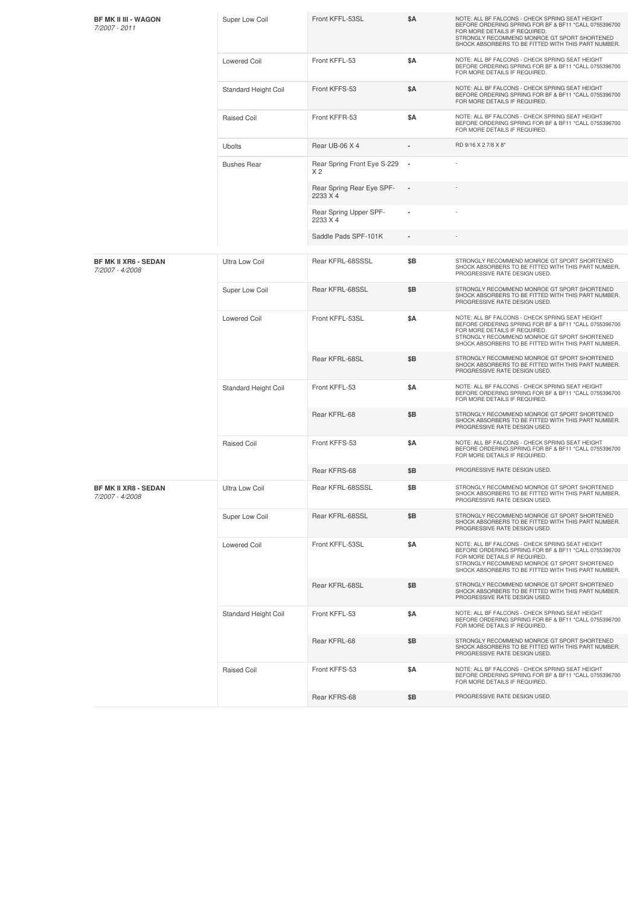| <b>BF MK II III - WAGON</b><br>7/2007 - 2011   | Super Low Coil        | Front KFFL-53SL                               | \$Α                      | NOTE: ALL BF FALCONS - CHECK SPRING SEAT HEIGHT<br>BEFORE ORDERING SPRING FOR BF & BF11 *CALL 0755396700<br>FOR MORE DETAILS IF REQUIRED.<br>STRONGLY RECOMMEND MONROE GT SPORT SHORTENED<br>SHOCK ABSORBERS TO BE FITTED WITH THIS PART NUMBER. |
|------------------------------------------------|-----------------------|-----------------------------------------------|--------------------------|--------------------------------------------------------------------------------------------------------------------------------------------------------------------------------------------------------------------------------------------------|
|                                                | <b>Lowered Coil</b>   | Front KFFL-53                                 | \$Α                      | NOTE: ALL BF FALCONS - CHECK SPRING SEAT HEIGHT<br>BEFORE ORDERING SPRING FOR BF & BF11 *CALL 0755396700<br>FOR MORE DETAILS IF REQUIRED.                                                                                                        |
|                                                | Standard Height Coil  | Front KFFS-53                                 | \$Α                      | NOTE: ALL BF FALCONS - CHECK SPRING SEAT HEIGHT<br>BEFORE ORDERING SPRING FOR BF & BF11 *CALL 0755396700<br>FOR MORE DETAILS IF REQUIRED.                                                                                                        |
|                                                | <b>Raised Coil</b>    | Front KFFR-53                                 | \$Α                      | NOTE: ALL BF FALCONS - CHECK SPRING SEAT HEIGHT<br>BEFORE ORDERING SPRING FOR BF & BF11 *CALL 0755396700<br>FOR MORE DETAILS IF REQUIRED.                                                                                                        |
|                                                | Ubolts                | Rear UB-06 X 4                                |                          | RD 9/16 X 2 7/8 X 8"                                                                                                                                                                                                                             |
|                                                | <b>Bushes Rear</b>    | Rear Spring Front Eye S-229<br>X <sub>2</sub> | $\overline{\phantom{a}}$ |                                                                                                                                                                                                                                                  |
|                                                |                       | Rear Spring Rear Eye SPF-<br>2233 X 4         |                          |                                                                                                                                                                                                                                                  |
|                                                |                       | Rear Spring Upper SPF-<br>2233 X 4            |                          |                                                                                                                                                                                                                                                  |
|                                                |                       | Saddle Pads SPF-101K                          |                          |                                                                                                                                                                                                                                                  |
| <b>BF MK II XR6 - SEDAN</b><br>7/2007 - 4/2008 | <b>Ultra Low Coil</b> | Rear KFRL-68SSSL                              | \$Β                      | STRONGLY RECOMMEND MONROE GT SPORT SHORTENED<br>SHOCK ABSORBERS TO BE FITTED WITH THIS PART NUMBER.<br>PROGRESSIVE RATE DESIGN USED.                                                                                                             |
|                                                | Super Low Coil        | Rear KFRL-68SSL                               | \$Β                      | STRONGLY RECOMMEND MONROE GT SPORT SHORTENED<br>SHOCK ABSORBERS TO BE FITTED WITH THIS PART NUMBER.<br>PROGRESSIVE RATE DESIGN USED.                                                                                                             |
|                                                | <b>Lowered Coil</b>   | Front KFFL-53SL                               | \$Α                      | NOTE: ALL BF FALCONS - CHECK SPRING SEAT HEIGHT<br>BEFORE ORDERING SPRING FOR BF & BF11 *CALL 0755396700<br>FOR MORE DETAILS IF REQUIRED<br>STRONGLY RECOMMEND MONROE GT SPORT SHORTENED<br>SHOCK ABSORBERS TO BE FITTED WITH THIS PART NUMBER.  |
|                                                |                       | Rear KFRL-68SL                                | \$Β                      | STRONGLY RECOMMEND MONROE GT SPORT SHORTENED<br>SHOCK ABSORBERS TO BE FITTED WITH THIS PART NUMBER.<br>PROGRESSIVE RATE DESIGN USED.                                                                                                             |
|                                                | Standard Height Coil  | Front KFFL-53                                 | \$Α                      | NOTE: ALL BF FALCONS - CHECK SPRING SEAT HEIGHT<br>BEFORE ORDERING SPRING FOR BF & BF11 *CALL 0755396700<br>FOR MORE DETAILS IF REQUIRED.                                                                                                        |
|                                                |                       | Rear KFRL-68                                  | \$Β                      | STRONGLY RECOMMEND MONROE GT SPORT SHORTENED<br>SHOCK ABSORBERS TO BE FITTED WITH THIS PART NUMBER.<br>PROGRESSIVE RATE DESIGN USED.                                                                                                             |
|                                                | <b>Raised Coil</b>    | Front KFFS-53                                 | \$Α                      | NOTE: ALL BF FALCONS - CHECK SPRING SEAT HEIGHT<br>BEFORE ORDERING SPRING FOR BF & BF11 *CALL 0755396700<br>FOR MORE DETAILS IF REQUIRED.                                                                                                        |
|                                                |                       | Rear KFRS-68                                  | \$Β                      | PROGRESSIVE RATE DESIGN USED.                                                                                                                                                                                                                    |
| <b>BF MK II XR8 - SEDAN</b><br>7/2007 - 4/2008 | Ultra Low Coil        | Rear KFRL-68SSSL                              | \$Β                      | STRONGLY RECOMMEND MONROE GT SPORT SHORTENED<br>SHOCK ABSORBERS TO BE FITTED WITH THIS PART NUMBER.<br>PROGRESSIVE RATE DESIGN USED.                                                                                                             |
|                                                | Super Low Coil        | Rear KFRL-68SSL                               | \$Β                      | STRONGLY RECOMMEND MONROE GT SPORT SHORTENED<br>SHOCK ABSORBERS TO BE FITTED WITH THIS PART NUMBER.<br>PROGRESSIVE RATE DESIGN USED.                                                                                                             |
|                                                | <b>Lowered Coil</b>   | Front KFFL-53SL                               | \$Α                      | NOTE: ALL BF FALCONS - CHECK SPRING SEAT HEIGHT<br>BEFORE ORDERING SPRING FOR BF & BF11 *CALL 0755396700<br>FOR MORE DETAILS IF REQUIRED.<br>STRONGLY RECOMMEND MONROE GT SPORT SHORTENED<br>SHOCK ABSORBERS TO BE FITTED WITH THIS PART NUMBER. |
|                                                |                       | Rear KFRL-68SL                                | \$Β                      | STRONGLY RECOMMEND MONROE GT SPORT SHORTENED<br>SHOCK ABSORBERS TO BE FITTED WITH THIS PART NUMBER.<br>PROGRESSIVE RATE DESIGN USED.                                                                                                             |
|                                                | Standard Height Coil  | Front KFFL-53                                 | \$Α                      | NOTE: ALL BF FALCONS - CHECK SPRING SEAT HEIGHT<br>BEFORE ORDERING SPRING FOR BF & BF11 *CALL 0755396700<br>FOR MORE DETAILS IF REQUIRED.                                                                                                        |
|                                                |                       | Rear KFRL-68                                  | \$Β                      | STRONGLY RECOMMEND MONROE GT SPORT SHORTENED<br>SHOCK ABSORBERS TO BE FITTED WITH THIS PART NUMBER.<br>PROGRESSIVE RATE DESIGN USED.                                                                                                             |
|                                                | <b>Raised Coil</b>    | Front KFFS-53                                 | \$Α                      | NOTE: ALL BF FALCONS - CHECK SPRING SEAT HEIGHT<br>BEFORE ORDERING SPRING FOR BF & BF11 *CALL 0755396700<br>FOR MORE DETAILS IF REQUIRED.                                                                                                        |
|                                                |                       | Rear KFRS-68                                  | \$Β                      | PROGRESSIVE RATE DESIGN USED.                                                                                                                                                                                                                    |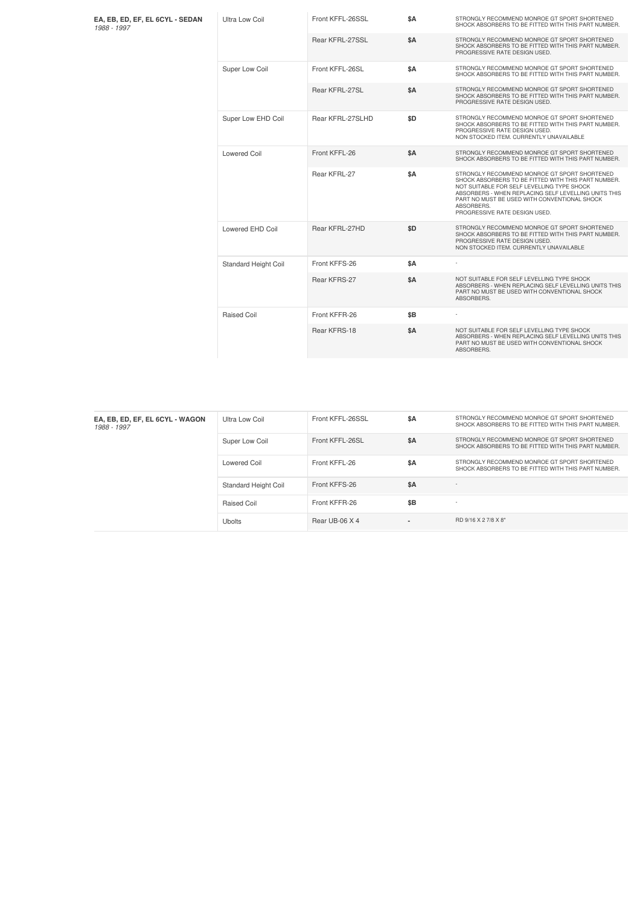| EA, EB, ED, EF, EL 6CYL - SEDAN<br>1988 - 1997 | Ultra Low Coil       | Front KFFL-26SSL | \$A        | STRONGLY RECOMMEND MONROE GT SPORT SHORTENED<br>SHOCK ABSORBERS TO BE FITTED WITH THIS PART NUMBER.                                                                                                                                                                                                      |
|------------------------------------------------|----------------------|------------------|------------|----------------------------------------------------------------------------------------------------------------------------------------------------------------------------------------------------------------------------------------------------------------------------------------------------------|
|                                                |                      | Rear KFRL-27SSL  | <b>\$A</b> | STRONGLY RECOMMEND MONROE GT SPORT SHORTENED<br>SHOCK ABSORBERS TO BE FITTED WITH THIS PART NUMBER.<br>PROGRESSIVE RATE DESIGN USED.                                                                                                                                                                     |
|                                                | Super Low Coil       | Front KFFL-26SL  | <b>\$A</b> | STRONGLY RECOMMEND MONROE GT SPORT SHORTENED<br>SHOCK ABSORBERS TO BE FITTED WITH THIS PART NUMBER.                                                                                                                                                                                                      |
|                                                |                      | Rear KFRL-27SL   | \$A        | STRONGLY RECOMMEND MONROE GT SPORT SHORTENED<br>SHOCK ABSORBERS TO BE FITTED WITH THIS PART NUMBER.<br>PROGRESSIVE RATE DESIGN USED.                                                                                                                                                                     |
|                                                | Super Low EHD Coil   | Rear KFRL-27SLHD | \$D        | STRONGLY RECOMMEND MONROE GT SPORT SHORTENED<br>SHOCK ABSORBERS TO BE FITTED WITH THIS PART NUMBER.<br>PROGRESSIVE RATE DESIGN USED.<br>NON STOCKED ITEM. CURRENTLY UNAVAILABLE                                                                                                                          |
|                                                | Lowered Coil         | Front KFFL-26    | <b>\$A</b> | STRONGLY RECOMMEND MONROE GT SPORT SHORTENED<br>SHOCK ABSORBERS TO BE FITTED WITH THIS PART NUMBER.                                                                                                                                                                                                      |
|                                                |                      | Rear KFRL-27     | \$A        | STRONGLY RECOMMEND MONROE GT SPORT SHORTENED<br>SHOCK ABSORBERS TO BE FITTED WITH THIS PART NUMBER.<br>NOT SUITABLE FOR SELF LEVELLING TYPE SHOCK<br>ABSORBERS - WHEN REPLACING SELF LEVELLING UNITS THIS<br>PART NO MUST BE USED WITH CONVENTIONAL SHOCK<br>ABSORBERS.<br>PROGRESSIVE RATE DESIGN USED. |
|                                                | Lowered EHD Coil     | Rear KFRL-27HD   | \$D        | STRONGLY RECOMMEND MONROE GT SPORT SHORTENED<br>SHOCK ABSORBERS TO BE FITTED WITH THIS PART NUMBER.<br>PROGRESSIVE RATE DESIGN USED.<br>NON STOCKED ITEM. CURRENTLY UNAVAILABLE                                                                                                                          |
|                                                | Standard Height Coil | Front KFFS-26    | \$A        |                                                                                                                                                                                                                                                                                                          |
|                                                |                      | Rear KFRS-27     | <b>\$A</b> | NOT SUITABLE FOR SELF LEVELLING TYPE SHOCK<br>ABSORBERS - WHEN REPLACING SELF LEVELLING UNITS THIS<br>PART NO MUST BE USED WITH CONVENTIONAL SHOCK<br>ABSORBERS.                                                                                                                                         |
|                                                | <b>Raised Coil</b>   | Front KFFR-26    | \$B        |                                                                                                                                                                                                                                                                                                          |
|                                                |                      | Rear KFRS-18     | <b>\$A</b> | NOT SUITABLE FOR SELF LEVELLING TYPE SHOCK<br>ABSORBERS - WHEN REPLACING SELF LEVELLING UNITS THIS<br>PART NO MUST BE USED WITH CONVENTIONAL SHOCK<br>ABSORBERS.                                                                                                                                         |

| Ultra Low Coil              | Front KFFL-26SSL | \$A | STRONGLY RECOMMEND MONROE GT SPORT SHORTENED<br>SHOCK ABSORBERS TO BE FITTED WITH THIS PART NUMBER. |
|-----------------------------|------------------|-----|-----------------------------------------------------------------------------------------------------|
| Super Low Coil              | Front KFFL-26SL  | \$A | STRONGLY RECOMMEND MONROE GT SPORT SHORTENED<br>SHOCK ABSORBERS TO BE FITTED WITH THIS PART NUMBER. |
| Lowered Coil                | Front KFFL-26    | \$A | STRONGLY RECOMMEND MONROE GT SPORT SHORTENED<br>SHOCK ABSORBERS TO BE FITTED WITH THIS PART NUMBER. |
| <b>Standard Height Coil</b> | Front KFFS-26    | \$A | $\sim$                                                                                              |
| Raised Coil                 | Front KFFR-26    | \$B | $\sim$                                                                                              |
| Ubolts                      | Rear UB-06 X 4   |     | RD 9/16 X 2 7/8 X 8"                                                                                |
|                             |                  |     |                                                                                                     |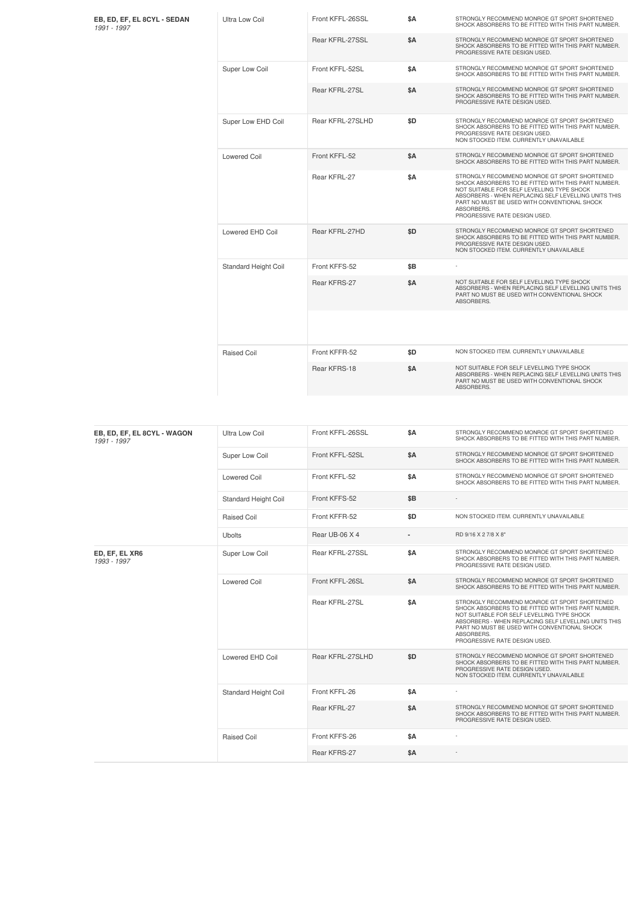| EB, ED, EF, EL 8CYL - SEDAN<br>1991 - 1997 | Ultra Low Coil              | Front KFFL-26SSL | \$Α        | STRONGLY RECOMMEND MONROE GT SPORT SHORTENED<br>SHOCK ABSORBERS TO BE FITTED WITH THIS PART NUMBER.                                                                                                                                                                                                      |
|--------------------------------------------|-----------------------------|------------------|------------|----------------------------------------------------------------------------------------------------------------------------------------------------------------------------------------------------------------------------------------------------------------------------------------------------------|
|                                            |                             | Rear KFRL-27SSL  | \$Α        | STRONGLY RECOMMEND MONROE GT SPORT SHORTENED<br>SHOCK ABSORBERS TO BE FITTED WITH THIS PART NUMBER.<br>PROGRESSIVE RATE DESIGN USED.                                                                                                                                                                     |
|                                            | Super Low Coil              | Front KFFL-52SL  | \$Α        | STRONGLY RECOMMEND MONROE GT SPORT SHORTENED<br>SHOCK ABSORBERS TO BE FITTED WITH THIS PART NUMBER.                                                                                                                                                                                                      |
|                                            |                             | Rear KFRL-27SL   | \$Α        | STRONGLY RECOMMEND MONROE GT SPORT SHORTENED<br>SHOCK ABSORBERS TO BE FITTED WITH THIS PART NUMBER.<br>PROGRESSIVE RATE DESIGN USED.                                                                                                                                                                     |
|                                            | Super Low EHD Coil          | Rear KFRL-27SLHD | \$D        | STRONGLY RECOMMEND MONROE GT SPORT SHORTENED<br>SHOCK ABSORBERS TO BE FITTED WITH THIS PART NUMBER.<br>PROGRESSIVE RATE DESIGN USED.<br>NON STOCKED ITEM. CURRENTLY UNAVAILABLE                                                                                                                          |
|                                            | <b>Lowered Coil</b>         | Front KFFL-52    | <b>\$A</b> | STRONGLY RECOMMEND MONROE GT SPORT SHORTENED<br>SHOCK ABSORBERS TO BE FITTED WITH THIS PART NUMBER.                                                                                                                                                                                                      |
|                                            |                             | Rear KFRL-27     | <b>\$A</b> | STRONGLY RECOMMEND MONROE GT SPORT SHORTENED<br>SHOCK ABSORBERS TO BE FITTED WITH THIS PART NUMBER.<br>NOT SUITABLE FOR SELF LEVELLING TYPE SHOCK<br>ABSORBERS - WHEN REPLACING SELF LEVELLING UNITS THIS<br>PART NO MUST BE USED WITH CONVENTIONAL SHOCK<br>ABSORBERS.<br>PROGRESSIVE RATE DESIGN USED. |
|                                            | Lowered EHD Coil            | Rear KFRL-27HD   | \$D        | STRONGLY RECOMMEND MONROE GT SPORT SHORTENED<br>SHOCK ABSORBERS TO BE FITTED WITH THIS PART NUMBER.<br>PROGRESSIVE RATE DESIGN USED.<br>NON STOCKED ITEM. CURRENTLY UNAVAILABLE                                                                                                                          |
|                                            | <b>Standard Height Coil</b> | Front KFFS-52    | \$B        |                                                                                                                                                                                                                                                                                                          |
|                                            |                             | Rear KFRS-27     | \$Α        | NOT SUITABLE FOR SELF LEVELLING TYPE SHOCK<br>ABSORBERS - WHEN REPLACING SELF LEVELLING UNITS THIS<br>PART NO MUST BE USED WITH CONVENTIONAL SHOCK<br>ABSORBERS.                                                                                                                                         |
|                                            | Raised Coil                 | Front KFFR-52    | \$D        | NON STOCKED ITEM. CURRENTLY UNAVAILABLE                                                                                                                                                                                                                                                                  |
|                                            |                             | Rear KFRS-18     | \$A        | NOT SUITABLE FOR SELF LEVELLING TYPE SHOCK<br>ABSORBERS - WHEN REPLACING SELF LEVELLING UNITS THIS<br>PART NO MUST BE USED WITH CONVENTIONAL SHOCK<br>ABSORBERS.                                                                                                                                         |
|                                            |                             |                  |            |                                                                                                                                                                                                                                                                                                          |
| EB, ED, EF, EL 8CYL - WAGON<br>1991 - 1997 | <b>Ultra Low Coil</b>       | Front KFFL-26SSL | \$Α        | STRONGLY RECOMMEND MONROE GT SPORT SHORTENED<br>SHOCK ABSORBERS TO BE FITTED WITH THIS PART NUMBER.                                                                                                                                                                                                      |
|                                            | Super Low Coil              | Front KFFL-52SL  | \$A        | STRONGLY RECOMMEND MONROE GT SPORT SHORTENED<br>SHOCK ABSORBERS TO BE FITTED WITH THIS PART NUMBER.                                                                                                                                                                                                      |
|                                            | <b>Lowered Coil</b>         | Front KFFL-52    | \$Α        | STRONGLY RECOMMEND MONROE GT SPORT SHORTENED<br>SHOCK ABSORBERS TO BE FITTED WITH THIS PART NUMBER                                                                                                                                                                                                       |
|                                            | Standard Height Coil        | Front KFFS-52    | \$Β        |                                                                                                                                                                                                                                                                                                          |
|                                            | Raised Coil                 | Front KFFR-52    | \$D        | NON STOCKED ITEM. CURRENTLY UNAVAILABLE                                                                                                                                                                                                                                                                  |
|                                            | <b>Ubolts</b>               | Rear UB-06 X 4   |            | RD 9/16 X 2 7/8 X 8"                                                                                                                                                                                                                                                                                     |
| ED, EF, EL XR6<br>1993 - 1997              | Super Low Coil              | Rear KFRL-27SSL  | \$Α        | STRONGLY RECOMMEND MONROE GT SPORT SHORTENED<br>SHOCK ABSORBERS TO BE FITTED WITH THIS PART NUMBER.<br>PROGRESSIVE RATE DESIGN USED.                                                                                                                                                                     |
|                                            | <b>Lowered Coil</b>         | Front KFFL-26SL  | \$A        | STRONGLY RECOMMEND MONROE GT SPORT SHORTENED<br>SHOCK ABSORBERS TO BE FITTED WITH THIS PART NUMBER.                                                                                                                                                                                                      |
|                                            |                             | Rear KFRL-27SL   | <b>\$A</b> | STRONGLY RECOMMEND MONROE GT SPORT SHORTENED<br>SHOCK ABSORBERS TO BE FITTED WITH THIS PART NUMBER.<br>NOT SUITABLE FOR SELF LEVELLING TYPE SHOCK<br>ABSORBERS - WHEN REPLACING SELF LEVELLING UNITS THIS<br>PART NO MUST BE USED WITH CONVENTIONAL SHOCK<br>ABSORBERS.<br>PROGRESSIVE RATE DESIGN USED. |
|                                            | Lowered EHD Coil            | Rear KFRL-27SLHD | \$D        | STRONGLY RECOMMEND MONROE GT SPORT SHORTENED<br>SHOCK ABSORBERS TO BE FITTED WITH THIS PART NUMBER.<br>PROGRESSIVE RATE DESIGN USED.<br>NON STOCKED ITEM. CURRENTLY UNAVAILABLE                                                                                                                          |
|                                            | Standard Height Coil        | Front KFFL-26    | \$Α        |                                                                                                                                                                                                                                                                                                          |
|                                            |                             | Rear KFRL-27     | \$A        | STRONGLY RECOMMEND MONROE GT SPORT SHORTENED<br>SHOCK ABSORBERS TO BE FITTED WITH THIS PART NUMBER.<br>PROGRESSIVE RATE DESIGN USED.                                                                                                                                                                     |
|                                            | Raised Coil                 | Front KFFS-26    | \$Α        |                                                                                                                                                                                                                                                                                                          |

Rear KFRS-27 **\$A**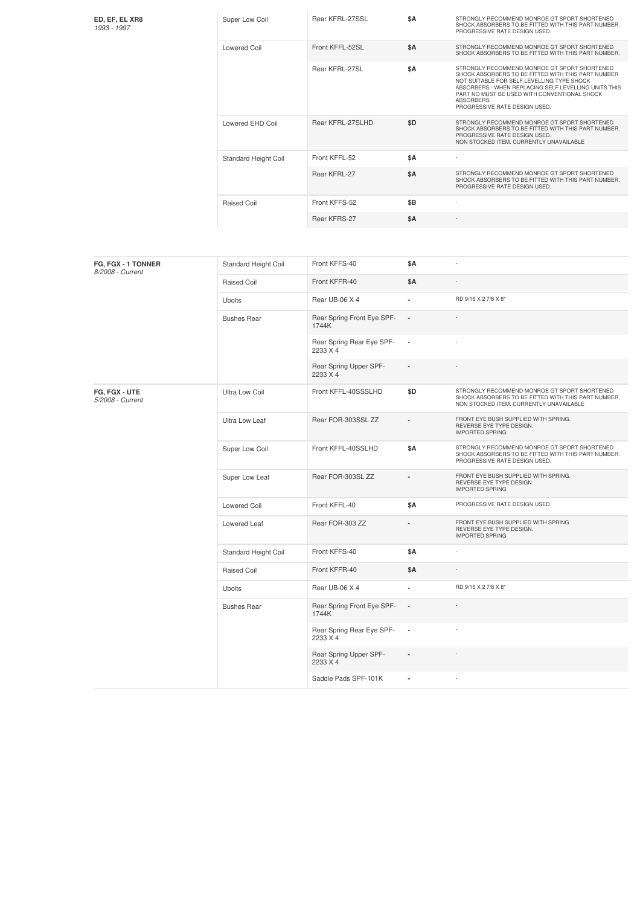| ED, EF, EL XR8<br>1993 - 1997     | Super Low Coil       | Rear KFRL-27SSL                       | \$Α                      | STRONGLY RECOMMEND MONROE GT SPORT SHORTENED<br>SHOCK ABSORBERS TO BE FITTED WITH THIS PART NUMBER.<br>PROGRESSIVE RATE DESIGN USED.                                                                                                                                                                     |
|-----------------------------------|----------------------|---------------------------------------|--------------------------|----------------------------------------------------------------------------------------------------------------------------------------------------------------------------------------------------------------------------------------------------------------------------------------------------------|
|                                   | <b>Lowered Coil</b>  | Front KFFL-52SL                       | \$A                      | STRONGLY RECOMMEND MONROE GT SPORT SHORTENED<br>SHOCK ABSORBERS TO BE FITTED WITH THIS PART NUMBER.                                                                                                                                                                                                      |
|                                   |                      | Rear KFRL-27SL                        | <b>\$A</b>               | STRONGLY RECOMMEND MONROE GT SPORT SHORTENED<br>SHOCK ABSORBERS TO BE FITTED WITH THIS PART NUMBER.<br>NOT SUITABLE FOR SELF LEVELLING TYPE SHOCK<br>ABSORBERS - WHEN REPLACING SELF LEVELLING UNITS THIS<br>PART NO MUST BE USED WITH CONVENTIONAL SHOCK<br>ABSORBERS.<br>PROGRESSIVE RATE DESIGN USED. |
|                                   | Lowered EHD Coil     | Rear KFRL-27SLHD                      | \$D                      | STRONGLY RECOMMEND MONROE GT SPORT SHORTENED<br>SHOCK ABSORBERS TO BE FITTED WITH THIS PART NUMBER.<br>PROGRESSIVE RATE DESIGN USED.<br>NON STOCKED ITEM. CURRENTLY UNAVAILABLE                                                                                                                          |
|                                   | Standard Height Coil | Front KFFL-52                         | \$Α                      |                                                                                                                                                                                                                                                                                                          |
|                                   |                      | Rear KFRL-27                          | \$Α                      | STRONGLY RECOMMEND MONROE GT SPORT SHORTENED<br>SHOCK ABSORBERS TO BE FITTED WITH THIS PART NUMBER.<br>PROGRESSIVE RATE DESIGN USED.                                                                                                                                                                     |
|                                   | Raised Coil          | Front KFFS-52                         | \$B                      |                                                                                                                                                                                                                                                                                                          |
|                                   |                      | Rear KFRS-27                          | \$Α                      |                                                                                                                                                                                                                                                                                                          |
|                                   |                      |                                       |                          |                                                                                                                                                                                                                                                                                                          |
| FG, FGX - 1 TONNER                | Standard Height Coil | Front KFFS-40                         | \$A                      |                                                                                                                                                                                                                                                                                                          |
| 8/2008 - Current                  | Raised Coil          | Front KFFR-40                         | \$Α                      |                                                                                                                                                                                                                                                                                                          |
|                                   | <b>Ubolts</b>        | Rear UB-06 X 4                        | $\overline{\phantom{a}}$ | RD 9/16 X 2 7/8 X 8"                                                                                                                                                                                                                                                                                     |
|                                   | <b>Bushes Rear</b>   | Rear Spring Front Eye SPF-<br>1744K   |                          |                                                                                                                                                                                                                                                                                                          |
|                                   |                      | Rear Spring Rear Eye SPF-<br>2233 X 4 | ×                        |                                                                                                                                                                                                                                                                                                          |
|                                   |                      | Rear Spring Upper SPF-<br>2233 X 4    |                          |                                                                                                                                                                                                                                                                                                          |
| FG, FGX - UTE<br>5/2008 - Current | Ultra Low Coil       | Front KFFL-40SSSLHD                   | \$D                      | STRONGLY RECOMMEND MONROE GT SPORT SHORTENED<br>SHOCK ABSORBERS TO BE FITTED WITH THIS PART NUMBER.<br>NON STOCKED ITEM. CURRENTLY UNAVAILABLE                                                                                                                                                           |
|                                   | Ultra Low Leaf       | Rear FOR-303SSL ZZ                    |                          | FRONT EYE BUSH SUPPLIED WITH SPRING.<br>REVERSE EYE TYPE DESIGN.<br><b>IMPORTED SPRING</b>                                                                                                                                                                                                               |
|                                   | Super Low Coil       | Front KFFL-40SSLHD                    | \$Α                      | STRONGLY RECOMMEND MONROE GT SPORT SHORTENED<br>SHOCK ABSORBERS TO BE FITTED WITH THIS PART NUMBER.<br>PROGRESSIVE RATE DESIGN USED.                                                                                                                                                                     |
|                                   | Super Low Leaf       | Rear FOR-303SL ZZ                     |                          | FRONT EYE BUSH SUPPLIED WITH SPRING.<br>REVERSE EYE TYPE DESIGN.<br><b>IMPORTED SPRING</b>                                                                                                                                                                                                               |
|                                   | Lowered Coil         | Front KFFL-40                         | \$Α                      | PROGRESSIVE RATE DESIGN USED.                                                                                                                                                                                                                                                                            |
|                                   | Lowered Leaf         | Rear FOR-303 ZZ                       |                          | FRONT EYE BUSH SUPPLIED WITH SPRING.<br>REVERSE EYE TYPE DESIGN.<br><b>IMPORTED SPRING</b>                                                                                                                                                                                                               |
|                                   | Standard Height Coil | Front KFFS-40                         | \$Α                      |                                                                                                                                                                                                                                                                                                          |
|                                   | Raised Coil          | Front KFFR-40                         | \$Α                      |                                                                                                                                                                                                                                                                                                          |
|                                   | <b>Ubolts</b>        | Rear UB-06 X 4                        | ä,                       | RD 9/16 X 2 7/8 X 8"                                                                                                                                                                                                                                                                                     |
|                                   | <b>Bushes Rear</b>   | Rear Spring Front Eye SPF-<br>1744K   |                          |                                                                                                                                                                                                                                                                                                          |
|                                   |                      | Rear Spring Rear Eye SPF-<br>2233 X 4 | ×                        |                                                                                                                                                                                                                                                                                                          |
|                                   |                      | Rear Spring Upper SPF-<br>2233 X 4    |                          |                                                                                                                                                                                                                                                                                                          |
|                                   |                      | Saddle Pads SPF-101K                  | ä,                       |                                                                                                                                                                                                                                                                                                          |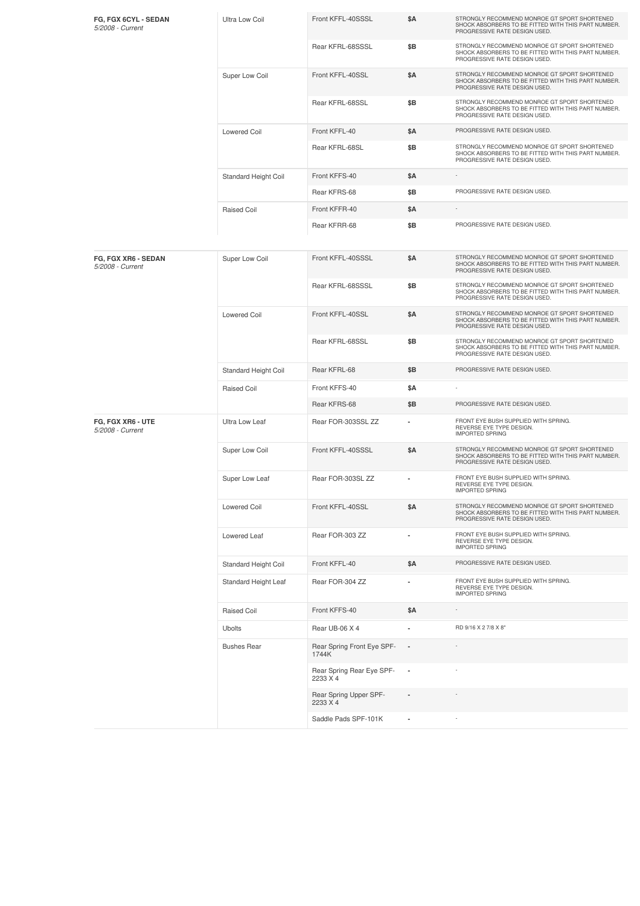| FG, FGX 6CYL - SEDAN<br>5/2008 - Current | <b>Ultra Low Coil</b> | Front KFFL-40SSSL                     | \$Α            | STRONGLY RECOMMEND MONROE GT SPORT SHORTENED<br>SHOCK ABSORBERS TO BE FITTED WITH THIS PART NUMBER.<br>PROGRESSIVE RATE DESIGN USED. |
|------------------------------------------|-----------------------|---------------------------------------|----------------|--------------------------------------------------------------------------------------------------------------------------------------|
|                                          |                       | Rear KFRL-68SSSL                      | \$Β            | STRONGLY RECOMMEND MONROE GT SPORT SHORTENED<br>SHOCK ABSORBERS TO BE FITTED WITH THIS PART NUMBER.<br>PROGRESSIVE RATE DESIGN USED. |
|                                          | Super Low Coil        | Front KFFL-40SSL                      | \$Α            | STRONGLY RECOMMEND MONROE GT SPORT SHORTENED<br>SHOCK ABSORBERS TO BE FITTED WITH THIS PART NUMBER.<br>PROGRESSIVE RATE DESIGN USED. |
|                                          |                       | Rear KFRL-68SSL                       | \$Β            | STRONGLY RECOMMEND MONROE GT SPORT SHORTENED<br>SHOCK ABSORBERS TO BE FITTED WITH THIS PART NUMBER.<br>PROGRESSIVE RATE DESIGN USED. |
|                                          | <b>Lowered Coil</b>   | Front KFFL-40                         | \$Α            | PROGRESSIVE RATE DESIGN USED.                                                                                                        |
|                                          |                       | Rear KFRL-68SL                        | \$B            | STRONGLY RECOMMEND MONROE GT SPORT SHORTENED<br>SHOCK ABSORBERS TO BE FITTED WITH THIS PART NUMBER.<br>PROGRESSIVE RATE DESIGN USED. |
|                                          | Standard Height Coil  | Front KFFS-40                         | \$Α            |                                                                                                                                      |
|                                          |                       | Rear KFRS-68                          | \$B            | PROGRESSIVE RATE DESIGN USED.                                                                                                        |
|                                          | Raised Coil           | Front KFFR-40                         | \$Α            | ÷,                                                                                                                                   |
|                                          |                       | Rear KFRR-68                          | \$Β            | PROGRESSIVE RATE DESIGN USED.                                                                                                        |
| FG, FGX XR6 - SEDAN<br>5/2008 - Current  | Super Low Coil        | Front KFFL-40SSSL                     | \$Α            | STRONGLY RECOMMEND MONROE GT SPORT SHORTENED<br>SHOCK ABSORBERS TO BE FITTED WITH THIS PART NUMBER.<br>PROGRESSIVE RATE DESIGN USED. |
|                                          |                       | Rear KFRL-68SSSL                      | \$Β            | STRONGLY RECOMMEND MONROE GT SPORT SHORTENED<br>SHOCK ABSORBERS TO BE FITTED WITH THIS PART NUMBER.<br>PROGRESSIVE RATE DESIGN USED. |
|                                          | <b>Lowered Coil</b>   | Front KFFL-40SSL                      | \$Α            | STRONGLY RECOMMEND MONROE GT SPORT SHORTENED<br>SHOCK ABSORBERS TO BE FITTED WITH THIS PART NUMBER.<br>PROGRESSIVE RATE DESIGN USED. |
|                                          |                       | Rear KFRL-68SSL                       | \$B            | STRONGLY RECOMMEND MONROE GT SPORT SHORTENED<br>SHOCK ABSORBERS TO BE FITTED WITH THIS PART NUMBER.<br>PROGRESSIVE RATE DESIGN USED. |
|                                          | Standard Height Coil  | Rear KFRL-68                          | \$B            | PROGRESSIVE RATE DESIGN USED.                                                                                                        |
|                                          | Raised Coil           | Front KFFS-40                         | \$Α            |                                                                                                                                      |
|                                          |                       | Rear KFRS-68                          | \$Β            | PROGRESSIVE RATE DESIGN USED.                                                                                                        |
| FG, FGX XR6 - UTE<br>5/2008 - Current    | Ultra Low Leaf        | Rear FOR-303SSL ZZ                    | ٠              | FRONT EYE BUSH SUPPLIED WITH SPRING.<br>REVERSE EYE TYPE DESIGN.<br><b>IMPORTED SPRING</b>                                           |
|                                          | Super Low Coil        | Front KFFL-40SSSL                     | \$Α            | STRONGLY RECOMMEND MONROE GT SPORT SHORTENED<br>SHOCK ABSORBERS TO BE FITTED WITH THIS PART NUMBER.<br>PROGRESSIVE RATE DESIGN USED. |
|                                          | Super Low Leaf        | Rear FOR-303SL ZZ                     |                | FRONT EYE BUSH SUPPLIED WITH SPRING.<br>REVERSE EYE TYPE DESIGN.<br><b>IMPORTED SPRING</b>                                           |
|                                          | <b>Lowered Coil</b>   | Front KFFL-40SSL                      | \$Α            | STRONGLY RECOMMEND MONROE GT SPORT SHORTENED<br>SHOCK ABSORBERS TO BE FITTED WITH THIS PART NUMBER.<br>PROGRESSIVE RATE DESIGN USED. |
|                                          | Lowered Leaf          | Rear FOR-303 ZZ                       |                | FRONT EYE BUSH SUPPLIED WITH SPRING.<br>REVERSE EYE TYPE DESIGN.<br><b>IMPORTED SPRING</b>                                           |
|                                          | Standard Height Coil  | Front KFFL-40                         | \$Α            | PROGRESSIVE RATE DESIGN USED.                                                                                                        |
|                                          | Standard Height Leaf  | Rear FOR-304 ZZ                       |                | FRONT EYE BUSH SUPPLIED WITH SPRING.<br>REVERSE EYE TYPE DESIGN.<br><b>IMPORTED SPRING</b>                                           |
|                                          | Raised Coil           | Front KFFS-40                         | \$Α            |                                                                                                                                      |
|                                          | Ubolts                | Rear UB-06 X 4                        | ä,             | RD 9/16 X 2 7/8 X 8"                                                                                                                 |
|                                          | <b>Bushes Rear</b>    | Rear Spring Front Eye SPF-<br>1744K   |                |                                                                                                                                      |
|                                          |                       | Rear Spring Rear Eye SPF-<br>2233 X 4 |                |                                                                                                                                      |
|                                          |                       | Rear Spring Upper SPF-<br>2233 X 4    |                |                                                                                                                                      |
|                                          |                       | Saddle Pads SPF-101K                  | $\blacksquare$ |                                                                                                                                      |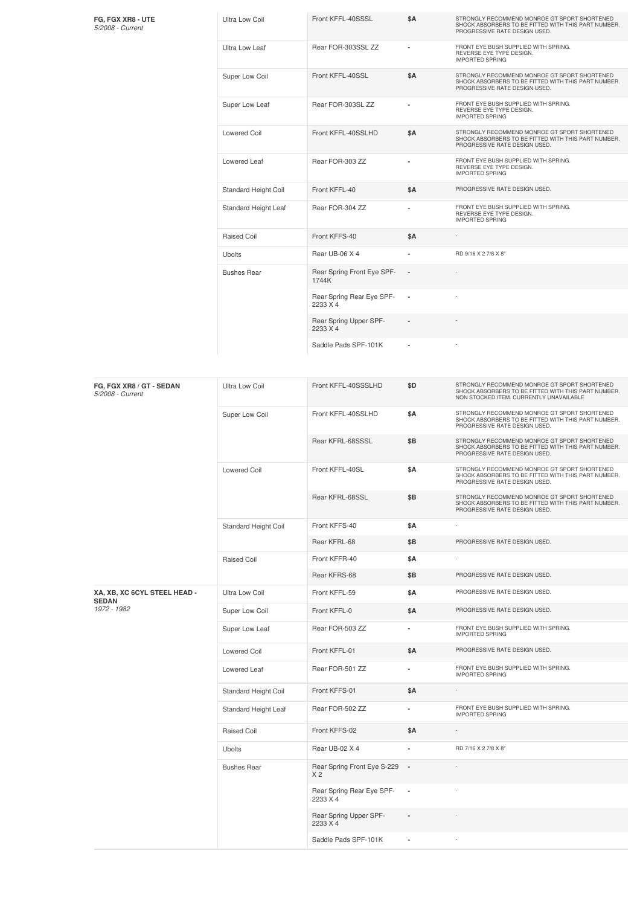| FG, FGX XR8 - UTE<br>5/2008 - Current | Ultra Low Coil              | Front KFFL-40SSSL                     | \$A                      | STRONGLY RECOMMEND MONROE GT SPORT SHORTENED<br>SHOCK ABSORBERS TO BE FITTED WITH THIS PART NUMBER.<br>PROGRESSIVE RATE DESIGN USED. |
|---------------------------------------|-----------------------------|---------------------------------------|--------------------------|--------------------------------------------------------------------------------------------------------------------------------------|
|                                       | Ultra Low Leaf              | Rear FOR-303SSL ZZ                    |                          | FRONT EYE BUSH SUPPLIED WITH SPRING.<br>REVERSE EYE TYPE DESIGN.<br><b>IMPORTED SPRING</b>                                           |
|                                       | Super Low Coil              | Front KFFL-40SSL                      | \$A                      | STRONGLY RECOMMEND MONROE GT SPORT SHORTENED<br>SHOCK ABSORBERS TO BE FITTED WITH THIS PART NUMBER.<br>PROGRESSIVE RATE DESIGN USED. |
|                                       | Super Low Leaf              | Rear FOR-303SL ZZ                     |                          | FRONT EYE BUSH SUPPLIED WITH SPRING.<br>REVERSE EYE TYPE DESIGN.<br><b>IMPORTED SPRING</b>                                           |
|                                       | Lowered Coil                | Front KFFL-40SSLHD                    | <b>\$A</b>               | STRONGLY RECOMMEND MONROE GT SPORT SHORTENED<br>SHOCK ABSORBERS TO BE FITTED WITH THIS PART NUMBER.<br>PROGRESSIVE RATE DESIGN USED. |
|                                       | Lowered Leaf                | Rear FOR-303 ZZ                       |                          | FRONT EYE BUSH SUPPLIED WITH SPRING.<br>REVERSE EYE TYPE DESIGN.<br><b>IMPORTED SPRING</b>                                           |
|                                       | <b>Standard Height Coil</b> | Front KFFL-40                         | \$A                      | PROGRESSIVE RATE DESIGN USED.                                                                                                        |
|                                       | Standard Height Leaf        | Rear FOR-304 ZZ                       | ٠                        | FRONT EYE BUSH SUPPLIED WITH SPRING.<br>REVERSE EYE TYPE DESIGN.<br><b>IMPORTED SPRING</b>                                           |
|                                       | <b>Raised Coil</b>          | Front KFFS-40                         | \$A                      |                                                                                                                                      |
|                                       | Ubolts                      | Rear UB-06 X 4                        | ٠                        | RD 9/16 X 2 7/8 X 8"                                                                                                                 |
|                                       | <b>Bushes Rear</b>          | Rear Spring Front Eye SPF-<br>1744K   | $\blacksquare$           |                                                                                                                                      |
|                                       |                             | Rear Spring Rear Eye SPF-<br>2233 X 4 | $\overline{\phantom{a}}$ |                                                                                                                                      |
|                                       |                             | Rear Spring Upper SPF-<br>2233 X 4    |                          |                                                                                                                                      |
|                                       |                             | Saddle Pads SPF-101K                  | $\blacksquare$           |                                                                                                                                      |

| FG, FGX XR8 / GT - SEDAN<br>5/2008 - Current | Ultra Low Coil       | Front KFFL-40SSSLHD                           | \$D                      | STRONGLY RECOMMEND MONROE GT SPORT SHORTENED<br>SHOCK ABSORBERS TO BE FITTED WITH THIS PART NUMBER.<br>NON STOCKED ITEM. CURRENTLY UNAVAILABLE |
|----------------------------------------------|----------------------|-----------------------------------------------|--------------------------|------------------------------------------------------------------------------------------------------------------------------------------------|
|                                              | Super Low Coil       | Front KFFL-40SSLHD                            | \$Α                      | STRONGLY RECOMMEND MONROE GT SPORT SHORTENED<br>SHOCK ABSORBERS TO BE FITTED WITH THIS PART NUMBER.<br>PROGRESSIVE RATE DESIGN USED.           |
|                                              |                      | Rear KFRL-68SSSL                              | \$Β                      | STRONGLY RECOMMEND MONROE GT SPORT SHORTENED<br>SHOCK ABSORBERS TO BE FITTED WITH THIS PART NUMBER.<br>PROGRESSIVE RATE DESIGN USED.           |
|                                              | <b>Lowered Coil</b>  | Front KFFL-40SL                               | \$Α                      | STRONGLY RECOMMEND MONROE GT SPORT SHORTENED<br>SHOCK ABSORBERS TO BE FITTED WITH THIS PART NUMBER.<br>PROGRESSIVE RATE DESIGN USED.           |
|                                              |                      | Rear KFRL-68SSL                               | \$B                      | STRONGLY RECOMMEND MONROE GT SPORT SHORTENED<br>SHOCK ABSORBERS TO BE FITTED WITH THIS PART NUMBER.<br>PROGRESSIVE RATE DESIGN USED.           |
|                                              | Standard Height Coil | Front KFFS-40                                 | \$Α                      |                                                                                                                                                |
|                                              |                      | Rear KFRL-68                                  | \$Β                      | PROGRESSIVE RATE DESIGN USED.                                                                                                                  |
|                                              | Raised Coil          | Front KFFR-40                                 | \$Α                      |                                                                                                                                                |
|                                              |                      | Rear KFRS-68                                  | \$B                      | PROGRESSIVE RATE DESIGN USED.                                                                                                                  |
| XA, XB, XC 6CYL STEEL HEAD -<br><b>SEDAN</b> | Ultra Low Coil       | Front KFFL-59                                 | \$Α                      | PROGRESSIVE RATE DESIGN USED.                                                                                                                  |
| 1972 - 1982                                  | Super Low Coil       | Front KFFL-0                                  | \$Α                      | PROGRESSIVE RATE DESIGN USED.                                                                                                                  |
|                                              | Super Low Leaf       | Rear FOR-503 ZZ                               | ٠                        | FRONT EYE BUSH SUPPLIED WITH SPRING.<br><b>IMPORTED SPRING</b>                                                                                 |
|                                              | Lowered Coil         | Front KFFL-01                                 | \$Α                      | PROGRESSIVE RATE DESIGN USED.                                                                                                                  |
|                                              | Lowered Leaf         | Rear FOR-501 ZZ                               | ä,                       | FRONT EYE BUSH SUPPLIED WITH SPRING.<br><b>IMPORTED SPRING</b>                                                                                 |
|                                              | Standard Height Coil | Front KFFS-01                                 | \$Α                      |                                                                                                                                                |
|                                              | Standard Height Leaf | Rear FOR-502 ZZ                               | ä,                       | FRONT EYE BUSH SUPPLIED WITH SPRING.<br><b>IMPORTED SPRING</b>                                                                                 |
|                                              | Raised Coil          | Front KFFS-02                                 | \$Α                      |                                                                                                                                                |
|                                              | <b>Ubolts</b>        | Rear UB-02 X 4                                | ä,                       | RD 7/16 X 2 7/8 X 8"                                                                                                                           |
|                                              | <b>Bushes Rear</b>   | Rear Spring Front Eye S-229<br>X <sub>2</sub> | $\overline{\phantom{a}}$ |                                                                                                                                                |
|                                              |                      | Rear Spring Rear Eye SPF-<br>2233 X 4         | $\overline{\phantom{a}}$ |                                                                                                                                                |
|                                              |                      | Rear Spring Upper SPF-<br>2233 X 4            |                          |                                                                                                                                                |
|                                              |                      | Saddle Pads SPF-101K                          | ٠                        |                                                                                                                                                |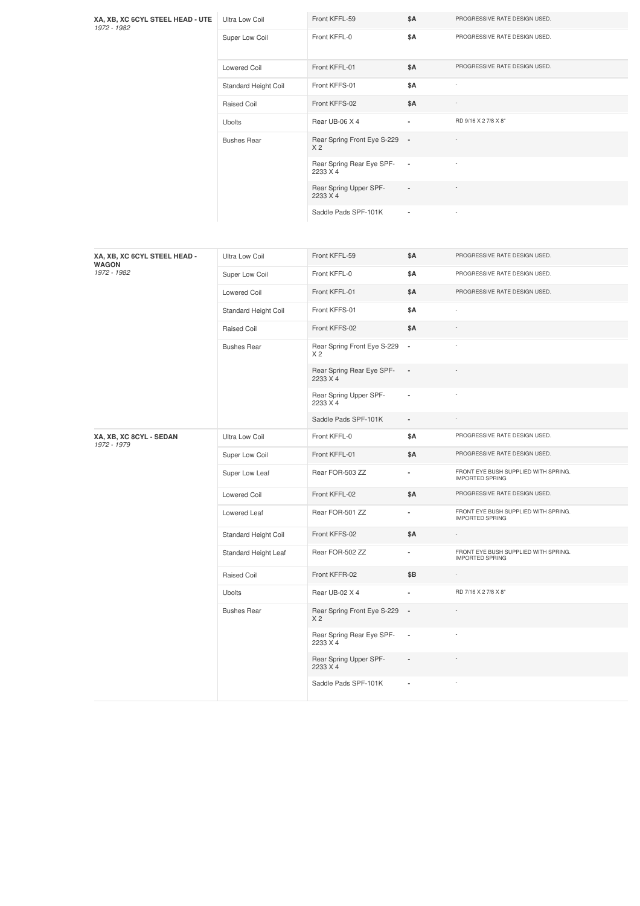| XA, XB, XC 6CYL STEEL HEAD - UTE<br>1972 - 1982 | Ultra Low Coil       | Front KFFL-59                                   | \$Α                      | PROGRESSIVE RATE DESIGN USED.                                  |
|-------------------------------------------------|----------------------|-------------------------------------------------|--------------------------|----------------------------------------------------------------|
|                                                 | Super Low Coil       | Front KFFL-0                                    | \$Α                      | PROGRESSIVE RATE DESIGN USED.                                  |
|                                                 | <b>Lowered Coil</b>  | Front KFFL-01                                   | \$Α                      | PROGRESSIVE RATE DESIGN USED.                                  |
|                                                 | Standard Height Coil | Front KFFS-01                                   | \$Α                      |                                                                |
|                                                 | Raised Coil          | Front KFFS-02                                   | \$Α                      |                                                                |
|                                                 | <b>Ubolts</b>        | Rear UB-06 X 4                                  | ä,                       | RD 9/16 X 2 7/8 X 8"                                           |
|                                                 | <b>Bushes Rear</b>   | Rear Spring Front Eye S-229<br>X <sub>2</sub>   | $\overline{\phantom{a}}$ |                                                                |
|                                                 |                      | Rear Spring Rear Eye SPF-<br>2233 X 4           | $\overline{\phantom{a}}$ |                                                                |
|                                                 |                      | Rear Spring Upper SPF-<br>2233 X 4              |                          |                                                                |
|                                                 |                      | Saddle Pads SPF-101K                            |                          |                                                                |
|                                                 |                      |                                                 |                          |                                                                |
| XA, XB, XC 6CYL STEEL HEAD -<br><b>WAGON</b>    | Ultra Low Coil       | Front KFFL-59                                   | \$Α                      | PROGRESSIVE RATE DESIGN USED.                                  |
| 1972 - 1982                                     | Super Low Coil       | Front KFFL-0                                    | \$Α                      | PROGRESSIVE RATE DESIGN USED.                                  |
|                                                 | <b>Lowered Coil</b>  | Front KFFL-01                                   | \$Α                      | PROGRESSIVE RATE DESIGN USED.                                  |
|                                                 | Standard Height Coil | Front KFFS-01                                   | \$Α                      | $\overline{\phantom{a}}$                                       |
|                                                 | Raised Coil          | Front KFFS-02                                   | \$Α                      |                                                                |
|                                                 | <b>Bushes Rear</b>   | Rear Spring Front Eye S-229<br>X 2              | $\overline{\phantom{a}}$ |                                                                |
|                                                 |                      | Rear Spring Rear Eye SPF-<br>2233 X 4           | ÷,                       |                                                                |
|                                                 |                      | Rear Spring Upper SPF-<br>2233 X 4              | ä,                       |                                                                |
|                                                 |                      | Saddle Pads SPF-101K                            | $\overline{\phantom{a}}$ |                                                                |
| XA, XB, XC 8CYL - SEDAN<br>1972 - 1979          | Ultra Low Coil       | Front KFFL-0                                    | \$Α                      | PROGRESSIVE RATE DESIGN USED.                                  |
|                                                 | Super Low Coil       | Front KFFL-01                                   | \$Α                      | PROGRESSIVE RATE DESIGN USED.                                  |
|                                                 | Super Low Leaf       | Rear FOR-503 ZZ                                 | ä,                       | FRONT EYE BUSH SUPPLIED WITH SPRING.<br><b>IMPORTED SPRING</b> |
|                                                 | Lowered Coil         | Front KFFL-02                                   | \$Α                      | PROGRESSIVE RATE DESIGN USED.                                  |
|                                                 | Lowered Leaf         | Rear FOR-501 ZZ                                 | $\overline{\phantom{a}}$ | FRONT EYE BUSH SUPPLIED WITH SPRING.<br><b>IMPORTED SPRING</b> |
|                                                 | Standard Height Coil | Front KFFS-02                                   | \$Α                      |                                                                |
|                                                 | Standard Height Leaf | Rear FOR-502 ZZ                                 | ä,                       | FRONT EYE BUSH SUPPLIED WITH SPRING.<br><b>IMPORTED SPRING</b> |
|                                                 | Raised Coil          | Front KFFR-02                                   | \$Β                      | $\overline{\phantom{a}}$                                       |
|                                                 | Ubolts               | Rear UB-02 X 4                                  | ä,                       | RD 7/16 X 2 7/8 X 8"                                           |
|                                                 | <b>Bushes Rear</b>   | Rear Spring Front Eye S-229 -<br>X <sub>2</sub> |                          |                                                                |
|                                                 |                      | Rear Spring Rear Eye SPF-<br>2233 X 4           | $\blacksquare$           |                                                                |
|                                                 |                      | Rear Spring Upper SPF-<br>2233 X 4              |                          |                                                                |

Saddle Pads SPF-101K **-** -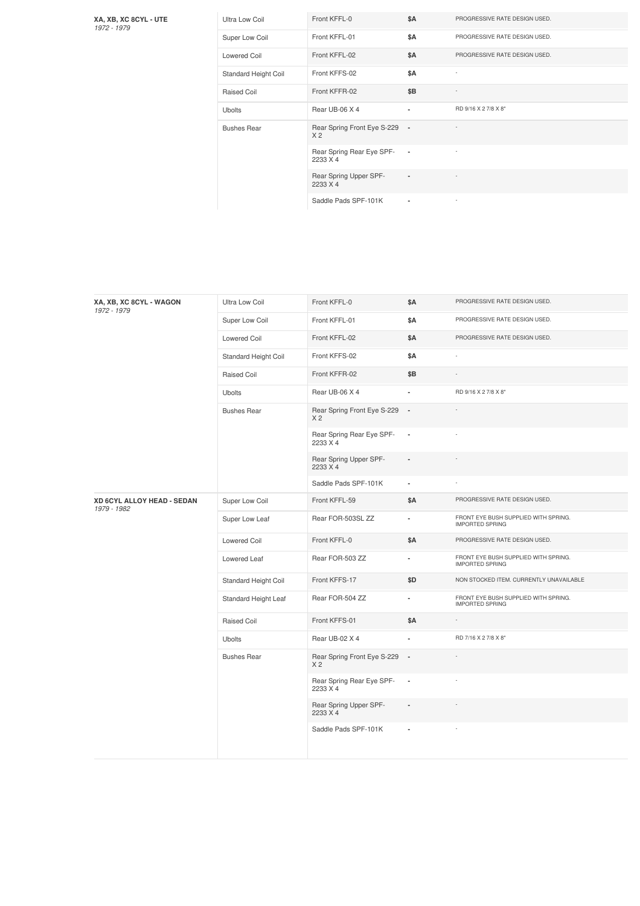**XA, XB, XC 8CYL - UTE** *1972 -1979*

| Ultra Low Coil       | Front KFFL-0                                    | <b>\$A</b>     | PROGRESSIVE RATE DESIGN USED. |
|----------------------|-------------------------------------------------|----------------|-------------------------------|
| Super Low Coil       | Front KFFL-01                                   | <b>\$A</b>     | PROGRESSIVE RATE DESIGN USED. |
| Lowered Coil         | Front KFFL-02                                   | <b>\$A</b>     | PROGRESSIVE RATE DESIGN USED. |
| Standard Height Coil | Front KFFS-02                                   | <b>\$A</b>     | ٠                             |
| Raised Coil          | Front KFFR-02                                   | \$B            | $\overline{a}$                |
| <b>Ubolts</b>        | Rear UB-06 X 4                                  | $\blacksquare$ | RD 9/16 X 2 7/8 X 8"          |
| <b>Bushes Rear</b>   | Rear Spring Front Eye S-229 -<br>X <sub>2</sub> |                |                               |
|                      | Rear Spring Rear Eye SPF-<br>2233 X 4           | $\blacksquare$ |                               |
|                      | Rear Spring Upper SPF-<br>2233 X 4              | ٠              |                               |
|                      | Saddle Pads SPF-101K                            | $\blacksquare$ | $\sim$                        |

| XA, XB, XC 8CYL - WAGON<br>1972 - 1979    | Ultra Low Coil       | Front KFFL-0                                  | <b>\$A</b>               | PROGRESSIVE RATE DESIGN USED.                                  |
|-------------------------------------------|----------------------|-----------------------------------------------|--------------------------|----------------------------------------------------------------|
|                                           | Super Low Coil       | Front KFFL-01                                 | \$Α                      | PROGRESSIVE RATE DESIGN USED.                                  |
|                                           | <b>Lowered Coil</b>  | Front KFFL-02                                 | \$Α                      | PROGRESSIVE RATE DESIGN USED.                                  |
|                                           | Standard Height Coil | Front KFFS-02                                 | <b>\$A</b>               | ×,                                                             |
|                                           | Raised Coil          | Front KFFR-02                                 | \$B                      |                                                                |
|                                           | <b>Ubolts</b>        | Rear UB-06 X 4                                |                          | RD 9/16 X 2 7/8 X 8"                                           |
|                                           | <b>Bushes Rear</b>   | Rear Spring Front Eye S-229<br>X <sub>2</sub> | $\overline{\phantom{a}}$ |                                                                |
|                                           |                      | Rear Spring Rear Eye SPF-<br>2233 X 4         | $\blacksquare$           |                                                                |
|                                           |                      | Rear Spring Upper SPF-<br>2233 X 4            | $\overline{\phantom{a}}$ |                                                                |
|                                           |                      | Saddle Pads SPF-101K                          | $\blacksquare$           |                                                                |
| XD 6CYL ALLOY HEAD - SEDAN<br>1979 - 1982 | Super Low Coil       | Front KFFL-59                                 | \$Α                      | PROGRESSIVE RATE DESIGN USED.                                  |
|                                           | Super Low Leaf       | Rear FOR-503SL ZZ                             | $\blacksquare$           | FRONT EYE BUSH SUPPLIED WITH SPRING.<br><b>IMPORTED SPRING</b> |
|                                           | <b>Lowered Coil</b>  | Front KFFL-0                                  | <b>\$A</b>               | PROGRESSIVE RATE DESIGN USED.                                  |
|                                           | Lowered Leaf         | Rear FOR-503 ZZ                               | $\blacksquare$           | FRONT EYE BUSH SUPPLIED WITH SPRING.<br><b>IMPORTED SPRING</b> |
|                                           | Standard Height Coil | Front KFFS-17                                 | \$D                      | NON STOCKED ITEM. CURRENTLY UNAVAILABLE                        |
|                                           | Standard Height Leaf | Rear FOR-504 ZZ                               | ä,                       | FRONT EYE BUSH SUPPLIED WITH SPRING.<br><b>IMPORTED SPRING</b> |
|                                           | Raised Coil          | Front KFFS-01                                 | <b>\$A</b>               |                                                                |
|                                           | <b>Ubolts</b>        | Rear UB-02 X 4                                |                          | RD 7/16 X 2 7/8 X 8"                                           |
|                                           | <b>Bushes Rear</b>   | Rear Spring Front Eye S-229<br>X <sub>2</sub> | $\overline{\phantom{a}}$ |                                                                |
|                                           |                      | Rear Spring Rear Eye SPF-<br>2233 X 4         | $\overline{\phantom{a}}$ |                                                                |
|                                           |                      | Rear Spring Upper SPF-<br>2233 X 4            |                          |                                                                |
|                                           |                      | Saddle Pads SPF-101K                          |                          |                                                                |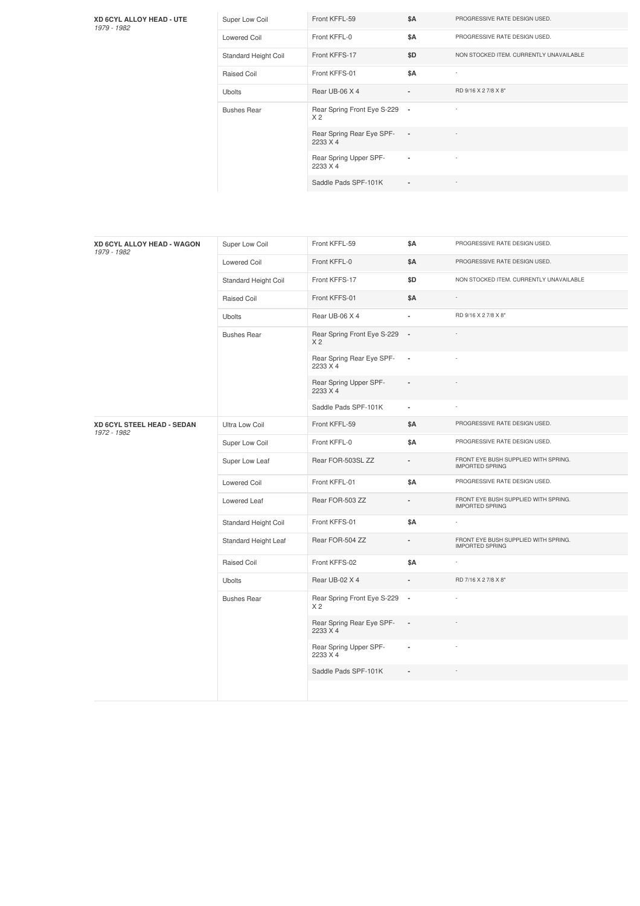## **XD 6CYL ALLOY HEAD - UTE** *1979 -1982*

| Super Low Coil       | Front KFFL-59                                   | <b>\$A</b>               | PROGRESSIVE RATE DESIGN USED.           |
|----------------------|-------------------------------------------------|--------------------------|-----------------------------------------|
| <b>Lowered Coil</b>  | Front KFFL-0                                    | \$A                      | PROGRESSIVE RATE DESIGN USED.           |
| Standard Height Coil | Front KFFS-17                                   | \$D                      | NON STOCKED ITEM. CURRENTLY UNAVAILABLE |
| Raised Coil          | Front KFFS-01                                   | <b>\$A</b>               |                                         |
| <b>Ubolts</b>        | Rear UB-06 X 4                                  | $\blacksquare$           | RD 9/16 X 2 7/8 X 8"                    |
| <b>Bushes Rear</b>   | Rear Spring Front Eye S-229 -<br>X <sub>2</sub> |                          |                                         |
|                      | Rear Spring Rear Eye SPF-<br>2233 X 4           | $\overline{\phantom{a}}$ |                                         |
|                      | Rear Spring Upper SPF-<br>2233 X 4              | $\blacksquare$           | ٠                                       |
|                      | Saddle Pads SPF-101K                            | $\blacksquare$           |                                         |

| XD 6CYL ALLOY HEAD - WAGON<br>1979 - 1982 | Super Low Coil       | Front KFFL-59                                 | \$Α                      | PROGRESSIVE RATE DESIGN USED.                                  |
|-------------------------------------------|----------------------|-----------------------------------------------|--------------------------|----------------------------------------------------------------|
|                                           | Lowered Coil         | Front KFFL-0                                  | \$Α                      | PROGRESSIVE RATE DESIGN USED.                                  |
|                                           | Standard Height Coil | Front KFFS-17                                 | \$D                      | NON STOCKED ITEM. CURRENTLY UNAVAILABLE                        |
|                                           | Raised Coil          | Front KFFS-01                                 | <b>\$A</b>               |                                                                |
|                                           | <b>Ubolts</b>        | Rear UB-06 X 4                                | ä,                       | RD 9/16 X 2 7/8 X 8"                                           |
|                                           | <b>Bushes Rear</b>   | Rear Spring Front Eye S-229<br>X <sub>2</sub> | $\overline{\phantom{a}}$ |                                                                |
|                                           |                      | Rear Spring Rear Eye SPF-<br>2233 X 4         | $\overline{\phantom{a}}$ |                                                                |
|                                           |                      | Rear Spring Upper SPF-<br>2233 X 4            |                          |                                                                |
|                                           |                      | Saddle Pads SPF-101K                          | ä,                       |                                                                |
| XD 6CYL STEEL HEAD - SEDAN<br>1972 - 1982 | Ultra Low Coil       | Front KFFL-59                                 | \$Α                      | PROGRESSIVE RATE DESIGN USED.                                  |
|                                           | Super Low Coil       | Front KFFL-0                                  | \$Α                      | PROGRESSIVE RATE DESIGN USED.                                  |
|                                           | Super Low Leaf       | Rear FOR-503SL ZZ                             | $\frac{1}{2}$            | FRONT EYE BUSH SUPPLIED WITH SPRING.<br><b>IMPORTED SPRING</b> |
|                                           | <b>Lowered Coil</b>  | Front KFFL-01                                 | \$Α                      | PROGRESSIVE RATE DESIGN USED.                                  |
|                                           | Lowered Leaf         | Rear FOR-503 ZZ                               | ä,                       | FRONT EYE BUSH SUPPLIED WITH SPRING.<br><b>IMPORTED SPRING</b> |
|                                           | Standard Height Coil | Front KFFS-01                                 | \$Α                      |                                                                |
|                                           | Standard Height Leaf | Rear FOR-504 ZZ                               |                          | FRONT EYE BUSH SUPPLIED WITH SPRING.<br><b>IMPORTED SPRING</b> |
|                                           | Raised Coil          | Front KFFS-02                                 | \$Α                      |                                                                |
|                                           | <b>Ubolts</b>        | Rear UB-02 X 4                                | ä,                       | RD 7/16 X 2 7/8 X 8"                                           |
|                                           | <b>Bushes Rear</b>   | Rear Spring Front Eye S-229<br>X 2            | $\blacksquare$           |                                                                |
|                                           |                      | Rear Spring Rear Eye SPF-<br>2233 X 4         | $\overline{\phantom{a}}$ |                                                                |
|                                           |                      | Rear Spring Upper SPF-<br>2233 X 4            | ×,                       |                                                                |
|                                           |                      | Saddle Pads SPF-101K                          |                          |                                                                |
|                                           |                      |                                               |                          |                                                                |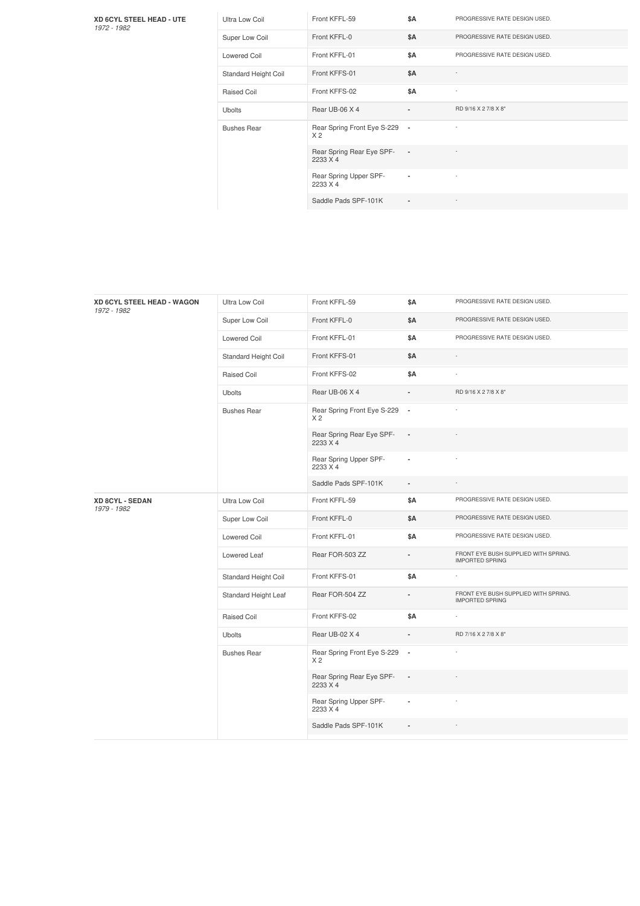**XD 6CYL STEEL HEAD - UTE** *1972 -1982*

| Ultra Low Coil       | Front KFFL-59                                   | \$A                      | PROGRESSIVE RATE DESIGN USED. |
|----------------------|-------------------------------------------------|--------------------------|-------------------------------|
| Super Low Coil       | Front KFFL-0                                    | \$A                      | PROGRESSIVE RATE DESIGN USED. |
| <b>Lowered Coil</b>  | Front KFFL-01                                   | <b>\$A</b>               | PROGRESSIVE RATE DESIGN USED. |
| Standard Height Coil | Front KFFS-01                                   | <b>\$A</b>               | ×,                            |
| Raised Coil          | Front KFFS-02                                   | \$A                      | $\overline{a}$                |
| <b>Ubolts</b>        | Rear UB-06 X 4                                  |                          | RD 9/16 X 2 7/8 X 8"          |
| <b>Bushes Rear</b>   | Rear Spring Front Eye S-229 -<br>X <sub>2</sub> |                          |                               |
|                      | Rear Spring Rear Eye SPF-<br>2233 X 4           | $\overline{\phantom{a}}$ |                               |
|                      | Rear Spring Upper SPF-<br>2233 X 4              | ٠                        |                               |
|                      | Saddle Pads SPF-101K                            | $\overline{\phantom{a}}$ |                               |

| XD 6CYL STEEL HEAD - WAGON<br>1972 - 1982 | Ultra Low Coil       | Front KFFL-59                                   | \$Α                      | PROGRESSIVE RATE DESIGN USED.                                  |
|-------------------------------------------|----------------------|-------------------------------------------------|--------------------------|----------------------------------------------------------------|
|                                           | Super Low Coil       | Front KFFL-0                                    | <b>\$A</b>               | PROGRESSIVE RATE DESIGN USED.                                  |
|                                           | <b>Lowered Coil</b>  | Front KFFL-01                                   | \$Α                      | PROGRESSIVE RATE DESIGN USED.                                  |
|                                           | Standard Height Coil | Front KFFS-01                                   | \$A                      |                                                                |
|                                           | Raised Coil          | Front KFFS-02                                   | <b>\$A</b>               |                                                                |
|                                           | <b>Ubolts</b>        | Rear UB-06 X 4                                  |                          | RD 9/16 X 2 7/8 X 8"                                           |
|                                           | <b>Bushes Rear</b>   | Rear Spring Front Eye S-229 -<br>X <sub>2</sub> |                          |                                                                |
|                                           |                      | Rear Spring Rear Eye SPF-<br>2233 X 4           | $\overline{\phantom{a}}$ |                                                                |
|                                           |                      | Rear Spring Upper SPF-<br>2233 X 4              | $\overline{\phantom{a}}$ |                                                                |
|                                           |                      | Saddle Pads SPF-101K                            | $\blacksquare$           |                                                                |
| XD 8CYL - SEDAN<br>1979 - 1982            | Ultra Low Coil       | Front KFFL-59                                   | \$Α                      | PROGRESSIVE RATE DESIGN USED.                                  |
|                                           | Super Low Coil       | Front KFFL-0                                    | \$Α                      | PROGRESSIVE RATE DESIGN USED.                                  |
|                                           | <b>Lowered Coil</b>  | Front KFFL-01                                   | <b>\$A</b>               | PROGRESSIVE RATE DESIGN USED.                                  |
|                                           | Lowered Leaf         | Rear FOR-503 ZZ                                 |                          | FRONT EYE BUSH SUPPLIED WITH SPRING.<br><b>IMPORTED SPRING</b> |
|                                           | Standard Height Coil | Front KFFS-01                                   | \$Α                      |                                                                |
|                                           | Standard Height Leaf | Rear FOR-504 ZZ                                 | $\overline{\phantom{a}}$ | FRONT EYE BUSH SUPPLIED WITH SPRING.<br><b>IMPORTED SPRING</b> |
|                                           | Raised Coil          | Front KFFS-02                                   | <b>\$A</b>               |                                                                |
|                                           | Ubolts               | Rear UB-02 X 4                                  | $\overline{a}$           | RD 7/16 X 2 7/8 X 8"                                           |
|                                           | <b>Bushes Rear</b>   | Rear Spring Front Eye S-229 -<br>X <sub>2</sub> |                          |                                                                |
|                                           |                      | Rear Spring Rear Eye SPF-<br>2233 X 4           | $\overline{\phantom{a}}$ |                                                                |
|                                           |                      | Rear Spring Upper SPF-<br>2233 X 4              | ä,                       |                                                                |
|                                           |                      | Saddle Pads SPF-101K                            |                          |                                                                |
|                                           |                      |                                                 |                          |                                                                |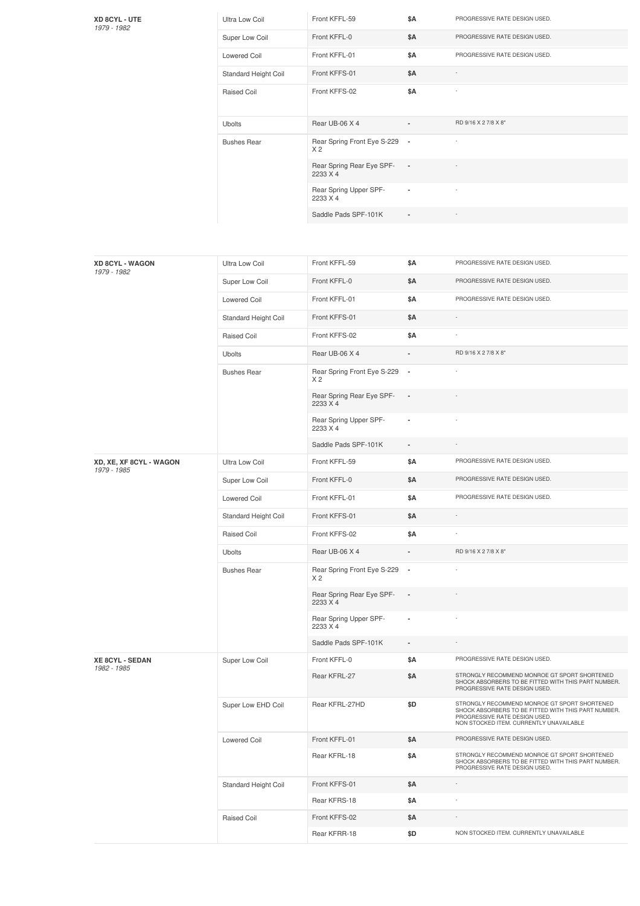| <b>XD 8CYL - UTE</b> |  |
|----------------------|--|
| 1979 - 1982          |  |

| Ultra Low Coil       | Front KFFL-59                                   | \$Α        | PROGRESSIVE RATE DESIGN USED. |
|----------------------|-------------------------------------------------|------------|-------------------------------|
| Super Low Coil       | Front KFFL-0                                    | <b>\$A</b> | PROGRESSIVE RATE DESIGN USED. |
| Lowered Coil         | Front KFFL-01                                   | \$Α        | PROGRESSIVE RATE DESIGN USED. |
| Standard Height Coil | Front KFFS-01                                   | <b>\$A</b> |                               |
| <b>Raised Coil</b>   | Front KFFS-02                                   | <b>\$A</b> |                               |
| <b>Ubolts</b>        | Rear UB-06 X 4                                  | ۰          | RD 9/16 X 2 7/8 X 8"          |
| <b>Bushes Rear</b>   | Rear Spring Front Eye S-229 -<br>X <sub>2</sub> |            |                               |
|                      | Rear Spring Rear Eye SPF-<br>2233 X 4           | $\sim$     |                               |
|                      | Rear Spring Upper SPF-<br>2233 X 4              | ٠          |                               |
|                      | Saddle Pads SPF-101K                            | ٠          |                               |

| <b>XD 8CYL - WAGON</b><br>1979 - 1982  | Ultra Low Coil       | Front KFFL-59                                 | \$Α                      | PROGRESSIVE RATE DESIGN USED.                                                                                                                                                   |
|----------------------------------------|----------------------|-----------------------------------------------|--------------------------|---------------------------------------------------------------------------------------------------------------------------------------------------------------------------------|
|                                        | Super Low Coil       | Front KFFL-0                                  | \$Α                      | PROGRESSIVE RATE DESIGN USED.                                                                                                                                                   |
|                                        | <b>Lowered Coil</b>  | Front KFFL-01                                 | \$Α                      | PROGRESSIVE RATE DESIGN USED.                                                                                                                                                   |
|                                        | Standard Height Coil | Front KFFS-01                                 | \$Α                      |                                                                                                                                                                                 |
|                                        | Raised Coil          | Front KFFS-02                                 | \$Α                      |                                                                                                                                                                                 |
|                                        | <b>Ubolts</b>        | Rear UB-06 X 4                                |                          | RD 9/16 X 2 7/8 X 8"                                                                                                                                                            |
|                                        | <b>Bushes Rear</b>   | Rear Spring Front Eye S-229<br>X <sub>2</sub> | $\overline{\phantom{a}}$ |                                                                                                                                                                                 |
|                                        |                      | Rear Spring Rear Eye SPF-<br>2233 X 4         |                          |                                                                                                                                                                                 |
|                                        |                      | Rear Spring Upper SPF-<br>2233 X 4            |                          |                                                                                                                                                                                 |
|                                        |                      | Saddle Pads SPF-101K                          | $\overline{\phantom{a}}$ |                                                                                                                                                                                 |
| XD, XE, XF 8CYL - WAGON<br>1979 - 1985 | Ultra Low Coil       | Front KFFL-59                                 | \$Α                      | PROGRESSIVE RATE DESIGN USED.                                                                                                                                                   |
|                                        | Super Low Coil       | Front KFFL-0                                  | \$Α                      | PROGRESSIVE RATE DESIGN USED.                                                                                                                                                   |
|                                        | <b>Lowered Coil</b>  | Front KFFL-01                                 | \$Α                      | PROGRESSIVE RATE DESIGN USED.                                                                                                                                                   |
|                                        | Standard Height Coil | Front KFFS-01                                 | \$Α                      |                                                                                                                                                                                 |
|                                        | Raised Coil          | Front KFFS-02                                 | \$Α                      |                                                                                                                                                                                 |
|                                        | <b>Ubolts</b>        | Rear UB-06 X 4                                |                          | RD 9/16 X 2 7/8 X 8"                                                                                                                                                            |
|                                        | <b>Bushes Rear</b>   | Rear Spring Front Eye S-229<br>X <sub>2</sub> | $\overline{\phantom{a}}$ |                                                                                                                                                                                 |
|                                        |                      | Rear Spring Rear Eye SPF-<br>2233 X 4         | $\blacksquare$           |                                                                                                                                                                                 |
|                                        |                      | Rear Spring Upper SPF-<br>2233 X 4            | ×,                       |                                                                                                                                                                                 |
|                                        |                      | Saddle Pads SPF-101K                          | $\overline{\phantom{a}}$ |                                                                                                                                                                                 |
| <b>XE 8CYL - SEDAN</b><br>1982 - 1985  | Super Low Coil       | Front KFFL-0                                  | \$Α                      | PROGRESSIVE RATE DESIGN USED.                                                                                                                                                   |
|                                        |                      | Rear KFRL-27                                  | \$Α                      | STRONGLY RECOMMEND MONROE GT SPORT SHORTENED<br>SHOCK ABSORBERS TO BE FITTED WITH THIS PART NUMBER.<br>PROGRESSIVE RATE DESIGN USED.                                            |
|                                        | Super Low EHD Coil   | Rear KFRL-27HD                                | \$D                      | STRONGLY RECOMMEND MONROE GT SPORT SHORTENED<br>SHOCK ABSORBERS TO BE FITTED WITH THIS PART NUMBER.<br>PROGRESSIVE RATE DESIGN USED.<br>NON STOCKED ITEM. CURRENTLY UNAVAILABLE |
|                                        | Lowered Coil         | Front KFFL-01                                 | \$Α                      | PROGRESSIVE RATE DESIGN USED.                                                                                                                                                   |
|                                        |                      | Rear KFRL-18                                  | \$Α                      | STRONGLY RECOMMEND MONROE GT SPORT SHORTENED<br>SHOCK ABSORBERS TO BE FITTED WITH THIS PART NUMBER.<br>PROGRESSIVE RATE DESIGN USED.                                            |
|                                        | Standard Height Coil | Front KFFS-01                                 | \$Α                      | $\overline{\phantom{a}}$                                                                                                                                                        |
|                                        |                      | Rear KFRS-18                                  | \$Α                      |                                                                                                                                                                                 |
|                                        | Raised Coil          | Front KFFS-02                                 | \$Α                      |                                                                                                                                                                                 |
|                                        |                      | Rear KFRR-18                                  | \$D                      | NON STOCKED ITEM. CURRENTLY UNAVAILABLE                                                                                                                                         |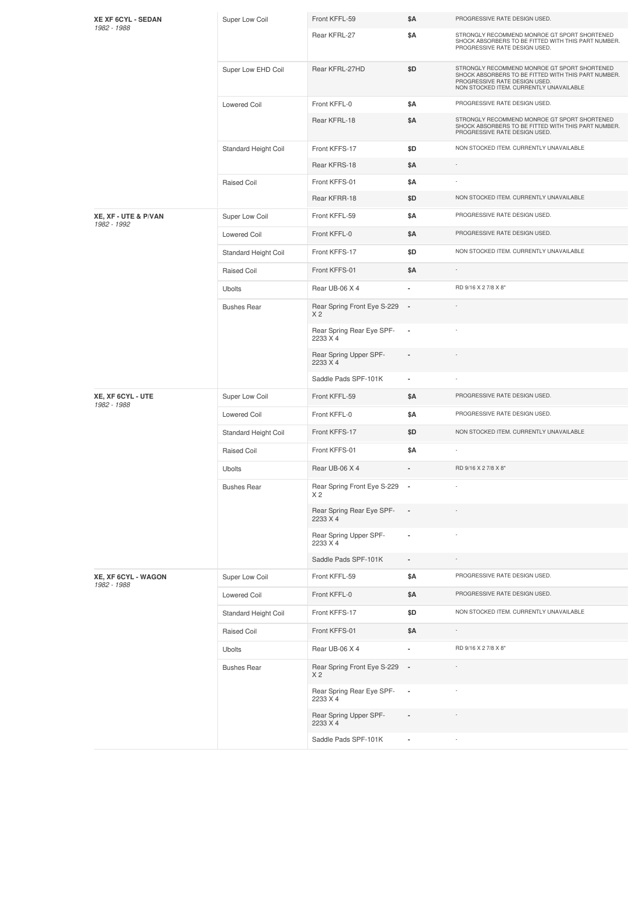| XE XF 6CYL - SEDAN<br>1982 - 1988   | Super Low Coil       | Front KFFL-59                                              | \$Α                      | PROGRESSIVE RATE DESIGN USED.                                                                                                                                                   |
|-------------------------------------|----------------------|------------------------------------------------------------|--------------------------|---------------------------------------------------------------------------------------------------------------------------------------------------------------------------------|
|                                     |                      | Rear KFRL-27                                               | \$Α                      | STRONGLY RECOMMEND MONROE GT SPORT SHORTENED<br>SHOCK ABSORBERS TO BE FITTED WITH THIS PART NUMBER.<br>PROGRESSIVE RATE DESIGN USED.                                            |
|                                     | Super Low EHD Coil   | Rear KFRL-27HD                                             | \$D                      | STRONGLY RECOMMEND MONROE GT SPORT SHORTENED<br>SHOCK ABSORBERS TO BE FITTED WITH THIS PART NUMBER.<br>PROGRESSIVE RATE DESIGN USED.<br>NON STOCKED ITEM. CURRENTLY UNAVAILABLE |
|                                     | <b>Lowered Coil</b>  | Front KFFL-0                                               | \$Α                      | PROGRESSIVE RATE DESIGN USED.                                                                                                                                                   |
|                                     |                      | Rear KFRL-18                                               | \$Α                      | STRONGLY RECOMMEND MONROE GT SPORT SHORTENED<br>SHOCK ABSORBERS TO BE FITTED WITH THIS PART NUMBER.<br>PROGRESSIVE RATE DESIGN USED.                                            |
|                                     | Standard Height Coil | Front KFFS-17                                              | \$D                      | NON STOCKED ITEM. CURRENTLY UNAVAILABLE                                                                                                                                         |
|                                     |                      | Rear KFRS-18                                               | \$Α                      | $\overline{\phantom{a}}$                                                                                                                                                        |
|                                     | Raised Coil          | Front KFFS-01                                              | \$Α                      |                                                                                                                                                                                 |
|                                     |                      | Rear KFRR-18                                               | \$D                      | NON STOCKED ITEM. CURRENTLY UNAVAILABLE                                                                                                                                         |
| XE, XF - UTE & P/VAN<br>1982 - 1992 | Super Low Coil       | Front KFFL-59                                              | \$Α                      | PROGRESSIVE RATE DESIGN USED.                                                                                                                                                   |
|                                     | <b>Lowered Coil</b>  | Front KFFL-0                                               | \$Α                      | PROGRESSIVE RATE DESIGN USED.                                                                                                                                                   |
|                                     | Standard Height Coil | Front KFFS-17                                              | \$D                      | NON STOCKED ITEM. CURRENTLY UNAVAILABLE                                                                                                                                         |
|                                     | <b>Raised Coil</b>   | Front KFFS-01                                              | \$Α                      |                                                                                                                                                                                 |
|                                     | Ubolts               | Rear UB-06 X 4                                             | ä,                       | RD 9/16 X 2 7/8 X 8"                                                                                                                                                            |
|                                     | <b>Bushes Rear</b>   | Rear Spring Front Eye S-229<br>X <sub>2</sub>              | $\overline{\phantom{a}}$ |                                                                                                                                                                                 |
|                                     |                      | Rear Spring Rear Eye SPF-<br>2233 X 4                      | $\overline{\phantom{a}}$ |                                                                                                                                                                                 |
|                                     |                      | Rear Spring Upper SPF-<br>2233 X 4                         |                          |                                                                                                                                                                                 |
|                                     |                      | Saddle Pads SPF-101K                                       | ٠                        |                                                                                                                                                                                 |
| XE, XF 6CYL - UTE<br>1982 - 1988    | Super Low Coil       | Front KFFL-59                                              | \$Α                      | PROGRESSIVE RATE DESIGN USED.                                                                                                                                                   |
|                                     | Lowered Coil         | Front KFFL-0                                               | \$Α                      | PROGRESSIVE RATE DESIGN USED.                                                                                                                                                   |
|                                     | Standard Height Coil | Front KFFS-17                                              | \$D                      | NON STOCKED ITEM. CURRENTLY UNAVAILABLE                                                                                                                                         |
|                                     | Raised Coil          | Front KFFS-01                                              | \$Α                      |                                                                                                                                                                                 |
|                                     | Ubolts               | Rear UB-06 X 4                                             |                          | RD 9/16 X 2 7/8 X 8"                                                                                                                                                            |
|                                     | <b>Bushes Rear</b>   | Rear Spring Front Eye S-229<br>X 2                         | $\blacksquare$           |                                                                                                                                                                                 |
|                                     |                      | Rear Spring Rear Eye SPF-<br>2233 X 4                      | $\blacksquare$           |                                                                                                                                                                                 |
|                                     |                      | Rear Spring Upper SPF-<br>2233 X 4                         | ä,                       |                                                                                                                                                                                 |
|                                     |                      | Saddle Pads SPF-101K                                       | ä,                       |                                                                                                                                                                                 |
| XE, XF 6CYL - WAGON<br>1982 - 1988  | Super Low Coil       | Front KFFL-59                                              | \$Α                      | PROGRESSIVE RATE DESIGN USED.                                                                                                                                                   |
|                                     | Lowered Coil         | Front KFFL-0                                               | \$Α                      | PROGRESSIVE RATE DESIGN USED.                                                                                                                                                   |
|                                     | Standard Height Coil | Front KFFS-17                                              | \$D                      | NON STOCKED ITEM. CURRENTLY UNAVAILABLE                                                                                                                                         |
|                                     | Raised Coil          | Front KFFS-01                                              | \$Α                      |                                                                                                                                                                                 |
|                                     | <b>Ubolts</b>        | Rear UB-06 X 4                                             | ä,                       | RD 9/16 X 2 7/8 X 8"                                                                                                                                                            |
|                                     | <b>Bushes Rear</b>   | Rear Spring Front Eye S-229<br>X <sub>2</sub>              | $\overline{\phantom{a}}$ |                                                                                                                                                                                 |
|                                     |                      | Rear Spring Rear Eye SPF-                                  | $\overline{\phantom{a}}$ |                                                                                                                                                                                 |
|                                     |                      | 2233 X 4                                                   |                          |                                                                                                                                                                                 |
|                                     |                      | Rear Spring Upper SPF-<br>2233 X 4<br>Saddle Pads SPF-101K |                          |                                                                                                                                                                                 |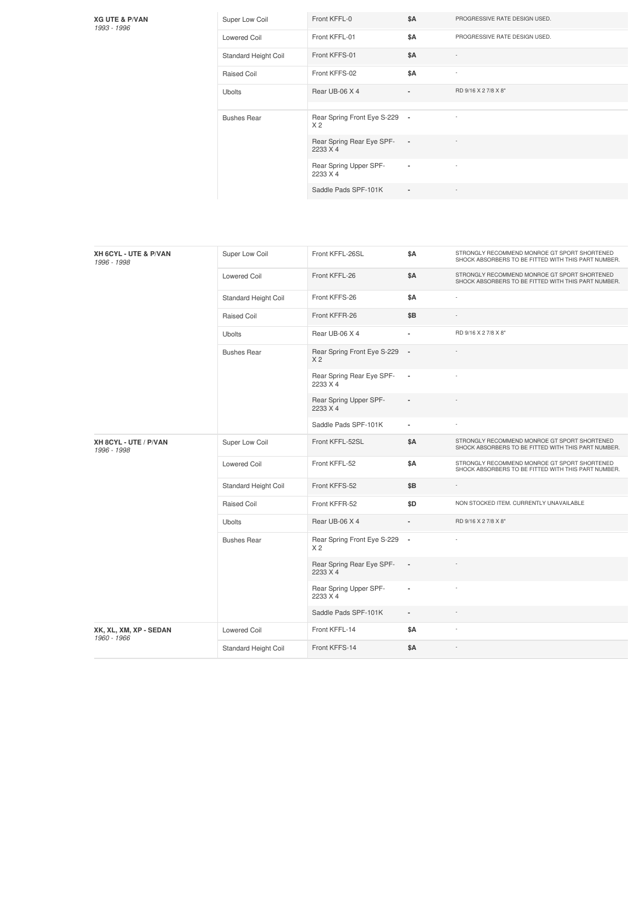## **XG UTE & P/VAN** *1993 -1996*

| Super Low Coil       | Front KFFL-0                                    | <b>\$A</b>               | PROGRESSIVE RATE DESIGN USED. |
|----------------------|-------------------------------------------------|--------------------------|-------------------------------|
| Lowered Coil         | Front KFFL-01                                   | \$Α                      | PROGRESSIVE RATE DESIGN USED. |
| Standard Height Coil | Front KFFS-01                                   | <b>\$A</b>               | $\overline{a}$                |
| Raised Coil          | Front KFFS-02                                   | \$Α                      | ٠                             |
| <b>Ubolts</b>        | Rear UB-06 X 4                                  | $\blacksquare$           | RD 9/16 X 2 7/8 X 8"          |
|                      |                                                 |                          |                               |
| <b>Bushes Rear</b>   | Rear Spring Front Eye S-229 -<br>X <sub>2</sub> |                          |                               |
|                      | Rear Spring Rear Eye SPF-<br>2233 X 4           | $\overline{\phantom{a}}$ |                               |
|                      | Rear Spring Upper SPF-                          | ٠                        |                               |
|                      | 2233 X 4                                        |                          |                               |

| XH 6CYL - UTE & P/VAN<br>1996 - 1998  | Super Low Coil       | Front KFFL-26SL                               | \$Α                      | STRONGLY RECOMMEND MONROE GT SPORT SHORTENED<br>SHOCK ABSORBERS TO BE FITTED WITH THIS PART NUMBER. |
|---------------------------------------|----------------------|-----------------------------------------------|--------------------------|-----------------------------------------------------------------------------------------------------|
|                                       | <b>Lowered Coil</b>  | Front KFFL-26                                 | \$Α                      | STRONGLY RECOMMEND MONROE GT SPORT SHORTENED<br>SHOCK ABSORBERS TO BE FITTED WITH THIS PART NUMBER. |
|                                       | Standard Height Coil | Front KFFS-26                                 | <b>\$A</b>               | ÷                                                                                                   |
|                                       | Raised Coil          | Front KFFR-26                                 | \$B                      |                                                                                                     |
|                                       | <b>Ubolts</b>        | Rear UB-06 X 4                                |                          | RD 9/16 X 2 7/8 X 8"                                                                                |
|                                       | <b>Bushes Rear</b>   | Rear Spring Front Eye S-229<br>X <sub>2</sub> | $\sim$                   |                                                                                                     |
|                                       |                      | Rear Spring Rear Eye SPF-<br>2233 X 4         | $\overline{\phantom{a}}$ |                                                                                                     |
|                                       |                      | Rear Spring Upper SPF-<br>2233 X 4            |                          |                                                                                                     |
|                                       |                      | Saddle Pads SPF-101K                          | $\overline{\phantom{a}}$ |                                                                                                     |
| XH 8CYL - UTE / P/VAN<br>1996 - 1998  | Super Low Coil       | Front KFFL-52SL                               | \$Α                      | STRONGLY RECOMMEND MONROE GT SPORT SHORTENED<br>SHOCK ABSORBERS TO BE FITTED WITH THIS PART NUMBER. |
|                                       | <b>Lowered Coil</b>  | Front KFFL-52                                 | \$Α                      | STRONGLY RECOMMEND MONROE GT SPORT SHORTENED<br>SHOCK ABSORBERS TO BE FITTED WITH THIS PART NUMBER. |
|                                       | Standard Height Coil | Front KFFS-52                                 | \$B                      |                                                                                                     |
|                                       | Raised Coil          | Front KFFR-52                                 | \$D                      | NON STOCKED ITEM. CURRENTLY UNAVAILABLE                                                             |
|                                       | <b>Ubolts</b>        | Rear UB-06 X 4                                |                          | RD 9/16 X 2 7/8 X 8"                                                                                |
|                                       | <b>Bushes Rear</b>   | Rear Spring Front Eye S-229<br>X <sub>2</sub> | $\sim$                   |                                                                                                     |
|                                       |                      | Rear Spring Rear Eye SPF-<br>2233 X 4         | $\overline{\phantom{a}}$ |                                                                                                     |
|                                       |                      | Rear Spring Upper SPF-<br>2233 X 4            | $\overline{\phantom{a}}$ |                                                                                                     |
|                                       |                      | Saddle Pads SPF-101K                          | $\frac{1}{2}$            |                                                                                                     |
| XK, XL, XM, XP - SEDAN<br>1960 - 1966 | <b>Lowered Coil</b>  | Front KFFL-14                                 | \$Α                      | ÷                                                                                                   |
|                                       | Standard Height Coil | Front KFFS-14                                 | \$Α                      | J.                                                                                                  |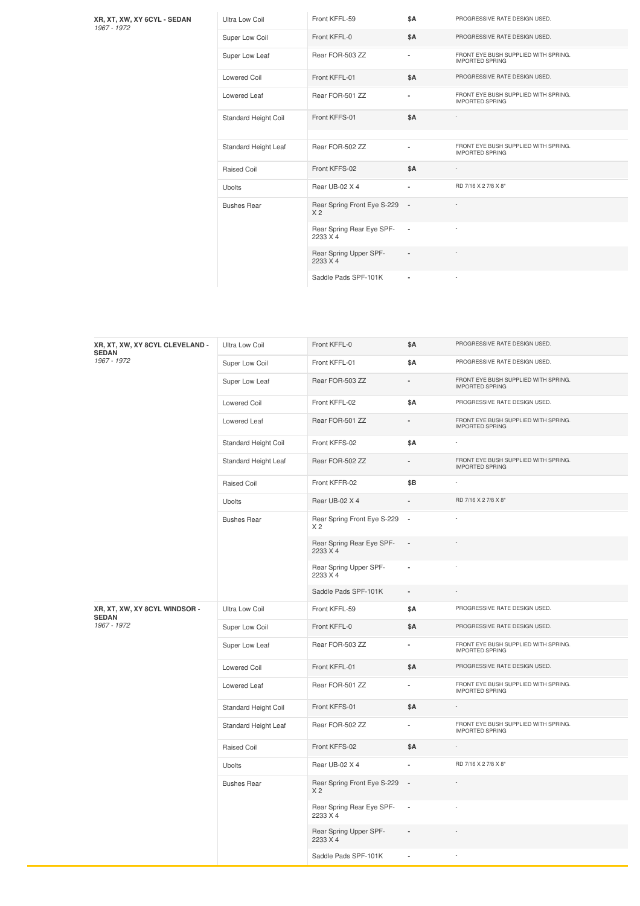**XR, XT, XW, XY 6CYL - SEDAN** *1967 -1972*

| Ultra Low Coil       | Front KFFL-59                                 | \$A                      | PROGRESSIVE RATE DESIGN USED.                                  |
|----------------------|-----------------------------------------------|--------------------------|----------------------------------------------------------------|
| Super Low Coil       | Front KFFL-0                                  | \$A                      | PROGRESSIVE RATE DESIGN USED.                                  |
| Super Low Leaf       | Rear FOR-503 ZZ                               | $\blacksquare$           | FRONT EYE BUSH SUPPLIED WITH SPRING.<br><b>IMPORTED SPRING</b> |
| <b>Lowered Coil</b>  | Front KFFL-01                                 | <b>\$A</b>               | PROGRESSIVE RATE DESIGN USED.                                  |
| Lowered Leaf         | Rear FOR-501 ZZ                               | $\blacksquare$           | FRONT EYE BUSH SUPPLIED WITH SPRING.<br><b>IMPORTED SPRING</b> |
| Standard Height Coil | Front KFFS-01                                 | <b>\$A</b>               |                                                                |
| Standard Height Leaf | Rear FOR-502 ZZ                               |                          | FRONT EYE BUSH SUPPLIED WITH SPRING.<br><b>IMPORTED SPRING</b> |
| Raised Coil          | Front KFFS-02                                 | <b>\$A</b>               |                                                                |
| Ubolts               | Rear UB-02 X 4                                | ٠                        | RD 7/16 X 2 7/8 X 8"                                           |
| <b>Bushes Rear</b>   | Rear Spring Front Eye S-229<br>X <sub>2</sub> | . .                      |                                                                |
|                      | Rear Spring Rear Eye SPF-<br>2233 X 4         | $\overline{\phantom{a}}$ |                                                                |
|                      | Rear Spring Upper SPF-<br>2233 X 4            |                          |                                                                |
|                      | Saddle Pads SPF-101K                          | ٠                        |                                                                |

| XR, XT, XW, XY 8CYL CLEVELAND -<br><b>SEDAN</b><br>1967 - 1972 | Ultra Low Coil       | Front KFFL-0                                  | <b>\$A</b>               | PROGRESSIVE RATE DESIGN USED.                                  |
|----------------------------------------------------------------|----------------------|-----------------------------------------------|--------------------------|----------------------------------------------------------------|
|                                                                | Super Low Coil       | Front KFFL-01                                 | <b>\$A</b>               | PROGRESSIVE RATE DESIGN USED.                                  |
|                                                                | Super Low Leaf       | Rear FOR-503 ZZ                               |                          | FRONT EYE BUSH SUPPLIED WITH SPRING.<br><b>IMPORTED SPRING</b> |
|                                                                | <b>Lowered Coil</b>  | Front KFFL-02                                 | <b>\$A</b>               | PROGRESSIVE RATE DESIGN USED.                                  |
|                                                                | Lowered Leaf         | Rear FOR-501 ZZ                               |                          | FRONT EYE BUSH SUPPLIED WITH SPRING.<br><b>IMPORTED SPRING</b> |
|                                                                | Standard Height Coil | Front KFFS-02                                 | <b>\$A</b>               |                                                                |
|                                                                | Standard Height Leaf | Rear FOR-502 ZZ                               |                          | FRONT EYE BUSH SUPPLIED WITH SPRING.<br><b>IMPORTED SPRING</b> |
|                                                                | Raised Coil          | Front KFFR-02                                 | \$B                      |                                                                |
|                                                                | <b>Ubolts</b>        | Rear UB-02 X 4                                |                          | RD 7/16 X 2 7/8 X 8"                                           |
|                                                                | <b>Bushes Rear</b>   | Rear Spring Front Eye S-229<br>X <sub>2</sub> | $\blacksquare$           |                                                                |
|                                                                |                      | Rear Spring Rear Eye SPF-<br>2233 X 4         | $\overline{\phantom{a}}$ |                                                                |
|                                                                |                      | Rear Spring Upper SPF-<br>2233 X 4            | ٠                        |                                                                |
|                                                                |                      | Saddle Pads SPF-101K                          | $\blacksquare$           |                                                                |
| XR, XT, XW, XY 8CYL WINDSOR -<br><b>SEDAN</b>                  | Ultra Low Coil       | Front KFFL-59                                 | <b>\$A</b>               | PROGRESSIVE RATE DESIGN USED.                                  |
| 1967 - 1972                                                    | Super Low Coil       | Front KFFL-0                                  | \$Α                      | PROGRESSIVE RATE DESIGN USED.                                  |
|                                                                | Super Low Leaf       | Rear FOR-503 ZZ                               | $\overline{\phantom{a}}$ | FRONT EYE BUSH SUPPLIED WITH SPRING.<br><b>IMPORTED SPRING</b> |
|                                                                | <b>Lowered Coil</b>  | Front KFFL-01                                 | \$Α                      | PROGRESSIVE RATE DESIGN USED.                                  |
|                                                                | Lowered Leaf         | Rear FOR-501 ZZ                               | ä,                       | FRONT EYE BUSH SUPPLIED WITH SPRING.<br><b>IMPORTED SPRING</b> |
|                                                                | Standard Height Coil | Front KFFS-01                                 | <b>\$A</b>               |                                                                |
|                                                                | Standard Height Leaf | Rear FOR-502 ZZ                               | $\overline{\phantom{a}}$ | FRONT EYE BUSH SUPPLIED WITH SPRING.<br><b>IMPORTED SPRING</b> |
|                                                                | Raised Coil          | Front KFFS-02                                 | <b>\$A</b>               |                                                                |
|                                                                | Ubolts               | Rear UB-02 X 4                                |                          | RD 7/16 X 2 7/8 X 8"                                           |
|                                                                | <b>Bushes Rear</b>   | Rear Spring Front Eye S-229<br>X <sub>2</sub> |                          |                                                                |
|                                                                |                      | Rear Spring Rear Eye SPF-<br>2233 X 4         | $\blacksquare$           |                                                                |
|                                                                |                      | Rear Spring Upper SPF-<br>2233 X 4            |                          |                                                                |
|                                                                |                      | Saddle Pads SPF-101K                          | $\overline{\phantom{a}}$ |                                                                |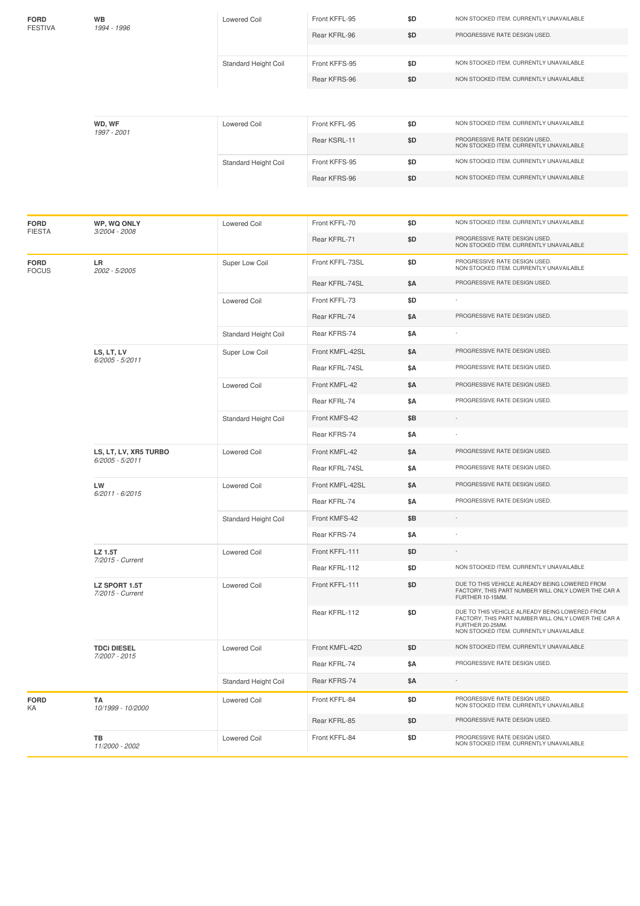| <b>FORD</b>                 | WB                                | <b>Lowered Coil</b>  | Front KFFL-95   | \$D        | NON STOCKED ITEM. CURRENTLY UNAVAILABLE                                                                                                                              |  |  |  |  |  |
|-----------------------------|-----------------------------------|----------------------|-----------------|------------|----------------------------------------------------------------------------------------------------------------------------------------------------------------------|--|--|--|--|--|
| <b>FESTIVA</b>              | 1994 - 1996                       |                      | Rear KFRL-96    | \$D        | PROGRESSIVE RATE DESIGN USED.                                                                                                                                        |  |  |  |  |  |
|                             |                                   |                      |                 |            |                                                                                                                                                                      |  |  |  |  |  |
|                             |                                   | Standard Height Coil | Front KFFS-95   | \$D        | NON STOCKED ITEM. CURRENTLY UNAVAILABLE                                                                                                                              |  |  |  |  |  |
|                             |                                   |                      | Rear KFRS-96    | \$D        | NON STOCKED ITEM. CURRENTLY UNAVAILABLE                                                                                                                              |  |  |  |  |  |
|                             |                                   |                      |                 |            |                                                                                                                                                                      |  |  |  |  |  |
|                             | WD, WF<br>1997 - 2001             | <b>Lowered Coil</b>  | Front KFFL-95   | \$D        | NON STOCKED ITEM. CURRENTLY UNAVAILABLE                                                                                                                              |  |  |  |  |  |
|                             |                                   |                      | Rear KSRL-11    | \$D        | PROGRESSIVE RATE DESIGN USED.<br>NON STOCKED ITEM. CURRENTLY UNAVAILABLE                                                                                             |  |  |  |  |  |
|                             |                                   | Standard Height Coil | Front KFFS-95   | \$D        | NON STOCKED ITEM. CURRENTLY UNAVAILABLE                                                                                                                              |  |  |  |  |  |
|                             |                                   |                      | Rear KFRS-96    | \$D        | NON STOCKED ITEM. CURRENTLY UNAVAILABLE                                                                                                                              |  |  |  |  |  |
|                             |                                   |                      |                 |            |                                                                                                                                                                      |  |  |  |  |  |
| <b>FORD</b>                 | WP, WQ ONLY                       | <b>Lowered Coil</b>  | Front KFFL-70   | \$D        | NON STOCKED ITEM. CURRENTLY UNAVAILABLE                                                                                                                              |  |  |  |  |  |
| <b>FIESTA</b>               | 3/2004 - 2008                     |                      | Rear KFRL-71    | \$D        | PROGRESSIVE RATE DESIGN USED.<br>NON STOCKED ITEM. CURRENTLY UNAVAILABLE                                                                                             |  |  |  |  |  |
| <b>FORD</b><br><b>FOCUS</b> | LR<br>2002 - 5/2005               | Super Low Coil       | Front KFFL-73SL | \$D        | PROGRESSIVE RATE DESIGN USED.<br>NON STOCKED ITEM. CURRENTLY UNAVAILABLE                                                                                             |  |  |  |  |  |
|                             |                                   |                      | Rear KFRL-74SL  | <b>\$A</b> | PROGRESSIVE RATE DESIGN USED.                                                                                                                                        |  |  |  |  |  |
|                             |                                   | <b>Lowered Coil</b>  | Front KFFL-73   | \$D        |                                                                                                                                                                      |  |  |  |  |  |
|                             |                                   |                      | Rear KFRL-74    | \$A        | PROGRESSIVE RATE DESIGN USED.                                                                                                                                        |  |  |  |  |  |
|                             |                                   | Standard Height Coil | Rear KFRS-74    | \$Α        |                                                                                                                                                                      |  |  |  |  |  |
|                             | LS, LT, LV                        | Super Low Coil       | Front KMFL-42SL | \$Α        | PROGRESSIVE RATE DESIGN USED.                                                                                                                                        |  |  |  |  |  |
|                             | $6/2005 - 5/2011$                 |                      | Rear KFRL-74SL  | \$Α        | PROGRESSIVE RATE DESIGN USED.                                                                                                                                        |  |  |  |  |  |
|                             |                                   | <b>Lowered Coil</b>  | Front KMFL-42   | <b>\$A</b> | PROGRESSIVE RATE DESIGN USED.                                                                                                                                        |  |  |  |  |  |
|                             |                                   |                      | Rear KFRL-74    | \$Α        | PROGRESSIVE RATE DESIGN USED.                                                                                                                                        |  |  |  |  |  |
|                             |                                   | Standard Height Coil | Front KMFS-42   | \$B        |                                                                                                                                                                      |  |  |  |  |  |
|                             |                                   |                      | Rear KFRS-74    | \$Α        |                                                                                                                                                                      |  |  |  |  |  |
|                             | LS, LT, LV, XR5 TURBO             | <b>Lowered Coil</b>  | Front KMFL-42   | \$Α        | PROGRESSIVE RATE DESIGN USED.                                                                                                                                        |  |  |  |  |  |
|                             | 6/2005 - 5/2011                   |                      | Rear KFRL-74SL  | \$Α        | PROGRESSIVE RATE DESIGN USED.                                                                                                                                        |  |  |  |  |  |
|                             | LW                                | <b>Lowered Coil</b>  | Front KMFL-42SL | \$Α        | PROGRESSIVE RATE DESIGN USED.                                                                                                                                        |  |  |  |  |  |
|                             | 6/2011 - 6/2015                   |                      | Rear KFRL-74    | \$Α        | PROGRESSIVE RATE DESIGN USED.                                                                                                                                        |  |  |  |  |  |
|                             |                                   | Standard Height Coil | Front KMFS-42   | \$Β        |                                                                                                                                                                      |  |  |  |  |  |
|                             |                                   |                      | Rear KFRS-74    | \$Α        |                                                                                                                                                                      |  |  |  |  |  |
|                             | LZ 1.5T                           | <b>Lowered Coil</b>  | Front KFFL-111  | \$D        |                                                                                                                                                                      |  |  |  |  |  |
|                             | 7/2015 - Current                  |                      | Rear KFRL-112   | \$D        | NON STOCKED ITEM. CURRENTLY UNAVAILABLE                                                                                                                              |  |  |  |  |  |
|                             | LZ SPORT 1.5T<br>7/2015 - Current | <b>Lowered Coil</b>  | Front KFFL-111  | \$D        | DUE TO THIS VEHICLE ALREADY BEING LOWERED FROM<br>FACTORY, THIS PART NUMBER WILL ONLY LOWER THE CAR A<br>FURTHER 10-15MM.                                            |  |  |  |  |  |
|                             |                                   |                      | Rear KFRL-112   | \$D        | DUE TO THIS VEHICLE ALREADY BEING LOWERED FROM<br>FACTORY, THIS PART NUMBER WILL ONLY LOWER THE CAR A<br>FURTHER 20-25MM.<br>NON STOCKED ITEM. CURRENTLY UNAVAILABLE |  |  |  |  |  |
|                             | <b>TDCi DIESEL</b>                | <b>Lowered Coil</b>  | Front KMFL-42D  | \$D        | NON STOCKED ITEM. CURRENTLY UNAVAILABLE                                                                                                                              |  |  |  |  |  |
|                             | 7/2007 - 2015                     |                      | Rear KFRL-74    | \$Α        | PROGRESSIVE RATE DESIGN USED.                                                                                                                                        |  |  |  |  |  |
|                             |                                   | Standard Height Coil | Rear KFRS-74    | \$Α        |                                                                                                                                                                      |  |  |  |  |  |
| <b>FORD</b><br>KA           | TA<br>10/1999 - 10/2000           | <b>Lowered Coil</b>  | Front KFFL-84   | \$D        | PROGRESSIVE RATE DESIGN USED.<br>NON STOCKED ITEM. CURRENTLY UNAVAILABLE                                                                                             |  |  |  |  |  |
|                             |                                   |                      | Rear KFRL-85    | \$D        | PROGRESSIVE RATE DESIGN USED.                                                                                                                                        |  |  |  |  |  |
|                             | TB<br>11/2000 - 2002              | <b>Lowered Coil</b>  | Front KFFL-84   | \$D        | PROGRESSIVE RATE DESIGN USED.<br>NON STOCKED ITEM. CURRENTLY UNAVAILABLE                                                                                             |  |  |  |  |  |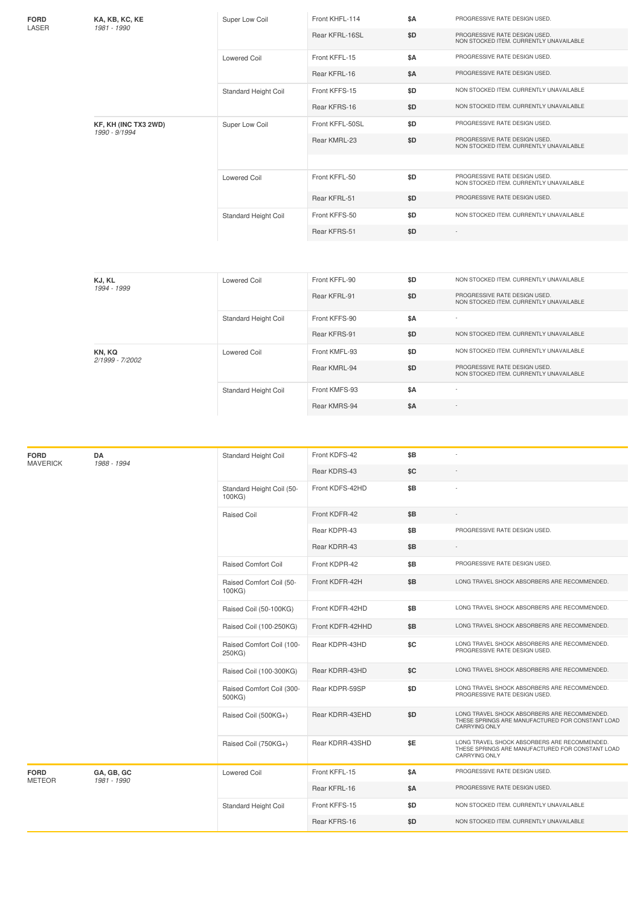| FORD<br>KA, KB, KC, KE<br>LASER<br>1981 - 1990 |  | Super Low Coil              | Front KHFL-114  | \$A                                     | PROGRESSIVE RATE DESIGN USED.                                            |
|------------------------------------------------|--|-----------------------------|-----------------|-----------------------------------------|--------------------------------------------------------------------------|
|                                                |  |                             | Rear KFRL-16SL  | \$D                                     | PROGRESSIVE RATE DESIGN USED.<br>NON STOCKED ITEM, CURRENTLY UNAVAILABLE |
|                                                |  | <b>Lowered Coil</b>         | Front KFFL-15   | <b>\$A</b>                              | PROGRESSIVE RATE DESIGN USED.                                            |
|                                                |  |                             | Rear KFRL-16    | <b>\$A</b>                              | PROGRESSIVE RATE DESIGN USED.                                            |
|                                                |  | Standard Height Coil        | Front KFFS-15   | \$D                                     | NON STOCKED ITEM. CURRENTLY UNAVAILABLE                                  |
|                                                |  | Rear KFRS-16                | \$D             | NON STOCKED ITEM. CURRENTLY UNAVAILABLE |                                                                          |
| KF, KH (INC TX3 2WD)<br>1990 - 9/1994          |  | Super Low Coil              | Front KFFL-50SL | \$D                                     | PROGRESSIVE RATE DESIGN USED.                                            |
|                                                |  |                             | Rear KMRL-23    | \$D                                     | PROGRESSIVE RATE DESIGN USED.<br>NON STOCKED ITEM, CURRENTLY UNAVAILABLE |
|                                                |  |                             |                 |                                         |                                                                          |
|                                                |  | <b>Lowered Coil</b>         | Front KFFL-50   | \$D                                     | PROGRESSIVE RATE DESIGN USED.<br>NON STOCKED ITEM. CURRENTLY UNAVAILABLE |
|                                                |  |                             | Rear KFRL-51    | \$D                                     | PROGRESSIVE RATE DESIGN USED.                                            |
|                                                |  | <b>Standard Height Coil</b> | Front KFFS-50   | \$D                                     | NON STOCKED ITEM, CURRENTLY UNAVAILABLE                                  |
|                                                |  |                             | Rear KFRS-51    | \$D                                     |                                                                          |
|                                                |  |                             |                 |                                         |                                                                          |

| KJ, KL<br>1994 - 1999     | Lowered Coil                | Front KFFL-90 | \$D | NON STOCKED ITEM. CURRENTLY UNAVAILABLE                                  |
|---------------------------|-----------------------------|---------------|-----|--------------------------------------------------------------------------|
|                           |                             | Rear KFRL-91  | \$D | PROGRESSIVE RATE DESIGN USED.<br>NON STOCKED ITEM. CURRENTLY UNAVAILABLE |
|                           | Standard Height Coil        | Front KFFS-90 | \$A | ٠                                                                        |
|                           |                             | Rear KFRS-91  | \$D | NON STOCKED ITEM. CURRENTLY UNAVAILABLE                                  |
| KN, KQ<br>2/1999 - 7/2002 | Lowered Coil                | Front KMFL-93 | \$D | NON STOCKED ITEM. CURRENTLY UNAVAILABLE                                  |
|                           |                             | Rear KMRL-94  | \$D | PROGRESSIVE RATE DESIGN USED.<br>NON STOCKED ITEM. CURRENTLY UNAVAILABLE |
|                           | <b>Standard Height Coil</b> | Front KMFS-93 | \$A | $\sim$                                                                   |
|                           |                             | Rear KMRS-94  | \$A | $\sim$                                                                   |

| <b>FORD</b><br><b>MAVERICK</b> | DA<br>1988 - 1994 | Standard Height Coil                | Front KDFS-42    | \$B        |                                                                                                                          |
|--------------------------------|-------------------|-------------------------------------|------------------|------------|--------------------------------------------------------------------------------------------------------------------------|
|                                |                   |                                     | Rear KDRS-43     | \$C        |                                                                                                                          |
|                                |                   | Standard Height Coil (50-<br>100KG) | Front KDFS-42HD  | \$B        |                                                                                                                          |
|                                |                   | <b>Raised Coil</b>                  | Front KDFR-42    | \$B        |                                                                                                                          |
|                                |                   |                                     | Rear KDPR-43     | \$B        | PROGRESSIVE RATE DESIGN USED.                                                                                            |
|                                |                   |                                     | Rear KDRR-43     | \$Β        |                                                                                                                          |
|                                |                   | <b>Raised Comfort Coil</b>          | Front KDPR-42    | \$B        | PROGRESSIVE RATE DESIGN USED.                                                                                            |
|                                |                   | Raised Comfort Coil (50-<br>100KG)  | Front KDFR-42H   | \$B        | LONG TRAVEL SHOCK ABSORBERS ARE RECOMMENDED.                                                                             |
|                                |                   | Raised Coil (50-100KG)              | Front KDFR-42HD  | \$B        | LONG TRAVEL SHOCK ABSORBERS ARE RECOMMENDED.                                                                             |
|                                |                   | Raised Coil (100-250KG)             | Front KDFR-42HHD | \$Β        | LONG TRAVEL SHOCK ABSORBERS ARE RECOMMENDED.                                                                             |
|                                |                   | Raised Comfort Coil (100-<br>250KG) | Rear KDPR-43HD   | \$C        | LONG TRAVEL SHOCK ABSORBERS ARE RECOMMENDED.<br>PROGRESSIVE RATE DESIGN USED.                                            |
|                                |                   | Raised Coil (100-300KG)             | Rear KDRR-43HD   | \$C        | LONG TRAVEL SHOCK ABSORBERS ARE RECOMMENDED.                                                                             |
|                                |                   | Raised Comfort Coil (300-<br>500KG) | Rear KDPR-59SP   | \$D        | LONG TRAVEL SHOCK ABSORBERS ARE RECOMMENDED.<br>PROGRESSIVE RATE DESIGN USED.                                            |
|                                |                   | Raised Coil (500KG+)                | Rear KDRR-43EHD  | \$D        | LONG TRAVEL SHOCK ABSORBERS ARE RECOMMENDED.<br>THESE SPRINGS ARE MANUFACTURED FOR CONSTANT LOAD<br><b>CARRYING ONLY</b> |
|                                |                   | Raised Coil (750KG+)                | Rear KDRR-43SHD  | \$E        | LONG TRAVEL SHOCK ABSORBERS ARE RECOMMENDED.<br>THESE SPRINGS ARE MANUFACTURED FOR CONSTANT LOAD<br>CARRYING ONLY        |
| <b>FORD</b>                    | GA, GB, GC        | <b>Lowered Coil</b>                 | Front KFFL-15    | \$A        | PROGRESSIVE RATE DESIGN USED.                                                                                            |
| <b>METEOR</b>                  | 1981 - 1990       |                                     | Rear KFRL-16     | <b>\$A</b> | PROGRESSIVE RATE DESIGN USED.                                                                                            |
|                                |                   | Standard Height Coil                | Front KFFS-15    | \$D        | NON STOCKED ITEM. CURRENTLY UNAVAILABLE                                                                                  |
|                                |                   |                                     | Rear KFRS-16     | \$D        | NON STOCKED ITEM. CURRENTLY UNAVAILABLE                                                                                  |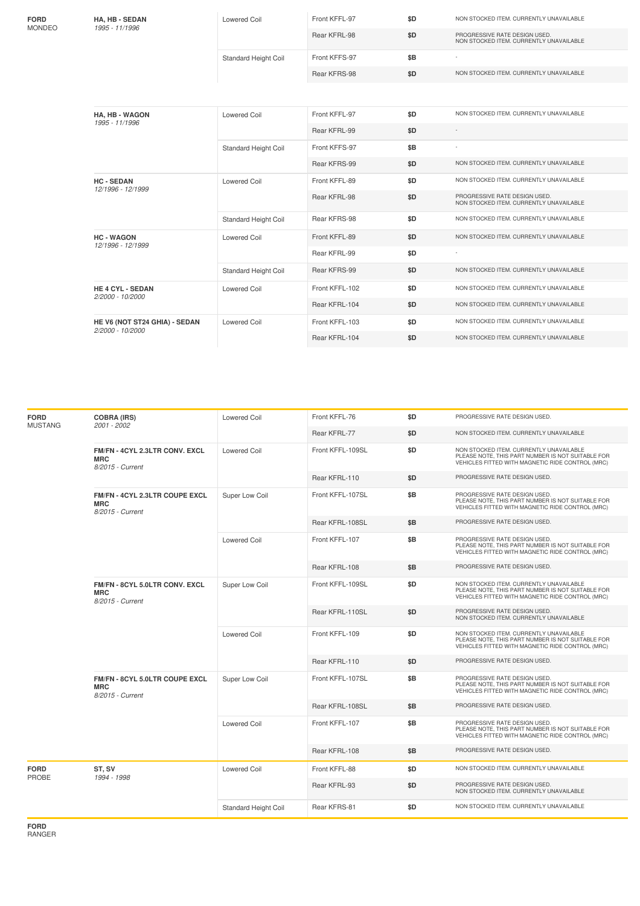| <b>FORD</b><br>MONDEO | <b>HA, HB - SEDAN</b>                             | <b>Lowered Coil</b>         | Front KFFL-97  | \$D | NON STOCKED ITEM. CURRENTLY UNAVAILABLE                                  |
|-----------------------|---------------------------------------------------|-----------------------------|----------------|-----|--------------------------------------------------------------------------|
|                       | 1995 - 11/1996                                    |                             | Rear KFRL-98   | \$D | PROGRESSIVE RATE DESIGN USED.<br>NON STOCKED ITEM. CURRENTLY UNAVAILABLE |
|                       |                                                   | Standard Height Coil        | Front KFFS-97  | \$B |                                                                          |
|                       |                                                   |                             | Rear KFRS-98   | \$D | NON STOCKED ITEM. CURRENTLY UNAVAILABLE                                  |
|                       |                                                   |                             |                |     |                                                                          |
|                       | <b>HA, HB - WAGON</b><br>1995 - 11/1996           | <b>Lowered Coil</b>         | Front KFFL-97  | \$D | NON STOCKED ITEM. CURRENTLY UNAVAILABLE                                  |
|                       |                                                   |                             | Rear KFRL-99   | \$D |                                                                          |
|                       |                                                   | <b>Standard Height Coil</b> | Front KFFS-97  | \$B |                                                                          |
|                       |                                                   |                             | Rear KFRS-99   | \$D | NON STOCKED ITEM. CURRENTLY UNAVAILABLE                                  |
|                       | <b>HC-SEDAN</b><br>12/1996 - 12/1999              | <b>Lowered Coil</b>         | Front KFFL-89  | \$D | NON STOCKED ITEM. CURRENTLY UNAVAILABLE                                  |
|                       |                                                   |                             | Rear KFRL-98   | \$D | PROGRESSIVE RATE DESIGN USED.<br>NON STOCKED ITEM. CURRENTLY UNAVAILABLE |
|                       |                                                   | <b>Standard Height Coil</b> | Rear KFRS-98   | \$D | NON STOCKED ITEM. CURRENTLY UNAVAILABLE                                  |
|                       | <b>HC-WAGON</b><br>12/1996 - 12/1999              | <b>Lowered Coil</b>         | Front KFFL-89  | \$D | NON STOCKED ITEM. CURRENTLY UNAVAILABLE                                  |
|                       |                                                   |                             | Rear KFRL-99   | \$D |                                                                          |
|                       |                                                   | Standard Height Coil        | Rear KFRS-99   | \$D | NON STOCKED ITEM. CURRENTLY UNAVAILABLE                                  |
|                       | <b>HE 4 CYL - SEDAN</b><br>2/2000 - 10/2000       | <b>Lowered Coil</b>         | Front KFFL-102 | \$D | NON STOCKED ITEM. CURRENTLY UNAVAILABLE                                  |
|                       |                                                   |                             | Rear KFRL-104  | \$D | NON STOCKED ITEM. CURRENTLY UNAVAILABLE                                  |
|                       | HE V6 (NOT ST24 GHIA) - SEDAN<br>2/2000 - 10/2000 | <b>Lowered Coil</b>         | Front KFFL-103 | \$D | NON STOCKED ITEM. CURRENTLY UNAVAILABLE                                  |
|                       |                                                   |                             | Rear KFRL-104  | \$D | NON STOCKED ITEM. CURRENTLY UNAVAILABLE                                  |

| <b>FORD</b><br><b>MUSTANG</b> | <b>COBRA (IRS)</b><br>2001 - 2002                                | <b>Lowered Coil</b>  | Front KFFL-76    | \$D | PROGRESSIVE RATE DESIGN USED.                                                                                                                    |
|-------------------------------|------------------------------------------------------------------|----------------------|------------------|-----|--------------------------------------------------------------------------------------------------------------------------------------------------|
|                               |                                                                  |                      | Rear KFRL-77     | \$D | NON STOCKED ITEM. CURRENTLY UNAVAILABLE                                                                                                          |
|                               | FM/FN - 4CYL 2.3LTR CONV. EXCL<br><b>MRC</b><br>8/2015 - Current | <b>Lowered Coil</b>  | Front KFFL-109SL | \$D | NON STOCKED ITEM. CURRENTLY UNAVAILABLE<br>PLEASE NOTE, THIS PART NUMBER IS NOT SUITABLE FOR<br>VEHICLES FITTED WITH MAGNETIC RIDE CONTROL (MRC) |
|                               |                                                                  |                      | Rear KFRL-110    | \$D | PROGRESSIVE RATE DESIGN USED.                                                                                                                    |
|                               | FM/FN - 4CYL 2.3LTR COUPE EXCL<br><b>MRC</b><br>8/2015 - Current | Super Low Coil       | Front KFFL-107SL | \$Β | PROGRESSIVE RATE DESIGN USED.<br>PLEASE NOTE, THIS PART NUMBER IS NOT SUITABLE FOR<br>VEHICLES FITTED WITH MAGNETIC RIDE CONTROL (MRC)           |
|                               |                                                                  |                      | Rear KFRL-108SL  | \$Β | PROGRESSIVE RATE DESIGN USED.                                                                                                                    |
|                               |                                                                  | <b>Lowered Coil</b>  | Front KFFL-107   | \$B | PROGRESSIVE RATE DESIGN USED.<br>PLEASE NOTE, THIS PART NUMBER IS NOT SUITABLE FOR<br>VEHICLES FITTED WITH MAGNETIC RIDE CONTROL (MRC)           |
|                               |                                                                  |                      | Rear KFRL-108    | \$Β | PROGRESSIVE RATE DESIGN USED.                                                                                                                    |
|                               | FM/FN - 8CYL 5.0LTR CONV. EXCL<br><b>MRC</b><br>8/2015 - Current | Super Low Coil       | Front KFFL-109SL | \$D | NON STOCKED ITEM. CURRENTLY UNAVAILABLE<br>PLEASE NOTE, THIS PART NUMBER IS NOT SUITABLE FOR<br>VEHICLES FITTED WITH MAGNETIC RIDE CONTROL (MRC) |
|                               |                                                                  |                      | Rear KFRL-110SL  | \$D | PROGRESSIVE RATE DESIGN USED.<br>NON STOCKED ITEM. CURRENTLY UNAVAILABLE                                                                         |
|                               |                                                                  | <b>Lowered Coil</b>  | Front KFFL-109   | \$D | NON STOCKED ITEM. CURRENTLY UNAVAILABLE<br>PLEASE NOTE, THIS PART NUMBER IS NOT SUITABLE FOR<br>VEHICLES FITTED WITH MAGNETIC RIDE CONTROL (MRC) |
|                               |                                                                  |                      | Rear KFRL-110    | \$D | PROGRESSIVE RATE DESIGN USED.                                                                                                                    |
|                               | FM/FN - 8CYL 5.0LTR COUPE EXCL<br><b>MRC</b><br>8/2015 - Current | Super Low Coil       | Front KFFL-107SL | \$B | PROGRESSIVE RATE DESIGN USED.<br>PLEASE NOTE, THIS PART NUMBER IS NOT SUITABLE FOR<br>VEHICLES FITTED WITH MAGNETIC RIDE CONTROL (MRC)           |
|                               |                                                                  |                      | Rear KFRL-108SL  | \$Β | PROGRESSIVE RATE DESIGN USED.                                                                                                                    |
|                               |                                                                  | <b>Lowered Coil</b>  | Front KFFL-107   | \$Β | PROGRESSIVE RATE DESIGN USED.<br>PLEASE NOTE, THIS PART NUMBER IS NOT SUITABLE FOR<br>VEHICLES FITTED WITH MAGNETIC RIDE CONTROL (MRC)           |
|                               |                                                                  |                      | Rear KFRL-108    | \$Β | PROGRESSIVE RATE DESIGN USED.                                                                                                                    |
| FORD<br>PROBE                 | ST, SV<br>1994 - 1998                                            | <b>Lowered Coil</b>  | Front KFFL-88    | \$D | NON STOCKED ITEM. CURRENTLY UNAVAILABLE                                                                                                          |
|                               |                                                                  |                      | Rear KFRL-93     | \$D | PROGRESSIVE RATE DESIGN USED.<br>NON STOCKED ITEM. CURRENTLY UNAVAILABLE                                                                         |
|                               |                                                                  | Standard Height Coil | Rear KFRS-81     | \$D | NON STOCKED ITEM. CURRENTLY UNAVAILABLE                                                                                                          |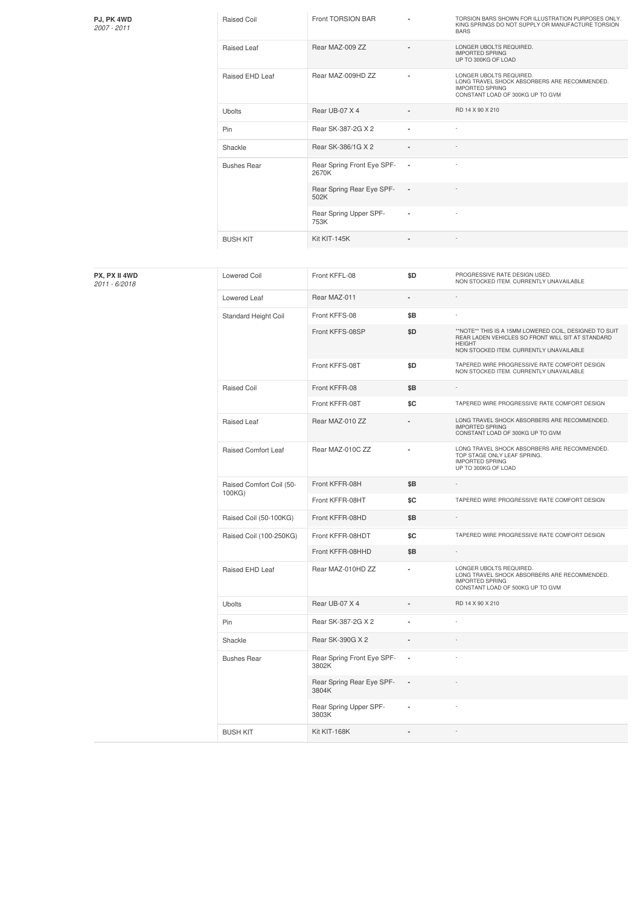| <b>PJ, PK 4WD</b> |  |
|-------------------|--|
| 2007 - 2011       |  |

| Raised Coil        | Front TORSION BAR                   |                | TORSION BARS SHOWN FOR ILLUSTRATION PURPOSES ONLY.<br>KING SPRINGS DO NOT SUPPLY OR MANUFACTURE TORSION<br><b>BARS</b>                |
|--------------------|-------------------------------------|----------------|---------------------------------------------------------------------------------------------------------------------------------------|
| Raised Leaf        | Rear MAZ-009 ZZ                     | $\blacksquare$ | LONGER UBOLTS REQUIRED.<br><b>IMPORTED SPRING</b><br>UP TO 300KG OF LOAD                                                              |
| Raised EHD Leaf    | Rear MAZ-009HD ZZ                   |                | LONGER UBOLTS REQUIRED.<br>LONG TRAVEL SHOCK ABSORBERS ARE RECOMMENDED.<br><b>IMPORTED SPRING</b><br>CONSTANT LOAD OF 300KG UP TO GVM |
| <b>Ubolts</b>      | Rear UB-07 X 4                      |                | RD 14 X 90 X 210                                                                                                                      |
| Pin                | Rear SK-387-2G X 2                  | ٠              |                                                                                                                                       |
| Shackle            | Rear SK-386/1G X 2                  | $\blacksquare$ |                                                                                                                                       |
| <b>Bushes Rear</b> | Rear Spring Front Eye SPF-<br>2670K | $\blacksquare$ |                                                                                                                                       |
|                    | Rear Spring Rear Eye SPF-<br>502K   | $\blacksquare$ |                                                                                                                                       |
|                    | Rear Spring Upper SPF-<br>753K      | $\blacksquare$ |                                                                                                                                       |
| <b>BUSH KIT</b>    | Kit KIT-145K                        | ٠              |                                                                                                                                       |

| PX, PX II 4WD<br>2011 - 6/2018 | <b>Lowered Coil</b>                | Front KFFL-08                       | \$D                      | PROGRESSIVE RATE DESIGN USED.<br>NON STOCKED ITEM. CURRENTLY UNAVAILABLE                                                                                                |
|--------------------------------|------------------------------------|-------------------------------------|--------------------------|-------------------------------------------------------------------------------------------------------------------------------------------------------------------------|
|                                | Lowered Leaf                       | Rear MAZ-011                        | ä,                       |                                                                                                                                                                         |
|                                | Standard Height Coil               | Front KFFS-08                       | \$B                      |                                                                                                                                                                         |
|                                |                                    | Front KFFS-08SP                     | \$D                      | **NOTE** THIS IS A 15MM LOWERED COIL, DESIGNED TO SUIT<br>REAR LADEN VEHICLES SO FRONT WILL SIT AT STANDARD<br><b>HEIGHT</b><br>NON STOCKED ITEM. CURRENTLY UNAVAILABLE |
|                                |                                    | Front KFFS-08T                      | \$D                      | TAPERED WIRE PROGRESSIVE RATE COMFORT DESIGN<br>NON STOCKED ITEM. CURRENTLY UNAVAILABLE                                                                                 |
|                                | <b>Raised Coil</b>                 | Front KFFR-08                       | \$Β                      | ÷                                                                                                                                                                       |
|                                |                                    | Front KFFR-08T                      | \$C                      | TAPERED WIRE PROGRESSIVE RATE COMFORT DESIGN                                                                                                                            |
|                                | Raised Leaf                        | Rear MAZ-010 ZZ                     |                          | LONG TRAVEL SHOCK ABSORBERS ARE RECOMMENDED.<br><b>IMPORTED SPRING</b><br>CONSTANT LOAD OF 300KG UP TO GVM                                                              |
|                                | Raised Comfort Leaf                | Rear MAZ-010C ZZ                    | ä,                       | LONG TRAVEL SHOCK ABSORBERS ARE RECOMMENDED.<br>TOP STAGE ONLY LEAF SPRING.<br><b>IMPORTED SPRING</b><br>UP TO 300KG OF LOAD                                            |
|                                | Raised Comfort Coil (50-<br>100KG) | Front KFFR-08H                      | \$Β                      | $\overline{\phantom{a}}$                                                                                                                                                |
|                                |                                    | Front KFFR-08HT                     | \$C                      | TAPERED WIRE PROGRESSIVE RATE COMFORT DESIGN                                                                                                                            |
|                                | Raised Coil (50-100KG)             | Front KFFR-08HD                     | \$Β                      | ÷,                                                                                                                                                                      |
|                                | Raised Coil (100-250KG)            | Front KFFR-08HDT                    | \$C                      | TAPERED WIRE PROGRESSIVE RATE COMFORT DESIGN                                                                                                                            |
|                                |                                    | Front KFFR-08HHD                    | \$Β                      | $\overline{\phantom{a}}$                                                                                                                                                |
|                                | Raised EHD Leaf                    | Rear MAZ-010HD ZZ                   | ä,                       | LONGER UBOLTS REQUIRED.<br>LONG TRAVEL SHOCK ABSORBERS ARE RECOMMENDED.<br><b>IMPORTED SPRING</b><br>CONSTANT LOAD OF 500KG UP TO GVM                                   |
|                                | Ubolts                             | Rear UB-07 X 4                      |                          | RD 14 X 90 X 210                                                                                                                                                        |
|                                | Pin                                | Rear SK-387-2G X 2                  | ä,                       | ÷,                                                                                                                                                                      |
|                                | Shackle                            | Rear SK-390G X 2                    | ÷                        |                                                                                                                                                                         |
|                                | <b>Bushes Rear</b>                 | Rear Spring Front Eye SPF-<br>3802K | $\overline{\phantom{a}}$ |                                                                                                                                                                         |
|                                |                                    | Rear Spring Rear Eye SPF-<br>3804K  | $\overline{\phantom{a}}$ |                                                                                                                                                                         |
|                                |                                    | Rear Spring Upper SPF-<br>3803K     | ٠                        |                                                                                                                                                                         |
|                                | <b>BUSH KIT</b>                    | Kit KIT-168K                        |                          |                                                                                                                                                                         |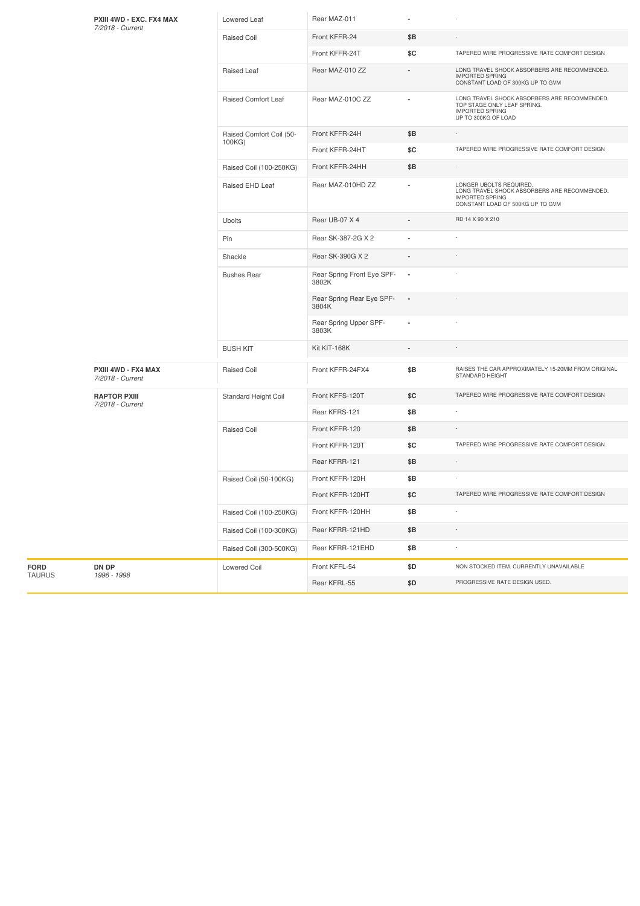|               | PXIII 4WD - EXC. FX4 MAX<br>7/2018 - Current | Lowered Leaf                       | Rear MAZ-011                        |                          |                                                                                                                                       |
|---------------|----------------------------------------------|------------------------------------|-------------------------------------|--------------------------|---------------------------------------------------------------------------------------------------------------------------------------|
|               |                                              | Raised Coil                        | Front KFFR-24                       | \$Β                      |                                                                                                                                       |
|               |                                              |                                    | Front KFFR-24T                      | \$C                      | TAPERED WIRE PROGRESSIVE RATE COMFORT DESIGN                                                                                          |
|               |                                              | Raised Leaf                        | Rear MAZ-010 ZZ                     |                          | LONG TRAVEL SHOCK ABSORBERS ARE RECOMMENDED.<br><b>IMPORTED SPRING</b><br>CONSTANT LOAD OF 300KG UP TO GVM                            |
|               |                                              | Raised Comfort Leaf                | Rear MAZ-010C ZZ                    |                          | LONG TRAVEL SHOCK ABSORBERS ARE RECOMMENDED.<br>TOP STAGE ONLY LEAF SPRING.<br><b>IMPORTED SPRING</b><br>UP TO 300KG OF LOAD          |
|               |                                              | Raised Comfort Coil (50-<br>100KG) | Front KFFR-24H                      | \$Β                      |                                                                                                                                       |
|               |                                              |                                    | Front KFFR-24HT                     | \$C                      | TAPERED WIRE PROGRESSIVE RATE COMFORT DESIGN                                                                                          |
|               |                                              | Raised Coil (100-250KG)            | Front KFFR-24HH                     | \$Β                      |                                                                                                                                       |
|               |                                              | Raised EHD Leaf                    | Rear MAZ-010HD ZZ                   |                          | LONGER UBOLTS REQUIRED.<br>LONG TRAVEL SHOCK ABSORBERS ARE RECOMMENDED.<br><b>IMPORTED SPRING</b><br>CONSTANT LOAD OF 500KG UP TO GVM |
|               |                                              | Ubolts                             | Rear UB-07 X 4                      |                          | RD 14 X 90 X 210                                                                                                                      |
|               |                                              | Pin                                | Rear SK-387-2G X 2                  |                          |                                                                                                                                       |
|               |                                              | Shackle                            | Rear SK-390G X 2                    |                          |                                                                                                                                       |
|               |                                              | <b>Bushes Rear</b>                 | Rear Spring Front Eye SPF-<br>3802K | $\overline{\phantom{a}}$ |                                                                                                                                       |
|               |                                              |                                    | Rear Spring Rear Eye SPF-<br>3804K  | $\overline{\phantom{a}}$ |                                                                                                                                       |
|               |                                              |                                    | Rear Spring Upper SPF-<br>3803K     | ×                        |                                                                                                                                       |
|               |                                              | <b>BUSH KIT</b>                    | Kit KIT-168K                        |                          |                                                                                                                                       |
|               | PXIII 4WD - FX4 MAX<br>7/2018 - Current      | <b>Raised Coil</b>                 | Front KFFR-24FX4                    | \$Β                      | RAISES THE CAR APPROXIMATELY 15-20MM FROM ORIGINAL<br>STANDARD HEIGHT                                                                 |
|               | <b>RAPTOR PXIII</b>                          | Standard Height Coil               | Front KFFS-120T                     | \$C                      | TAPERED WIRE PROGRESSIVE RATE COMFORT DESIGN                                                                                          |
|               | 7/2018 - Current                             |                                    | Rear KFRS-121                       | \$Β                      |                                                                                                                                       |
|               |                                              | <b>Raised Coil</b>                 | Front KFFR-120                      | \$Β                      |                                                                                                                                       |
|               |                                              |                                    | Front KFFR-120T                     | \$C                      | TAPERED WIRE PROGRESSIVE RATE COMFORT DESIGN                                                                                          |
|               |                                              |                                    | Rear KFRR-121                       | \$B                      | $\sim$                                                                                                                                |
|               |                                              | Raised Coil (50-100KG)             | Front KFFR-120H                     | \$Β                      |                                                                                                                                       |
|               |                                              |                                    | Front KFFR-120HT                    | \$C                      | TAPERED WIRE PROGRESSIVE RATE COMFORT DESIGN                                                                                          |
|               |                                              | Raised Coil (100-250KG)            | Front KFFR-120HH                    | \$B                      |                                                                                                                                       |
|               |                                              | Raised Coil (100-300KG)            | Rear KFRR-121HD                     | \$Β                      |                                                                                                                                       |
|               |                                              | Raised Coil (300-500KG)            | Rear KFRR-121EHD                    | \$Β                      |                                                                                                                                       |
| FORD          | DN DP                                        | Lowered Coil                       | Front KFFL-54                       | \$D                      | NON STOCKED ITEM. CURRENTLY UNAVAILABLE                                                                                               |
| <b>TAURUS</b> | 1996 - 1998                                  |                                    | Rear KFRL-55                        | \$D                      | PROGRESSIVE RATE DESIGN USED.                                                                                                         |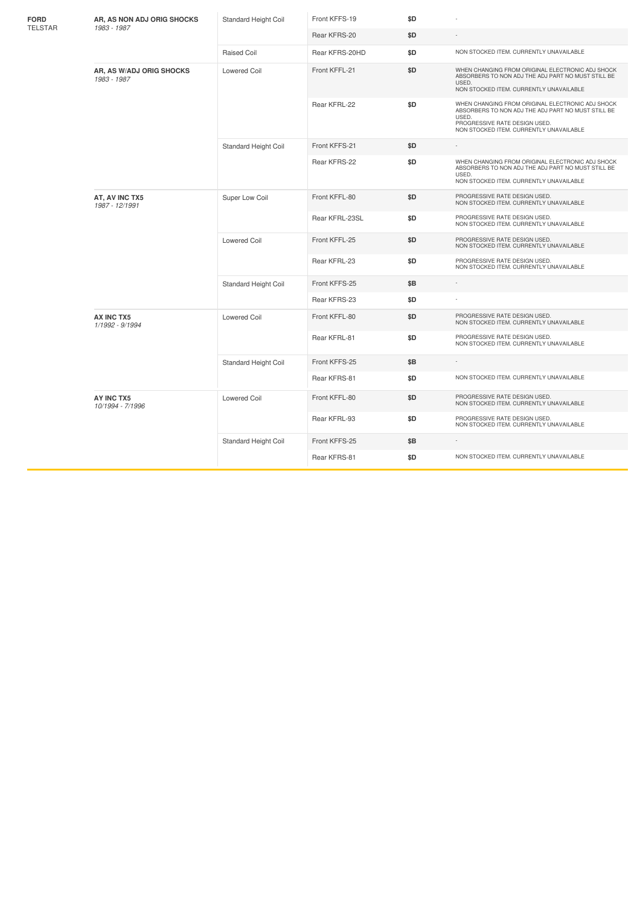| <b>FORD</b>    | AR, AS NON ADJ ORIG SHOCKS<br>1983 - 1987 | Standard Height Coil | Front KFFS-19  | \$D |                                                                                                                                                                                             |
|----------------|-------------------------------------------|----------------------|----------------|-----|---------------------------------------------------------------------------------------------------------------------------------------------------------------------------------------------|
| <b>TELSTAR</b> |                                           |                      | Rear KFRS-20   | \$D |                                                                                                                                                                                             |
|                |                                           | Raised Coil          | Rear KFRS-20HD | \$D | NON STOCKED ITEM. CURRENTLY UNAVAILABLE                                                                                                                                                     |
|                | AR, AS W/ADJ ORIG SHOCKS<br>1983 - 1987   | <b>Lowered Coil</b>  | Front KFFL-21  | \$D | WHEN CHANGING FROM ORIGINAL ELECTRONIC ADJ SHOCK<br>ABSORBERS TO NON ADJ THE ADJ PART NO MUST STILL BE<br>USED.<br>NON STOCKED ITEM. CURRENTLY UNAVAILABLE                                  |
|                |                                           |                      | Rear KFRL-22   | \$D | WHEN CHANGING FROM ORIGINAL ELECTRONIC ADJ SHOCK<br>ABSORBERS TO NON ADJ THE ADJ PART NO MUST STILL BE<br>USED.<br>PROGRESSIVE RATE DESIGN USED.<br>NON STOCKED ITEM. CURRENTLY UNAVAILABLE |
|                |                                           | Standard Height Coil | Front KFFS-21  | \$D |                                                                                                                                                                                             |
|                |                                           |                      | Rear KFRS-22   | \$D | WHEN CHANGING FROM ORIGINAL ELECTRONIC ADJ SHOCK<br>ABSORBERS TO NON ADJ THE ADJ PART NO MUST STILL BE<br>USED.<br>NON STOCKED ITEM. CURRENTLY UNAVAILABLE                                  |
|                | AT, AV INC TX5<br>1987 - 12/1991          | Super Low Coil       | Front KFFL-80  | \$D | PROGRESSIVE RATE DESIGN USED.<br>NON STOCKED ITEM. CURRENTLY UNAVAILABLE                                                                                                                    |
|                |                                           |                      | Rear KFRL-23SL | \$D | PROGRESSIVE RATE DESIGN USED.<br>NON STOCKED ITEM. CURRENTLY UNAVAILABLE                                                                                                                    |
|                |                                           | <b>Lowered Coil</b>  | Front KFFL-25  | \$D | PROGRESSIVE RATE DESIGN USED.<br>NON STOCKED ITEM. CURRENTLY UNAVAILABLE                                                                                                                    |
|                |                                           |                      | Rear KFRL-23   | \$D | PROGRESSIVE RATE DESIGN USED.<br>NON STOCKED ITEM. CURRENTLY UNAVAILABLE                                                                                                                    |
|                |                                           | Standard Height Coil | Front KFFS-25  | \$Β |                                                                                                                                                                                             |
|                |                                           |                      | Rear KFRS-23   | \$D |                                                                                                                                                                                             |
|                | AX INC TX5<br>1/1992 - 9/1994             | <b>Lowered Coil</b>  | Front KFFL-80  | \$D | PROGRESSIVE RATE DESIGN USED.<br>NON STOCKED ITEM. CURRENTLY UNAVAILABLE                                                                                                                    |
|                |                                           |                      | Rear KFRL-81   | \$D | PROGRESSIVE RATE DESIGN USED.<br>NON STOCKED ITEM. CURRENTLY UNAVAILABLE                                                                                                                    |
|                |                                           | Standard Height Coil | Front KFFS-25  | \$Β |                                                                                                                                                                                             |
|                |                                           |                      | Rear KFRS-81   | \$D | NON STOCKED ITEM. CURRENTLY UNAVAILABLE                                                                                                                                                     |
|                | AY INC TX5<br>10/1994 - 7/1996            | <b>Lowered Coil</b>  | Front KFFL-80  | \$D | PROGRESSIVE RATE DESIGN USED.<br>NON STOCKED ITEM. CURRENTLY UNAVAILABLE                                                                                                                    |
|                |                                           |                      | Rear KFRL-93   | \$D | PROGRESSIVE RATE DESIGN USED.<br>NON STOCKED ITEM. CURRENTLY UNAVAILABLE                                                                                                                    |
|                |                                           | Standard Height Coil | Front KFFS-25  | \$B |                                                                                                                                                                                             |
|                |                                           |                      | Rear KFRS-81   | \$D | NON STOCKED ITEM. CURRENTLY UNAVAILABLE                                                                                                                                                     |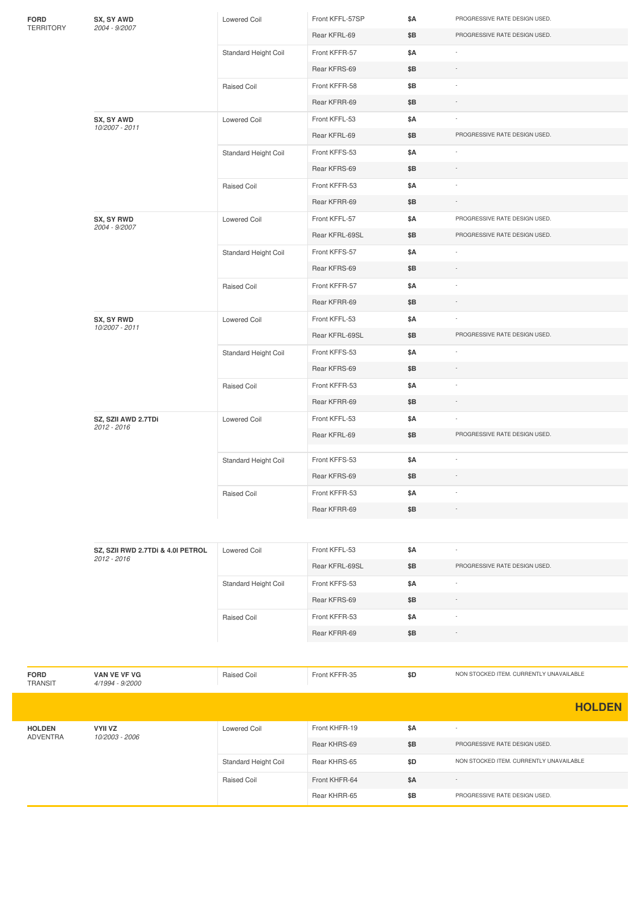| FORD             | SX, SY AWD                        | Lowered Coil         | Front KFFL-57SP | \$Α | PROGRESSIVE RATE DESIGN USED.           |
|------------------|-----------------------------------|----------------------|-----------------|-----|-----------------------------------------|
| <b>TERRITORY</b> | 2004 - 9/2007                     |                      | Rear KFRL-69    | \$Β | PROGRESSIVE RATE DESIGN USED.           |
|                  |                                   | Standard Height Coil | Front KFFR-57   | \$Α |                                         |
|                  |                                   |                      | Rear KFRS-69    | \$Β |                                         |
|                  |                                   | Raised Coil          | Front KFFR-58   | \$Β |                                         |
|                  |                                   |                      | Rear KFRR-69    | \$Β |                                         |
|                  | SX, SY AWD                        | <b>Lowered Coil</b>  | Front KFFL-53   | \$Α |                                         |
|                  | 10/2007 - 2011                    |                      | Rear KFRL-69    | \$Β | PROGRESSIVE RATE DESIGN USED.           |
|                  |                                   | Standard Height Coil | Front KFFS-53   | \$Α |                                         |
|                  |                                   |                      | Rear KFRS-69    | \$Β |                                         |
|                  |                                   | Raised Coil          | Front KFFR-53   | \$Α |                                         |
|                  |                                   |                      | Rear KFRR-69    | \$Β |                                         |
|                  | SX, SY RWD                        | Lowered Coil         | Front KFFL-57   | \$Α | PROGRESSIVE RATE DESIGN USED.           |
|                  | 2004 - 9/2007                     |                      | Rear KFRL-69SL  | \$Β | PROGRESSIVE RATE DESIGN USED.           |
|                  |                                   | Standard Height Coil | Front KFFS-57   | \$Α |                                         |
|                  |                                   |                      | Rear KFRS-69    | \$Β |                                         |
|                  |                                   | Raised Coil          | Front KFFR-57   | \$Α |                                         |
|                  |                                   |                      | Rear KFRR-69    | \$Β |                                         |
|                  | SX, SY RWD                        | Lowered Coil         | Front KFFL-53   | \$Α |                                         |
|                  | 10/2007 - 2011                    |                      | Rear KFRL-69SL  | \$B | PROGRESSIVE RATE DESIGN USED.           |
|                  |                                   | Standard Height Coil | Front KFFS-53   | \$Α |                                         |
|                  |                                   |                      | Rear KFRS-69    | \$Β |                                         |
|                  |                                   | Raised Coil          | Front KFFR-53   | \$Α |                                         |
|                  |                                   |                      | Rear KFRR-69    | \$Β |                                         |
|                  | SZ, SZII AWD 2.7TDi               | Lowered Coil         | Front KFFL-53   | \$Α |                                         |
|                  | 2012 - 2016                       |                      | Rear KFRL-69    | \$Β | PROGRESSIVE RATE DESIGN USED.           |
|                  |                                   | Standard Height Coil | Front KFFS-53   | \$Α |                                         |
|                  |                                   |                      | Rear KFRS-69    | \$Β |                                         |
|                  |                                   | Raised Coil          | Front KFFR-53   | \$A |                                         |
|                  |                                   |                      | Rear KFRR-69    | \$Β |                                         |
|                  |                                   |                      |                 |     |                                         |
|                  | SZ, SZII RWD 2.7TDi & 4.0I PETROL | <b>Lowered Coil</b>  | Front KFFL-53   | \$Α |                                         |
|                  | 2012 - 2016                       |                      | Rear KFRL-69SL  | \$Β | PROGRESSIVE RATE DESIGN USED.           |
|                  |                                   | Standard Height Coil | Front KFFS-53   | \$Α |                                         |
|                  |                                   |                      | Rear KFRS-69    | \$Β |                                         |
|                  |                                   | Raised Coil          | Front KFFR-53   | \$Α |                                         |
|                  |                                   |                      | Rear KFRR-69    | \$Β |                                         |
|                  |                                   |                      |                 |     |                                         |
|                  |                                   |                      |                 |     |                                         |
| FORD<br>TRANSIT  | VAN VE VF VG<br>4/1994 - 9/2000   | Raised Coil          | Front KFFR-35   | \$D | NON STOCKED ITEM. CURRENTLY UNAVAILABLE |
|                  |                                   |                      |                 |     | <b>HOLDEN</b>                           |
| <b>HOLDEN</b>    | <b>VYII VZ</b>                    | Lowered Coil         | Front KHFR-19   | \$Α |                                         |
| ADVENTRA         | 10/2003 - 2006                    |                      | Rear KHRS-69    | \$Β | PROGRESSIVE RATE DESIGN USED.           |
|                  |                                   | Standard Height Coil | Rear KHRS-65    | \$D | NON STOCKED ITEM. CURRENTLY UNAVAILABLE |
|                  |                                   |                      | Front KHFR-64   |     |                                         |
|                  |                                   | Raised Coil          |                 | \$Α | PROGRESSIVE RATE DESIGN USED.           |
|                  |                                   |                      | Rear KHRR-65    | \$Β |                                         |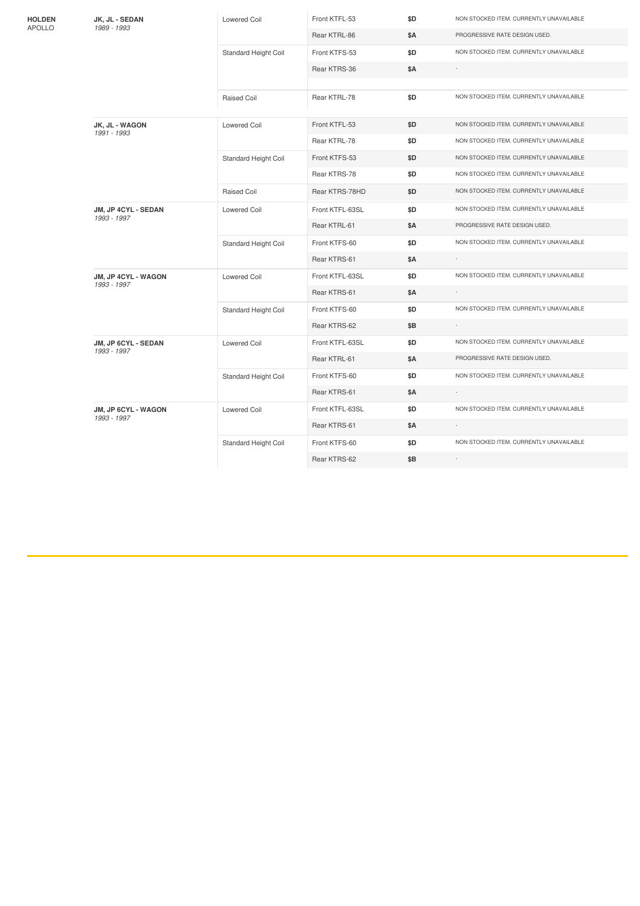|                                                                 |                                                              | Lowered Coil                | Front KTFL-53                           | \$D | NON STOCKED ITEM. CURRENTLY UNAVAILABLE |
|-----------------------------------------------------------------|--------------------------------------------------------------|-----------------------------|-----------------------------------------|-----|-----------------------------------------|
| <b>HOLDEN</b><br>JK, JL - SEDAN<br><b>APOLLO</b><br>1989 - 1993 |                                                              |                             | Rear KTRL-86                            |     | PROGRESSIVE RATE DESIGN USED.           |
|                                                                 |                                                              |                             |                                         | \$Α |                                         |
|                                                                 |                                                              | <b>Standard Height Coil</b> | Front KTFS-53                           | \$D | NON STOCKED ITEM. CURRENTLY UNAVAILABLE |
|                                                                 |                                                              |                             | Rear KTRS-36                            | \$Α |                                         |
|                                                                 |                                                              |                             |                                         |     |                                         |
|                                                                 |                                                              | Raised Coil                 | Rear KTRL-78                            | \$D | NON STOCKED ITEM. CURRENTLY UNAVAILABLE |
|                                                                 | JK, JL - WAGON<br>1991 - 1993                                | Lowered Coil                | Front KTFL-53                           | \$D | NON STOCKED ITEM. CURRENTLY UNAVAILABLE |
|                                                                 |                                                              |                             | Rear KTRL-78                            | \$D | NON STOCKED ITEM. CURRENTLY UNAVAILABLE |
|                                                                 |                                                              | Standard Height Coil        | Front KTFS-53                           | \$D | NON STOCKED ITEM. CURRENTLY UNAVAILABLE |
|                                                                 |                                                              |                             | Rear KTRS-78                            | \$D | NON STOCKED ITEM. CURRENTLY UNAVAILABLE |
|                                                                 |                                                              | <b>Raised Coil</b>          | Rear KTRS-78HD                          | \$D | NON STOCKED ITEM. CURRENTLY UNAVAILABLE |
|                                                                 | JM, JP 4CYL - SEDAN<br>1993 - 1997                           | <b>Lowered Coil</b>         | Front KTFL-63SL                         | \$D | NON STOCKED ITEM. CURRENTLY UNAVAILABLE |
|                                                                 |                                                              |                             | Rear KTRL-61                            | \$Α | PROGRESSIVE RATE DESIGN USED.           |
|                                                                 |                                                              | Standard Height Coil        | Front KTFS-60                           | \$D | NON STOCKED ITEM. CURRENTLY UNAVAILABLE |
|                                                                 |                                                              |                             | Rear KTRS-61                            | \$Α |                                         |
|                                                                 | JM, JP 4CYL - WAGON                                          | <b>Lowered Coil</b>         | Front KTFL-63SL                         | \$D | NON STOCKED ITEM. CURRENTLY UNAVAILABLE |
|                                                                 |                                                              |                             | Rear KTRS-61                            | \$Α | ÷.                                      |
|                                                                 | 1993 - 1997<br>Front KTFS-60<br>\$D.<br>Standard Height Coil |                             | NON STOCKED ITEM. CURRENTLY UNAVAILABLE |     |                                         |
|                                                                 |                                                              |                             | Rear KTRS-62                            | \$Β |                                         |
|                                                                 | JM, JP 6CYL - SEDAN<br>1993 - 1997                           | <b>Lowered Coil</b>         | Front KTFL-63SL                         | \$D | NON STOCKED ITEM. CURRENTLY UNAVAILABLE |
|                                                                 |                                                              |                             | Rear KTRL-61                            | \$Α | PROGRESSIVE RATE DESIGN USED.           |
|                                                                 |                                                              | Standard Height Coil        | Front KTFS-60                           | \$D | NON STOCKED ITEM. CURRENTLY UNAVAILABLE |
|                                                                 |                                                              |                             | Rear KTRS-61                            | \$Α |                                         |
|                                                                 | JM, JP 6CYL - WAGON<br>1993 - 1997                           | Lowered Coil                | Front KTFL-63SL                         | \$D | NON STOCKED ITEM. CURRENTLY UNAVAILABLE |
|                                                                 |                                                              |                             | Rear KTRS-61                            | \$A |                                         |
|                                                                 |                                                              | <b>Standard Height Coil</b> | Front KTFS-60                           | \$D | NON STOCKED ITEM. CURRENTLY UNAVAILABLE |
|                                                                 |                                                              |                             | Rear KTRS-62                            | \$Β | ÷                                       |
|                                                                 |                                                              |                             |                                         |     |                                         |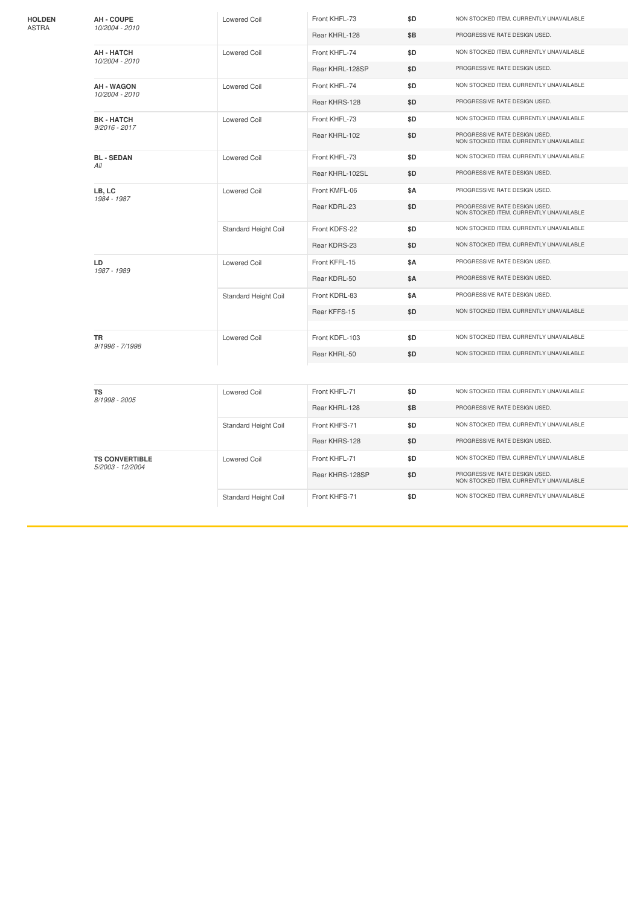| <b>HOLDEN</b> | <b>AH - COUPE</b><br>10/2004 - 2010       | <b>Lowered Coil</b>  | Front KHFL-73   | \$D | NON STOCKED ITEM. CURRENTLY UNAVAILABLE                                  |
|---------------|-------------------------------------------|----------------------|-----------------|-----|--------------------------------------------------------------------------|
| ASTRA         |                                           |                      | Rear KHRL-128   | \$Β | PROGRESSIVE RATE DESIGN USED.                                            |
|               | <b>AH - HATCH</b><br>10/2004 - 2010       | <b>Lowered Coil</b>  | Front KHFL-74   | \$D | NON STOCKED ITEM. CURRENTLY UNAVAILABLE                                  |
|               |                                           |                      | Rear KHRL-128SP | \$D | PROGRESSIVE RATE DESIGN USED.                                            |
|               | <b>AH - WAGON</b><br>10/2004 - 2010       | <b>Lowered Coil</b>  | Front KHFL-74   | \$D | NON STOCKED ITEM. CURRENTLY UNAVAILABLE                                  |
|               |                                           |                      | Rear KHRS-128   | \$D | PROGRESSIVE RATE DESIGN USED.                                            |
|               | <b>BK-HATCH</b><br>$9/2016 - 2017$        | <b>Lowered Coil</b>  | Front KHFL-73   | \$D | NON STOCKED ITEM. CURRENTLY UNAVAILABLE                                  |
|               |                                           |                      | Rear KHRL-102   | \$D | PROGRESSIVE RATE DESIGN USED.<br>NON STOCKED ITEM. CURRENTLY UNAVAILABLE |
|               | <b>BL-SEDAN</b><br>All                    | <b>Lowered Coil</b>  | Front KHFL-73   | \$D | NON STOCKED ITEM. CURRENTLY UNAVAILABLE                                  |
|               |                                           |                      | Rear KHRL-102SL | \$D | PROGRESSIVE RATE DESIGN USED.                                            |
|               | LB, LC<br>1984 - 1987                     | <b>Lowered Coil</b>  | Front KMFL-06   | \$Α | PROGRESSIVE RATE DESIGN USED.                                            |
|               |                                           |                      | Rear KDRL-23    | \$D | PROGRESSIVE RATE DESIGN USED.<br>NON STOCKED ITEM. CURRENTLY UNAVAILABLE |
|               |                                           | Standard Height Coil | Front KDFS-22   | \$D | NON STOCKED ITEM. CURRENTLY UNAVAILABLE                                  |
|               |                                           |                      | Rear KDRS-23    | \$D | NON STOCKED ITEM. CURRENTLY UNAVAILABLE                                  |
|               | LD<br>1987 - 1989                         | <b>Lowered Coil</b>  | Front KFFL-15   | \$Α | PROGRESSIVE RATE DESIGN USED.                                            |
|               |                                           |                      | Rear KDRL-50    | \$Α | PROGRESSIVE RATE DESIGN USED.                                            |
|               |                                           | Standard Height Coil | Front KDRL-83   | \$Α | PROGRESSIVE RATE DESIGN USED.                                            |
|               |                                           |                      | Rear KFFS-15    | \$D | NON STOCKED ITEM. CURRENTLY UNAVAILABLE                                  |
|               | <b>TR</b>                                 | Lowered Coil         | Front KDFL-103  | \$D | NON STOCKED ITEM. CURRENTLY UNAVAILABLE                                  |
|               | 9/1996 - 7/1998                           |                      | Rear KHRL-50    | \$D | NON STOCKED ITEM. CURRENTLY UNAVAILABLE                                  |
|               |                                           |                      |                 |     |                                                                          |
|               | <b>TS</b><br>8/1998 - 2005                | <b>Lowered Coil</b>  | Front KHFL-71   | \$D | NON STOCKED ITEM. CURRENTLY UNAVAILABLE                                  |
|               |                                           |                      | Rear KHRL-128   | \$Β | PROGRESSIVE RATE DESIGN USED.                                            |
|               |                                           | Standard Height Coil | Front KHFS-71   | \$D | NON STOCKED ITEM. CURRENTLY UNAVAILABLE                                  |
|               |                                           |                      | Rear KHRS-128   | \$D | PROGRESSIVE RATE DESIGN USED.                                            |
|               | <b>TS CONVERTIBLE</b><br>5/2003 - 12/2004 | <b>Lowered Coil</b>  | Front KHFL-71   | \$D | NON STOCKED ITEM. CURRENTLY UNAVAILABLE                                  |
|               |                                           |                      | Rear KHRS-128SP | \$D | PROGRESSIVE RATE DESIGN USED.<br>NON STOCKED ITEM. CURRENTLY UNAVAILABLE |
|               |                                           | Standard Height Coil | Front KHFS-71   | \$D | NON STOCKED ITEM. CURRENTLY UNAVAILABLE                                  |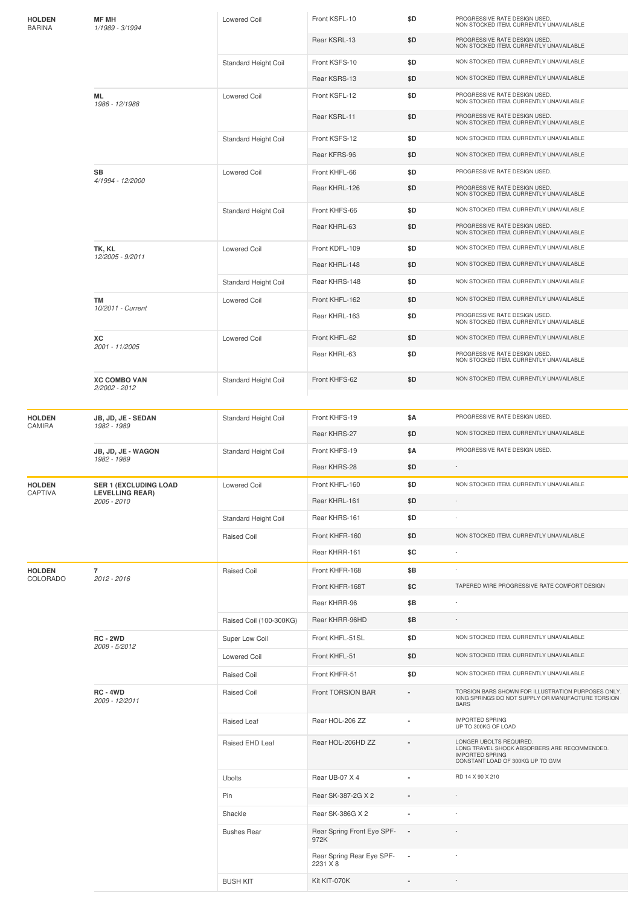| <b>HOLDEN</b><br><b>BARINA</b> | <b>MF MH</b><br>1/1989 - 3/1994                                       | <b>Lowered Coil</b>     | Front KSFL-10                         | \$D                      | PROGRESSIVE RATE DESIGN USED.<br>NON STOCKED ITEM. CURRENTLY UNAVAILABLE                                                              |
|--------------------------------|-----------------------------------------------------------------------|-------------------------|---------------------------------------|--------------------------|---------------------------------------------------------------------------------------------------------------------------------------|
|                                |                                                                       |                         | Rear KSRL-13                          | \$D                      | PROGRESSIVE RATE DESIGN USED.<br>NON STOCKED ITEM. CURRENTLY UNAVAILABLE                                                              |
|                                |                                                                       | Standard Height Coil    | Front KSFS-10                         | \$D                      | NON STOCKED ITEM. CURRENTLY UNAVAILABLE                                                                                               |
|                                |                                                                       |                         | Rear KSRS-13                          | \$D                      | NON STOCKED ITEM. CURRENTLY UNAVAILABLE                                                                                               |
|                                | ML<br>1986 - 12/1988                                                  | <b>Lowered Coil</b>     | Front KSFL-12                         | \$D                      | PROGRESSIVE RATE DESIGN USED.<br>NON STOCKED ITEM. CURRENTLY UNAVAILABLE                                                              |
|                                |                                                                       |                         | Rear KSRL-11                          | \$D                      | PROGRESSIVE RATE DESIGN USED.<br>NON STOCKED ITEM. CURRENTLY UNAVAILABLE                                                              |
|                                |                                                                       | Standard Height Coil    | Front KSFS-12                         | \$D                      | NON STOCKED ITEM. CURRENTLY UNAVAILABLE                                                                                               |
|                                |                                                                       |                         | Rear KFRS-96                          | \$D                      | NON STOCKED ITEM. CURRENTLY UNAVAILABLE                                                                                               |
|                                | SB                                                                    | <b>Lowered Coil</b>     | Front KHFL-66                         | \$D                      | PROGRESSIVE RATE DESIGN USED.                                                                                                         |
|                                | 4/1994 - 12/2000                                                      |                         | Rear KHRL-126                         | \$D                      | PROGRESSIVE RATE DESIGN USED.<br>NON STOCKED ITEM. CURRENTLY UNAVAILABLE                                                              |
|                                |                                                                       | Standard Height Coil    | Front KHFS-66                         | \$D                      | NON STOCKED ITEM. CURRENTLY UNAVAILABLE                                                                                               |
|                                |                                                                       |                         | Rear KHRL-63                          | \$D                      | PROGRESSIVE RATE DESIGN USED.<br>NON STOCKED ITEM. CURRENTLY UNAVAILABLE                                                              |
|                                | TK, KL                                                                | <b>Lowered Coil</b>     | Front KDFL-109                        | \$D                      | NON STOCKED ITEM. CURRENTLY UNAVAILABLE                                                                                               |
|                                | 12/2005 - 9/2011                                                      |                         | Rear KHRL-148                         | \$D                      | NON STOCKED ITEM. CURRENTLY UNAVAILABLE                                                                                               |
|                                |                                                                       | Standard Height Coil    | Rear KHRS-148                         | \$D                      | NON STOCKED ITEM. CURRENTLY UNAVAILABLE                                                                                               |
|                                | <b>TM</b>                                                             | Lowered Coil            | Front KHFL-162                        | \$D                      | NON STOCKED ITEM. CURRENTLY UNAVAILABLE                                                                                               |
|                                | 10/2011 - Current                                                     |                         | Rear KHRL-163                         | \$D                      | PROGRESSIVE RATE DESIGN USED.<br>NON STOCKED ITEM. CURRENTLY UNAVAILABLE                                                              |
|                                | ХC                                                                    | <b>Lowered Coil</b>     | Front KHFL-62                         | \$D                      | NON STOCKED ITEM. CURRENTLY UNAVAILABLE                                                                                               |
|                                | 2001 - 11/2005                                                        |                         | Rear KHRL-63                          | \$D                      | PROGRESSIVE RATE DESIGN USED.<br>NON STOCKED ITEM. CURRENTLY UNAVAILABLE                                                              |
|                                | <b>XC COMBO VAN</b><br>2/2002 - 2012                                  | Standard Height Coil    | Front KHFS-62                         | \$D                      | NON STOCKED ITEM. CURRENTLY UNAVAILABLE                                                                                               |
|                                |                                                                       |                         |                                       |                          |                                                                                                                                       |
| <b>HOLDEN</b>                  | JB, JD, JE - SEDAN                                                    | Standard Height Coil    | Front KHFS-19                         | \$Α                      | PROGRESSIVE RATE DESIGN USED.                                                                                                         |
| CAMIRA                         | 1982 - 1989                                                           |                         | Rear KHRS-27                          | \$D                      | NON STOCKED ITEM. CURRENTLY UNAVAILABLE                                                                                               |
|                                | JB, JD, JE - WAGON<br>1982 - 1989                                     | Standard Height Coil    | Front KHFS-19                         | \$Α                      | PROGRESSIVE RATE DESIGN USED.                                                                                                         |
|                                |                                                                       |                         | Rear KHRS-28                          | \$D                      | $\sim$                                                                                                                                |
| <b>HOLDEN</b><br>CAPTIVA       | <b>SER 1 (EXCLUDING LOAD</b><br><b>LEVELLING REAR)</b><br>2006 - 2010 | <b>Lowered Coil</b>     | Front KHFL-160                        | \$D                      | NON STOCKED ITEM. CURRENTLY UNAVAILABLE                                                                                               |
|                                |                                                                       |                         | Rear KHRL-161                         | \$D                      |                                                                                                                                       |
|                                |                                                                       | Standard Height Coil    | Rear KHRS-161                         | \$D                      |                                                                                                                                       |
|                                |                                                                       | Raised Coil             | Front KHFR-160                        | \$D                      | NON STOCKED ITEM. CURRENTLY UNAVAILABLE                                                                                               |
|                                |                                                                       |                         | Rear KHRR-161                         | \$C                      | ×,                                                                                                                                    |
| <b>HOLDEN</b><br>COLORADO      | $\overline{7}$<br>2012 - 2016                                         | Raised Coil             | Front KHFR-168                        | \$B                      | $\overline{\phantom{a}}$                                                                                                              |
|                                |                                                                       |                         | Front KHFR-168T                       | \$C                      | TAPERED WIRE PROGRESSIVE RATE COMFORT DESIGN                                                                                          |
|                                |                                                                       |                         | Rear KHRR-96                          | \$Β                      | ÷,                                                                                                                                    |
|                                |                                                                       | Raised Coil (100-300KG) | Rear KHRR-96HD                        | \$Β                      |                                                                                                                                       |
|                                | <b>RC - 2WD</b><br>2008 - 5/2012                                      | Super Low Coil          | Front KHFL-51SL                       | \$D                      | NON STOCKED ITEM. CURRENTLY UNAVAILABLE                                                                                               |
|                                |                                                                       | Lowered Coil            | Front KHFL-51                         | \$D                      | NON STOCKED ITEM. CURRENTLY UNAVAILABLE                                                                                               |
|                                |                                                                       | Raised Coil             | Front KHFR-51                         | \$D                      | NON STOCKED ITEM. CURRENTLY UNAVAILABLE                                                                                               |
|                                | <b>RC-4WD</b><br>2009 - 12/2011                                       | Raised Coil             | Front TORSION BAR                     |                          | TORSION BARS SHOWN FOR ILLUSTRATION PURPOSES ONLY.<br>KING SPRINGS DO NOT SUPPLY OR MANUFACTURE TORSION<br><b>BARS</b>                |
|                                |                                                                       | Raised Leaf             | Rear HOL-206 ZZ                       | $\overline{a}$           | <b>IMPORTED SPRING</b><br>UP TO 300KG OF LOAD                                                                                         |
|                                |                                                                       | Raised EHD Leaf         | Rear HOL-206HD ZZ                     |                          | LONGER UBOLTS REQUIRED.<br>LONG TRAVEL SHOCK ABSORBERS ARE RECOMMENDED.<br><b>IMPORTED SPRING</b><br>CONSTANT LOAD OF 300KG UP TO GVM |
|                                |                                                                       | <b>Ubolts</b>           | Rear UB-07 X 4                        |                          | RD 14 X 90 X 210                                                                                                                      |
|                                |                                                                       | Pin                     | Rear SK-387-2G X 2                    |                          |                                                                                                                                       |
|                                |                                                                       | Shackle                 | Rear SK-386G X 2                      |                          |                                                                                                                                       |
|                                |                                                                       | <b>Bushes Rear</b>      | Rear Spring Front Eye SPF-<br>972K    | $\blacksquare$           |                                                                                                                                       |
|                                |                                                                       |                         | Rear Spring Rear Eye SPF-<br>2231 X 8 | $\overline{\phantom{a}}$ |                                                                                                                                       |
|                                |                                                                       | <b>BUSH KIT</b>         | Kit KIT-070K                          |                          |                                                                                                                                       |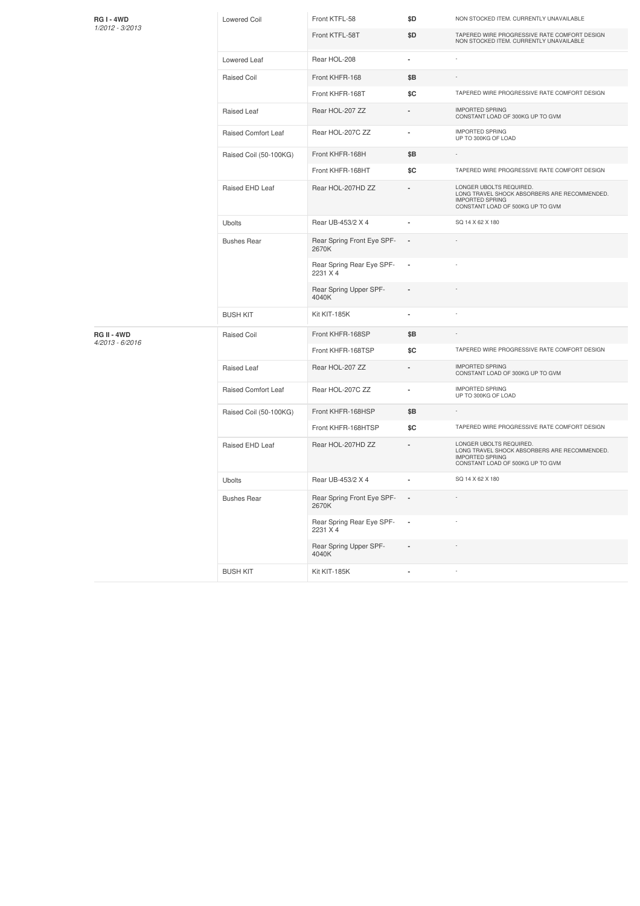| <b>RG1-4WD</b>                   | <b>Lowered Coil</b>    | Front KTFL-58                         | \$D                      | NON STOCKED ITEM. CURRENTLY UNAVAILABLE                                                                                               |
|----------------------------------|------------------------|---------------------------------------|--------------------------|---------------------------------------------------------------------------------------------------------------------------------------|
| 1/2012 - 3/2013                  |                        | Front KTFL-58T                        | \$D                      | TAPERED WIRE PROGRESSIVE RATE COMFORT DESIGN<br>NON STOCKED ITEM. CURRENTLY UNAVAILABLE                                               |
|                                  | Lowered Leaf           | Rear HOL-208                          | ä,                       |                                                                                                                                       |
|                                  | Raised Coil            | Front KHFR-168                        | \$Β                      |                                                                                                                                       |
|                                  |                        | Front KHFR-168T                       | \$C                      | TAPERED WIRE PROGRESSIVE RATE COMFORT DESIGN                                                                                          |
|                                  | Raised Leaf            | Rear HOL-207 ZZ                       | $\overline{a}$           | <b>IMPORTED SPRING</b><br>CONSTANT LOAD OF 300KG UP TO GVM                                                                            |
|                                  | Raised Comfort Leaf    | Rear HOL-207C ZZ                      | ×,                       | <b>IMPORTED SPRING</b><br>UP TO 300KG OF LOAD                                                                                         |
|                                  | Raised Coil (50-100KG) | Front KHFR-168H                       | \$Β                      |                                                                                                                                       |
|                                  |                        | Front KHFR-168HT                      | \$C                      | TAPERED WIRE PROGRESSIVE RATE COMFORT DESIGN                                                                                          |
|                                  | Raised EHD Leaf        | Rear HOL-207HD ZZ                     |                          | LONGER UBOLTS REQUIRED.<br>LONG TRAVEL SHOCK ABSORBERS ARE RECOMMENDED.<br><b>IMPORTED SPRING</b><br>CONSTANT LOAD OF 500KG UP TO GVM |
|                                  | <b>Ubolts</b>          | Rear UB-453/2 X 4                     |                          | SQ 14 X 62 X 180                                                                                                                      |
|                                  | <b>Bushes Rear</b>     | Rear Spring Front Eye SPF-<br>2670K   | $\overline{\phantom{a}}$ |                                                                                                                                       |
|                                  |                        | Rear Spring Rear Eye SPF-<br>2231 X 4 | $\overline{\phantom{a}}$ |                                                                                                                                       |
|                                  |                        | Rear Spring Upper SPF-<br>4040K       | $\overline{\phantom{a}}$ |                                                                                                                                       |
|                                  | <b>BUSH KIT</b>        | Kit KIT-185K                          | ٠                        |                                                                                                                                       |
| RG II - 4WD<br>$4/2013 - 6/2016$ | <b>Raised Coil</b>     | Front KHFR-168SP                      | \$Β                      |                                                                                                                                       |
|                                  |                        | Front KHFR-168TSP                     | \$C                      | TAPERED WIRE PROGRESSIVE RATE COMFORT DESIGN                                                                                          |
|                                  | Raised Leaf            | Rear HOL-207 ZZ                       | ÷,                       | <b>IMPORTED SPRING</b><br>CONSTANT LOAD OF 300KG UP TO GVM                                                                            |
|                                  | Raised Comfort Leaf    | Rear HOL-207C ZZ                      | ٠                        | <b>IMPORTED SPRING</b><br>UP TO 300KG OF LOAD                                                                                         |
|                                  | Raised Coil (50-100KG) | Front KHFR-168HSP                     | \$Β                      | ٠                                                                                                                                     |
|                                  |                        | Front KHFR-168HTSP                    | \$C                      | TAPERED WIRE PROGRESSIVE RATE COMFORT DESIGN                                                                                          |
|                                  | Raised EHD Leaf        | Rear HOL-207HD ZZ                     | $\overline{a}$           | LONGER UBOLTS REQUIRED.<br>LONG TRAVEL SHOCK ABSORBERS ARE RECOMMENDED.<br><b>IMPORTED SPRING</b><br>CONSTANT LOAD OF 500KG UP TO GVM |
|                                  | Ubolts                 | Rear UB-453/2 X 4                     |                          | SQ 14 X 62 X 180                                                                                                                      |
|                                  | <b>Bushes Rear</b>     | Rear Spring Front Eye SPF- -<br>2670K |                          |                                                                                                                                       |
|                                  |                        | Rear Spring Rear Eye SPF-<br>2231 X 4 | $\sim$                   |                                                                                                                                       |
|                                  |                        | Rear Spring Upper SPF-<br>4040K       |                          |                                                                                                                                       |
|                                  | <b>BUSH KIT</b>        | Kit KIT-185K                          | ×,                       | ÷                                                                                                                                     |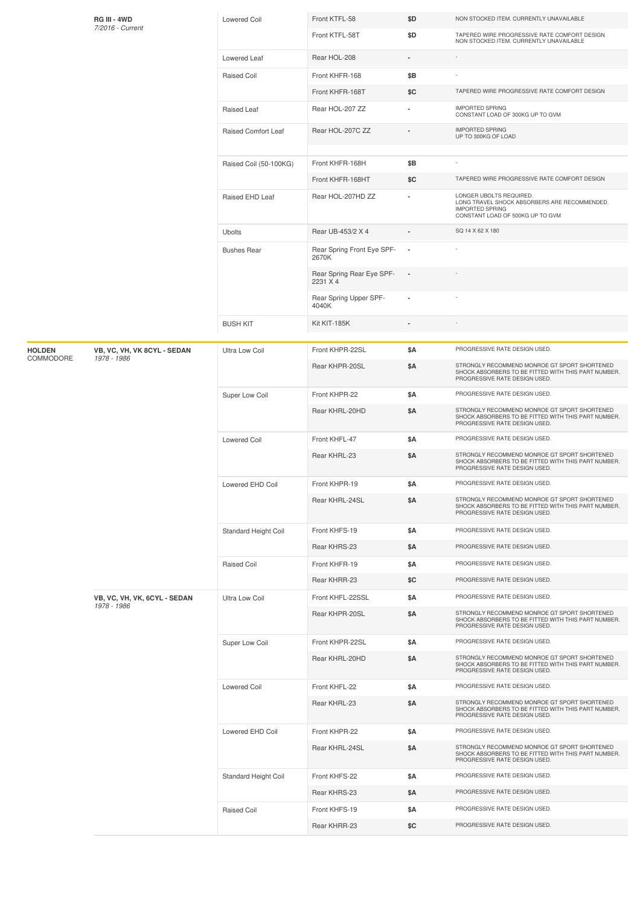|               | RG III - 4WD<br>7/2016 - Current            | Lowered Coil                | Front KTFL-58                         | \$D                      | NON STOCKED ITEM. CURRENTLY UNAVAILABLE                                                                                               |
|---------------|---------------------------------------------|-----------------------------|---------------------------------------|--------------------------|---------------------------------------------------------------------------------------------------------------------------------------|
|               |                                             |                             | Front KTFL-58T                        | \$D                      | TAPERED WIRE PROGRESSIVE RATE COMFORT DESIGN<br>NON STOCKED ITEM. CURRENTLY UNAVAILABLE                                               |
|               |                                             | Lowered Leaf                | Rear HOL-208                          |                          | i,                                                                                                                                    |
|               |                                             | <b>Raised Coil</b>          | Front KHFR-168                        | \$Β                      |                                                                                                                                       |
|               |                                             |                             | Front KHFR-168T                       | \$C                      | TAPERED WIRE PROGRESSIVE RATE COMFORT DESIGN                                                                                          |
|               |                                             | Raised Leaf                 | Rear HOL-207 ZZ                       |                          | <b>IMPORTED SPRING</b><br>CONSTANT LOAD OF 300KG UP TO GVM                                                                            |
|               |                                             | Raised Comfort Leaf         | Rear HOL-207C ZZ                      |                          | <b>IMPORTED SPRING</b><br>UP TO 300KG OF LOAD                                                                                         |
|               |                                             | Raised Coil (50-100KG)      | Front KHFR-168H                       | \$B                      |                                                                                                                                       |
|               |                                             |                             | Front KHFR-168HT                      | \$C                      | TAPERED WIRE PROGRESSIVE RATE COMFORT DESIGN                                                                                          |
|               |                                             | Raised EHD Leaf             | Rear HOL-207HD ZZ                     |                          | LONGER UBOLTS REQUIRED.<br>LONG TRAVEL SHOCK ABSORBERS ARE RECOMMENDED.<br><b>IMPORTED SPRING</b><br>CONSTANT LOAD OF 500KG UP TO GVM |
|               |                                             | <b>Ubolts</b>               | Rear UB-453/2 X 4                     |                          | SQ 14 X 62 X 180                                                                                                                      |
|               |                                             | <b>Bushes Rear</b>          | Rear Spring Front Eye SPF-<br>2670K   | $\overline{\phantom{a}}$ |                                                                                                                                       |
|               |                                             |                             | Rear Spring Rear Eye SPF-<br>2231 X 4 | $\overline{\phantom{a}}$ |                                                                                                                                       |
|               |                                             |                             | Rear Spring Upper SPF-<br>4040K       |                          |                                                                                                                                       |
|               |                                             | <b>BUSH KIT</b>             | Kit KIT-185K                          |                          |                                                                                                                                       |
| <b>HOLDEN</b> | VB, VC, VH, VK 8CYL - SEDAN                 | <b>Ultra Low Coil</b>       | Front KHPR-22SL                       | <b>\$A</b>               | PROGRESSIVE RATE DESIGN USED.                                                                                                         |
| COMMODORE     | 1978 - 1986                                 |                             | Rear KHPR-20SL                        | \$Α                      | STRONGLY RECOMMEND MONROE GT SPORT SHORTENED<br>SHOCK ABSORBERS TO BE FITTED WITH THIS PART NUMBER.<br>PROGRESSIVE RATE DESIGN USED.  |
|               |                                             | Super Low Coil              | Front KHPR-22                         | \$Α                      | PROGRESSIVE RATE DESIGN USED.                                                                                                         |
|               |                                             |                             | Rear KHRL-20HD                        | \$Α                      | STRONGLY RECOMMEND MONROE GT SPORT SHORTENED<br>SHOCK ABSORBERS TO BE FITTED WITH THIS PART NUMBER.<br>PROGRESSIVE RATE DESIGN USED.  |
|               |                                             | Lowered Coil                | Front KHFL-47                         | \$Α                      | PROGRESSIVE RATE DESIGN USED.                                                                                                         |
|               |                                             |                             | Rear KHRL-23                          | \$Α                      | STRONGLY RECOMMEND MONROE GT SPORT SHORTENED<br>SHOCK ABSORBERS TO BE FITTED WITH THIS PART NUMBER.<br>PROGRESSIVE RATE DESIGN USED.  |
|               |                                             | Lowered EHD Coil            | Front KHPR-19                         | \$Α                      | PROGRESSIVE RATE DESIGN USED.                                                                                                         |
|               |                                             |                             | Rear KHRL-24SL                        | \$Α                      | STRONGLY RECOMMEND MONROE GT SPORT SHORTENED<br>SHOCK ABSORBERS TO BE FITTED WITH THIS PART NUMBER.<br>PROGRESSIVE RATE DESIGN USED.  |
|               |                                             | <b>Standard Height Coil</b> | Front KHFS-19                         | \$Α                      | PROGRESSIVE RATE DESIGN USED.                                                                                                         |
|               |                                             |                             | Rear KHRS-23                          | \$Α                      | PROGRESSIVE RATE DESIGN USED.                                                                                                         |
|               |                                             | <b>Raised Coil</b>          | Front KHFR-19                         | \$Α                      | PROGRESSIVE RATE DESIGN USED.                                                                                                         |
|               |                                             |                             | Rear KHRR-23                          | \$C                      | PROGRESSIVE RATE DESIGN USED.                                                                                                         |
|               | VB, VC, VH, VK, 6CYL - SEDAN<br>1978 - 1986 | Ultra Low Coil              | Front KHFL-22SSL                      | \$Α                      | PROGRESSIVE RATE DESIGN USED.                                                                                                         |
|               |                                             |                             | Rear KHPR-20SL                        | \$Α                      | STRONGLY RECOMMEND MONROE GT SPORT SHORTENED<br>SHOCK ABSORBERS TO BE FITTED WITH THIS PART NUMBER.<br>PROGRESSIVE RATE DESIGN USED.  |
|               |                                             | Super Low Coil              | Front KHPR-22SL                       | <b>\$A</b>               | PROGRESSIVE RATE DESIGN USED.                                                                                                         |
|               |                                             |                             | Rear KHRL-20HD                        | \$Α                      | STRONGLY RECOMMEND MONROE GT SPORT SHORTENED<br>SHOCK ABSORBERS TO BE FITTED WITH THIS PART NUMBER.<br>PROGRESSIVE RATE DESIGN USED.  |
|               |                                             | <b>Lowered Coil</b>         | Front KHFL-22                         | \$Α                      | PROGRESSIVE RATE DESIGN USED.                                                                                                         |
|               |                                             |                             | Rear KHRL-23                          | \$Α                      | STRONGLY RECOMMEND MONROE GT SPORT SHORTENED<br>SHOCK ABSORBERS TO BE FITTED WITH THIS PART NUMBER.<br>PROGRESSIVE RATE DESIGN USED.  |
|               |                                             | Lowered EHD Coil            | Front KHPR-22                         | \$Α                      | PROGRESSIVE RATE DESIGN USED.                                                                                                         |
|               |                                             |                             | Rear KHRL-24SL                        | \$Α                      | STRONGLY RECOMMEND MONROE GT SPORT SHORTENED<br>SHOCK ABSORBERS TO BE FITTED WITH THIS PART NUMBER.<br>PROGRESSIVE RATE DESIGN USED.  |
|               |                                             | Standard Height Coil        | Front KHFS-22                         | \$Α                      | PROGRESSIVE RATE DESIGN USED.                                                                                                         |
|               |                                             |                             | Rear KHRS-23                          | \$Α                      | PROGRESSIVE RATE DESIGN USED.                                                                                                         |
|               |                                             | <b>Raised Coil</b>          | Front KHFS-19                         | \$Α                      | PROGRESSIVE RATE DESIGN USED.                                                                                                         |
|               |                                             |                             | Rear KHRR-23                          | \$C                      | PROGRESSIVE RATE DESIGN USED.                                                                                                         |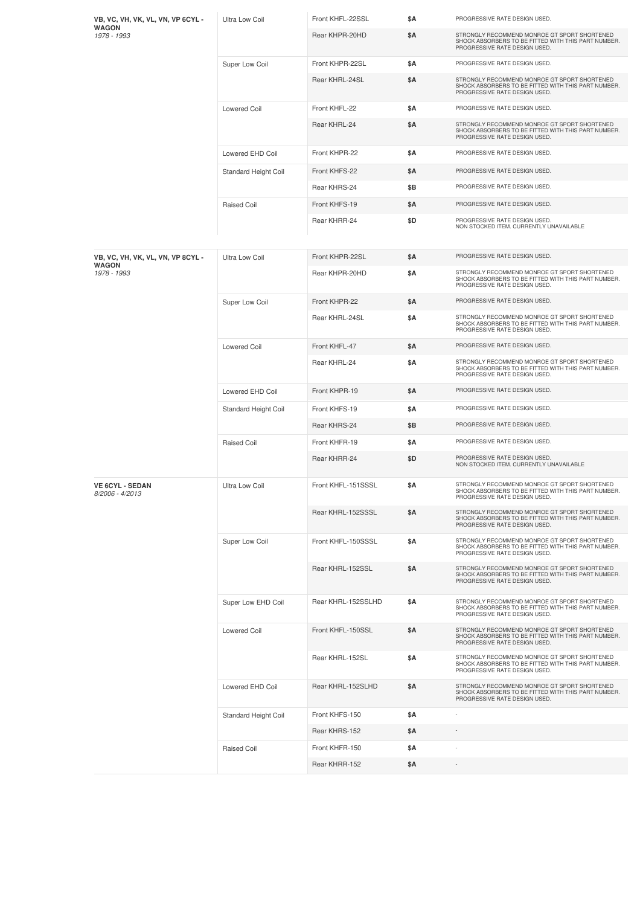| VB, VC, VH, VK, VL, VN, VP 6CYL -<br><b>WAGON</b> | Ultra Low Coil        | Front KHFL-22SSL   | \$Α        | PROGRESSIVE RATE DESIGN USED.                                                                                                        |
|---------------------------------------------------|-----------------------|--------------------|------------|--------------------------------------------------------------------------------------------------------------------------------------|
| 1978 - 1993                                       |                       | Rear KHPR-20HD     | \$Α        | STRONGLY RECOMMEND MONROE GT SPORT SHORTENED<br>SHOCK ABSORBERS TO BE FITTED WITH THIS PART NUMBER.<br>PROGRESSIVE RATE DESIGN USED. |
|                                                   | Super Low Coil        | Front KHPR-22SL    | <b>\$A</b> | PROGRESSIVE RATE DESIGN USED.                                                                                                        |
|                                                   |                       | Rear KHRL-24SL     | \$Α        | STRONGLY RECOMMEND MONROE GT SPORT SHORTENED<br>SHOCK ABSORBERS TO BE FITTED WITH THIS PART NUMBER.<br>PROGRESSIVE RATE DESIGN USED. |
|                                                   | <b>Lowered Coil</b>   | Front KHFL-22      | <b>\$A</b> | PROGRESSIVE RATE DESIGN USED.                                                                                                        |
|                                                   |                       | Rear KHRL-24       | \$Α        | STRONGLY RECOMMEND MONROE GT SPORT SHORTENED<br>SHOCK ABSORBERS TO BE FITTED WITH THIS PART NUMBER.<br>PROGRESSIVE RATE DESIGN USED. |
|                                                   | Lowered EHD Coil      | Front KHPR-22      | \$Α        | PROGRESSIVE RATE DESIGN USED.                                                                                                        |
|                                                   | Standard Height Coil  | Front KHFS-22      | \$Α        | PROGRESSIVE RATE DESIGN USED.                                                                                                        |
|                                                   |                       | Rear KHRS-24       | \$B        | PROGRESSIVE RATE DESIGN USED.                                                                                                        |
|                                                   | <b>Raised Coil</b>    | Front KHFS-19      | \$Α        | PROGRESSIVE RATE DESIGN USED.                                                                                                        |
|                                                   |                       | Rear KHRR-24       | \$D        | PROGRESSIVE RATE DESIGN USED.<br>NON STOCKED ITEM. CURRENTLY UNAVAILABLE                                                             |
| VB, VC, VH, VK, VL, VN, VP 8CYL -<br><b>WAGON</b> | Ultra Low Coil        | Front KHPR-22SL    | <b>\$A</b> | PROGRESSIVE RATE DESIGN USED.                                                                                                        |
| 1978 - 1993                                       |                       | Rear KHPR-20HD     | <b>\$A</b> | STRONGLY RECOMMEND MONROE GT SPORT SHORTENED<br>SHOCK ABSORBERS TO BE FITTED WITH THIS PART NUMBER.<br>PROGRESSIVE RATE DESIGN USED. |
|                                                   | Super Low Coil        | Front KHPR-22      | \$Α        | PROGRESSIVE RATE DESIGN USED.                                                                                                        |
|                                                   |                       | Rear KHRL-24SL     | \$Α        | STRONGLY RECOMMEND MONROE GT SPORT SHORTENED<br>SHOCK ABSORBERS TO BE FITTED WITH THIS PART NUMBER.<br>PROGRESSIVE RATE DESIGN USED. |
|                                                   | <b>Lowered Coil</b>   | Front KHFL-47      | <b>\$A</b> | PROGRESSIVE RATE DESIGN USED.                                                                                                        |
|                                                   |                       | Rear KHRL-24       | \$Α        | STRONGLY RECOMMEND MONROE GT SPORT SHORTENED<br>SHOCK ABSORBERS TO BE FITTED WITH THIS PART NUMBER.<br>PROGRESSIVE RATE DESIGN USED. |
|                                                   | Lowered EHD Coil      | Front KHPR-19      | \$Α        | PROGRESSIVE RATE DESIGN USED.                                                                                                        |
|                                                   | Standard Height Coil  | Front KHFS-19      | \$Α        | PROGRESSIVE RATE DESIGN USED.                                                                                                        |
|                                                   |                       | Rear KHRS-24       | \$Β        | PROGRESSIVE RATE DESIGN USED.                                                                                                        |
|                                                   | Raised Coil           | Front KHFR-19      | \$Α        | PROGRESSIVE RATE DESIGN USED.                                                                                                        |
|                                                   |                       | Rear KHRR-24       | \$D        | PROGRESSIVE RATE DESIGN USED.<br>NON STOCKED ITEM. CURRENTLY UNAVAILABLE                                                             |
| <b>VE 6CYL - SEDAN</b><br>8/2006 - 4/2013         | <b>Ultra Low Coil</b> | Front KHFL-151SSSL | \$Α        | STRONGLY RECOMMEND MONROE GT SPORT SHORTENED<br>SHOCK ABSORBERS TO BE FITTED WITH THIS PART NUMBER.<br>PROGRESSIVE RATE DESIGN USED. |
|                                                   |                       | Rear KHRL-152SSSL  | \$Α        | STRONGLY RECOMMEND MONROE GT SPORT SHORTENED<br>SHOCK ABSORBERS TO BE FITTED WITH THIS PART NUMBER.<br>PROGRESSIVE RATE DESIGN USED. |
|                                                   | Super Low Coil        | Front KHFL-150SSSL | \$Α        | STRONGLY RECOMMEND MONROE GT SPORT SHORTENED<br>SHOCK ABSORBERS TO BE FITTED WITH THIS PART NUMBER.<br>PROGRESSIVE RATE DESIGN USED. |
|                                                   |                       | Rear KHRL-152SSL   | <b>\$A</b> | STRONGLY RECOMMEND MONROE GT SPORT SHORTENED<br>SHOCK ABSORBERS TO BE FITTED WITH THIS PART NUMBER.<br>PROGRESSIVE RATE DESIGN USED. |
|                                                   | Super Low EHD Coil    | Rear KHRL-152SSLHD | \$Α        | STRONGLY RECOMMEND MONROE GT SPORT SHORTENED<br>SHOCK ABSORBERS TO BE FITTED WITH THIS PART NUMBER.<br>PROGRESSIVE RATE DESIGN USED. |
|                                                   | <b>Lowered Coil</b>   | Front KHFL-150SSL  | \$Α        | STRONGLY RECOMMEND MONROE GT SPORT SHORTENED<br>SHOCK ABSORBERS TO BE FITTED WITH THIS PART NUMBER.<br>PROGRESSIVE RATE DESIGN USED. |
|                                                   |                       | Rear KHRL-152SL    | \$Α        | STRONGLY RECOMMEND MONROE GT SPORT SHORTENED<br>SHOCK ABSORBERS TO BE FITTED WITH THIS PART NUMBER.<br>PROGRESSIVE RATE DESIGN USED. |
|                                                   | Lowered EHD Coil      | Rear KHRL-152SLHD  | \$Α        | STRONGLY RECOMMEND MONROE GT SPORT SHORTENED<br>SHOCK ABSORBERS TO BE FITTED WITH THIS PART NUMBER.<br>PROGRESSIVE RATE DESIGN USED. |
|                                                   | Standard Height Coil  | Front KHFS-150     | \$Α        |                                                                                                                                      |
|                                                   |                       | Rear KHRS-152      | \$Α        |                                                                                                                                      |
|                                                   | <b>Raised Coil</b>    | Front KHFR-150     | \$Α        |                                                                                                                                      |
|                                                   |                       | Rear KHRR-152      | \$Α        |                                                                                                                                      |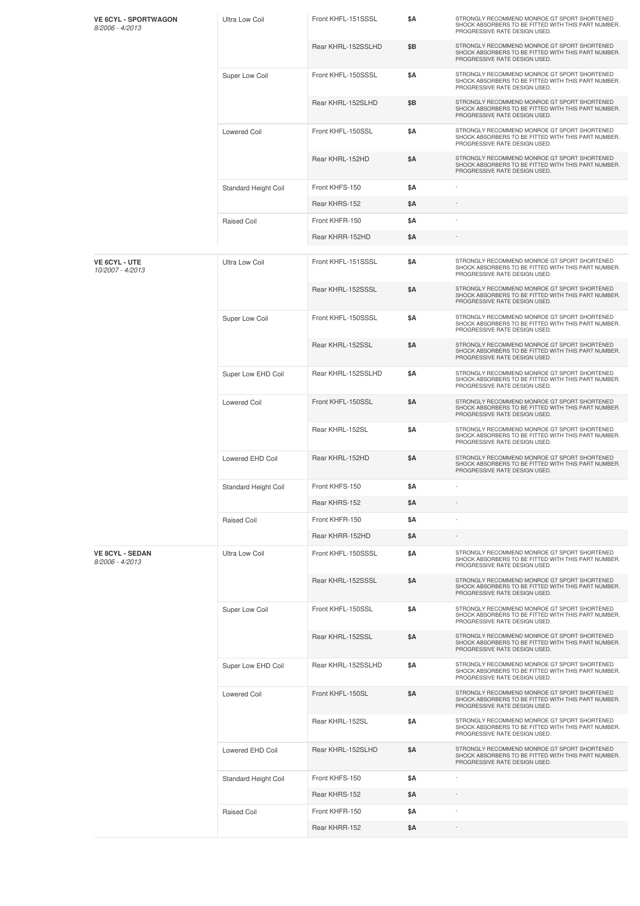| <b>VE 6CYL - SPORTWAGON</b><br>8/2006 - 4/2013 | Ultra Low Coil        | Front KHFL-151SSSL | \$Α        | STRONGLY RECOMMEND MONROE GT SPORT SHORTENED<br>SHOCK ABSORBERS TO BE FITTED WITH THIS PART NUMBER.<br>PROGRESSIVE RATE DESIGN USED. |
|------------------------------------------------|-----------------------|--------------------|------------|--------------------------------------------------------------------------------------------------------------------------------------|
|                                                |                       | Rear KHRL-152SSLHD | \$Β        | STRONGLY RECOMMEND MONROE GT SPORT SHORTENED<br>SHOCK ABSORBERS TO BE FITTED WITH THIS PART NUMBER.<br>PROGRESSIVE RATE DESIGN USED. |
|                                                | Super Low Coil        | Front KHFL-150SSSL | \$Α        | STRONGLY RECOMMEND MONROE GT SPORT SHORTENED<br>SHOCK ABSORBERS TO BE FITTED WITH THIS PART NUMBER.<br>PROGRESSIVE RATE DESIGN USED. |
|                                                |                       | Rear KHRL-152SLHD  | \$Β        | STRONGLY RECOMMEND MONROE GT SPORT SHORTENED<br>SHOCK ABSORBERS TO BE FITTED WITH THIS PART NUMBER.<br>PROGRESSIVE RATE DESIGN USED. |
|                                                | Lowered Coil          | Front KHFL-150SSL  | <b>\$A</b> | STRONGLY RECOMMEND MONROE GT SPORT SHORTENED<br>SHOCK ABSORBERS TO BE FITTED WITH THIS PART NUMBER.<br>PROGRESSIVE RATE DESIGN USED. |
|                                                |                       | Rear KHRL-152HD    | \$A        | STRONGLY RECOMMEND MONROE GT SPORT SHORTENED<br>SHOCK ABSORBERS TO BE FITTED WITH THIS PART NUMBER.<br>PROGRESSIVE RATE DESIGN USED. |
|                                                | Standard Height Coil  | Front KHFS-150     | \$Α        |                                                                                                                                      |
|                                                |                       | Rear KHRS-152      | \$Α        |                                                                                                                                      |
|                                                | Raised Coil           | Front KHFR-150     | \$Α        |                                                                                                                                      |
|                                                |                       | Rear KHRR-152HD    | \$Α        |                                                                                                                                      |
| <b>VE 6CYL - UTE</b><br>10/2007 - 4/2013       | <b>Ultra Low Coil</b> | Front KHFL-151SSSL | \$Α        | STRONGLY RECOMMEND MONROE GT SPORT SHORTENED<br>SHOCK ABSORBERS TO BE FITTED WITH THIS PART NUMBER.<br>PROGRESSIVE RATE DESIGN USED. |
|                                                |                       | Rear KHRL-152SSSL  | \$A        | STRONGLY RECOMMEND MONROE GT SPORT SHORTENED<br>SHOCK ABSORBERS TO BE FITTED WITH THIS PART NUMBER.<br>PROGRESSIVE RATE DESIGN USED. |
|                                                | Super Low Coil        | Front KHFL-150SSSL | \$Α        | STRONGLY RECOMMEND MONROE GT SPORT SHORTENED<br>SHOCK ABSORBERS TO BE FITTED WITH THIS PART NUMBER.<br>PROGRESSIVE RATE DESIGN USED. |
|                                                |                       | Rear KHRL-152SSL   | \$A        | STRONGLY RECOMMEND MONROE GT SPORT SHORTENED<br>SHOCK ABSORBERS TO BE FITTED WITH THIS PART NUMBER.<br>PROGRESSIVE RATE DESIGN USED. |
|                                                | Super Low EHD Coil    | Rear KHRL-152SSLHD | \$Α        | STRONGLY RECOMMEND MONROE GT SPORT SHORTENED<br>SHOCK ABSORBERS TO BE FITTED WITH THIS PART NUMBER.<br>PROGRESSIVE RATE DESIGN USED. |
|                                                | <b>Lowered Coil</b>   | Front KHFL-150SSL  | \$A        | STRONGLY RECOMMEND MONROE GT SPORT SHORTENED<br>SHOCK ABSORBERS TO BE FITTED WITH THIS PART NUMBER.<br>PROGRESSIVE RATE DESIGN USED. |
|                                                |                       | Rear KHRL-152SL    | <b>\$A</b> | STRONGLY RECOMMEND MONROE GT SPORT SHORTENED<br>SHOCK ABSORBERS TO BE FITTED WITH THIS PART NUMBER.<br>PROGRESSIVE RATE DESIGN USED. |
|                                                | Lowered EHD Coil      | Rear KHRL-152HD    | \$A        | STRONGLY RECOMMEND MONROE GT SPORT SHORTENED<br>SHOCK ABSORBERS TO BE FITTED WITH THIS PART NUMBER.<br>PROGRESSIVE RATE DESIGN USED. |
|                                                | Standard Height Coil  | Front KHFS-150     | \$Α        |                                                                                                                                      |
|                                                |                       | Rear KHRS-152      | \$Α        |                                                                                                                                      |
|                                                | Raised Coil           | Front KHFR-150     | <b>\$A</b> |                                                                                                                                      |
|                                                |                       | Rear KHRR-152HD    | \$Α        |                                                                                                                                      |
| <b>VE 8CYL - SEDAN</b><br>8/2006 - 4/2013      | <b>Ultra Low Coil</b> | Front KHFL-150SSSL | \$Α        | STRONGLY RECOMMEND MONROE GT SPORT SHORTENED<br>SHOCK ABSORBERS TO BE FITTED WITH THIS PART NUMBER.<br>PROGRESSIVE RATE DESIGN USED. |
|                                                |                       | Rear KHRL-152SSSL  | \$A        | STRONGLY RECOMMEND MONROE GT SPORT SHORTENED<br>SHOCK ABSORBERS TO BE FITTED WITH THIS PART NUMBER.<br>PROGRESSIVE RATE DESIGN USED. |
|                                                | Super Low Coil        | Front KHFL-150SSL  | \$Α        | STRONGLY RECOMMEND MONROE GT SPORT SHORTENED<br>SHOCK ABSORBERS TO BE FITTED WITH THIS PART NUMBER.<br>PROGRESSIVE RATE DESIGN USED. |
|                                                |                       | Rear KHRL-152SSL   | \$Α        | STRONGLY RECOMMEND MONROE GT SPORT SHORTENED<br>SHOCK ABSORBERS TO BE FITTED WITH THIS PART NUMBER.<br>PROGRESSIVE RATE DESIGN USED. |
|                                                | Super Low EHD Coil    | Rear KHRL-152SSLHD | <b>\$A</b> | STRONGLY RECOMMEND MONROE GT SPORT SHORTENED<br>SHOCK ABSORBERS TO BE FITTED WITH THIS PART NUMBER.<br>PROGRESSIVE RATE DESIGN USED. |
|                                                | <b>Lowered Coil</b>   | Front KHFL-150SL   | \$A        | STRONGLY RECOMMEND MONROE GT SPORT SHORTENED<br>SHOCK ABSORBERS TO BE FITTED WITH THIS PART NUMBER.<br>PROGRESSIVE RATE DESIGN USED. |
|                                                |                       | Rear KHRL-152SL    | \$Α        | STRONGLY RECOMMEND MONROE GT SPORT SHORTENED<br>SHOCK ABSORBERS TO BE FITTED WITH THIS PART NUMBER.<br>PROGRESSIVE RATE DESIGN USED. |
|                                                | Lowered EHD Coil      | Rear KHRL-152SLHD  | \$Α        | STRONGLY RECOMMEND MONROE GT SPORT SHORTENED<br>SHOCK ABSORBERS TO BE FITTED WITH THIS PART NUMBER.<br>PROGRESSIVE RATE DESIGN USED. |
|                                                | Standard Height Coil  | Front KHFS-150     | <b>\$A</b> |                                                                                                                                      |
|                                                |                       | Rear KHRS-152      | \$Α        |                                                                                                                                      |
|                                                | <b>Raised Coil</b>    | Front KHFR-150     | \$Α        |                                                                                                                                      |
|                                                |                       | Rear KHRR-152      | \$Α        |                                                                                                                                      |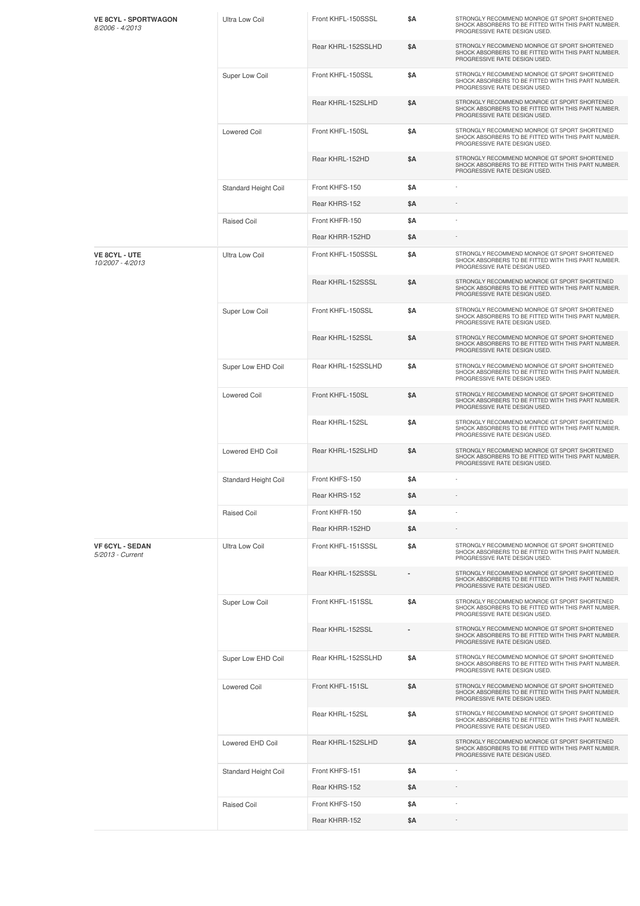| <b>VE 8CYL - SPORTWAGON</b><br>8/2006 - 4/2013 | Ultra Low Coil        | Front KHFL-150SSSL | \$Α        | STRONGLY RECOMMEND MONROE GT SPORT SHORTENED<br>SHOCK ABSORBERS TO BE FITTED WITH THIS PART NUMBER.<br>PROGRESSIVE RATE DESIGN USED. |
|------------------------------------------------|-----------------------|--------------------|------------|--------------------------------------------------------------------------------------------------------------------------------------|
|                                                |                       | Rear KHRL-152SSLHD | \$A        | STRONGLY RECOMMEND MONROE GT SPORT SHORTENED<br>SHOCK ABSORBERS TO BE FITTED WITH THIS PART NUMBER.<br>PROGRESSIVE RATE DESIGN USED. |
|                                                | Super Low Coil        | Front KHFL-150SSL  | \$Α        | STRONGLY RECOMMEND MONROE GT SPORT SHORTENED<br>SHOCK ABSORBERS TO BE FITTED WITH THIS PART NUMBER.<br>PROGRESSIVE RATE DESIGN USED. |
|                                                |                       | Rear KHRL-152SLHD  | \$A        | STRONGLY RECOMMEND MONROE GT SPORT SHORTENED<br>SHOCK ABSORBERS TO BE FITTED WITH THIS PART NUMBER.<br>PROGRESSIVE RATE DESIGN USED. |
|                                                | <b>Lowered Coil</b>   | Front KHFL-150SL   | \$Α        | STRONGLY RECOMMEND MONROE GT SPORT SHORTENED<br>SHOCK ABSORBERS TO BE FITTED WITH THIS PART NUMBER.<br>PROGRESSIVE RATE DESIGN USED. |
|                                                |                       | Rear KHRL-152HD    | \$A        | STRONGLY RECOMMEND MONROE GT SPORT SHORTENED<br>SHOCK ABSORBERS TO BE FITTED WITH THIS PART NUMBER.<br>PROGRESSIVE RATE DESIGN USED. |
|                                                | Standard Height Coil  | Front KHFS-150     | <b>\$A</b> |                                                                                                                                      |
|                                                |                       | Rear KHRS-152      | \$Α        |                                                                                                                                      |
|                                                | <b>Raised Coil</b>    | Front KHFR-150     | \$Α        |                                                                                                                                      |
|                                                |                       | Rear KHRR-152HD    | \$Α        |                                                                                                                                      |
| <b>VE 8CYL - UTE</b><br>10/2007 - 4/2013       | <b>Ultra Low Coil</b> | Front KHFL-150SSSL | \$Α        | STRONGLY RECOMMEND MONROE GT SPORT SHORTENED<br>SHOCK ABSORBERS TO BE FITTED WITH THIS PART NUMBER.<br>PROGRESSIVE RATE DESIGN USED. |
|                                                |                       | Rear KHRL-152SSSL  | \$A        | STRONGLY RECOMMEND MONROE GT SPORT SHORTENED<br>SHOCK ABSORBERS TO BE FITTED WITH THIS PART NUMBER.<br>PROGRESSIVE RATE DESIGN USED. |
|                                                | Super Low Coil        | Front KHFL-150SSL  | \$Α        | STRONGLY RECOMMEND MONROE GT SPORT SHORTENED<br>SHOCK ABSORBERS TO BE FITTED WITH THIS PART NUMBER.<br>PROGRESSIVE RATE DESIGN USED. |
|                                                |                       | Rear KHRL-152SSL   | \$A        | STRONGLY RECOMMEND MONROE GT SPORT SHORTENED<br>SHOCK ABSORBERS TO BE FITTED WITH THIS PART NUMBER.<br>PROGRESSIVE RATE DESIGN USED. |
|                                                | Super Low EHD Coil    | Rear KHRL-152SSLHD | \$Α        | STRONGLY RECOMMEND MONROE GT SPORT SHORTENED<br>SHOCK ABSORBERS TO BE FITTED WITH THIS PART NUMBER.<br>PROGRESSIVE RATE DESIGN USED. |
|                                                | <b>Lowered Coil</b>   | Front KHFL-150SL   | \$A        | STRONGLY RECOMMEND MONROE GT SPORT SHORTENED<br>SHOCK ABSORBERS TO BE FITTED WITH THIS PART NUMBER.<br>PROGRESSIVE RATE DESIGN USED. |
|                                                |                       | Rear KHRL-152SL    | \$Α        | STRONGLY RECOMMEND MONROE GT SPORT SHORTENED<br>SHOCK ABSORBERS TO BE FITTED WITH THIS PART NUMBER.<br>PROGRESSIVE RATE DESIGN USED. |
|                                                | Lowered EHD Coil      | Rear KHRL-152SLHD  | \$A        | STRONGLY RECOMMEND MONROE GT SPORT SHORTENED<br>SHOCK ABSORBERS TO BE FITTED WITH THIS PART NUMBER.<br>PROGRESSIVE RATE DESIGN USED. |
|                                                | Standard Height Coil  | Front KHFS-150     | \$Α        |                                                                                                                                      |
|                                                |                       | Rear KHRS-152      | \$Α        |                                                                                                                                      |
|                                                | <b>Raised Coil</b>    | Front KHFR-150     | \$A        |                                                                                                                                      |
|                                                |                       | Rear KHRR-152HD    | \$Α        |                                                                                                                                      |
| <b>VF 6CYL - SEDAN</b><br>5/2013 - Current     | <b>Ultra Low Coil</b> | Front KHFL-151SSSL | \$Α        | STRONGLY RECOMMEND MONROE GT SPORT SHORTENED<br>SHOCK ABSORBERS TO BE FITTED WITH THIS PART NUMBER.<br>PROGRESSIVE RATE DESIGN USED. |
|                                                |                       | Rear KHRL-152SSSL  |            | STRONGLY RECOMMEND MONROE GT SPORT SHORTENED<br>SHOCK ABSORBERS TO BE FITTED WITH THIS PART NUMBER.<br>PROGRESSIVE RATE DESIGN USED. |
|                                                | Super Low Coil        | Front KHFL-151SSL  | <b>\$A</b> | STRONGLY RECOMMEND MONROE GT SPORT SHORTENED<br>SHOCK ABSORBERS TO BE FITTED WITH THIS PART NUMBER.<br>PROGRESSIVE RATE DESIGN USED. |
|                                                |                       | Rear KHRL-152SSL   |            | STRONGLY RECOMMEND MONROE GT SPORT SHORTENED<br>SHOCK ABSORBERS TO BE FITTED WITH THIS PART NUMBER.<br>PROGRESSIVE RATE DESIGN USED. |
|                                                | Super Low EHD Coil    | Rear KHRL-152SSLHD | <b>\$A</b> | STRONGLY RECOMMEND MONROE GT SPORT SHORTENED<br>SHOCK ABSORBERS TO BE FITTED WITH THIS PART NUMBER.<br>PROGRESSIVE RATE DESIGN USED. |
|                                                | <b>Lowered Coil</b>   | Front KHFL-151SL   | \$A        | STRONGLY RECOMMEND MONROE GT SPORT SHORTENED<br>SHOCK ABSORBERS TO BE FITTED WITH THIS PART NUMBER.<br>PROGRESSIVE RATE DESIGN USED. |
|                                                |                       | Rear KHRL-152SL    | <b>\$A</b> | STRONGLY RECOMMEND MONROE GT SPORT SHORTENED<br>SHOCK ABSORBERS TO BE FITTED WITH THIS PART NUMBER.<br>PROGRESSIVE RATE DESIGN USED. |
|                                                | Lowered EHD Coil      | Rear KHRL-152SLHD  | \$A        | STRONGLY RECOMMEND MONROE GT SPORT SHORTENED<br>SHOCK ABSORBERS TO BE FITTED WITH THIS PART NUMBER.<br>PROGRESSIVE RATE DESIGN USED. |
|                                                | Standard Height Coil  | Front KHFS-151     | <b>\$A</b> |                                                                                                                                      |
|                                                |                       | Rear KHRS-152      | \$A        |                                                                                                                                      |
|                                                | <b>Raised Coil</b>    | Front KHFS-150     | \$Α        |                                                                                                                                      |
|                                                |                       | Rear KHRR-152      | \$Α        |                                                                                                                                      |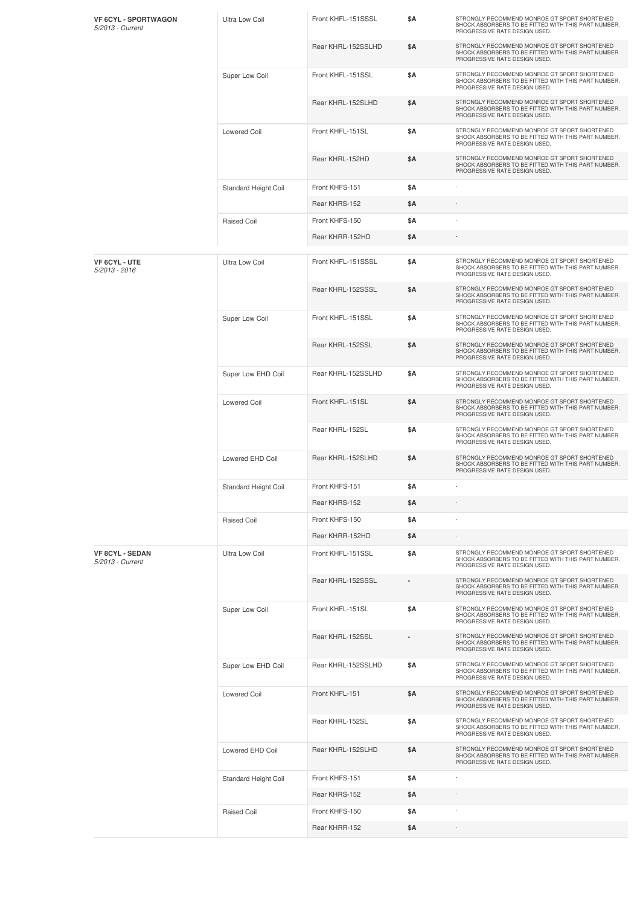| <b>VF 6CYL - SPORTWAGON</b><br>5/2013 - Current | Ultra Low Coil        | Front KHFL-151SSSL | \$Α        | STRONGLY RECOMMEND MONROE GT SPORT SHORTENED<br>SHOCK ABSORBERS TO BE FITTED WITH THIS PART NUMBER.<br>PROGRESSIVE RATE DESIGN USED. |
|-------------------------------------------------|-----------------------|--------------------|------------|--------------------------------------------------------------------------------------------------------------------------------------|
|                                                 |                       | Rear KHRL-152SSLHD | \$Α        | STRONGLY RECOMMEND MONROE GT SPORT SHORTENED<br>SHOCK ABSORBERS TO BE FITTED WITH THIS PART NUMBER.<br>PROGRESSIVE RATE DESIGN USED. |
|                                                 | Super Low Coil        | Front KHFL-151SSL  | \$Α        | STRONGLY RECOMMEND MONROE GT SPORT SHORTENED<br>SHOCK ABSORBERS TO BE FITTED WITH THIS PART NUMBER.<br>PROGRESSIVE RATE DESIGN USED. |
|                                                 |                       | Rear KHRL-152SLHD  | \$Α        | STRONGLY RECOMMEND MONROE GT SPORT SHORTENED<br>SHOCK ABSORBERS TO BE FITTED WITH THIS PART NUMBER.<br>PROGRESSIVE RATE DESIGN USED. |
|                                                 | Lowered Coil          | Front KHFL-151SL   | <b>\$A</b> | STRONGLY RECOMMEND MONROE GT SPORT SHORTENED<br>SHOCK ABSORBERS TO BE FITTED WITH THIS PART NUMBER.<br>PROGRESSIVE RATE DESIGN USED. |
|                                                 |                       | Rear KHRL-152HD    | \$A        | STRONGLY RECOMMEND MONROE GT SPORT SHORTENED<br>SHOCK ABSORBERS TO BE FITTED WITH THIS PART NUMBER.<br>PROGRESSIVE RATE DESIGN USED. |
|                                                 | Standard Height Coil  | Front KHFS-151     | \$Α        |                                                                                                                                      |
|                                                 |                       | Rear KHRS-152      | \$Α        |                                                                                                                                      |
|                                                 | Raised Coil           | Front KHFS-150     | \$Α        |                                                                                                                                      |
|                                                 |                       | Rear KHRR-152HD    | \$Α        |                                                                                                                                      |
| <b>VF 6CYL - UTE</b><br>$5/2013 - 2016$         | <b>Ultra Low Coil</b> | Front KHFL-151SSSL | \$Α        | STRONGLY RECOMMEND MONROE GT SPORT SHORTENED<br>SHOCK ABSORBERS TO BE FITTED WITH THIS PART NUMBER.<br>PROGRESSIVE RATE DESIGN USED. |
|                                                 |                       | Rear KHRL-152SSSL  | \$A        | STRONGLY RECOMMEND MONROE GT SPORT SHORTENED<br>SHOCK ABSORBERS TO BE FITTED WITH THIS PART NUMBER.<br>PROGRESSIVE RATE DESIGN USED. |
|                                                 | Super Low Coil        | Front KHFL-151SSL  | \$Α        | STRONGLY RECOMMEND MONROE GT SPORT SHORTENED<br>SHOCK ABSORBERS TO BE FITTED WITH THIS PART NUMBER.<br>PROGRESSIVE RATE DESIGN USED. |
|                                                 |                       | Rear KHRL-152SSL   | \$A        | STRONGLY RECOMMEND MONROE GT SPORT SHORTENED<br>SHOCK ABSORBERS TO BE FITTED WITH THIS PART NUMBER.<br>PROGRESSIVE RATE DESIGN USED. |
|                                                 | Super Low EHD Coil    | Rear KHRL-152SSLHD | \$Α        | STRONGLY RECOMMEND MONROE GT SPORT SHORTENED<br>SHOCK ABSORBERS TO BE FITTED WITH THIS PART NUMBER.<br>PROGRESSIVE RATE DESIGN USED. |
|                                                 | <b>Lowered Coil</b>   | Front KHFL-151SL   | \$A        | STRONGLY RECOMMEND MONROE GT SPORT SHORTENED<br>SHOCK ABSORBERS TO BE FITTED WITH THIS PART NUMBER.<br>PROGRESSIVE RATE DESIGN USED. |
|                                                 |                       | Rear KHRL-152SL    | <b>\$A</b> | STRONGLY RECOMMEND MONROE GT SPORT SHORTENED<br>SHOCK ABSORBERS TO BE FITTED WITH THIS PART NUMBER.<br>PROGRESSIVE RATE DESIGN USED. |
|                                                 | Lowered EHD Coil      | Rear KHRL-152SLHD  | \$A        | STRONGLY RECOMMEND MONROE GT SPORT SHORTENED<br>SHOCK ABSORBERS TO BE FITTED WITH THIS PART NUMBER.<br>PROGRESSIVE RATE DESIGN USED. |
|                                                 | Standard Height Coil  | Front KHFS-151     | \$Α        |                                                                                                                                      |
|                                                 |                       | Rear KHRS-152      | \$Α        |                                                                                                                                      |
|                                                 | Raised Coil           | Front KHFS-150     | <b>\$A</b> |                                                                                                                                      |
|                                                 |                       | Rear KHRR-152HD    | \$Α        |                                                                                                                                      |
| <b>VF 8CYL - SEDAN</b><br>5/2013 - Current      | <b>Ultra Low Coil</b> | Front KHFL-151SSL  | \$Α        | STRONGLY RECOMMEND MONROE GT SPORT SHORTENED<br>SHOCK ABSORBERS TO BE FITTED WITH THIS PART NUMBER.<br>PROGRESSIVE RATE DESIGN USED. |
|                                                 |                       | Rear KHRL-152SSSL  |            | STRONGLY RECOMMEND MONROE GT SPORT SHORTENED<br>SHOCK ABSORBERS TO BE FITTED WITH THIS PART NUMBER.<br>PROGRESSIVE RATE DESIGN USED. |
|                                                 | Super Low Coil        | Front KHFL-151SL   | <b>\$A</b> | STRONGLY RECOMMEND MONROE GT SPORT SHORTENED<br>SHOCK ABSORBERS TO BE FITTED WITH THIS PART NUMBER.<br>PROGRESSIVE RATE DESIGN USED. |
|                                                 |                       | Rear KHRL-152SSL   |            | STRONGLY RECOMMEND MONROE GT SPORT SHORTENED<br>SHOCK ABSORBERS TO BE FITTED WITH THIS PART NUMBER.<br>PROGRESSIVE RATE DESIGN USED. |
|                                                 | Super Low EHD Coil    | Rear KHRL-152SSLHD | <b>\$A</b> | STRONGLY RECOMMEND MONROE GT SPORT SHORTENED<br>SHOCK ABSORBERS TO BE FITTED WITH THIS PART NUMBER.<br>PROGRESSIVE RATE DESIGN USED. |
|                                                 | <b>Lowered Coil</b>   | Front KHFL-151     | \$A        | STRONGLY RECOMMEND MONROE GT SPORT SHORTENED<br>SHOCK ABSORBERS TO BE FITTED WITH THIS PART NUMBER.<br>PROGRESSIVE RATE DESIGN USED. |
|                                                 |                       | Rear KHRL-152SL    | \$Α        | STRONGLY RECOMMEND MONROE GT SPORT SHORTENED<br>SHOCK ABSORBERS TO BE FITTED WITH THIS PART NUMBER.<br>PROGRESSIVE RATE DESIGN USED. |
|                                                 | Lowered EHD Coil      | Rear KHRL-152SLHD  | \$Α        | STRONGLY RECOMMEND MONROE GT SPORT SHORTENED<br>SHOCK ABSORBERS TO BE FITTED WITH THIS PART NUMBER.<br>PROGRESSIVE RATE DESIGN USED. |
|                                                 | Standard Height Coil  | Front KHFS-151     | <b>\$A</b> |                                                                                                                                      |
|                                                 |                       | Rear KHRS-152      | \$Α        |                                                                                                                                      |
|                                                 | <b>Raised Coil</b>    | Front KHFS-150     | \$Α        |                                                                                                                                      |
|                                                 |                       | Rear KHRR-152      | \$Α        |                                                                                                                                      |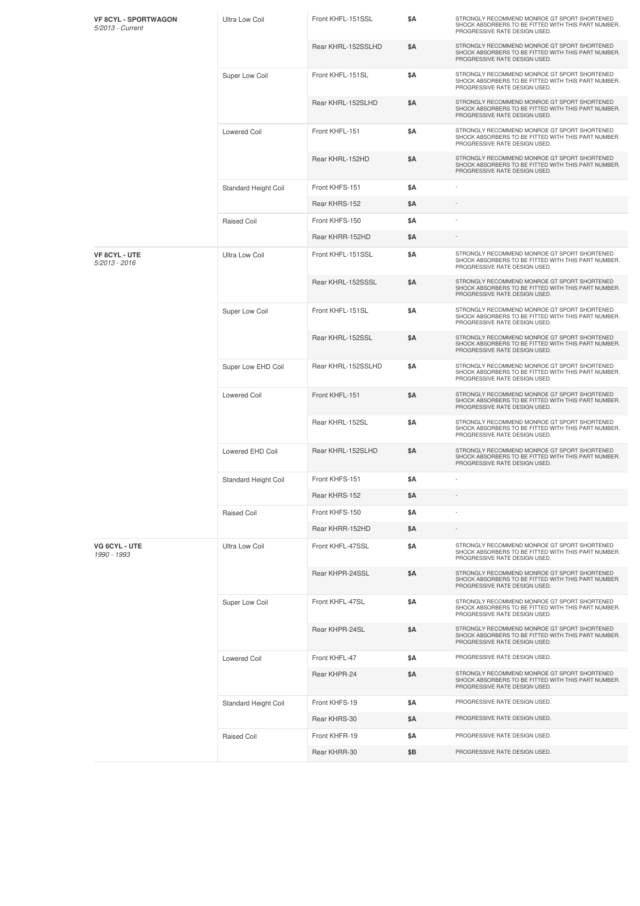| <b>VF 8CYL - SPORTWAGON</b><br>5/2013 - Current | Ultra Low Coil        | Front KHFL-151SSL  | <b>\$A</b> | STRONGLY RECOMMEND MONROE GT SPORT SHORTENED<br>SHOCK ABSORBERS TO BE FITTED WITH THIS PART NUMBER.<br>PROGRESSIVE RATE DESIGN USED. |
|-------------------------------------------------|-----------------------|--------------------|------------|--------------------------------------------------------------------------------------------------------------------------------------|
|                                                 |                       | Rear KHRL-152SSLHD | \$A        | STRONGLY RECOMMEND MONROE GT SPORT SHORTENED<br>SHOCK ABSORBERS TO BE FITTED WITH THIS PART NUMBER.<br>PROGRESSIVE RATE DESIGN USED. |
|                                                 | Super Low Coil        | Front KHFL-151SL   | \$Α        | STRONGLY RECOMMEND MONROE GT SPORT SHORTENED<br>SHOCK ABSORBERS TO BE FITTED WITH THIS PART NUMBER.<br>PROGRESSIVE RATE DESIGN USED. |
|                                                 |                       | Rear KHRL-152SLHD  | \$Α        | STRONGLY RECOMMEND MONROE GT SPORT SHORTENED<br>SHOCK ABSORBERS TO BE FITTED WITH THIS PART NUMBER.<br>PROGRESSIVE RATE DESIGN USED. |
|                                                 | <b>Lowered Coil</b>   | Front KHFL-151     | \$Α        | STRONGLY RECOMMEND MONROE GT SPORT SHORTENED<br>SHOCK ABSORBERS TO BE FITTED WITH THIS PART NUMBER.<br>PROGRESSIVE RATE DESIGN USED. |
|                                                 |                       | Rear KHRL-152HD    | \$A        | STRONGLY RECOMMEND MONROE GT SPORT SHORTENED<br>SHOCK ABSORBERS TO BE FITTED WITH THIS PART NUMBER.<br>PROGRESSIVE RATE DESIGN USED. |
|                                                 | Standard Height Coil  | Front KHFS-151     | \$A        |                                                                                                                                      |
|                                                 |                       | Rear KHRS-152      | \$A        |                                                                                                                                      |
|                                                 | Raised Coil           | Front KHFS-150     | \$Α        |                                                                                                                                      |
|                                                 |                       | Rear KHRR-152HD    | \$Α        |                                                                                                                                      |
| VF 8CYL - UTE<br>5/2013 - 2016                  | <b>Ultra Low Coil</b> | Front KHFL-151SSL  | \$Α        | STRONGLY RECOMMEND MONROE GT SPORT SHORTENED<br>SHOCK ABSORBERS TO BE FITTED WITH THIS PART NUMBER.<br>PROGRESSIVE RATE DESIGN USED. |
|                                                 |                       | Rear KHRL-152SSSL  | \$A        | STRONGLY RECOMMEND MONROE GT SPORT SHORTENED<br>SHOCK ABSORBERS TO BE FITTED WITH THIS PART NUMBER.<br>PROGRESSIVE RATE DESIGN USED. |
|                                                 | Super Low Coil        | Front KHFL-151SL   | \$Α        | STRONGLY RECOMMEND MONROE GT SPORT SHORTENED<br>SHOCK ABSORBERS TO BE FITTED WITH THIS PART NUMBER.<br>PROGRESSIVE RATE DESIGN USED. |
|                                                 |                       | Rear KHRL-152SSL   | \$A        | STRONGLY RECOMMEND MONROE GT SPORT SHORTENED<br>SHOCK ABSORBERS TO BE FITTED WITH THIS PART NUMBER.<br>PROGRESSIVE RATE DESIGN USED. |
|                                                 | Super Low EHD Coil    | Rear KHRL-152SSLHD | <b>\$A</b> | STRONGLY RECOMMEND MONROE GT SPORT SHORTENED<br>SHOCK ABSORBERS TO BE FITTED WITH THIS PART NUMBER.<br>PROGRESSIVE RATE DESIGN USED. |
|                                                 | <b>Lowered Coil</b>   | Front KHFL-151     | \$A        | STRONGLY RECOMMEND MONROE GT SPORT SHORTENED<br>SHOCK ABSORBERS TO BE FITTED WITH THIS PART NUMBER.<br>PROGRESSIVE RATE DESIGN USED. |
|                                                 |                       | Rear KHRL-152SL    | <b>\$A</b> | STRONGLY RECOMMEND MONROE GT SPORT SHORTENED<br>SHOCK ABSORBERS TO BE FITTED WITH THIS PART NUMBER.<br>PROGRESSIVE RATE DESIGN USED. |
|                                                 | Lowered EHD Coil      | Rear KHRL-152SLHD  | \$Α        | STRONGLY RECOMMEND MONROE GT SPORT SHORTENED<br>SHOCK ABSORBERS TO BE FITTED WITH THIS PART NUMBER.<br>PROGRESSIVE RATE DESIGN USED. |
|                                                 | Standard Height Coil  | Front KHFS-151     | \$A        |                                                                                                                                      |
|                                                 |                       | Rear KHRS-152      | \$Α        |                                                                                                                                      |
|                                                 | Raised Coil           | Front KHFS-150     | <b>\$A</b> |                                                                                                                                      |
|                                                 |                       | Rear KHRR-152HD    | \$Α        |                                                                                                                                      |
| VG 6CYL - UTE<br>1990 - 1993                    | <b>Ultra Low Coil</b> | Front KHFL-47SSL   | \$Α        | STRONGLY RECOMMEND MONROE GT SPORT SHORTENED<br>SHOCK ABSORBERS TO BE FITTED WITH THIS PART NUMBER.<br>PROGRESSIVE RATE DESIGN USED. |
|                                                 |                       | Rear KHPR-24SSL    | \$Α        | STRONGLY RECOMMEND MONROE GT SPORT SHORTENED<br>SHOCK ABSORBERS TO BE FITTED WITH THIS PART NUMBER.<br>PROGRESSIVE RATE DESIGN USED. |
|                                                 | Super Low Coil        | Front KHFL-47SL    | <b>\$A</b> | STRONGLY RECOMMEND MONROE GT SPORT SHORTENED<br>SHOCK ABSORBERS TO BE FITTED WITH THIS PART NUMBER.<br>PROGRESSIVE RATE DESIGN USED. |
|                                                 |                       | Rear KHPR-24SL     | \$A        | STRONGLY RECOMMEND MONROE GT SPORT SHORTENED<br>SHOCK ABSORBERS TO BE FITTED WITH THIS PART NUMBER.<br>PROGRESSIVE RATE DESIGN USED. |
|                                                 | <b>Lowered Coil</b>   | Front KHFL-47      | <b>\$A</b> | PROGRESSIVE RATE DESIGN USED.                                                                                                        |
|                                                 |                       | Rear KHPR-24       | \$Α        | STRONGLY RECOMMEND MONROE GT SPORT SHORTENED<br>SHOCK ABSORBERS TO BE FITTED WITH THIS PART NUMBER.<br>PROGRESSIVE RATE DESIGN USED. |
|                                                 | Standard Height Coil  | Front KHFS-19      | \$Α        | PROGRESSIVE RATE DESIGN USED.                                                                                                        |
|                                                 |                       | Rear KHRS-30       | \$Α        | PROGRESSIVE RATE DESIGN USED.                                                                                                        |
|                                                 | Raised Coil           |                    | \$A        | PROGRESSIVE RATE DESIGN USED.                                                                                                        |
|                                                 |                       | Front KHFR-19      |            |                                                                                                                                      |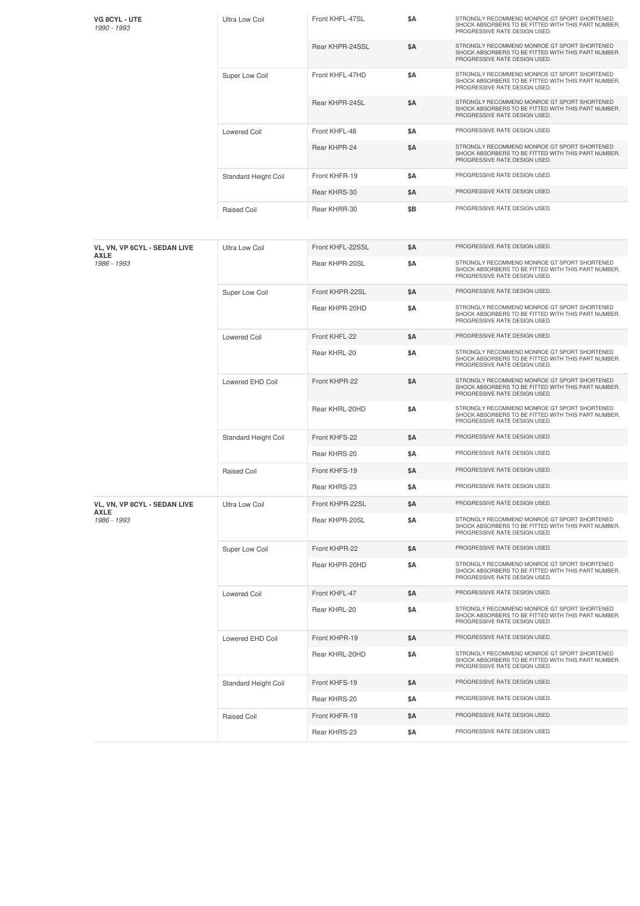| VG 8CYL - UTE<br>1990 - 1993                | Ultra Low Coil        | Front KHFL-47SL  | \$Α        | STRONGLY RECOMMEND MONROE GT SPORT SHORTENED<br>SHOCK ABSORBERS TO BE FITTED WITH THIS PART NUMBER.<br>PROGRESSIVE RATE DESIGN USED. |
|---------------------------------------------|-----------------------|------------------|------------|--------------------------------------------------------------------------------------------------------------------------------------|
|                                             |                       | Rear KHPR-24SSL  | \$Α        | STRONGLY RECOMMEND MONROE GT SPORT SHORTENED<br>SHOCK ABSORBERS TO BE FITTED WITH THIS PART NUMBER.<br>PROGRESSIVE RATE DESIGN USED. |
|                                             | Super Low Coil        | Front KHFL-47HD  | \$Α        | STRONGLY RECOMMEND MONROE GT SPORT SHORTENED<br>SHOCK ABSORBERS TO BE FITTED WITH THIS PART NUMBER.<br>PROGRESSIVE RATE DESIGN USED. |
|                                             |                       | Rear KHPR-24SL   | \$Α        | STRONGLY RECOMMEND MONROE GT SPORT SHORTENED<br>SHOCK ABSORBERS TO BE FITTED WITH THIS PART NUMBER.<br>PROGRESSIVE RATE DESIGN USED. |
|                                             | <b>Lowered Coil</b>   | Front KHFL-48    | \$Α        | PROGRESSIVE RATE DESIGN USED.                                                                                                        |
|                                             |                       | Rear KHPR-24     | \$Α        | STRONGLY RECOMMEND MONROE GT SPORT SHORTENED<br>SHOCK ABSORBERS TO BE FITTED WITH THIS PART NUMBER.<br>PROGRESSIVE RATE DESIGN USED. |
|                                             | Standard Height Coil  | Front KHFR-19    | \$Α        | PROGRESSIVE RATE DESIGN USED.                                                                                                        |
|                                             |                       | Rear KHRS-30     | \$Α        | PROGRESSIVE RATE DESIGN USED.                                                                                                        |
|                                             | <b>Raised Coil</b>    | Rear KHRR-30     | \$Β        | PROGRESSIVE RATE DESIGN USED.                                                                                                        |
| VL, VN, VP 6CYL - SEDAN LIVE<br><b>AXLE</b> | <b>Ultra Low Coil</b> | Front KHFL-22SSL | \$Α        | PROGRESSIVE RATE DESIGN USED.                                                                                                        |
| 1986 - 1993                                 |                       | Rear KHPR-20SL   | \$Α        | STRONGLY RECOMMEND MONROE GT SPORT SHORTENED<br>SHOCK ABSORBERS TO BE FITTED WITH THIS PART NUMBER.<br>PROGRESSIVE RATE DESIGN USED. |
|                                             | Super Low Coil        | Front KHPR-22SL  | \$Α        | PROGRESSIVE RATE DESIGN USED.                                                                                                        |
|                                             |                       | Rear KHPR-20HD   | \$Α        | STRONGLY RECOMMEND MONROE GT SPORT SHORTENED<br>SHOCK ABSORBERS TO BE FITTED WITH THIS PART NUMBER.<br>PROGRESSIVE RATE DESIGN USED. |
|                                             | <b>Lowered Coil</b>   | Front KHFL-22    | \$Α        | PROGRESSIVE RATE DESIGN USED.                                                                                                        |
|                                             |                       | Rear KHRL-20     | \$Α        | STRONGLY RECOMMEND MONROE GT SPORT SHORTENED<br>SHOCK ABSORBERS TO BE FITTED WITH THIS PART NUMBER.<br>PROGRESSIVE RATE DESIGN USED. |
|                                             | Lowered EHD Coil      | Front KHPR-22    | \$Α        | STRONGLY RECOMMEND MONROE GT SPORT SHORTENED<br>SHOCK ABSORBERS TO BE FITTED WITH THIS PART NUMBER.<br>PROGRESSIVE RATE DESIGN USED. |
|                                             |                       | Rear KHRL-20HD   | \$Α        | STRONGLY RECOMMEND MONROE GT SPORT SHORTENED<br>SHOCK ABSORBERS TO BE FITTED WITH THIS PART NUMBER.<br>PROGRESSIVE RATE DESIGN USED. |
|                                             | Standard Height Coil  | Front KHFS-22    | <b>\$A</b> | PROGRESSIVE RATE DESIGN USED.                                                                                                        |
|                                             |                       | Rear KHRS-20     | \$Α        | PROGRESSIVE RATE DESIGN USED.                                                                                                        |
|                                             | <b>Raised Coil</b>    | Front KHFS-19    | \$Α        | PROGRESSIVE RATE DESIGN USED.                                                                                                        |
|                                             |                       | Rear KHRS-23     | \$Α        | PROGRESSIVE RATE DESIGN USED.                                                                                                        |
| VL, VN, VP 8CYL - SEDAN LIVE                | <b>Ultra Low Coil</b> | Front KHPR-22SL  | \$Α        | PROGRESSIVE RATE DESIGN USED.                                                                                                        |
| <b>AXLE</b><br>1986 - 1993                  |                       | Rear KHPR-20SL   | \$Α        | STRONGLY RECOMMEND MONROE GT SPORT SHORTENED<br>SHOCK ABSORBERS TO BE FITTED WITH THIS PART NUMBER.<br>PROGRESSIVE RATE DESIGN USED. |
|                                             | Super Low Coil        | Front KHPR-22    | \$Α        | PROGRESSIVE RATE DESIGN USED.                                                                                                        |
|                                             |                       | Rear KHPR-20HD   | \$Α        | STRONGLY RECOMMEND MONROE GT SPORT SHORTENED<br>SHOCK ABSORBERS TO BE FITTED WITH THIS PART NUMBER.<br>PROGRESSIVE RATE DESIGN USED. |
|                                             | <b>Lowered Coil</b>   | Front KHFL-47    | <b>\$A</b> | PROGRESSIVE RATE DESIGN USED.                                                                                                        |
|                                             |                       | Rear KHRL-20     | \$Α        | STRONGLY RECOMMEND MONROE GT SPORT SHORTENED<br>SHOCK ABSORBERS TO BE FITTED WITH THIS PART NUMBER.<br>PROGRESSIVE RATE DESIGN USED. |
|                                             | Lowered EHD Coil      | Front KHPR-19    | \$Α        | PROGRESSIVE RATE DESIGN USED.                                                                                                        |
|                                             |                       | Rear KHRL-20HD   | \$Α        | STRONGLY RECOMMEND MONROE GT SPORT SHORTENED<br>SHOCK ABSORBERS TO BE FITTED WITH THIS PART NUMBER.<br>PROGRESSIVE RATE DESIGN USED. |
|                                             | Standard Height Coil  | Front KHFS-19    | \$Α        | PROGRESSIVE RATE DESIGN USED.                                                                                                        |
|                                             |                       | Rear KHRS-20     | \$Α        | PROGRESSIVE RATE DESIGN USED.                                                                                                        |
|                                             | Raised Coil           | Front KHFR-19    | \$Α        | PROGRESSIVE RATE DESIGN USED.                                                                                                        |
|                                             |                       | Rear KHRS-23     | \$Α        | PROGRESSIVE RATE DESIGN USED.                                                                                                        |
|                                             |                       |                  |            |                                                                                                                                      |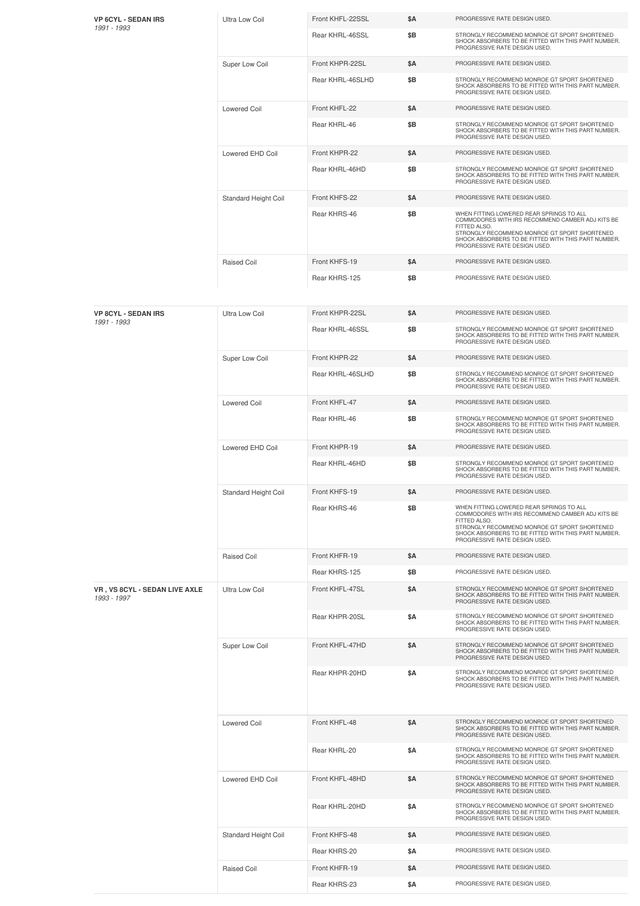| <b>VP 6CYL - SEDAN IRS</b><br>1991 - 1993    | Ultra Low Coil        | Front KHFL-22SSL | \$Α        | PROGRESSIVE RATE DESIGN USED.                                                                                                                                                                                                                        |
|----------------------------------------------|-----------------------|------------------|------------|------------------------------------------------------------------------------------------------------------------------------------------------------------------------------------------------------------------------------------------------------|
|                                              |                       | Rear KHRL-46SSL  | \$B        | STRONGLY RECOMMEND MONROE GT SPORT SHORTENED<br>SHOCK ABSORBERS TO BE FITTED WITH THIS PART NUMBER.<br>PROGRESSIVE RATE DESIGN USED.                                                                                                                 |
|                                              | Super Low Coil        | Front KHPR-22SL  | \$Α        | PROGRESSIVE RATE DESIGN USED.                                                                                                                                                                                                                        |
|                                              |                       | Rear KHRL-46SLHD | \$B        | STRONGLY RECOMMEND MONROE GT SPORT SHORTENED<br>SHOCK ABSORBERS TO BE FITTED WITH THIS PART NUMBER.<br>PROGRESSIVE RATE DESIGN USED.                                                                                                                 |
|                                              | <b>Lowered Coil</b>   | Front KHFL-22    | \$Α        | PROGRESSIVE RATE DESIGN USED.                                                                                                                                                                                                                        |
|                                              |                       | Rear KHRL-46     | \$B        | STRONGLY RECOMMEND MONROE GT SPORT SHORTENED<br>SHOCK ABSORBERS TO BE FITTED WITH THIS PART NUMBER.<br>PROGRESSIVE RATE DESIGN USED.                                                                                                                 |
|                                              | Lowered EHD Coil      | Front KHPR-22    | \$Α        | PROGRESSIVE RATE DESIGN USED.                                                                                                                                                                                                                        |
|                                              |                       | Rear KHRL-46HD   | \$B        | STRONGLY RECOMMEND MONROE GT SPORT SHORTENED<br>SHOCK ABSORBERS TO BE FITTED WITH THIS PART NUMBER.<br>PROGRESSIVE RATE DESIGN USED.                                                                                                                 |
|                                              | Standard Height Coil  | Front KHFS-22    | \$A        | PROGRESSIVE RATE DESIGN USED.                                                                                                                                                                                                                        |
|                                              |                       | Rear KHRS-46     | \$B        | WHEN FITTING LOWERED REAR SPRINGS TO ALL<br>COMMODORES WITH IRS RECOMMEND CAMBER ADJ KITS BE<br>FITTED ALSO.<br>STRONGLY RECOMMEND MONROE GT SPORT SHORTENED<br>SHOCK ABSORBERS TO BE FITTED WITH THIS PART NUMBER.<br>PROGRESSIVE RATE DESIGN USED. |
|                                              | Raised Coil           | Front KHFS-19    | \$Α        | PROGRESSIVE RATE DESIGN USED.                                                                                                                                                                                                                        |
|                                              |                       | Rear KHRS-125    | \$B        | PROGRESSIVE RATE DESIGN USED.                                                                                                                                                                                                                        |
|                                              |                       |                  |            |                                                                                                                                                                                                                                                      |
| <b>VP 8CYL - SEDAN IRS</b>                   | <b>Ultra Low Coil</b> | Front KHPR-22SL  | <b>\$A</b> | PROGRESSIVE RATE DESIGN USED.                                                                                                                                                                                                                        |
| 1991 - 1993                                  |                       | Rear KHRL-46SSL  | \$B        | STRONGLY RECOMMEND MONROE GT SPORT SHORTENED<br>SHOCK ABSORBERS TO BE FITTED WITH THIS PART NUMBER.<br>PROGRESSIVE RATE DESIGN USED.                                                                                                                 |
|                                              | Super Low Coil        | Front KHPR-22    | <b>\$A</b> | PROGRESSIVE RATE DESIGN USED.                                                                                                                                                                                                                        |
|                                              |                       | Rear KHRL-46SLHD | \$B        | STRONGLY RECOMMEND MONROE GT SPORT SHORTENED<br>SHOCK ABSORBERS TO BE FITTED WITH THIS PART NUMBER.<br>PROGRESSIVE RATE DESIGN USED.                                                                                                                 |
|                                              | <b>Lowered Coil</b>   | Front KHFL-47    | \$Α        | PROGRESSIVE RATE DESIGN USED.                                                                                                                                                                                                                        |
|                                              |                       | Rear KHRL-46     | \$B        | STRONGLY RECOMMEND MONROE GT SPORT SHORTENED<br>SHOCK ABSORBERS TO BE FITTED WITH THIS PART NUMBER.<br>PROGRESSIVE RATE DESIGN USED.                                                                                                                 |
|                                              | Lowered EHD Coil      | Front KHPR-19    | \$Α        | PROGRESSIVE RATE DESIGN USED.                                                                                                                                                                                                                        |
|                                              |                       | Rear KHRL-46HD   | \$Β        | STRONGLY RECOMMEND MONROE GT SPORT SHORTENED<br>SHOCK ABSORBERS TO BE FITTED WITH THIS PART NUMBER.<br>PROGRESSIVE RATE DESIGN USED.                                                                                                                 |
|                                              | Standard Height Coil  | Front KHFS-19    | \$Α        | PROGRESSIVE RATE DESIGN USED.                                                                                                                                                                                                                        |
|                                              |                       | Rear KHRS-46     | \$B        | WHEN FITTING LOWERED REAR SPRINGS TO ALL<br>COMMODORES WITH IRS RECOMMEND CAMBER ADJ KITS BE<br>FITTED ALSO.<br>STRONGLY RECOMMEND MONROE GT SPORT SHORTENED<br>SHOCK ABSORBERS TO BE FITTED WITH THIS PART NUMBER.<br>PROGRESSIVE RATE DESIGN USED. |
|                                              | Raised Coil           | Front KHFR-19    | \$Α        | PROGRESSIVE RATE DESIGN USED.                                                                                                                                                                                                                        |
|                                              |                       | Rear KHRS-125    | \$B        | PROGRESSIVE RATE DESIGN USED.                                                                                                                                                                                                                        |
| VR, VS 8CYL - SEDAN LIVE AXLE<br>1993 - 1997 | <b>Ultra Low Coil</b> | Front KHFL-47SL  | \$Α        | STRONGLY RECOMMEND MONROE GT SPORT SHORTENED<br>SHOCK ABSORBERS TO BE FITTED WITH THIS PART NUMBER.<br>PROGRESSIVE RATE DESIGN USED.                                                                                                                 |
|                                              |                       | Rear KHPR-20SL   | \$Α        | STRONGLY RECOMMEND MONROE GT SPORT SHORTENED<br>SHOCK ABSORBERS TO BE FITTED WITH THIS PART NUMBER.<br>PROGRESSIVE RATE DESIGN USED.                                                                                                                 |
|                                              | Super Low Coil        | Front KHFL-47HD  | \$Α        | STRONGLY RECOMMEND MONROE GT SPORT SHORTENED<br>SHOCK ABSORBERS TO BE FITTED WITH THIS PART NUMBER.<br>PROGRESSIVE RATE DESIGN USED.                                                                                                                 |
|                                              |                       | Rear KHPR-20HD   | \$Α        | STRONGLY RECOMMEND MONROE GT SPORT SHORTENED<br>SHOCK ABSORBERS TO BE FITTED WITH THIS PART NUMBER.<br>PROGRESSIVE RATE DESIGN USED.                                                                                                                 |
|                                              | <b>Lowered Coil</b>   | Front KHFL-48    | \$Α        | STRONGLY RECOMMEND MONROE GT SPORT SHORTENED<br>SHOCK ABSORBERS TO BE FITTED WITH THIS PART NUMBER.<br>PROGRESSIVE RATE DESIGN USED.                                                                                                                 |
|                                              |                       | Rear KHRL-20     | \$Α        | STRONGLY RECOMMEND MONROE GT SPORT SHORTENED<br>SHOCK ABSORBERS TO BE FITTED WITH THIS PART NUMBER.<br>PROGRESSIVE RATE DESIGN USED.                                                                                                                 |
|                                              | Lowered EHD Coil      | Front KHFL-48HD  | \$Α        | STRONGLY RECOMMEND MONROE GT SPORT SHORTENED<br>SHOCK ABSORBERS TO BE FITTED WITH THIS PART NUMBER.<br>PROGRESSIVE RATE DESIGN USED.                                                                                                                 |
|                                              |                       | Rear KHRL-20HD   | \$Α        | STRONGLY RECOMMEND MONROE GT SPORT SHORTENED<br>SHOCK ABSORBERS TO BE FITTED WITH THIS PART NUMBER.<br>PROGRESSIVE RATE DESIGN USED.                                                                                                                 |
|                                              | Standard Height Coil  | Front KHFS-48    | \$Α        | PROGRESSIVE RATE DESIGN USED.                                                                                                                                                                                                                        |
|                                              |                       | Rear KHRS-20     | \$Α        | PROGRESSIVE RATE DESIGN USED.                                                                                                                                                                                                                        |
|                                              | Raised Coil           | Front KHFR-19    | \$Α        | PROGRESSIVE RATE DESIGN USED.                                                                                                                                                                                                                        |
|                                              |                       | Rear KHRS-23     | \$Α        | PROGRESSIVE RATE DESIGN USED.                                                                                                                                                                                                                        |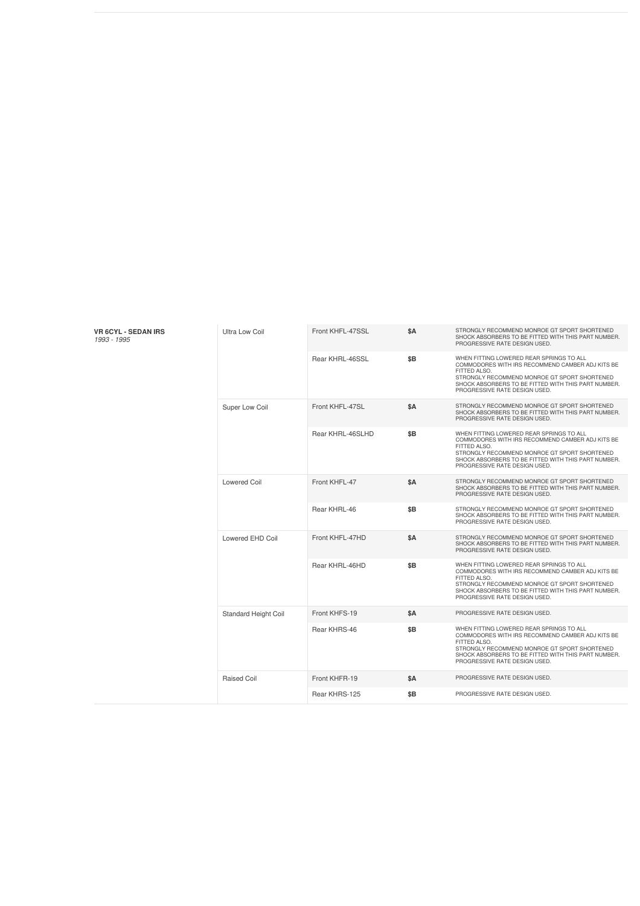| <b>VR 6CYL - SEDAN IRS</b><br>1993 - 1995 | Ultra Low Coil       | Front KHFL-47SSL | \$Α        | STRONGLY RECOMMEND MONROE GT SPORT SHORTENED<br>SHOCK ABSORBERS TO BE FITTED WITH THIS PART NUMBER.<br>PROGRESSIVE RATE DESIGN USED.                                                                                                                 |
|-------------------------------------------|----------------------|------------------|------------|------------------------------------------------------------------------------------------------------------------------------------------------------------------------------------------------------------------------------------------------------|
|                                           |                      | Rear KHRL-46SSL  | \$B        | WHEN FITTING LOWERED REAR SPRINGS TO ALL<br>COMMODORES WITH IRS RECOMMEND CAMBER ADJ KITS BE<br>FITTED ALSO.<br>STRONGLY RECOMMEND MONROE GT SPORT SHORTENED<br>SHOCK ABSORBERS TO BE FITTED WITH THIS PART NUMBER.<br>PROGRESSIVE RATE DESIGN USED. |
|                                           | Super Low Coil       | Front KHFL-47SL  | \$A        | STRONGLY RECOMMEND MONROE GT SPORT SHORTENED<br>SHOCK ABSORBERS TO BE FITTED WITH THIS PART NUMBER.<br>PROGRESSIVE RATE DESIGN USED.                                                                                                                 |
|                                           |                      | Rear KHRL-46SLHD | \$B        | WHEN FITTING LOWERED REAR SPRINGS TO ALL<br>COMMODORES WITH IRS RECOMMEND CAMBER ADJ KITS BE<br>FITTED ALSO.<br>STRONGLY RECOMMEND MONROE GT SPORT SHORTENED<br>SHOCK ABSORBERS TO BE FITTED WITH THIS PART NUMBER.<br>PROGRESSIVE RATE DESIGN USED. |
|                                           | <b>Lowered Coil</b>  | Front KHFL-47    | <b>\$A</b> | STRONGLY RECOMMEND MONROE GT SPORT SHORTENED<br>SHOCK ABSORBERS TO BE FITTED WITH THIS PART NUMBER.<br>PROGRESSIVE RATE DESIGN USED.                                                                                                                 |
|                                           |                      | Rear KHRL-46     | \$B        | STRONGLY RECOMMEND MONROE GT SPORT SHORTENED<br>SHOCK ABSORBERS TO BE FITTED WITH THIS PART NUMBER.<br>PROGRESSIVE RATE DESIGN USED.                                                                                                                 |
|                                           | Lowered EHD Coil     | Front KHFL-47HD  | \$A        | STRONGLY RECOMMEND MONROE GT SPORT SHORTENED<br>SHOCK ABSORBERS TO BE FITTED WITH THIS PART NUMBER.<br>PROGRESSIVE RATE DESIGN USED.                                                                                                                 |
|                                           |                      | Rear KHRL-46HD   | \$B        | WHEN FITTING LOWERED REAR SPRINGS TO ALL<br>COMMODORES WITH IRS RECOMMEND CAMBER ADJ KITS BE<br>FITTED ALSO.<br>STRONGLY RECOMMEND MONROE GT SPORT SHORTENED<br>SHOCK ABSORBERS TO BE FITTED WITH THIS PART NUMBER.<br>PROGRESSIVE RATE DESIGN USED. |
|                                           | Standard Height Coil | Front KHFS-19    | \$Α        | PROGRESSIVE RATE DESIGN USED.                                                                                                                                                                                                                        |
|                                           |                      | Rear KHRS-46     | \$B        | WHEN FITTING LOWERED REAR SPRINGS TO ALL<br>COMMODORES WITH IRS RECOMMEND CAMBER ADJ KITS BE<br>FITTED ALSO.<br>STRONGLY RECOMMEND MONROE GT SPORT SHORTENED<br>SHOCK ABSORBERS TO BE FITTED WITH THIS PART NUMBER.<br>PROGRESSIVE RATE DESIGN USED. |
|                                           | <b>Raised Coil</b>   | Front KHFR-19    | \$Α        | PROGRESSIVE RATE DESIGN USED.                                                                                                                                                                                                                        |
|                                           |                      | Rear KHRS-125    | \$B        | PROGRESSIVE RATE DESIGN USED.                                                                                                                                                                                                                        |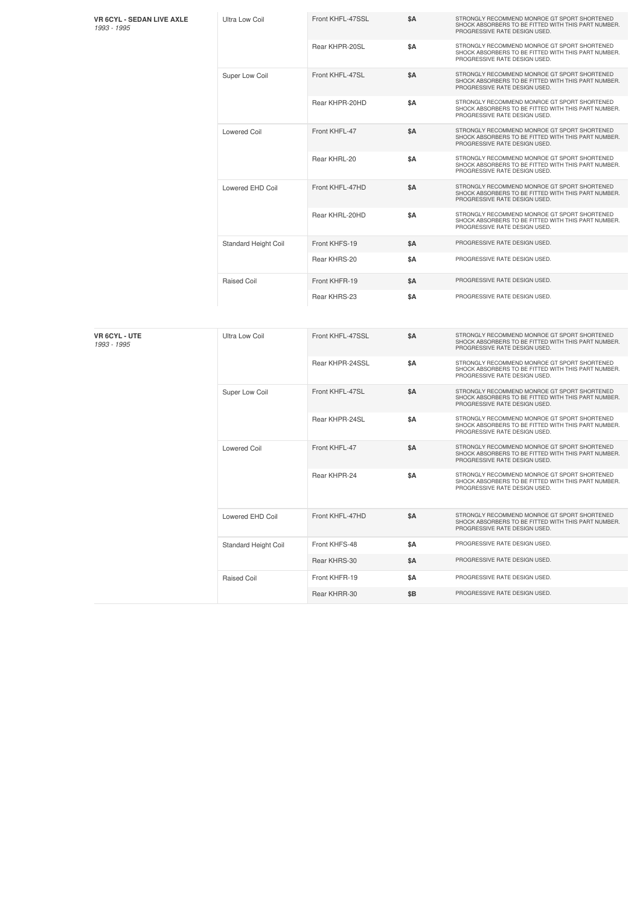| <b>VR 6CYL - SEDAN LIVE AXLE</b><br>1993 - 1995 | <b>Ultra Low Coil</b> | Front KHFL-47SSL | \$Α        | STRONGLY RECOMMEND MONROE GT SPORT SHORTENED<br>SHOCK ABSORBERS TO BE FITTED WITH THIS PART NUMBER.<br>PROGRESSIVE RATE DESIGN USED. |
|-------------------------------------------------|-----------------------|------------------|------------|--------------------------------------------------------------------------------------------------------------------------------------|
|                                                 |                       | Rear KHPR-20SL   | \$Α        | STRONGLY RECOMMEND MONROE GT SPORT SHORTENED<br>SHOCK ABSORBERS TO BE FITTED WITH THIS PART NUMBER.<br>PROGRESSIVE RATE DESIGN USED. |
|                                                 | Super Low Coil        | Front KHFL-47SL  | <b>\$A</b> | STRONGLY RECOMMEND MONROE GT SPORT SHORTENED<br>SHOCK ABSORBERS TO BE FITTED WITH THIS PART NUMBER.<br>PROGRESSIVE RATE DESIGN USED. |
|                                                 |                       | Rear KHPR-20HD   | \$A        | STRONGLY RECOMMEND MONROE GT SPORT SHORTENED<br>SHOCK ABSORBERS TO BE FITTED WITH THIS PART NUMBER.<br>PROGRESSIVE RATE DESIGN USED. |
|                                                 | <b>Lowered Coil</b>   | Front KHFL-47    | \$A        | STRONGLY RECOMMEND MONROE GT SPORT SHORTENED<br>SHOCK ABSORBERS TO BE FITTED WITH THIS PART NUMBER.<br>PROGRESSIVE RATE DESIGN USED. |
|                                                 |                       | Rear KHRL-20     | \$A        | STRONGLY RECOMMEND MONROE GT SPORT SHORTENED<br>SHOCK ABSORBERS TO BE FITTED WITH THIS PART NUMBER.<br>PROGRESSIVE RATE DESIGN USED. |
|                                                 | Lowered EHD Coil      | Front KHFL-47HD  | \$A        | STRONGLY RECOMMEND MONROE GT SPORT SHORTENED<br>SHOCK ABSORBERS TO BE FITTED WITH THIS PART NUMBER.<br>PROGRESSIVE RATE DESIGN USED. |
|                                                 |                       | Rear KHRL-20HD   | \$Α        | STRONGLY RECOMMEND MONROE GT SPORT SHORTENED<br>SHOCK ABSORBERS TO BE FITTED WITH THIS PART NUMBER.<br>PROGRESSIVE RATE DESIGN USED. |
|                                                 | Standard Height Coil  | Front KHFS-19    | <b>\$A</b> | PROGRESSIVE RATE DESIGN USED.                                                                                                        |
|                                                 |                       | Rear KHRS-20     | \$Α        | PROGRESSIVE RATE DESIGN USED.                                                                                                        |
|                                                 | <b>Raised Coil</b>    | Front KHFR-19    | \$A        | PROGRESSIVE RATE DESIGN USED.                                                                                                        |
|                                                 |                       | Rear KHRS-23     | <b>\$A</b> | PROGRESSIVE RATE DESIGN USED.                                                                                                        |
| <b>VR 6CYL - UTE</b><br>1993 - 1995             | <b>Ultra Low Coil</b> | Front KHFL-47SSL | \$A        | STRONGLY RECOMMEND MONROE GT SPORT SHORTENED<br>SHOCK ABSORBERS TO BE FITTED WITH THIS PART NUMBER.<br>PROGRESSIVE RATE DESIGN USED. |
|                                                 |                       | Rear KHPR-24SSL  | \$Α        | STRONGLY RECOMMEND MONROE GT SPORT SHORTENED<br>SHOCK ABSORBERS TO BE FITTED WITH THIS PART NUMBER.<br>PROGRESSIVE RATE DESIGN USED. |
|                                                 | Super Low Coil        | Front KHFL-47SL  | \$A        | STRONGLY RECOMMEND MONROE GT SPORT SHORTENED<br>SHOCK ABSORBERS TO BE FITTED WITH THIS PART NUMBER.<br>PROGRESSIVE RATE DESIGN USED. |
|                                                 |                       | Rear KHPR-24SL   | \$Α        | STRONGLY RECOMMEND MONROE GT SPORT SHORTENED<br>SHOCK ABSORBERS TO BE FITTED WITH THIS PART NUMBER.<br>PROGRESSIVE RATE DESIGN USED. |
|                                                 | <b>Lowered Coil</b>   | Front KHFL-47    | \$A        | STRONGLY RECOMMEND MONROE GT SPORT SHORTENED<br>SHOCK ABSORBERS TO BE FITTED WITH THIS PART NUMBER.<br>PROGRESSIVE RATE DESIGN USED. |
|                                                 |                       | Rear KHPR-24     | \$Α        | STRONGLY RECOMMEND MONROE GT SPORT SHORTENED<br>SHOCK ABSORBERS TO BE FITTED WITH THIS PART NUMBER.<br>PROGRESSIVE RATE DESIGN USED. |
|                                                 | Lowered EHD Coil      | Front KHFL-47HD  | \$Α        | STRONGLY RECOMMEND MONROE GT SPORT SHORTENED<br>SHOCK ABSORBERS TO BE FITTED WITH THIS PART NUMBER.<br>PROGRESSIVE RATE DESIGN USED. |
|                                                 | Standard Height Coil  | Front KHFS-48    | \$Α        | PROGRESSIVE RATE DESIGN USED.                                                                                                        |
|                                                 |                       | Rear KHRS-30     | \$Α        | PROGRESSIVE RATE DESIGN USED.                                                                                                        |
|                                                 | Raised Coil           | Front KHFR-19    | \$Α        | PROGRESSIVE RATE DESIGN USED.                                                                                                        |
|                                                 |                       | Rear KHRR-30     | \$Β        | PROGRESSIVE RATE DESIGN USED.                                                                                                        |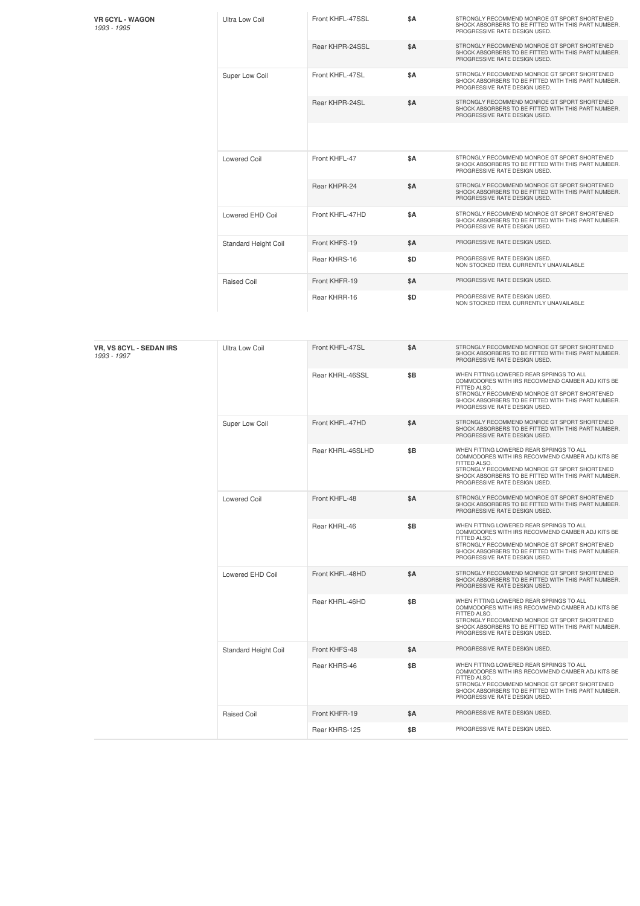**VR 6CYL - WAGON** *1993 -1995*

| 1993 - 1995 |  |  |
|-------------|--|--|
|             |  |  |

| Ultra Low Coil              | Front KHFL-47SSL | <b>SΑ</b> | STRONGLY RECOMMEND MONROE GT SPORT SHORTENED<br>SHOCK ABSORBERS TO BE FITTED WITH THIS PART NUMBER.<br>PROGRESSIVE RATE DESIGN USED. |
|-----------------------------|------------------|-----------|--------------------------------------------------------------------------------------------------------------------------------------|
|                             | Rear KHPR-24SSL  | \$A       | STRONGLY RECOMMEND MONROE GT SPORT SHORTENED<br>SHOCK ABSORBERS TO BE FITTED WITH THIS PART NUMBER.<br>PROGRESSIVE RATE DESIGN USED. |
| Super Low Coil              | Front KHFL-47SL  | \$A       | STRONGLY RECOMMEND MONROE GT SPORT SHORTENED<br>SHOCK ABSORBERS TO BE FITTED WITH THIS PART NUMBER.<br>PROGRESSIVE RATE DESIGN USED. |
|                             | Rear KHPR-24SL   | \$A       | STRONGLY RECOMMEND MONROE GT SPORT SHORTENED<br>SHOCK ABSORBERS TO BE FITTED WITH THIS PART NUMBER.<br>PROGRESSIVE RATE DESIGN USED. |
|                             |                  |           |                                                                                                                                      |
| Lowered Coil                | Front KHFL-47    | \$A       | STRONGLY RECOMMEND MONROE GT SPORT SHORTENED<br>SHOCK ABSORBERS TO BE FITTED WITH THIS PART NUMBER.<br>PROGRESSIVE RATE DESIGN USED. |
|                             | Rear KHPR-24     | \$A       | STRONGLY RECOMMEND MONROE GT SPORT SHORTENED<br>SHOCK ABSORBERS TO BE FITTED WITH THIS PART NUMBER.<br>PROGRESSIVE RATE DESIGN USED. |
| Lowered EHD Coil            | Front KHFL-47HD  | \$A       | STRONGLY RECOMMEND MONROE GT SPORT SHORTENED<br>SHOCK ABSORBERS TO BE FITTED WITH THIS PART NUMBER.<br>PROGRESSIVE RATE DESIGN USED. |
| <b>Standard Height Coil</b> | Front KHFS-19    | \$A       | PROGRESSIVE RATE DESIGN USED.                                                                                                        |
|                             | Rear KHRS-16     | \$D       | PROGRESSIVE RATE DESIGN USED.<br>NON STOCKED ITEM. CURRENTLY UNAVAILABLE                                                             |
| Raised Coil                 | Front KHFR-19    | \$A       | PROGRESSIVE RATE DESIGN USED.                                                                                                        |
|                             | Rear KHRR-16     | \$D       | PROGRESSIVE RATE DESIGN USED.<br>NON STOCKED ITEM. CURRENTLY UNAVAILABLE                                                             |

| VR, VS 8CYL - SEDAN IRS<br>1993 - 1997 | Ultra Low Coil       | Front KHFL-47SL  | \$A        | STRONGLY RECOMMEND MONROE GT SPORT SHORTENED<br>SHOCK ABSORBERS TO BE FITTED WITH THIS PART NUMBER.<br>PROGRESSIVE RATE DESIGN USED.                                                                                                                 |
|----------------------------------------|----------------------|------------------|------------|------------------------------------------------------------------------------------------------------------------------------------------------------------------------------------------------------------------------------------------------------|
|                                        |                      | Rear KHRL-46SSL  | \$B        | WHEN FITTING LOWERED REAR SPRINGS TO ALL<br>COMMODORES WITH IRS RECOMMEND CAMBER ADJ KITS BE<br>FITTED ALSO.<br>STRONGLY RECOMMEND MONROE GT SPORT SHORTENED<br>SHOCK ABSORBERS TO BE FITTED WITH THIS PART NUMBER.<br>PROGRESSIVE RATE DESIGN USED. |
|                                        | Super Low Coil       | Front KHFL-47HD  | \$A        | STRONGLY RECOMMEND MONROE GT SPORT SHORTENED<br>SHOCK ABSORBERS TO BE FITTED WITH THIS PART NUMBER.<br>PROGRESSIVE RATE DESIGN USED.                                                                                                                 |
|                                        |                      | Rear KHRL-46SLHD | \$Β        | WHEN FITTING LOWERED REAR SPRINGS TO ALL<br>COMMODORES WITH IRS RECOMMEND CAMBER ADJ KITS BE<br>FITTED ALSO.<br>STRONGLY RECOMMEND MONROE GT SPORT SHORTENED<br>SHOCK ABSORBERS TO BE FITTED WITH THIS PART NUMBER.<br>PROGRESSIVE RATE DESIGN USED. |
|                                        | <b>Lowered Coil</b>  | Front KHFL-48    | \$Α        | STRONGLY RECOMMEND MONROE GT SPORT SHORTENED<br>SHOCK ABSORBERS TO BE FITTED WITH THIS PART NUMBER.<br>PROGRESSIVE RATE DESIGN USED.                                                                                                                 |
|                                        |                      | Rear KHRL-46     | \$B        | WHEN FITTING LOWERED REAR SPRINGS TO ALL<br>COMMODORES WITH IRS RECOMMEND CAMBER ADJ KITS BE<br>FITTED ALSO.<br>STRONGLY RECOMMEND MONROE GT SPORT SHORTENED<br>SHOCK ABSORBERS TO BE FITTED WITH THIS PART NUMBER.<br>PROGRESSIVE RATE DESIGN USED. |
|                                        | Lowered EHD Coil     | Front KHFL-48HD  | <b>\$A</b> | STRONGLY RECOMMEND MONROE GT SPORT SHORTENED<br>SHOCK ABSORBERS TO BE FITTED WITH THIS PART NUMBER.<br>PROGRESSIVE RATE DESIGN USED.                                                                                                                 |
|                                        |                      | Rear KHRL-46HD   | \$B        | WHEN FITTING LOWERED REAR SPRINGS TO ALL<br>COMMODORES WITH IRS RECOMMEND CAMBER ADJ KITS BE<br>FITTED ALSO.<br>STRONGLY RECOMMEND MONROE GT SPORT SHORTENED<br>SHOCK ABSORBERS TO BE FITTED WITH THIS PART NUMBER.<br>PROGRESSIVE RATE DESIGN USED. |
|                                        | Standard Height Coil | Front KHFS-48    | \$A        | PROGRESSIVE RATE DESIGN USED.                                                                                                                                                                                                                        |
|                                        |                      | Rear KHRS-46     | \$B        | WHEN FITTING LOWERED REAR SPRINGS TO ALL<br>COMMODORES WITH IRS RECOMMEND CAMBER ADJ KITS BE<br>FITTED ALSO.<br>STRONGLY RECOMMEND MONROE GT SPORT SHORTENED<br>SHOCK ABSORBERS TO BE FITTED WITH THIS PART NUMBER.<br>PROGRESSIVE RATE DESIGN USED. |
|                                        | <b>Raised Coil</b>   | Front KHFR-19    | \$A        | PROGRESSIVE RATE DESIGN USED.                                                                                                                                                                                                                        |
|                                        |                      | Rear KHRS-125    | \$B        | PROGRESSIVE RATE DESIGN USED.                                                                                                                                                                                                                        |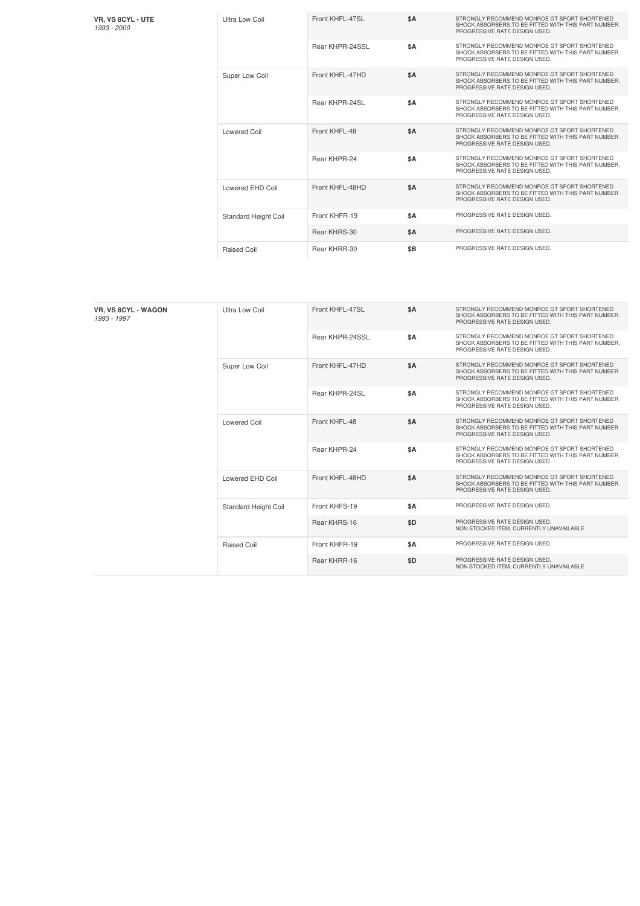| <b>VR. VS 8CYL - UTE</b> |
|--------------------------|
| 1993 - 2000              |

| Ultra Low Coil              | Front KHFL-47SL | \$A       | STRONGLY RECOMMEND MONROE GT SPORT SHORTENED<br>SHOCK ABSORBERS TO BE FITTED WITH THIS PART NUMBER.<br>PROGRESSIVE RATE DESIGN USED. |
|-----------------------------|-----------------|-----------|--------------------------------------------------------------------------------------------------------------------------------------|
|                             | Rear KHPR-24SSL | <b>SΑ</b> | STRONGLY RECOMMEND MONROE GT SPORT SHORTENED<br>SHOCK ABSORBERS TO BE FITTED WITH THIS PART NUMBER.<br>PROGRESSIVE RATE DESIGN USED. |
| Super Low Coil              | Front KHFL-47HD | \$A       | STRONGLY RECOMMEND MONROE GT SPORT SHORTENED<br>SHOCK ABSORBERS TO BE FITTED WITH THIS PART NUMBER.<br>PROGRESSIVE RATE DESIGN USED. |
|                             | Rear KHPR-24SL  | \$A       | STRONGLY RECOMMEND MONROE GT SPORT SHORTENED<br>SHOCK ABSORBERS TO BE FITTED WITH THIS PART NUMBER.<br>PROGRESSIVE RATE DESIGN USED. |
| Lowered Coil                | Front KHFL-48   | \$A       | STRONGLY RECOMMEND MONROE GT SPORT SHORTENED<br>SHOCK ABSORBERS TO BE FITTED WITH THIS PART NUMBER.<br>PROGRESSIVE RATE DESIGN USED. |
|                             | Rear KHPR-24    | <b>SA</b> | STRONGLY RECOMMEND MONROE GT SPORT SHORTENED<br>SHOCK ABSORBERS TO BE FITTED WITH THIS PART NUMBER.<br>PROGRESSIVE RATE DESIGN USED. |
| Lowered EHD Coil            | Front KHFL-48HD | \$A       | STRONGLY RECOMMEND MONROE GT SPORT SHORTENED<br>SHOCK ABSORBERS TO BE FITTED WITH THIS PART NUMBER.<br>PROGRESSIVE RATE DESIGN USED. |
| <b>Standard Height Coil</b> | Front KHFR-19   | \$A       | PROGRESSIVE RATE DESIGN USED.                                                                                                        |
|                             | Rear KHRS-30    | \$A       | PROGRESSIVE RATE DESIGN USED.                                                                                                        |
| Raised Coil                 | Rear KHRR-30    | \$B       | PROGRESSIVE RATE DESIGN USED.                                                                                                        |

| <b>VR. VS 8CYL - WAGON</b><br>1993 - 1997 | Ultra Low Coil              | Front KHFL-47SL | \$A | STRONGLY RECOMMEND MONROE GT SPORT SHORTENED<br>SHOCK ABSORBERS TO BE FITTED WITH THIS PART NUMBER.<br>PROGRESSIVE RATE DESIGN USED. |
|-------------------------------------------|-----------------------------|-----------------|-----|--------------------------------------------------------------------------------------------------------------------------------------|
|                                           |                             | Rear KHPR-24SSL | \$A | STRONGLY RECOMMEND MONROE GT SPORT SHORTENED<br>SHOCK ABSORBERS TO BE FITTED WITH THIS PART NUMBER.<br>PROGRESSIVE RATE DESIGN USED. |
|                                           | Super Low Coil              | Front KHFL-47HD | \$A | STRONGLY RECOMMEND MONROE GT SPORT SHORTENED<br>SHOCK ABSORBERS TO BE FITTED WITH THIS PART NUMBER.<br>PROGRESSIVE RATE DESIGN USED. |
|                                           |                             | Rear KHPR-24SL  | \$A | STRONGLY RECOMMEND MONROE GT SPORT SHORTENED<br>SHOCK ABSORBERS TO BE FITTED WITH THIS PART NUMBER.<br>PROGRESSIVE RATE DESIGN USED. |
|                                           | Lowered Coil                | Front KHFL-48   | \$A | STRONGLY RECOMMEND MONROE GT SPORT SHORTENED<br>SHOCK ABSORBERS TO BE FITTED WITH THIS PART NUMBER.<br>PROGRESSIVE RATE DESIGN USED. |
|                                           |                             | Rear KHPR-24    | \$A | STRONGLY RECOMMEND MONROE GT SPORT SHORTENED<br>SHOCK ABSORBERS TO BE FITTED WITH THIS PART NUMBER.<br>PROGRESSIVE RATE DESIGN USED. |
|                                           | Lowered EHD Coil            | Front KHFL-48HD | \$A | STRONGLY RECOMMEND MONROE GT SPORT SHORTENED<br>SHOCK ABSORBERS TO BE FITTED WITH THIS PART NUMBER.<br>PROGRESSIVE RATE DESIGN USED. |
|                                           | <b>Standard Height Coil</b> | Front KHFS-19   | \$A | PROGRESSIVE RATE DESIGN USED.                                                                                                        |
|                                           |                             | Rear KHRS-16    | \$D | PROGRESSIVE RATE DESIGN USED.<br>NON STOCKED ITEM. CURRENTLY UNAVAILABLE                                                             |
|                                           | <b>Raised Coil</b>          | Front KHFR-19   | \$A | PROGRESSIVE RATE DESIGN USED.                                                                                                        |
|                                           |                             | Rear KHRR-16    | \$D | PROGRESSIVE RATE DESIGN USED.<br>NON STOCKED ITEM. CURRENTLY UNAVAILABLE                                                             |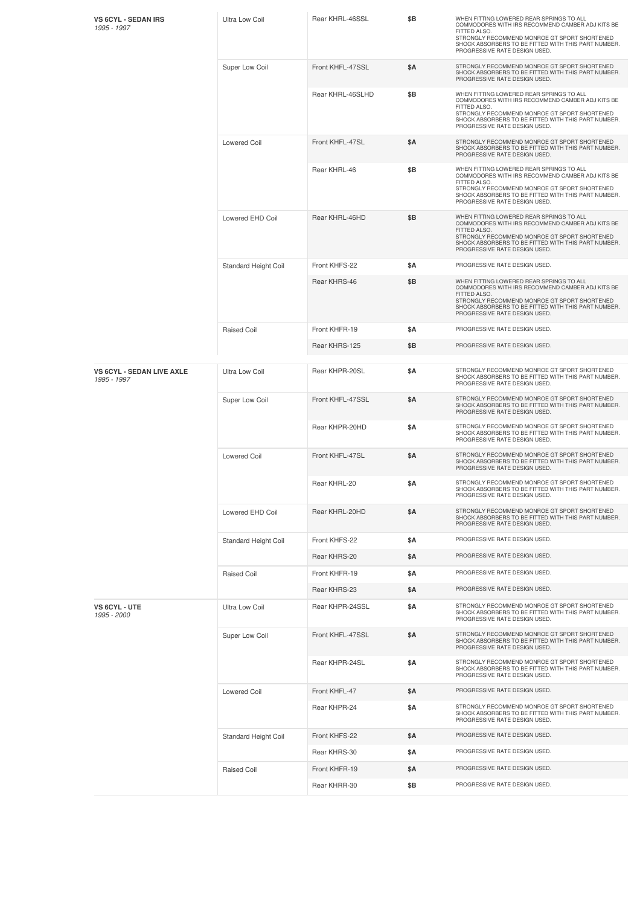| <b>VS 6CYL - SEDAN IRS</b><br>1995 - 1997       | Ultra Low Coil        | Rear KHRL-46SSL  | \$Β | WHEN FITTING LOWERED REAR SPRINGS TO ALL<br>COMMODORES WITH IRS RECOMMEND CAMBER ADJ KITS BE<br>FITTED ALSO.<br>STRONGLY RECOMMEND MONROE GT SPORT SHORTENED<br>SHOCK ABSORBERS TO BE FITTED WITH THIS PART NUMBER.<br>PROGRESSIVE RATE DESIGN USED. |
|-------------------------------------------------|-----------------------|------------------|-----|------------------------------------------------------------------------------------------------------------------------------------------------------------------------------------------------------------------------------------------------------|
|                                                 | Super Low Coil        | Front KHFL-47SSL | \$Α | STRONGLY RECOMMEND MONROE GT SPORT SHORTENED<br>SHOCK ABSORBERS TO BE FITTED WITH THIS PART NUMBER.<br>PROGRESSIVE RATE DESIGN USED.                                                                                                                 |
|                                                 |                       | Rear KHRL-46SLHD | \$B | WHEN FITTING LOWERED REAR SPRINGS TO ALL<br>COMMODORES WITH IRS RECOMMEND CAMBER ADJ KITS BE<br>FITTED ALSO.<br>STRONGLY RECOMMEND MONROE GT SPORT SHORTENED<br>SHOCK ABSORBERS TO BE FITTED WITH THIS PART NUMBER.<br>PROGRESSIVE RATE DESIGN USED. |
|                                                 | <b>Lowered Coil</b>   | Front KHFL-47SL  | \$Α | STRONGLY RECOMMEND MONROE GT SPORT SHORTENED<br>SHOCK ABSORBERS TO BE FITTED WITH THIS PART NUMBER.<br>PROGRESSIVE RATE DESIGN USED.                                                                                                                 |
|                                                 |                       | Rear KHRL-46     | \$Β | WHEN FITTING LOWERED REAR SPRINGS TO ALL<br>COMMODORES WITH IRS RECOMMEND CAMBER ADJ KITS BE<br>FITTED ALSO.<br>STRONGLY RECOMMEND MONROE GT SPORT SHORTENED<br>SHOCK ABSORBERS TO BE FITTED WITH THIS PART NUMBER.<br>PROGRESSIVE RATE DESIGN USED. |
|                                                 | Lowered EHD Coil      | Rear KHRL-46HD   | \$Β | WHEN FITTING LOWERED REAR SPRINGS TO ALL<br>COMMODORES WITH IRS RECOMMEND CAMBER ADJ KITS BE<br>FITTED ALSO.<br>STRONGLY RECOMMEND MONROE GT SPORT SHORTENED<br>SHOCK ABSORBERS TO BE FITTED WITH THIS PART NUMBER.<br>PROGRESSIVE RATE DESIGN USED. |
|                                                 | Standard Height Coil  | Front KHFS-22    | \$Α | PROGRESSIVE RATE DESIGN USED.                                                                                                                                                                                                                        |
|                                                 |                       | Rear KHRS-46     | \$Β | WHEN FITTING LOWERED REAR SPRINGS TO ALL<br>COMMODORES WITH IRS RECOMMEND CAMBER ADJ KITS BE<br>FITTED ALSO.<br>STRONGLY RECOMMEND MONROE GT SPORT SHORTENED<br>SHOCK ABSORBERS TO BE FITTED WITH THIS PART NUMBER.<br>PROGRESSIVE RATE DESIGN USED. |
|                                                 | <b>Raised Coil</b>    | Front KHFR-19    | \$Α | PROGRESSIVE RATE DESIGN USED.                                                                                                                                                                                                                        |
|                                                 |                       | Rear KHRS-125    | \$Β | PROGRESSIVE RATE DESIGN USED.                                                                                                                                                                                                                        |
| <b>VS 6CYL - SEDAN LIVE AXLE</b><br>1995 - 1997 | <b>Ultra Low Coil</b> | Rear KHPR-20SL   | \$Α | STRONGLY RECOMMEND MONROE GT SPORT SHORTENED<br>SHOCK ABSORBERS TO BE FITTED WITH THIS PART NUMBER.<br>PROGRESSIVE RATE DESIGN USED.                                                                                                                 |
|                                                 | Super Low Coil        | Front KHFL-47SSL | \$Α | STRONGLY RECOMMEND MONROE GT SPORT SHORTENED<br>SHOCK ABSORBERS TO BE FITTED WITH THIS PART NUMBER.<br>PROGRESSIVE RATE DESIGN USED.                                                                                                                 |
|                                                 |                       | Rear KHPR-20HD   | \$Α | STRONGLY RECOMMEND MONROE GT SPORT SHORTENED<br>SHOCK ABSORBERS TO BE FITTED WITH THIS PART NUMBER.<br>PROGRESSIVE RATE DESIGN USED.                                                                                                                 |
|                                                 | <b>Lowered Coil</b>   | Front KHFL-47SL  | \$Α | STRONGLY RECOMMEND MONROE GT SPORT SHORTENED<br>SHOCK ABSORBERS TO BE FITTED WITH THIS PART NUMBER.<br>PROGRESSIVE RATE DESIGN USED.                                                                                                                 |
|                                                 |                       | Rear KHRL-20     | \$Α | STRONGLY RECOMMEND MONROE GT SPORT SHORTENED<br>SHOCK ABSORBERS TO BE FITTED WITH THIS PART NUMBER.<br>PROGRESSIVE RATE DESIGN USED.                                                                                                                 |
|                                                 | Lowered EHD Coil      | Rear KHRL-20HD   | \$Α | STRONGLY RECOMMEND MONROE GT SPORT SHORTENED<br>SHOCK ABSORBERS TO BE FITTED WITH THIS PART NUMBER.<br>PROGRESSIVE RATE DESIGN USED.                                                                                                                 |
|                                                 | Standard Height Coil  | Front KHFS-22    | \$Α | PROGRESSIVE RATE DESIGN USED.                                                                                                                                                                                                                        |
|                                                 |                       | Rear KHRS-20     | \$Α | PROGRESSIVE RATE DESIGN USED.                                                                                                                                                                                                                        |
|                                                 | <b>Raised Coil</b>    | Front KHFR-19    | \$Α | PROGRESSIVE RATE DESIGN USED.                                                                                                                                                                                                                        |
|                                                 |                       | Rear KHRS-23     | \$Α | PROGRESSIVE RATE DESIGN USED.                                                                                                                                                                                                                        |
| VS 6CYL - UTE<br>1995 - 2000                    | Ultra Low Coil        | Rear KHPR-24SSL  | \$Α | STRONGLY RECOMMEND MONROE GT SPORT SHORTENED<br>SHOCK ABSORBERS TO BE FITTED WITH THIS PART NUMBER.<br>PROGRESSIVE RATE DESIGN USED.                                                                                                                 |
|                                                 | Super Low Coil        | Front KHFL-47SSL | \$Α | STRONGLY RECOMMEND MONROE GT SPORT SHORTENED<br>SHOCK ABSORBERS TO BE FITTED WITH THIS PART NUMBER.<br>PROGRESSIVE RATE DESIGN USED.                                                                                                                 |
|                                                 |                       | Rear KHPR-24SL   | \$Α | STRONGLY RECOMMEND MONROE GT SPORT SHORTENED<br>SHOCK ABSORBERS TO BE FITTED WITH THIS PART NUMBER.<br>PROGRESSIVE RATE DESIGN USED.                                                                                                                 |
|                                                 | <b>Lowered Coil</b>   | Front KHFL-47    | \$Α | PROGRESSIVE RATE DESIGN USED.                                                                                                                                                                                                                        |
|                                                 |                       | Rear KHPR-24     | \$Α | STRONGLY RECOMMEND MONROE GT SPORT SHORTENED<br>SHOCK ABSORBERS TO BE FITTED WITH THIS PART NUMBER.<br>PROGRESSIVE RATE DESIGN USED.                                                                                                                 |
|                                                 | Standard Height Coil  | Front KHFS-22    | \$Α | PROGRESSIVE RATE DESIGN USED.                                                                                                                                                                                                                        |
|                                                 |                       | Rear KHRS-30     | \$Α | PROGRESSIVE RATE DESIGN USED.                                                                                                                                                                                                                        |
|                                                 | <b>Raised Coil</b>    | Front KHFR-19    | \$Α | PROGRESSIVE RATE DESIGN USED.                                                                                                                                                                                                                        |
|                                                 |                       | Rear KHRR-30     | \$Β | PROGRESSIVE RATE DESIGN USED.                                                                                                                                                                                                                        |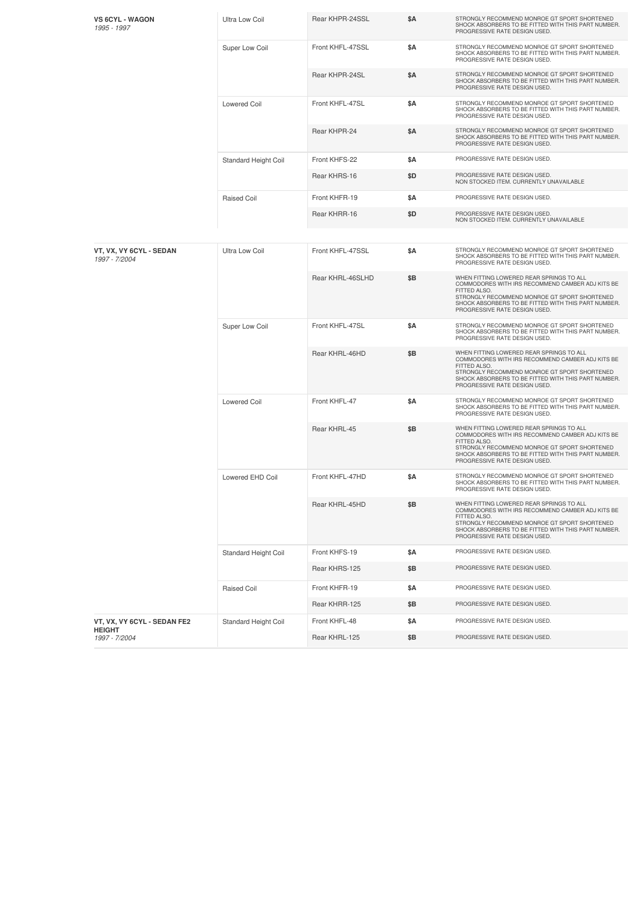| <b>VS 6CYL - WAGON</b><br>1995 - 1997    | Ultra Low Coil              | Rear KHPR-24SSL  | \$A        | STRONGLY RECOMMEND MONROE GT SPORT SHORTENED<br>SHOCK ABSORBERS TO BE FITTED WITH THIS PART NUMBER.<br>PROGRESSIVE RATE DESIGN USED.                                                                                                                 |
|------------------------------------------|-----------------------------|------------------|------------|------------------------------------------------------------------------------------------------------------------------------------------------------------------------------------------------------------------------------------------------------|
|                                          | Super Low Coil              | Front KHFL-47SSL | <b>\$A</b> | STRONGLY RECOMMEND MONROE GT SPORT SHORTENED<br>SHOCK ABSORBERS TO BE FITTED WITH THIS PART NUMBER.<br>PROGRESSIVE RATE DESIGN USED.                                                                                                                 |
|                                          |                             | Rear KHPR-24SL   | \$A        | STRONGLY RECOMMEND MONROE GT SPORT SHORTENED<br>SHOCK ABSORBERS TO BE FITTED WITH THIS PART NUMBER.<br>PROGRESSIVE RATE DESIGN USED.                                                                                                                 |
|                                          | <b>Lowered Coil</b>         | Front KHFL-47SL  | <b>\$A</b> | STRONGLY RECOMMEND MONROE GT SPORT SHORTENED<br>SHOCK ABSORBERS TO BE FITTED WITH THIS PART NUMBER.<br>PROGRESSIVE RATE DESIGN USED.                                                                                                                 |
|                                          |                             | Rear KHPR-24     | \$A        | STRONGLY RECOMMEND MONROE GT SPORT SHORTENED<br>SHOCK ABSORBERS TO BE FITTED WITH THIS PART NUMBER.<br>PROGRESSIVE RATE DESIGN USED.                                                                                                                 |
|                                          | Standard Height Coil        | Front KHFS-22    | \$A        | PROGRESSIVE RATE DESIGN USED.                                                                                                                                                                                                                        |
|                                          |                             | Rear KHRS-16     | \$D        | PROGRESSIVE RATE DESIGN USED.<br>NON STOCKED ITEM. CURRENTLY UNAVAILABLE                                                                                                                                                                             |
|                                          | <b>Raised Coil</b>          | Front KHFR-19    | \$Α        | PROGRESSIVE RATE DESIGN USED.                                                                                                                                                                                                                        |
|                                          |                             | Rear KHRR-16     | \$D        | PROGRESSIVE RATE DESIGN USED.<br>NON STOCKED ITEM. CURRENTLY UNAVAILABLE                                                                                                                                                                             |
|                                          |                             |                  |            |                                                                                                                                                                                                                                                      |
| VT, VX, VY 6CYL - SEDAN<br>1997 - 7/2004 | <b>Ultra Low Coil</b>       | Front KHFL-47SSL | \$A        | STRONGLY RECOMMEND MONROE GT SPORT SHORTENED<br>SHOCK ABSORBERS TO BE FITTED WITH THIS PART NUMBER.<br>PROGRESSIVE RATE DESIGN USED.                                                                                                                 |
|                                          |                             | Rear KHRL-46SLHD | \$Β        | WHEN FITTING LOWERED REAR SPRINGS TO ALL<br>COMMODORES WITH IRS RECOMMEND CAMBER ADJ KITS BE<br>FITTED ALSO.<br>STRONGLY RECOMMEND MONROE GT SPORT SHORTENED<br>SHOCK ABSORBERS TO BE FITTED WITH THIS PART NUMBER.<br>PROGRESSIVE RATE DESIGN USED. |
|                                          | Super Low Coil              | Front KHFL-47SL  | \$A        | STRONGLY RECOMMEND MONROE GT SPORT SHORTENED<br>SHOCK ABSORBERS TO BE FITTED WITH THIS PART NUMBER.<br>PROGRESSIVE RATE DESIGN USED.                                                                                                                 |
|                                          |                             | Rear KHRL-46HD   | \$B        | WHEN FITTING LOWERED REAR SPRINGS TO ALL<br>COMMODORES WITH IRS RECOMMEND CAMBER ADJ KITS BE<br>FITTED ALSO.<br>STRONGLY RECOMMEND MONROE GT SPORT SHORTENED<br>SHOCK ABSORBERS TO BE FITTED WITH THIS PART NUMBER.<br>PROGRESSIVE RATE DESIGN USED. |
|                                          | <b>Lowered Coil</b>         | Front KHFL-47    | <b>\$A</b> | STRONGLY RECOMMEND MONROE GT SPORT SHORTENED<br>SHOCK ABSORBERS TO BE FITTED WITH THIS PART NUMBER.<br>PROGRESSIVE RATE DESIGN USED.                                                                                                                 |
|                                          |                             | Rear KHRL-45     | \$B        | WHEN FITTING LOWERED REAR SPRINGS TO ALL<br>COMMODORES WITH IRS RECOMMEND CAMBER ADJ KITS BE<br>FITTED ALSO.<br>STRONGLY RECOMMEND MONROE GT SPORT SHORTENED<br>SHOCK ABSORBERS TO BE FITTED WITH THIS PART NUMBER.<br>PROGRESSIVE RATE DESIGN USED. |
|                                          | Lowered EHD Coil            | Front KHFL-47HD  | \$Α        | STRONGLY RECOMMEND MONROE GT SPORT SHORTENED<br>SHOCK ABSORBERS TO BE FITTED WITH THIS PART NUMBER.<br>PROGRESSIVE RATE DESIGN USED.                                                                                                                 |
|                                          |                             | Rear KHRL-45HD   | \$Β        | WHEN FITTING LOWERED REAR SPRINGS TO ALL<br>COMMODORES WITH IRS RECOMMEND CAMBER ADJ KITS BE<br>FITTED ALSO.<br>STRONGLY RECOMMEND MONROE GT SPORT SHORTENED<br>SHOCK ABSORBERS TO BE FITTED WITH THIS PART NUMBER.<br>PROGRESSIVE RATE DESIGN USED. |
|                                          | Standard Height Coil        | Front KHFS-19    | \$Α        | PROGRESSIVE RATE DESIGN USED.                                                                                                                                                                                                                        |
|                                          |                             | Rear KHRS-125    | \$Β        | PROGRESSIVE RATE DESIGN USED.                                                                                                                                                                                                                        |
|                                          | Raised Coil                 | Front KHFR-19    | \$Α        | PROGRESSIVE RATE DESIGN USED.                                                                                                                                                                                                                        |
|                                          |                             | Rear KHRR-125    | \$Β        | PROGRESSIVE RATE DESIGN USED.                                                                                                                                                                                                                        |
| VT, VX, VY 6CYL - SEDAN FE2              | <b>Standard Height Coil</b> | Front KHFL-48    | \$Α        | PROGRESSIVE RATE DESIGN USED.                                                                                                                                                                                                                        |
| <b>HEIGHT</b><br>1997 - 7/2004           |                             | Rear KHRL-125    | \$Β        | PROGRESSIVE RATE DESIGN USED.                                                                                                                                                                                                                        |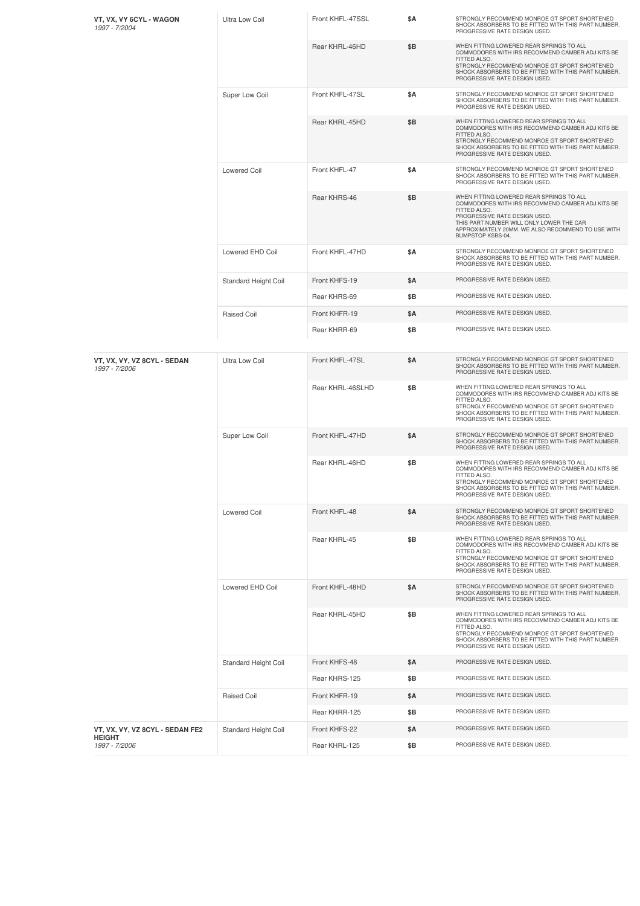| VT, VX, VY 6CYL - WAGON<br>1997 - 7/2004     | <b>Ultra Low Coil</b> | Front KHFL-47SSL | \$Α        | STRONGLY RECOMMEND MONROE GT SPORT SHORTENED<br>SHOCK ABSORBERS TO BE FITTED WITH THIS PART NUMBER.<br>PROGRESSIVE RATE DESIGN USED.                                                                                                                                |
|----------------------------------------------|-----------------------|------------------|------------|---------------------------------------------------------------------------------------------------------------------------------------------------------------------------------------------------------------------------------------------------------------------|
|                                              |                       | Rear KHRL-46HD   | \$Β        | WHEN FITTING LOWERED REAR SPRINGS TO ALL<br>COMMODORES WITH IRS RECOMMEND CAMBER ADJ KITS BE<br>FITTED ALSO.<br>STRONGLY RECOMMEND MONROE GT SPORT SHORTENED<br>SHOCK ABSORBERS TO BE FITTED WITH THIS PART NUMBER.<br>PROGRESSIVE RATE DESIGN USED.                |
|                                              | Super Low Coil        | Front KHFL-47SL  | \$Α        | STRONGLY RECOMMEND MONROE GT SPORT SHORTENED<br>SHOCK ABSORBERS TO BE FITTED WITH THIS PART NUMBER.<br>PROGRESSIVE RATE DESIGN USED.                                                                                                                                |
|                                              |                       | Rear KHRL-45HD   | \$Β        | WHEN FITTING LOWERED REAR SPRINGS TO ALL<br>COMMODORES WITH IRS RECOMMEND CAMBER ADJ KITS BE<br>FITTED ALSO.<br>STRONGLY RECOMMEND MONROE GT SPORT SHORTENED<br>SHOCK ABSORBERS TO BE FITTED WITH THIS PART NUMBER.<br>PROGRESSIVE RATE DESIGN USED.                |
|                                              | <b>Lowered Coil</b>   | Front KHFL-47    | \$Α        | STRONGLY RECOMMEND MONROE GT SPORT SHORTENED<br>SHOCK ABSORBERS TO BE FITTED WITH THIS PART NUMBER.<br>PROGRESSIVE RATE DESIGN USED.                                                                                                                                |
|                                              |                       | Rear KHRS-46     | \$Β        | WHEN FITTING LOWERED REAR SPRINGS TO ALL<br>COMMODORES WITH IRS RECOMMEND CAMBER ADJ KITS BE<br>FITTED ALSO.<br>PROGRESSIVE RATE DESIGN USED.<br>THIS PART NUMBER WILL ONLY LOWER THE CAR<br>APPROXIMATELY 20MM. WE ALSO RECOMMEND TO USE WITH<br>BUMPSTOP KSBS-04. |
|                                              | Lowered EHD Coil      | Front KHFL-47HD  | \$Α        | STRONGLY RECOMMEND MONROE GT SPORT SHORTENED<br>SHOCK ABSORBERS TO BE FITTED WITH THIS PART NUMBER.<br>PROGRESSIVE RATE DESIGN USED.                                                                                                                                |
|                                              | Standard Height Coil  | Front KHFS-19    | \$Α        | PROGRESSIVE RATE DESIGN USED.                                                                                                                                                                                                                                       |
|                                              |                       | Rear KHRS-69     | \$Β        | PROGRESSIVE RATE DESIGN USED.                                                                                                                                                                                                                                       |
|                                              | <b>Raised Coil</b>    | Front KHFR-19    | \$Α        | PROGRESSIVE RATE DESIGN USED.                                                                                                                                                                                                                                       |
|                                              |                       | Rear KHRR-69     | \$Β        | PROGRESSIVE RATE DESIGN USED.                                                                                                                                                                                                                                       |
| VT, VX, VY, VZ 8CYL - SEDAN<br>1997 - 7/2006 | Ultra Low Coil        | Front KHFL-47SL  | \$Α        | STRONGLY RECOMMEND MONROE GT SPORT SHORTENED<br>SHOCK ABSORBERS TO BE FITTED WITH THIS PART NUMBER.<br>PROGRESSIVE RATE DESIGN USED.                                                                                                                                |
|                                              |                       | Rear KHRL-46SLHD | \$B        | WHEN FITTING LOWERED REAR SPRINGS TO ALL<br>COMMODORES WITH IRS RECOMMEND CAMBER ADJ KITS BE<br>FITTED ALSO.<br>STRONGLY RECOMMEND MONROE GT SPORT SHORTENED<br>SHOCK ABSORBERS TO BE FITTED WITH THIS PART NUMBER.<br>PROGRESSIVE RATE DESIGN USED.                |
|                                              | Super Low Coil        | Front KHFL-47HD  | \$Α        | STRONGLY RECOMMEND MONROE GT SPORT SHORTENED<br>SHOCK ABSORBERS TO BE FITTED WITH THIS PART NUMBER.<br>PROGRESSIVE RATE DESIGN USED.                                                                                                                                |
|                                              |                       | Rear KHRL-46HD   | \$Β        | WHEN FITTING LOWERED REAR SPRINGS TO ALL<br>COMMODORES WITH IRS RECOMMEND CAMBER ADJ KITS BE<br>FITTED ALSO.<br>STRONGLY RECOMMEND MONROE GT SPORT SHORTENED<br>SHOCK ABSORBERS TO BE FITTED WITH THIS PART NUMBER.<br>PROGRESSIVE RATE DESIGN USED.                |
|                                              | Lowered Coil          | Front KHFL-48    | \$Α        | STRONGLY RECOMMEND MONROE GT SPORT SHORTENED<br>SHOCK ABSORBERS TO BE FITTED WITH THIS PART NUMBER.<br>PROGRESSIVE RATE DESIGN USED.                                                                                                                                |
|                                              |                       | Rear KHRL-45     | \$Β        | WHEN FITTING LOWERED REAR SPRINGS TO ALL<br>COMMODORES WITH IRS RECOMMEND CAMBER ADJ KITS BE<br>FITTED ALSO.<br>STRONGLY RECOMMEND MONROE GT SPORT SHORTENED<br>SHOCK ABSORBERS TO BE FITTED WITH THIS PART NUMBER.<br>PROGRESSIVE RATE DESIGN USED.                |
|                                              | Lowered EHD Coil      | Front KHFL-48HD  | <b>\$A</b> | STRONGLY RECOMMEND MONROE GT SPORT SHORTENED<br>SHOCK ABSORBERS TO BE FITTED WITH THIS PART NUMBER.<br>PROGRESSIVE RATE DESIGN USED.                                                                                                                                |
|                                              |                       | Rear KHRL-45HD   | \$Β        | WHEN FITTING LOWERED REAR SPRINGS TO ALL<br>COMMODORES WITH IRS RECOMMEND CAMBER ADJ KITS BE<br>FITTED ALSO.<br>STRONGLY RECOMMEND MONROE GT SPORT SHORTENED<br>SHOCK ABSORBERS TO BE FITTED WITH THIS PART NUMBER.<br>PROGRESSIVE RATE DESIGN USED.                |
|                                              | Standard Height Coil  | Front KHFS-48    | \$Α        | PROGRESSIVE RATE DESIGN USED.                                                                                                                                                                                                                                       |
|                                              |                       | Rear KHRS-125    | \$Β        | PROGRESSIVE RATE DESIGN USED.                                                                                                                                                                                                                                       |
|                                              | Raised Coil           | Front KHFR-19    | \$Α        | PROGRESSIVE RATE DESIGN USED.                                                                                                                                                                                                                                       |
|                                              |                       | Rear KHRR-125    | \$Β        | PROGRESSIVE RATE DESIGN USED.                                                                                                                                                                                                                                       |
| VT, VX, VY, VZ 8CYL - SEDAN FE2              | Standard Height Coil  | Front KHFS-22    | \$Α        | PROGRESSIVE RATE DESIGN USED.                                                                                                                                                                                                                                       |
| HEIGHT<br>1997 - 7/2006                      |                       | Rear KHRL-125    | \$Β        | PROGRESSIVE RATE DESIGN USED.                                                                                                                                                                                                                                       |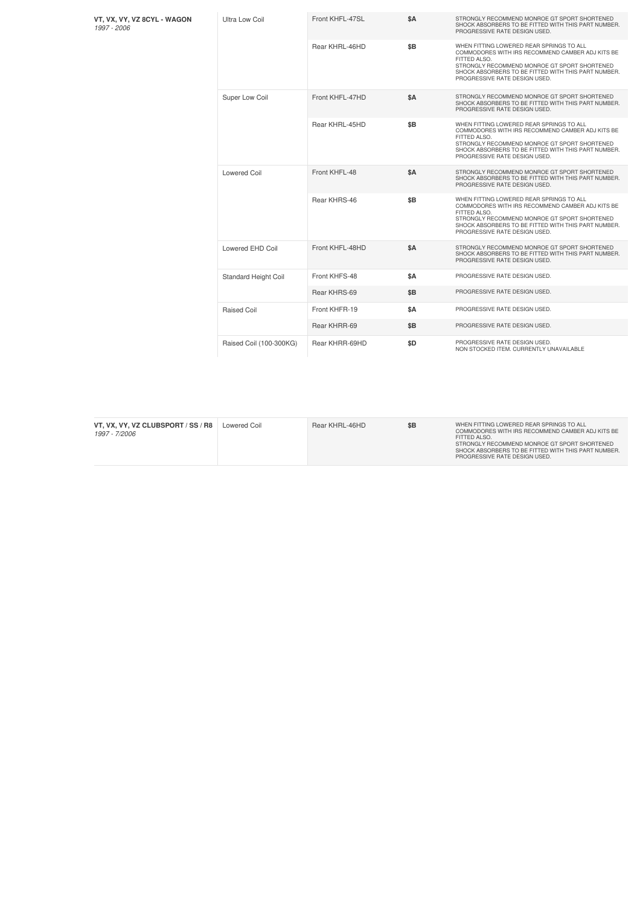| VT, VX, VY, VZ 8CYL - WAGON<br>1997 - 2006 | Ultra Low Coil              | Front KHFL-47SL | <b>\$A</b> | STRONGLY RECOMMEND MONROE GT SPORT SHORTENED<br>SHOCK ABSORBERS TO BE FITTED WITH THIS PART NUMBER.<br>PROGRESSIVE RATE DESIGN USED.                                                                                                                 |
|--------------------------------------------|-----------------------------|-----------------|------------|------------------------------------------------------------------------------------------------------------------------------------------------------------------------------------------------------------------------------------------------------|
|                                            |                             | Rear KHRL-46HD  | \$B        | WHEN FITTING LOWERED REAR SPRINGS TO ALL<br>COMMODORES WITH IRS RECOMMEND CAMBER ADJ KITS BE<br>FITTED ALSO.<br>STRONGLY RECOMMEND MONROE GT SPORT SHORTENED<br>SHOCK ABSORBERS TO BE FITTED WITH THIS PART NUMBER.<br>PROGRESSIVE RATE DESIGN USED. |
|                                            | Super Low Coil              | Front KHFL-47HD | \$A        | STRONGLY RECOMMEND MONROE GT SPORT SHORTENED<br>SHOCK ABSORBERS TO BE FITTED WITH THIS PART NUMBER.<br>PROGRESSIVE RATE DESIGN USED.                                                                                                                 |
|                                            |                             | Rear KHRL-45HD  | \$B        | WHEN FITTING LOWERED REAR SPRINGS TO ALL<br>COMMODORES WITH IRS RECOMMEND CAMBER ADJ KITS BE<br>FITTED ALSO.<br>STRONGLY RECOMMEND MONROE GT SPORT SHORTENED<br>SHOCK ABSORBERS TO BE FITTED WITH THIS PART NUMBER.<br>PROGRESSIVE RATE DESIGN USED. |
|                                            | <b>Lowered Coil</b>         | Front KHFL-48   | <b>\$A</b> | STRONGLY RECOMMEND MONROE GT SPORT SHORTENED<br>SHOCK ABSORBERS TO BE FITTED WITH THIS PART NUMBER.<br>PROGRESSIVE RATE DESIGN USED.                                                                                                                 |
|                                            |                             | Rear KHRS-46    | \$B        | WHEN FITTING LOWERED REAR SPRINGS TO ALL<br>COMMODORES WITH IRS RECOMMEND CAMBER ADJ KITS BE<br>FITTED ALSO.<br>STRONGLY RECOMMEND MONROE GT SPORT SHORTENED<br>SHOCK ABSORBERS TO BE FITTED WITH THIS PART NUMBER.<br>PROGRESSIVE RATE DESIGN USED. |
|                                            | Lowered EHD Coil            | Front KHFL-48HD | <b>\$A</b> | STRONGLY RECOMMEND MONROE GT SPORT SHORTENED<br>SHOCK ABSORBERS TO BE FITTED WITH THIS PART NUMBER.<br>PROGRESSIVE RATE DESIGN USED.                                                                                                                 |
|                                            | <b>Standard Height Coil</b> | Front KHFS-48   | \$A        | PROGRESSIVE RATE DESIGN USED.                                                                                                                                                                                                                        |
|                                            |                             | Rear KHRS-69    | \$B        | PROGRESSIVE RATE DESIGN USED.                                                                                                                                                                                                                        |
|                                            | Raised Coil                 | Front KHFR-19   | \$A        | PROGRESSIVE RATE DESIGN USED.                                                                                                                                                                                                                        |
|                                            |                             | Rear KHRR-69    | \$B        | PROGRESSIVE RATE DESIGN USED.                                                                                                                                                                                                                        |
|                                            | Raised Coil (100-300KG)     | Rear KHRR-69HD  | \$D        | PROGRESSIVE RATE DESIGN USED.<br>NON STOCKED ITEM. CURRENTLY UNAVAILABLE                                                                                                                                                                             |

| VT. VX. VY. VZ CLUBSPORT / SS / R8<br>1997 - 7/2006 | Lowered Coil | Rear KHRL-46HD | \$B | WHEN FITTING LOWERED REAR SPRINGS TO ALL<br>COMMODORES WITH IRS RECOMMEND CAMBER ADJ KITS BE<br>FITTED ALSO.<br>STRONGLY RECOMMEND MONROE GT SPORT SHORTENED<br>SHOCK ABSORBERS TO BE FITTED WITH THIS PART NUMBER.<br>PROGRESSIVE RATE DESIGN USED. |
|-----------------------------------------------------|--------------|----------------|-----|------------------------------------------------------------------------------------------------------------------------------------------------------------------------------------------------------------------------------------------------------|
|-----------------------------------------------------|--------------|----------------|-----|------------------------------------------------------------------------------------------------------------------------------------------------------------------------------------------------------------------------------------------------------|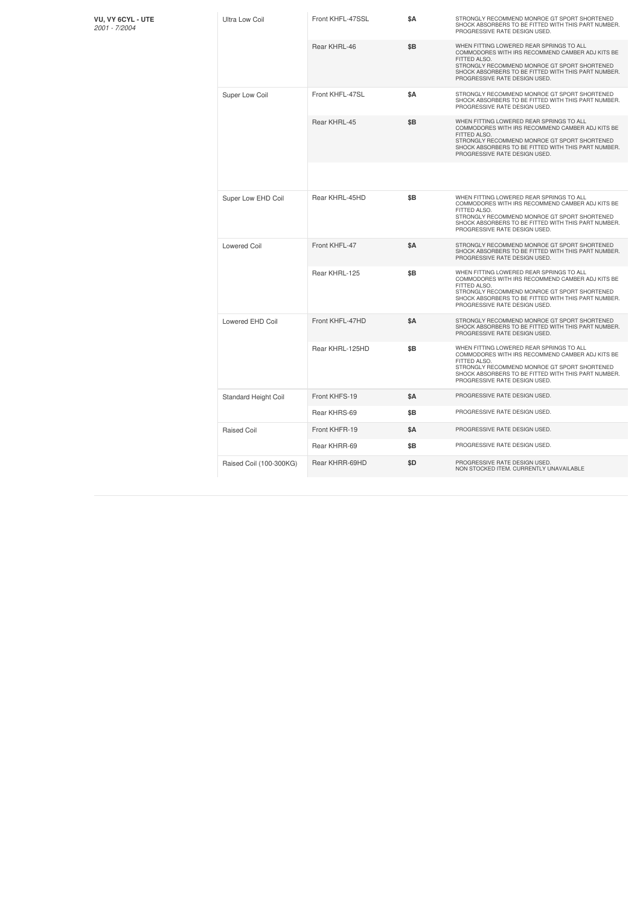| VU, VY 6CYL - UTE<br>2001 - 7/2004 | Ultra Low Coil          | Front KHFL-47SSL | ŜΑ         | STRONGLY RECOMMEND MONROE GT SPORT SHORTENED<br>SHOCK ABSORBERS TO BE FITTED WITH THIS PART NUMBER.<br>PROGRESSIVE RATE DESIGN USED.                                                                                                                 |
|------------------------------------|-------------------------|------------------|------------|------------------------------------------------------------------------------------------------------------------------------------------------------------------------------------------------------------------------------------------------------|
|                                    |                         | Rear KHRL-46     | \$Β        | WHEN FITTING LOWERED REAR SPRINGS TO ALL<br>COMMODORES WITH IRS RECOMMEND CAMBER ADJ KITS BE<br>FITTED ALSO.<br>STRONGLY RECOMMEND MONROE GT SPORT SHORTENED<br>SHOCK ABSORBERS TO BE FITTED WITH THIS PART NUMBER.<br>PROGRESSIVE RATE DESIGN USED. |
|                                    | Super Low Coil          | Front KHFL-47SL  | \$Α        | STRONGLY RECOMMEND MONROE GT SPORT SHORTENED<br>SHOCK ABSORBERS TO BE FITTED WITH THIS PART NUMBER.<br>PROGRESSIVE RATE DESIGN USED.                                                                                                                 |
|                                    |                         | Rear KHRL-45     | \$B        | WHEN FITTING LOWERED REAR SPRINGS TO ALL<br>COMMODORES WITH IRS RECOMMEND CAMBER ADJ KITS BE<br>FITTED ALSO.<br>STRONGLY RECOMMEND MONROE GT SPORT SHORTENED<br>SHOCK ABSORBERS TO BE FITTED WITH THIS PART NUMBER.<br>PROGRESSIVE RATE DESIGN USED. |
|                                    |                         |                  |            |                                                                                                                                                                                                                                                      |
|                                    | Super Low EHD Coil      | Rear KHRL-45HD   | \$Β        | WHEN FITTING LOWERED REAR SPRINGS TO ALL<br>COMMODORES WITH IRS RECOMMEND CAMBER ADJ KITS BE<br>FITTED ALSO.<br>STRONGLY RECOMMEND MONROE GT SPORT SHORTENED<br>SHOCK ABSORBERS TO BE FITTED WITH THIS PART NUMBER.<br>PROGRESSIVE RATE DESIGN USED. |
|                                    | <b>Lowered Coil</b>     | Front KHFL-47    | <b>\$A</b> | STRONGLY RECOMMEND MONROE GT SPORT SHORTENED<br>SHOCK ABSORBERS TO BE FITTED WITH THIS PART NUMBER.<br>PROGRESSIVE RATE DESIGN USED.                                                                                                                 |
|                                    |                         | Rear KHRL-125    | \$B        | WHEN FITTING LOWERED REAR SPRINGS TO ALL<br>COMMODORES WITH IRS RECOMMEND CAMBER ADJ KITS BE<br>FITTED ALSO.<br>STRONGLY RECOMMEND MONROE GT SPORT SHORTENED<br>SHOCK ABSORBERS TO BE FITTED WITH THIS PART NUMBER.<br>PROGRESSIVE RATE DESIGN USED. |
|                                    | Lowered EHD Coil        | Front KHFL-47HD  | \$Α        | STRONGLY RECOMMEND MONROE GT SPORT SHORTENED<br>SHOCK ABSORBERS TO BE FITTED WITH THIS PART NUMBER.<br>PROGRESSIVE RATE DESIGN USED.                                                                                                                 |
|                                    |                         | Rear KHRL-125HD  | \$B        | WHEN FITTING LOWERED REAR SPRINGS TO ALL<br>COMMODORES WITH IRS RECOMMEND CAMBER ADJ KITS BE<br>FITTED ALSO.<br>STRONGLY RECOMMEND MONROE GT SPORT SHORTENED<br>SHOCK ABSORBERS TO BE FITTED WITH THIS PART NUMBER.<br>PROGRESSIVE RATE DESIGN USED. |
|                                    | Standard Height Coil    | Front KHFS-19    | <b>\$A</b> | PROGRESSIVE RATE DESIGN USED.                                                                                                                                                                                                                        |
|                                    |                         | Rear KHRS-69     | \$B        | PROGRESSIVE RATE DESIGN USED.                                                                                                                                                                                                                        |
|                                    | <b>Raised Coil</b>      | Front KHFR-19    | \$Α        | PROGRESSIVE RATE DESIGN USED.                                                                                                                                                                                                                        |
|                                    |                         | Rear KHRR-69     | \$Β        | PROGRESSIVE RATE DESIGN USED.                                                                                                                                                                                                                        |
|                                    | Raised Coil (100-300KG) | Rear KHRR-69HD   | \$D        | PROGRESSIVE RATE DESIGN USED.<br>NON STOCKED ITEM. CURRENTLY UNAVAILABLE                                                                                                                                                                             |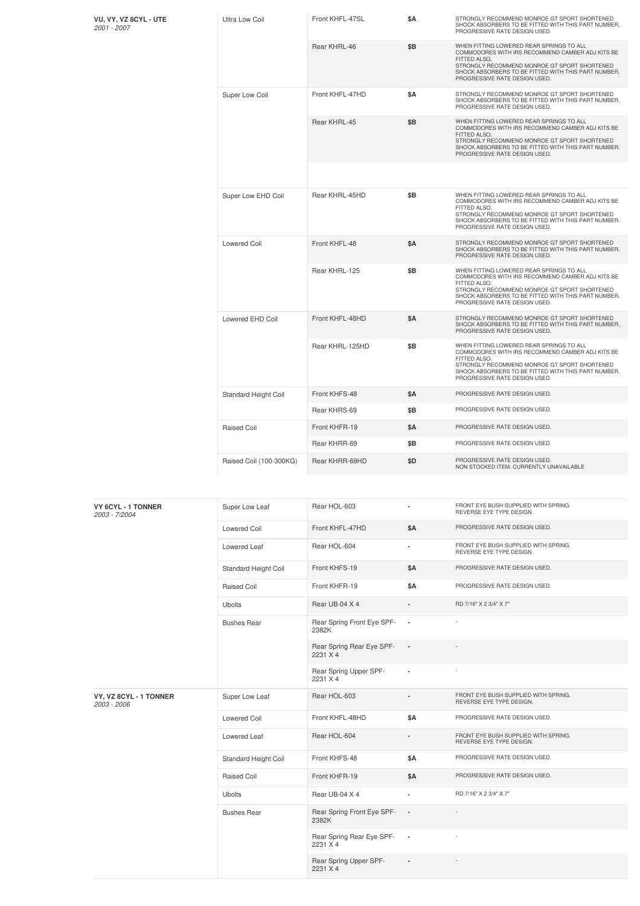| VU, VY, VZ 8CYL - UTE<br>2001 - 2007 | <b>Ultra Low Coil</b>   | Front KHFL-47SL | \$Α        | STRONGLY RECOMMEND MONROE GT SPORT SHORTENED<br>SHOCK ABSORBERS TO BE FITTED WITH THIS PART NUMBER.<br>PROGRESSIVE RATE DESIGN USED.                                                                                                                 |
|--------------------------------------|-------------------------|-----------------|------------|------------------------------------------------------------------------------------------------------------------------------------------------------------------------------------------------------------------------------------------------------|
|                                      |                         | Rear KHRL-46    | \$B        | WHEN FITTING LOWERED REAR SPRINGS TO ALL<br>COMMODORES WITH IRS RECOMMEND CAMBER ADJ KITS BE<br>FITTED ALSO.<br>STRONGLY RECOMMEND MONROE GT SPORT SHORTENED<br>SHOCK ABSORBERS TO BE FITTED WITH THIS PART NUMBER.<br>PROGRESSIVE RATE DESIGN USED. |
|                                      | Super Low Coil          | Front KHFL-47HD | <b>\$A</b> | STRONGLY RECOMMEND MONROE GT SPORT SHORTENED<br>SHOCK ABSORBERS TO BE FITTED WITH THIS PART NUMBER.<br>PROGRESSIVE RATE DESIGN USED.                                                                                                                 |
|                                      |                         | Rear KHRL-45    | \$B        | WHEN FITTING LOWERED REAR SPRINGS TO ALL<br>COMMODORES WITH IRS RECOMMEND CAMBER ADJ KITS BE<br>FITTED ALSO.<br>STRONGLY RECOMMEND MONROE GT SPORT SHORTENED<br>SHOCK ABSORBERS TO BE FITTED WITH THIS PART NUMBER.<br>PROGRESSIVE RATE DESIGN USED. |
|                                      |                         |                 |            |                                                                                                                                                                                                                                                      |
|                                      | Super Low EHD Coil      | Rear KHRL-45HD  | \$B        | WHEN FITTING LOWERED REAR SPRINGS TO ALL<br>COMMODORES WITH IRS RECOMMEND CAMBER ADJ KITS BE<br>FITTED ALSO.<br>STRONGLY RECOMMEND MONROE GT SPORT SHORTENED<br>SHOCK ABSORBERS TO BE FITTED WITH THIS PART NUMBER.<br>PROGRESSIVE RATE DESIGN USED. |
|                                      | <b>Lowered Coil</b>     | Front KHFL-48   | <b>\$A</b> | STRONGLY RECOMMEND MONROE GT SPORT SHORTENED<br>SHOCK ABSORBERS TO BE FITTED WITH THIS PART NUMBER.<br>PROGRESSIVE RATE DESIGN USED.                                                                                                                 |
|                                      |                         | Rear KHRL-125   | \$B        | WHEN FITTING LOWERED REAR SPRINGS TO ALL<br>COMMODORES WITH IRS RECOMMEND CAMBER ADJ KITS BE<br>FITTED ALSO.<br>STRONGLY RECOMMEND MONROE GT SPORT SHORTENED<br>SHOCK ABSORBERS TO BE FITTED WITH THIS PART NUMBER.<br>PROGRESSIVE RATE DESIGN USED. |
|                                      | Lowered EHD Coil        | Front KHFL-48HD | <b>\$A</b> | STRONGLY RECOMMEND MONROE GT SPORT SHORTENED<br>SHOCK ABSORBERS TO BE FITTED WITH THIS PART NUMBER.<br>PROGRESSIVE RATE DESIGN USED.                                                                                                                 |
|                                      |                         | Rear KHRL-125HD | \$B        | WHEN FITTING LOWERED REAR SPRINGS TO ALL<br>COMMODORES WITH IRS RECOMMEND CAMBER ADJ KITS BE<br>FITTED ALSO.<br>STRONGLY RECOMMEND MONROE GT SPORT SHORTENED<br>SHOCK ABSORBERS TO BE FITTED WITH THIS PART NUMBER.<br>PROGRESSIVE RATE DESIGN USED. |
|                                      | Standard Height Coil    | Front KHFS-48   | <b>\$A</b> | PROGRESSIVE RATE DESIGN USED.                                                                                                                                                                                                                        |
|                                      |                         | Rear KHRS-69    | \$Β        | PROGRESSIVE RATE DESIGN USED.                                                                                                                                                                                                                        |
|                                      | <b>Raised Coil</b>      | Front KHFR-19   | \$Α        | PROGRESSIVE RATE DESIGN USED.                                                                                                                                                                                                                        |
|                                      |                         | Rear KHRR-69    | \$B        | PROGRESSIVE RATE DESIGN USED.                                                                                                                                                                                                                        |
|                                      | Raised Coil (100-300KG) | Rear KHRR-69HD  | \$D        | PROGRESSIVE RATE DESIGN USED.<br>NON STOCKED ITEM. CURRENTLY UNAVAILABLE                                                                                                                                                                             |

| VY 6CYL - 1 TONNER<br>2003 - 7/2004   | Super Low Leaf       | Rear HOL-603                          | ٠                        | FRONT EYE BUSH SUPPLIED WITH SPRING.<br>REVERSE EYE TYPE DESIGN. |
|---------------------------------------|----------------------|---------------------------------------|--------------------------|------------------------------------------------------------------|
|                                       | <b>Lowered Coil</b>  | Front KHFL-47HD                       | <b>\$A</b>               | PROGRESSIVE RATE DESIGN USED.                                    |
|                                       | Lowered Leaf         | Rear HOL-604                          | ä,                       | FRONT EYE BUSH SUPPLIED WITH SPRING.<br>REVERSE EYE TYPE DESIGN. |
|                                       | Standard Height Coil | Front KHFS-19                         | <b>\$A</b>               | PROGRESSIVE RATE DESIGN USED.                                    |
|                                       | Raised Coil          | Front KHFR-19                         | <b>\$A</b>               | PROGRESSIVE RATE DESIGN USED.                                    |
|                                       | <b>Ubolts</b>        | Rear UB-04 X 4                        |                          | RD 7/16" X 2 3/4" X 7"                                           |
|                                       | <b>Bushes Rear</b>   | Rear Spring Front Eye SPF-<br>2382K   | $\blacksquare$           |                                                                  |
|                                       |                      | Rear Spring Rear Eye SPF-<br>2231 X 4 | $\overline{\phantom{a}}$ |                                                                  |
|                                       |                      | Rear Spring Upper SPF-<br>2231 X 4    | $\overline{\phantom{a}}$ |                                                                  |
| VY, VZ 8CYL - 1 TONNER<br>2003 - 2006 | Super Low Leaf       | Rear HOL-603                          |                          | FRONT EYE BUSH SUPPLIED WITH SPRING.<br>REVERSE EYE TYPE DESIGN. |
|                                       | <b>Lowered Coil</b>  | Front KHFL-48HD                       | <b>\$A</b>               | PROGRESSIVE RATE DESIGN USED.                                    |
|                                       | Lowered Leaf         | Rear HOL-604                          | ٠                        | FRONT EYE BUSH SUPPLIED WITH SPRING.<br>REVERSE EYE TYPE DESIGN. |
|                                       | Standard Height Coil | Front KHFS-48                         | <b>\$A</b>               | PROGRESSIVE RATE DESIGN USED.                                    |
|                                       | Raised Coil          | Front KHFR-19                         | <b>\$A</b>               | PROGRESSIVE RATE DESIGN USED.                                    |
|                                       | <b>Ubolts</b>        | Rear UB-04 X 4                        | ٠                        | RD 7/16" X 2 3/4" X 7"                                           |
|                                       | <b>Bushes Rear</b>   | Rear Spring Front Eye SPF-<br>2382K   | $\overline{\phantom{a}}$ |                                                                  |
|                                       |                      | Rear Spring Rear Eye SPF-<br>2231 X 4 | $\overline{\phantom{a}}$ |                                                                  |
|                                       |                      | Rear Spring Upper SPF-<br>2231 X 4    |                          |                                                                  |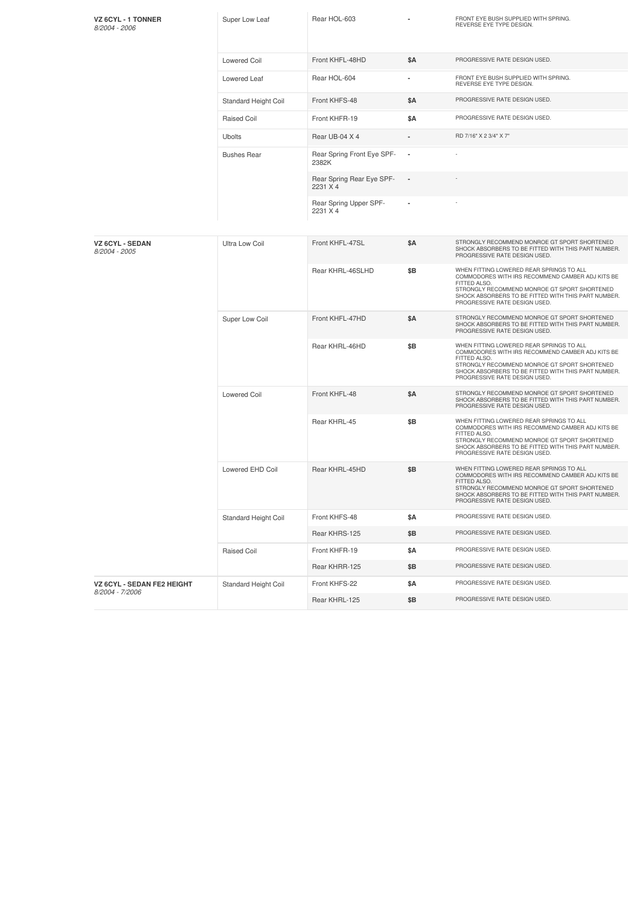| <b>VZ 6CYL - 1 TONNER</b><br>8/2004 - 2006    | Super Low Leaf        | Rear HOL-603                          |                | FRONT EYE BUSH SUPPLIED WITH SPRING.<br>REVERSE EYE TYPE DESIGN.                                                                                                                                                                                     |
|-----------------------------------------------|-----------------------|---------------------------------------|----------------|------------------------------------------------------------------------------------------------------------------------------------------------------------------------------------------------------------------------------------------------------|
|                                               | <b>Lowered Coil</b>   | Front KHFL-48HD                       | \$Α            | PROGRESSIVE RATE DESIGN USED.                                                                                                                                                                                                                        |
|                                               | Lowered Leaf          | Rear HOL-604                          | ٠              | FRONT EYE BUSH SUPPLIED WITH SPRING.<br>REVERSE EYE TYPE DESIGN.                                                                                                                                                                                     |
|                                               | Standard Height Coil  | Front KHFS-48                         | \$A            | PROGRESSIVE RATE DESIGN USED.                                                                                                                                                                                                                        |
|                                               | Raised Coil           | Front KHFR-19                         | \$Α            | PROGRESSIVE RATE DESIGN USED.                                                                                                                                                                                                                        |
|                                               | <b>Ubolts</b>         | Rear UB-04 X 4                        |                | RD 7/16" X 2 3/4" X 7"                                                                                                                                                                                                                               |
|                                               | <b>Bushes Rear</b>    | Rear Spring Front Eye SPF-<br>2382K   |                |                                                                                                                                                                                                                                                      |
|                                               |                       | Rear Spring Rear Eye SPF-<br>2231 X 4 | $\blacksquare$ |                                                                                                                                                                                                                                                      |
|                                               |                       | Rear Spring Upper SPF-<br>2231 X 4    |                |                                                                                                                                                                                                                                                      |
| <b>VZ 6CYL - SEDAN</b><br>8/2004 - 2005       | <b>Ultra Low Coil</b> | Front KHFL-47SL                       | \$A            | STRONGLY RECOMMEND MONROE GT SPORT SHORTENED<br>SHOCK ABSORBERS TO BE FITTED WITH THIS PART NUMBER.<br>PROGRESSIVE RATE DESIGN USED.                                                                                                                 |
|                                               |                       | Rear KHRL-46SLHD                      | \$Β            | WHEN FITTING LOWERED REAR SPRINGS TO ALL<br>COMMODORES WITH IRS RECOMMEND CAMBER ADJ KITS BE<br>FITTED ALSO.<br>STRONGLY RECOMMEND MONROE GT SPORT SHORTENED<br>SHOCK ABSORBERS TO BE FITTED WITH THIS PART NUMBER.<br>PROGRESSIVE RATE DESIGN USED. |
|                                               | Super Low Coil        | Front KHFL-47HD                       | \$Α            | STRONGLY RECOMMEND MONROE GT SPORT SHORTENED<br>SHOCK ABSORBERS TO BE FITTED WITH THIS PART NUMBER.<br>PROGRESSIVE RATE DESIGN USED.                                                                                                                 |
|                                               |                       | Rear KHRL-46HD                        | \$B            | WHEN FITTING LOWERED REAR SPRINGS TO ALL<br>COMMODORES WITH IRS RECOMMEND CAMBER ADJ KITS BE<br>FITTED ALSO.<br>STRONGLY RECOMMEND MONROE GT SPORT SHORTENED<br>SHOCK ABSORBERS TO BE FITTED WITH THIS PART NUMBER.<br>PROGRESSIVE RATE DESIGN USED. |
|                                               | <b>Lowered Coil</b>   | Front KHFL-48                         | \$Α            | STRONGLY RECOMMEND MONROE GT SPORT SHORTENED<br>SHOCK ABSORBERS TO BE FITTED WITH THIS PART NUMBER.<br>PROGRESSIVE RATE DESIGN USED.                                                                                                                 |
|                                               |                       | Rear KHRL-45                          | \$B            | WHEN FITTING LOWERED REAR SPRINGS TO ALL<br>COMMODORES WITH IRS RECOMMEND CAMBER ADJ KITS BE<br>FITTED ALSO.<br>STRONGLY RECOMMEND MONROE GT SPORT SHORTENED<br>SHOCK ABSORBERS TO BE FITTED WITH THIS PART NUMBER.<br>PROGRESSIVE RATE DESIGN USED. |
|                                               | Lowered EHD Coil      | Rear KHRL-45HD                        | \$Β            | WHEN FITTING LOWERED REAR SPRINGS TO ALL<br>COMMODORES WITH IRS RECOMMEND CAMBER ADJ KITS BE<br>FITTED ALSO.<br>STRONGLY RECOMMEND MONROE GT SPORT SHORTENED<br>SHOCK ABSORBERS TO BE FITTED WITH THIS PART NUMBER.<br>PROGRESSIVE RATE DESIGN USED. |
|                                               | Standard Height Coil  | Front KHFS-48                         | \$Α            | PROGRESSIVE RATE DESIGN USED.                                                                                                                                                                                                                        |
|                                               |                       | Rear KHRS-125                         | \$Β            | PROGRESSIVE RATE DESIGN USED.                                                                                                                                                                                                                        |
|                                               | Raised Coil           | Front KHFR-19                         | \$Α            | PROGRESSIVE RATE DESIGN USED.                                                                                                                                                                                                                        |
|                                               |                       | Rear KHRR-125                         | \$B            | PROGRESSIVE RATE DESIGN USED.                                                                                                                                                                                                                        |
| VZ 6CYL - SEDAN FE2 HEIGHT<br>8/2004 - 7/2006 | Standard Height Coil  | Front KHFS-22                         | \$Α            | PROGRESSIVE RATE DESIGN USED.                                                                                                                                                                                                                        |
|                                               |                       | Rear KHRL-125                         | \$Β            | PROGRESSIVE RATE DESIGN USED.                                                                                                                                                                                                                        |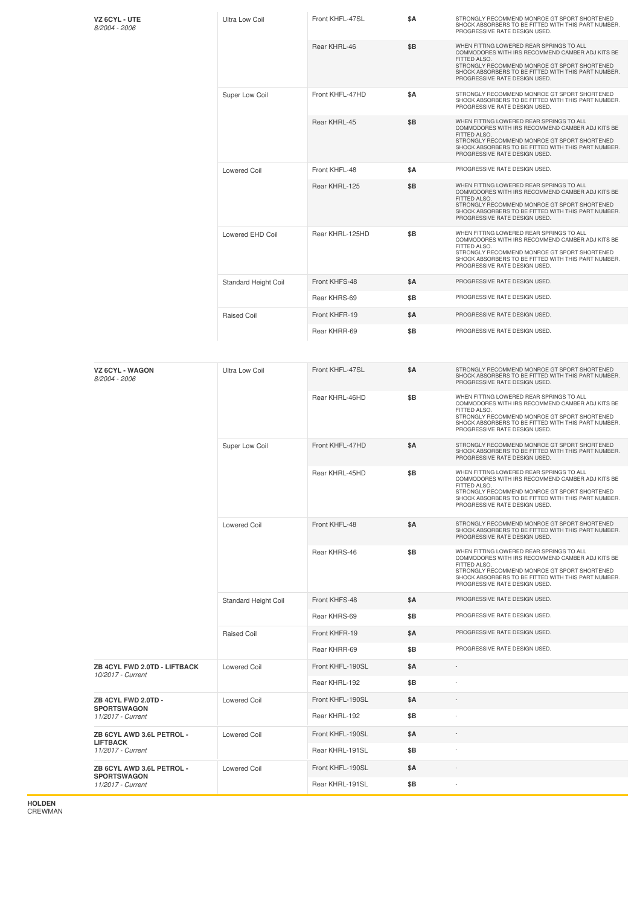| VZ 6CYL - UTE<br>8/2004 - 2006                    | <b>Ultra Low Coil</b>       | Front KHFL-47SL  | \$A        | STRONGLY RECOMMEND MONROE GT SPORT SHORTENED<br>SHOCK ABSORBERS TO BE FITTED WITH THIS PART NUMBER.<br>PROGRESSIVE RATE DESIGN USED.                                                                                                                 |
|---------------------------------------------------|-----------------------------|------------------|------------|------------------------------------------------------------------------------------------------------------------------------------------------------------------------------------------------------------------------------------------------------|
|                                                   |                             | Rear KHRL-46     | \$B        | WHEN FITTING LOWERED REAR SPRINGS TO ALL<br>COMMODORES WITH IRS RECOMMEND CAMBER ADJ KITS BE<br>FITTED ALSO.<br>STRONGLY RECOMMEND MONROE GT SPORT SHORTENED<br>SHOCK ABSORBERS TO BE FITTED WITH THIS PART NUMBER.<br>PROGRESSIVE RATE DESIGN USED. |
|                                                   | Super Low Coil              | Front KHFL-47HD  | <b>\$A</b> | STRONGLY RECOMMEND MONROE GT SPORT SHORTENED<br>SHOCK ABSORBERS TO BE FITTED WITH THIS PART NUMBER.<br>PROGRESSIVE RATE DESIGN USED.                                                                                                                 |
|                                                   |                             | Rear KHRL-45     | \$Β        | WHEN FITTING LOWERED REAR SPRINGS TO ALL<br>COMMODORES WITH IRS RECOMMEND CAMBER ADJ KITS BE<br>FITTED ALSO.<br>STRONGLY RECOMMEND MONROE GT SPORT SHORTENED<br>SHOCK ABSORBERS TO BE FITTED WITH THIS PART NUMBER.<br>PROGRESSIVE RATE DESIGN USED. |
|                                                   | <b>Lowered Coil</b>         | Front KHFL-48    | <b>\$A</b> | PROGRESSIVE RATE DESIGN USED.                                                                                                                                                                                                                        |
|                                                   |                             | Rear KHRL-125    | \$Β        | WHEN FITTING LOWERED REAR SPRINGS TO ALL<br>COMMODORES WITH IRS RECOMMEND CAMBER ADJ KITS BE<br>FITTED ALSO.<br>STRONGLY RECOMMEND MONROE GT SPORT SHORTENED<br>SHOCK ABSORBERS TO BE FITTED WITH THIS PART NUMBER.<br>PROGRESSIVE RATE DESIGN USED. |
|                                                   | Lowered EHD Coil            | Rear KHRL-125HD  | \$B        | WHEN FITTING LOWERED REAR SPRINGS TO ALL<br>COMMODORES WITH IRS RECOMMEND CAMBER ADJ KITS BE<br>FITTED ALSO.<br>STRONGLY RECOMMEND MONROE GT SPORT SHORTENED<br>SHOCK ABSORBERS TO BE FITTED WITH THIS PART NUMBER.<br>PROGRESSIVE RATE DESIGN USED. |
|                                                   | <b>Standard Height Coil</b> | Front KHFS-48    | <b>\$A</b> | PROGRESSIVE RATE DESIGN USED.                                                                                                                                                                                                                        |
|                                                   |                             | Rear KHRS-69     | \$B        | PROGRESSIVE RATE DESIGN USED.                                                                                                                                                                                                                        |
|                                                   | <b>Raised Coil</b>          | Front KHFR-19    | <b>\$A</b> | PROGRESSIVE RATE DESIGN USED.                                                                                                                                                                                                                        |
|                                                   |                             | Rear KHRR-69     | \$B        | PROGRESSIVE RATE DESIGN USED.                                                                                                                                                                                                                        |
| <b>VZ 6CYL - WAGON</b><br>8/2004 - 2006           | <b>Ultra Low Coil</b>       | Front KHFL-47SL  | \$A        | STRONGLY RECOMMEND MONROE GT SPORT SHORTENED<br>SHOCK ABSORBERS TO BE FITTED WITH THIS PART NUMBER.<br>PROGRESSIVE RATE DESIGN USED.                                                                                                                 |
|                                                   |                             | Rear KHRL-46HD   | \$B        | WHEN FITTING LOWERED REAR SPRINGS TO ALL<br>COMMODORES WITH IRS RECOMMEND CAMBER ADJ KITS BE<br>FITTED ALSO.<br>STRONGLY RECOMMEND MONROE GT SPORT SHORTENED<br>SHOCK ABSORBERS TO BE FITTED WITH THIS PART NUMBER.<br>PROGRESSIVE RATE DESIGN USED. |
|                                                   | Super Low Coil              | Front KHFL-47HD  | \$A        | STRONGLY RECOMMEND MONROE GT SPORT SHORTENED<br>SHOCK ABSORBERS TO BE FITTED WITH THIS PART NUMBER.<br>PROGRESSIVE RATE DESIGN USED.                                                                                                                 |
|                                                   |                             | Rear KHRL-45HD   | \$B        | WHEN FITTING LOWERED REAR SPRINGS TO ALL<br>COMMODORES WITH IRS RECOMMEND CAMBER ADJ KITS BE<br>FITTED ALSO.<br>STRONGLY RECOMMEND MONROE GT SPORT SHORTENED<br>SHOCK ABSORBERS TO BE FITTED WITH THIS PART NUMBER.<br>PROGRESSIVE RATE DESIGN USED. |
|                                                   | <b>Lowered Coil</b>         | Front KHFL-48    | \$Α        | STRONGLY RECOMMEND MONROE GT SPORT SHORTENED<br>SHOCK ABSORBERS TO BE FITTED WITH THIS PART NUMBER.<br>PROGRESSIVE RATE DESIGN USED.                                                                                                                 |
|                                                   |                             | Rear KHRS-46     | \$B        | WHEN FITTING LOWERED REAR SPRINGS TO ALL<br>COMMODORES WITH IRS RECOMMEND CAMBER ADJ KITS BE<br>FITTED ALSO.<br>STRONGLY RECOMMEND MONROE GT SPORT SHORTENED<br>SHOCK ABSORBERS TO BE FITTED WITH THIS PART NUMBER.<br>PROGRESSIVE RATE DESIGN USED. |
|                                                   | <b>Standard Height Coil</b> | Front KHFS-48    | \$A        | PROGRESSIVE RATE DESIGN USED.                                                                                                                                                                                                                        |
|                                                   |                             | Rear KHRS-69     | \$B        | PROGRESSIVE RATE DESIGN USED.                                                                                                                                                                                                                        |
|                                                   | Raised Coil                 | Front KHFR-19    | <b>\$A</b> | PROGRESSIVE RATE DESIGN USED.                                                                                                                                                                                                                        |
|                                                   |                             | Rear KHRR-69     | \$B        | PROGRESSIVE RATE DESIGN USED.                                                                                                                                                                                                                        |
| ZB 4CYL FWD 2.0TD - LIFTBACK<br>10/2017 - Current | <b>Lowered Coil</b>         | Front KHFL-190SL | \$Α        |                                                                                                                                                                                                                                                      |
|                                                   |                             | Rear KHRL-192    | \$B        |                                                                                                                                                                                                                                                      |
| ZB 4CYL FWD 2.0TD -<br><b>SPORTSWAGON</b>         | <b>Lowered Coil</b>         | Front KHFL-190SL | \$A        |                                                                                                                                                                                                                                                      |
| 11/2017 - Current                                 |                             | Rear KHRL-192    | \$B        |                                                                                                                                                                                                                                                      |
| ZB 6CYL AWD 3.6L PETROL -<br><b>LIFTBACK</b>      | <b>Lowered Coil</b>         | Front KHFL-190SL | \$Α        |                                                                                                                                                                                                                                                      |
| 11/2017 - Current                                 |                             | Rear KHRL-191SL  | \$B        |                                                                                                                                                                                                                                                      |
| ZB 6CYL AWD 3.6L PETROL -<br><b>SPORTSWAGON</b>   | <b>Lowered Coil</b>         | Front KHFL-190SL | \$A        |                                                                                                                                                                                                                                                      |
| 11/2017 - Current                                 |                             | Rear KHRL-191SL  | \$Β        |                                                                                                                                                                                                                                                      |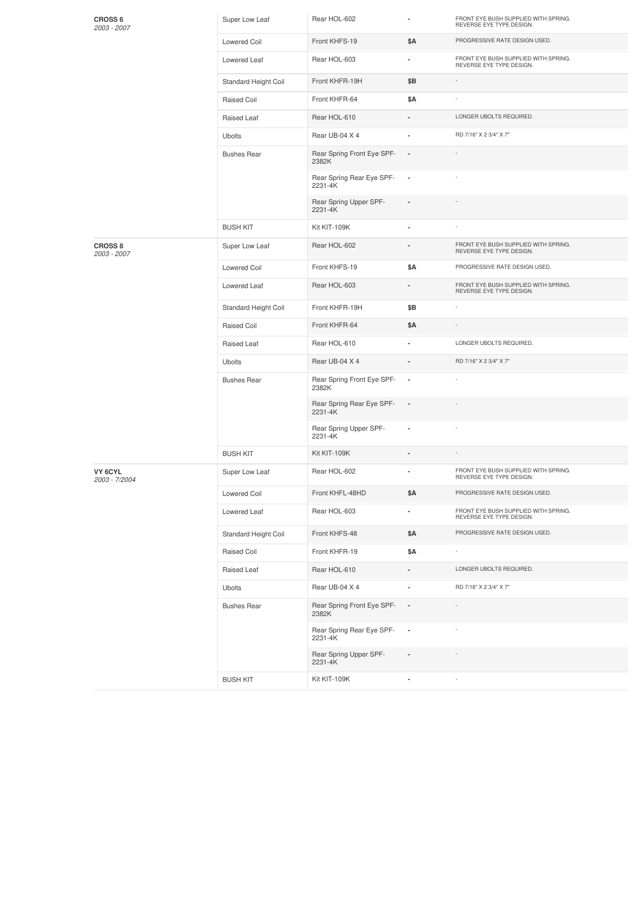| <b>CROSS 6</b><br>2003 - 2007 | Super Low Leaf       | Rear HOL-602                         | ٠                        | FRONT EYE BUSH SUPPLIED WITH SPRING.<br>REVERSE EYE TYPE DESIGN. |
|-------------------------------|----------------------|--------------------------------------|--------------------------|------------------------------------------------------------------|
|                               | <b>Lowered Coil</b>  | Front KHFS-19                        | \$Α                      | PROGRESSIVE RATE DESIGN USED.                                    |
|                               | Lowered Leaf         | Rear HOL-603                         | ä,                       | FRONT EYE BUSH SUPPLIED WITH SPRING.<br>REVERSE EYE TYPE DESIGN. |
|                               | Standard Height Coil | Front KHFR-19H                       | \$Β                      | ÷                                                                |
|                               | Raised Coil          | Front KHFR-64                        | \$Α                      |                                                                  |
|                               | Raised Leaf          | Rear HOL-610                         |                          | LONGER UBOLTS REQUIRED.                                          |
|                               | <b>Ubolts</b>        | Rear UB-04 X 4                       | ä,                       | RD 7/16" X 2 3/4" X 7"                                           |
|                               | <b>Bushes Rear</b>   | Rear Spring Front Eye SPF-<br>2382K  | $\overline{\phantom{a}}$ |                                                                  |
|                               |                      | Rear Spring Rear Eye SPF-<br>2231-4K | $\overline{\phantom{a}}$ |                                                                  |
|                               |                      | Rear Spring Upper SPF-<br>2231-4K    | ä,                       |                                                                  |
|                               | <b>BUSH KIT</b>      | Kit KIT-109K                         | ä,                       |                                                                  |
| <b>CROSS 8</b><br>2003 - 2007 | Super Low Leaf       | Rear HOL-602                         |                          | FRONT EYE BUSH SUPPLIED WITH SPRING.<br>REVERSE EYE TYPE DESIGN. |
|                               | <b>Lowered Coil</b>  | Front KHFS-19                        | \$Α                      | PROGRESSIVE RATE DESIGN USED.                                    |
|                               | Lowered Leaf         | Rear HOL-603                         |                          | FRONT EYE BUSH SUPPLIED WITH SPRING.<br>REVERSE EYE TYPE DESIGN. |
|                               | Standard Height Coil | Front KHFR-19H                       | \$Β                      |                                                                  |
|                               | Raised Coil          | Front KHFR-64                        | \$Α                      |                                                                  |
|                               | Raised Leaf          | Rear HOL-610                         |                          | LONGER UBOLTS REQUIRED.                                          |
|                               | <b>Ubolts</b>        | Rear UB-04 X 4                       | ÷                        | RD 7/16" X 2 3/4" X 7"                                           |
|                               | <b>Bushes Rear</b>   | Rear Spring Front Eye SPF-<br>2382K  | $\overline{\phantom{a}}$ |                                                                  |
|                               |                      | Rear Spring Rear Eye SPF-<br>2231-4K | $\overline{a}$           |                                                                  |
|                               |                      | Rear Spring Upper SPF-<br>2231-4K    | ä,                       |                                                                  |
|                               | <b>BUSH KIT</b>      | Kit KIT-109K                         |                          |                                                                  |
| VY 6CYL<br>2003 - 7/2004      | Super Low Leaf       | Rear HOL-602                         | ä,                       | FRONT EYE BUSH SUPPLIED WITH SPRING.<br>REVERSE EYE TYPE DESIGN. |
|                               | Lowered Coil         | Front KHFL-48HD                      | \$Α                      | PROGRESSIVE RATE DESIGN USED.                                    |
|                               | Lowered Leaf         | Rear HOL-603                         | $\blacksquare$           | FRONT EYE BUSH SUPPLIED WITH SPRING.<br>REVERSE EYE TYPE DESIGN. |
|                               | Standard Height Coil | Front KHFS-48                        | \$Α                      | PROGRESSIVE RATE DESIGN USED.                                    |
|                               | Raised Coil          | Front KHFR-19                        | \$Α                      | ×,                                                               |
|                               | Raised Leaf          | Rear HOL-610                         |                          | LONGER UBOLTS REQUIRED.                                          |
|                               | Ubolts               | Rear UB-04 X 4                       | ä,                       | RD 7/16" X 2 3/4" X 7"                                           |
|                               | <b>Bushes Rear</b>   | Rear Spring Front Eye SPF-<br>2382K  |                          |                                                                  |
|                               |                      | Rear Spring Rear Eye SPF-<br>2231-4K | $\blacksquare$           |                                                                  |
|                               |                      | Rear Spring Upper SPF-<br>2231-4K    | ä,                       |                                                                  |
|                               | <b>BUSH KIT</b>      | Kit KIT-109K                         | $\frac{1}{2}$            |                                                                  |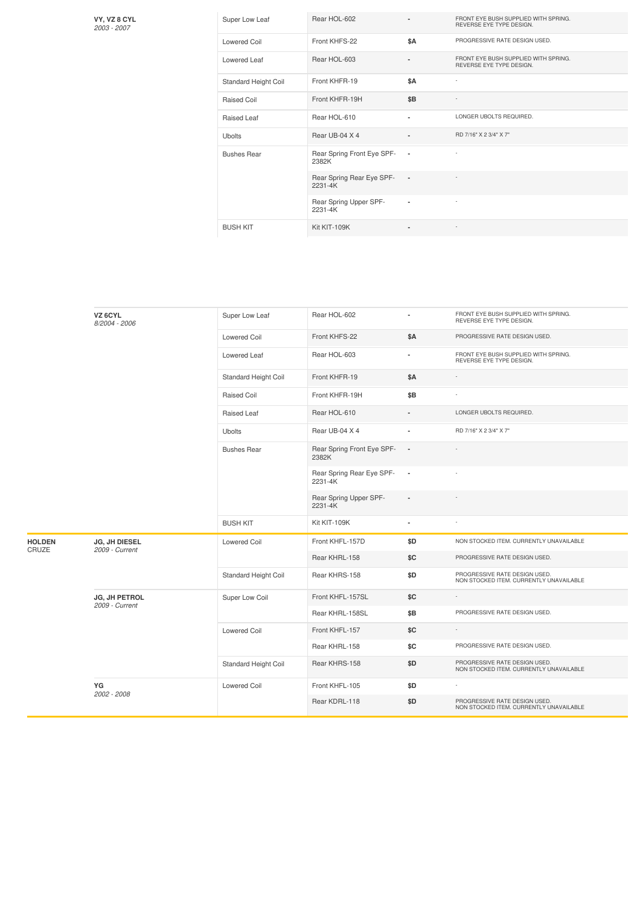**VY, VZ 8 CYL**

| VY, VZ 8 CYL<br>2003 - 2007 | Super Low Leaf       | Rear HOL-602                         |                | FRONT EYE BUSH SUPPLIED WITH SPRING.<br>REVERSE EYE TYPE DESIGN. |
|-----------------------------|----------------------|--------------------------------------|----------------|------------------------------------------------------------------|
|                             | <b>Lowered Coil</b>  | Front KHFS-22                        | \$A            | PROGRESSIVE RATE DESIGN USED.                                    |
|                             | Lowered Leaf         | Rear HOL-603                         |                | FRONT EYE BUSH SUPPLIED WITH SPRING.<br>REVERSE EYE TYPE DESIGN. |
|                             | Standard Height Coil | Front KHFR-19                        | \$A            | $\overline{\phantom{a}}$                                         |
|                             | Raised Coil          | Front KHFR-19H                       | \$B            |                                                                  |
|                             | Raised Leaf          | Rear HOL-610                         | ٠              | LONGER UBOLTS REQUIRED.                                          |
|                             | <b>Ubolts</b>        | Rear UB-04 X 4                       | $\overline{a}$ | RD 7/16" X 2 3/4" X 7"                                           |
|                             | <b>Bushes Rear</b>   | Rear Spring Front Eye SPF-<br>2382K  | $\sim$         | $\overline{\phantom{a}}$                                         |
|                             |                      | Rear Spring Rear Eye SPF-<br>2231-4K | $\sim$         |                                                                  |
|                             |                      | Rear Spring Upper SPF-<br>2231-4K    | $\blacksquare$ |                                                                  |
|                             | <b>BUSH KIT</b>      | Kit KIT-109K                         | ۰              | $\overline{\phantom{a}}$                                         |

|                        | VZ 6CYL<br>8/2004 - 2006               | Super Low Leaf       | Rear HOL-602                         | ×,                       | FRONT EYE BUSH SUPPLIED WITH SPRING.<br>REVERSE EYE TYPE DESIGN.         |
|------------------------|----------------------------------------|----------------------|--------------------------------------|--------------------------|--------------------------------------------------------------------------|
|                        |                                        | <b>Lowered Coil</b>  | Front KHFS-22                        | \$A                      | PROGRESSIVE RATE DESIGN USED.                                            |
|                        |                                        | Lowered Leaf         | Rear HOL-603                         | ä,                       | FRONT EYE BUSH SUPPLIED WITH SPRING.<br>REVERSE EYE TYPE DESIGN.         |
|                        |                                        | Standard Height Coil | Front KHFR-19                        | <b>\$A</b>               |                                                                          |
|                        |                                        | Raised Coil          | Front KHFR-19H                       | \$B                      |                                                                          |
|                        |                                        | Raised Leaf          | Rear HOL-610                         |                          | LONGER UBOLTS REQUIRED.                                                  |
|                        |                                        | <b>Ubolts</b>        | Rear UB-04 X 4                       |                          | RD 7/16" X 2 3/4" X 7"                                                   |
|                        |                                        | <b>Bushes Rear</b>   | Rear Spring Front Eye SPF-<br>2382K  | $\overline{\phantom{a}}$ |                                                                          |
|                        |                                        |                      | Rear Spring Rear Eye SPF-<br>2231-4K | $\cdot$                  |                                                                          |
|                        |                                        |                      | Rear Spring Upper SPF-<br>2231-4K    | $\overline{a}$           |                                                                          |
|                        |                                        | <b>BUSH KIT</b>      | Kit KIT-109K                         | ٠                        |                                                                          |
| <b>HOLDEN</b><br>CRUZE | <b>JG, JH DIESEL</b><br>2009 - Current | <b>Lowered Coil</b>  | Front KHFL-157D                      | \$D                      | NON STOCKED ITEM. CURRENTLY UNAVAILABLE                                  |
|                        |                                        |                      | Rear KHRL-158                        | \$C                      | PROGRESSIVE RATE DESIGN USED.                                            |
|                        |                                        | Standard Height Coil | Rear KHRS-158                        | \$D                      | PROGRESSIVE RATE DESIGN USED.<br>NON STOCKED ITEM. CURRENTLY UNAVAILABLE |
|                        | <b>JG, JH PETROL</b><br>2009 - Current | Super Low Coil       | Front KHFL-157SL                     | \$C                      |                                                                          |
|                        |                                        |                      | Rear KHRL-158SL                      | \$B                      | PROGRESSIVE RATE DESIGN USED.                                            |
|                        |                                        | <b>Lowered Coil</b>  | Front KHFL-157                       | \$C                      |                                                                          |
|                        |                                        |                      | Rear KHRL-158                        | \$C                      | PROGRESSIVE RATE DESIGN USED.                                            |
|                        |                                        | Standard Height Coil | Rear KHRS-158                        | \$D                      | PROGRESSIVE RATE DESIGN USED.<br>NON STOCKED ITEM. CURRENTLY UNAVAILABLE |
|                        | YG<br>2002 - 2008                      | <b>Lowered Coil</b>  | Front KHFL-105                       | \$D                      |                                                                          |
|                        |                                        |                      | Rear KDRL-118                        | \$D                      | PROGRESSIVE RATE DESIGN USED.<br>NON STOCKED ITEM. CURRENTLY UNAVAILABLE |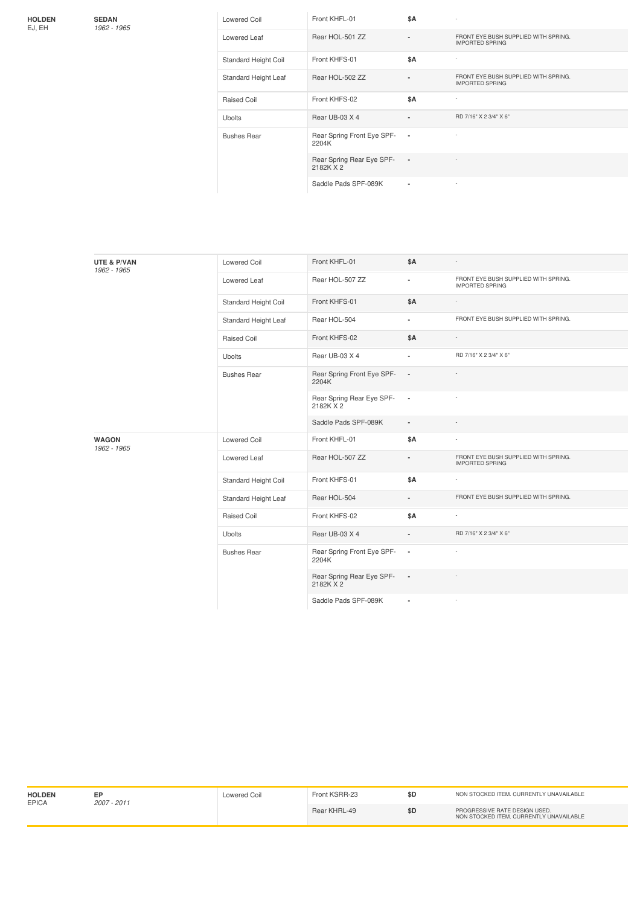**HOLDEN** EJ, EH

**SEDAN** *1962 -1965*

| ۰, |
|----|
|    |

|  |  | 196 |  |
|--|--|-----|--|
|  |  |     |  |

| <b>Lowered Coil</b>  | Front KHFL-01                          | \$A            |                                                                |
|----------------------|----------------------------------------|----------------|----------------------------------------------------------------|
| Lowered Leaf         | Rear HOL-501 ZZ                        | ۰              | FRONT EYE BUSH SUPPLIED WITH SPRING.<br><b>IMPORTED SPRING</b> |
| Standard Height Coil | Front KHFS-01                          | \$A            | ÷,                                                             |
| Standard Height Leaf | Rear HOL-502 ZZ                        | $\blacksquare$ | FRONT EYE BUSH SUPPLIED WITH SPRING.<br><b>IMPORTED SPRING</b> |
| Raised Coil          | Front KHFS-02                          | <b>\$A</b>     | $\overline{a}$                                                 |
| <b>Ubolts</b>        | Rear UB-03 X 4                         | ٠              | RD 7/16" X 2 3/4" X 6"                                         |
| <b>Bushes Rear</b>   | Rear Spring Front Eye SPF-<br>2204K    | $\blacksquare$ |                                                                |
|                      | Rear Spring Rear Eye SPF-<br>2182K X 2 | $\blacksquare$ |                                                                |
|                      | Saddle Pads SPF-089K                   | ۰              |                                                                |

| UTE & P/VAN<br>1962 - 1965  | Lowered Coil         | Front KHFL-01                          | <b>\$A</b>     |                                                                |
|-----------------------------|----------------------|----------------------------------------|----------------|----------------------------------------------------------------|
|                             | Lowered Leaf         | Rear HOL-507 ZZ                        | $\sim$         | FRONT EYE BUSH SUPPLIED WITH SPRING.<br><b>IMPORTED SPRING</b> |
|                             | Standard Height Coil | Front KHFS-01                          | <b>\$A</b>     |                                                                |
|                             | Standard Height Leaf | Rear HOL-504                           | ٠              | FRONT EYE BUSH SUPPLIED WITH SPRING.                           |
|                             | Raised Coil          | Front KHFS-02                          | <b>\$A</b>     |                                                                |
|                             | Ubolts               | Rear UB-03 X 4                         |                | RD 7/16" X 2 3/4" X 6"                                         |
|                             | <b>Bushes Rear</b>   | Rear Spring Front Eye SPF-<br>2204K    | $\sim$         |                                                                |
|                             |                      | Rear Spring Rear Eye SPF-<br>2182K X 2 | $\sim$         |                                                                |
|                             |                      | Saddle Pads SPF-089K                   | $\blacksquare$ |                                                                |
| <b>WAGON</b><br>1962 - 1965 | <b>Lowered Coil</b>  | Front KHFL-01                          | \$A            |                                                                |
|                             | Lowered Leaf         | Rear HOL-507 ZZ                        |                | FRONT EYE BUSH SUPPLIED WITH SPRING.<br><b>IMPORTED SPRING</b> |
|                             | Standard Height Coil | Front KHFS-01                          | <b>\$A</b>     | $\overline{\phantom{a}}$                                       |
|                             | Standard Height Leaf | Rear HOL-504                           | ٠              | FRONT EYE BUSH SUPPLIED WITH SPRING.                           |
|                             | Raised Coil          | Front KHFS-02                          | <b>\$A</b>     |                                                                |
|                             | <b>Ubolts</b>        | Rear UB-03 X 4                         |                | RD 7/16" X 2 3/4" X 6"                                         |
|                             | <b>Bushes Rear</b>   | Rear Spring Front Eye SPF-<br>2204K    | $\sim$         |                                                                |
|                             |                      | Rear Spring Rear Eye SPF-<br>2182K X 2 | $\sim$         |                                                                |
|                             |                      | Saddle Pads SPF-089K                   |                |                                                                |

| <b>HOLDEN</b> | <b>EPICA</b><br>$2007 - 2011$ | owered Coil | Front KSRR-23 |     | NON STOCKED ITEM, CURRENTLY UNAVAILABLE                                  |
|---------------|-------------------------------|-------------|---------------|-----|--------------------------------------------------------------------------|
|               |                               |             | Rear KHRL-49  | \$D | PROGRESSIVE RATE DESIGN USED.<br>NON STOCKED ITEM, CURRENTLY UNAVAILABLE |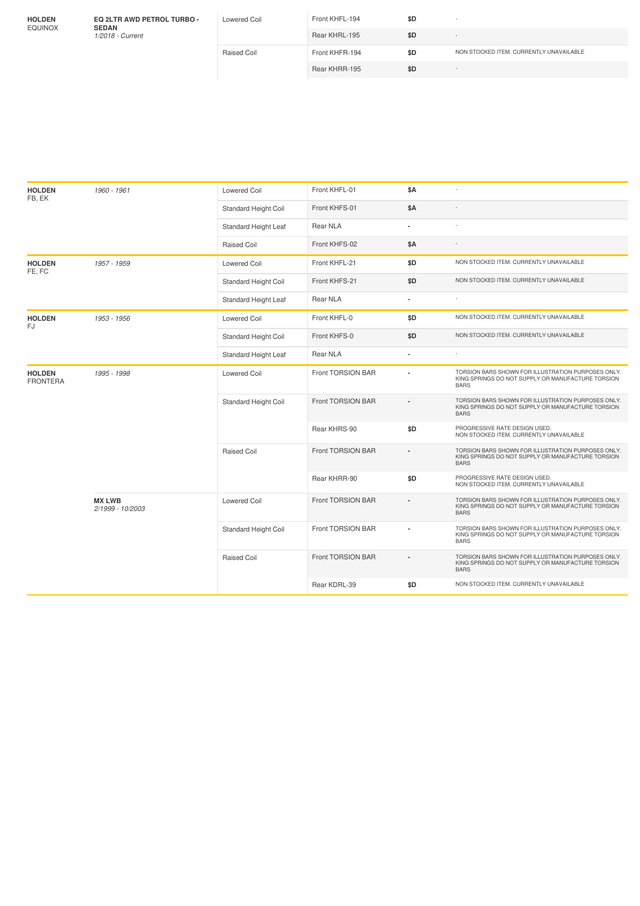| <b>HOLDEN</b><br><b>EQUINOX</b> | <b>EQ 2LTR AWD PETROL TURBO -</b><br><b>SEDAN</b><br>1/2018 - Current | Lowered Coil | Front KHFL-194 | \$D | $\sim$                                  |
|---------------------------------|-----------------------------------------------------------------------|--------------|----------------|-----|-----------------------------------------|
|                                 |                                                                       |              | Rear KHRL-195  | \$D | $\sim$                                  |
|                                 |                                                                       | Raised Coil  | Front KHFR-194 | \$D | NON STOCKED ITEM, CURRENTLY UNAVAILABLE |
|                                 |                                                                       |              | Rear KHRR-195  | \$D | . .                                     |
|                                 |                                                                       |              |                |     |                                         |
|                                 |                                                                       |              |                |     |                                         |

| <b>HOLDEN</b><br>FB, EK          | 1960 - 1961                       | <b>Lowered Coil</b>         | Front KHFL-01     | <b>\$A</b>     | $\overline{a}$                                                                                                         |
|----------------------------------|-----------------------------------|-----------------------------|-------------------|----------------|------------------------------------------------------------------------------------------------------------------------|
|                                  |                                   | Standard Height Coil        | Front KHFS-01     | <b>\$A</b>     |                                                                                                                        |
|                                  |                                   | Standard Height Leaf        | Rear NLA          |                |                                                                                                                        |
|                                  |                                   | Raised Coil                 | Front KHFS-02     | \$Α            |                                                                                                                        |
| <b>HOLDEN</b><br>FE, FC          | 1957 - 1959                       | <b>Lowered Coil</b>         | Front KHFL-21     | \$D            | NON STOCKED ITEM. CURRENTLY UNAVAILABLE                                                                                |
|                                  |                                   | Standard Height Coil        | Front KHFS-21     | \$D            | NON STOCKED ITEM. CURRENTLY UNAVAILABLE                                                                                |
|                                  |                                   | Standard Height Leaf        | Rear NLA          |                |                                                                                                                        |
| <b>HOLDEN</b><br>FJ              | 1953 - 1956                       | <b>Lowered Coil</b>         | Front KHFL-0      | \$D            | NON STOCKED ITEM. CURRENTLY UNAVAILABLE                                                                                |
|                                  |                                   | <b>Standard Height Coil</b> | Front KHFS-0      | \$D            | NON STOCKED ITEM. CURRENTLY UNAVAILABLE                                                                                |
|                                  |                                   | Standard Height Leaf        | Rear NLA          |                | ÷                                                                                                                      |
| <b>HOLDEN</b><br><b>FRONTERA</b> | 1995 - 1998                       | <b>Lowered Coil</b>         | Front TORSION BAR | $\blacksquare$ | TORSION BARS SHOWN FOR ILLUSTRATION PURPOSES ONLY.<br>KING SPRINGS DO NOT SUPPLY OR MANUFACTURE TORSION<br><b>BARS</b> |
|                                  |                                   | <b>Standard Height Coil</b> | Front TORSION BAR |                | TORSION BARS SHOWN FOR ILLUSTRATION PURPOSES ONLY.<br>KING SPRINGS DO NOT SUPPLY OR MANUFACTURE TORSION<br><b>BARS</b> |
|                                  |                                   |                             | Rear KHRS-90      | \$D            | PROGRESSIVE RATE DESIGN USED.<br>NON STOCKED ITEM. CURRENTLY UNAVAILABLE                                               |
|                                  |                                   | <b>Raised Coil</b>          | Front TORSION BAR |                | TORSION BARS SHOWN FOR ILLUSTRATION PURPOSES ONLY.<br>KING SPRINGS DO NOT SUPPLY OR MANUFACTURE TORSION<br><b>BARS</b> |
|                                  |                                   |                             | Rear KHRR-90      | \$D            | PROGRESSIVE RATE DESIGN USED.<br>NON STOCKED ITEM. CURRENTLY UNAVAILABLE                                               |
|                                  | <b>MX LWB</b><br>2/1999 - 10/2003 | <b>Lowered Coil</b>         | Front TORSION BAR |                | TORSION BARS SHOWN FOR ILLUSTRATION PURPOSES ONLY.<br>KING SPRINGS DO NOT SUPPLY OR MANUFACTURE TORSION<br><b>BARS</b> |
|                                  |                                   | Standard Height Coil        | Front TORSION BAR |                | TORSION BARS SHOWN FOR ILLUSTRATION PURPOSES ONLY.<br>KING SPRINGS DO NOT SUPPLY OR MANUFACTURE TORSION<br><b>BARS</b> |
|                                  |                                   | <b>Raised Coil</b>          | Front TORSION BAR |                | TORSION BARS SHOWN FOR ILLUSTRATION PURPOSES ONLY.<br>KING SPRINGS DO NOT SUPPLY OR MANUFACTURE TORSION<br><b>BARS</b> |
|                                  |                                   |                             | Rear KDRL-39      | \$D            | NON STOCKED ITEM. CURRENTLY UNAVAILABLE                                                                                |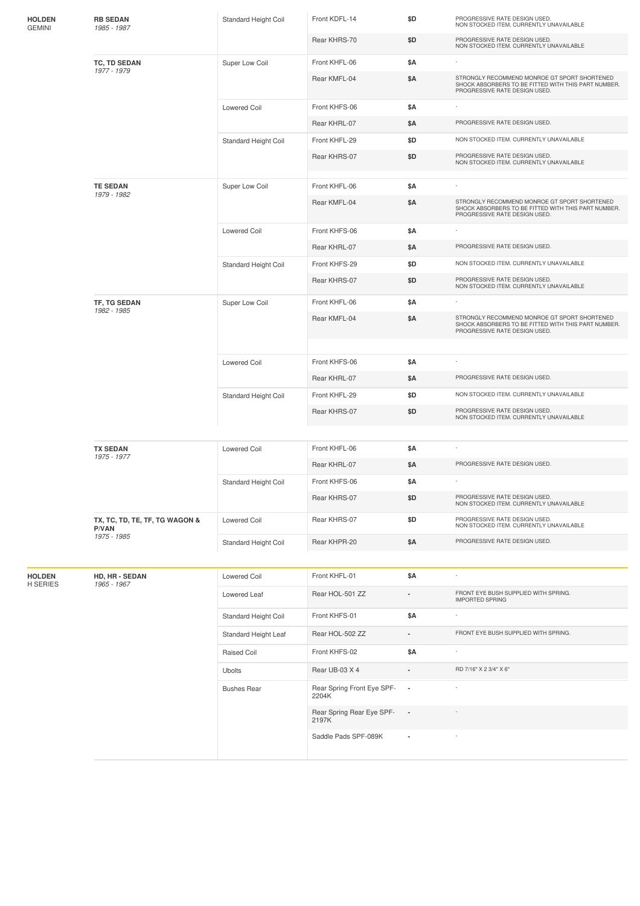| <b>HOLDEN</b><br>GEMINI | <b>RB SEDAN</b><br>1985 - 1987                         | Standard Height Coil | Front KDFL-14                       | \$D                      | PROGRESSIVE RATE DESIGN USED.<br>NON STOCKED ITEM. CURRENTLY UNAVAILABLE                                                             |
|-------------------------|--------------------------------------------------------|----------------------|-------------------------------------|--------------------------|--------------------------------------------------------------------------------------------------------------------------------------|
|                         |                                                        |                      | Rear KHRS-70                        | \$D                      | PROGRESSIVE RATE DESIGN USED.<br>NON STOCKED ITEM. CURRENTLY UNAVAILABLE                                                             |
|                         | TC, TD SEDAN                                           | Super Low Coil       | Front KHFL-06                       | \$Α                      |                                                                                                                                      |
|                         | 1977 - 1979                                            |                      | Rear KMFL-04                        | \$Α                      | STRONGLY RECOMMEND MONROE GT SPORT SHORTENED<br>SHOCK ABSORBERS TO BE FITTED WITH THIS PART NUMBER.<br>PROGRESSIVE RATE DESIGN USED. |
|                         |                                                        | <b>Lowered Coil</b>  | Front KHFS-06                       | \$Α                      |                                                                                                                                      |
|                         |                                                        |                      | Rear KHRL-07                        | \$Α                      | PROGRESSIVE RATE DESIGN USED.                                                                                                        |
|                         |                                                        | Standard Height Coil | Front KHFL-29                       | \$D                      | NON STOCKED ITEM. CURRENTLY UNAVAILABLE                                                                                              |
|                         |                                                        |                      | Rear KHRS-07                        | \$D                      | PROGRESSIVE RATE DESIGN USED.<br>NON STOCKED ITEM. CURRENTLY UNAVAILABLE                                                             |
|                         | <b>TE SEDAN</b>                                        | Super Low Coil       | Front KHFL-06                       | \$Α                      |                                                                                                                                      |
|                         | 1979 - 1982                                            |                      | Rear KMFL-04                        | \$Α                      | STRONGLY RECOMMEND MONROE GT SPORT SHORTENED<br>SHOCK ABSORBERS TO BE FITTED WITH THIS PART NUMBER.<br>PROGRESSIVE RATE DESIGN USED. |
|                         |                                                        | <b>Lowered Coil</b>  | Front KHFS-06                       | \$Α                      |                                                                                                                                      |
|                         |                                                        |                      | Rear KHRL-07                        | \$Α                      | PROGRESSIVE RATE DESIGN USED.                                                                                                        |
|                         |                                                        | Standard Height Coil | Front KHFS-29                       | \$D                      | NON STOCKED ITEM. CURRENTLY UNAVAILABLE                                                                                              |
|                         |                                                        |                      | Rear KHRS-07                        | \$D                      | PROGRESSIVE RATE DESIGN USED.<br>NON STOCKED ITEM. CURRENTLY UNAVAILABLE                                                             |
|                         | TF, TG SEDAN<br>1982 - 1985                            | Super Low Coil       | Front KHFL-06                       | \$Α                      |                                                                                                                                      |
|                         |                                                        |                      | Rear KMFL-04                        | \$Α                      | STRONGLY RECOMMEND MONROE GT SPORT SHORTENED<br>SHOCK ABSORBERS TO BE FITTED WITH THIS PART NUMBER.<br>PROGRESSIVE RATE DESIGN USED. |
|                         |                                                        | <b>Lowered Coil</b>  | Front KHFS-06                       | \$Α                      |                                                                                                                                      |
|                         |                                                        |                      | Rear KHRL-07                        | \$Α                      | PROGRESSIVE RATE DESIGN USED.                                                                                                        |
|                         |                                                        | Standard Height Coil | Front KHFL-29                       | \$D                      | NON STOCKED ITEM. CURRENTLY UNAVAILABLE                                                                                              |
|                         |                                                        |                      | Rear KHRS-07                        | \$D                      | PROGRESSIVE RATE DESIGN USED.<br>NON STOCKED ITEM. CURRENTLY UNAVAILABLE                                                             |
|                         | <b>TX SEDAN</b><br>1975 - 1977                         | <b>Lowered Coil</b>  | Front KHFL-06                       | \$Α                      |                                                                                                                                      |
|                         |                                                        |                      | Rear KHRL-07                        | \$Α                      | PROGRESSIVE RATE DESIGN USED.                                                                                                        |
|                         |                                                        | Standard Height Coil | Front KHFS-06                       | \$Α                      |                                                                                                                                      |
|                         |                                                        |                      | Rear KHRS-07                        | \$D                      | PROGRESSIVE RATE DESIGN USED.<br>NON STOCKED ITEM. CURRENTLY UNAVAILABLE                                                             |
|                         | TX, TC, TD, TE, TF, TG WAGON &<br>P/VAN<br>1975 - 1985 | <b>Lowered Coil</b>  | Rear KHRS-07                        | \$D                      | PROGRESSIVE RATE DESIGN USED.<br>NON STOCKED ITEM. CURRENTLY UNAVAILABLE                                                             |
|                         |                                                        | Standard Height Coil | Rear KHPR-20                        | \$Α                      | PROGRESSIVE RATE DESIGN USED.                                                                                                        |
| <b>HOLDEN</b>           | HD, HR - SEDAN                                         | <b>Lowered Coil</b>  | Front KHFL-01                       | \$Α                      | ÷,                                                                                                                                   |
| H SERIES                | 1965 - 1967                                            | Lowered Leaf         | Rear HOL-501 ZZ                     |                          | FRONT EYE BUSH SUPPLIED WITH SPRING.<br><b>IMPORTED SPRING</b>                                                                       |
|                         |                                                        | Standard Height Coil | Front KHFS-01                       | \$Α                      |                                                                                                                                      |
|                         |                                                        | Standard Height Leaf | Rear HOL-502 ZZ                     | ä,                       | FRONT EYE BUSH SUPPLIED WITH SPRING.                                                                                                 |
|                         |                                                        | Raised Coil          | Front KHFS-02                       | \$Α                      | $\overline{\phantom{a}}$                                                                                                             |
|                         |                                                        | Ubolts               | Rear UB-03 X 4                      |                          | RD 7/16" X 2 3/4" X 6"                                                                                                               |
|                         |                                                        | <b>Bushes Rear</b>   | Rear Spring Front Eye SPF-<br>2204K | $\overline{\phantom{a}}$ |                                                                                                                                      |
|                         |                                                        |                      | Rear Spring Rear Eye SPF-<br>2197K  | $\overline{\phantom{a}}$ |                                                                                                                                      |
|                         |                                                        |                      | Saddle Pads SPF-089K                | $\overline{\phantom{a}}$ |                                                                                                                                      |
|                         |                                                        |                      |                                     |                          |                                                                                                                                      |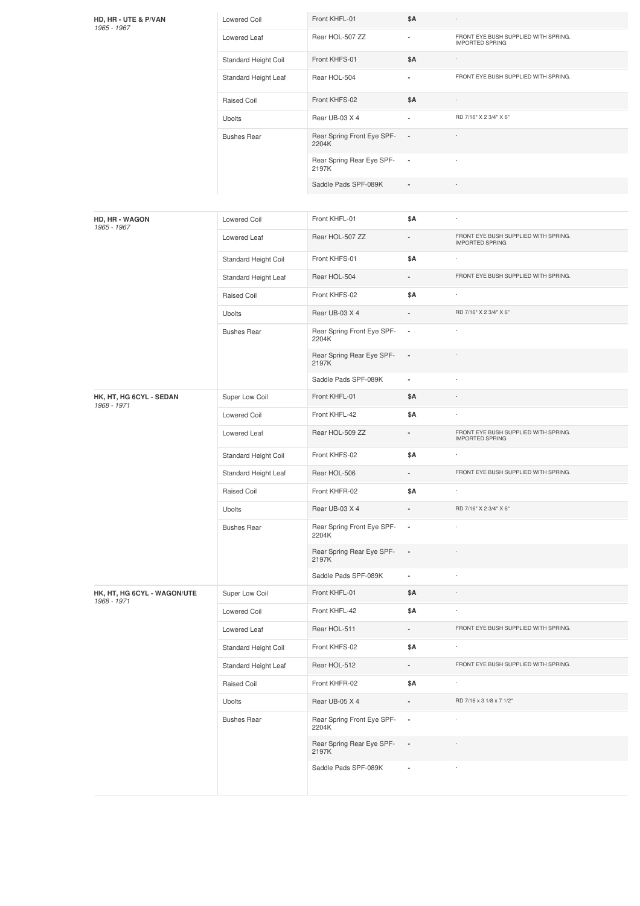| HD, HR - UTE & P/VAN<br>1965 - 1967        | <b>Lowered Coil</b>  | Front KHFL-01                       | \$Α                      |                                                                |
|--------------------------------------------|----------------------|-------------------------------------|--------------------------|----------------------------------------------------------------|
|                                            | Lowered Leaf         | Rear HOL-507 ZZ                     | ٠                        | FRONT EYE BUSH SUPPLIED WITH SPRING.<br><b>IMPORTED SPRING</b> |
|                                            | Standard Height Coil | Front KHFS-01                       | \$A                      | $\overline{\phantom{a}}$                                       |
|                                            | Standard Height Leaf | Rear HOL-504                        | $\overline{\phantom{a}}$ | FRONT EYE BUSH SUPPLIED WITH SPRING.                           |
|                                            | Raised Coil          | Front KHFS-02                       | \$A                      | ÷,                                                             |
|                                            | <b>Ubolts</b>        | Rear UB-03 X 4                      | $\overline{a}$           | RD 7/16" X 2 3/4" X 6"                                         |
|                                            | <b>Bushes Rear</b>   | Rear Spring Front Eye SPF-<br>2204K | $\overline{\phantom{a}}$ |                                                                |
|                                            |                      | Rear Spring Rear Eye SPF-<br>2197K  | $\overline{\phantom{a}}$ |                                                                |
|                                            |                      | Saddle Pads SPF-089K                | $\overline{\phantom{a}}$ |                                                                |
|                                            |                      |                                     |                          |                                                                |
| <b>HD, HR - WAGON</b><br>1965 - 1967       | Lowered Coil         | Front KHFL-01                       | \$Α                      |                                                                |
|                                            | Lowered Leaf         | Rear HOL-507 ZZ                     | $\overline{a}$           | FRONT EYE BUSH SUPPLIED WITH SPRING.<br><b>IMPORTED SPRING</b> |
|                                            | Standard Height Coil | Front KHFS-01                       | \$Α                      |                                                                |
|                                            | Standard Height Leaf | Rear HOL-504                        |                          | FRONT EYE BUSH SUPPLIED WITH SPRING.                           |
|                                            | Raised Coil          | Front KHFS-02                       | \$Α                      |                                                                |
|                                            | <b>Ubolts</b>        | Rear UB-03 X 4                      | $\overline{a}$           | RD 7/16" X 2 3/4" X 6"                                         |
|                                            | <b>Bushes Rear</b>   | Rear Spring Front Eye SPF-<br>2204K | $\overline{\phantom{a}}$ |                                                                |
|                                            |                      | Rear Spring Rear Eye SPF-<br>2197K  | $\overline{\phantom{a}}$ |                                                                |
|                                            |                      | Saddle Pads SPF-089K                | ×,                       | ÷,                                                             |
| HK, HT, HG 6CYL - SEDAN<br>1968 - 1971     | Super Low Coil       | Front KHFL-01                       | \$Α                      |                                                                |
|                                            | <b>Lowered Coil</b>  | Front KHFL-42                       | \$Α                      |                                                                |
|                                            | Lowered Leaf         | Rear HOL-509 ZZ                     | $\overline{\phantom{a}}$ | FRONT EYE BUSH SUPPLIED WITH SPRING.<br><b>IMPORTED SPRING</b> |
|                                            | Standard Height Coil | Front KHFS-02                       | \$Α                      |                                                                |
|                                            | Standard Height Leaf | Rear HOL-506                        |                          | FRONT EYE BUSH SUPPLIED WITH SPRING.                           |
|                                            | Raised Coil          | Front KHFR-02                       | \$Α                      | $\overline{a}$                                                 |
|                                            | Ubolts               | Rear UB-03 X 4                      | $\overline{a}$           | RD 7/16" X 2 3/4" X 6"                                         |
|                                            | <b>Bushes Rear</b>   | Rear Spring Front Eye SPF-<br>2204K | $\overline{\phantom{a}}$ |                                                                |
|                                            |                      | Rear Spring Rear Eye SPF-<br>2197K  | $\blacksquare$           |                                                                |
|                                            |                      | Saddle Pads SPF-089K                | $\blacksquare$           |                                                                |
| HK, HT, HG 6CYL - WAGON/UTE<br>1968 - 1971 | Super Low Coil       | Front KHFL-01                       | \$A                      |                                                                |
|                                            | Lowered Coil         | Front KHFL-42                       | \$Α                      |                                                                |
|                                            | Lowered Leaf         | Rear HOL-511                        | i,                       | FRONT EYE BUSH SUPPLIED WITH SPRING.                           |
|                                            | Standard Height Coil | Front KHFS-02                       | \$Α                      | ÷                                                              |
|                                            | Standard Height Leaf | Rear HOL-512                        |                          | FRONT EYE BUSH SUPPLIED WITH SPRING.                           |
|                                            | Raised Coil          | Front KHFR-02                       | \$Α                      | ÷,                                                             |
|                                            | Ubolts               | Rear UB-05 X 4                      |                          | RD 7/16 x 3 1/8 x 7 1/2"                                       |
|                                            | <b>Bushes Rear</b>   | Rear Spring Front Eye SPF-<br>2204K | $\blacksquare$           |                                                                |
|                                            |                      | Rear Spring Rear Eye SPF-<br>2197K  | $\overline{\phantom{a}}$ |                                                                |
|                                            |                      | Saddle Pads SPF-089K                |                          |                                                                |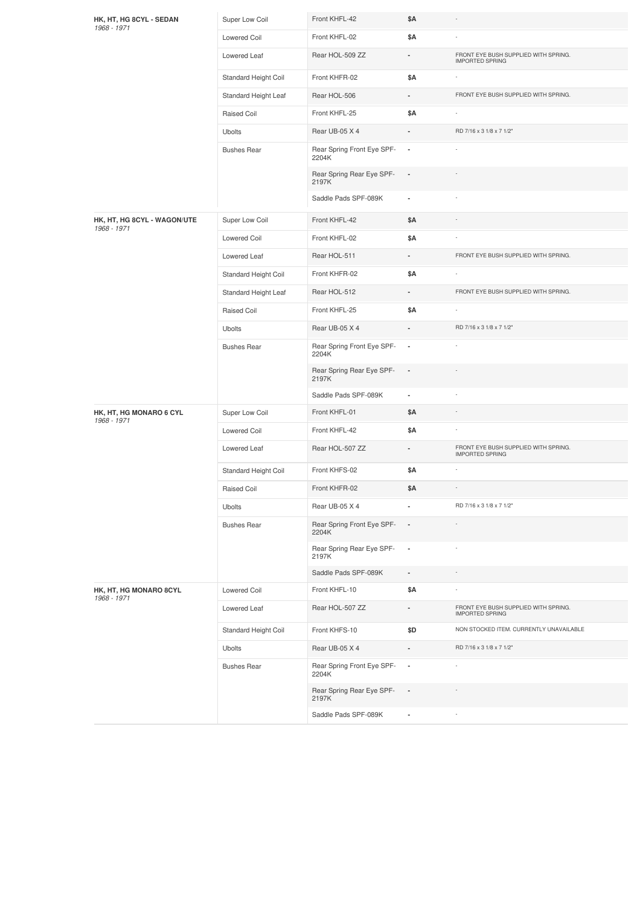| HK, HT, HG 8CYL - SEDAN<br>1968 - 1971     | Super Low Coil       | Front KHFL-42                       | \$Α                      |                                                                |
|--------------------------------------------|----------------------|-------------------------------------|--------------------------|----------------------------------------------------------------|
|                                            | <b>Lowered Coil</b>  | Front KHFL-02                       | \$Α                      |                                                                |
|                                            | Lowered Leaf         | Rear HOL-509 ZZ                     | $\frac{1}{2}$            | FRONT EYE BUSH SUPPLIED WITH SPRING.<br><b>IMPORTED SPRING</b> |
|                                            | Standard Height Coil | Front KHFR-02                       | \$Α                      | ÷                                                              |
|                                            | Standard Height Leaf | Rear HOL-506                        |                          | FRONT EYE BUSH SUPPLIED WITH SPRING.                           |
|                                            | Raised Coil          | Front KHFL-25                       | \$Α                      |                                                                |
|                                            | Ubolts               | Rear UB-05 X 4                      |                          | RD 7/16 x 3 1/8 x 7 1/2"                                       |
|                                            | <b>Bushes Rear</b>   | Rear Spring Front Eye SPF-<br>2204K | $\blacksquare$           |                                                                |
|                                            |                      | Rear Spring Rear Eye SPF-<br>2197K  | $\overline{\phantom{a}}$ |                                                                |
|                                            |                      | Saddle Pads SPF-089K                | $\overline{\phantom{a}}$ |                                                                |
| HK, HT, HG 8CYL - WAGON/UTE<br>1968 - 1971 | Super Low Coil       | Front KHFL-42                       | \$Α                      |                                                                |
|                                            | Lowered Coil         | Front KHFL-02                       | \$Α                      |                                                                |
|                                            | Lowered Leaf         | Rear HOL-511                        |                          | FRONT EYE BUSH SUPPLIED WITH SPRING.                           |
|                                            | Standard Height Coil | Front KHFR-02                       | \$Α                      |                                                                |
|                                            | Standard Height Leaf | Rear HOL-512                        |                          | FRONT EYE BUSH SUPPLIED WITH SPRING.                           |
|                                            | Raised Coil          | Front KHFL-25                       | \$Α                      |                                                                |
|                                            | <b>Ubolts</b>        | Rear UB-05 X 4                      |                          | RD 7/16 x 3 1/8 x 7 1/2"                                       |
|                                            | <b>Bushes Rear</b>   | Rear Spring Front Eye SPF-<br>2204K | ×,                       |                                                                |
|                                            |                      | Rear Spring Rear Eye SPF-<br>2197K  | $\overline{\phantom{a}}$ |                                                                |
|                                            |                      | Saddle Pads SPF-089K                | $\overline{\phantom{a}}$ |                                                                |
| HK, HT, HG MONARO 6 CYL<br>1968 - 1971     | Super Low Coil       | Front KHFL-01                       | \$Α                      |                                                                |
|                                            | Lowered Coil         | Front KHFL-42                       | \$Α                      |                                                                |
|                                            | Lowered Leaf         | Rear HOL-507 ZZ                     | $\blacksquare$           | FRONT EYE BUSH SUPPLIED WITH SPRING.<br><b>IMPORTED SPRING</b> |
|                                            | Standard Height Coil | Front KHFS-02                       | \$Α                      |                                                                |
|                                            | Raised Coil          | Front KHFR-02                       | \$Α                      | i,                                                             |
|                                            | Ubolts               | Rear UB-05 X 4                      | $\blacksquare$           | RD 7/16 x 3 1/8 x 7 1/2"                                       |
|                                            | <b>Bushes Rear</b>   | Rear Spring Front Eye SPF-<br>2204K |                          |                                                                |
|                                            |                      | Rear Spring Rear Eye SPF-<br>2197K  | $\overline{\phantom{a}}$ |                                                                |
|                                            |                      | Saddle Pads SPF-089K                | $\overline{\phantom{a}}$ | $\overline{\phantom{a}}$                                       |
| HK, HT, HG MONARO 8CYL<br>1968 - 1971      | Lowered Coil         | Front KHFL-10                       | \$Α                      |                                                                |
|                                            | Lowered Leaf         | Rear HOL-507 ZZ                     | ä,                       | FRONT EYE BUSH SUPPLIED WITH SPRING.<br><b>IMPORTED SPRING</b> |
|                                            | Standard Height Coil | Front KHFS-10                       | \$D                      | NON STOCKED ITEM. CURRENTLY UNAVAILABLE                        |
|                                            | Ubolts               | Rear UB-05 X 4                      |                          | RD 7/16 x 3 1/8 x 7 1/2"                                       |
|                                            | <b>Bushes Rear</b>   | Rear Spring Front Eye SPF-<br>2204K | $\overline{\phantom{a}}$ |                                                                |
|                                            |                      | Rear Spring Rear Eye SPF-<br>2197K  | $\overline{\phantom{a}}$ |                                                                |
|                                            |                      | Saddle Pads SPF-089K                | $\overline{\phantom{a}}$ |                                                                |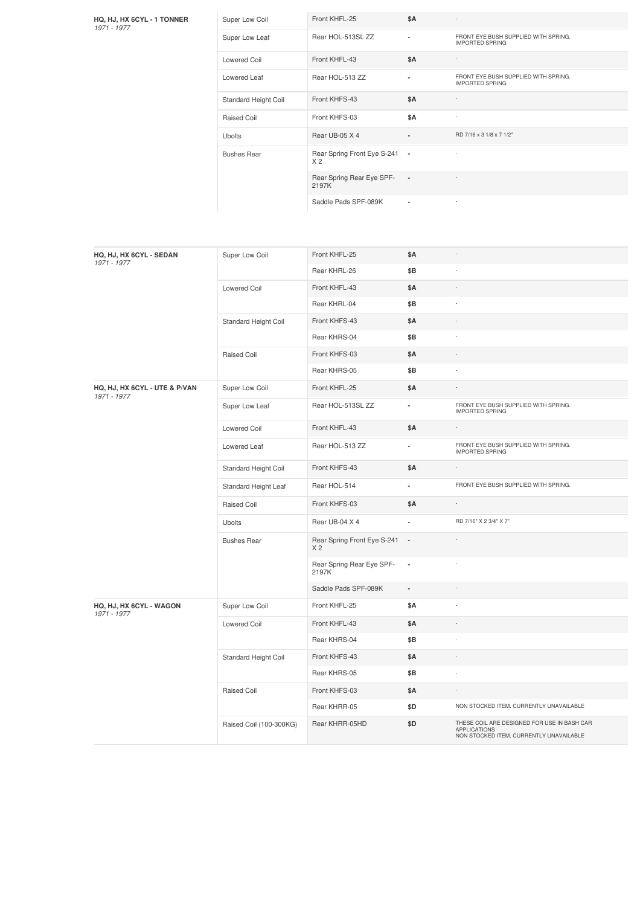| HQ, HJ, HX 6CYL - 1 TONNER<br>1971 - 1977 | Super Low Coil       | Front KHFL-25                                   | \$A                      |                                                                |
|-------------------------------------------|----------------------|-------------------------------------------------|--------------------------|----------------------------------------------------------------|
|                                           | Super Low Leaf       | Rear HOL-513SL ZZ                               | $\blacksquare$           | FRONT EYE BUSH SUPPLIED WITH SPRING.<br><b>IMPORTED SPRING</b> |
|                                           | Lowered Coil         | Front KHFL-43                                   | \$A                      |                                                                |
|                                           | Lowered Leaf         | Rear HOL-513 ZZ                                 |                          | FRONT EYE BUSH SUPPLIED WITH SPRING.<br><b>IMPORTED SPRING</b> |
|                                           | Standard Height Coil | Front KHFS-43                                   | <b>\$A</b>               |                                                                |
|                                           | Raised Coil          | Front KHFS-03                                   | \$A                      | $\sim$                                                         |
|                                           | <b>Ubolts</b>        | Rear UB-05 X 4                                  | $\overline{\phantom{a}}$ | RD 7/16 x 3 1/8 x 7 1/2"                                       |
|                                           | <b>Bushes Rear</b>   | Rear Spring Front Eye S-241 -<br>X <sub>2</sub> |                          |                                                                |
|                                           |                      | Rear Spring Rear Eye SPF-<br>2197K              | $\overline{\phantom{a}}$ |                                                                |
|                                           |                      | Saddle Pads SPF-089K                            |                          | $\sim$                                                         |

| HQ, HJ, HX 6CYL - SEDAN<br>1971 - 1977       | Super Low Coil          | Front KHFL-25                                 | \$Α                      |                                                                                                               |
|----------------------------------------------|-------------------------|-----------------------------------------------|--------------------------|---------------------------------------------------------------------------------------------------------------|
|                                              |                         | Rear KHRL-26                                  | \$Β                      |                                                                                                               |
|                                              | Lowered Coil            | Front KHFL-43                                 | \$Α                      |                                                                                                               |
|                                              |                         | Rear KHRL-04                                  | \$Β                      |                                                                                                               |
|                                              | Standard Height Coil    | Front KHFS-43                                 | \$Α                      |                                                                                                               |
|                                              |                         | Rear KHRS-04                                  | \$Β                      |                                                                                                               |
|                                              | Raised Coil             | Front KHFS-03                                 | \$Α                      |                                                                                                               |
|                                              |                         | Rear KHRS-05                                  | \$Β                      |                                                                                                               |
| HQ, HJ, HX 6CYL - UTE & P/VAN<br>1971 - 1977 | Super Low Coil          | Front KHFL-25                                 | \$Α                      |                                                                                                               |
|                                              | Super Low Leaf          | Rear HOL-513SL ZZ                             | $\overline{\phantom{a}}$ | FRONT EYE BUSH SUPPLIED WITH SPRING.<br><b>IMPORTED SPRING</b>                                                |
|                                              | Lowered Coil            | Front KHFL-43                                 | \$Α                      |                                                                                                               |
|                                              | Lowered Leaf            | Rear HOL-513 ZZ                               | ٠                        | FRONT EYE BUSH SUPPLIED WITH SPRING.<br><b>IMPORTED SPRING</b>                                                |
|                                              | Standard Height Coil    | Front KHFS-43                                 | \$Α                      |                                                                                                               |
|                                              | Standard Height Leaf    | Rear HOL-514                                  | $\overline{a}$           | FRONT EYE BUSH SUPPLIED WITH SPRING.                                                                          |
|                                              | <b>Raised Coil</b>      | Front KHFS-03                                 | \$A                      |                                                                                                               |
|                                              | <b>Ubolts</b>           | Rear UB-04 X 4                                | ä,                       | RD 7/16" X 2 3/4" X 7"                                                                                        |
|                                              | <b>Bushes Rear</b>      | Rear Spring Front Eye S-241<br>X <sub>2</sub> | $\overline{\phantom{a}}$ |                                                                                                               |
|                                              |                         | Rear Spring Rear Eye SPF-<br>2197K            | $\overline{\phantom{a}}$ |                                                                                                               |
|                                              |                         | Saddle Pads SPF-089K                          | $\overline{\phantom{a}}$ |                                                                                                               |
| HQ, HJ, HX 6CYL - WAGON<br>1971 - 1977       | Super Low Coil          | Front KHFL-25                                 | \$Α                      | $\overline{a}$                                                                                                |
|                                              | <b>Lowered Coil</b>     | Front KHFL-43                                 | \$Α                      |                                                                                                               |
|                                              |                         | Rear KHRS-04                                  | \$Β                      |                                                                                                               |
|                                              | Standard Height Coil    | Front KHFS-43                                 | \$A                      |                                                                                                               |
|                                              |                         | Rear KHRS-05                                  | \$Β                      | ÷,                                                                                                            |
|                                              | <b>Raised Coil</b>      | Front KHFS-03                                 | \$Α                      |                                                                                                               |
|                                              |                         | Rear KHRR-05                                  | \$D                      | NON STOCKED ITEM. CURRENTLY UNAVAILABLE                                                                       |
|                                              | Raised Coil (100-300KG) | Rear KHRR-05HD                                | \$D                      | THESE COIL ARE DESIGNED FOR USE IN BASH CAR<br><b>APPLICATIONS</b><br>NON STOCKED ITEM. CURRENTLY UNAVAILABLE |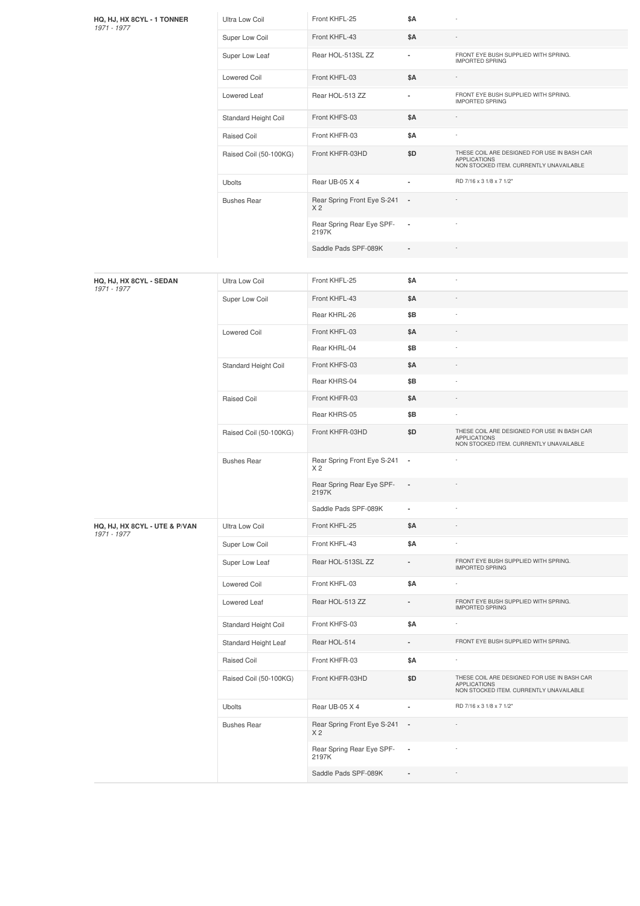| HQ, HJ, HX 8CYL - 1 TONNER<br>1971 - 1977    | Ultra Low Coil         | Front KHFL-25                                   | \$Α                      |                                                                                                               |
|----------------------------------------------|------------------------|-------------------------------------------------|--------------------------|---------------------------------------------------------------------------------------------------------------|
|                                              | Super Low Coil         | Front KHFL-43                                   | \$Α                      |                                                                                                               |
|                                              | Super Low Leaf         | Rear HOL-513SL ZZ                               | ۰                        | FRONT EYE BUSH SUPPLIED WITH SPRING.<br><b>IMPORTED SPRING</b>                                                |
|                                              | Lowered Coil           | Front KHFL-03                                   | \$Α                      |                                                                                                               |
|                                              | Lowered Leaf           | Rear HOL-513 ZZ                                 | ۰                        | FRONT EYE BUSH SUPPLIED WITH SPRING.<br><b>IMPORTED SPRING</b>                                                |
|                                              | Standard Height Coil   | Front KHFS-03                                   | \$Α                      |                                                                                                               |
|                                              | Raised Coil            | Front KHFR-03                                   | \$Α                      | í,                                                                                                            |
|                                              | Raised Coil (50-100KG) | Front KHFR-03HD                                 | \$D                      | THESE COIL ARE DESIGNED FOR USE IN BASH CAR<br><b>APPLICATIONS</b><br>NON STOCKED ITEM. CURRENTLY UNAVAILABLE |
|                                              | <b>Ubolts</b>          | Rear UB-05 X 4                                  | ä,                       | RD 7/16 x 3 1/8 x 7 1/2"                                                                                      |
|                                              | <b>Bushes Rear</b>     | Rear Spring Front Eye S-241 -<br>X <sub>2</sub> |                          |                                                                                                               |
|                                              |                        | Rear Spring Rear Eye SPF-<br>2197K              | $\blacksquare$           |                                                                                                               |
|                                              |                        | Saddle Pads SPF-089K                            | $\overline{\phantom{a}}$ |                                                                                                               |
|                                              |                        |                                                 |                          |                                                                                                               |
| HQ, HJ, HX 8CYL - SEDAN<br>1971 - 1977       | Ultra Low Coil         | Front KHFL-25                                   | \$Α                      |                                                                                                               |
|                                              | Super Low Coil         | Front KHFL-43                                   | \$Α                      |                                                                                                               |
|                                              |                        | Rear KHRL-26                                    | \$Β                      |                                                                                                               |
|                                              | Lowered Coil           | Front KHFL-03                                   | \$Α                      |                                                                                                               |
|                                              |                        | Rear KHRL-04                                    | \$Β                      |                                                                                                               |
|                                              | Standard Height Coil   | Front KHFS-03                                   | \$Α                      |                                                                                                               |
|                                              |                        | Rear KHRS-04                                    | \$Β                      |                                                                                                               |
|                                              | Raised Coil            | Front KHFR-03                                   | \$Α                      |                                                                                                               |
|                                              |                        | Rear KHRS-05                                    | \$Β                      |                                                                                                               |
|                                              | Raised Coil (50-100KG) | Front KHFR-03HD                                 | \$D                      | THESE COIL ARE DESIGNED FOR USE IN BASH CAR<br><b>APPLICATIONS</b><br>NON STOCKED ITEM. CURRENTLY UNAVAILABLE |
|                                              | <b>Bushes Rear</b>     | Rear Spring Front Eye S-241 -<br>X <sub>2</sub> |                          |                                                                                                               |
|                                              |                        | Rear Spring Rear Eye SPF-<br>2197K              |                          |                                                                                                               |
|                                              |                        | Saddle Pads SPF-089K                            | ٠                        |                                                                                                               |
| HQ, HJ, HX 8CYL - UTE & P/VAN<br>1971 - 1977 | Ultra Low Coil         | Front KHFL-25                                   | \$Α                      |                                                                                                               |
|                                              | Super Low Coil         | Front KHFL-43                                   | \$Α                      |                                                                                                               |
|                                              | Super Low Leaf         | Rear HOL-513SL ZZ                               |                          | FRONT EYE BUSH SUPPLIED WITH SPRING.<br><b>IMPORTED SPRING</b>                                                |
|                                              | Lowered Coil           | Front KHFL-03                                   | \$Α                      |                                                                                                               |
|                                              | Lowered Leaf           | Rear HOL-513 ZZ                                 |                          | FRONT EYE BUSH SUPPLIED WITH SPRING.<br><b>IMPORTED SPRING</b>                                                |
|                                              | Standard Height Coil   | Front KHFS-03                                   | \$Α                      |                                                                                                               |
|                                              | Standard Height Leaf   | Rear HOL-514                                    | ٠                        | FRONT EYE BUSH SUPPLIED WITH SPRING.                                                                          |
|                                              | Raised Coil            | Front KHFR-03                                   | \$Α                      |                                                                                                               |
|                                              | Raised Coil (50-100KG) | Front KHFR-03HD                                 | \$D                      | THESE COIL ARE DESIGNED FOR USE IN BASH CAR<br><b>APPLICATIONS</b><br>NON STOCKED ITEM. CURRENTLY UNAVAILABLE |
|                                              | <b>Ubolts</b>          | Rear UB-05 X 4                                  | ä,                       | RD 7/16 x 3 1/8 x 7 1/2"                                                                                      |
|                                              | <b>Bushes Rear</b>     | Rear Spring Front Eye S-241 -<br>X <sub>2</sub> |                          |                                                                                                               |
|                                              |                        | Rear Spring Rear Eye SPF-<br>2197K              | $\overline{\phantom{a}}$ |                                                                                                               |
|                                              |                        | Saddle Pads SPF-089K                            | $\overline{\phantom{a}}$ |                                                                                                               |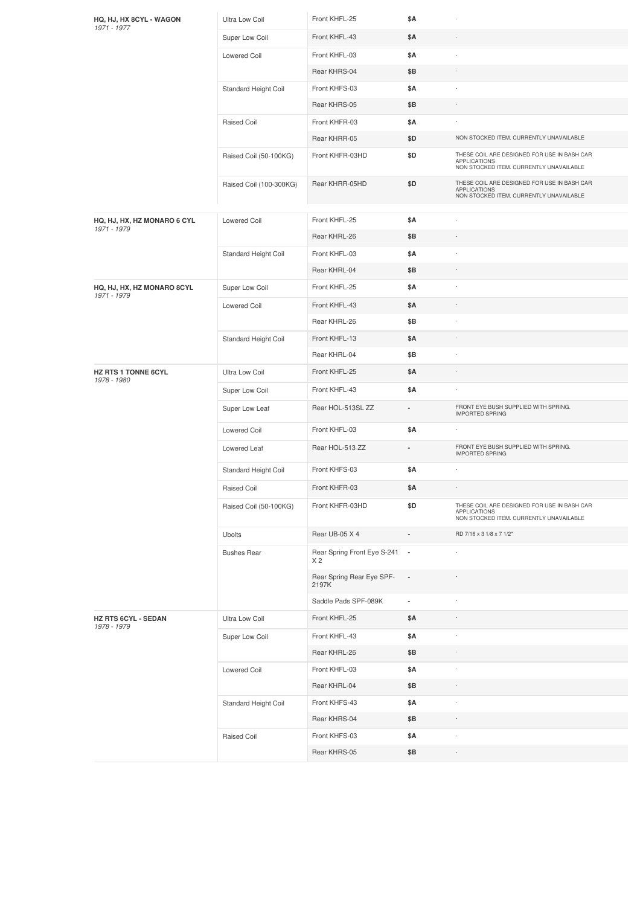| HQ, HJ, HX 8CYL - WAGON<br>1971 - 1977 | Ultra Low Coil          | Front KHFL-25                        | \$Α                      |                                                                                                               |
|----------------------------------------|-------------------------|--------------------------------------|--------------------------|---------------------------------------------------------------------------------------------------------------|
|                                        | Super Low Coil          | Front KHFL-43                        | \$Α                      |                                                                                                               |
|                                        | Lowered Coil            | Front KHFL-03                        | \$Α                      | ÷                                                                                                             |
|                                        |                         | Rear KHRS-04                         | \$Β                      |                                                                                                               |
|                                        | Standard Height Coil    | Front KHFS-03                        | \$Α                      |                                                                                                               |
|                                        |                         | Rear KHRS-05                         | \$Β                      | $\overline{\phantom{a}}$                                                                                      |
|                                        | Raised Coil             | Front KHFR-03                        | \$Α                      |                                                                                                               |
|                                        |                         | Rear KHRR-05                         | \$D                      | NON STOCKED ITEM. CURRENTLY UNAVAILABLE                                                                       |
|                                        | Raised Coil (50-100KG)  | Front KHFR-03HD                      | \$D                      | THESE COIL ARE DESIGNED FOR USE IN BASH CAR<br><b>APPLICATIONS</b><br>NON STOCKED ITEM. CURRENTLY UNAVAILABLE |
|                                        | Raised Coil (100-300KG) | Rear KHRR-05HD                       | \$D                      | THESE COIL ARE DESIGNED FOR USE IN BASH CAR<br><b>APPLICATIONS</b><br>NON STOCKED ITEM. CURRENTLY UNAVAILABLE |
| HQ, HJ, HX, HZ MONARO 6 CYL            | Lowered Coil            | Front KHFL-25                        | \$Α                      |                                                                                                               |
| 1971 - 1979                            |                         | Rear KHRL-26                         | \$Β                      |                                                                                                               |
|                                        | Standard Height Coil    | Front KHFL-03                        | \$Α                      |                                                                                                               |
|                                        |                         | Rear KHRL-04                         | \$Β                      |                                                                                                               |
| HQ, HJ, HX, HZ MONARO 8CYL             | Super Low Coil          | Front KHFL-25                        | \$Α                      | $\overline{\phantom{a}}$                                                                                      |
| 1971 - 1979                            | <b>Lowered Coil</b>     | Front KHFL-43                        | \$Α                      |                                                                                                               |
|                                        |                         | Rear KHRL-26                         | \$Β                      |                                                                                                               |
|                                        | Standard Height Coil    | Front KHFL-13                        | \$Α                      |                                                                                                               |
|                                        |                         | Rear KHRL-04                         | \$Β                      |                                                                                                               |
| <b>HZ RTS 1 TONNE 6CYL</b>             | Ultra Low Coil          | Front KHFL-25                        | \$Α                      |                                                                                                               |
| 1978 - 1980                            | Super Low Coil          | Front KHFL-43                        | \$Α                      |                                                                                                               |
|                                        | Super Low Leaf          | Rear HOL-513SL ZZ                    |                          | FRONT EYE BUSH SUPPLIED WITH SPRING.<br><b>IMPORTED SPRING</b>                                                |
|                                        | Lowered Coil            | Front KHFL-03                        | \$Α                      | ٠                                                                                                             |
|                                        | Lowered Leaf            | Rear HOL-513 ZZ                      |                          | FRONT EYE BUSH SUPPLIED WITH SPRING.<br><b>IMPORTED SPRING</b>                                                |
|                                        | Standard Height Coil    | Front KHFS-03                        | \$Α                      | $\overline{\phantom{a}}$                                                                                      |
|                                        | Raised Coil             | Front KHFR-03                        | \$Α                      |                                                                                                               |
|                                        | Raised Coil (50-100KG)  | Front KHFR-03HD                      | \$D                      | THESE COIL ARE DESIGNED FOR USE IN BASH CAR<br><b>APPLICATIONS</b><br>NON STOCKED ITEM. CURRENTLY UNAVAILABLE |
|                                        | Ubolts                  | Rear UB-05 X 4                       |                          | RD 7/16 x 3 1/8 x 7 1/2"                                                                                      |
|                                        | <b>Bushes Rear</b>      | Rear Spring Front Eye S-241 -<br>X 2 |                          |                                                                                                               |
|                                        |                         | Rear Spring Rear Eye SPF-<br>2197K   | $\overline{\phantom{a}}$ |                                                                                                               |
|                                        |                         | Saddle Pads SPF-089K                 | ۰                        |                                                                                                               |
| HZ RTS 6CYL - SEDAN<br>1978 - 1979     | Ultra Low Coil          | Front KHFL-25                        | \$Α                      |                                                                                                               |
|                                        | Super Low Coil          | Front KHFL-43                        | \$Α                      |                                                                                                               |
|                                        |                         | Rear KHRL-26                         | \$Β                      |                                                                                                               |
|                                        | Lowered Coil            | Front KHFL-03                        | \$Α                      | $\overline{\phantom{a}}$                                                                                      |
|                                        |                         | Rear KHRL-04                         | \$Β                      | $\overline{\phantom{a}}$                                                                                      |
|                                        | Standard Height Coil    | Front KHFS-43                        | \$Α                      |                                                                                                               |
|                                        |                         | Rear KHRS-04                         | \$Β                      |                                                                                                               |
|                                        | Raised Coil             | Front KHFS-03                        | \$Α                      |                                                                                                               |
|                                        |                         | Rear KHRS-05                         | \$Β                      |                                                                                                               |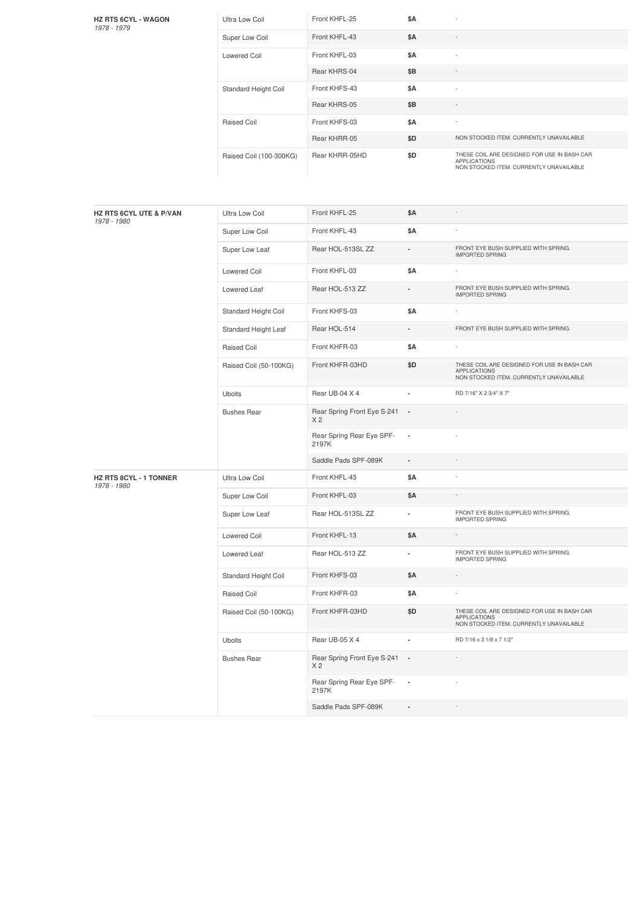| <b>HZ RTS 6CYL - WAGON</b> |  |
|----------------------------|--|
| 1978 - 1979                |  |

| <b>Ultra Low Coil</b>   | Front KHFL-25  | \$A |                                                                                                               |
|-------------------------|----------------|-----|---------------------------------------------------------------------------------------------------------------|
| Super Low Coil          | Front KHFL-43  | \$A |                                                                                                               |
| Lowered Coil            | Front KHFL-03  | \$A |                                                                                                               |
|                         | Rear KHRS-04   | \$B |                                                                                                               |
| Standard Height Coil    | Front KHFS-43  | \$A |                                                                                                               |
|                         | Rear KHRS-05   | \$B |                                                                                                               |
| Raised Coil             | Front KHFS-03  | \$A |                                                                                                               |
|                         | Rear KHRR-05   | \$D | NON STOCKED ITEM. CURRENTLY UNAVAILABLE                                                                       |
| Raised Coil (100-300KG) | Rear KHRR-05HD | \$D | THESE COIL ARE DESIGNED FOR USE IN BASH CAR<br><b>APPLICATIONS</b><br>NON STOCKED ITEM. CURRENTLY UNAVAILABLE |

| HZ RTS 6CYL UTE & P/VAN<br>1978 - 1980 | <b>Ultra Low Coil</b>  | Front KHFL-25                                   | \$Α                      |                                                                                                               |
|----------------------------------------|------------------------|-------------------------------------------------|--------------------------|---------------------------------------------------------------------------------------------------------------|
|                                        | Super Low Coil         | Front KHFL-43                                   | <b>\$A</b>               |                                                                                                               |
|                                        | Super Low Leaf         | Rear HOL-513SL ZZ                               | $\overline{\phantom{a}}$ | FRONT EYE BUSH SUPPLIED WITH SPRING.<br><b>IMPORTED SPRING</b>                                                |
|                                        | <b>Lowered Coil</b>    | Front KHFL-03                                   | \$Α                      |                                                                                                               |
|                                        | Lowered Leaf           | Rear HOL-513 ZZ                                 |                          | FRONT EYE BUSH SUPPLIED WITH SPRING.<br><b>IMPORTED SPRING</b>                                                |
|                                        | Standard Height Coil   | Front KHFS-03                                   | \$Α                      |                                                                                                               |
|                                        | Standard Height Leaf   | Rear HOL-514                                    |                          | FRONT EYE BUSH SUPPLIED WITH SPRING.                                                                          |
|                                        | Raised Coil            | Front KHFR-03                                   | \$A                      |                                                                                                               |
|                                        | Raised Coil (50-100KG) | Front KHFR-03HD                                 | \$D                      | THESE COIL ARE DESIGNED FOR USE IN BASH CAR<br><b>APPLICATIONS</b><br>NON STOCKED ITEM. CURRENTLY UNAVAILABLE |
|                                        | <b>Ubolts</b>          | Rear UB-04 X 4                                  |                          | RD 7/16" X 2 3/4" X 7"                                                                                        |
|                                        | <b>Bushes Rear</b>     | Rear Spring Front Eye S-241 -<br>X <sub>2</sub> |                          |                                                                                                               |
|                                        |                        | Rear Spring Rear Eye SPF-<br>2197K              | $\overline{\phantom{a}}$ |                                                                                                               |
|                                        |                        | Saddle Pads SPF-089K                            | $\overline{\phantom{a}}$ |                                                                                                               |
| HZ RTS 8CYL - 1 TONNER<br>1978 - 1980  | <b>Ultra Low Coil</b>  | Front KHFL-43                                   | \$Α                      |                                                                                                               |
|                                        | Super Low Coil         | Front KHFL-03                                   | \$Α                      |                                                                                                               |
|                                        | Super Low Leaf         | Rear HOL-513SL ZZ                               | $\blacksquare$           | FRONT EYE BUSH SUPPLIED WITH SPRING.<br><b>IMPORTED SPRING</b>                                                |
|                                        | Lowered Coil           | Front KHFL-13                                   | \$Α                      |                                                                                                               |
|                                        | Lowered Leaf           | Rear HOL-513 ZZ                                 | ٠                        | FRONT EYE BUSH SUPPLIED WITH SPRING.<br><b>IMPORTED SPRING</b>                                                |
|                                        | Standard Height Coil   | Front KHFS-03                                   | \$Α                      |                                                                                                               |
|                                        | Raised Coil            | Front KHFR-03                                   | \$Α                      |                                                                                                               |
|                                        | Raised Coil (50-100KG) | Front KHFR-03HD                                 | \$D                      | THESE COIL ARE DESIGNED FOR USE IN BASH CAR<br><b>APPLICATIONS</b><br>NON STOCKED ITEM. CURRENTLY UNAVAILABLE |
|                                        | <b>Ubolts</b>          | Rear UB-05 X 4                                  | ä,                       | RD 7/16 x 3 1/8 x 7 1/2"                                                                                      |
|                                        | <b>Bushes Rear</b>     | Rear Spring Front Eye S-241 -<br>X <sub>2</sub> |                          |                                                                                                               |
|                                        |                        | Rear Spring Rear Eye SPF-<br>2197K              | $\overline{\phantom{a}}$ |                                                                                                               |
|                                        |                        | Saddle Pads SPF-089K                            |                          |                                                                                                               |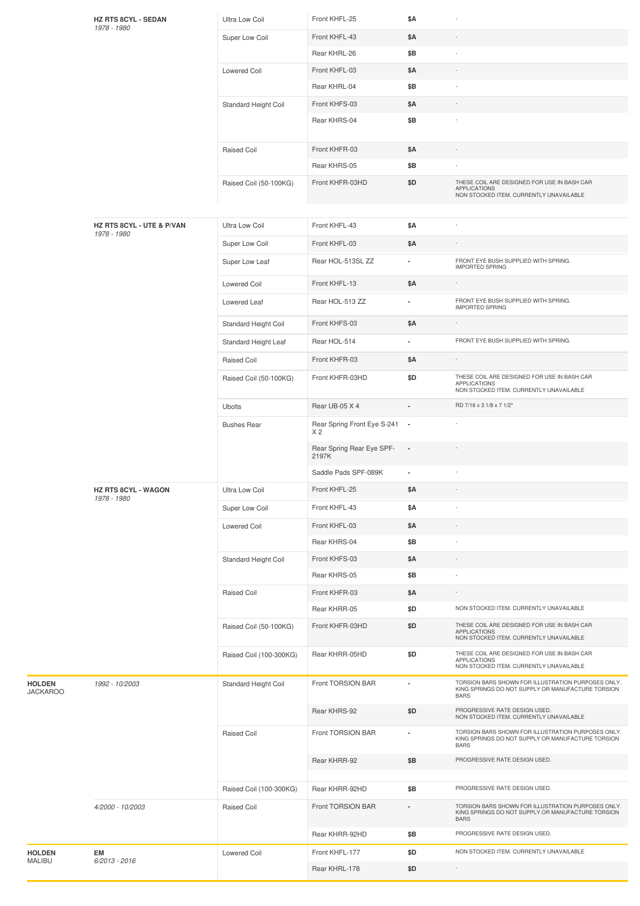|                                  | <b>HZ RTS 8CYL - SEDAN</b><br>1978 - 1980 | Ultra Low Coil          | Front KHFL-25                                   | \$Α                      |                                                                                                                        |
|----------------------------------|-------------------------------------------|-------------------------|-------------------------------------------------|--------------------------|------------------------------------------------------------------------------------------------------------------------|
|                                  |                                           | Super Low Coil          | Front KHFL-43                                   | \$Α                      |                                                                                                                        |
|                                  |                                           |                         | Rear KHRL-26                                    | \$Β                      |                                                                                                                        |
|                                  |                                           | <b>Lowered Coil</b>     | Front KHFL-03                                   | \$Α                      |                                                                                                                        |
|                                  |                                           |                         | Rear KHRL-04                                    | \$Β                      |                                                                                                                        |
|                                  |                                           | Standard Height Coil    | Front KHFS-03                                   | \$Α                      |                                                                                                                        |
|                                  |                                           |                         | Rear KHRS-04                                    | \$Β                      |                                                                                                                        |
|                                  |                                           | Raised Coil             | Front KHFR-03                                   | \$Α                      |                                                                                                                        |
|                                  |                                           |                         | Rear KHRS-05                                    | \$Β                      |                                                                                                                        |
|                                  |                                           | Raised Coil (50-100KG)  | Front KHFR-03HD                                 | \$D                      | THESE COIL ARE DESIGNED FOR USE IN BASH CAR<br><b>APPLICATIONS</b><br>NON STOCKED ITEM. CURRENTLY UNAVAILABLE          |
|                                  |                                           |                         |                                                 |                          |                                                                                                                        |
|                                  | HZ RTS 8CYL - UTE & P/VAN<br>1978 - 1980  | Ultra Low Coil          | Front KHFL-43                                   | \$Α                      |                                                                                                                        |
|                                  |                                           | Super Low Coil          | Front KHFL-03                                   | \$Α                      |                                                                                                                        |
|                                  |                                           | Super Low Leaf          | Rear HOL-513SL ZZ                               | ٠                        | FRONT EYE BUSH SUPPLIED WITH SPRING.<br><b>IMPORTED SPRING</b>                                                         |
|                                  |                                           | <b>Lowered Coil</b>     | Front KHFL-13                                   | \$Α                      |                                                                                                                        |
|                                  |                                           | Lowered Leaf            | Rear HOL-513 ZZ                                 | ٠                        | FRONT EYE BUSH SUPPLIED WITH SPRING.<br><b>IMPORTED SPRING</b>                                                         |
|                                  |                                           | Standard Height Coil    | Front KHFS-03                                   | \$Α                      |                                                                                                                        |
|                                  |                                           | Standard Height Leaf    | Rear HOL-514                                    | ٠                        | FRONT EYE BUSH SUPPLIED WITH SPRING.                                                                                   |
|                                  |                                           | Raised Coil             | Front KHFR-03                                   | \$Α                      |                                                                                                                        |
|                                  |                                           | Raised Coil (50-100KG)  | Front KHFR-03HD                                 | \$D                      | THESE COIL ARE DESIGNED FOR USE IN BASH CAR<br><b>APPLICATIONS</b><br>NON STOCKED ITEM. CURRENTLY UNAVAILABLE          |
|                                  |                                           | <b>Ubolts</b>           | Rear UB-05 X 4                                  |                          | RD 7/16 x 3 1/8 x 7 1/2"                                                                                               |
|                                  |                                           | <b>Bushes Rear</b>      | Rear Spring Front Eye S-241 -<br>X <sub>2</sub> |                          |                                                                                                                        |
|                                  |                                           |                         | Rear Spring Rear Eye SPF-<br>2197K              | $\overline{\phantom{a}}$ |                                                                                                                        |
|                                  |                                           |                         | Saddle Pads SPF-089K                            | ä,                       |                                                                                                                        |
|                                  | <b>HZ RTS 8CYL - WAGON</b><br>1978 - 1980 | Ultra Low Coil          | Front KHFL-25                                   | \$Α                      |                                                                                                                        |
|                                  |                                           | Super Low Coil          | Front KHFL-43                                   | \$Α                      |                                                                                                                        |
|                                  |                                           | <b>Lowered Coil</b>     | Front KHFL-03                                   | \$Α                      |                                                                                                                        |
|                                  |                                           |                         | Rear KHRS-04                                    | \$Β                      |                                                                                                                        |
|                                  |                                           | Standard Height Coil    | Front KHFS-03                                   | \$Α                      |                                                                                                                        |
|                                  |                                           |                         | Rear KHRS-05                                    | \$Β                      |                                                                                                                        |
|                                  |                                           | <b>Raised Coil</b>      | Front KHFR-03                                   | \$A                      |                                                                                                                        |
|                                  |                                           |                         | Rear KHRR-05                                    | \$D                      | NON STOCKED ITEM. CURRENTLY UNAVAILABLE                                                                                |
|                                  |                                           | Raised Coil (50-100KG)  | Front KHFR-03HD                                 | \$D                      | THESE COIL ARE DESIGNED FOR USE IN BASH CAR<br><b>APPLICATIONS</b><br>NON STOCKED ITEM. CURRENTLY UNAVAILABLE          |
|                                  |                                           | Raised Coil (100-300KG) | Rear KHRR-05HD                                  | \$D                      | THESE COIL ARE DESIGNED FOR USE IN BASH CAR<br><b>APPLICATIONS</b><br>NON STOCKED ITEM. CURRENTLY UNAVAILABLE          |
| <b>HOLDEN</b><br><b>JACKAROO</b> | 1992 - 10/2003                            | Standard Height Coil    | Front TORSION BAR                               | ×,                       | TORSION BARS SHOWN FOR ILLUSTRATION PURPOSES ONLY.<br>KING SPRINGS DO NOT SUPPLY OR MANUFACTURE TORSION<br><b>BARS</b> |
|                                  |                                           |                         | Rear KHRS-92                                    | \$D                      | PROGRESSIVE RATE DESIGN USED.<br>NON STOCKED ITEM. CURRENTLY UNAVAILABLE                                               |
|                                  |                                           | <b>Raised Coil</b>      | Front TORSION BAR                               | ٠                        | TORSION BARS SHOWN FOR ILLUSTRATION PURPOSES ONLY.<br>KING SPRINGS DO NOT SUPPLY OR MANUFACTURE TORSION<br><b>BARS</b> |
|                                  |                                           |                         | Rear KHRR-92                                    | \$Β                      | PROGRESSIVE RATE DESIGN USED.                                                                                          |
|                                  |                                           | Raised Coil (100-300KG) | Rear KHRR-92HD                                  | \$Β                      | PROGRESSIVE RATE DESIGN USED.                                                                                          |
|                                  | 4/2000 - 10/2003                          | Raised Coil             | Front TORSION BAR                               | ÷,                       | TORSION BARS SHOWN FOR ILLUSTRATION PURPOSES ONLY.<br>KING SPRINGS DO NOT SUPPLY OR MANUFACTURE TORSION<br><b>BARS</b> |
|                                  |                                           |                         | Rear KHRR-92HD                                  | \$Β                      | PROGRESSIVE RATE DESIGN USED.                                                                                          |
| <b>HOLDEN</b>                    | EM                                        | Lowered Coil            | Front KHFL-177                                  | \$D                      | NON STOCKED ITEM. CURRENTLY UNAVAILABLE                                                                                |
| MALIBU                           | $6/2013 - 2016$                           |                         | Rear KHRL-178                                   | \$D                      | $\overline{\phantom{a}}$                                                                                               |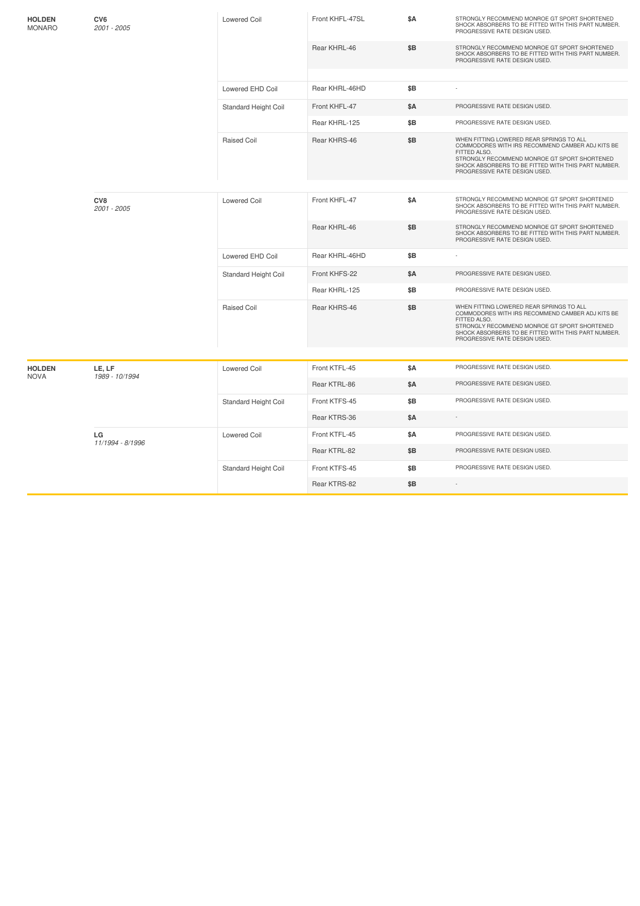| <b>HOLDEN</b><br><b>MONARO</b> | CV6<br>2001 - 2005 | Lowered Coil         | Front KHFL-47SL | \$Α        | STRONGLY RECOMMEND MONROE GT SPORT SHORTENED<br>SHOCK ABSORBERS TO BE FITTED WITH THIS PART NUMBER.<br>PROGRESSIVE RATE DESIGN USED.                                                                                                                 |
|--------------------------------|--------------------|----------------------|-----------------|------------|------------------------------------------------------------------------------------------------------------------------------------------------------------------------------------------------------------------------------------------------------|
|                                |                    |                      | Rear KHRL-46    | \$Β        | STRONGLY RECOMMEND MONROE GT SPORT SHORTENED<br>SHOCK ABSORBERS TO BE FITTED WITH THIS PART NUMBER.<br>PROGRESSIVE RATE DESIGN USED.                                                                                                                 |
|                                |                    |                      |                 |            |                                                                                                                                                                                                                                                      |
|                                |                    | Lowered EHD Coil     | Rear KHRL-46HD  | \$Β        | ÷,                                                                                                                                                                                                                                                   |
|                                |                    | Standard Height Coil | Front KHFL-47   | <b>\$A</b> | PROGRESSIVE RATE DESIGN USED.                                                                                                                                                                                                                        |
|                                |                    |                      | Rear KHRL-125   | \$B        | PROGRESSIVE RATE DESIGN USED.                                                                                                                                                                                                                        |
|                                |                    | <b>Raised Coil</b>   | Rear KHRS-46    | \$B        | WHEN FITTING LOWERED REAR SPRINGS TO ALL<br>COMMODORES WITH IRS RECOMMEND CAMBER ADJ KITS BE<br>FITTED ALSO.<br>STRONGLY RECOMMEND MONROE GT SPORT SHORTENED<br>SHOCK ABSORBERS TO BE FITTED WITH THIS PART NUMBER.<br>PROGRESSIVE RATE DESIGN USED. |
|                                |                    |                      |                 |            |                                                                                                                                                                                                                                                      |
|                                | CV8<br>2001 - 2005 | <b>Lowered Coil</b>  | Front KHFL-47   | <b>\$A</b> | STRONGLY RECOMMEND MONROE GT SPORT SHORTENED<br>SHOCK ABSORBERS TO BE FITTED WITH THIS PART NUMBER.<br>PROGRESSIVE RATE DESIGN USED.                                                                                                                 |
|                                |                    |                      | Rear KHRL-46    | \$Β        | STRONGLY RECOMMEND MONROE GT SPORT SHORTENED<br>SHOCK ABSORBERS TO BE FITTED WITH THIS PART NUMBER.<br>PROGRESSIVE RATE DESIGN USED.                                                                                                                 |
|                                |                    | Lowered EHD Coil     | Rear KHRL-46HD  | \$B        |                                                                                                                                                                                                                                                      |
|                                |                    | Standard Height Coil | Front KHFS-22   | \$A        | PROGRESSIVE RATE DESIGN USED.                                                                                                                                                                                                                        |
|                                |                    |                      | Rear KHRL-125   | \$Β        | PROGRESSIVE RATE DESIGN USED.                                                                                                                                                                                                                        |
|                                |                    | <b>Raised Coil</b>   | Rear KHRS-46    | \$B        | WHEN FITTING LOWERED REAR SPRINGS TO ALL<br>COMMODORES WITH IRS RECOMMEND CAMBER ADJ KITS BE<br>FITTED ALSO.<br>STRONGLY RECOMMEND MONROE GT SPORT SHORTENED<br>SHOCK ABSORBERS TO BE FITTED WITH THIS PART NUMBER.<br>PROGRESSIVE RATE DESIGN USED. |
|                                |                    |                      |                 |            |                                                                                                                                                                                                                                                      |
| <b>HOLDEN</b>                  | LE, LF             | <b>Lowered Coil</b>  | Front KTFL-45   | <b>\$A</b> | PROGRESSIVE RATE DESIGN USED.                                                                                                                                                                                                                        |
| <b>NOVA</b>                    | 1989 - 10/1994     |                      | Rear KTRL-86    | \$Α        | PROGRESSIVE RATE DESIGN USED.                                                                                                                                                                                                                        |
|                                |                    | Standard Height Coil | Front KTFS-45   | \$B        | PROGRESSIVE RATE DESIGN USED.                                                                                                                                                                                                                        |
|                                |                    |                      | Rear KTRS-36    | <b>\$A</b> |                                                                                                                                                                                                                                                      |
|                                | LG                 | <b>Lowered Coil</b>  | Front KTFL-45   | <b>\$A</b> | PROGRESSIVE RATE DESIGN USED.                                                                                                                                                                                                                        |
|                                | 11/1994 - 8/1996   |                      | Rear KTRL-82    | \$Β        | PROGRESSIVE RATE DESIGN USED.                                                                                                                                                                                                                        |
|                                |                    | Standard Height Coil | Front KTFS-45   | \$B        | PROGRESSIVE RATE DESIGN USED.                                                                                                                                                                                                                        |
|                                |                    |                      | Rear KTRS-82    | \$Β        | $\sim$                                                                                                                                                                                                                                               |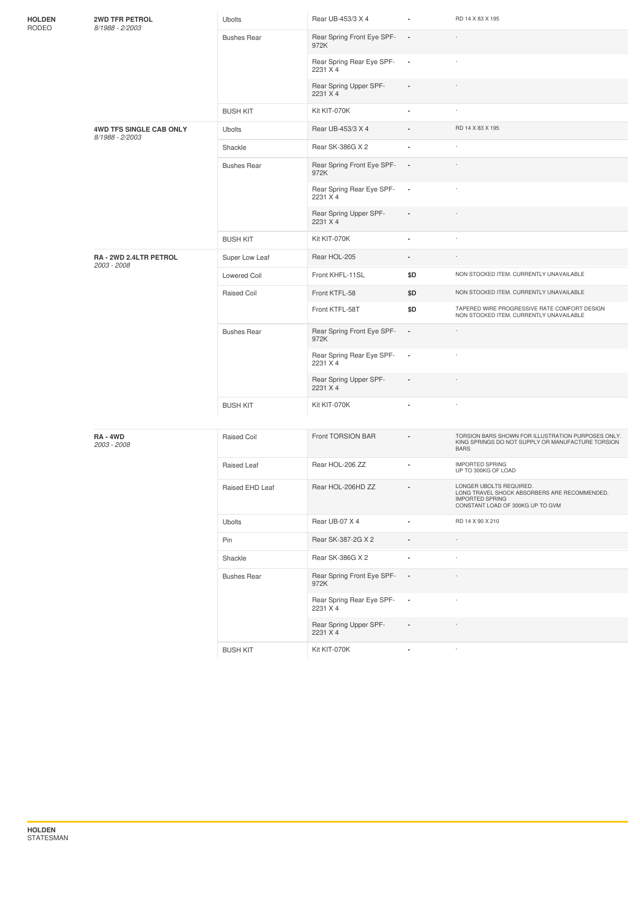| <b>HOLDEN</b><br>RODEO | <b>2WD TFR PETROL</b><br>8/1988 - 2/2003   | Ubolts              | Rear UB-453/3 X 4                     | $\blacksquare$           | RD 14 X 83 X 195                                                                                                                      |
|------------------------|--------------------------------------------|---------------------|---------------------------------------|--------------------------|---------------------------------------------------------------------------------------------------------------------------------------|
|                        |                                            | <b>Bushes Rear</b>  | Rear Spring Front Eye SPF-<br>972K    | $\sim$                   |                                                                                                                                       |
|                        |                                            |                     | Rear Spring Rear Eye SPF-<br>2231 X 4 | $\sim$                   |                                                                                                                                       |
|                        |                                            |                     | Rear Spring Upper SPF-<br>2231 X 4    |                          |                                                                                                                                       |
|                        |                                            | <b>BUSH KIT</b>     | Kit KIT-070K                          | $\blacksquare$           |                                                                                                                                       |
|                        | 4WD TFS SINGLE CAB ONLY<br>8/1988 - 2/2003 | <b>Ubolts</b>       | Rear UB-453/3 X 4                     |                          | RD 14 X 83 X 195                                                                                                                      |
|                        |                                            | Shackle             | Rear SK-386G X 2                      | ä,                       |                                                                                                                                       |
|                        |                                            | <b>Bushes Rear</b>  | Rear Spring Front Eye SPF-<br>972K    | $\overline{\phantom{a}}$ |                                                                                                                                       |
|                        |                                            |                     | Rear Spring Rear Eye SPF-<br>2231 X 4 | $\overline{\phantom{a}}$ |                                                                                                                                       |
|                        |                                            |                     | Rear Spring Upper SPF-<br>2231 X 4    |                          |                                                                                                                                       |
|                        |                                            | <b>BUSH KIT</b>     | Kit KIT-070K                          | ä,                       |                                                                                                                                       |
|                        | RA - 2WD 2.4LTR PETROL<br>2003 - 2008      | Super Low Leaf      | Rear HOL-205                          |                          |                                                                                                                                       |
|                        |                                            | <b>Lowered Coil</b> | Front KHFL-11SL                       | \$D                      | NON STOCKED ITEM. CURRENTLY UNAVAILABLE                                                                                               |
|                        |                                            | Raised Coil         | Front KTFL-58                         | \$D                      | NON STOCKED ITEM. CURRENTLY UNAVAILABLE                                                                                               |
|                        |                                            |                     | Front KTFL-58T                        | \$D                      | TAPERED WIRE PROGRESSIVE RATE COMFORT DESIGN<br>NON STOCKED ITEM. CURRENTLY UNAVAILABLE                                               |
|                        |                                            | <b>Bushes Rear</b>  | Rear Spring Front Eye SPF-<br>972K    | $\blacksquare$           |                                                                                                                                       |
|                        |                                            |                     | Rear Spring Rear Eye SPF-<br>2231 X 4 | $\overline{\phantom{a}}$ |                                                                                                                                       |
|                        |                                            |                     | Rear Spring Upper SPF-<br>2231 X 4    |                          |                                                                                                                                       |
|                        |                                            | <b>BUSH KIT</b>     | Kit KIT-070K                          |                          |                                                                                                                                       |
|                        | RA-4WD<br>2003 - 2008                      | <b>Raised Coil</b>  | Front TORSION BAR                     |                          | TORSION BARS SHOWN FOR ILLUSTRATION PURPOSES ONLY.<br>KING SPRINGS DO NOT SUPPLY OR MANUFACTURE TORSION<br><b>BARS</b>                |
|                        |                                            | Raised Leaf         | Rear HOL-206 ZZ                       |                          | <b>IMPORTED SPRING</b><br>UP TO 300KG OF LOAD                                                                                         |
|                        |                                            | Raised EHD Leaf     | Rear HOL-206HD ZZ                     |                          | LONGER UBOLTS REQUIRED.<br>LONG TRAVEL SHOCK ABSORBERS ARE RECOMMENDED.<br><b>IMPORTED SPRING</b><br>CONSTANT LOAD OF 300KG UP TO GVM |
|                        |                                            | Ubolts              | Rear UB-07 X 4                        |                          | RD 14 X 90 X 210                                                                                                                      |
|                        |                                            | Pin                 | Rear SK-387-2G X 2                    | ×,                       |                                                                                                                                       |
|                        |                                            | Shackle             | Rear SK-386G X 2                      | ä,                       |                                                                                                                                       |
|                        |                                            | <b>Bushes Rear</b>  | Rear Spring Front Eye SPF-<br>972K    | $\overline{\phantom{a}}$ |                                                                                                                                       |
|                        |                                            |                     | Rear Spring Rear Eye SPF-<br>2231 X 4 | $\overline{\phantom{a}}$ |                                                                                                                                       |
|                        |                                            |                     | Rear Spring Upper SPF-<br>2231 X 4    | $\blacksquare$           |                                                                                                                                       |
|                        |                                            | <b>BUSH KIT</b>     | Kit KIT-070K                          | ä,                       | $\sim$                                                                                                                                |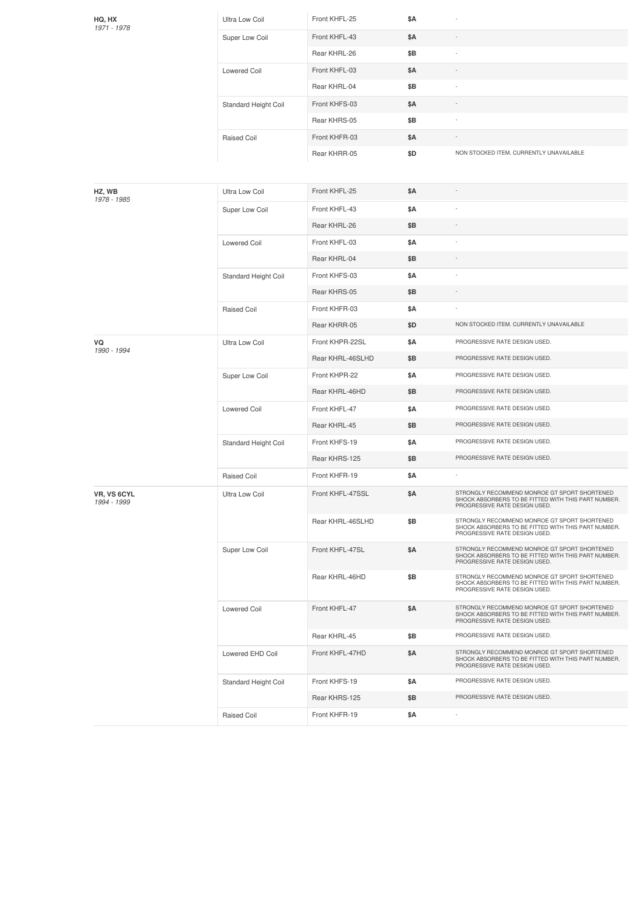| HQ, HX<br>1971 - 1978             | Ultra Low Coil       | Front KHFL-25    | \$Α |                                                                                                                                      |
|-----------------------------------|----------------------|------------------|-----|--------------------------------------------------------------------------------------------------------------------------------------|
|                                   | Super Low Coil       | Front KHFL-43    | \$Α |                                                                                                                                      |
|                                   |                      | Rear KHRL-26     | \$Β |                                                                                                                                      |
|                                   | <b>Lowered Coil</b>  | Front KHFL-03    | \$Α |                                                                                                                                      |
|                                   |                      | Rear KHRL-04     | \$Β |                                                                                                                                      |
|                                   | Standard Height Coil | Front KHFS-03    | \$Α |                                                                                                                                      |
|                                   |                      | Rear KHRS-05     | \$Β |                                                                                                                                      |
|                                   | Raised Coil          | Front KHFR-03    | \$Α |                                                                                                                                      |
|                                   |                      | Rear KHRR-05     | \$D | NON STOCKED ITEM. CURRENTLY UNAVAILABLE                                                                                              |
|                                   |                      |                  |     |                                                                                                                                      |
| HZ, WB                            | Ultra Low Coil       | Front KHFL-25    | \$Α |                                                                                                                                      |
| 1978 - 1985                       | Super Low Coil       | Front KHFL-43    | \$Α | ×                                                                                                                                    |
|                                   |                      | Rear KHRL-26     | \$Β |                                                                                                                                      |
|                                   | Lowered Coil         | Front KHFL-03    | \$Α |                                                                                                                                      |
|                                   |                      | Rear KHRL-04     | \$Β |                                                                                                                                      |
|                                   | Standard Height Coil | Front KHFS-03    | \$Α |                                                                                                                                      |
|                                   |                      | Rear KHRS-05     | \$Β |                                                                                                                                      |
|                                   | Raised Coil          | Front KHFR-03    | \$Α |                                                                                                                                      |
|                                   |                      | Rear KHRR-05     | \$D | NON STOCKED ITEM. CURRENTLY UNAVAILABLE                                                                                              |
| VQ                                | Ultra Low Coil       | Front KHPR-22SL  | \$Α | PROGRESSIVE RATE DESIGN USED.                                                                                                        |
| 1990 - 1994                       |                      | Rear KHRL-46SLHD | \$Β | PROGRESSIVE RATE DESIGN USED.                                                                                                        |
|                                   | Super Low Coil       | Front KHPR-22    | \$Α | PROGRESSIVE RATE DESIGN USED.                                                                                                        |
|                                   |                      | Rear KHRL-46HD   | \$Β | PROGRESSIVE RATE DESIGN USED.                                                                                                        |
|                                   | <b>Lowered Coil</b>  | Front KHFL-47    | \$Α | PROGRESSIVE RATE DESIGN USED.                                                                                                        |
|                                   |                      | Rear KHRL-45     | \$Β | PROGRESSIVE RATE DESIGN USED.                                                                                                        |
|                                   | Standard Height Coil | Front KHFS-19    | \$Α | PROGRESSIVE RATE DESIGN USED.                                                                                                        |
|                                   |                      | Rear KHRS-125    | \$Β | PROGRESSIVE RATE DESIGN USED.                                                                                                        |
|                                   | Raised Coil          | Front KHFR-19    | \$Α |                                                                                                                                      |
| <b>VR, VS 6CYL</b><br>1994 - 1999 | Ultra Low Coil       | Front KHFL-47SSL | \$Α | STRONGLY RECOMMEND MONROE GT SPORT SHORTENED<br>SHOCK ABSORBERS TO BE FITTED WITH THIS PART NUMBER.<br>PROGRESSIVE RATE DESIGN USED. |
|                                   |                      | Rear KHRL-46SLHD | \$Β | STRONGLY RECOMMEND MONROE GT SPORT SHORTENED<br>SHOCK ABSORBERS TO BE FITTED WITH THIS PART NUMBER.<br>PROGRESSIVE RATE DESIGN USED. |
|                                   | Super Low Coil       | Front KHFL-47SL  | \$Α | STRONGLY RECOMMEND MONROE GT SPORT SHORTENED<br>SHOCK ABSORBERS TO BE FITTED WITH THIS PART NUMBER.<br>PROGRESSIVE RATE DESIGN USED. |
|                                   |                      | Rear KHRL-46HD   | \$Β | STRONGLY RECOMMEND MONROE GT SPORT SHORTENED<br>SHOCK ABSORBERS TO BE FITTED WITH THIS PART NUMBER.<br>PROGRESSIVE RATE DESIGN USED. |
|                                   | <b>Lowered Coil</b>  | Front KHFL-47    | \$Α | STRONGLY RECOMMEND MONROE GT SPORT SHORTENED<br>SHOCK ABSORBERS TO BE FITTED WITH THIS PART NUMBER.<br>PROGRESSIVE RATE DESIGN USED. |
|                                   |                      | Rear KHRL-45     | \$Β | PROGRESSIVE RATE DESIGN USED.                                                                                                        |
|                                   | Lowered EHD Coil     | Front KHFL-47HD  | \$Α | STRONGLY RECOMMEND MONROE GT SPORT SHORTENED<br>SHOCK ABSORBERS TO BE FITTED WITH THIS PART NUMBER.<br>PROGRESSIVE RATE DESIGN USED. |
|                                   | Standard Height Coil | Front KHFS-19    | \$Α | PROGRESSIVE RATE DESIGN USED.                                                                                                        |
|                                   |                      | Rear KHRS-125    | \$Β | PROGRESSIVE RATE DESIGN USED.                                                                                                        |
|                                   | Raised Coil          | Front KHFR-19    | \$Α |                                                                                                                                      |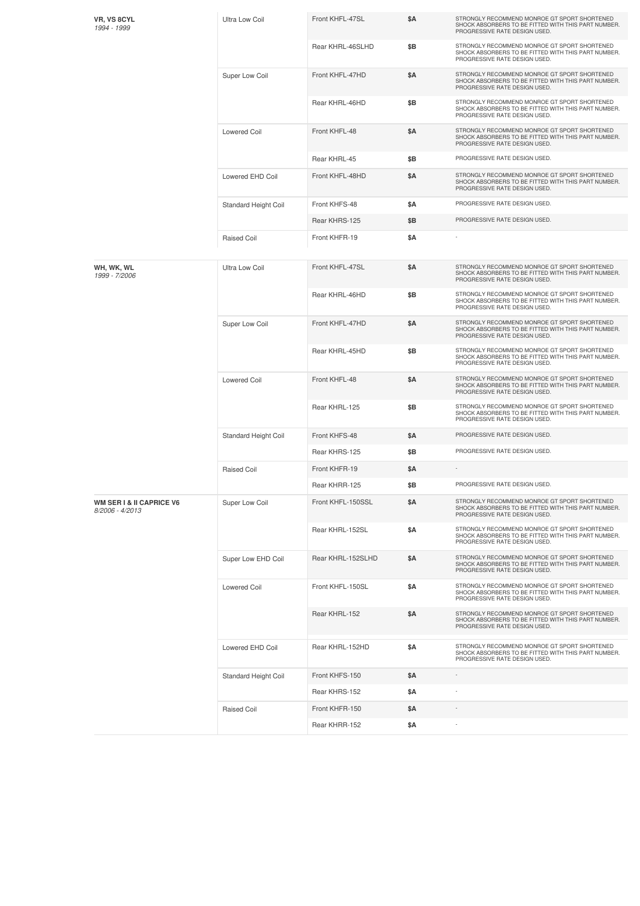| VR, VS 8CYL<br>1994 - 1999                             | <b>Ultra Low Coil</b>       | Front KHFL-47SL   | \$A        | STRONGLY RECOMMEND MONROE GT SPORT SHORTENED<br>SHOCK ABSORBERS TO BE FITTED WITH THIS PART NUMBER.<br>PROGRESSIVE RATE DESIGN USED. |
|--------------------------------------------------------|-----------------------------|-------------------|------------|--------------------------------------------------------------------------------------------------------------------------------------|
|                                                        |                             | Rear KHRL-46SLHD  | \$Β        | STRONGLY RECOMMEND MONROE GT SPORT SHORTENED<br>SHOCK ABSORBERS TO BE FITTED WITH THIS PART NUMBER.<br>PROGRESSIVE RATE DESIGN USED. |
|                                                        | Super Low Coil              | Front KHFL-47HD   | \$A        | STRONGLY RECOMMEND MONROE GT SPORT SHORTENED<br>SHOCK ABSORBERS TO BE FITTED WITH THIS PART NUMBER.<br>PROGRESSIVE RATE DESIGN USED. |
|                                                        |                             | Rear KHRL-46HD    | \$B        | STRONGLY RECOMMEND MONROE GT SPORT SHORTENED<br>SHOCK ABSORBERS TO BE FITTED WITH THIS PART NUMBER.<br>PROGRESSIVE RATE DESIGN USED. |
|                                                        | <b>Lowered Coil</b>         | Front KHFL-48     | \$Α        | STRONGLY RECOMMEND MONROE GT SPORT SHORTENED<br>SHOCK ABSORBERS TO BE FITTED WITH THIS PART NUMBER.<br>PROGRESSIVE RATE DESIGN USED. |
|                                                        |                             | Rear KHRL-45      | \$B        | PROGRESSIVE RATE DESIGN USED.                                                                                                        |
|                                                        | Lowered EHD Coil            | Front KHFL-48HD   | \$A        | STRONGLY RECOMMEND MONROE GT SPORT SHORTENED<br>SHOCK ABSORBERS TO BE FITTED WITH THIS PART NUMBER.<br>PROGRESSIVE RATE DESIGN USED. |
|                                                        | Standard Height Coil        | Front KHFS-48     | \$Α        | PROGRESSIVE RATE DESIGN USED.                                                                                                        |
|                                                        |                             | Rear KHRS-125     | \$Β        | PROGRESSIVE RATE DESIGN USED.                                                                                                        |
|                                                        | <b>Raised Coil</b>          | Front KHFR-19     | <b>\$A</b> |                                                                                                                                      |
| WH, WK, WL<br>1999 - 7/2006                            | <b>Ultra Low Coil</b>       | Front KHFL-47SL   | \$A        | STRONGLY RECOMMEND MONROE GT SPORT SHORTENED<br>SHOCK ABSORBERS TO BE FITTED WITH THIS PART NUMBER.<br>PROGRESSIVE RATE DESIGN USED. |
|                                                        |                             | Rear KHRL-46HD    | \$Β        | STRONGLY RECOMMEND MONROE GT SPORT SHORTENED<br>SHOCK ABSORBERS TO BE FITTED WITH THIS PART NUMBER.<br>PROGRESSIVE RATE DESIGN USED. |
|                                                        | Super Low Coil              | Front KHFL-47HD   | \$Α        | STRONGLY RECOMMEND MONROE GT SPORT SHORTENED<br>SHOCK ABSORBERS TO BE FITTED WITH THIS PART NUMBER.<br>PROGRESSIVE RATE DESIGN USED. |
|                                                        |                             | Rear KHRL-45HD    | \$Β        | STRONGLY RECOMMEND MONROE GT SPORT SHORTENED<br>SHOCK ABSORBERS TO BE FITTED WITH THIS PART NUMBER.<br>PROGRESSIVE RATE DESIGN USED. |
|                                                        | Lowered Coil                | Front KHFL-48     | <b>\$A</b> | STRONGLY RECOMMEND MONROE GT SPORT SHORTENED<br>SHOCK ABSORBERS TO BE FITTED WITH THIS PART NUMBER.<br>PROGRESSIVE RATE DESIGN USED. |
|                                                        |                             | Rear KHRL-125     | \$B        | STRONGLY RECOMMEND MONROE GT SPORT SHORTENED<br>SHOCK ABSORBERS TO BE FITTED WITH THIS PART NUMBER.<br>PROGRESSIVE RATE DESIGN USED. |
|                                                        | <b>Standard Height Coil</b> | Front KHFS-48     | \$Α        | PROGRESSIVE RATE DESIGN USED.                                                                                                        |
|                                                        |                             | Rear KHRS-125     | \$B        | PROGRESSIVE RATE DESIGN USED.                                                                                                        |
|                                                        | <b>Raised Coil</b>          | Front KHFR-19     | \$Α        |                                                                                                                                      |
|                                                        |                             | Rear KHRR-125     | \$B        | PROGRESSIVE RATE DESIGN USED.                                                                                                        |
| <b>WM SER I &amp; II CAPRICE V6</b><br>8/2006 - 4/2013 | Super Low Coil              | Front KHFL-150SSL | \$Α        | STRONGLY RECOMMEND MONROE GT SPORT SHORTENED<br>SHOCK ABSORBERS TO BE FITTED WITH THIS PART NUMBER.<br>PROGRESSIVE RATE DESIGN USED. |
|                                                        |                             | Rear KHRL-152SL   | \$Α        | STRONGLY RECOMMEND MONROE GT SPORT SHORTENED<br>SHOCK ABSORBERS TO BE FITTED WITH THIS PART NUMBER.<br>PROGRESSIVE RATE DESIGN USED. |
|                                                        | Super Low EHD Coil          | Rear KHRL-152SLHD | \$Α        | STRONGLY RECOMMEND MONROE GT SPORT SHORTENED<br>SHOCK ABSORBERS TO BE FITTED WITH THIS PART NUMBER.<br>PROGRESSIVE RATE DESIGN USED. |
|                                                        | <b>Lowered Coil</b>         | Front KHFL-150SL  | \$Α        | STRONGLY RECOMMEND MONROE GT SPORT SHORTENED<br>SHOCK ABSORBERS TO BE FITTED WITH THIS PART NUMBER.<br>PROGRESSIVE RATE DESIGN USED. |
|                                                        |                             | Rear KHRL-152     | \$A        | STRONGLY RECOMMEND MONROE GT SPORT SHORTENED<br>SHOCK ABSORBERS TO BE FITTED WITH THIS PART NUMBER.<br>PROGRESSIVE RATE DESIGN USED. |
|                                                        | Lowered EHD Coil            | Rear KHRL-152HD   | \$Α        | STRONGLY RECOMMEND MONROE GT SPORT SHORTENED<br>SHOCK ABSORBERS TO BE FITTED WITH THIS PART NUMBER.<br>PROGRESSIVE RATE DESIGN USED. |
|                                                        | Standard Height Coil        | Front KHFS-150    | \$Α        |                                                                                                                                      |
|                                                        |                             | Rear KHRS-152     | \$Α        |                                                                                                                                      |
|                                                        | <b>Raised Coil</b>          | Front KHFR-150    | \$Α        |                                                                                                                                      |
|                                                        |                             | Rear KHRR-152     | \$Α        |                                                                                                                                      |
|                                                        |                             |                   |            |                                                                                                                                      |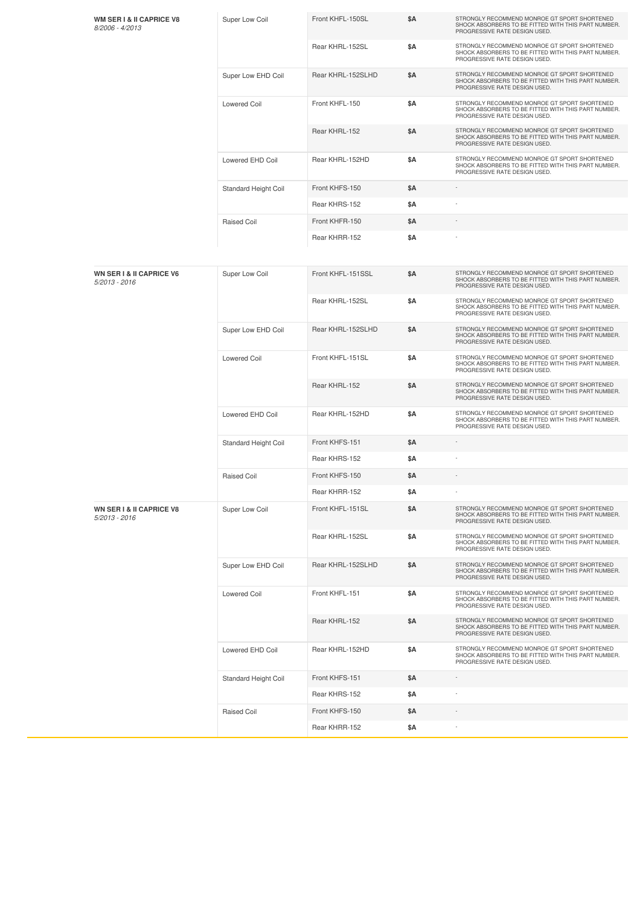| <b>WM SER I &amp; II CAPRICE V8</b><br>8/2006 - 4/2013 | Super Low Coil              | Front KHFL-150SL  | \$Α | STRONGLY RECOMMEND MONROE GT SPORT SHORTENED<br>SHOCK ABSORBERS TO BE FITTED WITH THIS PART NUMBER.<br>PROGRESSIVE RATE DESIGN USED. |
|--------------------------------------------------------|-----------------------------|-------------------|-----|--------------------------------------------------------------------------------------------------------------------------------------|
|                                                        |                             | Rear KHRL-152SL   | \$Α | STRONGLY RECOMMEND MONROE GT SPORT SHORTENED<br>SHOCK ABSORBERS TO BE FITTED WITH THIS PART NUMBER.<br>PROGRESSIVE RATE DESIGN USED. |
|                                                        | Super Low EHD Coil          | Rear KHRL-152SLHD | \$Α | STRONGLY RECOMMEND MONROE GT SPORT SHORTENED<br>SHOCK ABSORBERS TO BE FITTED WITH THIS PART NUMBER.<br>PROGRESSIVE RATE DESIGN USED. |
|                                                        | <b>Lowered Coil</b>         | Front KHFL-150    | \$Α | STRONGLY RECOMMEND MONROE GT SPORT SHORTENED<br>SHOCK ABSORBERS TO BE FITTED WITH THIS PART NUMBER.<br>PROGRESSIVE RATE DESIGN USED. |
|                                                        |                             | Rear KHRL-152     | \$Α | STRONGLY RECOMMEND MONROE GT SPORT SHORTENED<br>SHOCK ABSORBERS TO BE FITTED WITH THIS PART NUMBER.<br>PROGRESSIVE RATE DESIGN USED. |
|                                                        | Lowered EHD Coil            | Rear KHRL-152HD   | \$Α | STRONGLY RECOMMEND MONROE GT SPORT SHORTENED<br>SHOCK ABSORBERS TO BE FITTED WITH THIS PART NUMBER.<br>PROGRESSIVE RATE DESIGN USED. |
|                                                        | Standard Height Coil        | Front KHFS-150    | \$Α |                                                                                                                                      |
|                                                        |                             | Rear KHRS-152     | \$Α |                                                                                                                                      |
|                                                        | Raised Coil                 | Front KHFR-150    | \$Α |                                                                                                                                      |
|                                                        |                             | Rear KHRR-152     | \$Α |                                                                                                                                      |
| <b>WN SER I &amp; II CAPRICE V6</b><br>$5/2013 - 2016$ | Super Low Coil              | Front KHFL-151SSL | \$Α | STRONGLY RECOMMEND MONROE GT SPORT SHORTENED<br>SHOCK ABSORBERS TO BE FITTED WITH THIS PART NUMBER.<br>PROGRESSIVE RATE DESIGN USED. |
|                                                        |                             | Rear KHRL-152SL   | \$Α | STRONGLY RECOMMEND MONROE GT SPORT SHORTENED<br>SHOCK ABSORBERS TO BE FITTED WITH THIS PART NUMBER.<br>PROGRESSIVE RATE DESIGN USED. |
|                                                        | Super Low EHD Coil          | Rear KHRL-152SLHD | \$Α | STRONGLY RECOMMEND MONROE GT SPORT SHORTENED<br>SHOCK ABSORBERS TO BE FITTED WITH THIS PART NUMBER.<br>PROGRESSIVE RATE DESIGN USED. |
|                                                        | <b>Lowered Coil</b>         | Front KHFL-151SL  | \$Α | STRONGLY RECOMMEND MONROE GT SPORT SHORTENED<br>SHOCK ABSORBERS TO BE FITTED WITH THIS PART NUMBER.<br>PROGRESSIVE RATE DESIGN USED. |
|                                                        |                             | Rear KHRL-152     | \$Α | STRONGLY RECOMMEND MONROE GT SPORT SHORTENED<br>SHOCK ABSORBERS TO BE FITTED WITH THIS PART NUMBER.<br>PROGRESSIVE RATE DESIGN USED. |
|                                                        | Lowered EHD Coil            | Rear KHRL-152HD   | \$Α | STRONGLY RECOMMEND MONROE GT SPORT SHORTENED<br>SHOCK ABSORBERS TO BE FITTED WITH THIS PART NUMBER.<br>PROGRESSIVE RATE DESIGN USED. |
|                                                        | <b>Standard Height Coil</b> | Front KHFS-151    | \$Α |                                                                                                                                      |
|                                                        |                             | Rear KHRS-152     | \$Α |                                                                                                                                      |
|                                                        | Raised Coil                 | Front KHFS-150    | \$Α |                                                                                                                                      |
|                                                        |                             | Rear KHRR-152     | \$Α |                                                                                                                                      |
| <b>WN SER I &amp; II CAPRICE V8</b><br>$5/2013 - 2016$ | Super Low Coil              | Front KHFL-151SL  | \$Α | STRONGLY RECOMMEND MONROE GT SPORT SHORTENED<br>SHOCK ABSORBERS TO BE FITTED WITH THIS PART NUMBER.<br>PROGRESSIVE RATE DESIGN USED. |
|                                                        |                             | Rear KHRL-152SL   | \$Α | STRONGLY RECOMMEND MONROE GT SPORT SHORTENED<br>SHOCK ABSORBERS TO BE FITTED WITH THIS PART NUMBER.<br>PROGRESSIVE RATE DESIGN USED. |
|                                                        | Super Low EHD Coil          | Rear KHRL-152SLHD | \$Α | STRONGLY RECOMMEND MONROE GT SPORT SHORTENED<br>SHOCK ABSORBERS TO BE FITTED WITH THIS PART NUMBER.<br>PROGRESSIVE RATE DESIGN USED. |
|                                                        | <b>Lowered Coil</b>         | Front KHFL-151    | \$Α | STRONGLY RECOMMEND MONROE GT SPORT SHORTENED<br>SHOCK ABSORBERS TO BE FITTED WITH THIS PART NUMBER.<br>PROGRESSIVE RATE DESIGN USED. |
|                                                        |                             | Rear KHRL-152     | \$Α | STRONGLY RECOMMEND MONROE GT SPORT SHORTENED<br>SHOCK ABSORBERS TO BE FITTED WITH THIS PART NUMBER.<br>PROGRESSIVE RATE DESIGN USED. |
|                                                        | Lowered EHD Coil            | Rear KHRL-152HD   | \$Α | STRONGLY RECOMMEND MONROE GT SPORT SHORTENED<br>SHOCK ABSORBERS TO BE FITTED WITH THIS PART NUMBER.<br>PROGRESSIVE RATE DESIGN USED. |
|                                                        | Standard Height Coil        | Front KHFS-151    | \$Α |                                                                                                                                      |
|                                                        |                             | Rear KHRS-152     | \$Α |                                                                                                                                      |
|                                                        | Raised Coil                 | Front KHFS-150    | \$Α |                                                                                                                                      |
|                                                        |                             | Rear KHRR-152     | \$Α |                                                                                                                                      |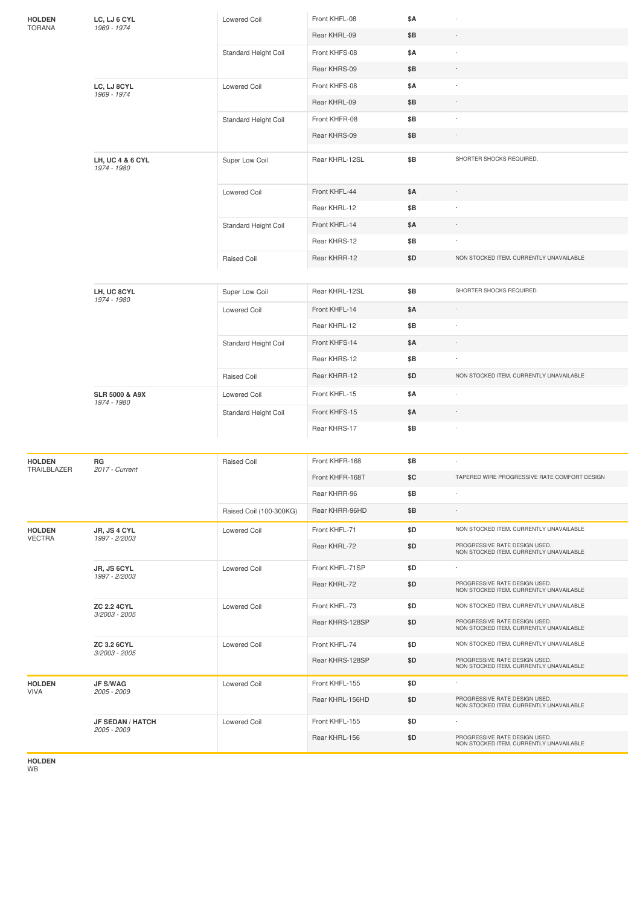| <b>HOLDEN</b><br><b>TORANA</b> | LC, LJ 6 CYL<br>1969 - 1974              | <b>Lowered Coil</b>     | Front KHFL-08   | \$A |                                                                          |
|--------------------------------|------------------------------------------|-------------------------|-----------------|-----|--------------------------------------------------------------------------|
|                                |                                          |                         | Rear KHRL-09    | \$B |                                                                          |
|                                |                                          | Standard Height Coil    | Front KHFS-08   | \$Α |                                                                          |
|                                |                                          |                         | Rear KHRS-09    | \$Β |                                                                          |
|                                | LC, LJ 8CYL<br>1969 - 1974               | <b>Lowered Coil</b>     | Front KHFS-08   | \$Α |                                                                          |
|                                |                                          |                         | Rear KHRL-09    | \$B | $\sim$                                                                   |
|                                |                                          | Standard Height Coil    | Front KHFR-08   | \$B |                                                                          |
|                                |                                          |                         | Rear KHRS-09    | \$B |                                                                          |
|                                | LH, UC 4 & 6 CYL<br>1974 - 1980          | Super Low Coil          | Rear KHRL-12SL  | \$B | SHORTER SHOCKS REQUIRED.                                                 |
|                                |                                          | Lowered Coil            | Front KHFL-44   | \$A |                                                                          |
|                                |                                          |                         | Rear KHRL-12    | \$Β |                                                                          |
|                                |                                          | Standard Height Coil    | Front KHFL-14   | \$Α |                                                                          |
|                                |                                          |                         | Rear KHRS-12    | \$Β |                                                                          |
|                                |                                          | <b>Raised Coil</b>      | Rear KHRR-12    | \$D | NON STOCKED ITEM. CURRENTLY UNAVAILABLE                                  |
|                                |                                          |                         |                 |     |                                                                          |
|                                | LH, UC 8CYL                              | Super Low Coil          | Rear KHRL-12SL  | \$Β | SHORTER SHOCKS REQUIRED.                                                 |
|                                | 1974 - 1980                              | Lowered Coil            | Front KHFL-14   | \$Α |                                                                          |
|                                |                                          |                         | Rear KHRL-12    | \$B |                                                                          |
|                                |                                          | Standard Height Coil    | Front KHFS-14   | \$A |                                                                          |
|                                |                                          |                         | Rear KHRS-12    | \$B |                                                                          |
|                                |                                          | <b>Raised Coil</b>      | Rear KHRR-12    | \$D | NON STOCKED ITEM. CURRENTLY UNAVAILABLE                                  |
|                                | <b>SLR 5000 &amp; A9X</b><br>1974 - 1980 | <b>Lowered Coil</b>     | Front KHFL-15   | \$Α |                                                                          |
|                                |                                          | Standard Height Coil    | Front KHFS-15   | \$Α |                                                                          |
|                                |                                          |                         | Rear KHRS-17    | \$Β |                                                                          |
| <b>HOLDEN</b>                  | RG                                       | Raised Coil             | Front KHFR-168  | \$B | $\sim$                                                                   |
| TRAILBLAZER                    | 2017 - Current                           |                         | Front KHFR-168T | \$C | TAPERED WIRE PROGRESSIVE RATE COMFORT DESIGN                             |
|                                |                                          |                         | Rear KHRR-96    | \$Β |                                                                          |
|                                |                                          | Raised Coil (100-300KG) | Rear KHRR-96HD  | \$Β |                                                                          |
| <b>HOLDEN</b>                  | JR, JS 4 CYL                             | <b>Lowered Coil</b>     | Front KHFL-71   | \$D | NON STOCKED ITEM. CURRENTLY UNAVAILABLE                                  |
| <b>VECTRA</b>                  | 1997 - 2/2003                            |                         | Rear KHRL-72    | \$D | PROGRESSIVE RATE DESIGN USED.                                            |
|                                |                                          |                         |                 |     | NON STOCKED ITEM, CURRENTLY UNAVAILABLE                                  |
|                                | JR, JS 6CYL<br>1997 - 2/2003             | <b>Lowered Coil</b>     | Front KHFL-71SP | \$D | PROGRESSIVE RATE DESIGN USED.                                            |
|                                |                                          |                         | Rear KHRL-72    | \$D | NON STOCKED ITEM. CURRENTLY UNAVAILABLE                                  |
|                                | <b>ZC 2.2 4CYL</b><br>3/2003 - 2005      | <b>Lowered Coil</b>     | Front KHFL-73   | \$D | NON STOCKED ITEM. CURRENTLY UNAVAILABLE                                  |
|                                |                                          |                         | Rear KHRS-128SP | \$D | PROGRESSIVE RATE DESIGN USED.<br>NON STOCKED ITEM. CURRENTLY UNAVAILABLE |
|                                | <b>ZC 3.2 6CYL</b>                       | <b>Lowered Coil</b>     | Front KHFL-74   | \$D | NON STOCKED ITEM. CURRENTLY UNAVAILABLE                                  |
|                                | 3/2003 - 2005                            |                         | Rear KHRS-128SP | \$D | PROGRESSIVE RATE DESIGN USED.<br>NON STOCKED ITEM. CURRENTLY UNAVAILABLE |
| <b>HOLDEN</b>                  | <b>JF S/WAG</b>                          | <b>Lowered Coil</b>     | Front KHFL-155  | \$D |                                                                          |
| <b>VIVA</b>                    | 2005 - 2009                              |                         | Rear KHRL-156HD | \$D | PROGRESSIVE RATE DESIGN USED.<br>NON STOCKED ITEM. CURRENTLY UNAVAILABLE |
|                                | <b>JF SEDAN / HATCH</b>                  | <b>Lowered Coil</b>     | Front KHFL-155  | \$D |                                                                          |
|                                | 2005 - 2009                              |                         | Rear KHRL-156   | \$D | PROGRESSIVE RATE DESIGN USED.<br>NON STOCKED ITEM. CURRENTLY UNAVAILABLE |

**HOLDEN** WB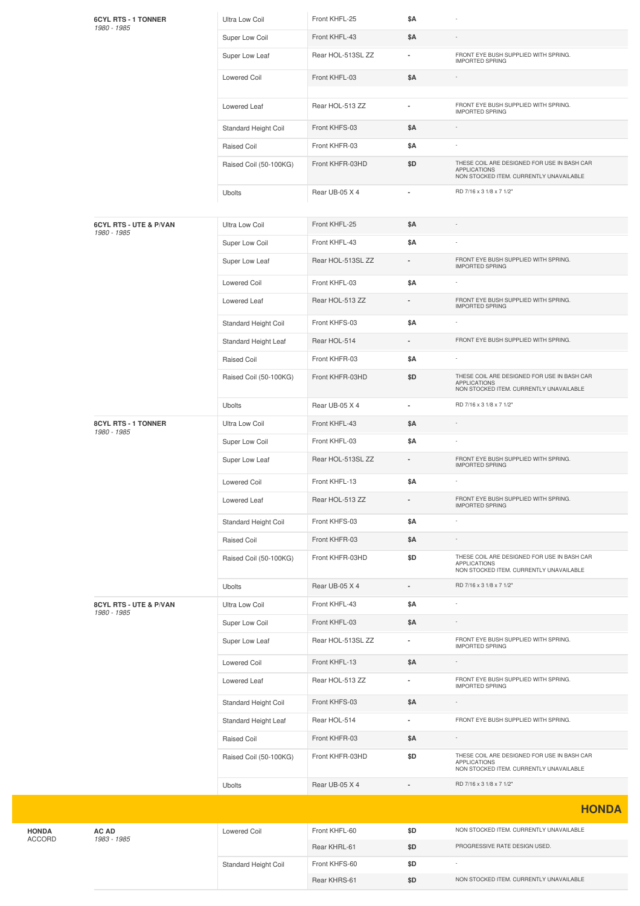| <b>6CYL RTS - 1 TONNER</b><br>1980 - 1985 | Ultra Low Coil         | Front KHFL-25     | \$Α            |                                                                                                               |
|-------------------------------------------|------------------------|-------------------|----------------|---------------------------------------------------------------------------------------------------------------|
|                                           | Super Low Coil         | Front KHFL-43     | \$A            |                                                                                                               |
|                                           | Super Low Leaf         | Rear HOL-513SL ZZ |                | FRONT EYE BUSH SUPPLIED WITH SPRING.<br><b>IMPORTED SPRING</b>                                                |
|                                           | Lowered Coil           | Front KHFL-03     | \$Α            |                                                                                                               |
|                                           | Lowered Leaf           | Rear HOL-513 ZZ   |                | FRONT EYE BUSH SUPPLIED WITH SPRING.<br><b>IMPORTED SPRING</b>                                                |
|                                           | Standard Height Coil   | Front KHFS-03     | \$A            |                                                                                                               |
|                                           | Raised Coil            | Front KHFR-03     | \$Α            |                                                                                                               |
|                                           | Raised Coil (50-100KG) | Front KHFR-03HD   | \$D            | THESE COIL ARE DESIGNED FOR USE IN BASH CAR<br><b>APPLICATIONS</b><br>NON STOCKED ITEM. CURRENTLY UNAVAILABLE |
|                                           | <b>Ubolts</b>          | Rear UB-05 X 4    |                | RD 7/16 x 3 1/8 x 7 1/2"                                                                                      |
| 6CYL RTS - UTE & P/VAN<br>1980 - 1985     | Ultra Low Coil         | Front KHFL-25     | \$A            |                                                                                                               |
|                                           | Super Low Coil         | Front KHFL-43     | <b>\$A</b>     |                                                                                                               |
|                                           | Super Low Leaf         | Rear HOL-513SL ZZ |                | FRONT EYE BUSH SUPPLIED WITH SPRING.<br><b>IMPORTED SPRING</b>                                                |
|                                           | Lowered Coil           | Front KHFL-03     | \$Α            |                                                                                                               |
|                                           | Lowered Leaf           | Rear HOL-513 ZZ   |                | FRONT EYE BUSH SUPPLIED WITH SPRING.<br><b>IMPORTED SPRING</b>                                                |
|                                           | Standard Height Coil   | Front KHFS-03     | \$Α            |                                                                                                               |
|                                           | Standard Height Leaf   | Rear HOL-514      |                | FRONT EYE BUSH SUPPLIED WITH SPRING.                                                                          |
|                                           | Raised Coil            | Front KHFR-03     | \$Α            |                                                                                                               |
|                                           | Raised Coil (50-100KG) | Front KHFR-03HD   | \$D            | THESE COIL ARE DESIGNED FOR USE IN BASH CAR<br><b>APPLICATIONS</b><br>NON STOCKED ITEM. CURRENTLY UNAVAILABLE |
|                                           | <b>Ubolts</b>          | Rear UB-05 X 4    | $\blacksquare$ | RD 7/16 x 3 1/8 x 7 1/2"                                                                                      |
| 8CYL RTS - 1 TONNER<br>1980 - 1985        | Ultra Low Coil         | Front KHFL-43     | \$Α            |                                                                                                               |
|                                           | Super Low Coil         | Front KHFL-03     | \$Α            |                                                                                                               |
|                                           | Super Low Leaf         | Rear HOL-513SL ZZ |                | FRONT EYE BUSH SUPPLIED WITH SPRING.<br><b>IMPORTED SPRING</b>                                                |
|                                           | Lowered Coil           | Front KHFL-13     | \$Α            |                                                                                                               |
|                                           | Lowered Leaf           | Rear HOL-513 ZZ   |                | FRONT EYE BUSH SUPPLIED WITH SPRING.<br><b>IMPORTED SPRING</b>                                                |
|                                           | Standard Height Coil   | Front KHFS-03     | \$Α            |                                                                                                               |
|                                           | Raised Coil            | Front KHFR-03     | \$Α            |                                                                                                               |
|                                           | Raised Coil (50-100KG) | Front KHFR-03HD   | \$D            | THESE COIL ARE DESIGNED FOR USE IN BASH CAR<br><b>APPLICATIONS</b><br>NON STOCKED ITEM. CURRENTLY UNAVAILABLE |
|                                           | <b>Ubolts</b>          | Rear UB-05 X 4    |                | RD 7/16 x 3 1/8 x 7 1/2"                                                                                      |
| 8CYL RTS - UTE & P/VAN<br>1980 - 1985     | Ultra Low Coil         | Front KHFL-43     | \$Α            |                                                                                                               |
|                                           | Super Low Coil         | Front KHFL-03     | \$Α            |                                                                                                               |
|                                           | Super Low Leaf         | Rear HOL-513SL ZZ |                | FRONT EYE BUSH SUPPLIED WITH SPRING.<br><b>IMPORTED SPRING</b>                                                |
|                                           | Lowered Coil           | Front KHFL-13     | \$Α            |                                                                                                               |
|                                           | Lowered Leaf           | Rear HOL-513 ZZ   |                | FRONT EYE BUSH SUPPLIED WITH SPRING.<br><b>IMPORTED SPRING</b>                                                |
|                                           | Standard Height Coil   | Front KHFS-03     | \$Α            |                                                                                                               |
|                                           | Standard Height Leaf   | Rear HOL-514      | $\blacksquare$ | FRONT EYE BUSH SUPPLIED WITH SPRING.                                                                          |
|                                           | Raised Coil            | Front KHFR-03     | \$Α            |                                                                                                               |
|                                           | Raised Coil (50-100KG) | Front KHFR-03HD   | \$D            | THESE COIL ARE DESIGNED FOR USE IN BASH CAR<br><b>APPLICATIONS</b><br>NON STOCKED ITEM. CURRENTLY UNAVAILABLE |
|                                           | <b>Ubolts</b>          | Rear UB-05 X 4    |                | RD 7/16 x 3 1/8 x 7 1/2"                                                                                      |
|                                           |                        |                   |                | <b>HONDA</b>                                                                                                  |
| AC AD                                     | Lowered Coil           | Front KHFL-60     | \$D            | NON STOCKED ITEM. CURRENTLY UNAVAILABLE                                                                       |
| 1983 - 1985                               |                        |                   |                |                                                                                                               |
|                                           |                        | Rear KHRL-61      | \$D            | PROGRESSIVE RATE DESIGN USED.                                                                                 |
|                                           | Standard Height Coil   | Front KHFS-60     | \$D            |                                                                                                               |

**HONDA** ACCORD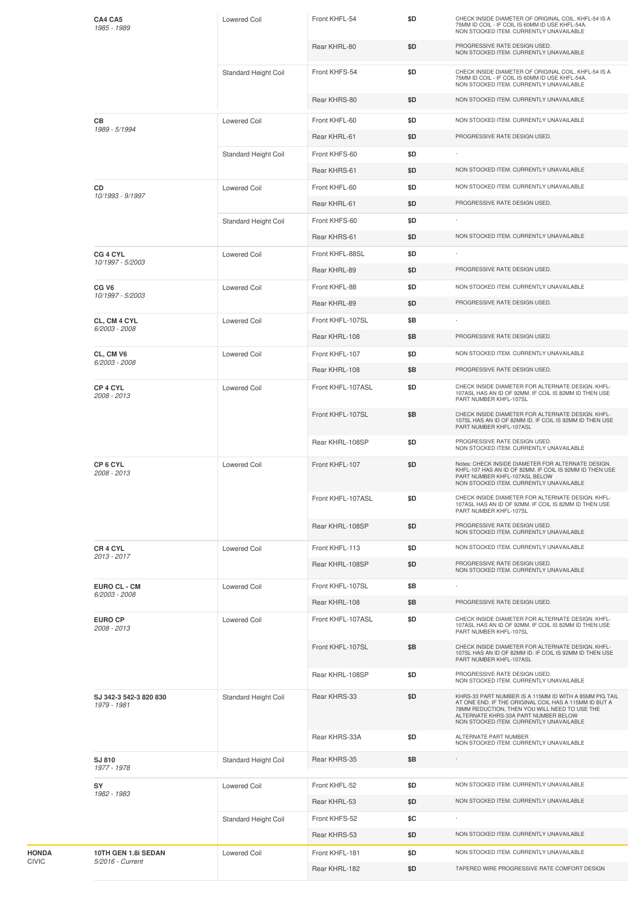| CA4 CA5<br>1985 - 1989                  | Lowered Coil         | Front KHFL-54     | \$D | CHECK INSIDE DIAMETER OF ORIGINAL COIL. KHFL-54 IS A<br>75MM ID COIL - IF COIL IS 60MM ID USE KHFL-54A.<br>NON STOCKED ITEM. CURRENTLY UNAVAILABLE                                                                                                  |
|-----------------------------------------|----------------------|-------------------|-----|-----------------------------------------------------------------------------------------------------------------------------------------------------------------------------------------------------------------------------------------------------|
|                                         |                      | Rear KHRL-80      | \$D | PROGRESSIVE RATE DESIGN USED.<br>NON STOCKED ITEM. CURRENTLY UNAVAILABLE                                                                                                                                                                            |
|                                         | Standard Height Coil | Front KHFS-54     | \$D | CHECK INSIDE DIAMETER OF ORIGINAL COIL. KHFL-54 IS A<br>75MM ID COIL - IF COIL IS 60MM ID USE KHFL-54A.<br>NON STOCKED ITEM. CURRENTLY UNAVAILABLE                                                                                                  |
|                                         |                      | Rear KHRS-80      | \$D | NON STOCKED ITEM. CURRENTLY UNAVAILABLE                                                                                                                                                                                                             |
| CВ                                      | <b>Lowered Coil</b>  | Front KHFL-60     | \$D | NON STOCKED ITEM. CURRENTLY UNAVAILABLE                                                                                                                                                                                                             |
| 1989 - 5/1994                           |                      | Rear KHRL-61      | \$D | PROGRESSIVE RATE DESIGN USED.                                                                                                                                                                                                                       |
|                                         | Standard Height Coil | Front KHFS-60     | \$D |                                                                                                                                                                                                                                                     |
|                                         |                      | Rear KHRS-61      | \$D | NON STOCKED ITEM. CURRENTLY UNAVAILABLE                                                                                                                                                                                                             |
| CD                                      | <b>Lowered Coil</b>  | Front KHFL-60     | \$D | NON STOCKED ITEM. CURRENTLY UNAVAILABLE                                                                                                                                                                                                             |
| 10/1993 - 9/1997                        |                      | Rear KHRL-61      | \$D | PROGRESSIVE RATE DESIGN USED.                                                                                                                                                                                                                       |
|                                         | Standard Height Coil | Front KHFS-60     | \$D |                                                                                                                                                                                                                                                     |
|                                         |                      | Rear KHRS-61      | \$D | NON STOCKED ITEM. CURRENTLY UNAVAILABLE                                                                                                                                                                                                             |
| CG 4 CYL<br>10/1997 - 5/2003            | <b>Lowered Coil</b>  | Front KHFL-88SL   | \$D |                                                                                                                                                                                                                                                     |
|                                         |                      | Rear KHRL-89      | \$D | PROGRESSIVE RATE DESIGN USED.                                                                                                                                                                                                                       |
| CG <sub>V6</sub><br>10/1997 - 5/2003    | <b>Lowered Coil</b>  | Front KHFL-88     | \$D | NON STOCKED ITEM. CURRENTLY UNAVAILABLE                                                                                                                                                                                                             |
|                                         |                      | Rear KHRL-89      | \$D | PROGRESSIVE RATE DESIGN USED.                                                                                                                                                                                                                       |
| CL, CM 4 CYL<br>6/2003 - 2008           | <b>Lowered Coil</b>  | Front KHFL-107SL  | \$B |                                                                                                                                                                                                                                                     |
|                                         |                      | Rear KHRL-108     | \$Β | PROGRESSIVE RATE DESIGN USED.                                                                                                                                                                                                                       |
| CL, CM V6<br>6/2003 - 2008              | Lowered Coil         | Front KHFL-107    | \$D | NON STOCKED ITEM. CURRENTLY UNAVAILABLE                                                                                                                                                                                                             |
|                                         |                      | Rear KHRL-108     | \$B | PROGRESSIVE RATE DESIGN USED.                                                                                                                                                                                                                       |
| CP 4 CYL<br>2008 - 2013                 | <b>Lowered Coil</b>  | Front KHFL-107ASL | \$D | CHECK INSIDE DIAMETER FOR ALTERNATE DESIGN. KHFL-<br>107ASL HAS AN ID OF 92MM. IF COIL IS 82MM ID THEN USE<br>PART NUMBER KHFL-107SL                                                                                                                |
|                                         |                      | Front KHFL-107SL  | \$Β | CHECK INSIDE DIAMETER FOR ALTERNATE DESIGN. KHFL-<br>107SL HAS AN ID OF 82MM ID. IF COIL IS 92MM ID THEN USE<br>PART NUMBER KHFL-107ASL                                                                                                             |
|                                         |                      | Rear KHRL-108SP   | \$D | PROGRESSIVE RATE DESIGN USED.<br>NON STOCKED ITEM. CURRENTLY UNAVAILABLE                                                                                                                                                                            |
| CP6CYL<br>2008 - 2013                   | <b>Lowered Coil</b>  | Front KHFL-107    | \$D | Notes: CHECK INSIDE DIAMETER FOR ALTERNATE DESIGN.<br>KHFL-107 HAS AN ID OF 82MM. IF COIL IS 92MM ID THEN USE<br>PART NUMBER KHFL-107ASL BELOW<br>NON STOCKED ITEM. CURRENTLY UNAVAILABLE                                                           |
|                                         |                      | Front KHFL-107ASL | \$D | CHECK INSIDE DIAMETER FOR ALTERNATE DESIGN. KHFL-<br>107ASL HAS AN ID OF 92MM. IF COIL IS 82MM ID THEN USE<br>PART NUMBER KHFL-107SL                                                                                                                |
|                                         |                      | Rear KHRL-108SP   | \$D | PROGRESSIVE RATE DESIGN USED.<br>NON STOCKED ITEM. CURRENTLY UNAVAILABLE                                                                                                                                                                            |
| CR 4 CYL<br>2013 - 2017                 | <b>Lowered Coil</b>  | Front KHFL-113    | \$D | NON STOCKED ITEM. CURRENTLY UNAVAILABLE                                                                                                                                                                                                             |
|                                         |                      | Rear KHRL-108SP   | \$D | PROGRESSIVE RATE DESIGN USED.<br>NON STOCKED ITEM. CURRENTLY UNAVAILABLE                                                                                                                                                                            |
| EURO CL - CM                            | <b>Lowered Coil</b>  | Front KHFL-107SL  | \$B |                                                                                                                                                                                                                                                     |
| 6/2003 - 2008                           |                      | Rear KHRL-108     | \$B | PROGRESSIVE RATE DESIGN USED.                                                                                                                                                                                                                       |
| <b>EURO CP</b><br>2008 - 2013           | <b>Lowered Coil</b>  | Front KHFL-107ASL | \$D | CHECK INSIDE DIAMETER FOR ALTERNATE DESIGN. KHFL-<br>107ASL HAS AN ID OF 92MM. IF COIL IS 82MM ID THEN USE<br>PART NUMBER KHFL-107SL                                                                                                                |
|                                         |                      | Front KHFL-107SL  | \$B | CHECK INSIDE DIAMETER FOR ALTERNATE DESIGN. KHFL-<br>107SL HAS AN ID OF 82MM ID. IF COIL IS 92MM ID THEN USE<br>PART NUMBER KHFL-107ASL                                                                                                             |
|                                         |                      | Rear KHRL-108SP   | \$D | PROGRESSIVE RATE DESIGN USED.<br>NON STOCKED ITEM. CURRENTLY UNAVAILABLE                                                                                                                                                                            |
| SJ 342-3 542-3 820 830<br>1979 - 1981   | Standard Height Coil | Rear KHRS-33      | \$D | KHRS-33 PART NUMBER IS A 115MM ID WITH A 85MM PIG TAIL<br>AT ONE END. IF THE ORIGINAL COIL HAS A 115MM ID BUT A<br>78MM REDUCTION, THEN YOU WILL NEED TO USE THE<br>ALTERNATE KHRS-33A PART NUMBER BELOW<br>NON STOCKED ITEM. CURRENTLY UNAVAILABLE |
|                                         |                      | Rear KHRS-33A     | \$D | ALTERNATE PART NUMBER<br>NON STOCKED ITEM. CURRENTLY UNAVAILABLE                                                                                                                                                                                    |
| SJ 810<br>1977 - 1978                   | Standard Height Coil | Rear KHRS-35      | \$Β | $\overline{\phantom{a}}$                                                                                                                                                                                                                            |
| SY<br>1982 - 1983                       | <b>Lowered Coil</b>  | Front KHFL-52     | \$D | NON STOCKED ITEM. CURRENTLY UNAVAILABLE                                                                                                                                                                                                             |
|                                         |                      | Rear KHRL-53      | \$D | NON STOCKED ITEM. CURRENTLY UNAVAILABLE                                                                                                                                                                                                             |
|                                         | Standard Height Coil | Front KHFS-52     | \$C |                                                                                                                                                                                                                                                     |
|                                         |                      | Rear KHRS-53      | \$D | NON STOCKED ITEM. CURRENTLY UNAVAILABLE                                                                                                                                                                                                             |
| 10TH GEN 1.8i SEDAN<br>5/2016 - Current | <b>Lowered Coil</b>  | Front KHFL-181    | \$D | NON STOCKED ITEM. CURRENTLY UNAVAILABLE                                                                                                                                                                                                             |
|                                         |                      | Rear KHRL-182     | \$D | TAPERED WIRE PROGRESSIVE RATE COMFORT DESIGN                                                                                                                                                                                                        |

**HONDA** CIVIC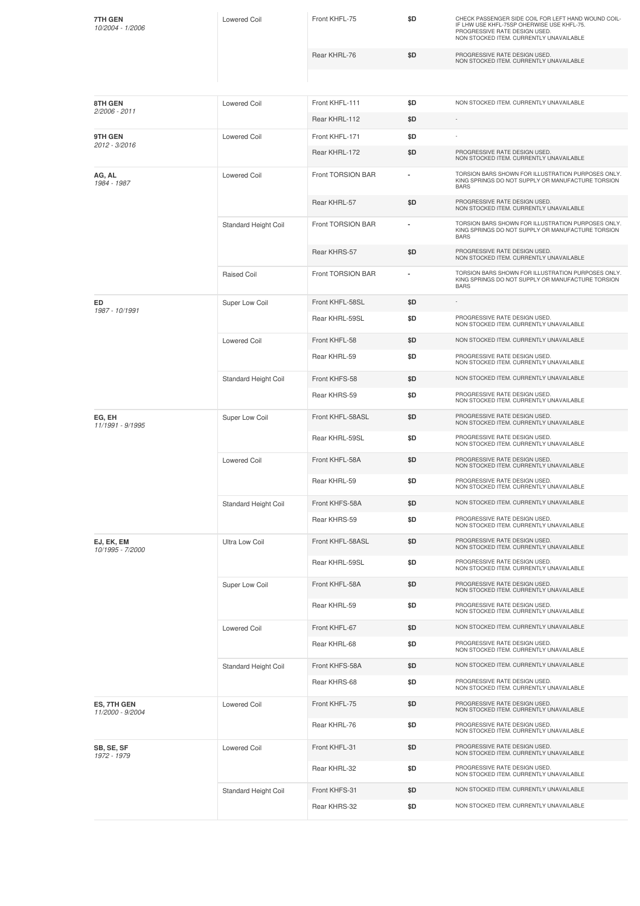| 7TH GEN<br>10/2004 - 1/2006     | <b>Lowered Coil</b>   | Front KHFL-75     | \$D | CHECK PASSENGER SIDE COIL FOR LEFT HAND WOUND COIL-<br>IF LHW USE KHFL-75SP OHERWISE USE KHFL-75.<br>PROGRESSIVE RATE DESIGN USED.<br>NON STOCKED ITEM. CURRENTLY UNAVAILABLE |
|---------------------------------|-----------------------|-------------------|-----|-------------------------------------------------------------------------------------------------------------------------------------------------------------------------------|
|                                 |                       | Rear KHRL-76      | \$D | PROGRESSIVE RATE DESIGN USED.<br>NON STOCKED ITEM. CURRENTLY UNAVAILABLE                                                                                                      |
|                                 |                       |                   |     |                                                                                                                                                                               |
| 8TH GEN<br>2/2006 - 2011        | Lowered Coil          | Front KHFL-111    | \$D | NON STOCKED ITEM. CURRENTLY UNAVAILABLE                                                                                                                                       |
|                                 |                       | Rear KHRL-112     | \$D | $\overline{\phantom{a}}$                                                                                                                                                      |
| 9TH GEN<br>2012 - 3/2016        | <b>Lowered Coil</b>   | Front KHFL-171    | \$D |                                                                                                                                                                               |
|                                 |                       | Rear KHRL-172     | \$D | PROGRESSIVE RATE DESIGN USED.<br>NON STOCKED ITEM. CURRENTLY UNAVAILABLE                                                                                                      |
| AG, AL<br>1984 - 1987           | <b>Lowered Coil</b>   | Front TORSION BAR |     | TORSION BARS SHOWN FOR ILLUSTRATION PURPOSES ONLY.<br>KING SPRINGS DO NOT SUPPLY OR MANUFACTURE TORSION<br><b>BARS</b>                                                        |
|                                 |                       | Rear KHRL-57      | \$D | PROGRESSIVE RATE DESIGN USED.<br>NON STOCKED ITEM. CURRENTLY UNAVAILABLE                                                                                                      |
|                                 | Standard Height Coil  | Front TORSION BAR | ۰   | TORSION BARS SHOWN FOR ILLUSTRATION PURPOSES ONLY.<br>KING SPRINGS DO NOT SUPPLY OR MANUFACTURE TORSION<br><b>BARS</b>                                                        |
|                                 |                       | Rear KHRS-57      | \$D | PROGRESSIVE RATE DESIGN USED.<br>NON STOCKED ITEM. CURRENTLY UNAVAILABLE                                                                                                      |
|                                 | Raised Coil           | Front TORSION BAR | ۰   | TORSION BARS SHOWN FOR ILLUSTRATION PURPOSES ONLY.<br>KING SPRINGS DO NOT SUPPLY OR MANUFACTURE TORSION<br><b>BARS</b>                                                        |
| ED<br>1987 - 10/1991            | Super Low Coil        | Front KHFL-58SL   | \$D |                                                                                                                                                                               |
|                                 |                       | Rear KHRL-59SL    | \$D | PROGRESSIVE RATE DESIGN USED.<br>NON STOCKED ITEM. CURRENTLY UNAVAILABLE                                                                                                      |
|                                 | <b>Lowered Coil</b>   | Front KHFL-58     | \$D | NON STOCKED ITEM. CURRENTLY UNAVAILABLE                                                                                                                                       |
|                                 |                       | Rear KHRL-59      | \$D | PROGRESSIVE RATE DESIGN USED.<br>NON STOCKED ITEM. CURRENTLY UNAVAILABLE                                                                                                      |
|                                 | Standard Height Coil  | Front KHFS-58     | \$D | NON STOCKED ITEM. CURRENTLY UNAVAILABLE                                                                                                                                       |
|                                 |                       | Rear KHRS-59      | \$D | PROGRESSIVE RATE DESIGN USED.<br>NON STOCKED ITEM. CURRENTLY UNAVAILABLE                                                                                                      |
| EG, EH<br>11/1991 - 9/1995      | Super Low Coil        | Front KHFL-58ASL  | \$D | PROGRESSIVE RATE DESIGN USED.<br>NON STOCKED ITEM. CURRENTLY UNAVAILABLE                                                                                                      |
|                                 |                       | Rear KHRL-59SL    | \$D | PROGRESSIVE RATE DESIGN USED.<br>NON STOCKED ITEM. CURRENTLY UNAVAILABLE                                                                                                      |
|                                 | <b>Lowered Coil</b>   | Front KHFL-58A    | \$D | PROGRESSIVE RATE DESIGN USED.<br>NON STOCKED ITEM. CURRENTLY UNAVAILABLE                                                                                                      |
|                                 |                       | Rear KHRL-59      | \$D | PROGRESSIVE RATE DESIGN USED.<br>NON STOCKED ITEM. CURRENTLY UNAVAILABLE                                                                                                      |
|                                 | Standard Height Coil  | Front KHFS-58A    | \$D | NON STOCKED ITEM. CURRENTLY UNAVAILABLE                                                                                                                                       |
|                                 |                       | Rear KHRS-59      | \$D | PROGRESSIVE RATE DESIGN USED.<br>NON STOCKED ITEM. CURRENTLY UNAVAILABLE                                                                                                      |
| EJ, EK, EM<br>10/1995 - 7/2000  | <b>Ultra Low Coil</b> | Front KHFL-58ASL  | \$D | PROGRESSIVE RATE DESIGN USED.<br>NON STOCKED ITEM. CURRENTLY UNAVAILABLE                                                                                                      |
|                                 |                       | Rear KHRL-59SL    | \$D | PROGRESSIVE RATE DESIGN USED.<br>NON STOCKED ITEM. CURRENTLY UNAVAILABLE                                                                                                      |
|                                 | Super Low Coil        | Front KHFL-58A    | \$D | PROGRESSIVE RATE DESIGN USED.<br>NON STOCKED ITEM. CURRENTLY UNAVAILABLE                                                                                                      |
|                                 |                       | Rear KHRL-59      | \$D | PROGRESSIVE RATE DESIGN USED.<br>NON STOCKED ITEM. CURRENTLY UNAVAILABLE                                                                                                      |
|                                 | <b>Lowered Coil</b>   | Front KHFL-67     | \$D | NON STOCKED ITEM. CURRENTLY UNAVAILABLE                                                                                                                                       |
|                                 |                       | Rear KHRL-68      | \$D | PROGRESSIVE RATE DESIGN USED.<br>NON STOCKED ITEM. CURRENTLY UNAVAILABLE                                                                                                      |
|                                 | Standard Height Coil  | Front KHFS-58A    | \$D | NON STOCKED ITEM. CURRENTLY UNAVAILABLE                                                                                                                                       |
|                                 |                       | Rear KHRS-68      | \$D | PROGRESSIVE RATE DESIGN USED.<br>NON STOCKED ITEM. CURRENTLY UNAVAILABLE                                                                                                      |
| ES, 7TH GEN<br>11/2000 - 9/2004 | <b>Lowered Coil</b>   | Front KHFL-75     | \$D | PROGRESSIVE RATE DESIGN USED.<br>NON STOCKED ITEM. CURRENTLY UNAVAILABLE                                                                                                      |
|                                 |                       | Rear KHRL-76      | \$D | PROGRESSIVE RATE DESIGN USED.<br>NON STOCKED ITEM. CURRENTLY UNAVAILABLE                                                                                                      |
| SB, SE, SF<br>1972 - 1979       | <b>Lowered Coil</b>   | Front KHFL-31     | \$D | PROGRESSIVE RATE DESIGN USED.<br>NON STOCKED ITEM. CURRENTLY UNAVAILABLE                                                                                                      |
|                                 |                       | Rear KHRL-32      | \$D | PROGRESSIVE RATE DESIGN USED.<br>NON STOCKED ITEM. CURRENTLY UNAVAILABLE                                                                                                      |
|                                 | Standard Height Coil  | Front KHFS-31     | \$D | NON STOCKED ITEM. CURRENTLY UNAVAILABLE                                                                                                                                       |
|                                 |                       | Rear KHRS-32      | \$D | NON STOCKED ITEM. CURRENTLY UNAVAILABLE                                                                                                                                       |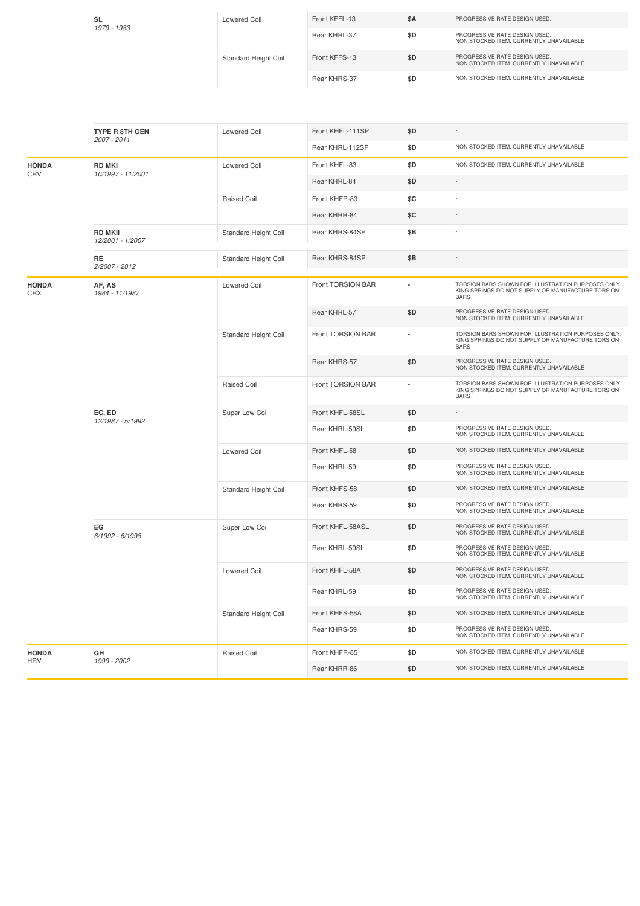| <b>SL</b><br>1979 - 1983 | Lowered Coil         | Front KFFL-13 | \$A | PROGRESSIVE RATE DESIGN USED.                                            |
|--------------------------|----------------------|---------------|-----|--------------------------------------------------------------------------|
|                          |                      | Rear KHRL-37  | \$D | PROGRESSIVE RATE DESIGN USED.<br>NON STOCKED ITEM, CURRENTLY UNAVAILABLE |
|                          | Standard Height Coil | Front KFFS-13 | \$D | PROGRESSIVE RATE DESIGN USED.<br>NON STOCKED ITEM, CURRENTLY UNAVAILABLE |
|                          |                      | Rear KHRS-37  | \$D | NON STOCKED ITEM, CURRENTLY UNAVAILABLE                                  |

|                     | <b>TYPE R 8TH GEN</b>              | <b>Lowered Coil</b>         | Front KHFL-111SP  | \$D            |                                                                                                                        |
|---------------------|------------------------------------|-----------------------------|-------------------|----------------|------------------------------------------------------------------------------------------------------------------------|
|                     | 2007 - 2011                        |                             | Rear KHRL-112SP   | \$D            | NON STOCKED ITEM. CURRENTLY UNAVAILABLE                                                                                |
| <b>HONDA</b>        | <b>RD MKI</b>                      | <b>Lowered Coil</b>         | Front KHFL-83     | \$D            | NON STOCKED ITEM. CURRENTLY UNAVAILABLE                                                                                |
| CRV                 | 10/1997 - 11/2001                  |                             | Rear KHRL-84      | \$D            | $\sim$                                                                                                                 |
|                     |                                    | <b>Raised Coil</b>          | Front KHFR-83     | \$C            |                                                                                                                        |
|                     |                                    |                             | Rear KHRR-84      | \$C            |                                                                                                                        |
|                     | <b>RD MKII</b><br>12/2001 - 1/2007 | <b>Standard Height Coil</b> | Rear KHRS-84SP    | \$B            |                                                                                                                        |
|                     | RE<br>2/2007 - 2012                | Standard Height Coil        | Rear KHRS-84SP    | \$B            | $\sim$                                                                                                                 |
| <b>HONDA</b><br>CRX | AF, AS<br>1984 - 11/1987           | <b>Lowered Coil</b>         | Front TORSION BAR |                | TORSION BARS SHOWN FOR ILLUSTRATION PURPOSES ONLY.<br>KING SPRINGS DO NOT SUPPLY OR MANUFACTURE TORSION<br><b>BARS</b> |
|                     |                                    |                             | Rear KHRL-57      | \$D            | PROGRESSIVE RATE DESIGN USED.<br>NON STOCKED ITEM. CURRENTLY UNAVAILABLE                                               |
|                     |                                    | Standard Height Coil        | Front TORSION BAR | $\overline{a}$ | TORSION BARS SHOWN FOR ILLUSTRATION PURPOSES ONLY.<br>KING SPRINGS DO NOT SUPPLY OR MANUFACTURE TORSION<br><b>BARS</b> |
|                     |                                    |                             | Rear KHRS-57      | \$D            | PROGRESSIVE RATE DESIGN USED.<br>NON STOCKED ITEM. CURRENTLY UNAVAILABLE                                               |
|                     |                                    | <b>Raised Coil</b>          | Front TORSION BAR |                | TORSION BARS SHOWN FOR ILLUSTRATION PURPOSES ONLY.<br>KING SPRINGS DO NOT SUPPLY OR MANUFACTURE TORSION<br><b>BARS</b> |
|                     | EC, ED<br>12/1987 - 5/1992         | Super Low Coil              | Front KHFL-58SL   | \$D            |                                                                                                                        |
|                     |                                    |                             | Rear KHRL-59SL    | \$D            | PROGRESSIVE RATE DESIGN USED.<br>NON STOCKED ITEM. CURRENTLY UNAVAILABLE                                               |
|                     |                                    | <b>Lowered Coil</b>         | Front KHFL-58     | \$D            | NON STOCKED ITEM. CURRENTLY UNAVAILABLE                                                                                |
|                     |                                    |                             | Rear KHRL-59      | \$D            | PROGRESSIVE RATE DESIGN USED.<br>NON STOCKED ITEM. CURRENTLY UNAVAILABLE                                               |
|                     |                                    | Standard Height Coil        | Front KHFS-58     | \$D            | NON STOCKED ITEM. CURRENTLY UNAVAILABLE                                                                                |
|                     |                                    |                             | Rear KHRS-59      | \$D            | PROGRESSIVE RATE DESIGN USED.<br>NON STOCKED ITEM. CURRENTLY UNAVAILABLE                                               |
|                     | EG<br>6/1992 - 6/1998              | Super Low Coil              | Front KHFL-58ASL  | \$D            | PROGRESSIVE RATE DESIGN USED.<br>NON STOCKED ITEM. CURRENTLY UNAVAILABLE                                               |
|                     |                                    |                             | Rear KHRL-59SL    | \$D            | PROGRESSIVE RATE DESIGN USED.<br>NON STOCKED ITEM. CURRENTLY UNAVAILABLE                                               |
|                     |                                    | <b>Lowered Coil</b>         | Front KHFL-58A    | \$D            | PROGRESSIVE RATE DESIGN USED.<br>NON STOCKED ITEM. CURRENTLY UNAVAILABLE                                               |
|                     |                                    |                             | Rear KHRL-59      | \$D            | PROGRESSIVE RATE DESIGN USED.<br>NON STOCKED ITEM. CURRENTLY UNAVAILABLE                                               |
|                     |                                    | Standard Height Coil        | Front KHFS-58A    | \$D            | NON STOCKED ITEM. CURRENTLY UNAVAILABLE                                                                                |
|                     |                                    |                             | Rear KHRS-59      | \$D            | PROGRESSIVE RATE DESIGN USED.<br>NON STOCKED ITEM. CURRENTLY UNAVAILABLE                                               |
| <b>HONDA</b>        | GH                                 | Raised Coil                 | Front KHFR-85     | \$D            | NON STOCKED ITEM. CURRENTLY UNAVAILABLE                                                                                |
| <b>HRV</b>          | 1999 - 2002                        |                             | Rear KHRR-86      | \$D            | NON STOCKED ITEM. CURRENTLY UNAVAILABLE                                                                                |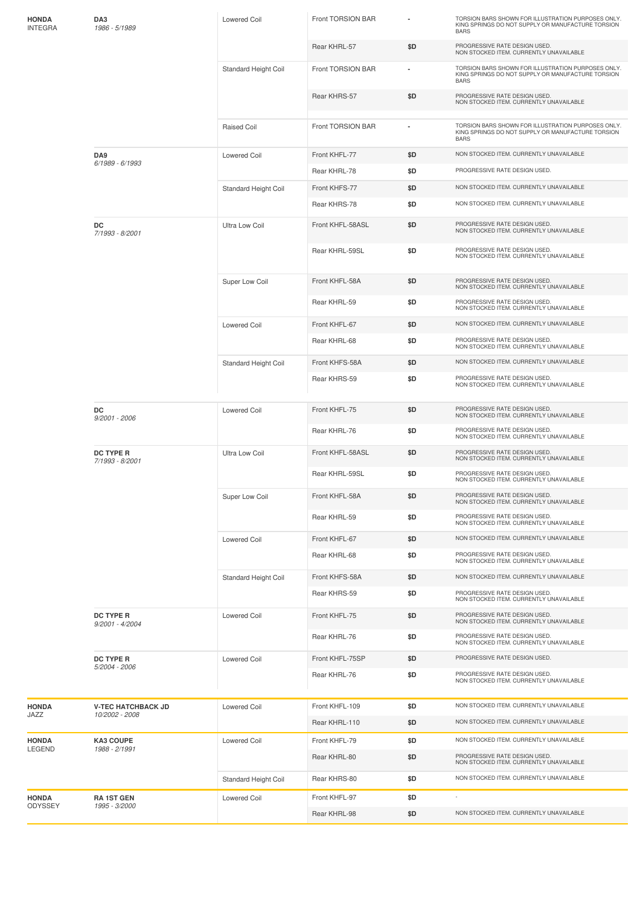| HONDA<br><b>INTEGRA</b> | DA3<br>1986 - 5/1989                  | <b>Lowered Coil</b>         | Front TORSION BAR |     | TORSION BARS SHOWN FOR ILLUSTRATION PURPOSES ONLY.<br>KING SPRINGS DO NOT SUPPLY OR MANUFACTURE TORSION<br><b>BARS</b> |
|-------------------------|---------------------------------------|-----------------------------|-------------------|-----|------------------------------------------------------------------------------------------------------------------------|
|                         |                                       |                             | Rear KHRL-57      | \$D | PROGRESSIVE RATE DESIGN USED.<br>NON STOCKED ITEM. CURRENTLY UNAVAILABLE                                               |
|                         |                                       | Standard Height Coil        | Front TORSION BAR |     | TORSION BARS SHOWN FOR ILLUSTRATION PURPOSES ONLY.<br>KING SPRINGS DO NOT SUPPLY OR MANUFACTURE TORSION<br><b>BARS</b> |
|                         |                                       |                             | Rear KHRS-57      | \$D | PROGRESSIVE RATE DESIGN USED.<br>NON STOCKED ITEM. CURRENTLY UNAVAILABLE                                               |
|                         |                                       | <b>Raised Coil</b>          | Front TORSION BAR |     | TORSION BARS SHOWN FOR ILLUSTRATION PURPOSES ONLY.<br>KING SPRINGS DO NOT SUPPLY OR MANUFACTURE TORSION<br><b>BARS</b> |
|                         | DA9<br>6/1989 - 6/1993                | <b>Lowered Coil</b>         | Front KHFL-77     | \$D | NON STOCKED ITEM. CURRENTLY UNAVAILABLE                                                                                |
|                         |                                       |                             | Rear KHRL-78      | \$D | PROGRESSIVE RATE DESIGN USED.                                                                                          |
|                         |                                       | Standard Height Coil        | Front KHFS-77     | \$D | NON STOCKED ITEM. CURRENTLY UNAVAILABLE                                                                                |
|                         |                                       |                             | Rear KHRS-78      | \$D | NON STOCKED ITEM. CURRENTLY UNAVAILABLE                                                                                |
|                         | DC<br>7/1993 - 8/2001                 | <b>Ultra Low Coil</b>       | Front KHFL-58ASL  | \$D | PROGRESSIVE RATE DESIGN USED.<br>NON STOCKED ITEM. CURRENTLY UNAVAILABLE                                               |
|                         |                                       |                             | Rear KHRL-59SL    | \$D | PROGRESSIVE RATE DESIGN USED.<br>NON STOCKED ITEM. CURRENTLY UNAVAILABLE                                               |
|                         |                                       | Super Low Coil              | Front KHFL-58A    | \$D | PROGRESSIVE RATE DESIGN USED.<br>NON STOCKED ITEM. CURRENTLY UNAVAILABLE                                               |
|                         |                                       |                             | Rear KHRL-59      | \$D | PROGRESSIVE RATE DESIGN USED.<br>NON STOCKED ITEM. CURRENTLY UNAVAILABLE                                               |
|                         |                                       | <b>Lowered Coil</b>         | Front KHFL-67     | \$D | NON STOCKED ITEM. CURRENTLY UNAVAILABLE                                                                                |
|                         |                                       |                             | Rear KHRL-68      | \$D | PROGRESSIVE RATE DESIGN USED.<br>NON STOCKED ITEM. CURRENTLY UNAVAILABLE                                               |
|                         |                                       | Standard Height Coil        | Front KHFS-58A    | \$D | NON STOCKED ITEM. CURRENTLY UNAVAILABLE                                                                                |
|                         |                                       |                             | Rear KHRS-59      | \$D | PROGRESSIVE RATE DESIGN USED.<br>NON STOCKED ITEM. CURRENTLY UNAVAILABLE                                               |
|                         | DC<br>9/2001 - 2006                   | <b>Lowered Coil</b>         | Front KHFL-75     | \$D | PROGRESSIVE RATE DESIGN USED.<br>NON STOCKED ITEM. CURRENTLY UNAVAILABLE                                               |
|                         |                                       |                             | Rear KHRL-76      | \$D | PROGRESSIVE RATE DESIGN USED.<br>NON STOCKED ITEM. CURRENTLY UNAVAILABLE                                               |
|                         | <b>DC TYPE R</b><br>7/1993 - 8/2001   | Ultra Low Coil              | Front KHFL-58ASL  | \$D | PROGRESSIVE RATE DESIGN USED.<br>NON STOCKED ITEM. CURRENTLY UNAVAILABLE                                               |
|                         |                                       |                             | Rear KHRL-59SL    | \$D | PROGRESSIVE RATE DESIGN USED.<br>NON STOCKED ITEM. CURRENTLY UNAVAILABLE                                               |
|                         |                                       | Super Low Coil              | Front KHFL-58A    | \$D | PROGRESSIVE RATE DESIGN USED.<br>NON STOCKED ITEM. CURRENTLY UNAVAILABLE                                               |
|                         |                                       |                             | Rear KHRL-59      | \$D | PROGRESSIVE RATE DESIGN USED.<br>NON STOCKED ITEM. CURRENTLY UNAVAILABLE                                               |
|                         |                                       | <b>Lowered Coil</b>         | Front KHFL-67     | \$D | NON STOCKED ITEM. CURRENTLY UNAVAILABLE                                                                                |
|                         |                                       |                             | Rear KHRL-68      | \$D | PROGRESSIVE RATE DESIGN USED.<br>NON STOCKED ITEM. CURRENTLY UNAVAILABLE                                               |
|                         |                                       | <b>Standard Height Coil</b> | Front KHFS-58A    | \$D | NON STOCKED ITEM. CURRENTLY UNAVAILABLE                                                                                |
|                         |                                       |                             | Rear KHRS-59      | \$D | PROGRESSIVE RATE DESIGN USED.<br>NON STOCKED ITEM. CURRENTLY UNAVAILABLE                                               |
|                         | <b>DC TYPE R</b><br>$9/2001 - 4/2004$ | <b>Lowered Coil</b>         | Front KHFL-75     | \$D | PROGRESSIVE RATE DESIGN USED.<br>NON STOCKED ITEM. CURRENTLY UNAVAILABLE                                               |
|                         |                                       |                             | Rear KHRL-76      | \$D | PROGRESSIVE RATE DESIGN USED.<br>NON STOCKED ITEM. CURRENTLY UNAVAILABLE                                               |
|                         | <b>DC TYPE R</b><br>5/2004 - 2006     | <b>Lowered Coil</b>         | Front KHFL-75SP   | \$D | PROGRESSIVE RATE DESIGN USED.                                                                                          |
|                         |                                       |                             | Rear KHRL-76      | \$D | PROGRESSIVE RATE DESIGN USED.<br>NON STOCKED ITEM. CURRENTLY UNAVAILABLE                                               |
| <b>HONDA</b>            | <b>V-TEC HATCHBACK JD</b>             | <b>Lowered Coil</b>         | Front KHFL-109    | \$D | NON STOCKED ITEM. CURRENTLY UNAVAILABLE                                                                                |
| JAZZ                    | 10/2002 - 2008                        |                             | Rear KHRL-110     | \$D | NON STOCKED ITEM. CURRENTLY UNAVAILABLE                                                                                |
| <b>HONDA</b>            | <b>KA3 COUPE</b>                      | <b>Lowered Coil</b>         | Front KHFL-79     | \$D | NON STOCKED ITEM. CURRENTLY UNAVAILABLE                                                                                |
| LEGEND                  | 1988 - 2/1991                         |                             | Rear KHRL-80      | \$D | PROGRESSIVE RATE DESIGN USED.<br>NON STOCKED ITEM. CURRENTLY UNAVAILABLE                                               |
|                         |                                       | Standard Height Coil        | Rear KHRS-80      | \$D | NON STOCKED ITEM. CURRENTLY UNAVAILABLE                                                                                |
| HONDA                   | <b>RA1ST GEN</b>                      | <b>Lowered Coil</b>         | Front KHFL-97     | \$D | $\overline{\phantom{a}}$                                                                                               |
| ODYSSEY                 | 1995 - 3/2000                         |                             | Rear KHRL-98      | \$D | NON STOCKED ITEM. CURRENTLY UNAVAILABLE                                                                                |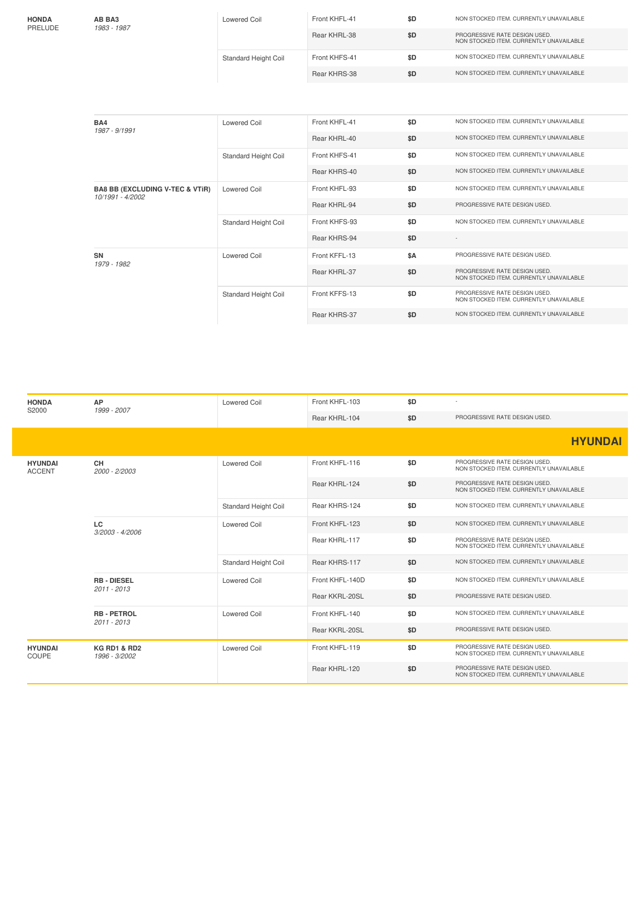| <b>HONDA</b><br>PRELUDE | AB BA3<br>1983 - 1987 | Lowered Coil                | Front KHFL-41 | \$D | NON STOCKED ITEM, CURRENTLY UNAVAILABLE                                  |
|-------------------------|-----------------------|-----------------------------|---------------|-----|--------------------------------------------------------------------------|
|                         |                       |                             | Rear KHRL-38  | \$D | PROGRESSIVE RATE DESIGN USED.<br>NON STOCKED ITEM, CURRENTLY UNAVAILABLE |
|                         |                       | <b>Standard Height Coil</b> | Front KHFS-41 | \$D | NON STOCKED ITEM, CURRENTLY UNAVAILABLE                                  |
|                         |                       |                             | Rear KHRS-38  | \$D | NON STOCKED ITEM, CURRENTLY UNAVAILABLE                                  |
|                         |                       |                             |               |     |                                                                          |

| BA4<br>1987 - 9/1991                                           | <b>Lowered Coil</b>  | Front KHFL-41 | \$D | NON STOCKED ITEM. CURRENTLY UNAVAILABLE                                  |
|----------------------------------------------------------------|----------------------|---------------|-----|--------------------------------------------------------------------------|
|                                                                |                      | Rear KHRL-40  | \$D | NON STOCKED ITEM. CURRENTLY UNAVAILABLE                                  |
|                                                                | Standard Height Coil | Front KHFS-41 | \$D | NON STOCKED ITEM. CURRENTLY UNAVAILABLE                                  |
|                                                                |                      | Rear KHRS-40  | \$D | NON STOCKED ITEM. CURRENTLY UNAVAILABLE                                  |
| <b>BA8 BB (EXCLUDING V-TEC &amp; VTIR)</b><br>10/1991 - 4/2002 | <b>Lowered Coil</b>  | Front KHFL-93 | \$D | NON STOCKED ITEM. CURRENTLY UNAVAILABLE                                  |
|                                                                |                      | Rear KHRL-94  | \$D | PROGRESSIVE RATE DESIGN USED.                                            |
|                                                                | Standard Height Coil | Front KHFS-93 | \$D | NON STOCKED ITEM. CURRENTLY UNAVAILABLE                                  |
|                                                                |                      | Rear KHRS-94  | \$D |                                                                          |
| <b>SN</b><br>1979 - 1982                                       | <b>Lowered Coil</b>  | Front KFFL-13 | \$A | PROGRESSIVE RATE DESIGN USED.                                            |
|                                                                |                      | Rear KHRL-37  | \$D | PROGRESSIVE RATE DESIGN USED.<br>NON STOCKED ITEM. CURRENTLY UNAVAILABLE |
|                                                                | Standard Height Coil | Front KFFS-13 | \$D | PROGRESSIVE RATE DESIGN USED.<br>NON STOCKED ITEM. CURRENTLY UNAVAILABLE |
|                                                                |                      | Rear KHRS-37  | \$D | NON STOCKED ITEM. CURRENTLY UNAVAILABLE                                  |
|                                                                |                      |               |     |                                                                          |

| <b>HONDA</b>                    | AP<br>S2000<br>1999 - 2007               | <b>Lowered Coil</b>  | Front KHFL-103  | \$D |                                                                          |
|---------------------------------|------------------------------------------|----------------------|-----------------|-----|--------------------------------------------------------------------------|
|                                 |                                          |                      | Rear KHRL-104   | \$D | PROGRESSIVE RATE DESIGN USED.                                            |
|                                 |                                          |                      |                 |     | <b>HYUNDAI</b>                                                           |
| <b>HYUNDAI</b><br><b>ACCENT</b> | <b>CH</b><br>2000 - 2/2003               | <b>Lowered Coil</b>  | Front KHFL-116  | \$D | PROGRESSIVE RATE DESIGN USED.<br>NON STOCKED ITEM. CURRENTLY UNAVAILABLE |
|                                 |                                          |                      | Rear KHRL-124   | \$D | PROGRESSIVE RATE DESIGN USED.<br>NON STOCKED ITEM. CURRENTLY UNAVAILABLE |
|                                 |                                          | Standard Height Coil | Rear KHRS-124   | \$D | NON STOCKED ITEM. CURRENTLY UNAVAILABLE                                  |
|                                 | LC.<br>3/2003 - 4/2006                   | <b>Lowered Coil</b>  | Front KHFL-123  | \$D | NON STOCKED ITEM. CURRENTLY UNAVAILABLE                                  |
|                                 |                                          |                      | Rear KHRL-117   | \$D | PROGRESSIVE RATE DESIGN USED.<br>NON STOCKED ITEM. CURRENTLY UNAVAILABLE |
|                                 |                                          | Standard Height Coil | Rear KHRS-117   | \$D | NON STOCKED ITEM. CURRENTLY UNAVAILABLE                                  |
|                                 | <b>RB - DIESEL</b><br>2011 - 2013        | <b>Lowered Coil</b>  | Front KHFL-140D | \$D | NON STOCKED ITEM. CURRENTLY UNAVAILABLE                                  |
|                                 |                                          |                      | Rear KKRL-20SL  | \$D | PROGRESSIVE RATE DESIGN USED.                                            |
|                                 | <b>RB - PETROL</b><br>2011 - 2013        | Lowered Coil         | Front KHFL-140  | \$D | NON STOCKED ITEM. CURRENTLY UNAVAILABLE                                  |
|                                 |                                          |                      | Rear KKRL-20SL  | \$D | PROGRESSIVE RATE DESIGN USED.                                            |
| <b>HYUNDAI</b><br>COUPE         | <b>KG RD1 &amp; RD2</b><br>1996 - 3/2002 | <b>Lowered Coil</b>  | Front KHFL-119  | \$D | PROGRESSIVE RATE DESIGN USED.<br>NON STOCKED ITEM. CURRENTLY UNAVAILABLE |
|                                 |                                          |                      | Rear KHRL-120   | \$D | PROGRESSIVE RATE DESIGN USED.<br>NON STOCKED ITEM. CURRENTLY UNAVAILABLE |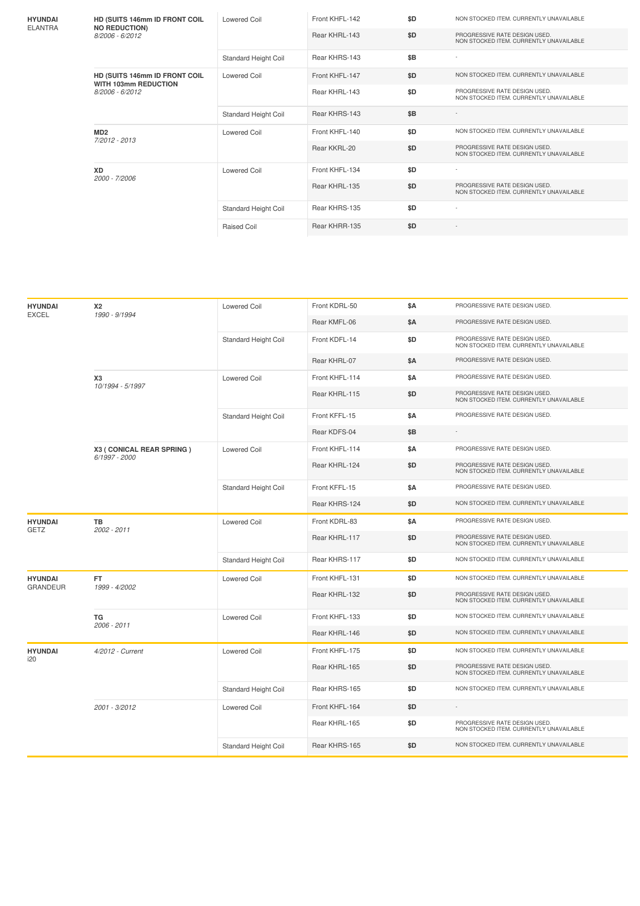| <b>HYUNDAI</b>                    | HD (SUITS 146mm ID FRONT COIL<br><b>NO REDUCTION)</b> | <b>Lowered Coil</b>  | Front KHFL-142 | \$D | NON STOCKED ITEM. CURRENTLY UNAVAILABLE                                  |
|-----------------------------------|-------------------------------------------------------|----------------------|----------------|-----|--------------------------------------------------------------------------|
| <b>ELANTRA</b><br>8/2006 - 6/2012 |                                                       |                      | Rear KHRL-143  | \$D | PROGRESSIVE RATE DESIGN USED.<br>NON STOCKED ITEM. CURRENTLY UNAVAILABLE |
|                                   |                                                       | Standard Height Coil | Rear KHRS-143  | \$Β | ٠                                                                        |
|                                   | HD (SUITS 146mm ID FRONT COIL<br>WITH 103mm REDUCTION | Lowered Coil         | Front KHFL-147 | \$D | NON STOCKED ITEM. CURRENTLY UNAVAILABLE                                  |
| 8/2006 - 6/2012                   |                                                       |                      | Rear KHRL-143  | \$D | PROGRESSIVE RATE DESIGN USED.<br>NON STOCKED ITEM. CURRENTLY UNAVAILABLE |
|                                   |                                                       | Standard Height Coil | Rear KHRS-143  | \$B |                                                                          |
| MD <sub>2</sub>                   | 7/2012 - 2013                                         | <b>Lowered Coil</b>  | Front KHFL-140 | \$D | NON STOCKED ITEM. CURRENTLY UNAVAILABLE                                  |
|                                   |                                                       |                      | Rear KKRL-20   | \$D | PROGRESSIVE RATE DESIGN USED.<br>NON STOCKED ITEM. CURRENTLY UNAVAILABLE |
| <b>XD</b><br>2000 - 7/2006        |                                                       | Lowered Coil         | Front KHFL-134 | \$D |                                                                          |
|                                   |                                                       |                      | Rear KHRL-135  | \$D | PROGRESSIVE RATE DESIGN USED.<br>NON STOCKED ITEM. CURRENTLY UNAVAILABLE |
|                                   |                                                       | Standard Height Coil | Rear KHRS-135  | \$D |                                                                          |
|                                   |                                                       | <b>Raised Coil</b>   | Rear KHRR-135  | \$D | $\overline{\phantom{a}}$                                                 |

| <b>HYUNDAI</b><br><b>EXCEL</b>    | <b>X2</b><br>1990 - 9/1994                  | <b>Lowered Coil</b>         | Front KDRL-50  | <b>\$A</b> | PROGRESSIVE RATE DESIGN USED.                                            |
|-----------------------------------|---------------------------------------------|-----------------------------|----------------|------------|--------------------------------------------------------------------------|
|                                   |                                             |                             | Rear KMFL-06   | <b>\$A</b> | PROGRESSIVE RATE DESIGN USED.                                            |
|                                   |                                             | Standard Height Coil        | Front KDFL-14  | \$D        | PROGRESSIVE RATE DESIGN USED.<br>NON STOCKED ITEM. CURRENTLY UNAVAILABLE |
|                                   |                                             |                             | Rear KHRL-07   | \$A        | PROGRESSIVE RATE DESIGN USED.                                            |
|                                   | X <sub>3</sub><br>10/1994 - 5/1997          | Lowered Coil                | Front KHFL-114 | \$Α        | PROGRESSIVE RATE DESIGN USED.                                            |
|                                   |                                             |                             | Rear KHRL-115  | \$D        | PROGRESSIVE RATE DESIGN USED.<br>NON STOCKED ITEM. CURRENTLY UNAVAILABLE |
|                                   |                                             | Standard Height Coil        | Front KFFL-15  | \$Α        | PROGRESSIVE RATE DESIGN USED.                                            |
|                                   |                                             |                             | Rear KDFS-04   | \$B        |                                                                          |
|                                   | X3 ( CONICAL REAR SPRING )<br>6/1997 - 2000 | <b>Lowered Coil</b>         | Front KHFL-114 | <b>\$A</b> | PROGRESSIVE RATE DESIGN USED.                                            |
|                                   |                                             |                             | Rear KHRL-124  | \$D        | PROGRESSIVE RATE DESIGN USED.<br>NON STOCKED ITEM. CURRENTLY UNAVAILABLE |
|                                   |                                             | Standard Height Coil        | Front KFFL-15  | \$Α        | PROGRESSIVE RATE DESIGN USED.                                            |
|                                   |                                             |                             | Rear KHRS-124  | \$D        | NON STOCKED ITEM. CURRENTLY UNAVAILABLE                                  |
| <b>HYUNDAI</b><br>GETZ            | TB<br>2002 - 2011                           | <b>Lowered Coil</b>         | Front KDRL-83  | \$Α        | PROGRESSIVE RATE DESIGN USED.                                            |
|                                   |                                             |                             | Rear KHRL-117  | \$D        | PROGRESSIVE RATE DESIGN USED.<br>NON STOCKED ITEM. CURRENTLY UNAVAILABLE |
|                                   |                                             | Standard Height Coil        | Rear KHRS-117  | \$D        | NON STOCKED ITEM. CURRENTLY UNAVAILABLE                                  |
| <b>HYUNDAI</b><br><b>GRANDEUR</b> | FT.<br>1999 - 4/2002                        | <b>Lowered Coil</b>         | Front KHFL-131 | \$D        | NON STOCKED ITEM. CURRENTLY UNAVAILABLE                                  |
|                                   |                                             |                             | Rear KHRL-132  | \$D        | PROGRESSIVE RATE DESIGN USED.<br>NON STOCKED ITEM. CURRENTLY UNAVAILABLE |
|                                   | <b>TG</b><br>2006 - 2011                    | <b>Lowered Coil</b>         | Front KHFL-133 | \$D        | NON STOCKED ITEM. CURRENTLY UNAVAILABLE                                  |
|                                   |                                             |                             | Rear KHRL-146  | \$D        | NON STOCKED ITEM. CURRENTLY UNAVAILABLE                                  |
| <b>HYUNDAI</b>                    | 4/2012 - Current                            | <b>Lowered Coil</b>         | Front KHFL-175 | \$D        | NON STOCKED ITEM. CURRENTLY UNAVAILABLE                                  |
| i20                               |                                             |                             | Rear KHRL-165  | \$D        | PROGRESSIVE RATE DESIGN USED.<br>NON STOCKED ITEM. CURRENTLY UNAVAILABLE |
|                                   |                                             | <b>Standard Height Coil</b> | Rear KHRS-165  | \$D        | NON STOCKED ITEM. CURRENTLY UNAVAILABLE                                  |
|                                   | 2001 - 3/2012                               | <b>Lowered Coil</b>         | Front KHFL-164 | \$D        | ÷                                                                        |
|                                   |                                             |                             | Rear KHRL-165  | \$D        | PROGRESSIVE RATE DESIGN USED.<br>NON STOCKED ITEM. CURRENTLY UNAVAILABLE |
|                                   |                                             | Standard Height Coil        | Rear KHRS-165  | \$D        | NON STOCKED ITEM. CURRENTLY UNAVAILABLE                                  |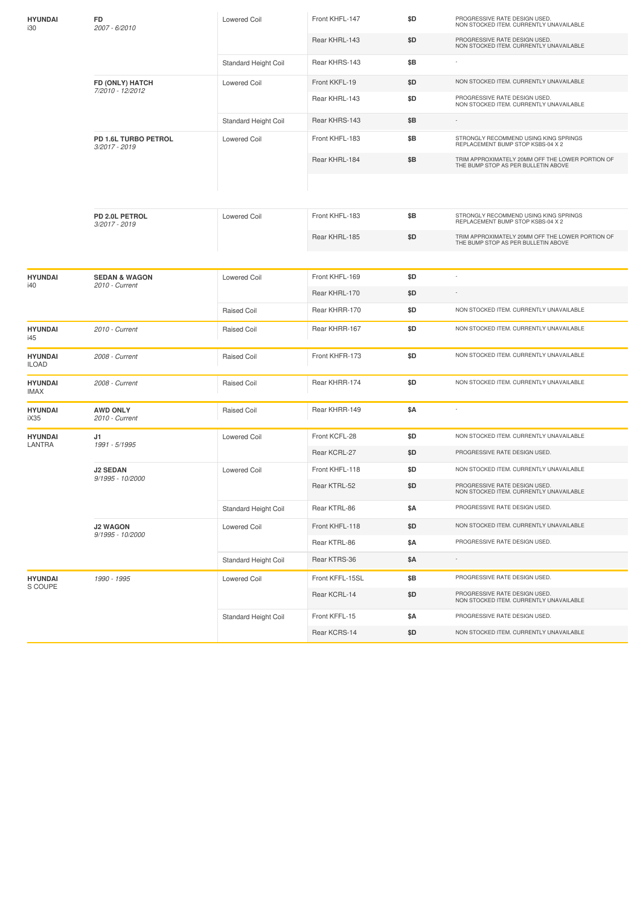| <b>HYUNDAI</b><br>i30   | FD<br>2007 - 6/2010                        | Lowered Coil                | Front KHFL-147  | \$D | PROGRESSIVE RATE DESIGN USED.<br>NON STOCKED ITEM. CURRENTLY UNAVAILABLE                |
|-------------------------|--------------------------------------------|-----------------------------|-----------------|-----|-----------------------------------------------------------------------------------------|
|                         |                                            |                             | Rear KHRL-143   | \$D | PROGRESSIVE RATE DESIGN USED.<br>NON STOCKED ITEM. CURRENTLY UNAVAILABLE                |
|                         |                                            | Standard Height Coil        | Rear KHRS-143   | \$Β |                                                                                         |
|                         | FD (ONLY) HATCH                            | <b>Lowered Coil</b>         | Front KKFL-19   | \$D | NON STOCKED ITEM. CURRENTLY UNAVAILABLE                                                 |
|                         | 7/2010 - 12/2012                           |                             | Rear KHRL-143   | \$D | PROGRESSIVE RATE DESIGN USED.<br>NON STOCKED ITEM. CURRENTLY UNAVAILABLE                |
|                         |                                            | Standard Height Coil        | Rear KHRS-143   | \$Β |                                                                                         |
|                         | PD 1.6L TURBO PETROL<br>3/2017 - 2019      | <b>Lowered Coil</b>         | Front KHFL-183  | \$B | STRONGLY RECOMMEND USING KING SPRINGS<br>REPLACEMENT BUMP STOP KSBS-04 X 2              |
|                         |                                            |                             | Rear KHRL-184   | \$Β | TRIM APPROXIMATELY 20MM OFF THE LOWER PORTION OF<br>THE BUMP STOP AS PER BULLETIN ABOVE |
|                         |                                            |                             |                 |     |                                                                                         |
|                         | PD 2.0L PETROL<br>3/2017 - 2019            | <b>Lowered Coil</b>         | Front KHFL-183  | \$B | STRONGLY RECOMMEND USING KING SPRINGS<br>REPLACEMENT BUMP STOP KSBS-04 X 2              |
|                         |                                            |                             | Rear KHRL-185   | \$D | TRIM APPROXIMATELY 20MM OFF THE LOWER PORTION OF<br>THE BUMP STOP AS PER BULLETIN ABOVE |
|                         |                                            |                             |                 |     |                                                                                         |
| <b>HYUNDAI</b><br>i40   | <b>SEDAN &amp; WAGON</b><br>2010 - Current | <b>Lowered Coil</b>         | Front KHFL-169  | \$D | ÷                                                                                       |
|                         |                                            |                             | Rear KHRL-170   | \$D | $\overline{\phantom{a}}$                                                                |
|                         |                                            | <b>Raised Coil</b>          | Rear KHRR-170   | \$D | NON STOCKED ITEM. CURRENTLY UNAVAILABLE                                                 |
| <b>HYUNDAI</b><br>i45   | 2010 - Current                             | Raised Coil                 | Rear KHRR-167   | \$D | NON STOCKED ITEM. CURRENTLY UNAVAILABLE                                                 |
| <b>HYUNDAI</b><br>ILOAD | 2008 - Current                             | Raised Coil                 | Front KHFR-173  | \$D | NON STOCKED ITEM. CURRENTLY UNAVAILABLE                                                 |
| <b>HYUNDAI</b><br>IMAX  | 2008 - Current                             | Raised Coil                 | Rear KHRR-174   | \$D | NON STOCKED ITEM. CURRENTLY UNAVAILABLE                                                 |
| <b>HYUNDAI</b><br>iX35  | <b>AWD ONLY</b><br>2010 - Current          | <b>Raised Coil</b>          | Rear KHRR-149   | \$Α |                                                                                         |
| <b>HYUNDAI</b>          | J1                                         | <b>Lowered Coil</b>         | Front KCFL-28   | \$D | NON STOCKED ITEM. CURRENTLY UNAVAILABLE                                                 |
| LANTRA                  | 1991 - 5/1995                              |                             | Rear KCRL-27    | \$D | PROGRESSIVE RATE DESIGN USED.                                                           |
|                         | <b>J2 SEDAN</b>                            | <b>Lowered Coil</b>         | Front KHFL-118  | \$D | NON STOCKED ITEM. CURRENTLY UNAVAILABLE                                                 |
|                         | 9/1995 - 10/2000                           |                             | Rear KTRL-52    | \$D | PROGRESSIVE RATE DESIGN USED.<br>NON STOCKED ITEM. CURRENTLY UNAVAILABLE                |
|                         |                                            | Standard Height Coil        | Rear KTRL-86    | \$Α | PROGRESSIVE RATE DESIGN USED.                                                           |
|                         | <b>J2 WAGON</b>                            | <b>Lowered Coil</b>         | Front KHFL-118  | \$D | NON STOCKED ITEM. CURRENTLY UNAVAILABLE                                                 |
|                         | 9/1995 - 10/2000                           |                             | Rear KTRL-86    | \$Α | PROGRESSIVE RATE DESIGN USED.                                                           |
|                         |                                            | Standard Height Coil        | Rear KTRS-36    | \$Α |                                                                                         |
| <b>HYUNDAI</b>          | 1990 - 1995                                | <b>Lowered Coil</b>         | Front KFFL-15SL | \$Β | PROGRESSIVE RATE DESIGN USED.                                                           |
| S COUPE                 |                                            |                             | Rear KCRL-14    | \$D | PROGRESSIVE RATE DESIGN USED.<br>NON STOCKED ITEM. CURRENTLY UNAVAILABLE                |
|                         |                                            | <b>Standard Height Coil</b> | Front KFFL-15   | \$Α | PROGRESSIVE RATE DESIGN USED.                                                           |
|                         |                                            |                             | Rear KCRS-14    | \$D | NON STOCKED ITEM. CURRENTLY UNAVAILABLE                                                 |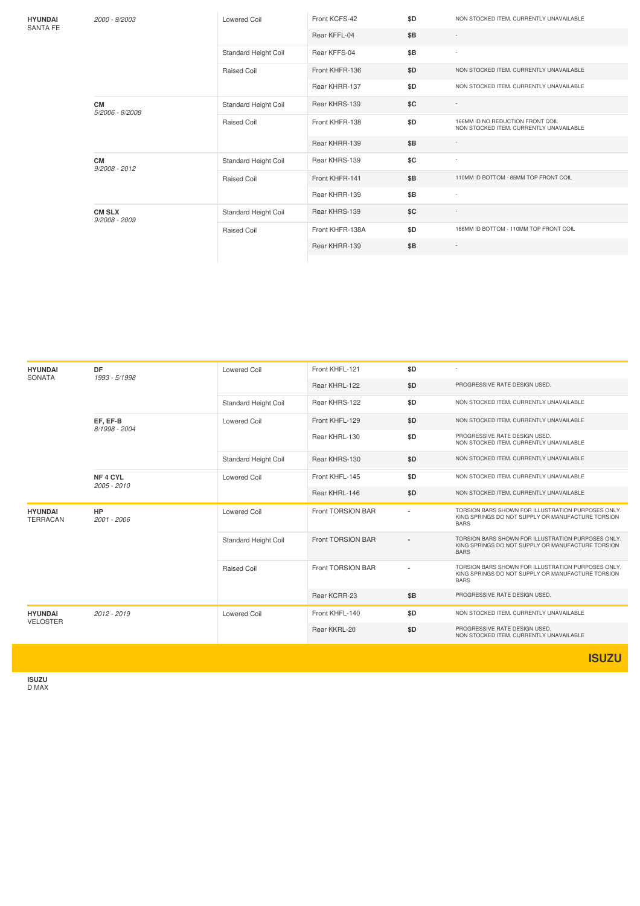**HYUNDAI** SANTA FE *2000 -9/2003* Lowered Coil Front KCFS-42 **\$D** NON STOCKED ITEM. CURRENTLY UNAVAILABLE Rear KFFL-04 **\$B** - Standard Height Coil Rear KFFS-04 **\$B** -Raised Coil **Front KHFR-136 \$D** NON STOCKED ITEM. CURRENTLY UNAVAILABLE Rear KHRR-137 **\$D** NON STOCKED ITEM. CURRENTLY UNAVAILABLE **CM** *5/2006 -8/2008* Standard Height Coil Rear KHRS-139 **\$C** Raised Coil **Front KHFR-138 \$D** 166MM ID NO REDUCTION FRONT COIL NON STOCKED ITEM. CURRENTLY UNAVAILABLE Rear KHRR-139 **\$B CM** *9/2008 -2012* Standard Height Coil Rear KHRS-139 **\$C** Raised Coil **Front KHFR-141 \$B** 110MM ID BOTTOM - 85MM TOP FRONT COIL Rear KHRR-139 **\$B** - **CM SLX** *9/2008 -2009* Standard Height Coil Rear KHRS-139 **\$C** Raised Coil **Front KHFR-138A \$D** 166MM ID BOTTOM - 110MM TOP FRONT COIL Rear KHRR-139 **\$B** -

| <b>HYUNDAI</b><br><b>SONATA</b>   | <b>DF</b><br>1993 - 5/1998         | <b>Lowered Coil</b>         | Front KHFL-121    | \$D            |                                                                                                                        |
|-----------------------------------|------------------------------------|-----------------------------|-------------------|----------------|------------------------------------------------------------------------------------------------------------------------|
|                                   |                                    |                             | Rear KHRL-122     | \$D            | PROGRESSIVE RATE DESIGN USED.                                                                                          |
|                                   |                                    | Standard Height Coil        | Rear KHRS-122     | \$D            | NON STOCKED ITEM. CURRENTLY UNAVAILABLE                                                                                |
|                                   | EF, EF-B<br>8/1998 - 2004          | <b>Lowered Coil</b>         | Front KHFL-129    | \$D            | NON STOCKED ITEM. CURRENTLY UNAVAILABLE                                                                                |
|                                   |                                    |                             | Rear KHRL-130     | \$D            | PROGRESSIVE RATE DESIGN USED.<br>NON STOCKED ITEM. CURRENTLY UNAVAILABLE                                               |
|                                   |                                    | <b>Standard Height Coil</b> | Rear KHRS-130     | \$D            | NON STOCKED ITEM. CURRENTLY UNAVAILABLE                                                                                |
|                                   | NF <sub>4</sub> CYL<br>2005 - 2010 | <b>Lowered Coil</b>         | Front KHFL-145    | \$D            | NON STOCKED ITEM. CURRENTLY UNAVAILABLE                                                                                |
|                                   |                                    |                             | Rear KHRL-146     | \$D            | NON STOCKED ITEM. CURRENTLY UNAVAILABLE                                                                                |
| <b>HYUNDAI</b><br><b>TERRACAN</b> | <b>HP</b><br>2001 - 2006           | <b>Lowered Coil</b>         | Front TORSION BAR | $\blacksquare$ | TORSION BARS SHOWN FOR ILLUSTRATION PURPOSES ONLY.<br>KING SPRINGS DO NOT SUPPLY OR MANUFACTURE TORSION<br><b>BARS</b> |
|                                   |                                    | <b>Standard Height Coil</b> | Front TORSION BAR |                | TORSION BARS SHOWN FOR ILLUSTRATION PURPOSES ONLY.<br>KING SPRINGS DO NOT SUPPLY OR MANUFACTURE TORSION<br><b>BARS</b> |
|                                   |                                    | <b>Raised Coil</b>          | Front TORSION BAR | ٠              | TORSION BARS SHOWN FOR ILLUSTRATION PURPOSES ONLY.<br>KING SPRINGS DO NOT SUPPLY OR MANUFACTURE TORSION<br><b>BARS</b> |
|                                   |                                    |                             | Rear KCRR-23      | \$B            | PROGRESSIVE RATE DESIGN USED.                                                                                          |
| <b>HYUNDAI</b><br><b>VELOSTER</b> | 2012 - 2019                        | <b>Lowered Coil</b>         | Front KHFL-140    | \$D            | NON STOCKED ITEM. CURRENTLY UNAVAILABLE                                                                                |
|                                   |                                    |                             | Rear KKRL-20      | \$D            | PROGRESSIVE RATE DESIGN USED.<br>NON STOCKED ITEM. CURRENTLY UNAVAILABLE                                               |
|                                   |                                    |                             |                   |                |                                                                                                                        |

**ISUZU**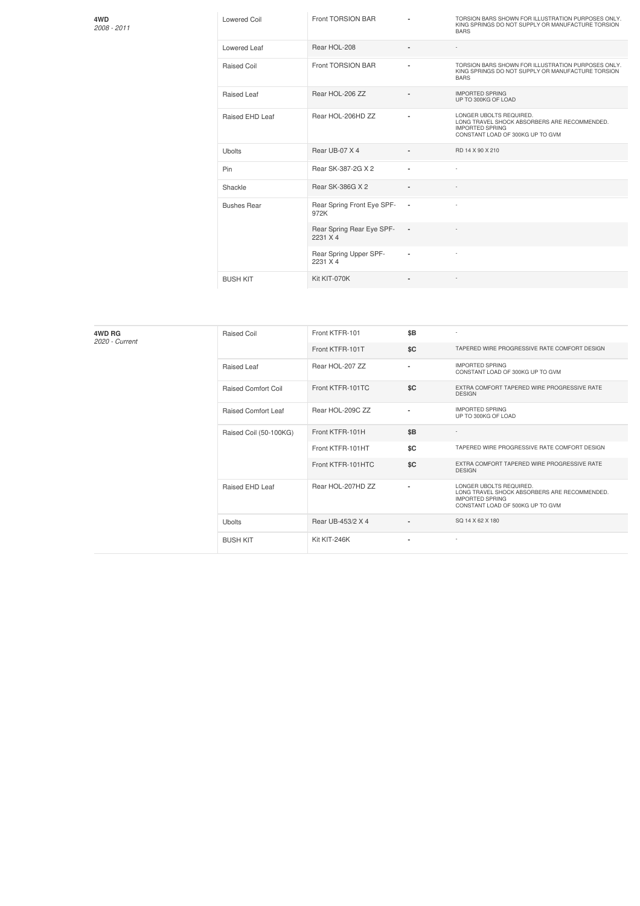**4WD** *2008 -2011*

| Lowered Coil       | Front TORSION BAR                     |                          | TORSION BARS SHOWN FOR ILLUSTRATION PURPOSES ONLY.<br>KING SPRINGS DO NOT SUPPLY OR MANUFACTURE TORSION<br><b>BARS</b>                |
|--------------------|---------------------------------------|--------------------------|---------------------------------------------------------------------------------------------------------------------------------------|
| Lowered Leaf       | Rear HOL-208                          |                          |                                                                                                                                       |
| Raised Coil        | Front TORSION BAR                     |                          | TORSION BARS SHOWN FOR ILLUSTRATION PURPOSES ONLY.<br>KING SPRINGS DO NOT SUPPLY OR MANUFACTURE TORSION<br><b>BARS</b>                |
| Raised Leaf        | Rear HOL-206 ZZ                       |                          | <b>IMPORTED SPRING</b><br>UP TO 300KG OF LOAD                                                                                         |
| Raised EHD Leaf    | Rear HOL-206HD ZZ                     |                          | LONGER UBOLTS REQUIRED.<br>LONG TRAVEL SHOCK ABSORBERS ARE RECOMMENDED.<br><b>IMPORTED SPRING</b><br>CONSTANT LOAD OF 300KG UP TO GVM |
| <b>Ubolts</b>      | Rear UB-07 X 4                        |                          | RD 14 X 90 X 210                                                                                                                      |
| Pin                | Rear SK-387-2G X 2                    |                          |                                                                                                                                       |
| Shackle            | Rear SK-386G X 2                      | $\blacksquare$           |                                                                                                                                       |
| <b>Bushes Rear</b> | Rear Spring Front Eye SPF-<br>972K    | $\overline{\phantom{a}}$ |                                                                                                                                       |
|                    | Rear Spring Rear Eye SPF-<br>2231 X 4 | $\blacksquare$           |                                                                                                                                       |
|                    | Rear Spring Upper SPF-<br>2231 X 4    | ä,                       |                                                                                                                                       |
| <b>BUSH KIT</b>    | Kit KIT-070K                          | ٠                        |                                                                                                                                       |

| 4WD RG<br>2020 - Current | <b>Raised Coil</b>         | Front KTFR-101    | \$B                      | $\overline{\phantom{a}}$                                                                                                              |
|--------------------------|----------------------------|-------------------|--------------------------|---------------------------------------------------------------------------------------------------------------------------------------|
|                          |                            | Front KTFR-101T   | \$C                      | TAPERED WIRE PROGRESSIVE RATE COMFORT DESIGN                                                                                          |
|                          | Raised Leaf                | Rear HOL-207 ZZ   | $\blacksquare$           | <b>IMPORTED SPRING</b><br>CONSTANT LOAD OF 300KG UP TO GVM                                                                            |
|                          | <b>Raised Comfort Coil</b> | Front KTFR-101TC  | \$C                      | EXTRA COMFORT TAPERED WIRE PROGRESSIVE RATE<br><b>DESIGN</b>                                                                          |
|                          | <b>Raised Comfort Leaf</b> | Rear HOL-209C ZZ  | $\blacksquare$           | <b>IMPORTED SPRING</b><br>UP TO 300KG OF LOAD                                                                                         |
|                          | Raised Coil (50-100KG)     | Front KTFR-101H   | \$B                      |                                                                                                                                       |
|                          |                            | Front KTFR-101HT  | \$C                      | TAPERED WIRE PROGRESSIVE RATE COMFORT DESIGN                                                                                          |
|                          |                            | Front KTFR-101HTC | \$C                      | EXTRA COMFORT TAPERED WIRE PROGRESSIVE RATE<br><b>DESIGN</b>                                                                          |
|                          | Raised EHD Leaf            | Rear HOL-207HD ZZ | $\overline{\phantom{a}}$ | LONGER UBOLTS REQUIRED.<br>LONG TRAVEL SHOCK ABSORBERS ARE RECOMMENDED.<br><b>IMPORTED SPRING</b><br>CONSTANT LOAD OF 500KG UP TO GVM |
|                          | <b>Ubolts</b>              | Rear UB-453/2 X 4 | $\overline{\phantom{a}}$ | SQ 14 X 62 X 180                                                                                                                      |
|                          | <b>BUSH KIT</b>            | Kit KIT-246K      | ٠                        | $\sim$                                                                                                                                |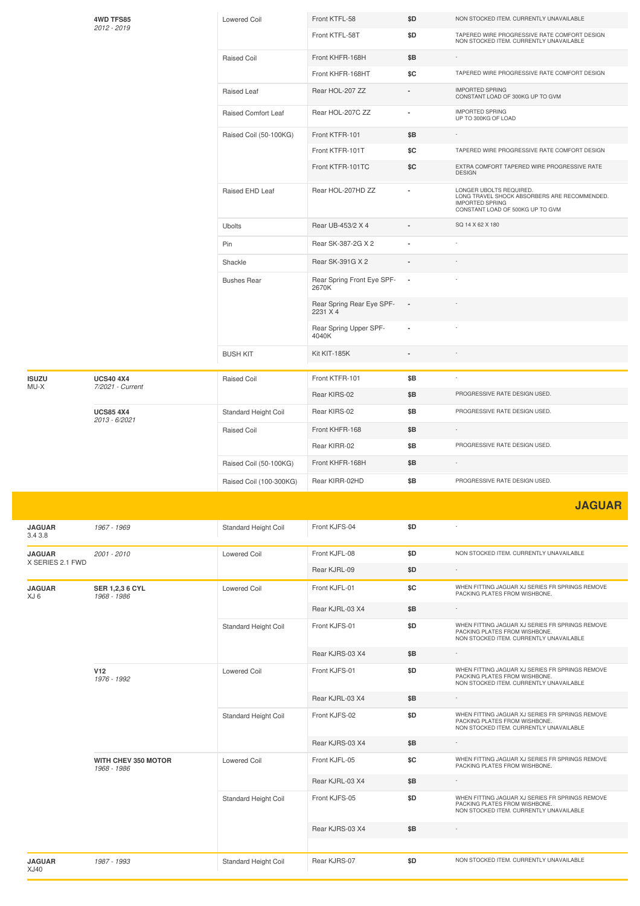|                          | 4WD TFS85                         | <b>Lowered Coil</b>     | Front KTFL-58                         | \$D                                           | NON STOCKED ITEM. CURRENTLY UNAVAILABLE                                                                                               |
|--------------------------|-----------------------------------|-------------------------|---------------------------------------|-----------------------------------------------|---------------------------------------------------------------------------------------------------------------------------------------|
|                          | 2012 - 2019                       |                         | Front KTFL-58T                        | \$D                                           | TAPERED WIRE PROGRESSIVE RATE COMFORT DESIGN<br>NON STOCKED ITEM. CURRENTLY UNAVAILABLE                                               |
|                          | <b>Raised Coil</b>                | Front KHFR-168H         | \$Β                                   |                                               |                                                                                                                                       |
|                          |                                   | Front KHFR-168HT        | \$C                                   | TAPERED WIRE PROGRESSIVE RATE COMFORT DESIGN  |                                                                                                                                       |
|                          |                                   | Raised Leaf             | Rear HOL-207 ZZ                       |                                               | <b>IMPORTED SPRING</b><br>CONSTANT LOAD OF 300KG UP TO GVM                                                                            |
|                          | Raised Comfort Leaf               | Rear HOL-207C ZZ        |                                       | <b>IMPORTED SPRING</b><br>UP TO 300KG OF LOAD |                                                                                                                                       |
|                          |                                   | Raised Coil (50-100KG)  | Front KTFR-101                        | \$B                                           |                                                                                                                                       |
|                          |                                   |                         | Front KTFR-101T                       | \$C                                           | TAPERED WIRE PROGRESSIVE RATE COMFORT DESIGN                                                                                          |
|                          |                                   |                         | Front KTFR-101TC                      | \$C                                           | EXTRA COMFORT TAPERED WIRE PROGRESSIVE RATE<br><b>DESIGN</b>                                                                          |
|                          |                                   | Raised EHD Leaf         | Rear HOL-207HD ZZ                     |                                               | LONGER UBOLTS REQUIRED.<br>LONG TRAVEL SHOCK ABSORBERS ARE RECOMMENDED.<br><b>IMPORTED SPRING</b><br>CONSTANT LOAD OF 500KG UP TO GVM |
|                          |                                   | Ubolts                  | Rear UB-453/2 X 4                     |                                               | SQ 14 X 62 X 180                                                                                                                      |
|                          |                                   | Pin                     | Rear SK-387-2G X 2                    |                                               |                                                                                                                                       |
|                          |                                   | Shackle                 | Rear SK-391G X 2                      |                                               |                                                                                                                                       |
|                          |                                   | <b>Bushes Rear</b>      | Rear Spring Front Eye SPF-<br>2670K   | $\overline{\phantom{a}}$                      |                                                                                                                                       |
|                          |                                   |                         | Rear Spring Rear Eye SPF-<br>2231 X 4 |                                               |                                                                                                                                       |
|                          |                                   |                         | Rear Spring Upper SPF-<br>4040K       |                                               |                                                                                                                                       |
|                          |                                   | <b>BUSH KIT</b>         | Kit KIT-185K                          |                                               |                                                                                                                                       |
| <b>ISUZU</b>             | <b>UCS40 4X4</b>                  | Raised Coil             | Front KTFR-101                        | \$B                                           |                                                                                                                                       |
| MU-X                     | 7/2021 - Current                  |                         | Rear KIRS-02                          | \$Β                                           | PROGRESSIVE RATE DESIGN USED.                                                                                                         |
|                          | <b>UCS85 4X4</b><br>2013 - 6/2021 | Standard Height Coil    | Rear KIRS-02                          | \$B                                           | PROGRESSIVE RATE DESIGN USED.                                                                                                         |
|                          |                                   | <b>Raised Coil</b>      | Front KHFR-168                        | \$B                                           |                                                                                                                                       |
|                          |                                   |                         | Rear KIRR-02                          | \$Β                                           | PROGRESSIVE RATE DESIGN USED.                                                                                                         |
|                          |                                   | Raised Coil (50-100KG)  | Front KHFR-168H                       | \$B                                           |                                                                                                                                       |
|                          |                                   | Raised Coil (100-300KG) | Rear KIRR-02HD                        | \$B                                           | PROGRESSIVE RATE DESIGN USED.                                                                                                         |
|                          |                                   |                         |                                       |                                               | <b>JAGUAR</b>                                                                                                                         |
| <b>JAGUAR</b><br>3.4 3.8 | 1967 - 1969                       | Standard Height Coil    | Front KJFS-04                         | \$D                                           |                                                                                                                                       |
| <b>JAGUAR</b>            | 2001 - 2010                       | <b>Lowered Coil</b>     | Front KJFL-08                         | \$D                                           | NON STOCKED ITEM. CURRENTLY UNAVAILABLE                                                                                               |
| X SERIES 2.1 FWD         |                                   |                         | Rear KJRL-09                          | \$D                                           |                                                                                                                                       |
| <b>JAGUAR</b><br>XJ 6    | SER 1,2,3 6 CYL<br>1968 - 1986    | <b>Lowered Coil</b>     | Front KJFL-01                         | \$C                                           | WHEN FITTING JAGUAR XJ SERIES FR SPRINGS REMOVE<br>PACKING PLATES FROM WISHBONE.                                                      |
|                          |                                   |                         | Rear KJRL-03 X4                       | \$Β                                           |                                                                                                                                       |
|                          |                                   | Standard Height Coil    | Front KJFS-01                         | \$D                                           | WHEN FITTING JAGUAR XJ SERIES FR SPRINGS REMOVE<br>PACKING PLATES FROM WISHBONE.<br>NON STOCKED ITEM. CURRENTLY UNAVAILABLE           |
|                          |                                   |                         | Rear KJRS-03 X4                       | \$B                                           |                                                                                                                                       |
|                          | <b>V12</b><br>1976 - 1992         | Lowered Coil            | Front KJFS-01                         | \$D                                           | WHEN FITTING JAGUAR XJ SERIES FR SPRINGS REMOVE<br>PACKING PLATES FROM WISHBONE.<br>NON STOCKED ITEM. CURRENTLY UNAVAILABLE           |
|                          |                                   |                         | Rear KJRL-03 X4                       | \$B                                           |                                                                                                                                       |
|                          |                                   | Standard Height Coil    | Front KJFS-02                         | \$D                                           | WHEN FITTING JAGUAR XJ SERIES FR SPRINGS REMOVE<br>PACKING PLATES FROM WISHBONE.<br>NON STOCKED ITEM. CURRENTLY UNAVAILABLE           |
|                          |                                   |                         | Rear KJRS-03 X4                       | \$B                                           |                                                                                                                                       |
|                          | WITH CHEV 350 MOTOR               | <b>Lowered Coil</b>     | Front KJFL-05                         | \$C                                           | WHEN FITTING JAGUAR XJ SERIES FR SPRINGS REMOVE                                                                                       |
|                          | 1968 - 1986                       |                         |                                       |                                               | PACKING PLATES FROM WISHBONE.                                                                                                         |
|                          |                                   |                         | Rear KJRL-03 X4                       | \$B                                           | WHEN FITTING JAGUAR XJ SERIES FR SPRINGS REMOVE                                                                                       |
|                          |                                   | Standard Height Coil    | Front KJFS-05                         | \$D                                           | PACKING PLATES FROM WISHBONE.<br>NON STOCKED ITEM. CURRENTLY UNAVAILABLE                                                              |
|                          |                                   |                         | Rear KJRS-03 X4                       | \$B                                           |                                                                                                                                       |
| <b>JAGUAR</b><br>XJ40    | 1987 - 1993                       | Standard Height Coil    | Rear KJRS-07                          | \$D                                           | NON STOCKED ITEM. CURRENTLY UNAVAILABLE                                                                                               |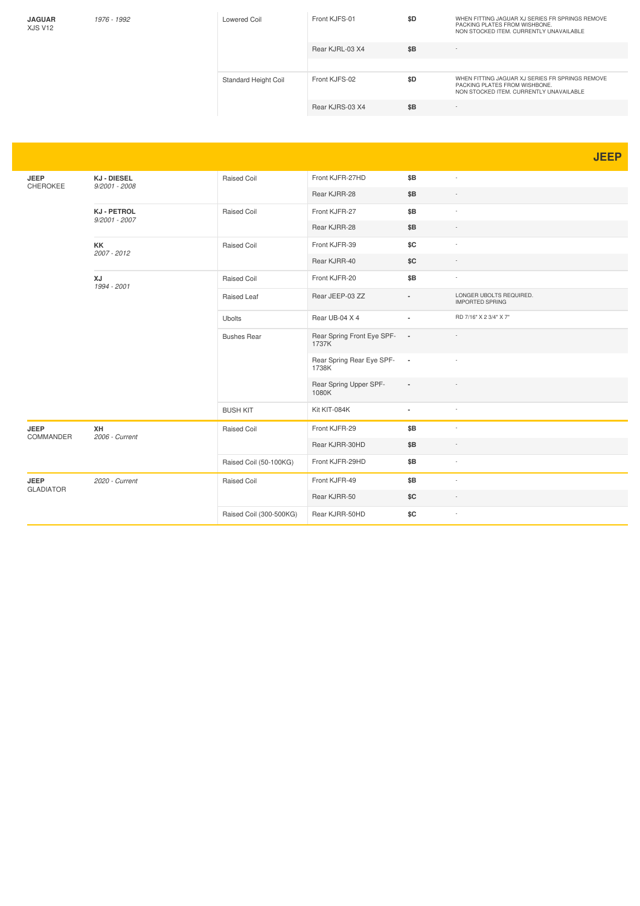| <b>JAGUAR</b><br>XJS V12 | 1976 - 1992 | Lowered Coil         | Front KJFS-01   | \$D | WHEN FITTING JAGUAR XJ SERIES FR SPRINGS REMOVE<br>PACKING PLATES FROM WISHBONE.<br>NON STOCKED ITEM. CURRENTLY UNAVAILABLE |
|--------------------------|-------------|----------------------|-----------------|-----|-----------------------------------------------------------------------------------------------------------------------------|
|                          |             |                      | Rear KJRL-03 X4 | \$B | i.                                                                                                                          |
|                          |             |                      |                 |     |                                                                                                                             |
|                          |             | Standard Height Coil | Front KJFS-02   | \$D | WHEN FITTING JAGUAR XJ SERIES FR SPRINGS REMOVE<br>PACKING PLATES FROM WISHBONE.<br>NON STOCKED ITEM. CURRENTLY UNAVAILABLE |
|                          |             |                      | Rear KJRS-03 X4 | \$B | i.                                                                                                                          |

**JEEP**

| <b>JEEP</b><br>CHEROKEE | <b>KJ-DIESEL</b><br>$9/2001 - 2008$   | Raised Coil             | Front KJFR-27HD                     | \$B                      | $\sim$                                            |
|-------------------------|---------------------------------------|-------------------------|-------------------------------------|--------------------------|---------------------------------------------------|
|                         |                                       |                         | Rear KJRR-28                        | \$B                      |                                                   |
|                         | <b>KJ - PETROL</b><br>$9/2001 - 2007$ | Raised Coil             | Front KJFR-27                       | \$B                      |                                                   |
|                         |                                       |                         | Rear KJRR-28                        | \$B                      |                                                   |
|                         | KK<br>2007 - 2012                     | <b>Raised Coil</b>      | Front KJFR-39                       | \$C                      |                                                   |
|                         |                                       |                         | Rear KJRR-40                        | \$C                      |                                                   |
|                         | XJ<br>1994 - 2001                     | Raised Coil             | Front KJFR-20                       | \$B                      |                                                   |
|                         |                                       | Raised Leaf             | Rear JEEP-03 ZZ                     |                          | LONGER UBOLTS REQUIRED.<br><b>IMPORTED SPRING</b> |
|                         |                                       | <b>Ubolts</b>           | Rear UB-04 X 4                      | $\overline{a}$           | RD 7/16" X 2 3/4" X 7"                            |
|                         |                                       | <b>Bushes Rear</b>      | Rear Spring Front Eye SPF-<br>1737K | $\sim$                   |                                                   |
|                         |                                       |                         | Rear Spring Rear Eye SPF-<br>1738K  | $\sim$                   |                                                   |
|                         |                                       |                         | Rear Spring Upper SPF-<br>1080K     | $\overline{\phantom{a}}$ |                                                   |
|                         |                                       | <b>BUSH KIT</b>         | Kit KIT-084K                        | ٠                        | $\sim$                                            |
| <b>JEEP</b>             | XH<br>2006 - Current                  | <b>Raised Coil</b>      | Front KJFR-29                       | \$B                      | $\sim$                                            |
| <b>COMMANDER</b>        |                                       |                         | Rear KJRR-30HD                      | \$B                      |                                                   |
|                         |                                       | Raised Coil (50-100KG)  | Front KJFR-29HD                     | \$B                      | $\overline{\phantom{a}}$                          |
| <b>JEEP</b>             | 2020 - Current                        | Raised Coil             | Front KJFR-49                       | \$B                      | $\sim$                                            |
| <b>GLADIATOR</b>        |                                       |                         | Rear KJRR-50                        | \$C                      |                                                   |
|                         |                                       | Raised Coil (300-500KG) | Rear KJRR-50HD                      | \$C                      |                                                   |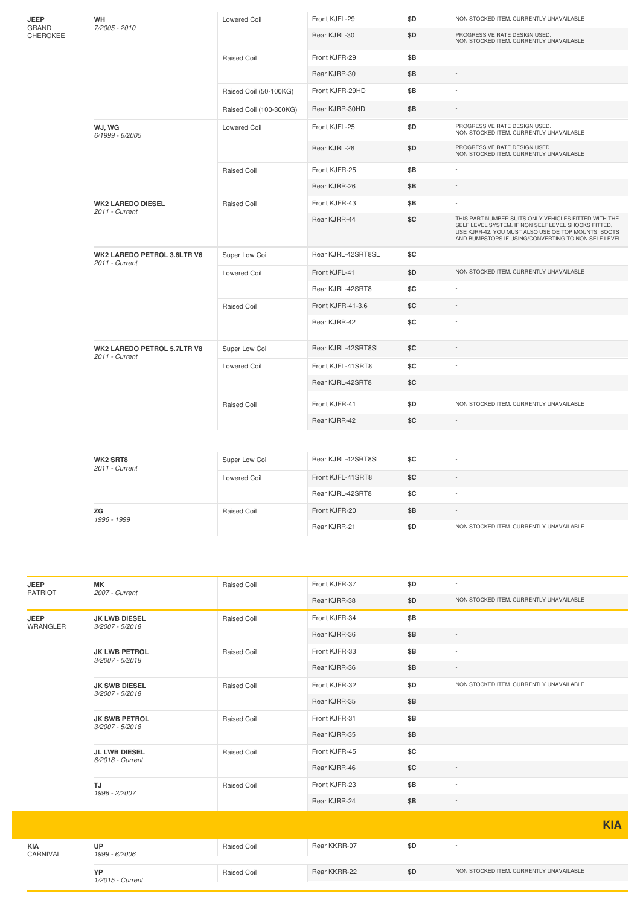| JEEP<br>GRAND<br>CHEROKEE | WH<br>7/2005 - 2010                           | <b>Lowered Coil</b>     | Front KJFL-29      | \$D | NON STOCKED ITEM. CURRENTLY UNAVAILABLE                                                                                                                                                                                    |  |  |  |
|---------------------------|-----------------------------------------------|-------------------------|--------------------|-----|----------------------------------------------------------------------------------------------------------------------------------------------------------------------------------------------------------------------------|--|--|--|
|                           |                                               |                         | Rear KJRL-30       | \$D | PROGRESSIVE RATE DESIGN USED.<br>NON STOCKED ITEM. CURRENTLY UNAVAILABLE                                                                                                                                                   |  |  |  |
|                           |                                               | <b>Raised Coil</b>      | Front KJFR-29      | \$B |                                                                                                                                                                                                                            |  |  |  |
|                           |                                               |                         | Rear KJRR-30       | \$B |                                                                                                                                                                                                                            |  |  |  |
|                           |                                               | Raised Coil (50-100KG)  | Front KJFR-29HD    | \$B |                                                                                                                                                                                                                            |  |  |  |
|                           |                                               | Raised Coil (100-300KG) | Rear KJRR-30HD     | \$B |                                                                                                                                                                                                                            |  |  |  |
|                           | WJ, WG<br>6/1999 - 6/2005                     | <b>Lowered Coil</b>     | Front KJFL-25      | \$D | PROGRESSIVE RATE DESIGN USED.<br>NON STOCKED ITEM. CURRENTLY UNAVAILABLE                                                                                                                                                   |  |  |  |
|                           |                                               |                         | Rear KJRL-26       | \$D | PROGRESSIVE RATE DESIGN USED.<br>NON STOCKED ITEM. CURRENTLY UNAVAILABLE                                                                                                                                                   |  |  |  |
|                           |                                               | <b>Raised Coil</b>      | Front KJFR-25      | \$Β |                                                                                                                                                                                                                            |  |  |  |
|                           |                                               |                         | Rear KJRR-26       | \$Β | $\overline{\phantom{a}}$                                                                                                                                                                                                   |  |  |  |
|                           | <b>WK2 LAREDO DIESEL</b><br>2011 - Current    | <b>Raised Coil</b>      | Front KJFR-43      | \$B |                                                                                                                                                                                                                            |  |  |  |
|                           |                                               |                         | Rear KJRR-44       | SC  | THIS PART NUMBER SUITS ONLY VEHICLES FITTED WITH THE<br>SELF LEVEL SYSTEM. IF NON SELF LEVEL SHOCKS FITTED,<br>USE KJRR-42. YOU MUST ALSO USE OE TOP MOUNTS, BOOTS<br>AND BUMPSTOPS IF USING/CONVERTING TO NON SELF LEVEL. |  |  |  |
|                           | WK2 LAREDO PETROL 3.6LTR V6<br>2011 - Current | Super Low Coil          | Rear KJRL-42SRT8SL | \$C |                                                                                                                                                                                                                            |  |  |  |
|                           |                                               | <b>Lowered Coil</b>     | Front KJFL-41      | \$D | NON STOCKED ITEM. CURRENTLY UNAVAILABLE                                                                                                                                                                                    |  |  |  |
|                           |                                               |                         | Rear KJRL-42SRT8   | \$C |                                                                                                                                                                                                                            |  |  |  |
|                           |                                               | <b>Raised Coil</b>      | Front KJFR-41-3.6  | \$C |                                                                                                                                                                                                                            |  |  |  |
|                           |                                               |                         | Rear KJRR-42       | \$C |                                                                                                                                                                                                                            |  |  |  |
|                           | WK2 LAREDO PETROL 5.7LTR V8<br>2011 - Current | Super Low Coil          | Rear KJRL-42SRT8SL | \$C |                                                                                                                                                                                                                            |  |  |  |
|                           |                                               | <b>Lowered Coil</b>     | Front KJFL-41SRT8  | \$C | ٠                                                                                                                                                                                                                          |  |  |  |
|                           |                                               |                         | Rear KJRL-42SRT8   | \$C |                                                                                                                                                                                                                            |  |  |  |
|                           |                                               | <b>Raised Coil</b>      | Front KJFR-41      | \$D | NON STOCKED ITEM. CURRENTLY UNAVAILABLE                                                                                                                                                                                    |  |  |  |
|                           |                                               |                         | Rear KJRR-42       | \$C | $\sim$                                                                                                                                                                                                                     |  |  |  |
|                           |                                               |                         |                    |     |                                                                                                                                                                                                                            |  |  |  |
|                           | WK2 SRT8<br>2011 - Current                    | Super Low Coil          | Rear KJRL-42SRT8SL | \$C | ÷,                                                                                                                                                                                                                         |  |  |  |
|                           |                                               | Lowered Coil            | Front KJFL-41SRT8  | \$C |                                                                                                                                                                                                                            |  |  |  |
|                           |                                               |                         | Rear KJRL-42SRT8   | \$C |                                                                                                                                                                                                                            |  |  |  |
|                           | ZG                                            | <b>Raised Coil</b>      | Front KJFR-20      | \$B |                                                                                                                                                                                                                            |  |  |  |
|                           | 1996 - 1999                                   |                         | Rear KJRR-21       | \$D | NON STOCKED ITEM. CURRENTLY UNAVAILABLE                                                                                                                                                                                    |  |  |  |
|                           |                                               |                         |                    |     |                                                                                                                                                                                                                            |  |  |  |

| <b>JEEP</b><br><b>PATRIOT</b> | <b>MK</b><br>2007 - Current              | <b>Raised Coil</b> | Front KJFR-37 | \$D | ٠                                       |            |
|-------------------------------|------------------------------------------|--------------------|---------------|-----|-----------------------------------------|------------|
|                               |                                          |                    | Rear KJRR-38  | \$D | NON STOCKED ITEM. CURRENTLY UNAVAILABLE |            |
| <b>JEEP</b><br>WRANGLER       | <b>JK LWB DIESEL</b><br>3/2007 - 5/2018  | <b>Raised Coil</b> | Front KJFR-34 | \$B | $\sim$                                  |            |
|                               |                                          |                    | Rear KJRR-36  | \$B |                                         |            |
|                               | <b>JK LWB PETROL</b><br>3/2007 - 5/2018  | Raised Coil        | Front KJFR-33 | \$B |                                         |            |
|                               |                                          |                    | Rear KJRR-36  | \$B |                                         |            |
|                               | <b>JK SWB DIESEL</b><br>3/2007 - 5/2018  | <b>Raised Coil</b> | Front KJFR-32 | \$D | NON STOCKED ITEM. CURRENTLY UNAVAILABLE |            |
|                               |                                          |                    | Rear KJRR-35  | \$B | $\sim$                                  |            |
|                               | <b>JK SWB PETROL</b><br>3/2007 - 5/2018  | <b>Raised Coil</b> | Front KJFR-31 | \$B |                                         |            |
|                               |                                          |                    | Rear KJRR-35  | \$B | $\sim$                                  |            |
|                               | <b>JL LWB DIESEL</b><br>6/2018 - Current | Raised Coil        | Front KJFR-45 | \$C | $\overline{\phantom{a}}$                |            |
|                               |                                          |                    | Rear KJRR-46  | SC  | $\sim$                                  |            |
|                               | TJ<br>1996 - 2/2007                      | Raised Coil        | Front KJFR-23 | \$B |                                         |            |
|                               |                                          |                    | Rear KJRR-24  | \$B | $\sim$                                  |            |
|                               |                                          |                    |               |     |                                         | <b>KIA</b> |
|                               |                                          |                    |               |     |                                         |            |
| <b>KIA</b><br>CARNIVAL        | <b>UP</b><br>1999 - 6/2006               | <b>Raised Coil</b> | Rear KKRR-07  | \$D |                                         |            |
|                               | YP<br>1/2015 - Current                   | <b>Raised Coil</b> | Rear KKRR-22  | \$D | NON STOCKED ITEM. CURRENTLY UNAVAILABLE |            |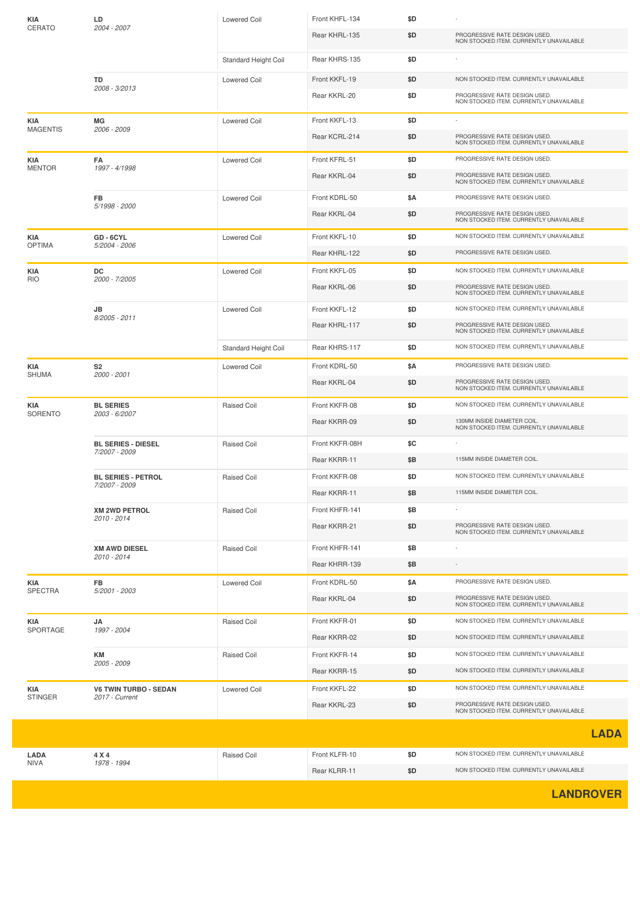| KIA                    | LD                                             | Lowered Coil         | Front KHFL-134 | \$D |                                                                          |
|------------------------|------------------------------------------------|----------------------|----------------|-----|--------------------------------------------------------------------------|
| CERATO                 | 2004 - 2007                                    |                      | Rear KHRL-135  | \$D | PROGRESSIVE RATE DESIGN USED.<br>NON STOCKED ITEM. CURRENTLY UNAVAILABLE |
|                        |                                                | Standard Height Coil | Rear KHRS-135  | \$D |                                                                          |
|                        | TD                                             | <b>Lowered Coil</b>  | Front KKFL-19  | \$D | NON STOCKED ITEM. CURRENTLY UNAVAILABLE                                  |
|                        | 2008 - 3/2013                                  |                      | Rear KKRL-20   | \$D | PROGRESSIVE RATE DESIGN USED.<br>NON STOCKED ITEM. CURRENTLY UNAVAILABLE |
| KIA<br><b>MAGENTIS</b> | MG<br>2006 - 2009                              | Lowered Coil         | Front KKFL-13  | \$D |                                                                          |
|                        |                                                |                      | Rear KCRL-214  | \$D | PROGRESSIVE RATE DESIGN USED.<br>NON STOCKED ITEM. CURRENTLY UNAVAILABLE |
| KIA<br><b>MENTOR</b>   | FA<br>1997 - 4/1998                            | <b>Lowered Coil</b>  | Front KFRL-51  | \$D | PROGRESSIVE RATE DESIGN USED.                                            |
|                        |                                                |                      | Rear KKRL-04   | \$D | PROGRESSIVE RATE DESIGN USED.<br>NON STOCKED ITEM. CURRENTLY UNAVAILABLE |
|                        | <b>FB</b><br>5/1998 - 2000                     | <b>Lowered Coil</b>  | Front KDRL-50  | \$Α | PROGRESSIVE RATE DESIGN USED.                                            |
|                        |                                                |                      | Rear KKRL-04   | \$D | PROGRESSIVE RATE DESIGN USED.<br>NON STOCKED ITEM. CURRENTLY UNAVAILABLE |
| KIA                    | GD - 6CYL<br>5/2004 - 2006                     | Lowered Coil         | Front KKFL-10  | \$D | NON STOCKED ITEM. CURRENTLY UNAVAILABLE                                  |
| <b>OPTIMA</b>          |                                                |                      | Rear KHRL-122  | \$D | PROGRESSIVE RATE DESIGN USED.                                            |
| KIA<br><b>RIO</b>      | DC<br>2000 - 7/2005                            | <b>Lowered Coil</b>  | Front KKFL-05  | \$D | NON STOCKED ITEM. CURRENTLY UNAVAILABLE                                  |
|                        |                                                |                      | Rear KKRL-06   | \$D | PROGRESSIVE RATE DESIGN USED.<br>NON STOCKED ITEM. CURRENTLY UNAVAILABLE |
|                        | JB                                             | Lowered Coil         | Front KKFL-12  | \$D | NON STOCKED ITEM. CURRENTLY UNAVAILABLE                                  |
|                        | 8/2005 - 2011                                  |                      | Rear KHRL-117  | \$D | PROGRESSIVE RATE DESIGN USED.<br>NON STOCKED ITEM. CURRENTLY UNAVAILABLE |
|                        |                                                | Standard Height Coil | Rear KHRS-117  | \$D | NON STOCKED ITEM. CURRENTLY UNAVAILABLE                                  |
| KIA<br>SHUMA           | S <sub>2</sub><br>2000 - 2001                  | Lowered Coil         | Front KDRL-50  | \$Α | PROGRESSIVE RATE DESIGN USED.                                            |
|                        |                                                |                      | Rear KKRL-04   | \$D | PROGRESSIVE RATE DESIGN USED.<br>NON STOCKED ITEM. CURRENTLY UNAVAILABLE |
| KIA                    | <b>BL SERIES</b><br>2003 - 6/2007              | <b>Raised Coil</b>   | Front KKFR-08  | \$D | NON STOCKED ITEM. CURRENTLY UNAVAILABLE                                  |
| SORENTO                |                                                |                      | Rear KKRR-09   | \$D | 130MM INSIDE DIAMETER COIL.<br>NON STOCKED ITEM. CURRENTLY UNAVAILABLE   |
|                        | <b>BL SERIES - DIESEL</b><br>7/2007 - 2009     | <b>Raised Coil</b>   | Front KKFR-08H | \$C |                                                                          |
|                        |                                                |                      | Rear KKRR-11   | \$Β | 115MM INSIDE DIAMETER COIL.                                              |
|                        | <b>BL SERIES - PETROL</b><br>7/2007 - 2009     | <b>Raised Coil</b>   | Front KKFR-08  | \$D | NON STOCKED ITEM. CURRENTLY UNAVAILABLE                                  |
|                        |                                                |                      | Rear KKRR-11   | \$B | 115MM INSIDE DIAMETER COIL.                                              |
|                        | <b>XM 2WD PETROL</b><br>2010 - 2014            | <b>Raised Coil</b>   | Front KHFR-141 | \$Β |                                                                          |
|                        |                                                |                      | Rear KKRR-21   | \$D | PROGRESSIVE RATE DESIGN USED.<br>NON STOCKED ITEM. CURRENTLY UNAVAILABLE |
|                        | <b>XM AWD DIESEL</b><br>2010 - 2014            | Raised Coil          | Front KHFR-141 | \$Β |                                                                          |
|                        |                                                |                      | Rear KHRR-139  | \$Β |                                                                          |
| KIA<br>SPECTRA         | FB<br>5/2001 - 2003                            | Lowered Coil         | Front KDRL-50  | \$Α | PROGRESSIVE RATE DESIGN USED.                                            |
|                        |                                                |                      | Rear KKRL-04   | \$D | PROGRESSIVE RATE DESIGN USED.<br>NON STOCKED ITEM. CURRENTLY UNAVAILABLE |
| KIA                    | JA<br>1997 - 2004<br>KM<br>2005 - 2009         | Raised Coil          | Front KKFR-01  | \$D | NON STOCKED ITEM. CURRENTLY UNAVAILABLE                                  |
| SPORTAGE               |                                                |                      | Rear KKRR-02   | \$D | NON STOCKED ITEM. CURRENTLY UNAVAILABLE                                  |
|                        |                                                | Raised Coil          | Front KKFR-14  | \$D | NON STOCKED ITEM. CURRENTLY UNAVAILABLE                                  |
|                        |                                                |                      | Rear KKRR-15   | \$D | NON STOCKED ITEM. CURRENTLY UNAVAILABLE                                  |
| KIA<br><b>STINGER</b>  | <b>V6 TWIN TURBO - SEDAN</b><br>2017 - Current | Lowered Coil         | Front KKFL-22  | \$D | NON STOCKED ITEM. CURRENTLY UNAVAILABLE                                  |
|                        |                                                |                      | Rear KKRL-23   | \$D | PROGRESSIVE RATE DESIGN USED.<br>NON STOCKED ITEM. CURRENTLY UNAVAILABLE |
|                        |                                                |                      |                |     | <b>LADA</b>                                                              |
| LADA                   | 4 X 4                                          | <b>Raised Coil</b>   | Front KLFR-10  | \$D | NON STOCKED ITEM. CURRENTLY UNAVAILABLE                                  |
| NIVA                   | 1978 - 1994                                    |                      |                |     |                                                                          |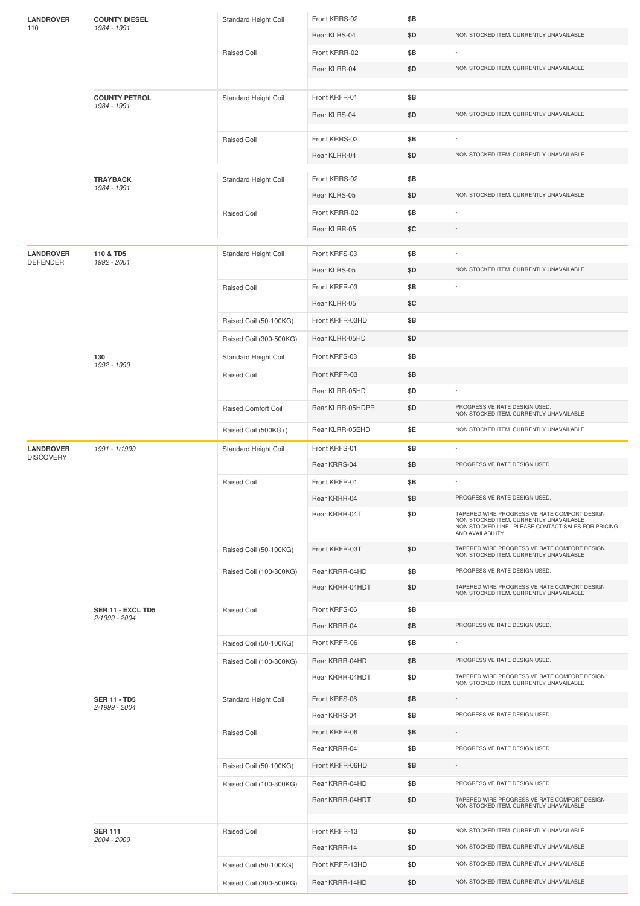| <b>LANDROVER</b>                    | <b>COUNTY DIESEL</b>                                   | Standard Height Coil                   | Front KRRS-02    | \$B |                                                                                                                    |
|-------------------------------------|--------------------------------------------------------|----------------------------------------|------------------|-----|--------------------------------------------------------------------------------------------------------------------|
| 110                                 | 1984 - 1991                                            |                                        | Rear KLRS-04     | \$D | NON STOCKED ITEM. CURRENTLY UNAVAILABLE                                                                            |
|                                     |                                                        | Raised Coil                            | Front KRRR-02    | \$Β |                                                                                                                    |
|                                     |                                                        |                                        | Rear KLRR-04     | \$D | NON STOCKED ITEM. CURRENTLY UNAVAILABLE                                                                            |
|                                     |                                                        |                                        |                  |     |                                                                                                                    |
|                                     | <b>COUNTY PETROL</b><br>1984 - 1991                    | Standard Height Coil                   | Front KRFR-01    | \$B |                                                                                                                    |
|                                     |                                                        |                                        | Rear KLRS-04     | \$D | NON STOCKED ITEM. CURRENTLY UNAVAILABLE                                                                            |
|                                     |                                                        | Raised Coil                            | Front KRRS-02    | \$B | ×                                                                                                                  |
|                                     |                                                        |                                        | Rear KLRR-04     | \$D | NON STOCKED ITEM. CURRENTLY UNAVAILABLE                                                                            |
|                                     |                                                        |                                        |                  |     |                                                                                                                    |
|                                     | <b>TRAYBACK</b><br>1984 - 1991                         | Standard Height Coil                   | Front KRRS-02    | \$Β |                                                                                                                    |
|                                     |                                                        |                                        | Rear KLRS-05     | \$D | NON STOCKED ITEM. CURRENTLY UNAVAILABLE                                                                            |
|                                     |                                                        | Raised Coil                            | Front KRRR-02    | \$Β |                                                                                                                    |
|                                     |                                                        |                                        | Rear KLRR-05     | \$C |                                                                                                                    |
| <b>LANDROVER</b><br><b>DEFENDER</b> | 110 & TD5<br>1992 - 2001                               | Standard Height Coil                   | Front KRFS-03    | \$Β |                                                                                                                    |
|                                     |                                                        |                                        | Rear KLRS-05     | \$D | NON STOCKED ITEM. CURRENTLY UNAVAILABLE                                                                            |
|                                     |                                                        | Raised Coil                            | Front KRFR-03    | \$Β | $\overline{a}$                                                                                                     |
|                                     |                                                        |                                        | Rear KLRR-05     | \$C | $\overline{\phantom{a}}$                                                                                           |
|                                     |                                                        | Raised Coil (50-100KG)                 | Front KRFR-03HD  | \$Β | $\overline{a}$                                                                                                     |
|                                     |                                                        | Raised Coil (300-500KG)                | Rear KLRR-05HD   | \$D |                                                                                                                    |
|                                     | 130                                                    | Standard Height Coil                   | Front KRFS-03    | \$Β |                                                                                                                    |
|                                     | 1992 - 1999                                            | Raised Coil                            | Front KRFR-03    | \$Β |                                                                                                                    |
|                                     |                                                        |                                        | Rear KLRR-05HD   | \$D |                                                                                                                    |
|                                     |                                                        | Raised Comfort Coil                    | Rear KLRR-05HDPR | \$D | PROGRESSIVE RATE DESIGN USED.<br>NON STOCKED ITEM. CURRENTLY UNAVAILABLE                                           |
|                                     |                                                        | Raised Coil (500KG+)                   | Rear KLRR-05EHD  | \$E | NON STOCKED ITEM. CURRENTLY UNAVAILABLE                                                                            |
| <b>LANDROVER</b>                    | 1991 - 1/1999                                          | Standard Height Coil                   | Front KRFS-01    | \$B | ÷                                                                                                                  |
| <b>DISCOVERY</b>                    |                                                        |                                        | Rear KRRS-04     | \$Β | PROGRESSIVE RATE DESIGN USED.                                                                                      |
|                                     |                                                        | Raised Coil                            | Front KRFR-01    | \$Β |                                                                                                                    |
|                                     |                                                        |                                        | Rear KRRR-04     | \$Β | PROGRESSIVE RATE DESIGN USED.                                                                                      |
|                                     |                                                        |                                        | Rear KRRR-04T    | \$D | TAPERED WIRE PROGRESSIVE RATE COMFORT DESIGN                                                                       |
|                                     |                                                        |                                        |                  |     | NON STOCKED ITEM. CURRENTLY UNAVAILABLE<br>NON STOCKED LINE., PLEASE CONTACT SALES FOR PRICING<br>AND AVAILABILITY |
|                                     |                                                        | Raised Coil (50-100KG)                 | Front KRFR-03T   | \$D | TAPERED WIRE PROGRESSIVE RATE COMFORT DESIGN<br>NON STOCKED ITEM, CURRENTLY UNAVAILABLE                            |
|                                     |                                                        | Raised Coil (100-300KG)                | Rear KRRR-04HD   | \$Β | PROGRESSIVE RATE DESIGN USED.                                                                                      |
|                                     |                                                        |                                        | Rear KRRR-04HDT  | \$D | TAPERED WIRE PROGRESSIVE RATE COMFORT DESIGN<br>NON STOCKED ITEM. CURRENTLY UNAVAILABLE                            |
|                                     | SER 11 - EXCL TD5                                      | Raised Coil                            | Front KRFS-06    | \$B | ٠                                                                                                                  |
|                                     | 2/1999 - 2004                                          |                                        | Rear KRRR-04     | \$Β | PROGRESSIVE RATE DESIGN USED.                                                                                      |
|                                     |                                                        | Raised Coil (50-100KG)                 | Front KRFR-06    | \$Β |                                                                                                                    |
|                                     |                                                        | Raised Coil (100-300KG)                | Rear KRRR-04HD   | \$Β | PROGRESSIVE RATE DESIGN USED.                                                                                      |
|                                     |                                                        |                                        | Rear KRRR-04HDT  | \$D | TAPERED WIRE PROGRESSIVE RATE COMFORT DESIGN<br>NON STOCKED ITEM. CURRENTLY UNAVAILABLE                            |
|                                     | <b>SER 11 - TD5</b><br>2/1999 - 2004<br><b>SER 111</b> | Standard Height Coil                   | Front KRFS-06    | \$Β |                                                                                                                    |
|                                     |                                                        |                                        | Rear KRRS-04     | \$B | PROGRESSIVE RATE DESIGN USED.                                                                                      |
|                                     |                                                        | Raised Coil                            | Front KRFR-06    | \$Β | $\overline{\phantom{a}}$                                                                                           |
|                                     |                                                        |                                        | Rear KRRR-04     | \$B | PROGRESSIVE RATE DESIGN USED.                                                                                      |
|                                     |                                                        | Raised Coil (50-100KG)                 | Front KRFR-06HD  | \$Β |                                                                                                                    |
|                                     |                                                        | Raised Coil (100-300KG)<br>Raised Coil | Rear KRRR-04HD   | \$B | PROGRESSIVE RATE DESIGN USED.                                                                                      |
|                                     |                                                        |                                        | Rear KRRR-04HDT  | \$D | TAPERED WIRE PROGRESSIVE RATE COMFORT DESIGN<br>NON STOCKED ITEM. CURRENTLY UNAVAILABLE                            |
|                                     |                                                        |                                        | Front KRFR-13    | \$D | NON STOCKED ITEM. CURRENTLY UNAVAILABLE                                                                            |
|                                     | 2004 - 2009                                            |                                        | Rear KRRR-14     | \$D | NON STOCKED ITEM. CURRENTLY UNAVAILABLE                                                                            |
|                                     |                                                        | Raised Coil (50-100KG)                 | Front KRFR-13HD  | \$D | NON STOCKED ITEM. CURRENTLY UNAVAILABLE                                                                            |
|                                     |                                                        | Raised Coil (300-500KG)                | Rear KRRR-14HD   | \$D | NON STOCKED ITEM. CURRENTLY UNAVAILABLE                                                                            |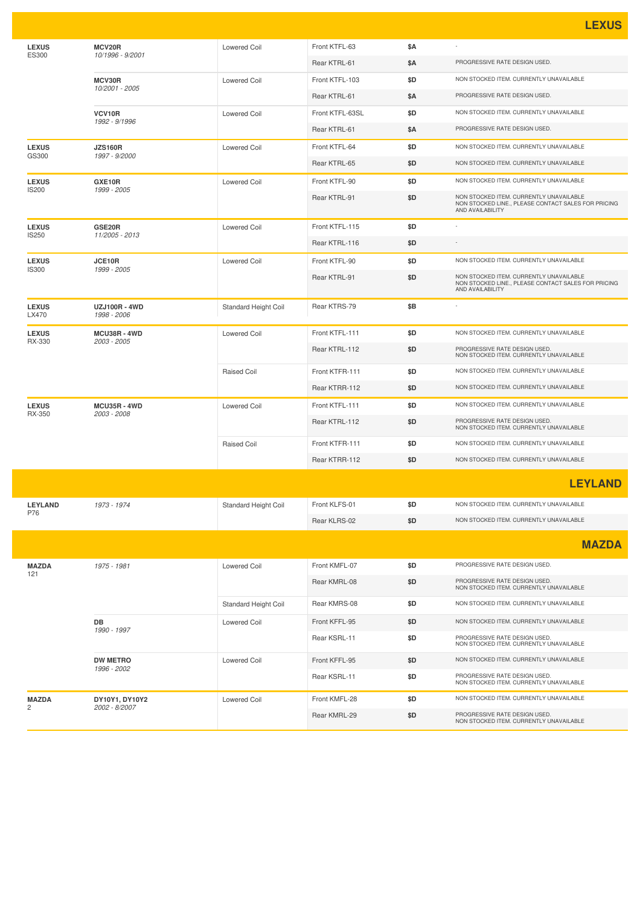|                              |                                     |                      |                 |            | <u>LEXUS</u>                                                                                                       |
|------------------------------|-------------------------------------|----------------------|-----------------|------------|--------------------------------------------------------------------------------------------------------------------|
| <b>LEXUS</b><br><b>ES300</b> | MCV20R<br>10/1996 - 9/2001          | <b>Lowered Coil</b>  | Front KTFL-63   | <b>\$A</b> |                                                                                                                    |
|                              |                                     |                      | Rear KTRL-61    | \$Α        | PROGRESSIVE RATE DESIGN USED.                                                                                      |
|                              | MCV30R<br>10/2001 - 2005            | <b>Lowered Coil</b>  | Front KTFL-103  | \$D        | NON STOCKED ITEM. CURRENTLY UNAVAILABLE                                                                            |
|                              |                                     |                      | Rear KTRL-61    | \$Α        | PROGRESSIVE RATE DESIGN USED.                                                                                      |
|                              | VCV10R<br>1992 - 9/1996             | <b>Lowered Coil</b>  | Front KTFL-63SL | \$D        | NON STOCKED ITEM. CURRENTLY UNAVAILABLE                                                                            |
|                              |                                     |                      | Rear KTRL-61    | \$A        | PROGRESSIVE RATE DESIGN USED.                                                                                      |
| <b>LEXUS</b><br>GS300        | <b>JZS160R</b><br>1997 - 9/2000     | <b>Lowered Coil</b>  | Front KTFL-64   | \$D        | NON STOCKED ITEM. CURRENTLY UNAVAILABLE                                                                            |
|                              |                                     |                      | Rear KTRL-65    | \$D        | NON STOCKED ITEM. CURRENTLY UNAVAILABLE                                                                            |
| <b>LEXUS</b>                 | GXE10R                              | Lowered Coil         | Front KTFL-90   | \$D        | NON STOCKED ITEM. CURRENTLY UNAVAILABLE                                                                            |
| <b>IS200</b>                 | 1999 - 2005                         |                      | Rear KTRL-91    | \$D        | NON STOCKED ITEM. CURRENTLY UNAVAILABLE<br>NON STOCKED LINE., PLEASE CONTACT SALES FOR PRICING<br>AND AVAILABILITY |
| <b>LEXUS</b>                 | GSE20R                              | <b>Lowered Coil</b>  | Front KTFL-115  | \$D        |                                                                                                                    |
| <b>IS250</b>                 | 11/2005 - 2013                      |                      | Rear KTRL-116   | \$D        |                                                                                                                    |
| <b>LEXUS</b>                 | JCE10R                              | <b>Lowered Coil</b>  | Front KTFL-90   | \$D        | NON STOCKED ITEM. CURRENTLY UNAVAILABLE                                                                            |
| <b>IS300</b>                 | 1999 - 2005                         |                      | Rear KTRL-91    | \$D        | NON STOCKED ITEM. CURRENTLY UNAVAILABLE<br>NON STOCKED LINE., PLEASE CONTACT SALES FOR PRICING<br>AND AVAILABILITY |
| <b>LEXUS</b><br>LX470        | <b>UZJ100R - 4WD</b><br>1998 - 2006 | Standard Height Coil | Rear KTRS-79    | \$B        |                                                                                                                    |
| <b>LEXUS</b>                 | MCU38R - 4WD                        | <b>Lowered Coil</b>  | Front KTFL-111  | \$D        | NON STOCKED ITEM. CURRENTLY UNAVAILABLE                                                                            |
| RX-330                       | 2003 - 2005                         |                      | Rear KTRL-112   | \$D        | PROGRESSIVE RATE DESIGN USED.<br>NON STOCKED ITEM. CURRENTLY UNAVAILABLE                                           |
|                              |                                     | Raised Coil          | Front KTFR-111  | \$D        | NON STOCKED ITEM. CURRENTLY UNAVAILABLE                                                                            |
|                              |                                     |                      | Rear KTRR-112   | \$D        | NON STOCKED ITEM. CURRENTLY UNAVAILABLE                                                                            |
| <b>LEXUS</b><br>RX-350       | <b>MCU35R - 4WD</b><br>2003 - 2008  | <b>Lowered Coil</b>  | Front KTFL-111  | \$D        | NON STOCKED ITEM. CURRENTLY UNAVAILABLE                                                                            |
|                              |                                     |                      | Rear KTRL-112   | \$D        | PROGRESSIVE RATE DESIGN USED.<br>NON STOCKED ITEM. CURRENTLY UNAVAILABLE                                           |
|                              |                                     | <b>Raised Coil</b>   | Front KTFR-111  | \$D        | NON STOCKED ITEM. CURRENTLY UNAVAILABLE                                                                            |
|                              |                                     |                      | Rear KTRR-112   | \$D        | NON STOCKED ITEM. CURRENTLY UNAVAILABLE                                                                            |
|                              |                                     |                      |                 |            | <b>LEYLAND</b>                                                                                                     |
| LEYLAND<br>P76               | 1973 - 1974                         | Standard Height Coil | Front KLFS-01   | \$D        | NON STOCKED ITEM. CURRENTLY UNAVAILABLE                                                                            |
|                              |                                     |                      | Rear KLRS-02    | \$D        | NON STOCKED ITEM. CURRENTLY UNAVAILABLE                                                                            |
|                              |                                     |                      |                 |            | <b>MAZDA</b>                                                                                                       |
| <b>MAZDA</b><br>121          | 1975 - 1981                         | Lowered Coil         | Front KMFL-07   | \$D        | PROGRESSIVE RATE DESIGN USED.                                                                                      |
|                              |                                     |                      | Rear KMRL-08    | \$D        | PROGRESSIVE RATE DESIGN USED.<br>NON STOCKED ITEM. CURRENTLY UNAVAILABLE                                           |
|                              |                                     | Standard Height Coil | Rear KMRS-08    | \$D        | NON STOCKED ITEM. CURRENTLY UNAVAILABLE                                                                            |
|                              | DB<br>1990 - 1997                   | Lowered Coil         | Front KFFL-95   | \$D        | NON STOCKED ITEM. CURRENTLY UNAVAILABLE                                                                            |
|                              |                                     |                      | Rear KSRL-11    | \$D        | PROGRESSIVE RATE DESIGN USED.<br>NON STOCKED ITEM. CURRENTLY UNAVAILABLE                                           |
|                              | <b>DW METRO</b>                     | <b>Lowered Coil</b>  | Front KFFL-95   | \$D        | NON STOCKED ITEM. CURRENTLY UNAVAILABLE                                                                            |
|                              | 1996 - 2002                         |                      | Rear KSRL-11    | \$D        | PROGRESSIVE RATE DESIGN USED.<br>NON STOCKED ITEM. CURRENTLY UNAVAILABLE                                           |
| <b>MAZDA</b>                 | DY10Y1, DY10Y2                      | Lowered Coil         | Front KMFL-28   | \$D        | NON STOCKED ITEM. CURRENTLY UNAVAILABLE                                                                            |
| 2                            | 2002 - 8/2007                       |                      | Rear KMRL-29    | \$D        | PROGRESSIVE RATE DESIGN USED.<br>NON STOCKED ITEM. CURRENTLY UNAVAILABLE                                           |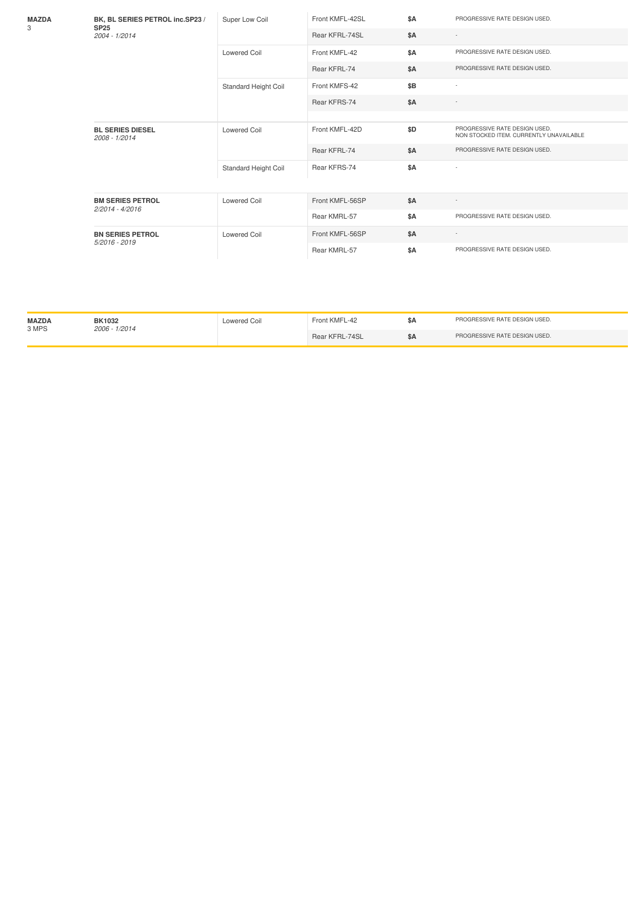| MAZDA<br>3 | BK, BL SERIES PETROL inc.SP23 /<br><b>SP25</b><br>2004 - 1/2014 | Super Low Coil       | Front KMFL-42SL | \$A        | PROGRESSIVE RATE DESIGN USED.                                            |
|------------|-----------------------------------------------------------------|----------------------|-----------------|------------|--------------------------------------------------------------------------|
|            |                                                                 |                      | Rear KFRL-74SL  | \$A        |                                                                          |
|            |                                                                 | Lowered Coil         | Front KMFL-42   | <b>\$A</b> | PROGRESSIVE RATE DESIGN USED.                                            |
|            |                                                                 |                      | Rear KFRL-74    | <b>\$A</b> | PROGRESSIVE RATE DESIGN USED.                                            |
|            |                                                                 | Standard Height Coil | Front KMFS-42   | \$B        |                                                                          |
|            |                                                                 |                      | Rear KFRS-74    | <b>\$A</b> |                                                                          |
|            |                                                                 |                      |                 |            |                                                                          |
|            | <b>BL SERIES DIESEL</b><br>2008 - 1/2014                        | Lowered Coil         | Front KMFL-42D  | \$D        | PROGRESSIVE RATE DESIGN USED.<br>NON STOCKED ITEM. CURRENTLY UNAVAILABLE |
|            |                                                                 |                      | Rear KFRL-74    | <b>\$A</b> | PROGRESSIVE RATE DESIGN USED.                                            |
|            |                                                                 | Standard Height Coil | Rear KFRS-74    | <b>\$A</b> |                                                                          |
|            |                                                                 |                      |                 |            |                                                                          |
|            | <b>BM SERIES PETROL</b><br>2/2014 - 4/2016                      | <b>Lowered Coil</b>  | Front KMFL-56SP | \$A        |                                                                          |
|            |                                                                 |                      | Rear KMRL-57    | <b>\$A</b> | PROGRESSIVE RATE DESIGN USED.                                            |
|            | <b>BN SERIES PETROL</b><br>5/2016 - 2019                        | <b>Lowered Coil</b>  | Front KMFL-56SP | \$A        |                                                                          |
|            |                                                                 |                      | Rear KMRL-57    | \$A        | PROGRESSIVE RATE DESIGN USED.                                            |

| <b>MAZDA</b><br>3 MPS | <b>BK1032</b><br>2006 - 1/2014 | Lowered Coil | Front KMFL-42  | PROGRESSIVE RATE DESIGN USED. |
|-----------------------|--------------------------------|--------------|----------------|-------------------------------|
|                       |                                |              | Rear KFRL-74SL | PROGRESSIVE RATE DESIGN USED. |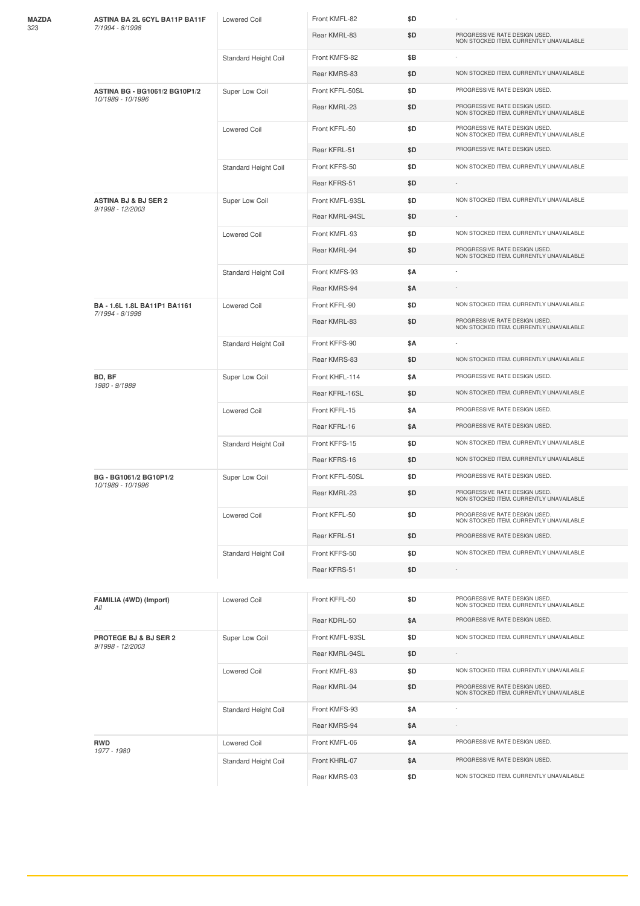| MAZDA | ASTINA BA 2L 6CYL BA11P BA11F<br>7/1994 - 8/1998          | Lowered Coil         | Front KMFL-82   | \$D |                                                                          |
|-------|-----------------------------------------------------------|----------------------|-----------------|-----|--------------------------------------------------------------------------|
| 323   |                                                           |                      | Rear KMRL-83    | \$D | PROGRESSIVE RATE DESIGN USED.<br>NON STOCKED ITEM. CURRENTLY UNAVAILABLE |
|       |                                                           | Standard Height Coil | Front KMFS-82   | \$B |                                                                          |
|       |                                                           |                      | Rear KMRS-83    | \$D | NON STOCKED ITEM. CURRENTLY UNAVAILABLE                                  |
|       | <b>ASTINA BG - BG1061/2 BG10P1/2</b><br>10/1989 - 10/1996 | Super Low Coil       | Front KFFL-50SL | \$D | PROGRESSIVE RATE DESIGN USED.                                            |
|       |                                                           |                      | Rear KMRL-23    | \$D | PROGRESSIVE RATE DESIGN USED.<br>NON STOCKED ITEM. CURRENTLY UNAVAILABLE |
|       |                                                           | <b>Lowered Coil</b>  | Front KFFL-50   | \$D | PROGRESSIVE RATE DESIGN USED.<br>NON STOCKED ITEM. CURRENTLY UNAVAILABLE |
|       |                                                           |                      | Rear KFRL-51    | \$D | PROGRESSIVE RATE DESIGN USED.                                            |
|       |                                                           | Standard Height Coil | Front KFFS-50   | \$D | NON STOCKED ITEM. CURRENTLY UNAVAILABLE                                  |
|       |                                                           |                      | Rear KFRS-51    | \$D | $\overline{\phantom{a}}$                                                 |
|       | <b>ASTINA BJ &amp; BJ SER 2</b><br>9/1998 - 12/2003       | Super Low Coil       | Front KMFL-93SL | \$D | NON STOCKED ITEM. CURRENTLY UNAVAILABLE                                  |
|       |                                                           |                      | Rear KMRL-94SL  | \$D |                                                                          |
|       |                                                           | <b>Lowered Coil</b>  | Front KMFL-93   | \$D | NON STOCKED ITEM. CURRENTLY UNAVAILABLE                                  |
|       |                                                           |                      | Rear KMRL-94    | \$D | PROGRESSIVE RATE DESIGN USED.<br>NON STOCKED ITEM. CURRENTLY UNAVAILABLE |
|       |                                                           | Standard Height Coil | Front KMFS-93   | \$Α |                                                                          |
|       |                                                           |                      | Rear KMRS-94    | \$Α |                                                                          |
|       | BA - 1.6L 1.8L BA11P1 BA1161<br>7/1994 - 8/1998           | <b>Lowered Coil</b>  | Front KFFL-90   | \$D | NON STOCKED ITEM. CURRENTLY UNAVAILABLE                                  |
|       |                                                           |                      | Rear KMRL-83    | \$D | PROGRESSIVE RATE DESIGN USED.<br>NON STOCKED ITEM. CURRENTLY UNAVAILABLE |
|       |                                                           | Standard Height Coil | Front KFFS-90   | \$Α |                                                                          |
|       |                                                           |                      | Rear KMRS-83    | \$D | NON STOCKED ITEM. CURRENTLY UNAVAILABLE                                  |
|       | BD, BF<br>1980 - 9/1989                                   | Super Low Coil       | Front KHFL-114  | \$Α | PROGRESSIVE RATE DESIGN USED.                                            |
|       |                                                           |                      | Rear KFRL-16SL  | \$D | NON STOCKED ITEM. CURRENTLY UNAVAILABLE                                  |
|       |                                                           | <b>Lowered Coil</b>  | Front KFFL-15   | \$Α | PROGRESSIVE RATE DESIGN USED.                                            |
|       |                                                           |                      | Rear KFRL-16    | \$A | PROGRESSIVE RATE DESIGN USED.                                            |
|       |                                                           | Standard Height Coil | Front KFFS-15   | \$D | NON STOCKED ITEM. CURRENTLY UNAVAILABLE                                  |
|       |                                                           |                      | Rear KFRS-16    | \$D | NON STOCKED ITEM. CURRENTLY UNAVAILABLE                                  |
|       | BG - BG1061/2 BG10P1/2<br>10/1989 - 10/1996               | Super Low Coil       | Front KFFL-50SL | \$D | PROGRESSIVE RATE DESIGN USED.                                            |
|       |                                                           |                      | Rear KMRL-23    | \$D | PROGRESSIVE RATE DESIGN USED.<br>NON STOCKED ITEM. CURRENTLY UNAVAILABLE |
|       |                                                           | <b>Lowered Coil</b>  | Front KFFL-50   | \$D | PROGRESSIVE RATE DESIGN USED.<br>NON STOCKED ITEM. CURRENTLY UNAVAILABLE |
|       |                                                           |                      | Rear KFRL-51    | \$D | PROGRESSIVE RATE DESIGN USED.                                            |
|       |                                                           | Standard Height Coil | Front KFFS-50   | \$D | NON STOCKED ITEM. CURRENTLY UNAVAILABLE                                  |
|       |                                                           |                      | Rear KFRS-51    | \$D |                                                                          |
|       | FAMILIA (4WD) (Import)<br>All                             | Lowered Coil         | Front KFFL-50   | \$D | PROGRESSIVE RATE DESIGN USED.<br>NON STOCKED ITEM. CURRENTLY UNAVAILABLE |
|       |                                                           |                      | Rear KDRL-50    | \$Α | PROGRESSIVE RATE DESIGN USED.                                            |
|       | PROTEGE BJ & BJ SER 2                                     | Super Low Coil       | Front KMFL-93SL | \$D | NON STOCKED ITEM. CURRENTLY UNAVAILABLE                                  |
|       | 9/1998 - 12/2003                                          |                      | Rear KMRL-94SL  | \$D |                                                                          |
|       |                                                           | <b>Lowered Coil</b>  | Front KMFL-93   | \$D | NON STOCKED ITEM. CURRENTLY UNAVAILABLE                                  |
|       |                                                           |                      | Rear KMRL-94    | \$D | PROGRESSIVE RATE DESIGN USED.<br>NON STOCKED ITEM. CURRENTLY UNAVAILABLE |
|       |                                                           | Standard Height Coil | Front KMFS-93   | \$Α |                                                                          |
|       |                                                           |                      | Rear KMRS-94    | \$Α |                                                                          |
|       | RWD                                                       | <b>Lowered Coil</b>  | Front KMFL-06   | \$Α | PROGRESSIVE RATE DESIGN USED.                                            |
|       | 1977 - 1980                                               | Standard Height Coil | Front KHRL-07   | \$Α | PROGRESSIVE RATE DESIGN USED.                                            |
|       |                                                           |                      | Rear KMRS-03    | \$D | NON STOCKED ITEM. CURRENTLY UNAVAILABLE                                  |
|       |                                                           |                      |                 |     |                                                                          |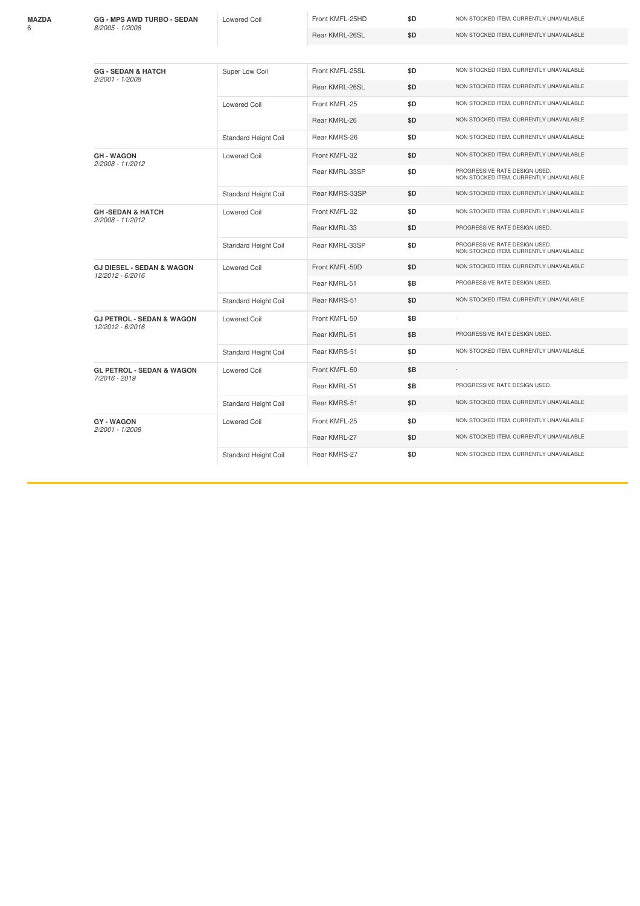| MAZDA<br>հ | <b>GG - MPS AWD TURBO - SEDAN</b><br>8/2005 - 1/2008     | <b>Lowered Coil</b>         | Front KMFL-25HD | \$D | NON STOCKED ITEM. CURRENTLY UNAVAILABLE                                  |  |  |  |
|------------|----------------------------------------------------------|-----------------------------|-----------------|-----|--------------------------------------------------------------------------|--|--|--|
|            |                                                          |                             | Rear KMRL-26SL  | \$D | NON STOCKED ITEM. CURRENTLY UNAVAILABLE                                  |  |  |  |
|            |                                                          |                             |                 |     |                                                                          |  |  |  |
|            | <b>GG - SEDAN &amp; HATCH</b><br>2/2001 - 1/2008         | Super Low Coil              | Front KMFL-25SL | \$D | NON STOCKED ITEM. CURRENTLY UNAVAILABLE                                  |  |  |  |
|            |                                                          |                             | Rear KMRL-26SL  | \$D | NON STOCKED ITEM. CURRENTLY UNAVAILABLE                                  |  |  |  |
|            |                                                          | <b>Lowered Coil</b>         | Front KMFL-25   | \$D | NON STOCKED ITEM. CURRENTLY UNAVAILABLE                                  |  |  |  |
|            |                                                          |                             | Rear KMRL-26    | \$D | NON STOCKED ITEM. CURRENTLY UNAVAILABLE                                  |  |  |  |
|            |                                                          | Standard Height Coil        | Rear KMRS-26    | \$D | NON STOCKED ITEM. CURRENTLY UNAVAILABLE                                  |  |  |  |
|            | <b>GH-WAGON</b><br>2/2008 - 11/2012                      | <b>Lowered Coil</b>         | Front KMFL-32   | \$D | NON STOCKED ITEM. CURRENTLY UNAVAILABLE                                  |  |  |  |
|            |                                                          |                             | Rear KMRL-33SP  | \$D | PROGRESSIVE RATE DESIGN USED.<br>NON STOCKED ITEM. CURRENTLY UNAVAILABLE |  |  |  |
|            |                                                          | Standard Height Coil        | Rear KMRS-33SP  | \$D | NON STOCKED ITEM. CURRENTLY UNAVAILABLE                                  |  |  |  |
|            | <b>GH-SEDAN &amp; HATCH</b><br>2/2008 - 11/2012          | <b>Lowered Coil</b>         | Front KMFL-32   | \$D | NON STOCKED ITEM. CURRENTLY UNAVAILABLE                                  |  |  |  |
|            |                                                          |                             | Rear KMRL-33    | \$D | PROGRESSIVE RATE DESIGN USED.                                            |  |  |  |
|            |                                                          | Standard Height Coil        | Rear KMRL-33SP  | \$D | PROGRESSIVE RATE DESIGN USED.<br>NON STOCKED ITEM. CURRENTLY UNAVAILABLE |  |  |  |
|            | <b>GJ DIESEL - SEDAN &amp; WAGON</b><br>12/2012 - 6/2016 | <b>Lowered Coil</b>         | Front KMFL-50D  | \$D | NON STOCKED ITEM. CURRENTLY UNAVAILABLE                                  |  |  |  |
|            |                                                          |                             | Rear KMRL-51    | \$B | PROGRESSIVE RATE DESIGN USED.                                            |  |  |  |
|            |                                                          | <b>Standard Height Coil</b> | Rear KMRS-51    | \$D | NON STOCKED ITEM. CURRENTLY UNAVAILABLE                                  |  |  |  |
|            | <b>GJ PETROL - SEDAN &amp; WAGON</b><br>12/2012 - 6/2016 | <b>Lowered Coil</b>         | Front KMFL-50   | \$B |                                                                          |  |  |  |
|            |                                                          |                             | Rear KMRL-51    | \$Β | PROGRESSIVE RATE DESIGN USED.                                            |  |  |  |
|            |                                                          | <b>Standard Height Coil</b> | Rear KMRS-51    | \$D | NON STOCKED ITEM. CURRENTLY UNAVAILABLE                                  |  |  |  |
|            | <b>GL PETROL - SEDAN &amp; WAGON</b><br>7/2016 - 2019    | <b>Lowered Coil</b>         | Front KMFL-50   | \$B | $\sim$                                                                   |  |  |  |
|            |                                                          |                             | Rear KMRL-51    | \$Β | PROGRESSIVE RATE DESIGN USED.                                            |  |  |  |
|            |                                                          | <b>Standard Height Coil</b> | Rear KMRS-51    | \$D | NON STOCKED ITEM. CURRENTLY UNAVAILABLE                                  |  |  |  |
|            | <b>GY-WAGON</b><br>2/2001 - 1/2008                       | <b>Lowered Coil</b>         | Front KMFL-25   | \$D | NON STOCKED ITEM. CURRENTLY UNAVAILABLE                                  |  |  |  |
|            |                                                          |                             | Rear KMRL-27    | \$D | NON STOCKED ITEM. CURRENTLY UNAVAILABLE                                  |  |  |  |
|            |                                                          | Standard Height Coil        | Rear KMRS-27    | \$D | NON STOCKED ITEM. CURRENTLY UNAVAILABLE                                  |  |  |  |
|            |                                                          |                             |                 |     |                                                                          |  |  |  |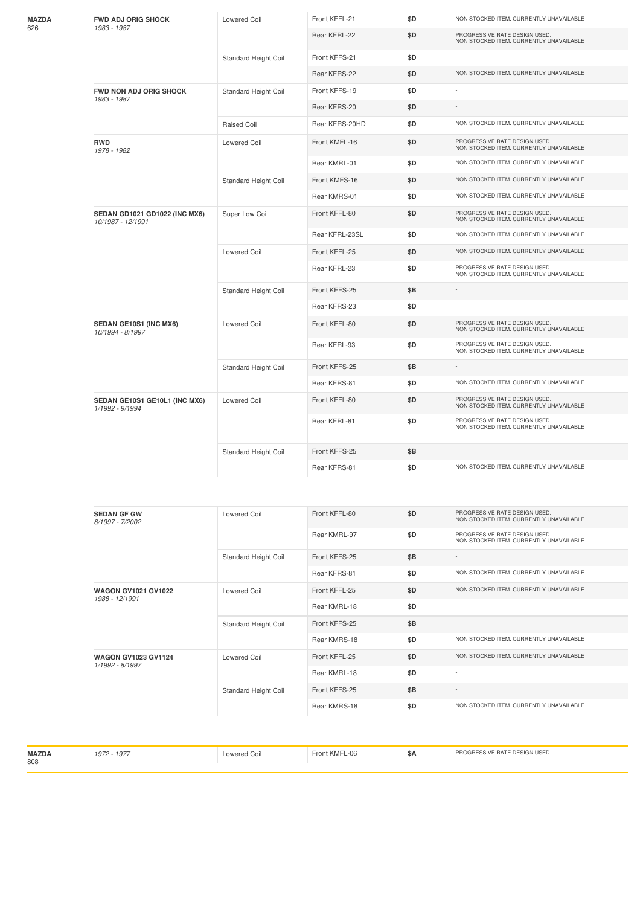| <b>FWD ADJ ORIG SHOCK</b><br>1983 - 1987           | <b>Lowered Coil</b>         | Front KFFL-21  | \$D | NON STOCKED ITEM. CURRENTLY UNAVAILABLE                                  |
|----------------------------------------------------|-----------------------------|----------------|-----|--------------------------------------------------------------------------|
|                                                    |                             | Rear KFRL-22   | \$D | PROGRESSIVE RATE DESIGN USED.<br>NON STOCKED ITEM. CURRENTLY UNAVAILABLE |
|                                                    | <b>Standard Height Coil</b> | Front KFFS-21  | \$D |                                                                          |
|                                                    |                             | Rear KFRS-22   | \$D | NON STOCKED ITEM. CURRENTLY UNAVAILABLE                                  |
| <b>FWD NON ADJ ORIG SHOCK</b><br>1983 - 1987       | Standard Height Coil        | Front KFFS-19  | \$D |                                                                          |
|                                                    |                             | Rear KFRS-20   | \$D | $\sim$                                                                   |
|                                                    | Raised Coil                 | Rear KFRS-20HD | \$D | NON STOCKED ITEM. CURRENTLY UNAVAILABLE                                  |
| <b>RWD</b><br>1978 - 1982                          | <b>Lowered Coil</b>         | Front KMFL-16  | \$D | PROGRESSIVE RATE DESIGN USED.<br>NON STOCKED ITEM. CURRENTLY UNAVAILABLE |
|                                                    |                             | Rear KMRL-01   | \$D | NON STOCKED ITEM. CURRENTLY UNAVAILABLE                                  |
|                                                    | Standard Height Coil        | Front KMFS-16  | \$D | NON STOCKED ITEM. CURRENTLY UNAVAILABLE                                  |
|                                                    |                             | Rear KMRS-01   | \$D | NON STOCKED ITEM. CURRENTLY UNAVAILABLE                                  |
| SEDAN GD1021 GD1022 (INC MX6)<br>10/1987 - 12/1991 | Super Low Coil              | Front KFFL-80  | \$D | PROGRESSIVE RATE DESIGN USED.<br>NON STOCKED ITEM. CURRENTLY UNAVAILABLE |
|                                                    |                             | Rear KFRL-23SL | \$D | NON STOCKED ITEM. CURRENTLY UNAVAILABLE                                  |
|                                                    | <b>Lowered Coil</b>         | Front KFFL-25  | \$D | NON STOCKED ITEM. CURRENTLY UNAVAILABLE                                  |
|                                                    |                             | Rear KFRL-23   | \$D | PROGRESSIVE RATE DESIGN USED.<br>NON STOCKED ITEM. CURRENTLY UNAVAILABLE |
|                                                    | Standard Height Coil        | Front KFFS-25  | \$B |                                                                          |
|                                                    |                             | Rear KFRS-23   | \$D |                                                                          |
| SEDAN GE10S1 (INC MX6)<br>10/1994 - 8/1997         | <b>Lowered Coil</b>         | Front KFFL-80  | \$D | PROGRESSIVE RATE DESIGN USED.<br>NON STOCKED ITEM. CURRENTLY UNAVAILABLE |
|                                                    |                             | Rear KFRL-93   | \$D | PROGRESSIVE RATE DESIGN USED.<br>NON STOCKED ITEM. CURRENTLY UNAVAILABLE |
|                                                    | Standard Height Coil        | Front KFFS-25  | \$Β |                                                                          |
|                                                    |                             | Rear KFRS-81   | \$D | NON STOCKED ITEM. CURRENTLY UNAVAILABLE                                  |
| SEDAN GE10S1 GE10L1 (INC MX6)<br>1/1992 - 9/1994   | <b>Lowered Coil</b>         | Front KFFL-80  | \$D | PROGRESSIVE RATE DESIGN USED.<br>NON STOCKED ITEM. CURRENTLY UNAVAILABLE |
|                                                    |                             | Rear KFRL-81   | \$D | PROGRESSIVE RATE DESIGN USED.<br>NON STOCKED ITEM. CURRENTLY UNAVAILABLE |
|                                                    | <b>Standard Height Coil</b> | Front KFFS-25  | \$Β |                                                                          |
|                                                    |                             | Rear KFRS-81   | \$D | NON STOCKED ITEM. CURRENTLY UNAVAILABLE                                  |
|                                                    |                             |                |     |                                                                          |
| <b>SEDAN GF GW</b><br>8/1997 - 7/2002              | <b>Lowered Coil</b>         | Front KFFL-80  | \$D | PROGRESSIVE RATE DESIGN USED.<br>NON STOCKED ITEM. CURRENTLY UNAVAILABLE |

|                                               |                      | Rear KMRL-97  | \$D | PROGRESSIVE RATE DESIGN USED.<br>NON STOCKED ITEM. CURRENTLY UNAVAILABLE |
|-----------------------------------------------|----------------------|---------------|-----|--------------------------------------------------------------------------|
|                                               | Standard Height Coil | Front KFFS-25 | \$B | $\sim$                                                                   |
|                                               |                      | Rear KFRS-81  | \$D | NON STOCKED ITEM. CURRENTLY UNAVAILABLE                                  |
| <b>WAGON GV1021 GV1022</b><br>1988 - 12/1991  | Lowered Coil         | Front KFFL-25 | \$D | NON STOCKED ITEM. CURRENTLY UNAVAILABLE                                  |
|                                               |                      | Rear KMRL-18  | \$D | $\overline{\phantom{a}}$                                                 |
|                                               | Standard Height Coil | Front KFFS-25 | \$B | ٠                                                                        |
|                                               |                      | Rear KMRS-18  | \$D | NON STOCKED ITEM. CURRENTLY UNAVAILABLE                                  |
| <b>WAGON GV1023 GV1124</b><br>1/1992 - 8/1997 | <b>Lowered Coil</b>  | Front KFFL-25 | \$D | NON STOCKED ITEM. CURRENTLY UNAVAILABLE                                  |
|                                               |                      | Rear KMRL-18  | \$D | ٠                                                                        |
|                                               | Standard Height Coil | Front KFFS-25 | \$B | $\sim$                                                                   |
|                                               |                      | Rear KMRS-18  | \$D | NON STOCKED ITEM. CURRENTLY UNAVAILABLE                                  |

| <b>MAZDA</b><br>.197<br>808 | owered Coil | $\cdots$<br>-06<br><b>KIVII</b> | SΑ | T RATE DESIGN USED.<br><b>RESSIVE</b> |
|-----------------------------|-------------|---------------------------------|----|---------------------------------------|
|-----------------------------|-------------|---------------------------------|----|---------------------------------------|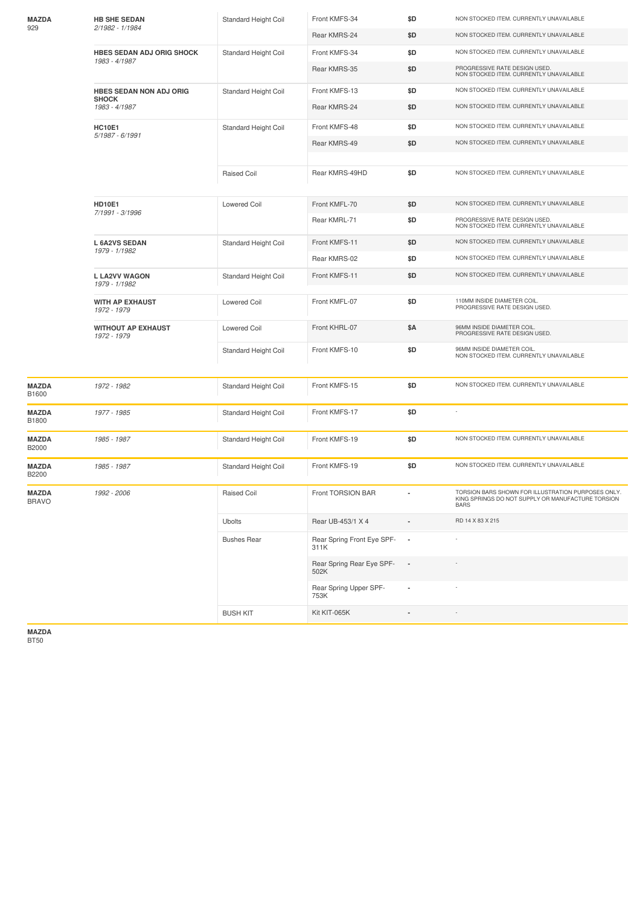| MAZDA<br>929          | <b>HB SHE SEDAN</b><br>2/1982 - 1/1984            | <b>Standard Height Coil</b> | Front KMFS-34                      | \$D                      | NON STOCKED ITEM. CURRENTLY UNAVAILABLE                                                                                |
|-----------------------|---------------------------------------------------|-----------------------------|------------------------------------|--------------------------|------------------------------------------------------------------------------------------------------------------------|
|                       |                                                   |                             | Rear KMRS-24                       | \$D                      | NON STOCKED ITEM. CURRENTLY UNAVAILABLE                                                                                |
|                       | <b>HBES SEDAN ADJ ORIG SHOCK</b><br>1983 - 4/1987 | Standard Height Coil        | Front KMFS-34                      | \$D                      | NON STOCKED ITEM. CURRENTLY UNAVAILABLE                                                                                |
|                       |                                                   |                             | Rear KMRS-35                       | \$D                      | PROGRESSIVE RATE DESIGN USED.<br>NON STOCKED ITEM. CURRENTLY UNAVAILABLE                                               |
|                       | HBES SEDAN NON ADJ ORIG<br><b>SHOCK</b>           | Standard Height Coil        | Front KMFS-13                      | \$D                      | NON STOCKED ITEM. CURRENTLY UNAVAILABLE                                                                                |
|                       | 1983 - 4/1987                                     |                             | Rear KMRS-24                       | \$D                      | NON STOCKED ITEM. CURRENTLY UNAVAILABLE                                                                                |
|                       | <b>HC10E1</b><br>5/1987 - 6/1991                  | Standard Height Coil        | Front KMFS-48                      | \$D                      | NON STOCKED ITEM. CURRENTLY UNAVAILABLE                                                                                |
|                       |                                                   |                             | Rear KMRS-49                       | \$D                      | NON STOCKED ITEM. CURRENTLY UNAVAILABLE                                                                                |
|                       |                                                   |                             |                                    |                          |                                                                                                                        |
|                       |                                                   | <b>Raised Coil</b>          | Rear KMRS-49HD                     | \$D                      | NON STOCKED ITEM. CURRENTLY UNAVAILABLE                                                                                |
|                       | <b>HD10E1</b><br>7/1991 - 3/1996                  | <b>Lowered Coil</b>         | Front KMFL-70                      | \$D                      | NON STOCKED ITEM. CURRENTLY UNAVAILABLE                                                                                |
|                       |                                                   |                             | Rear KMRL-71                       | \$D                      | PROGRESSIVE RATE DESIGN USED.<br>NON STOCKED ITEM. CURRENTLY UNAVAILABLE                                               |
|                       | <b>L6A2VS SEDAN</b><br>1979 - 1/1982              | Standard Height Coil        | Front KMFS-11                      | \$D                      | NON STOCKED ITEM. CURRENTLY UNAVAILABLE                                                                                |
|                       |                                                   |                             | Rear KMRS-02                       | \$D                      | NON STOCKED ITEM. CURRENTLY UNAVAILABLE                                                                                |
|                       | <b>L LA2VV WAGON</b><br>1979 - 1/1982             | Standard Height Coil        | Front KMFS-11                      | \$D                      | NON STOCKED ITEM. CURRENTLY UNAVAILABLE                                                                                |
|                       | <b>WITH AP EXHAUST</b><br>1972 - 1979             | <b>Lowered Coil</b>         | Front KMFL-07                      | \$D                      | 110MM INSIDE DIAMETER COIL<br>PROGRESSIVE RATE DESIGN USED.                                                            |
|                       | <b>WITHOUT AP EXHAUST</b><br>1972 - 1979          | <b>Lowered Coil</b>         | Front KHRL-07                      | \$Α                      | 96MM INSIDE DIAMETER COIL.<br>PROGRESSIVE RATE DESIGN USED.                                                            |
|                       |                                                   | Standard Height Coil        | Front KMFS-10                      | \$D                      | 96MM INSIDE DIAMETER COIL.<br>NON STOCKED ITEM. CURRENTLY UNAVAILABLE                                                  |
| MAZDA<br>B1600        | 1972 - 1982                                       | Standard Height Coil        | Front KMFS-15                      | \$D                      | NON STOCKED ITEM. CURRENTLY UNAVAILABLE                                                                                |
| MAZDA<br>B1800        | 1977 - 1985                                       | Standard Height Coil        | Front KMFS-17                      | \$D                      |                                                                                                                        |
| MAZDA<br>B2000        | 1985 - 1987                                       | Standard Height Coil        | Front KMFS-19                      | \$D                      | NON STOCKED ITEM. CURRENTLY UNAVAILABLE                                                                                |
| MAZDA<br>B2200        | 1985 - 1987                                       | <b>Standard Height Coil</b> | Front KMFS-19                      | \$D                      | NON STOCKED ITEM. CURRENTLY UNAVAILABLE                                                                                |
| MAZDA<br><b>BRAVO</b> | 1992 - 2006                                       | Raised Coil                 | Front TORSION BAR                  |                          | TORSION BARS SHOWN FOR ILLUSTRATION PURPOSES ONLY.<br>KING SPRINGS DO NOT SUPPLY OR MANUFACTURE TORSION<br><b>BARS</b> |
|                       |                                                   | Ubolts                      | Rear UB-453/1 X 4                  |                          | RD 14 X 83 X 215                                                                                                       |
|                       |                                                   | <b>Bushes Rear</b>          | Rear Spring Front Eye SPF-<br>311K | $\overline{\phantom{a}}$ |                                                                                                                        |
|                       |                                                   |                             | Rear Spring Rear Eye SPF-<br>502K  | $\overline{\phantom{a}}$ |                                                                                                                        |
|                       |                                                   |                             | Rear Spring Upper SPF-<br>753K     |                          |                                                                                                                        |
|                       |                                                   | <b>BUSH KIT</b>             | Kit KIT-065K                       |                          |                                                                                                                        |
|                       |                                                   |                             |                                    |                          |                                                                                                                        |

**MAZDA** BT50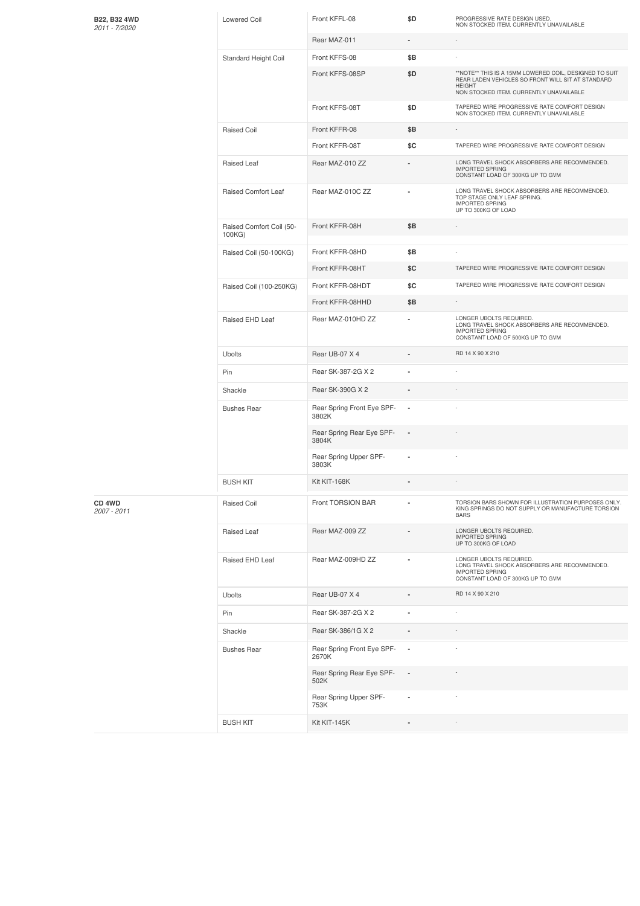| B22, B32 4WD<br>2011 - 7/2020     | <b>Lowered Coil</b>                | Front KFFL-08                       | \$D            | PROGRESSIVE RATE DESIGN USED.<br>NON STOCKED ITEM. CURRENTLY UNAVAILABLE                                                                                                |
|-----------------------------------|------------------------------------|-------------------------------------|----------------|-------------------------------------------------------------------------------------------------------------------------------------------------------------------------|
|                                   |                                    | Rear MAZ-011                        | $\blacksquare$ |                                                                                                                                                                         |
|                                   | Standard Height Coil               | Front KFFS-08                       | \$Β            |                                                                                                                                                                         |
|                                   |                                    | Front KFFS-08SP                     | \$D            | **NOTE** THIS IS A 15MM LOWERED COIL, DESIGNED TO SUIT<br>REAR LADEN VEHICLES SO FRONT WILL SIT AT STANDARD<br><b>HEIGHT</b><br>NON STOCKED ITEM. CURRENTLY UNAVAILABLE |
|                                   |                                    | Front KFFS-08T                      | \$D            | TAPERED WIRE PROGRESSIVE RATE COMFORT DESIGN<br>NON STOCKED ITEM. CURRENTLY UNAVAILABLE                                                                                 |
|                                   | Raised Coil                        | Front KFFR-08                       | \$Β            | ٠                                                                                                                                                                       |
|                                   |                                    | Front KFFR-08T                      | \$C            | TAPERED WIRE PROGRESSIVE RATE COMFORT DESIGN                                                                                                                            |
|                                   | Raised Leaf                        | Rear MAZ-010 ZZ                     |                | LONG TRAVEL SHOCK ABSORBERS ARE RECOMMENDED.<br><b>IMPORTED SPRING</b><br>CONSTANT LOAD OF 300KG UP TO GVM                                                              |
|                                   | Raised Comfort Leaf                | Rear MAZ-010C ZZ                    |                | LONG TRAVEL SHOCK ABSORBERS ARE RECOMMENDED.<br>TOP STAGE ONLY LEAF SPRING.<br><b>IMPORTED SPRING</b><br>UP TO 300KG OF LOAD                                            |
|                                   | Raised Comfort Coil (50-<br>100KG) | Front KFFR-08H                      | \$B            |                                                                                                                                                                         |
|                                   | Raised Coil (50-100KG)             | Front KFFR-08HD                     | \$Β            |                                                                                                                                                                         |
|                                   |                                    | Front KFFR-08HT                     | \$C            | TAPERED WIRE PROGRESSIVE RATE COMFORT DESIGN                                                                                                                            |
|                                   | Raised Coil (100-250KG)            | Front KFFR-08HDT                    | \$C            | TAPERED WIRE PROGRESSIVE RATE COMFORT DESIGN                                                                                                                            |
|                                   |                                    | Front KFFR-08HHD                    | \$Β            | $\sim$                                                                                                                                                                  |
|                                   | Raised EHD Leaf                    | Rear MAZ-010HD ZZ                   | $\blacksquare$ | LONGER UBOLTS REQUIRED.<br>LONG TRAVEL SHOCK ABSORBERS ARE RECOMMENDED.<br><b>IMPORTED SPRING</b><br>CONSTANT LOAD OF 500KG UP TO GVM                                   |
|                                   | Ubolts                             | Rear UB-07 X 4                      |                | RD 14 X 90 X 210                                                                                                                                                        |
|                                   | Pin                                | Rear SK-387-2G X 2                  |                |                                                                                                                                                                         |
|                                   | Shackle                            | Rear SK-390G X 2                    |                |                                                                                                                                                                         |
|                                   | <b>Bushes Rear</b>                 | Rear Spring Front Eye SPF-<br>3802K |                |                                                                                                                                                                         |
|                                   |                                    | Rear Spring Rear Eye SPF-<br>3804K  |                |                                                                                                                                                                         |
|                                   |                                    | Rear Spring Upper SPF-<br>3803K     |                |                                                                                                                                                                         |
|                                   | <b>BUSH KIT</b>                    | Kit KIT-168K                        |                |                                                                                                                                                                         |
| CD <sub>4</sub> WD<br>2007 - 2011 | Raised Coil                        | Front TORSION BAR                   |                | TORSION BARS SHOWN FOR ILLUSTRATION PURPOSES ONLY.<br>KING SPRINGS DO NOT SUPPLY OR MANUFACTURE TORSION<br><b>BARS</b>                                                  |
|                                   | Raised Leaf                        | Rear MAZ-009 ZZ                     |                | LONGER UBOLTS REQUIRED.<br><b>IMPORTED SPRING</b><br>UP TO 300KG OF LOAD                                                                                                |
|                                   | Raised EHD Leaf                    | Rear MAZ-009HD ZZ                   |                | LONGER UBOLTS REQUIRED.<br>LONG TRAVEL SHOCK ABSORBERS ARE RECOMMENDED.<br><b>IMPORTED SPRING</b><br>CONSTANT LOAD OF 300KG UP TO GVM                                   |
|                                   | <b>Ubolts</b>                      | Rear UB-07 X 4                      |                | RD 14 X 90 X 210                                                                                                                                                        |
|                                   | Pin                                | Rear SK-387-2G X 2                  |                |                                                                                                                                                                         |
|                                   | Shackle                            | Rear SK-386/1G X 2                  |                |                                                                                                                                                                         |
|                                   | <b>Bushes Rear</b>                 | Rear Spring Front Eye SPF-<br>2670K | ×,             |                                                                                                                                                                         |
|                                   |                                    | Rear Spring Rear Eye SPF-<br>502K   | $\overline{a}$ |                                                                                                                                                                         |
|                                   |                                    | Rear Spring Upper SPF-<br>753K      |                |                                                                                                                                                                         |
|                                   | <b>BUSH KIT</b>                    | Kit KIT-145K                        |                |                                                                                                                                                                         |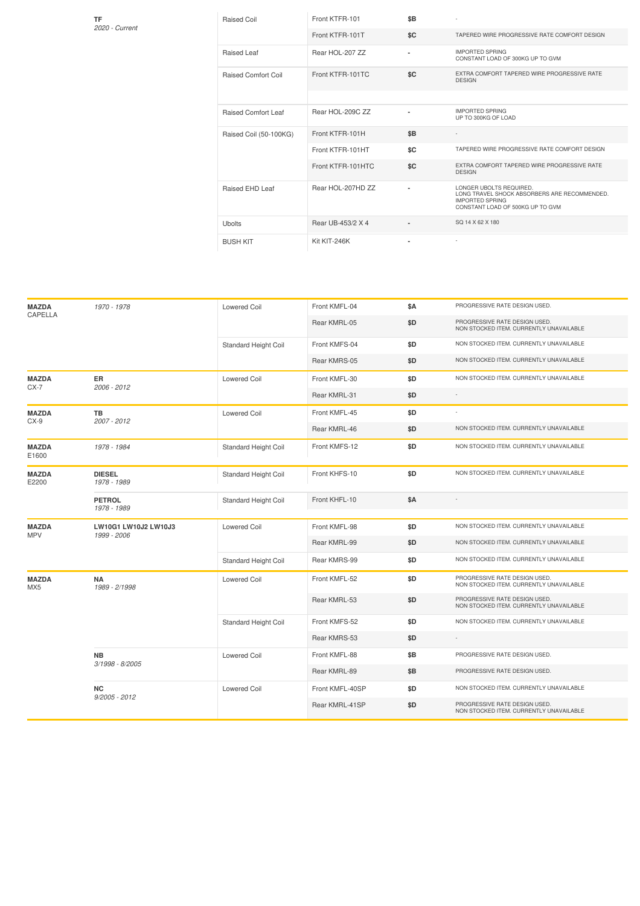| TF<br>2020 - Current | <b>Raised Coil</b>         | Front KTFR-101    | \$B                      |                                                                                                                                       |
|----------------------|----------------------------|-------------------|--------------------------|---------------------------------------------------------------------------------------------------------------------------------------|
|                      |                            | Front KTFR-101T   | \$C                      | TAPERED WIRE PROGRESSIVE RATE COMFORT DESIGN                                                                                          |
|                      | Raised Leaf                | Rear HOL-207 ZZ   | $\overline{\phantom{a}}$ | <b>IMPORTED SPRING</b><br>CONSTANT LOAD OF 300KG UP TO GVM                                                                            |
|                      | <b>Raised Comfort Coil</b> | Front KTFR-101TC  | \$C                      | EXTRA COMFORT TAPERED WIRE PROGRESSIVE RATE<br><b>DESIGN</b>                                                                          |
|                      |                            |                   |                          |                                                                                                                                       |
|                      | <b>Raised Comfort Leaf</b> | Rear HOL-209C ZZ  |                          | <b>IMPORTED SPRING</b><br>UP TO 300KG OF LOAD                                                                                         |
|                      | Raised Coil (50-100KG)     | Front KTFR-101H   | \$B                      | $\overline{\phantom{a}}$                                                                                                              |
|                      |                            | Front KTFR-101HT  | \$C                      | TAPERED WIRE PROGRESSIVE RATE COMFORT DESIGN                                                                                          |
|                      |                            | Front KTFR-101HTC | \$C                      | EXTRA COMFORT TAPERED WIRE PROGRESSIVE RATE<br><b>DESIGN</b>                                                                          |
|                      | Raised EHD Leaf            | Rear HOL-207HD ZZ | $\blacksquare$           | LONGER UBOLTS REQUIRED.<br>LONG TRAVEL SHOCK ABSORBERS ARE RECOMMENDED.<br><b>IMPORTED SPRING</b><br>CONSTANT LOAD OF 500KG UP TO GVM |
|                      | <b>Ubolts</b>              | Rear UB-453/2 X 4 | $\blacksquare$           | SQ 14 X 62 X 180                                                                                                                      |
|                      | <b>BUSH KIT</b>            | Kit KIT-246K      | ٠                        |                                                                                                                                       |
|                      |                            |                   |                          |                                                                                                                                       |

| <b>MAZDA</b><br>CAPELLA    | 1970 - 1978                         | <b>Lowered Coil</b>         | Front KMFL-04   | \$A | PROGRESSIVE RATE DESIGN USED.                                            |
|----------------------------|-------------------------------------|-----------------------------|-----------------|-----|--------------------------------------------------------------------------|
|                            |                                     |                             | Rear KMRL-05    | \$D | PROGRESSIVE RATE DESIGN USED.<br>NON STOCKED ITEM. CURRENTLY UNAVAILABLE |
|                            |                                     | <b>Standard Height Coil</b> | Front KMFS-04   | \$D | NON STOCKED ITEM. CURRENTLY UNAVAILABLE                                  |
|                            |                                     |                             | Rear KMRS-05    | \$D | NON STOCKED ITEM. CURRENTLY UNAVAILABLE                                  |
| <b>MAZDA</b><br>CX-7       | ER.<br>2006 - 2012                  | <b>Lowered Coil</b>         | Front KMFL-30   | \$D | NON STOCKED ITEM. CURRENTLY UNAVAILABLE                                  |
|                            |                                     |                             | Rear KMRL-31    | \$D |                                                                          |
| <b>MAZDA</b><br>$CX-9$     | TB<br>2007 - 2012                   | <b>Lowered Coil</b>         | Front KMFL-45   | \$D | ×,                                                                       |
|                            |                                     |                             | Rear KMRL-46    | \$D | NON STOCKED ITEM. CURRENTLY UNAVAILABLE                                  |
| <b>MAZDA</b><br>E1600      | 1978 - 1984                         | <b>Standard Height Coil</b> | Front KMFS-12   | \$D | NON STOCKED ITEM. CURRENTLY UNAVAILABLE                                  |
| <b>MAZDA</b><br>E2200      | <b>DIESEL</b><br>1978 - 1989        | Standard Height Coil        | Front KHFS-10   | \$D | NON STOCKED ITEM. CURRENTLY UNAVAILABLE                                  |
|                            | <b>PETROL</b><br>1978 - 1989        | <b>Standard Height Coil</b> | Front KHFL-10   | \$Α |                                                                          |
| <b>MAZDA</b><br><b>MPV</b> | LW10G1 LW10J2 LW10J3<br>1999 - 2006 | <b>Lowered Coil</b>         | Front KMFL-98   | \$D | NON STOCKED ITEM. CURRENTLY UNAVAILABLE                                  |
|                            |                                     |                             | Rear KMRL-99    | \$D | NON STOCKED ITEM. CURRENTLY UNAVAILABLE                                  |
|                            |                                     | Standard Height Coil        | Rear KMRS-99    | \$D | NON STOCKED ITEM. CURRENTLY UNAVAILABLE                                  |
| <b>MAZDA</b><br>MX5        | <b>NA</b><br>1989 - 2/1998          | <b>Lowered Coil</b>         | Front KMFL-52   | \$D | PROGRESSIVE RATE DESIGN USED.<br>NON STOCKED ITEM. CURRENTLY UNAVAILABLE |
|                            |                                     |                             | Rear KMRL-53    | \$D | PROGRESSIVE RATE DESIGN USED.<br>NON STOCKED ITEM. CURRENTLY UNAVAILABLE |
|                            |                                     | <b>Standard Height Coil</b> | Front KMFS-52   | \$D | NON STOCKED ITEM. CURRENTLY UNAVAILABLE                                  |
|                            |                                     |                             | Rear KMRS-53    | \$D | $\sim$                                                                   |
|                            | <b>NB</b><br>3/1998 - 8/2005        | <b>Lowered Coil</b>         | Front KMFL-88   | \$B | PROGRESSIVE RATE DESIGN USED.                                            |
|                            |                                     |                             | Rear KMRL-89    | \$B | PROGRESSIVE RATE DESIGN USED.                                            |
|                            | <b>NC</b><br>$9/2005 - 2012$        | <b>Lowered Coil</b>         | Front KMFL-40SP | \$D | NON STOCKED ITEM. CURRENTLY UNAVAILABLE                                  |
|                            |                                     |                             | Rear KMRL-41SP  | \$D | PROGRESSIVE RATE DESIGN USED.<br>NON STOCKED ITEM. CURRENTLY UNAVAILABLE |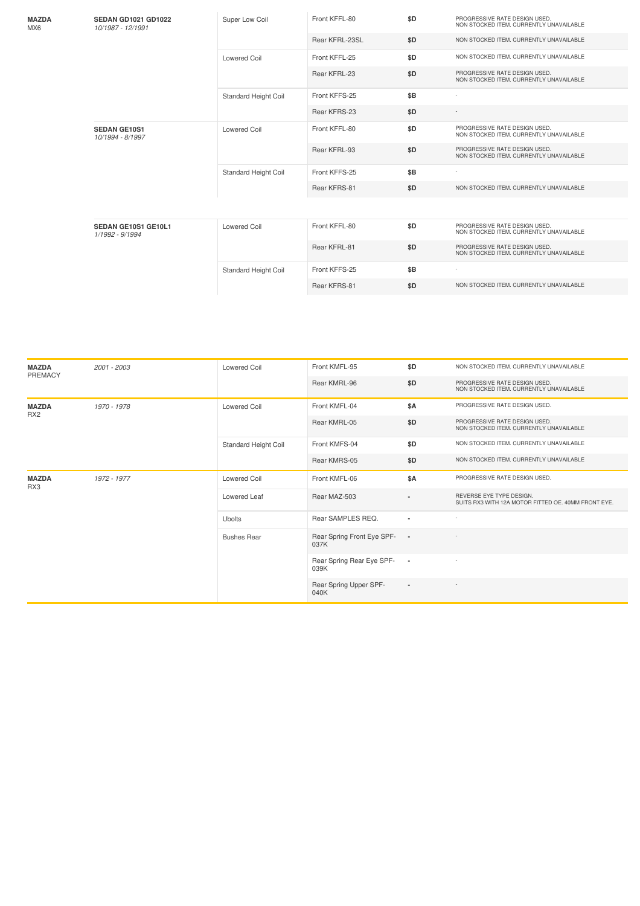| <b>MAZDA</b><br>MX6 | <b>SEDAN GD1021 GD1022</b><br>10/1987 - 12/1991 | Super Low Coil              | Front KFFL-80  | \$D | PROGRESSIVE RATE DESIGN USED.<br>NON STOCKED ITEM. CURRENTLY UNAVAILABLE |
|---------------------|-------------------------------------------------|-----------------------------|----------------|-----|--------------------------------------------------------------------------|
|                     |                                                 |                             | Rear KFRL-23SL | \$D | NON STOCKED ITEM. CURRENTLY UNAVAILABLE                                  |
|                     |                                                 | <b>Lowered Coil</b>         | Front KFFL-25  | \$D | NON STOCKED ITEM. CURRENTLY UNAVAILABLE                                  |
|                     |                                                 |                             | Rear KFRL-23   | \$D | PROGRESSIVE RATE DESIGN USED.<br>NON STOCKED ITEM. CURRENTLY UNAVAILABLE |
|                     |                                                 | <b>Standard Height Coil</b> | Front KFFS-25  | \$B |                                                                          |
|                     |                                                 |                             | Rear KFRS-23   | \$D |                                                                          |
|                     | <b>SEDAN GE10S1</b><br>10/1994 - 8/1997         | <b>Lowered Coil</b>         | Front KFFL-80  | \$D | PROGRESSIVE RATE DESIGN USED.<br>NON STOCKED ITEM. CURRENTLY UNAVAILABLE |
|                     |                                                 |                             | Rear KFRL-93   | \$D | PROGRESSIVE RATE DESIGN USED.<br>NON STOCKED ITEM. CURRENTLY UNAVAILABLE |
|                     |                                                 | <b>Standard Height Coil</b> | Front KFFS-25  | \$B | $\overline{\phantom{a}}$                                                 |
|                     |                                                 |                             | Rear KFRS-81   | \$D | NON STOCKED ITEM. CURRENTLY UNAVAILABLE                                  |
|                     |                                                 |                             |                |     |                                                                          |
|                     | SEDAN GE10S1 GE10L1<br>1/1992 - 9/1994          | Lowered Coil                | Front KFFL-80  | \$D | PROGRESSIVE RATE DESIGN USED.<br>NON STOCKED ITEM. CURRENTLY UNAVAILABLE |
|                     |                                                 |                             | Rear KFRL-81   | \$D | PROGRESSIVE RATE DESIGN USED.<br>NON STOCKED ITEM. CURRENTLY UNAVAILABLE |
|                     |                                                 | <b>Standard Height Coil</b> | Front KFFS-25  | \$B |                                                                          |
|                     |                                                 |                             | Rear KFRS-81   | \$D | NON STOCKED ITEM. CURRENTLY UNAVAILABLE                                  |

| <b>MAZDA</b><br>PREMACY         | 2001 - 2003 | <b>Lowered Coil</b>  | Front KMFL-95                      | \$D                      | NON STOCKED ITEM. CURRENTLY UNAVAILABLE                                         |
|---------------------------------|-------------|----------------------|------------------------------------|--------------------------|---------------------------------------------------------------------------------|
|                                 |             |                      | Rear KMRL-96                       | \$D                      | PROGRESSIVE RATE DESIGN USED.<br>NON STOCKED ITEM. CURRENTLY UNAVAILABLE        |
| <b>MAZDA</b><br>RX <sub>2</sub> | 1970 - 1978 | <b>Lowered Coil</b>  | Front KMFL-04                      | \$A                      | PROGRESSIVE RATE DESIGN USED.                                                   |
|                                 |             |                      | Rear KMRL-05                       | \$D                      | PROGRESSIVE RATE DESIGN USED.<br>NON STOCKED ITEM. CURRENTLY UNAVAILABLE        |
|                                 |             | Standard Height Coil | Front KMFS-04                      | \$D                      | NON STOCKED ITEM. CURRENTLY UNAVAILABLE                                         |
|                                 |             |                      | Rear KMRS-05                       | \$D                      | NON STOCKED ITEM. CURRENTLY UNAVAILABLE                                         |
| <b>MAZDA</b><br>RX3             | 1972 - 1977 | <b>Lowered Coil</b>  | Front KMFL-06                      | \$A                      | PROGRESSIVE RATE DESIGN USED.                                                   |
|                                 |             | <b>Lowered Leaf</b>  | Rear MAZ-503                       |                          | REVERSE EYE TYPE DESIGN.<br>SUITS RX3 WITH 12A MOTOR FITTED OE, 40MM FRONT EYE. |
|                                 |             | <b>Ubolts</b>        | Rear SAMPLES REQ.                  | ٠                        | ٠.                                                                              |
|                                 |             | <b>Bushes Rear</b>   | Rear Spring Front Eye SPF-<br>037K | $\sim$                   |                                                                                 |
|                                 |             |                      | Rear Spring Rear Eye SPF-<br>039K  | $\overline{\phantom{a}}$ |                                                                                 |
|                                 |             |                      | Rear Spring Upper SPF-<br>040K     | $\blacksquare$           |                                                                                 |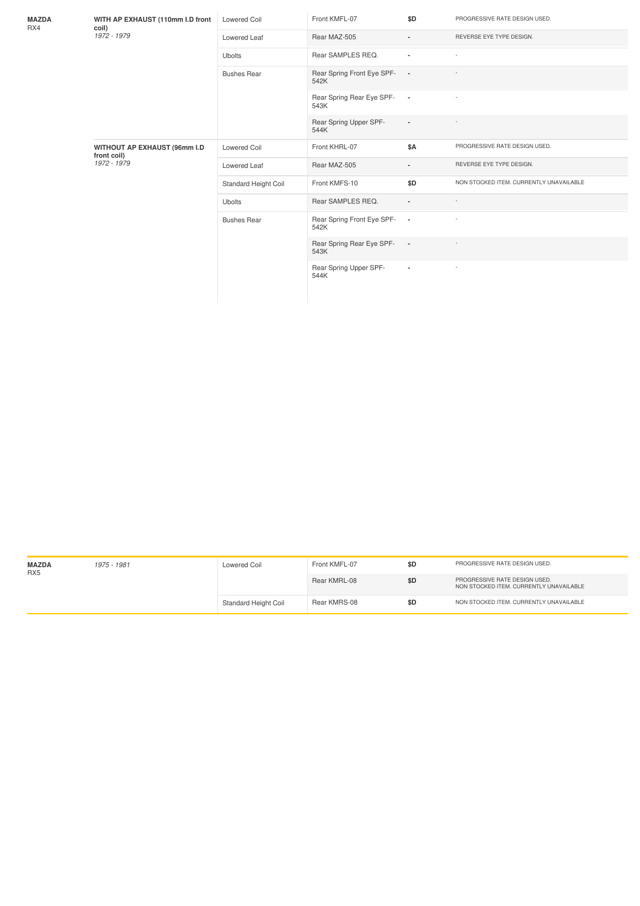| <b>MAZDA</b><br>RX4 | WITH AP EXHAUST (110mm I.D front<br>coil)<br>1972 - 1979          | Lowered Coil         | Front KMFL-07                      | \$D                      | PROGRESSIVE RATE DESIGN USED.           |
|---------------------|-------------------------------------------------------------------|----------------------|------------------------------------|--------------------------|-----------------------------------------|
|                     |                                                                   | Lowered Leaf         | Rear MAZ-505                       | $\overline{a}$           | REVERSE EYE TYPE DESIGN.                |
|                     |                                                                   | <b>Ubolts</b>        | Rear SAMPLES REQ.                  | $\blacksquare$           |                                         |
|                     |                                                                   | <b>Bushes Rear</b>   | Rear Spring Front Eye SPF-<br>542K | $\overline{\phantom{a}}$ |                                         |
|                     |                                                                   |                      | Rear Spring Rear Eye SPF-<br>543K  | $\overline{\phantom{a}}$ |                                         |
|                     |                                                                   |                      | Rear Spring Upper SPF-<br>544K     | $\overline{a}$           |                                         |
|                     | <b>WITHOUT AP EXHAUST (96mm I.D</b><br>front coil)<br>1972 - 1979 | <b>Lowered Coil</b>  | Front KHRL-07                      | \$A                      | PROGRESSIVE RATE DESIGN USED.           |
|                     |                                                                   | Lowered Leaf         | Rear MAZ-505                       | $\overline{a}$           | REVERSE EYE TYPE DESIGN.                |
|                     |                                                                   | Standard Height Coil | Front KMFS-10                      | \$D                      | NON STOCKED ITEM. CURRENTLY UNAVAILABLE |
|                     |                                                                   | <b>Ubolts</b>        | Rear SAMPLES REQ.                  | ٠                        |                                         |
|                     |                                                                   | <b>Bushes Rear</b>   | Rear Spring Front Eye SPF-<br>542K | $\sim$                   |                                         |
|                     |                                                                   |                      | Rear Spring Rear Eye SPF-<br>543K  | $\sim$                   |                                         |
|                     |                                                                   |                      | Rear Spring Upper SPF-<br>544K     | $\blacksquare$           |                                         |

| <b>MAZDA</b><br>RX <sub>5</sub> | 1975 - 1981 | Lowered Coil                | Front KMFL-07 | \$D | PROGRESSIVE RATE DESIGN USED.                                            |
|---------------------------------|-------------|-----------------------------|---------------|-----|--------------------------------------------------------------------------|
|                                 |             |                             | Rear KMRL-08  | \$D | PROGRESSIVE RATE DESIGN USED.<br>NON STOCKED ITEM, CURRENTLY UNAVAILABLE |
|                                 |             | <b>Standard Height Coil</b> | Rear KMRS-08  | \$D | NON STOCKED ITEM, CURRENTLY UNAVAILABLE                                  |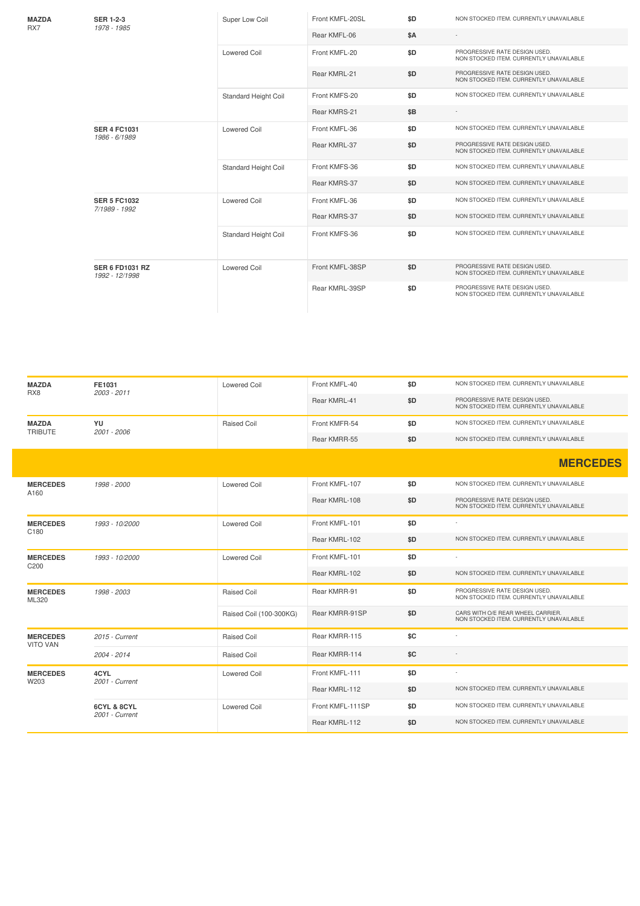| <b>MAZDA</b><br>RX7 | <b>SER 1-2-3</b><br>1978 - 1985          | Super Low Coil              | Front KMFL-20SL | \$D        | NON STOCKED ITEM. CURRENTLY UNAVAILABLE                                  |
|---------------------|------------------------------------------|-----------------------------|-----------------|------------|--------------------------------------------------------------------------|
|                     |                                          |                             | Rear KMFL-06    | <b>\$A</b> |                                                                          |
|                     |                                          | Lowered Coil                | Front KMFL-20   | \$D        | PROGRESSIVE RATE DESIGN USED.<br>NON STOCKED ITEM. CURRENTLY UNAVAILABLE |
|                     |                                          |                             | Rear KMRL-21    | \$D        | PROGRESSIVE RATE DESIGN USED.<br>NON STOCKED ITEM. CURRENTLY UNAVAILABLE |
|                     |                                          | <b>Standard Height Coil</b> | Front KMFS-20   | \$D        | NON STOCKED ITEM. CURRENTLY UNAVAILABLE                                  |
|                     |                                          |                             | Rear KMRS-21    | \$B        |                                                                          |
|                     | <b>SER 4 FC1031</b><br>1986 - 6/1989     | <b>Lowered Coil</b>         | Front KMFL-36   | \$D        | NON STOCKED ITEM. CURRENTLY UNAVAILABLE                                  |
|                     |                                          |                             | Rear KMRL-37    | \$D        | PROGRESSIVE RATE DESIGN USED.<br>NON STOCKED ITEM. CURRENTLY UNAVAILABLE |
|                     |                                          | Standard Height Coil        | Front KMFS-36   | \$D        | NON STOCKED ITEM. CURRENTLY UNAVAILABLE                                  |
|                     |                                          |                             | Rear KMRS-37    | \$D        | NON STOCKED ITEM. CURRENTLY UNAVAILABLE                                  |
|                     | <b>SER 5 FC1032</b><br>7/1989 - 1992     | <b>Lowered Coil</b>         | Front KMFL-36   | \$D        | NON STOCKED ITEM. CURRENTLY UNAVAILABLE                                  |
|                     |                                          |                             | Rear KMRS-37    | \$D        | NON STOCKED ITEM. CURRENTLY UNAVAILABLE                                  |
|                     |                                          | <b>Standard Height Coil</b> | Front KMFS-36   | \$D        | NON STOCKED ITEM. CURRENTLY UNAVAILABLE                                  |
|                     | <b>SER 6 FD1031 RZ</b><br>1992 - 12/1998 | <b>Lowered Coil</b>         | Front KMFL-38SP | \$D        | PROGRESSIVE RATE DESIGN USED.<br>NON STOCKED ITEM. CURRENTLY UNAVAILABLE |
|                     |                                          |                             | Rear KMRL-39SP  | \$D        | PROGRESSIVE RATE DESIGN USED.<br>NON STOCKED ITEM. CURRENTLY UNAVAILABLE |

| <b>MAZDA</b><br>RX8                | FE1031<br>2003 - 2011         | <b>Lowered Coil</b>     | Front KMFL-40    | \$D | NON STOCKED ITEM. CURRENTLY UNAVAILABLE                                      |
|------------------------------------|-------------------------------|-------------------------|------------------|-----|------------------------------------------------------------------------------|
|                                    |                               |                         | Rear KMRL-41     | \$D | PROGRESSIVE RATE DESIGN USED.<br>NON STOCKED ITEM. CURRENTLY UNAVAILABLE     |
| <b>MAZDA</b><br><b>TRIBUTE</b>     | YU<br>2001 - 2006             | <b>Raised Coil</b>      | Front KMFR-54    | \$D | NON STOCKED ITEM. CURRENTLY UNAVAILABLE                                      |
|                                    |                               |                         | Rear KMRR-55     | \$D | NON STOCKED ITEM. CURRENTLY UNAVAILABLE                                      |
|                                    |                               |                         |                  |     | <b>MERCEDES</b>                                                              |
| <b>MERCEDES</b><br>A160            | 1998 - 2000                   | <b>Lowered Coil</b>     | Front KMFL-107   | \$D | NON STOCKED ITEM. CURRENTLY UNAVAILABLE                                      |
|                                    |                               |                         | Rear KMRL-108    | \$D | PROGRESSIVE RATE DESIGN USED.<br>NON STOCKED ITEM. CURRENTLY UNAVAILABLE     |
| <b>MERCEDES</b><br>C180            | 1993 - 10/2000                | <b>Lowered Coil</b>     | Front KMFL-101   | \$D | $\overline{\phantom{a}}$                                                     |
|                                    |                               |                         | Rear KMRL-102    | \$D | NON STOCKED ITEM. CURRENTLY UNAVAILABLE                                      |
| <b>MERCEDES</b><br>C200            | 1993 - 10/2000                | <b>Lowered Coil</b>     | Front KMFL-101   | \$D |                                                                              |
|                                    |                               |                         | Rear KMRL-102    | \$D | NON STOCKED ITEM. CURRENTLY UNAVAILABLE                                      |
| <b>MERCEDES</b><br>ML320           | 1998 - 2003                   | <b>Raised Coil</b>      | Rear KMRR-91     | \$D | PROGRESSIVE RATE DESIGN USED.<br>NON STOCKED ITEM. CURRENTLY UNAVAILABLE     |
|                                    |                               | Raised Coil (100-300KG) | Rear KMRR-91SP   | \$D | CARS WITH O/E REAR WHEEL CARRIER.<br>NON STOCKED ITEM. CURRENTLY UNAVAILABLE |
| <b>MERCEDES</b><br><b>VITO VAN</b> | 2015 - Current                | Raised Coil             | Rear KMRR-115    | \$C |                                                                              |
|                                    | 2004 - 2014                   | Raised Coil             | Rear KMRR-114    | \$C |                                                                              |
| <b>MERCEDES</b><br>W203            | 4CYL<br>2001 - Current        | <b>Lowered Coil</b>     | Front KMFL-111   | \$D |                                                                              |
|                                    |                               |                         | Rear KMRL-112    | \$D | NON STOCKED ITEM. CURRENTLY UNAVAILABLE                                      |
|                                    | 6CYL & 8CYL<br>2001 - Current | <b>Lowered Coil</b>     | Front KMFL-111SP | \$D | NON STOCKED ITEM. CURRENTLY UNAVAILABLE                                      |
|                                    |                               |                         | Rear KMRL-112    | \$D | NON STOCKED ITEM. CURRENTLY UNAVAILABLE                                      |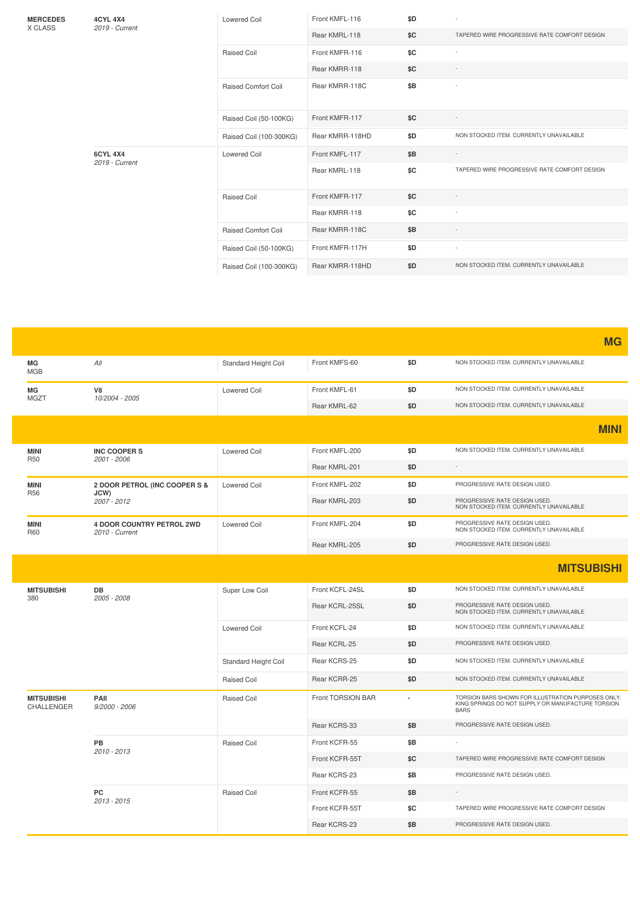| <b>MERCEDES</b><br>X CLASS | <b>4CYL 4X4</b><br>2019 - Current | <b>Lowered Coil</b>        | Front KMFL-116  | \$D |                                              |
|----------------------------|-----------------------------------|----------------------------|-----------------|-----|----------------------------------------------|
|                            |                                   |                            | Rear KMRL-118   | \$C | TAPERED WIRE PROGRESSIVE RATE COMFORT DESIGN |
|                            |                                   | <b>Raised Coil</b>         | Front KMFR-116  | \$C | $\sim$                                       |
|                            |                                   |                            | Rear KMRR-118   | \$C | $\sim$                                       |
|                            |                                   | <b>Raised Comfort Coil</b> | Rear KMRR-118C  | \$B |                                              |
|                            |                                   | Raised Coil (50-100KG)     | Front KMFR-117  | SC  |                                              |
|                            |                                   | Raised Coil (100-300KG)    | Rear KMRR-118HD | \$D | NON STOCKED ITEM. CURRENTLY UNAVAILABLE      |
|                            | <b>6CYL 4X4</b><br>2019 - Current | <b>Lowered Coil</b>        | Front KMFL-117  | \$B |                                              |
|                            |                                   |                            | Rear KMRL-118   | \$C | TAPERED WIRE PROGRESSIVE RATE COMFORT DESIGN |
|                            |                                   | <b>Raised Coil</b>         | Front KMFR-117  | \$C |                                              |
|                            |                                   |                            | Rear KMRR-118   | \$C |                                              |
|                            |                                   | <b>Raised Comfort Coil</b> | Rear KMRR-118C  | \$B |                                              |
|                            |                                   | Raised Coil (50-100KG)     | Front KMFR-117H | \$D |                                              |
|                            |                                   | Raised Coil (100-300KG)    | Rear KMRR-118HD | \$D | NON STOCKED ITEM. CURRENTLY UNAVAILABLE      |

|                                        |                                             |                      |                   |                |                                                                                                                        | <b>MG</b>   |
|----------------------------------------|---------------------------------------------|----------------------|-------------------|----------------|------------------------------------------------------------------------------------------------------------------------|-------------|
| МG<br><b>MGB</b>                       | All                                         | Standard Height Coil | Front KMFS-60     | \$D            | NON STOCKED ITEM. CURRENTLY UNAVAILABLE                                                                                |             |
| MG<br><b>MGZT</b>                      | V8                                          | <b>Lowered Coil</b>  | Front KMFL-61     | \$D            | NON STOCKED ITEM. CURRENTLY UNAVAILABLE                                                                                |             |
|                                        | 10/2004 - 2005                              |                      | Rear KMRL-62      | \$D            | NON STOCKED ITEM. CURRENTLY UNAVAILABLE                                                                                |             |
|                                        |                                             |                      |                   |                |                                                                                                                        | <b>MINI</b> |
| <b>MINI</b><br><b>R50</b>              | <b>INC COOPERS</b><br>2001 - 2006           | <b>Lowered Coil</b>  | Front KMFL-200    | \$D            | NON STOCKED ITEM. CURRENTLY UNAVAILABLE                                                                                |             |
|                                        |                                             |                      | Rear KMRL-201     | \$D            | $\sim$                                                                                                                 |             |
| <b>MINI</b>                            | 2 DOOR PETROL (INC COOPER S &               | <b>Lowered Coil</b>  | Front KMFL-202    | \$D            | PROGRESSIVE RATE DESIGN USED.                                                                                          |             |
| <b>R56</b>                             | JCW)<br>2007 - 2012                         |                      | Rear KMRL-203     | \$D            | PROGRESSIVE RATE DESIGN USED.<br>NON STOCKED ITEM. CURRENTLY UNAVAILABLE                                               |             |
| <b>MINI</b><br><b>R60</b>              | 4 DOOR COUNTRY PETROL 2WD<br>2010 - Current | <b>Lowered Coil</b>  | Front KMFL-204    | \$D            | PROGRESSIVE RATE DESIGN USED.<br>NON STOCKED ITEM. CURRENTLY UNAVAILABLE                                               |             |
|                                        |                                             |                      | Rear KMRL-205     | \$D            | PROGRESSIVE RATE DESIGN USED.                                                                                          |             |
|                                        |                                             |                      |                   |                | <b>MITSUBISHI</b>                                                                                                      |             |
|                                        |                                             |                      |                   |                |                                                                                                                        |             |
|                                        | DB<br>2005 - 2008                           | Super Low Coil       | Front KCFL-24SL   | \$D            | NON STOCKED ITEM. CURRENTLY UNAVAILABLE                                                                                |             |
|                                        |                                             |                      | Rear KCRL-25SL    | \$D            | PROGRESSIVE RATE DESIGN USED.<br>NON STOCKED ITEM. CURRENTLY UNAVAILABLE                                               |             |
|                                        |                                             | <b>Lowered Coil</b>  | Front KCFL-24     | \$D            | NON STOCKED ITEM. CURRENTLY UNAVAILABLE                                                                                |             |
|                                        |                                             |                      | Rear KCRL-25      | \$D            | PROGRESSIVE RATE DESIGN USED.                                                                                          |             |
|                                        |                                             | Standard Height Coil | Rear KCRS-25      | \$D            | NON STOCKED ITEM. CURRENTLY UNAVAILABLE                                                                                |             |
| <b>MITSUBISHI</b><br>380               |                                             | Raised Coil          | Rear KCRR-25      | \$D            | NON STOCKED ITEM. CURRENTLY UNAVAILABLE                                                                                |             |
| <b>MITSUBISHI</b><br><b>CHALLENGER</b> | PAIL<br>$9/2000 - 2006$                     | Raised Coil          | Front TORSION BAR | $\blacksquare$ | TORSION BARS SHOWN FOR ILLUSTRATION PURPOSES ONLY.<br>KING SPRINGS DO NOT SUPPLY OR MANUFACTURE TORSION<br><b>BARS</b> |             |
|                                        |                                             |                      | Rear KCRS-33      | \$B            | PROGRESSIVE RATE DESIGN USED.                                                                                          |             |
|                                        | PB                                          | <b>Raised Coil</b>   | Front KCFR-55     | \$B            |                                                                                                                        |             |
|                                        | 2010 - 2013                                 |                      | Front KCFR-55T    | \$C            | TAPERED WIRE PROGRESSIVE RATE COMFORT DESIGN                                                                           |             |
|                                        |                                             |                      | Rear KCRS-23      | \$B            | PROGRESSIVE RATE DESIGN USED.                                                                                          |             |
|                                        | <b>PC</b>                                   | <b>Raised Coil</b>   | Front KCFR-55     | \$B            | $\sim$                                                                                                                 |             |
|                                        | 2013 - 2015                                 |                      | Front KCFR-55T    | \$C            | TAPERED WIRE PROGRESSIVE RATE COMFORT DESIGN                                                                           |             |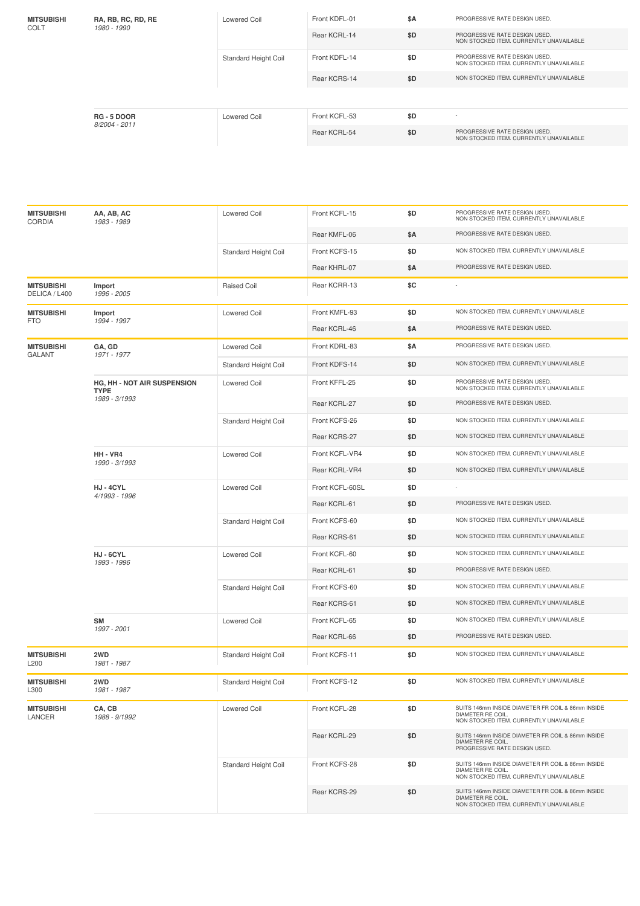| <b>MITSUBISHI</b><br>COLT | RA, RB, RC, RD, RE<br>1980 - 1990 | <b>Lowered Coil</b>         | Front KDFL-01<br>Rear KCRL-14 | \$A<br>\$D | PROGRESSIVE RATE DESIGN USED.<br>PROGRESSIVE RATE DESIGN USED.<br>NON STOCKED ITEM, CURRENTLY UNAVAILABLE |
|---------------------------|-----------------------------------|-----------------------------|-------------------------------|------------|-----------------------------------------------------------------------------------------------------------|
|                           |                                   | <b>Standard Height Coil</b> | Front KDFL-14                 | \$D        | PROGRESSIVE RATE DESIGN USED.                                                                             |
|                           |                                   |                             |                               |            | NON STOCKED ITEM. CURRENTLY UNAVAILABLE                                                                   |
|                           |                                   |                             | Rear KCRS-14                  | \$D        | NON STOCKED ITEM, CURRENTLY UNAVAILABLE                                                                   |
|                           |                                   |                             |                               |            |                                                                                                           |
|                           | <b>RG-5 DOOR</b><br>8/2004 - 2011 | Lowered Coil                | Front KCFL-53                 | \$D        | $\sim$                                                                                                    |
|                           |                                   |                             | Rear KCRL-54                  | \$D        | PROGRESSIVE RATE DESIGN USED.<br>NON STOCKED ITEM, CURRENTLY UNAVAILABLE                                  |
|                           |                                   |                             |                               |            |                                                                                                           |

| <b>MITSUBISHI</b><br><b>CORDIA</b> | AA, AB, AC<br>1983 - 1989                  | Lowered Coil         | Front KCFL-15   | \$D | PROGRESSIVE RATE DESIGN USED.<br>NON STOCKED ITEM. CURRENTLY UNAVAILABLE                                          |
|------------------------------------|--------------------------------------------|----------------------|-----------------|-----|-------------------------------------------------------------------------------------------------------------------|
|                                    |                                            |                      | Rear KMFL-06    | \$Α | PROGRESSIVE RATE DESIGN USED.                                                                                     |
|                                    |                                            | Standard Height Coil | Front KCFS-15   | \$D | NON STOCKED ITEM. CURRENTLY UNAVAILABLE                                                                           |
|                                    |                                            |                      | Rear KHRL-07    | \$Α | PROGRESSIVE RATE DESIGN USED.                                                                                     |
| <b>MITSUBISHI</b><br>DELICA / L400 | Import<br>1996 - 2005                      | <b>Raised Coil</b>   | Rear KCRR-13    | \$C |                                                                                                                   |
| <b>MITSUBISHI</b>                  | Import<br>1994 - 1997                      | <b>Lowered Coil</b>  | Front KMFL-93   | \$D | NON STOCKED ITEM. CURRENTLY UNAVAILABLE                                                                           |
| <b>FTO</b>                         |                                            |                      | Rear KCRL-46    | \$Α | PROGRESSIVE RATE DESIGN USED.                                                                                     |
| <b>MITSUBISHI</b><br><b>GALANT</b> | GA, GD<br>1971 - 1977                      | <b>Lowered Coil</b>  | Front KDRL-83   | \$Α | PROGRESSIVE RATE DESIGN USED.                                                                                     |
|                                    |                                            | Standard Height Coil | Front KDFS-14   | \$D | NON STOCKED ITEM. CURRENTLY UNAVAILABLE                                                                           |
|                                    | HG, HH - NOT AIR SUSPENSION<br><b>TYPE</b> | Lowered Coil         | Front KFFL-25   | \$D | PROGRESSIVE RATE DESIGN USED.<br>NON STOCKED ITEM. CURRENTLY UNAVAILABLE                                          |
|                                    | 1989 - 3/1993                              |                      | Rear KCRL-27    | \$D | PROGRESSIVE RATE DESIGN USED.                                                                                     |
|                                    |                                            | Standard Height Coil | Front KCFS-26   | \$D | NON STOCKED ITEM. CURRENTLY UNAVAILABLE                                                                           |
|                                    |                                            |                      | Rear KCRS-27    | \$D | NON STOCKED ITEM. CURRENTLY UNAVAILABLE                                                                           |
|                                    | HH - VR4<br>1990 - 3/1993                  | <b>Lowered Coil</b>  | Front KCFL-VR4  | \$D | NON STOCKED ITEM. CURRENTLY UNAVAILABLE                                                                           |
|                                    |                                            |                      | Rear KCRL-VR4   | \$D | NON STOCKED ITEM. CURRENTLY UNAVAILABLE                                                                           |
|                                    | HJ-4CYL<br>4/1993 - 1996                   | <b>Lowered Coil</b>  | Front KCFL-60SL | \$D |                                                                                                                   |
|                                    |                                            |                      | Rear KCRL-61    | \$D | PROGRESSIVE RATE DESIGN USED.                                                                                     |
|                                    |                                            | Standard Height Coil | Front KCFS-60   | \$D | NON STOCKED ITEM. CURRENTLY UNAVAILABLE                                                                           |
|                                    |                                            |                      | Rear KCRS-61    | \$D | NON STOCKED ITEM. CURRENTLY UNAVAILABLE                                                                           |
|                                    | HJ-6CYL<br>1993 - 1996                     | <b>Lowered Coil</b>  | Front KCFL-60   | \$D | NON STOCKED ITEM. CURRENTLY UNAVAILABLE                                                                           |
|                                    |                                            |                      | Rear KCRL-61    | \$D | PROGRESSIVE RATE DESIGN USED.                                                                                     |
|                                    |                                            | Standard Height Coil | Front KCFS-60   | \$D | NON STOCKED ITEM. CURRENTLY UNAVAILABLE                                                                           |
|                                    |                                            |                      | Rear KCRS-61    | \$D | NON STOCKED ITEM. CURRENTLY UNAVAILABLE                                                                           |
|                                    | <b>SM</b>                                  | <b>Lowered Coil</b>  | Front KCFL-65   | \$D | NON STOCKED ITEM. CURRENTLY UNAVAILABLE                                                                           |
|                                    | 1997 - 2001                                |                      | Rear KCRL-66    | \$D | PROGRESSIVE RATE DESIGN USED.                                                                                     |
| <b>MITSUBISHI</b><br>L200          | 2WD<br>1981 - 1987                         | Standard Height Coil | Front KCFS-11   | \$D | NON STOCKED ITEM. CURRENTLY UNAVAILABLE                                                                           |
| <b>MITSUBISHI</b><br>L300          | 2WD<br>1981 - 1987                         | Standard Height Coil | Front KCFS-12   | \$D | NON STOCKED ITEM. CURRENTLY UNAVAILABLE                                                                           |
| <b>MITSUBISHI</b><br>LANCER        | CA, CB<br>1988 - 9/1992                    | <b>Lowered Coil</b>  | Front KCFL-28   | \$D | SUITS 146mm INSIDE DIAMETER FR COIL & 86mm INSIDE<br>DIAMETER RE COIL<br>NON STOCKED ITEM. CURRENTLY UNAVAILABLE  |
|                                    |                                            |                      | Rear KCRL-29    | \$D | SUITS 146mm INSIDE DIAMETER FR COIL & 86mm INSIDE<br>DIAMETER RE COIL.<br>PROGRESSIVE RATE DESIGN USED.           |
|                                    |                                            | Standard Height Coil | Front KCFS-28   | \$D | SUITS 146mm INSIDE DIAMETER FR COIL & 86mm INSIDE<br>DIAMETER RE COIL.<br>NON STOCKED ITEM. CURRENTLY UNAVAILABLE |
|                                    |                                            |                      | Rear KCRS-29    | \$D | SUITS 146mm INSIDE DIAMETER FR COIL & 86mm INSIDE<br>DIAMETER RE COIL.<br>NON STOCKED ITEM. CURRENTLY UNAVAILABLE |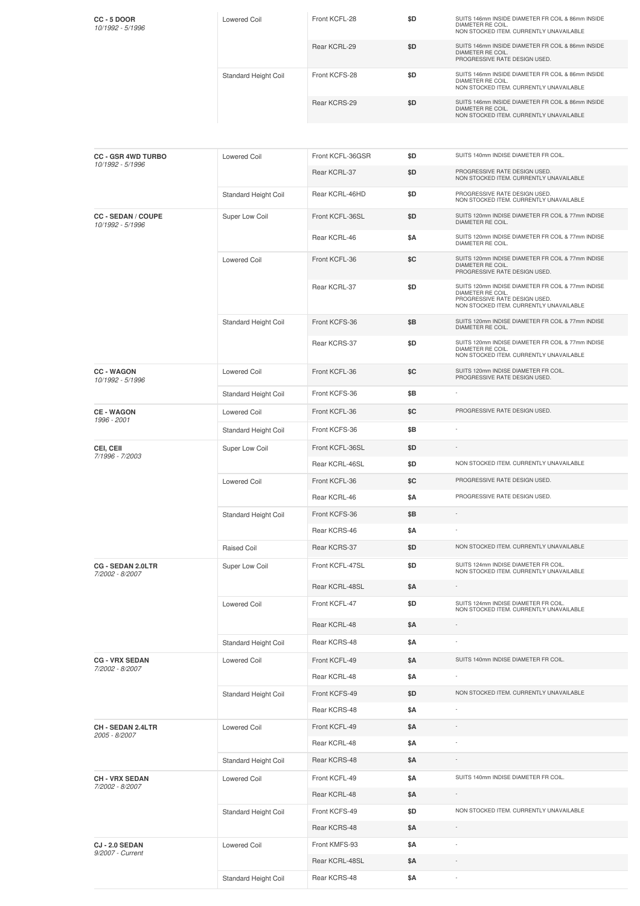| $CC - 5 DOOR$<br>10/1992 - 5/1996 | Lowered Coil                | Front KCFL-28 | \$D | SUITS 146mm INSIDE DIAMETER FR COIL & 86mm INSIDE<br>DIAMETER RE COIL.<br>NON STOCKED ITEM. CURRENTLY UNAVAILABLE |
|-----------------------------------|-----------------------------|---------------|-----|-------------------------------------------------------------------------------------------------------------------|
|                                   |                             | Rear KCRL-29  | \$D | SUITS 146mm INSIDE DIAMETER FR COIL & 86mm INSIDE<br>DIAMETER RE COIL.<br>PROGRESSIVE RATE DESIGN USED.           |
|                                   | <b>Standard Height Coil</b> | Front KCFS-28 | \$D | SUITS 146mm INSIDE DIAMETER FR COIL & 86mm INSIDE<br>DIAMETER RE COIL.<br>NON STOCKED ITEM. CURRENTLY UNAVAILABLE |
|                                   |                             | Rear KCRS-29  | \$D | SUITS 146mm INSIDE DIAMETER FR COIL & 86mm INSIDE<br>DIAMETER RE COIL.<br>NON STOCKED ITEM, CURRENTLY UNAVAILABLE |

| <b>CC - GSR 4WD TURBO</b>                     | Lowered Coil         | Front KCFL-36GSR | \$D | SUITS 140mm INDISE DIAMETER FR COIL.                                                                                                               |
|-----------------------------------------------|----------------------|------------------|-----|----------------------------------------------------------------------------------------------------------------------------------------------------|
| 10/1992 - 5/1996                              |                      | Rear KCRL-37     | \$D | PROGRESSIVE RATE DESIGN USED.<br>NON STOCKED ITEM. CURRENTLY UNAVAILABLE                                                                           |
|                                               | Standard Height Coil | Rear KCRL-46HD   | \$D | PROGRESSIVE RATE DESIGN USED.<br>NON STOCKED ITEM. CURRENTLY UNAVAILABLE                                                                           |
| <b>CC - SEDAN / COUPE</b><br>10/1992 - 5/1996 | Super Low Coil       | Front KCFL-36SL  | \$D | SUITS 120mm INDISE DIAMETER FR COIL & 77mm INDISE<br>DIAMETER RE COIL.                                                                             |
|                                               |                      | Rear KCRL-46     | \$Α | SUITS 120mm INDISE DIAMETER FR COIL & 77mm INDISE<br>DIAMETER RE COIL.                                                                             |
|                                               | <b>Lowered Coil</b>  | Front KCFL-36    | \$C | SUITS 120mm INDISE DIAMETER FR COIL & 77mm INDISE<br>DIAMETER RE COIL.<br>PROGRESSIVE RATE DESIGN USED.                                            |
|                                               |                      | Rear KCRL-37     | \$D | SUITS 120mm INDISE DIAMETER FR COIL & 77mm INDISE<br>DIAMETER RE COIL.<br>PROGRESSIVE RATE DESIGN USED.<br>NON STOCKED ITEM. CURRENTLY UNAVAILABLE |
|                                               | Standard Height Coil | Front KCFS-36    | \$Β | SUITS 120mm INDISE DIAMETER FR COIL & 77mm INDISE<br>DIAMETER RE COIL.                                                                             |
|                                               |                      | Rear KCRS-37     | \$D | SUITS 120mm INDISE DIAMETER FR COIL & 77mm INDISE<br>DIAMETER RE COIL.<br>NON STOCKED ITEM. CURRENTLY UNAVAILABLE                                  |
| <b>CC-WAGON</b><br>10/1992 - 5/1996           | <b>Lowered Coil</b>  | Front KCFL-36    | \$C | SUITS 120mm INDISE DIAMETER FR COIL.<br>PROGRESSIVE RATE DESIGN USED.                                                                              |
|                                               | Standard Height Coil | Front KCFS-36    | \$Β |                                                                                                                                                    |
| <b>CE-WAGON</b><br>1996 - 2001                | <b>Lowered Coil</b>  | Front KCFL-36    | \$C | PROGRESSIVE RATE DESIGN USED.                                                                                                                      |
|                                               | Standard Height Coil | Front KCFS-36    | \$Β |                                                                                                                                                    |
| CEI, CEII<br>7/1996 - 7/2003                  | Super Low Coil       | Front KCFL-36SL  | \$D |                                                                                                                                                    |
|                                               |                      | Rear KCRL-46SL   | \$D | NON STOCKED ITEM. CURRENTLY UNAVAILABLE                                                                                                            |
|                                               | <b>Lowered Coil</b>  | Front KCFL-36    | \$C | PROGRESSIVE RATE DESIGN USED.                                                                                                                      |
|                                               |                      | Rear KCRL-46     | \$Α | PROGRESSIVE RATE DESIGN USED.                                                                                                                      |
|                                               | Standard Height Coil | Front KCFS-36    | \$Β |                                                                                                                                                    |
|                                               |                      | Rear KCRS-46     | \$Α |                                                                                                                                                    |
|                                               | Raised Coil          | Rear KCRS-37     | \$D | NON STOCKED ITEM. CURRENTLY UNAVAILABLE                                                                                                            |
| CG - SEDAN 2.0LTR<br>7/2002 - 8/2007          | Super Low Coil       | Front KCFL-47SL  | \$D | SUITS 124mm INDISE DIAMETER FR COIL.<br>NON STOCKED ITEM. CURRENTLY UNAVAILABLE                                                                    |
|                                               |                      | Rear KCRL-48SL   | \$Α |                                                                                                                                                    |
|                                               | <b>Lowered Coil</b>  | Front KCFL-47    | \$D | SUITS 124mm INDISE DIAMETER FR COIL.<br>NON STOCKED ITEM. CURRENTLY UNAVAILABLE                                                                    |
|                                               |                      | Rear KCRL-48     | \$Α |                                                                                                                                                    |
|                                               | Standard Height Coil | Rear KCRS-48     | \$Α |                                                                                                                                                    |
| <b>CG - VRX SEDAN</b><br>7/2002 - 8/2007      | <b>Lowered Coil</b>  | Front KCFL-49    | \$Α | SUITS 140mm INDISE DIAMETER FR COIL.                                                                                                               |
|                                               |                      | Rear KCRL-48     | \$Α |                                                                                                                                                    |
|                                               | Standard Height Coil | Front KCFS-49    | \$D | NON STOCKED ITEM. CURRENTLY UNAVAILABLE                                                                                                            |
|                                               |                      | Rear KCRS-48     | \$Α |                                                                                                                                                    |
| CH - SEDAN 2.4LTR<br>2005 - 8/2007            | <b>Lowered Coil</b>  | Front KCFL-49    | \$Α |                                                                                                                                                    |
|                                               |                      | Rear KCRL-48     | \$Α |                                                                                                                                                    |
|                                               | Standard Height Coil | Rear KCRS-48     | \$Α |                                                                                                                                                    |
| <b>CH-VRX SEDAN</b>                           | <b>Lowered Coil</b>  | Front KCFL-49    | \$Α | SUITS 140mm INDISE DIAMETER FR COIL.                                                                                                               |
| 7/2002 - 8/2007                               |                      | Rear KCRL-48     | \$Α |                                                                                                                                                    |
|                                               | Standard Height Coil | Front KCFS-49    | \$D | NON STOCKED ITEM. CURRENTLY UNAVAILABLE                                                                                                            |
|                                               |                      | Rear KCRS-48     | \$Α |                                                                                                                                                    |
| CJ-2.0 SEDAN                                  | <b>Lowered Coil</b>  | Front KMFS-93    | \$Α |                                                                                                                                                    |
| 9/2007 - Current                              |                      | Rear KCRL-48SL   | \$Α |                                                                                                                                                    |
|                                               | Standard Height Coil | Rear KCRS-48     | \$Α | $\sim$                                                                                                                                             |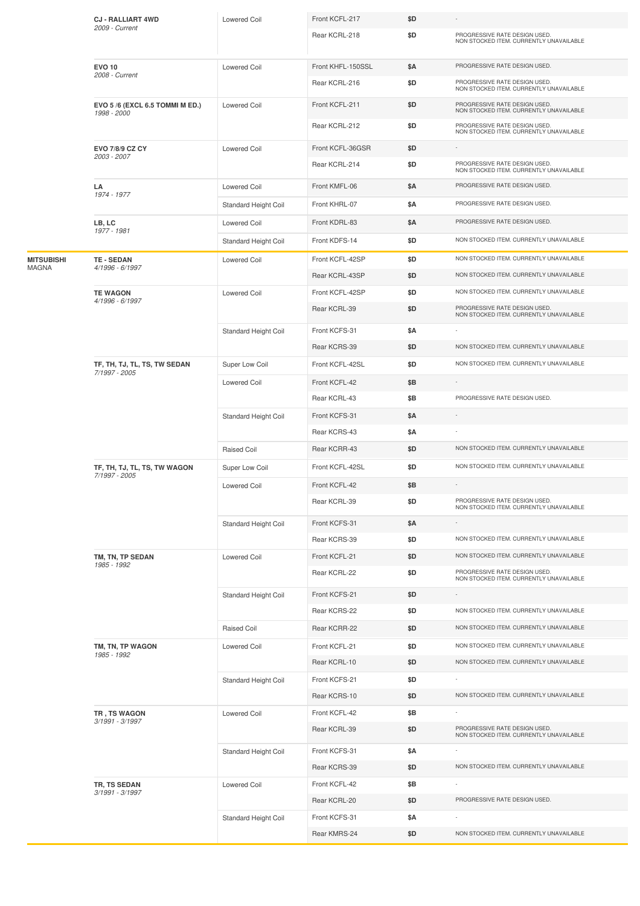|                   | <b>CJ - RALLIART 4WD</b><br>2009 - Current    | <b>Lowered Coil</b>  | Front KCFL-217    | \$D |                                                                          |
|-------------------|-----------------------------------------------|----------------------|-------------------|-----|--------------------------------------------------------------------------|
|                   |                                               |                      | Rear KCRL-218     | \$D | PROGRESSIVE RATE DESIGN USED.<br>NON STOCKED ITEM. CURRENTLY UNAVAILABLE |
|                   | <b>EVO 10</b>                                 | <b>Lowered Coil</b>  | Front KHFL-150SSL | \$Α | PROGRESSIVE RATE DESIGN USED.                                            |
|                   | 2008 - Current                                |                      | Rear KCRL-216     | \$D | PROGRESSIVE RATE DESIGN USED.<br>NON STOCKED ITEM. CURRENTLY UNAVAILABLE |
|                   | EVO 5/6 (EXCL 6.5 TOMMI M ED.)<br>1998 - 2000 | <b>Lowered Coil</b>  | Front KCFL-211    | \$D | PROGRESSIVE RATE DESIGN USED.<br>NON STOCKED ITEM. CURRENTLY UNAVAILABLE |
|                   |                                               |                      | Rear KCRL-212     | \$D | PROGRESSIVE RATE DESIGN USED.<br>NON STOCKED ITEM. CURRENTLY UNAVAILABLE |
|                   | EVO 7/8/9 CZ CY                               | <b>Lowered Coil</b>  | Front KCFL-36GSR  | \$D | $\sim$                                                                   |
|                   | 2003 - 2007                                   |                      | Rear KCRL-214     | \$D | PROGRESSIVE RATE DESIGN USED.<br>NON STOCKED ITEM. CURRENTLY UNAVAILABLE |
|                   | LA                                            | <b>Lowered Coil</b>  | Front KMFL-06     | \$Α | PROGRESSIVE RATE DESIGN USED.                                            |
|                   | 1974 - 1977                                   | Standard Height Coil | Front KHRL-07     | \$Α | PROGRESSIVE RATE DESIGN USED.                                            |
|                   | LB, LC                                        | <b>Lowered Coil</b>  | Front KDRL-83     | \$Α | PROGRESSIVE RATE DESIGN USED.                                            |
|                   | 1977 - 1981                                   | Standard Height Coil | Front KDFS-14     | \$D | NON STOCKED ITEM. CURRENTLY UNAVAILABLE                                  |
| <b>MITSUBISHI</b> | <b>TE - SEDAN</b>                             | <b>Lowered Coil</b>  | Front KCFL-42SP   | \$D | NON STOCKED ITEM. CURRENTLY UNAVAILABLE                                  |
| <b>MAGNA</b>      | 4/1996 - 6/1997                               |                      | Rear KCRL-43SP    | \$D | NON STOCKED ITEM. CURRENTLY UNAVAILABLE                                  |
|                   | <b>TE WAGON</b><br>4/1996 - 6/1997            | <b>Lowered Coil</b>  | Front KCFL-42SP   | \$D | NON STOCKED ITEM. CURRENTLY UNAVAILABLE                                  |
|                   |                                               |                      | Rear KCRL-39      | \$D | PROGRESSIVE RATE DESIGN USED.<br>NON STOCKED ITEM. CURRENTLY UNAVAILABLE |
|                   |                                               | Standard Height Coil | Front KCFS-31     | \$Α |                                                                          |
|                   |                                               |                      | Rear KCRS-39      | \$D | NON STOCKED ITEM. CURRENTLY UNAVAILABLE                                  |
|                   | TF, TH, TJ, TL, TS, TW SEDAN<br>7/1997 - 2005 | Super Low Coil       | Front KCFL-42SL   | \$D | NON STOCKED ITEM. CURRENTLY UNAVAILABLE                                  |
|                   |                                               | <b>Lowered Coil</b>  | Front KCFL-42     | \$Β |                                                                          |
|                   |                                               |                      | Rear KCRL-43      | \$Β | PROGRESSIVE RATE DESIGN USED.                                            |
|                   |                                               | Standard Height Coil | Front KCFS-31     | \$Α |                                                                          |
|                   |                                               |                      | Rear KCRS-43      | \$Α |                                                                          |
|                   |                                               | Raised Coil          | Rear KCRR-43      | \$D | NON STOCKED ITEM. CURRENTLY UNAVAILABLE                                  |
|                   | TF, TH, TJ, TL, TS, TW WAGON<br>7/1997 - 2005 | Super Low Coil       | Front KCFL-42SL   | \$D | NON STOCKED ITEM. CURRENTLY UNAVAILABLE                                  |
|                   |                                               | <b>Lowered Coil</b>  | Front KCFL-42     | \$Β |                                                                          |
|                   |                                               |                      | Rear KCRL-39      | \$D | PROGRESSIVE RATE DESIGN USED.<br>NON STOCKED ITEM. CURRENTLY UNAVAILABLE |
|                   |                                               | Standard Height Coil | Front KCFS-31     | \$Α |                                                                          |
|                   |                                               |                      | Rear KCRS-39      | \$D | NON STOCKED ITEM. CURRENTLY UNAVAILABLE                                  |
|                   | TM, TN, TP SEDAN<br>1985 - 1992               | <b>Lowered Coil</b>  | Front KCFL-21     | \$D | NON STOCKED ITEM. CURRENTLY UNAVAILABLE                                  |
|                   |                                               |                      | Rear KCRL-22      | \$D | PROGRESSIVE RATE DESIGN USED.<br>NON STOCKED ITEM. CURRENTLY UNAVAILABLE |
|                   |                                               | Standard Height Coil | Front KCFS-21     | \$D |                                                                          |
|                   |                                               |                      | Rear KCRS-22      | \$D | NON STOCKED ITEM. CURRENTLY UNAVAILABLE                                  |
|                   |                                               | Raised Coil          | Rear KCRR-22      | \$D | NON STOCKED ITEM. CURRENTLY UNAVAILABLE                                  |
|                   | TM, TN, TP WAGON<br>1985 - 1992               | <b>Lowered Coil</b>  | Front KCFL-21     | \$D | NON STOCKED ITEM. CURRENTLY UNAVAILABLE                                  |
|                   |                                               |                      | Rear KCRL-10      | \$D | NON STOCKED ITEM. CURRENTLY UNAVAILABLE                                  |
|                   |                                               | Standard Height Coil | Front KCFS-21     | \$D | $\overline{\phantom{a}}$                                                 |
|                   |                                               |                      | Rear KCRS-10      | \$D | NON STOCKED ITEM. CURRENTLY UNAVAILABLE                                  |
|                   | TR, TS WAGON<br>3/1991 - 3/1997               | <b>Lowered Coil</b>  | Front KCFL-42     | \$Β |                                                                          |
|                   |                                               |                      | Rear KCRL-39      | \$D | PROGRESSIVE RATE DESIGN USED.<br>NON STOCKED ITEM. CURRENTLY UNAVAILABLE |
|                   |                                               | Standard Height Coil | Front KCFS-31     | \$Α |                                                                          |
|                   |                                               |                      | Rear KCRS-39      | \$D | NON STOCKED ITEM. CURRENTLY UNAVAILABLE                                  |
|                   | TR, TS SEDAN<br>3/1991 - 3/1997               | <b>Lowered Coil</b>  | Front KCFL-42     | \$Β |                                                                          |
|                   |                                               |                      | Rear KCRL-20      | \$D | PROGRESSIVE RATE DESIGN USED.                                            |
|                   |                                               | Standard Height Coil | Front KCFS-31     | \$Α | NON STOCKED ITEM. CURRENTLY UNAVAILABLE                                  |
|                   |                                               |                      | Rear KMRS-24      | \$D |                                                                          |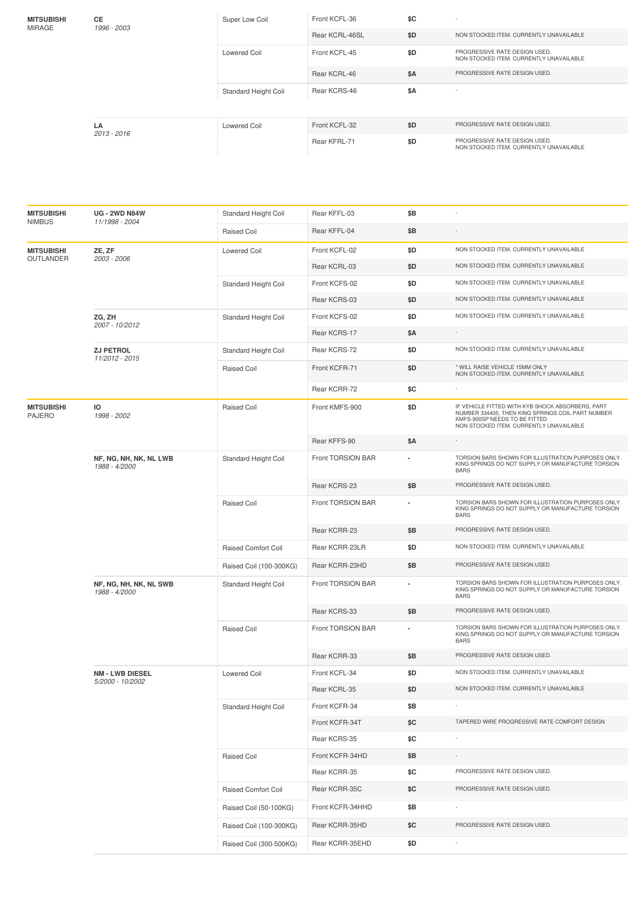| <b>MITSUBISHI</b><br>MIRAGE | <b>CE</b><br>1996 - 2003 | Super Low Coil              | Front KCFL-36  | \$C | $\sim$                                                                   |
|-----------------------------|--------------------------|-----------------------------|----------------|-----|--------------------------------------------------------------------------|
|                             |                          |                             | Rear KCRL-46SL | \$D | NON STOCKED ITEM. CURRENTLY UNAVAILABLE                                  |
|                             |                          | <b>Lowered Coil</b>         | Front KCFL-45  | \$D | PROGRESSIVE RATE DESIGN USED.<br>NON STOCKED ITEM. CURRENTLY UNAVAILABLE |
|                             |                          |                             | Rear KCRL-46   | \$A | PROGRESSIVE RATE DESIGN USED.                                            |
|                             |                          | <b>Standard Height Coil</b> | Rear KCRS-46   | \$Α | ۰.                                                                       |
|                             | LA<br>2013 - 2016        | <b>Lowered Coil</b>         | Front KCFL-32  | \$D | PROGRESSIVE RATE DESIGN USED.                                            |
|                             |                          |                             | Rear KFRL-71   | \$D | PROGRESSIVE RATE DESIGN USED.<br>NON STOCKED ITEM. CURRENTLY UNAVAILABLE |

| <b>MITSUBISHI</b><br><b>NIMBUS</b> | <b>UG - 2WD N84W</b><br>11/1998 - 2004     | Standard Height Coil        | Rear KFFL-03      | \$B                      |                                                                                                                                                                                   |
|------------------------------------|--------------------------------------------|-----------------------------|-------------------|--------------------------|-----------------------------------------------------------------------------------------------------------------------------------------------------------------------------------|
|                                    |                                            | <b>Raised Coil</b>          | Rear KFFL-04      | \$B                      |                                                                                                                                                                                   |
| <b>MITSUBISHI</b><br>OUTLANDER     | ZE, ZF<br>2003 - 2006                      | <b>Lowered Coil</b>         | Front KCFL-02     | \$D                      | NON STOCKED ITEM. CURRENTLY UNAVAILABLE                                                                                                                                           |
|                                    |                                            |                             | Rear KCRL-03      | \$D                      | NON STOCKED ITEM. CURRENTLY UNAVAILABLE                                                                                                                                           |
|                                    |                                            | Standard Height Coil        | Front KCFS-02     | \$D                      | NON STOCKED ITEM. CURRENTLY UNAVAILABLE                                                                                                                                           |
|                                    |                                            |                             | Rear KCRS-03      | \$D                      | NON STOCKED ITEM. CURRENTLY UNAVAILABLE                                                                                                                                           |
|                                    | ZG, ZH<br>2007 - 10/2012                   | Standard Height Coil        | Front KCFS-02     | \$D                      | NON STOCKED ITEM. CURRENTLY UNAVAILABLE                                                                                                                                           |
|                                    |                                            |                             | Rear KCRS-17      | \$A                      |                                                                                                                                                                                   |
|                                    | <b>ZJ PETROL</b><br>11/2012 - 2015         | <b>Standard Height Coil</b> | Rear KCRS-72      | \$D                      | NON STOCKED ITEM. CURRENTLY UNAVAILABLE                                                                                                                                           |
|                                    |                                            | <b>Raised Coil</b>          | Front KCFR-71     | \$D                      | * WILL RAISE VEHICLE 15MM ONLY<br>NON STOCKED ITEM. CURRENTLY UNAVAILABLE                                                                                                         |
|                                    |                                            |                             | Rear KCRR-72      | \$C                      |                                                                                                                                                                                   |
| <b>MITSUBISHI</b><br><b>PAJERO</b> | ю<br>1998 - 2002                           | <b>Raised Coil</b>          | Front KMFS-900    | \$D                      | IF VEHICLE FITTED WITH KYB SHOCK ABSORBERS, PART<br>NUMBER 334405, THEN KING SPRINGS COIL PART NUMBER<br>KMFS-900SP NEEDS TO BE FITTED<br>NON STOCKED ITEM. CURRENTLY UNAVAILABLE |
|                                    |                                            |                             | Rear KFFS-90      | <b>\$A</b>               |                                                                                                                                                                                   |
|                                    | NF, NG, NH, NK, NL LWB<br>1988 - 4/2000    | <b>Standard Height Coil</b> | Front TORSION BAR |                          | TORSION BARS SHOWN FOR ILLUSTRATION PURPOSES ONLY.<br>KING SPRINGS DO NOT SUPPLY OR MANUFACTURE TORSION<br><b>BARS</b>                                                            |
|                                    |                                            |                             | Rear KCRS-23      | \$B                      | PROGRESSIVE RATE DESIGN USED.                                                                                                                                                     |
|                                    |                                            | <b>Raised Coil</b>          | Front TORSION BAR | $\overline{\phantom{a}}$ | TORSION BARS SHOWN FOR ILLUSTRATION PURPOSES ONLY.<br>KING SPRINGS DO NOT SUPPLY OR MANUFACTURE TORSION<br><b>BARS</b>                                                            |
|                                    |                                            |                             | Rear KCRR-23      | \$Β                      | PROGRESSIVE RATE DESIGN USED.                                                                                                                                                     |
|                                    |                                            | <b>Raised Comfort Coil</b>  | Rear KCRR-23LR    | \$D                      | NON STOCKED ITEM. CURRENTLY UNAVAILABLE                                                                                                                                           |
|                                    |                                            | Raised Coil (100-300KG)     | Rear KCRR-23HD    | \$B                      | PROGRESSIVE RATE DESIGN USED.                                                                                                                                                     |
|                                    | NF, NG, NH, NK, NL SWB<br>1988 - 4/2000    | Standard Height Coil        | Front TORSION BAR |                          | TORSION BARS SHOWN FOR ILLUSTRATION PURPOSES ONLY.<br>KING SPRINGS DO NOT SUPPLY OR MANUFACTURE TORSION<br><b>BARS</b>                                                            |
|                                    |                                            |                             | Rear KCRS-33      | \$B                      | PROGRESSIVE RATE DESIGN USED.                                                                                                                                                     |
|                                    |                                            | <b>Raised Coil</b>          | Front TORSION BAR | ä,                       | TORSION BARS SHOWN FOR ILLUSTRATION PURPOSES ONLY.<br>KING SPRINGS DO NOT SUPPLY OR MANUFACTURE TORSION<br><b>BARS</b>                                                            |
|                                    |                                            |                             | Rear KCRR-33      | \$Β                      | PROGRESSIVE RATE DESIGN USED.                                                                                                                                                     |
|                                    | <b>NM - LWB DIESEL</b><br>5/2000 - 10/2002 | <b>Lowered Coil</b>         | Front KCFL-34     | \$D                      | NON STOCKED ITEM. CURRENTLY UNAVAILABLE                                                                                                                                           |
|                                    |                                            |                             | Rear KCRL-35      | \$D                      | NON STOCKED ITEM. CURRENTLY UNAVAILABLE                                                                                                                                           |
|                                    |                                            | <b>Standard Height Coil</b> | Front KCFR-34     | \$Β                      |                                                                                                                                                                                   |
|                                    |                                            |                             | Front KCFR-34T    | \$C                      | TAPERED WIRE PROGRESSIVE RATE COMFORT DESIGN                                                                                                                                      |
|                                    |                                            |                             | Rear KCRS-35      | \$С                      |                                                                                                                                                                                   |
|                                    |                                            | Raised Coil                 | Front KCFR-34HD   | \$Β                      |                                                                                                                                                                                   |
|                                    |                                            |                             | Rear KCRR-35      | \$C                      | PROGRESSIVE RATE DESIGN USED.                                                                                                                                                     |
|                                    |                                            | Raised Comfort Coil         | Rear KCRR-35C     | \$C                      | PROGRESSIVE RATE DESIGN USED.                                                                                                                                                     |
|                                    |                                            | Raised Coil (50-100KG)      | Front KCFR-34HHD  | \$Β                      |                                                                                                                                                                                   |
|                                    |                                            | Raised Coil (100-300KG)     | Rear KCRR-35HD    | \$C                      | PROGRESSIVE RATE DESIGN USED.                                                                                                                                                     |
|                                    |                                            | Raised Coil (300-500KG)     | Rear KCRR-35EHD   | \$D                      |                                                                                                                                                                                   |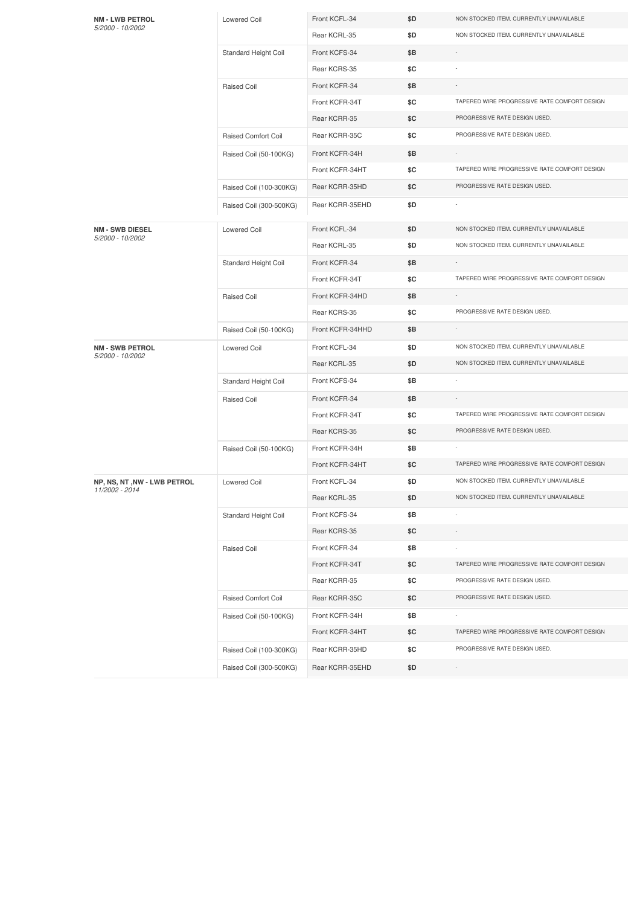| <b>NM - LWB PETROL</b><br>5/2000 - 10/2002    | <b>Lowered Coil</b>        | Front KCFL-34    | \$D | NON STOCKED ITEM. CURRENTLY UNAVAILABLE      |
|-----------------------------------------------|----------------------------|------------------|-----|----------------------------------------------|
|                                               |                            | Rear KCRL-35     | \$D | NON STOCKED ITEM. CURRENTLY UNAVAILABLE      |
|                                               | Standard Height Coil       | Front KCFS-34    | \$Β |                                              |
|                                               |                            | Rear KCRS-35     | \$C |                                              |
|                                               | Raised Coil                | Front KCFR-34    | \$Β |                                              |
|                                               |                            | Front KCFR-34T   | \$C | TAPERED WIRE PROGRESSIVE RATE COMFORT DESIGN |
|                                               |                            | Rear KCRR-35     | \$C | PROGRESSIVE RATE DESIGN USED.                |
|                                               | <b>Raised Comfort Coil</b> | Rear KCRR-35C    | \$C | PROGRESSIVE RATE DESIGN USED.                |
|                                               | Raised Coil (50-100KG)     | Front KCFR-34H   | \$Β |                                              |
|                                               |                            | Front KCFR-34HT  | \$C | TAPERED WIRE PROGRESSIVE RATE COMFORT DESIGN |
|                                               | Raised Coil (100-300KG)    | Rear KCRR-35HD   | \$C | PROGRESSIVE RATE DESIGN USED.                |
|                                               | Raised Coil (300-500KG)    | Rear KCRR-35EHD  | \$D |                                              |
| <b>NM - SWB DIESEL</b><br>5/2000 - 10/2002    | <b>Lowered Coil</b>        | Front KCFL-34    | \$D | NON STOCKED ITEM. CURRENTLY UNAVAILABLE      |
|                                               |                            | Rear KCRL-35     | \$D | NON STOCKED ITEM. CURRENTLY UNAVAILABLE      |
|                                               | Standard Height Coil       | Front KCFR-34    | \$Β |                                              |
|                                               |                            | Front KCFR-34T   | \$C | TAPERED WIRE PROGRESSIVE RATE COMFORT DESIGN |
|                                               | Raised Coil                | Front KCFR-34HD  | \$Β |                                              |
|                                               |                            | Rear KCRS-35     | \$C | PROGRESSIVE RATE DESIGN USED.                |
|                                               | Raised Coil (50-100KG)     | Front KCFR-34HHD | \$Β |                                              |
| <b>NM - SWB PETROL</b>                        | <b>Lowered Coil</b>        | Front KCFL-34    | \$D | NON STOCKED ITEM. CURRENTLY UNAVAILABLE      |
| 5/2000 - 10/2002                              |                            | Rear KCRL-35     | \$D | NON STOCKED ITEM. CURRENTLY UNAVAILABLE      |
|                                               | Standard Height Coil       | Front KCFS-34    | \$Β |                                              |
|                                               | Raised Coil                | Front KCFR-34    | \$Β |                                              |
|                                               |                            | Front KCFR-34T   | \$C | TAPERED WIRE PROGRESSIVE RATE COMFORT DESIGN |
|                                               |                            | Rear KCRS-35     | \$C | PROGRESSIVE RATE DESIGN USED.                |
|                                               | Raised Coil (50-100KG)     | Front KCFR-34H   | \$Β |                                              |
|                                               |                            | Front KCFR-34HT  | \$C | TAPERED WIRE PROGRESSIVE RATE COMFORT DESIGN |
| NP, NS, NT, NW - LWB PETROL<br>11/2002 - 2014 | <b>Lowered Coil</b>        | Front KCFL-34    | \$D | NON STOCKED ITEM. CURRENTLY UNAVAILABLE      |
|                                               |                            | Rear KCRL-35     | ŞD. | NON STOCKED ITEM. CURRENTLY UNAVAILABLE      |
|                                               | Standard Height Coil       | Front KCFS-34    | \$Β |                                              |
|                                               |                            | Rear KCRS-35     | \$C |                                              |
|                                               | Raised Coil                | Front KCFR-34    | \$Β |                                              |
|                                               |                            | Front KCFR-34T   | \$C | TAPERED WIRE PROGRESSIVE RATE COMFORT DESIGN |
|                                               |                            | Rear KCRR-35     | \$C | PROGRESSIVE RATE DESIGN USED.                |
|                                               | Raised Comfort Coil        | Rear KCRR-35C    | \$C | PROGRESSIVE RATE DESIGN USED.                |
|                                               | Raised Coil (50-100KG)     | Front KCFR-34H   | \$Β | $\overline{\phantom{a}}$                     |
|                                               |                            | Front KCFR-34HT  | \$C | TAPERED WIRE PROGRESSIVE RATE COMFORT DESIGN |
|                                               | Raised Coil (100-300KG)    | Rear KCRR-35HD   | \$C | PROGRESSIVE RATE DESIGN USED.                |
|                                               | Raised Coil (300-500KG)    | Rear KCRR-35EHD  | \$D |                                              |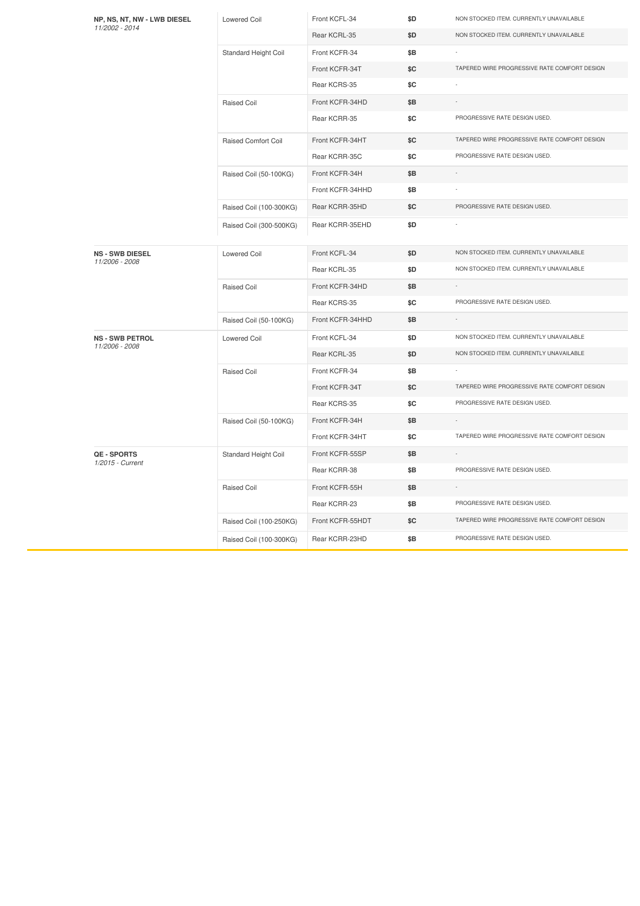| NP, NS, NT, NW - LWB DIESEL<br>11/2002 - 2014 | <b>Lowered Coil</b>        | Front KCFL-34    | \$D | NON STOCKED ITEM. CURRENTLY UNAVAILABLE      |
|-----------------------------------------------|----------------------------|------------------|-----|----------------------------------------------|
|                                               |                            | Rear KCRL-35     | \$D | NON STOCKED ITEM. CURRENTLY UNAVAILABLE      |
|                                               | Standard Height Coil       | Front KCFR-34    | \$Β |                                              |
|                                               |                            | Front KCFR-34T   | \$C | TAPERED WIRE PROGRESSIVE RATE COMFORT DESIGN |
|                                               |                            | Rear KCRS-35     | \$C |                                              |
|                                               | Raised Coil                | Front KCFR-34HD  | \$Β |                                              |
|                                               |                            | Rear KCRR-35     | \$C | PROGRESSIVE RATE DESIGN USED.                |
|                                               | <b>Raised Comfort Coil</b> | Front KCFR-34HT  | \$C | TAPERED WIRE PROGRESSIVE RATE COMFORT DESIGN |
|                                               |                            | Rear KCRR-35C    | \$C | PROGRESSIVE RATE DESIGN USED.                |
|                                               | Raised Coil (50-100KG)     | Front KCFR-34H   | \$Β |                                              |
|                                               |                            | Front KCFR-34HHD | \$Β |                                              |
|                                               | Raised Coil (100-300KG)    | Rear KCRR-35HD   | \$C | PROGRESSIVE RATE DESIGN USED.                |
|                                               | Raised Coil (300-500KG)    | Rear KCRR-35EHD  | \$D |                                              |
| <b>NS - SWB DIESEL</b>                        | <b>Lowered Coil</b>        | Front KCFL-34    | \$D | NON STOCKED ITEM. CURRENTLY UNAVAILABLE      |
| 11/2006 - 2008                                |                            | Rear KCRL-35     | \$D | NON STOCKED ITEM. CURRENTLY UNAVAILABLE      |
|                                               | Raised Coil                | Front KCFR-34HD  | \$Β |                                              |
|                                               |                            | Rear KCRS-35     | \$C | PROGRESSIVE RATE DESIGN USED.                |
|                                               | Raised Coil (50-100KG)     | Front KCFR-34HHD | \$B | $\sim$                                       |
| <b>NS - SWB PETROL</b><br>11/2006 - 2008      | Lowered Coil               | Front KCFL-34    | \$D | NON STOCKED ITEM. CURRENTLY UNAVAILABLE      |
|                                               |                            | Rear KCRL-35     | \$D | NON STOCKED ITEM. CURRENTLY UNAVAILABLE      |
|                                               | Raised Coil                | Front KCFR-34    | \$Β |                                              |
|                                               |                            | Front KCFR-34T   | \$C | TAPERED WIRE PROGRESSIVE RATE COMFORT DESIGN |
|                                               |                            | Rear KCRS-35     | \$C | PROGRESSIVE RATE DESIGN USED.                |
|                                               | Raised Coil (50-100KG)     | Front KCFR-34H   | \$B |                                              |
|                                               |                            | Front KCFR-34HT  | \$C | TAPERED WIRE PROGRESSIVE RATE COMFORT DESIGN |
| QE - SPORTS<br>1/2015 - Current               | Standard Height Coil       | Front KCFR-55SP  | \$Β |                                              |
|                                               |                            | Rear KCRR-38     | \$B | PROGRESSIVE RATE DESIGN USED.                |
|                                               | Raised Coil                | Front KCFR-55H   | \$Β | $\sim$                                       |
|                                               |                            | Rear KCRR-23     | \$Β | PROGRESSIVE RATE DESIGN USED.                |
|                                               | Raised Coil (100-250KG)    | Front KCFR-55HDT | \$C | TAPERED WIRE PROGRESSIVE RATE COMFORT DESIGN |
|                                               | Raised Coil (100-300KG)    | Rear KCRR-23HD   | \$B | PROGRESSIVE RATE DESIGN USED.                |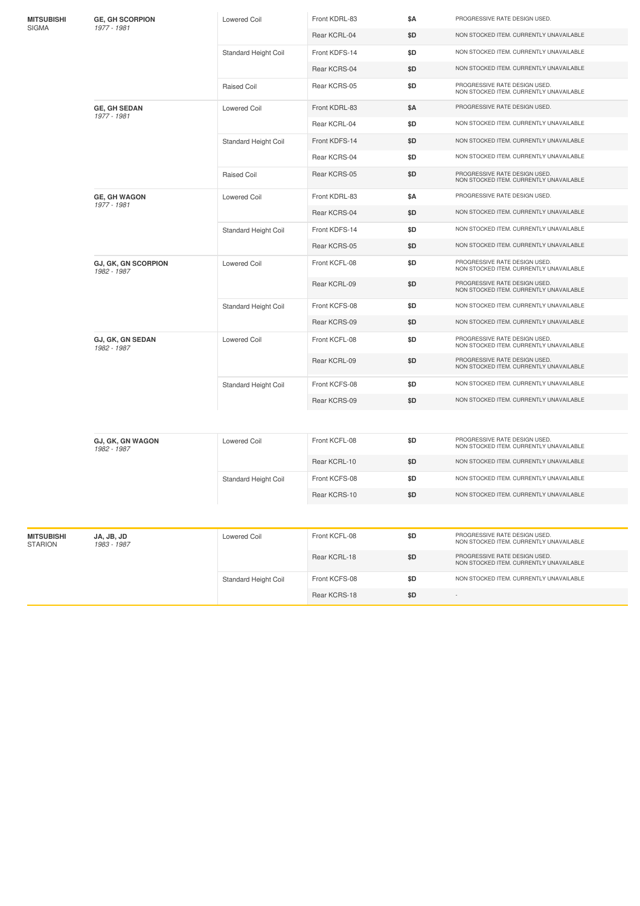| <b>MITSUBISHI</b>            | <b>GE, GH SCORPION</b>                                               | <b>Lowered Coil</b>                     | Front KDRL-83                           | \$Α | PROGRESSIVE RATE DESIGN USED.                                            |
|------------------------------|----------------------------------------------------------------------|-----------------------------------------|-----------------------------------------|-----|--------------------------------------------------------------------------|
| SIGMA                        | 1977 - 1981<br>Rear KCRL-04<br>Front KDFS-14<br>Standard Height Coil | \$D                                     | NON STOCKED ITEM. CURRENTLY UNAVAILABLE |     |                                                                          |
| 1977 - 1981                  |                                                                      |                                         |                                         | \$D | NON STOCKED ITEM. CURRENTLY UNAVAILABLE                                  |
|                              |                                                                      |                                         | Rear KCRS-04                            | \$D | NON STOCKED ITEM. CURRENTLY UNAVAILABLE                                  |
|                              |                                                                      | <b>Raised Coil</b>                      | Rear KCRS-05                            | \$D | PROGRESSIVE RATE DESIGN USED.<br>NON STOCKED ITEM. CURRENTLY UNAVAILABLE |
|                              | <b>GE, GH SEDAN</b>                                                  | <b>Lowered Coil</b>                     | Front KDRL-83                           | \$Α | PROGRESSIVE RATE DESIGN USED.                                            |
|                              |                                                                      |                                         | Rear KCRL-04                            | \$D | NON STOCKED ITEM. CURRENTLY UNAVAILABLE                                  |
|                              | Front KDFS-14<br>\$D<br>Standard Height Coil<br>Rear KCRS-04<br>\$D  | NON STOCKED ITEM. CURRENTLY UNAVAILABLE |                                         |     |                                                                          |
|                              |                                                                      |                                         |                                         |     | NON STOCKED ITEM. CURRENTLY UNAVAILABLE                                  |
|                              |                                                                      | <b>Raised Coil</b>                      | Rear KCRS-05                            | \$D | PROGRESSIVE RATE DESIGN USED.<br>NON STOCKED ITEM. CURRENTLY UNAVAILABLE |
|                              | <b>GE, GH WAGON</b><br>1977 - 1981                                   | Lowered Coil                            | Front KDRL-83                           | \$Α | PROGRESSIVE RATE DESIGN USED.                                            |
|                              |                                                                      |                                         | Rear KCRS-04                            | \$D | NON STOCKED ITEM. CURRENTLY UNAVAILABLE                                  |
|                              |                                                                      | Standard Height Coil                    | Front KDFS-14                           | \$D | NON STOCKED ITEM. CURRENTLY UNAVAILABLE                                  |
|                              |                                                                      |                                         | Rear KCRS-05                            | \$D | NON STOCKED ITEM. CURRENTLY UNAVAILABLE                                  |
|                              | <b>GJ, GK, GN SCORPION</b><br>1982 - 1987                            | <b>Lowered Coil</b>                     | Front KCFL-08                           | \$D | PROGRESSIVE RATE DESIGN USED.<br>NON STOCKED ITEM, CURRENTLY UNAVAILABLE |
|                              |                                                                      |                                         | Rear KCRL-09                            | \$D | PROGRESSIVE RATE DESIGN USED.<br>NON STOCKED ITEM. CURRENTLY UNAVAILABLE |
|                              |                                                                      | Standard Height Coil                    | Front KCFS-08                           | \$D | NON STOCKED ITEM. CURRENTLY UNAVAILABLE                                  |
|                              |                                                                      |                                         | Rear KCRS-09                            | \$D | NON STOCKED ITEM. CURRENTLY UNAVAILABLE                                  |
|                              | GJ, GK, GN SEDAN<br>1982 - 1987                                      | Lowered Coil                            | Front KCFL-08                           | \$D | PROGRESSIVE RATE DESIGN USED.<br>NON STOCKED ITEM. CURRENTLY UNAVAILABLE |
|                              |                                                                      |                                         | Rear KCRL-09                            | \$D | PROGRESSIVE RATE DESIGN USED.<br>NON STOCKED ITEM. CURRENTLY UNAVAILABLE |
|                              |                                                                      | Standard Height Coil                    | Front KCFS-08                           | \$D | NON STOCKED ITEM. CURRENTLY UNAVAILABLE                                  |
|                              |                                                                      |                                         | Rear KCRS-09                            | \$D | NON STOCKED ITEM. CURRENTLY UNAVAILABLE                                  |
|                              |                                                                      |                                         |                                         |     |                                                                          |
|                              | GJ, GK, GN WAGON<br>1982 - 1987                                      | <b>Lowered Coil</b>                     | Front KCFL-08                           | \$D | PROGRESSIVE RATE DESIGN USED.<br>NON STOCKED ITEM. CURRENTLY UNAVAILABLE |
|                              |                                                                      |                                         | Rear KCRL-10                            | \$D | NON STOCKED ITEM. CURRENTLY UNAVAILABLE                                  |
|                              |                                                                      | <b>Standard Height Coil</b>             | Front KCFS-08                           | \$D | NON STOCKED ITEM. CURRENTLY UNAVAILABLE                                  |
|                              |                                                                      |                                         | Rear KCRS-10                            | \$D | NON STOCKED ITEM. CURRENTLY UNAVAILABLE                                  |
|                              |                                                                      |                                         |                                         |     |                                                                          |
| <b>MITSUBISHI</b><br>STARION | JA, JB, JD<br>1983 - 1987                                            | <b>Lowered Coil</b>                     | Front KCFL-08                           | \$D | PROGRESSIVE RATE DESIGN USED.<br>NON STOCKED ITEM. CURRENTLY UNAVAILABLE |
|                              |                                                                      |                                         | Rear KCRL-18                            | \$D | PROGRESSIVE RATE DESIGN USED.<br>NON STOCKED ITEM. CURRENTLY UNAVAILABLE |
|                              |                                                                      | Standard Height Coil                    | Front KCFS-08                           | \$D | NON STOCKED ITEM. CURRENTLY UNAVAILABLE                                  |
|                              |                                                                      |                                         | Rear KCRS-18                            | \$D |                                                                          |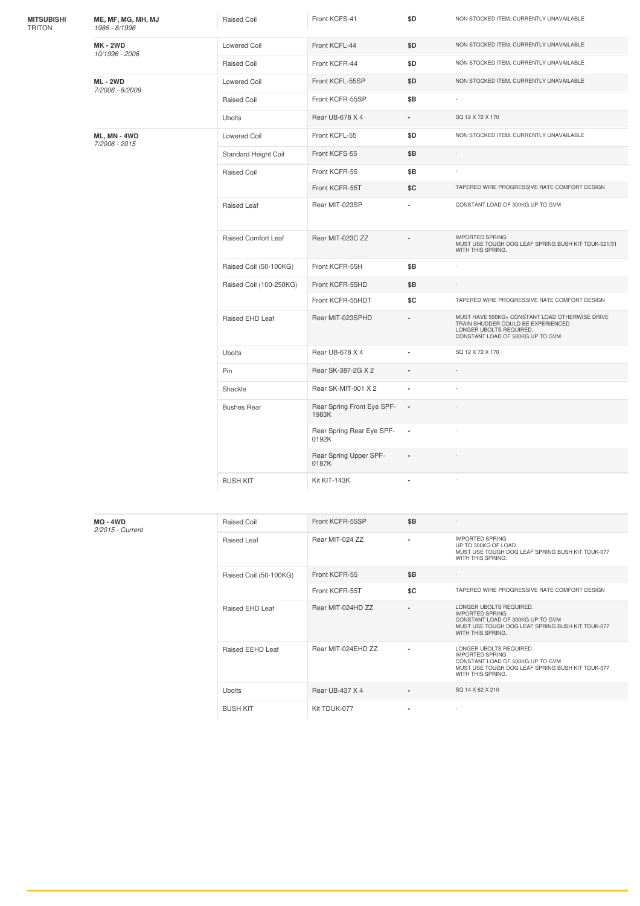| <b>MITSUBISHI</b><br><b>TRITON</b> | ME, MF, MG, MH, MJ<br>1986 - 8/1996 | <b>Raised Coil</b>         | Front KCFS-41                       | \$D                      | NON STOCKED ITEM. CURRENTLY UNAVAILABLE                                                                                                             |
|------------------------------------|-------------------------------------|----------------------------|-------------------------------------|--------------------------|-----------------------------------------------------------------------------------------------------------------------------------------------------|
|                                    | <b>MK - 2WD</b><br>10/1996 - 2006   | <b>Lowered Coil</b>        | Front KCFL-44                       | \$D                      | NON STOCKED ITEM. CURRENTLY UNAVAILABLE                                                                                                             |
|                                    |                                     | <b>Raised Coil</b>         | Front KCFR-44                       | \$D                      | NON STOCKED ITEM. CURRENTLY UNAVAILABLE                                                                                                             |
|                                    | <b>ML-2WD</b><br>7/2006 - 8/2009    | <b>Lowered Coil</b>        | Front KCFL-55SP                     | \$D                      | NON STOCKED ITEM. CURRENTLY UNAVAILABLE                                                                                                             |
|                                    |                                     | <b>Raised Coil</b>         | Front KCFR-55SP                     | \$B                      |                                                                                                                                                     |
|                                    |                                     | Ubolts                     | Rear UB-678 X 4                     | $\blacksquare$           | SQ 12 X 72 X 170                                                                                                                                    |
|                                    | ML, MN - 4WD<br>7/2006 - 2015       | <b>Lowered Coil</b>        | Front KCFL-55                       | \$D                      | NON STOCKED ITEM. CURRENTLY UNAVAILABLE                                                                                                             |
|                                    |                                     | Standard Height Coil       | Front KCFS-55                       | \$B                      |                                                                                                                                                     |
|                                    |                                     | <b>Raised Coil</b>         | Front KCFR-55                       | \$B                      |                                                                                                                                                     |
|                                    |                                     |                            | Front KCFR-55T                      | SC                       | TAPERED WIRE PROGRESSIVE RATE COMFORT DESIGN                                                                                                        |
|                                    |                                     | Raised Leaf                | Rear MIT-023SP                      |                          | CONSTANT LOAD OF 300KG UP TO GVM                                                                                                                    |
|                                    |                                     | <b>Raised Comfort Leaf</b> | Rear MIT-023C ZZ                    |                          | <b>IMPORTED SPRING</b><br>MUST USE TOUGH DOG LEAF SPRING BUSH KIT TDUK-021/31<br>WITH THIS SPRING.                                                  |
|                                    |                                     | Raised Coil (50-100KG)     | Front KCFR-55H                      | \$B                      |                                                                                                                                                     |
|                                    |                                     | Raised Coil (100-250KG)    | Front KCFR-55HD                     | \$B                      | ÷                                                                                                                                                   |
|                                    |                                     |                            | Front KCFR-55HDT                    | \$C                      | TAPERED WIRE PROGRESSIVE RATE COMFORT DESIGN                                                                                                        |
|                                    |                                     | Raised EHD Leaf            | Rear MIT-023SPHD                    |                          | MUST HAVE 500KG+ CONSTANT LOAD OTHERWISE DRIVE<br>TRAIN SHUDDER COULD BE EXPERIENCED<br>LONGER UBOLTS REQUIRED.<br>CONSTANT LOAD OF 500KG UP TO GVM |
|                                    |                                     | <b>Ubolts</b>              | Rear UB-678 X 4                     | $\overline{\phantom{a}}$ | SQ 12 X 72 X 170                                                                                                                                    |
|                                    |                                     | Pin                        | Rear SK-387-2G X 2                  |                          |                                                                                                                                                     |
|                                    |                                     | Shackle                    | Rear SK-MIT-001 X 2                 | $\blacksquare$           |                                                                                                                                                     |
|                                    |                                     | <b>Bushes Rear</b>         | Rear Spring Front Eye SPF-<br>1983K | $\overline{\phantom{a}}$ |                                                                                                                                                     |
|                                    |                                     |                            | Rear Spring Rear Eye SPF-<br>0192K  | $\blacksquare$           |                                                                                                                                                     |
|                                    |                                     |                            | Rear Spring Upper SPF-<br>0187K     |                          |                                                                                                                                                     |
|                                    |                                     | <b>BUSH KIT</b>            | Kit KIT-143K                        |                          |                                                                                                                                                     |

| <b>MQ - 4WD</b><br>2/2015 - Current | Raised Coil            | Front KCFR-55SP    | \$B                      | $\overline{\phantom{a}}$                                                                                                                                       |
|-------------------------------------|------------------------|--------------------|--------------------------|----------------------------------------------------------------------------------------------------------------------------------------------------------------|
|                                     | Raised Leaf            | Rear MIT-024 ZZ    | $\overline{\phantom{a}}$ | <b>IMPORTED SPRING</b><br>UP TO 300KG OF LOAD<br>MUST USE TOUGH DOG LEAF SPRING BUSH KIT TDUK-077<br>WITH THIS SPRING.                                         |
|                                     | Raised Coil (50-100KG) | Front KCFR-55      | \$B                      |                                                                                                                                                                |
|                                     |                        | Front KCFR-55T     | \$C                      | TAPERED WIRE PROGRESSIVE RATE COMFORT DESIGN                                                                                                                   |
|                                     | Raised EHD Leaf        | Rear MIT-024HD ZZ  | $\blacksquare$           | LONGER UBOLTS REQUIRED.<br><b>IMPORTED SPRING</b><br>CONSTANT LOAD OF 300KG UP TO GVM<br>MUST USE TOUGH DOG LEAF SPRING BUSH KIT TDUK-077<br>WITH THIS SPRING. |
|                                     | Raised EEHD Leaf       | Rear MIT-024EHD ZZ | $\overline{\phantom{a}}$ | LONGER UBOLTS REQUIRED.<br><b>IMPORTED SPRING</b><br>CONSTANT LOAD OF 500KG UP TO GVM<br>MUST USE TOUGH DOG LEAF SPRING BUSH KIT TDUK-077<br>WITH THIS SPRING. |
|                                     | <b>Ubolts</b>          | Rear UB-437 X 4    | $\blacksquare$           | SQ 14 X 62 X 210                                                                                                                                               |
|                                     | <b>BUSH KIT</b>        | Kit TDUK-077       | $\blacksquare$           |                                                                                                                                                                |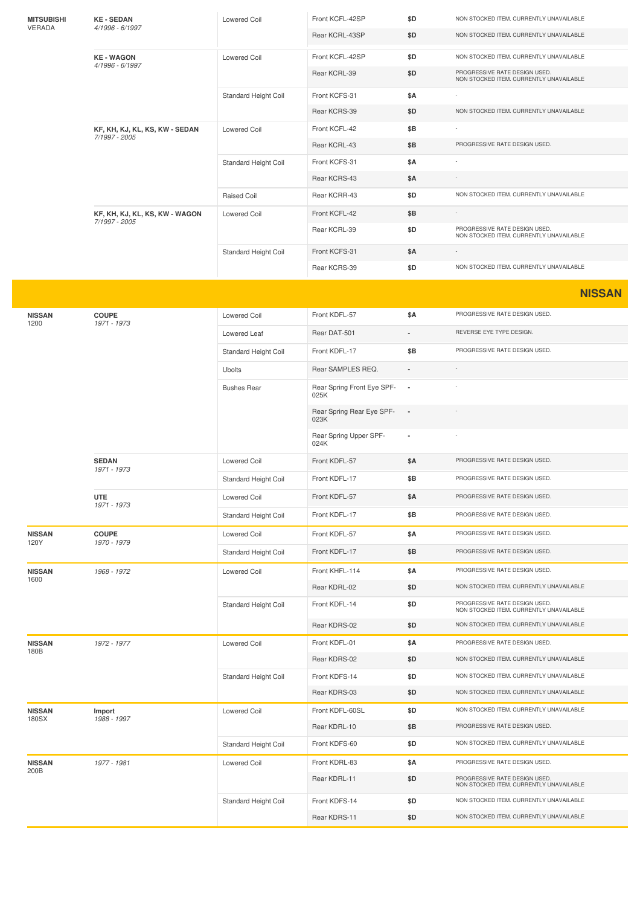| <b>MITSUBISHI</b> | <b>KE-SEDAN</b><br>4/1996 - 6/1997              | <b>Lowered Coil</b>         | Front KCFL-42SP                    | \$D                      | NON STOCKED ITEM. CURRENTLY UNAVAILABLE                                  |
|-------------------|-------------------------------------------------|-----------------------------|------------------------------------|--------------------------|--------------------------------------------------------------------------|
| VERADA            |                                                 |                             | Rear KCRL-43SP                     | \$D                      | NON STOCKED ITEM. CURRENTLY UNAVAILABLE                                  |
|                   | <b>KE-WAGON</b>                                 | <b>Lowered Coil</b>         | Front KCFL-42SP                    | \$D                      | NON STOCKED ITEM. CURRENTLY UNAVAILABLE                                  |
|                   | 4/1996 - 6/1997                                 |                             | Rear KCRL-39                       | \$D                      | PROGRESSIVE RATE DESIGN USED.<br>NON STOCKED ITEM. CURRENTLY UNAVAILABLE |
|                   |                                                 | Standard Height Coil        | Front KCFS-31                      | \$Α                      |                                                                          |
|                   |                                                 |                             | Rear KCRS-39                       | \$D                      | NON STOCKED ITEM. CURRENTLY UNAVAILABLE                                  |
|                   | KF, KH, KJ, KL, KS, KW - SEDAN<br>7/1997 - 2005 | <b>Lowered Coil</b>         | Front KCFL-42                      | \$Β                      |                                                                          |
|                   |                                                 |                             | Rear KCRL-43                       | \$Β                      | PROGRESSIVE RATE DESIGN USED.                                            |
|                   |                                                 | Standard Height Coil        | Front KCFS-31                      | \$Α                      |                                                                          |
|                   |                                                 |                             | Rear KCRS-43                       | \$Α                      |                                                                          |
|                   |                                                 | Raised Coil                 | Rear KCRR-43                       | \$D                      | NON STOCKED ITEM. CURRENTLY UNAVAILABLE                                  |
|                   | KF, KH, KJ, KL, KS, KW - WAGON<br>7/1997 - 2005 | <b>Lowered Coil</b>         | Front KCFL-42                      | \$Β                      |                                                                          |
|                   |                                                 |                             | Rear KCRL-39                       | \$D                      | PROGRESSIVE RATE DESIGN USED.<br>NON STOCKED ITEM. CURRENTLY UNAVAILABLE |
|                   |                                                 | Standard Height Coil        | Front KCFS-31                      | \$Α                      |                                                                          |
|                   |                                                 |                             | Rear KCRS-39                       | \$D                      | NON STOCKED ITEM. CURRENTLY UNAVAILABLE                                  |
|                   |                                                 |                             |                                    |                          | <b>NISSAN</b>                                                            |
| <b>NISSAN</b>     | <b>COUPE</b>                                    | Lowered Coil                | Front KDFL-57                      | \$A                      | PROGRESSIVE RATE DESIGN USED.                                            |
| 1200              | 1971 - 1973                                     |                             |                                    |                          | REVERSE EYE TYPE DESIGN.                                                 |
|                   |                                                 | Lowered Leaf                | Rear DAT-501                       |                          |                                                                          |
|                   |                                                 | Standard Height Coil        | Front KDFL-17                      | \$B                      | PROGRESSIVE RATE DESIGN USED.                                            |
|                   |                                                 | <b>Ubolts</b>               | Rear SAMPLES REQ.                  |                          |                                                                          |
|                   |                                                 | <b>Bushes Rear</b>          | Rear Spring Front Eye SPF-<br>025K | $\overline{\phantom{a}}$ |                                                                          |
|                   |                                                 |                             | Rear Spring Rear Eye SPF-<br>023K  |                          |                                                                          |
|                   |                                                 |                             | Rear Spring Upper SPF-<br>024K     |                          |                                                                          |
|                   | <b>SEDAN</b><br>1971 - 1973                     | <b>Lowered Coil</b>         | Front KDFL-57                      | \$Α                      | PROGRESSIVE RATE DESIGN USED.                                            |
|                   |                                                 | Standard Height Coil        | Front KDFL-17                      | \$Β                      | PROGRESSIVE RATE DESIGN USED.                                            |
|                   | <b>UTE</b><br>1971 - 1973                       | Lowered Coil                | Front KDFL-57                      | \$Α                      | PROGRESSIVE RATE DESIGN USED.                                            |
|                   |                                                 | Standard Height Coil        | Front KDFL-17                      | \$Β                      | PROGRESSIVE RATE DESIGN USED.                                            |
| <b>NISSAN</b>     | <b>COUPE</b>                                    | Lowered Coil                | Front KDFL-57                      | \$Α                      | PROGRESSIVE RATE DESIGN USED.                                            |
| 120Y              | 1970 - 1979                                     | <b>Standard Height Coil</b> | Front KDFL-17                      | \$Β                      | PROGRESSIVE RATE DESIGN USED.                                            |
| <b>NISSAN</b>     | 1968 - 1972                                     | Lowered Coil                | Front KHFL-114                     | \$Α                      | PROGRESSIVE RATE DESIGN USED.                                            |
| 1600              |                                                 |                             | Rear KDRL-02                       | \$D                      | NON STOCKED ITEM. CURRENTLY UNAVAILABLE                                  |
|                   |                                                 | Standard Height Coil        | Front KDFL-14                      | \$D                      | PROGRESSIVE RATE DESIGN USED.<br>NON STOCKED ITEM. CURRENTLY UNAVAILABLE |
|                   |                                                 |                             | Rear KDRS-02                       | \$D                      | NON STOCKED ITEM. CURRENTLY UNAVAILABLE                                  |
| <b>NISSAN</b>     | 1972 - 1977                                     | <b>Lowered Coil</b>         | Front KDFL-01                      | \$Α                      | PROGRESSIVE RATE DESIGN USED.                                            |
| 180B              |                                                 |                             | Rear KDRS-02                       | \$D                      | NON STOCKED ITEM. CURRENTLY UNAVAILABLE                                  |
|                   |                                                 | Standard Height Coil        | Front KDFS-14                      | \$D                      | NON STOCKED ITEM. CURRENTLY UNAVAILABLE                                  |
|                   |                                                 |                             | Rear KDRS-03                       | \$D                      | NON STOCKED ITEM. CURRENTLY UNAVAILABLE                                  |
| <b>NISSAN</b>     | Import                                          | <b>Lowered Coil</b>         | Front KDFL-60SL                    | \$D                      | NON STOCKED ITEM. CURRENTLY UNAVAILABLE                                  |
| 180SX             | 1988 - 1997                                     |                             | Rear KDRL-10                       | \$Β                      | PROGRESSIVE RATE DESIGN USED.                                            |
|                   |                                                 | Standard Height Coil        | Front KDFS-60                      | \$D                      | NON STOCKED ITEM. CURRENTLY UNAVAILABLE                                  |
| <b>NISSAN</b>     | 1977 - 1981                                     | <b>Lowered Coil</b>         | Front KDRL-83                      | \$Α                      | PROGRESSIVE RATE DESIGN USED.                                            |
| 200B              |                                                 |                             | Rear KDRL-11                       | \$D                      | PROGRESSIVE RATE DESIGN USED.<br>NON STOCKED ITEM. CURRENTLY UNAVAILABLE |
|                   |                                                 | Standard Height Coil        | Front KDFS-14                      | \$D                      | NON STOCKED ITEM. CURRENTLY UNAVAILABLE                                  |
|                   |                                                 |                             | Rear KDRS-11                       | \$D                      | NON STOCKED ITEM. CURRENTLY UNAVAILABLE                                  |
|                   |                                                 |                             |                                    |                          |                                                                          |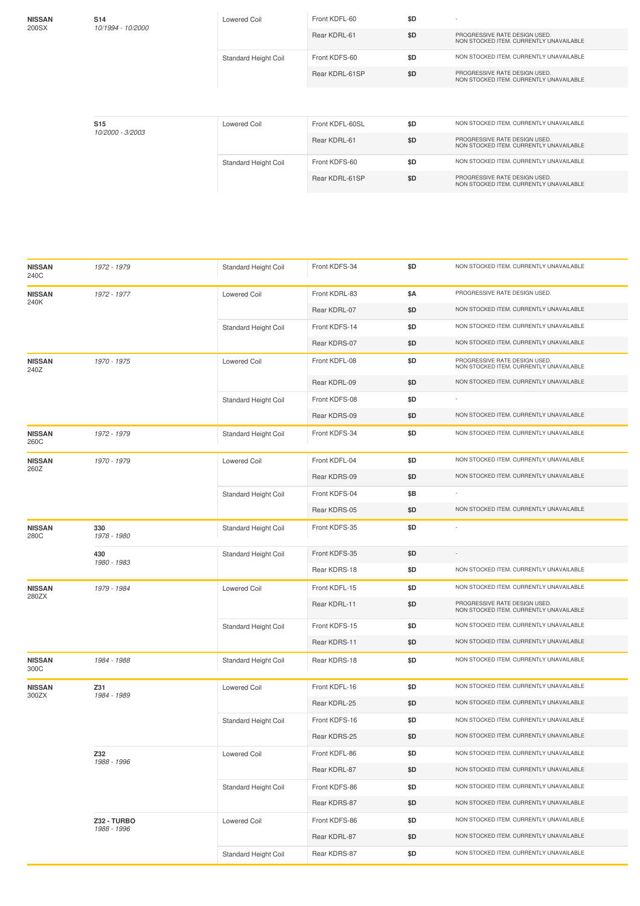| <b>NISSAN</b><br>200SX | S <sub>14</sub><br>10/1994 - 10/2000 | Lowered Coil         | Front KDFL-60   | \$D |                                                                          |
|------------------------|--------------------------------------|----------------------|-----------------|-----|--------------------------------------------------------------------------|
|                        |                                      |                      | Rear KDRL-61    | \$D | PROGRESSIVE RATE DESIGN USED.<br>NON STOCKED ITEM, CURRENTLY UNAVAILABLE |
|                        |                                      | Standard Height Coil | Front KDFS-60   | \$D | NON STOCKED ITEM. CURRENTLY UNAVAILABLE                                  |
|                        |                                      |                      | Rear KDRL-61SP  | \$D | PROGRESSIVE RATE DESIGN USED.<br>NON STOCKED ITEM, CURRENTLY UNAVAILABLE |
|                        |                                      |                      |                 |     |                                                                          |
|                        | S <sub>15</sub><br>10/2000 - 3/2003  | Lowered Coil         | Front KDFL-60SL | \$D | NON STOCKED ITEM, CURRENTLY UNAVAILABLE                                  |
|                        |                                      |                      | Rear KDRL-61    | \$D | PROGRESSIVE RATE DESIGN USED.<br>NON STOCKED ITEM, CURRENTLY UNAVAILABLE |
|                        |                                      | Standard Height Coil | Front KDFS-60   | \$D | NON STOCKED ITEM, CURRENTLY UNAVAILABLE                                  |
|                        |                                      |                      | Rear KDRL-61SP  | \$D | PROGRESSIVE RATE DESIGN USED.<br>NON STOCKED ITEM, CURRENTLY UNAVAILABLE |
|                        |                                      |                      |                 |     |                                                                          |

| <b>NISSAN</b><br>240C | 1972 - 1979        | Standard Height Coil | Front KDFS-34 | \$D | NON STOCKED ITEM. CURRENTLY UNAVAILABLE                                  |
|-----------------------|--------------------|----------------------|---------------|-----|--------------------------------------------------------------------------|
| <b>NISSAN</b>         | 1972 - 1977        | <b>Lowered Coil</b>  | Front KDRL-83 | \$Α | PROGRESSIVE RATE DESIGN USED.                                            |
| 240K                  |                    |                      | Rear KDRL-07  | \$D | NON STOCKED ITEM. CURRENTLY UNAVAILABLE                                  |
|                       |                    | Standard Height Coil | Front KDFS-14 | \$D | NON STOCKED ITEM. CURRENTLY UNAVAILABLE                                  |
|                       |                    |                      | Rear KDRS-07  | \$D | NON STOCKED ITEM. CURRENTLY UNAVAILABLE                                  |
| <b>NISSAN</b><br>240Z | 1970 - 1975        | <b>Lowered Coil</b>  | Front KDFL-08 | \$D | PROGRESSIVE RATE DESIGN USED.<br>NON STOCKED ITEM. CURRENTLY UNAVAILABLE |
|                       |                    |                      | Rear KDRL-09  | \$D | NON STOCKED ITEM. CURRENTLY UNAVAILABLE                                  |
|                       |                    | Standard Height Coil | Front KDFS-08 | \$D |                                                                          |
|                       |                    |                      | Rear KDRS-09  | \$D | NON STOCKED ITEM. CURRENTLY UNAVAILABLE                                  |
| <b>NISSAN</b><br>260C | 1972 - 1979        | Standard Height Coil | Front KDFS-34 | \$D | NON STOCKED ITEM. CURRENTLY UNAVAILABLE                                  |
| <b>NISSAN</b><br>260Z | 1970 - 1979        | <b>Lowered Coil</b>  | Front KDFL-04 | \$D | NON STOCKED ITEM. CURRENTLY UNAVAILABLE                                  |
|                       |                    |                      | Rear KDRS-09  | \$D | NON STOCKED ITEM. CURRENTLY UNAVAILABLE                                  |
|                       |                    | Standard Height Coil | Front KDFS-04 | \$Β |                                                                          |
|                       |                    |                      | Rear KDRS-05  | \$D | NON STOCKED ITEM. CURRENTLY UNAVAILABLE                                  |
| <b>NISSAN</b><br>280C | 330<br>1978 - 1980 | Standard Height Coil | Front KDFS-35 | \$D |                                                                          |
|                       | 430                | Standard Height Coil | Front KDFS-35 | \$D |                                                                          |
|                       | 1980 - 1983        |                      | Rear KDRS-18  | \$D | NON STOCKED ITEM. CURRENTLY UNAVAILABLE                                  |
| <b>NISSAN</b>         | 1979 - 1984        | <b>Lowered Coil</b>  | Front KDFL-15 | \$D | NON STOCKED ITEM. CURRENTLY UNAVAILABLE                                  |
| 280ZX                 |                    |                      | Rear KDRL-11  | \$D | PROGRESSIVE RATE DESIGN USED.<br>NON STOCKED ITEM. CURRENTLY UNAVAILABLE |
|                       |                    | Standard Height Coil | Front KDFS-15 | \$D | NON STOCKED ITEM. CURRENTLY UNAVAILABLE                                  |
|                       |                    |                      | Rear KDRS-11  | \$D | NON STOCKED ITEM. CURRENTLY UNAVAILABLE                                  |
| <b>NISSAN</b><br>300C | 1984 - 1988        | Standard Height Coil | Rear KDRS-18  | \$D | NON STOCKED ITEM. CURRENTLY UNAVAILABLE                                  |
| <b>NISSAN</b>         | Z31<br>1984 - 1989 | <b>Lowered Coil</b>  | Front KDFL-16 | \$D | NON STOCKED ITEM. CURRENTLY UNAVAILABLE                                  |
| 300ZX                 |                    |                      | Rear KDRL-25  | \$D | NON STOCKED ITEM. CURRENTLY UNAVAILABLE                                  |
|                       |                    | Standard Height Coil | Front KDFS-16 | \$D | NON STOCKED ITEM. CURRENTLY UNAVAILABLE                                  |
|                       |                    |                      | Rear KDRS-25  | \$D | NON STOCKED ITEM. CURRENTLY UNAVAILABLE                                  |
|                       | Z32                | Lowered Coil         | Front KDFL-86 | \$D | NON STOCKED ITEM. CURRENTLY UNAVAILABLE                                  |
|                       | 1988 - 1996        |                      | Rear KDRL-87  | \$D | NON STOCKED ITEM. CURRENTLY UNAVAILABLE                                  |
|                       |                    | Standard Height Coil | Front KDFS-86 | \$D | NON STOCKED ITEM. CURRENTLY UNAVAILABLE                                  |
|                       |                    |                      | Rear KDRS-87  | \$D | NON STOCKED ITEM. CURRENTLY UNAVAILABLE                                  |
|                       | Z32 - TURBO        | Lowered Coil         | Front KDFS-86 | \$D | NON STOCKED ITEM. CURRENTLY UNAVAILABLE                                  |
|                       | 1988 - 1996        |                      | Rear KDRL-87  | \$D | NON STOCKED ITEM. CURRENTLY UNAVAILABLE                                  |
|                       |                    | Standard Height Coil | Rear KDRS-87  | \$D | NON STOCKED ITEM. CURRENTLY UNAVAILABLE                                  |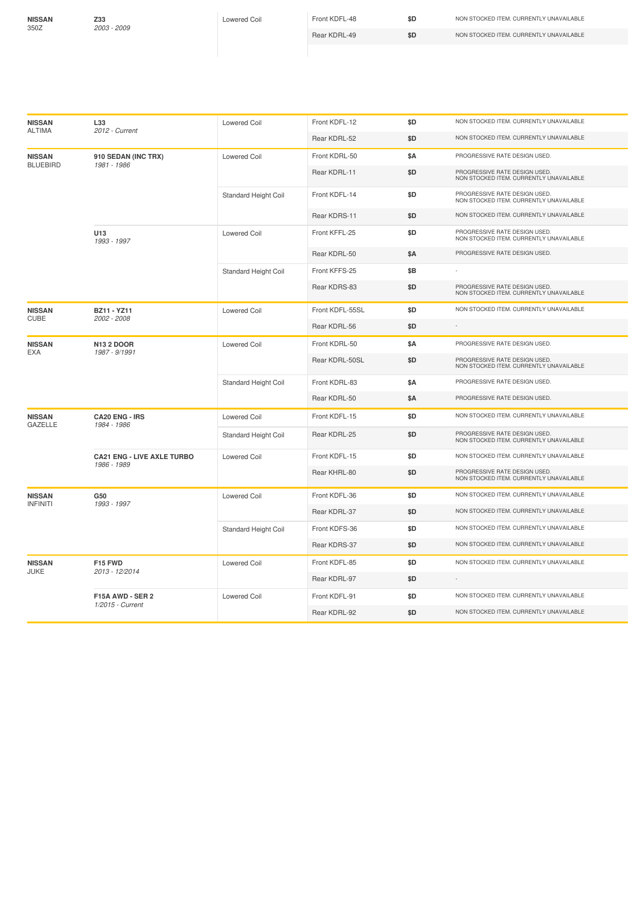**NISSAN** 350Z

**Z33** *2003 -2009*

Lowered Coil Front KDFL-48 **\$D** NON STOCKED ITEM. CURRENTLY UNAVAILABLE Rear KDRL-49 **\$D** NON STOCKED ITEM. CURRENTLY UNAVAILABLE

| <b>NISSAN</b><br><b>ALTIMA</b>   | L33<br>2012 - Current                            | Lowered Coil                | Front KDFL-12   | \$D        | NON STOCKED ITEM. CURRENTLY UNAVAILABLE                                  |
|----------------------------------|--------------------------------------------------|-----------------------------|-----------------|------------|--------------------------------------------------------------------------|
|                                  |                                                  |                             | Rear KDRL-52    | \$D        | NON STOCKED ITEM. CURRENTLY UNAVAILABLE                                  |
| <b>NISSAN</b><br><b>BLUEBIRD</b> | 910 SEDAN (INC TRX)<br>1981 - 1986               | <b>Lowered Coil</b>         | Front KDRL-50   | <b>\$A</b> | PROGRESSIVE RATE DESIGN USED.                                            |
|                                  |                                                  |                             | Rear KDRL-11    | \$D        | PROGRESSIVE RATE DESIGN USED.<br>NON STOCKED ITEM. CURRENTLY UNAVAILABLE |
|                                  |                                                  | Standard Height Coil        | Front KDFL-14   | \$D        | PROGRESSIVE RATE DESIGN USED.<br>NON STOCKED ITEM. CURRENTLY UNAVAILABLE |
|                                  |                                                  |                             | Rear KDRS-11    | \$D        | NON STOCKED ITEM. CURRENTLY UNAVAILABLE                                  |
|                                  | U13<br>1993 - 1997                               | <b>Lowered Coil</b>         | Front KFFL-25   | \$D        | PROGRESSIVE RATE DESIGN USED.<br>NON STOCKED ITEM. CURRENTLY UNAVAILABLE |
|                                  |                                                  |                             | Rear KDRL-50    | \$Α        | PROGRESSIVE RATE DESIGN USED.                                            |
|                                  |                                                  | Standard Height Coil        | Front KFFS-25   | \$Β        |                                                                          |
|                                  |                                                  |                             | Rear KDRS-83    | \$D        | PROGRESSIVE RATE DESIGN USED.<br>NON STOCKED ITEM. CURRENTLY UNAVAILABLE |
| <b>NISSAN</b><br><b>CUBE</b>     | <b>BZ11 - YZ11</b><br>2002 - 2008                | <b>Lowered Coil</b>         | Front KDFL-55SL | \$D        | NON STOCKED ITEM. CURRENTLY UNAVAILABLE                                  |
|                                  |                                                  |                             | Rear KDRL-56    | \$D        |                                                                          |
| <b>NISSAN</b><br>EXA             | <b>N13 2 DOOR</b><br>1987 - 9/1991               | <b>Lowered Coil</b>         | Front KDRL-50   | \$Α        | PROGRESSIVE RATE DESIGN USED.                                            |
|                                  |                                                  |                             | Rear KDRL-50SL  | \$D        | PROGRESSIVE RATE DESIGN USED.<br>NON STOCKED ITEM. CURRENTLY UNAVAILABLE |
|                                  |                                                  | <b>Standard Height Coil</b> | Front KDRL-83   | \$Α        | PROGRESSIVE RATE DESIGN USED.                                            |
|                                  |                                                  |                             | Rear KDRL-50    | \$Α        | PROGRESSIVE RATE DESIGN USED.                                            |
| <b>NISSAN</b><br><b>GAZELLE</b>  | <b>CA20 ENG - IRS</b><br>1984 - 1986             | <b>Lowered Coil</b>         | Front KDFL-15   | \$D        | NON STOCKED ITEM. CURRENTLY UNAVAILABLE                                  |
|                                  |                                                  | Standard Height Coil        | Rear KDRL-25    | \$D        | PROGRESSIVE RATE DESIGN USED.<br>NON STOCKED ITEM. CURRENTLY UNAVAILABLE |
|                                  | <b>CA21 ENG - LIVE AXLE TURBO</b><br>1986 - 1989 | <b>Lowered Coil</b>         | Front KDFL-15   | \$D        | NON STOCKED ITEM. CURRENTLY UNAVAILABLE                                  |
|                                  |                                                  |                             | Rear KHRL-80    | \$D        | PROGRESSIVE RATE DESIGN USED.<br>NON STOCKED ITEM. CURRENTLY UNAVAILABLE |
| <b>NISSAN</b><br><b>INFINITI</b> | G50<br>1993 - 1997                               | <b>Lowered Coil</b>         | Front KDFL-36   | \$D        | NON STOCKED ITEM. CURRENTLY UNAVAILABLE                                  |
|                                  |                                                  |                             | Rear KDRL-37    | \$D        | NON STOCKED ITEM. CURRENTLY UNAVAILABLE                                  |
|                                  |                                                  | <b>Standard Height Coil</b> | Front KDFS-36   | \$D        | NON STOCKED ITEM. CURRENTLY UNAVAILABLE                                  |
|                                  |                                                  |                             | Rear KDRS-37    | \$D        | NON STOCKED ITEM. CURRENTLY UNAVAILABLE                                  |
| <b>NISSAN</b><br>JUKE            | F15 FWD<br>2013 - 12/2014                        | <b>Lowered Coil</b>         | Front KDFL-85   | \$D        | NON STOCKED ITEM. CURRENTLY UNAVAILABLE                                  |
|                                  |                                                  |                             | Rear KDRL-97    | \$D        |                                                                          |
|                                  | F15A AWD - SER 2                                 | <b>Lowered Coil</b>         | Front KDFL-91   | \$D        | NON STOCKED ITEM. CURRENTLY UNAVAILABLE                                  |
|                                  | 1/2015 - Current                                 |                             | Rear KDRL-92    | \$D        | NON STOCKED ITEM. CURRENTLY UNAVAILABLE                                  |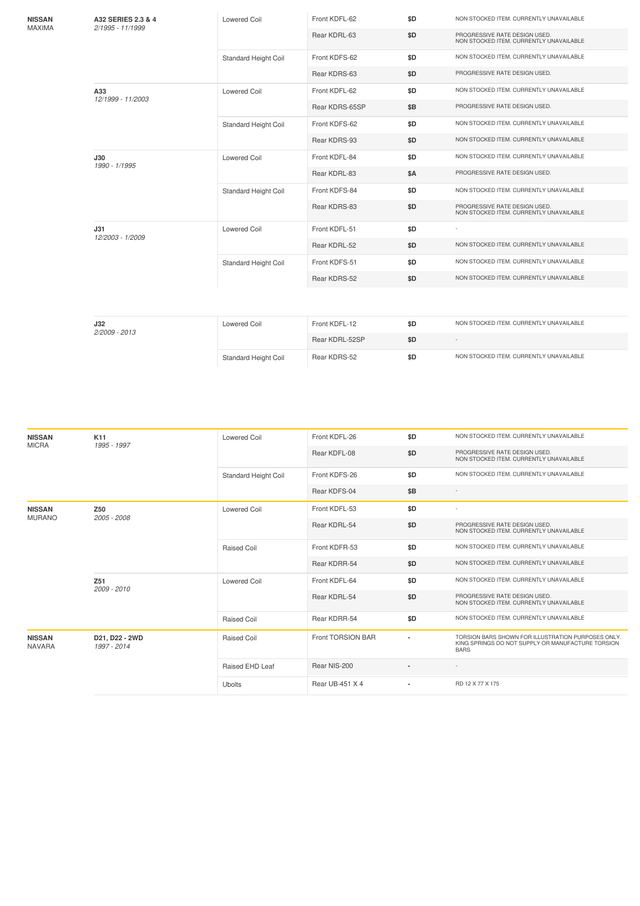| <b>NISSAN</b><br>MAXIMA | A32 SERIES 2.3 & 4<br>2/1995 - 11/1999 | Lowered Coil         | Front KDFL-62  | \$D        | NON STOCKED ITEM. CURRENTLY UNAVAILABLE                                  |
|-------------------------|----------------------------------------|----------------------|----------------|------------|--------------------------------------------------------------------------|
|                         |                                        |                      | Rear KDRL-63   | \$D        | PROGRESSIVE RATE DESIGN USED.<br>NON STOCKED ITEM. CURRENTLY UNAVAILABLE |
|                         |                                        | Standard Height Coil | Front KDFS-62  | \$D        | NON STOCKED ITEM. CURRENTLY UNAVAILABLE                                  |
|                         |                                        |                      | Rear KDRS-63   | \$D        | PROGRESSIVE RATE DESIGN USED.                                            |
|                         | A33<br>12/1999 - 11/2003               | <b>Lowered Coil</b>  | Front KDFL-62  | \$D        | NON STOCKED ITEM. CURRENTLY UNAVAILABLE                                  |
|                         |                                        |                      | Rear KDRS-65SP | \$B        | PROGRESSIVE RATE DESIGN USED.                                            |
|                         |                                        | Standard Height Coil | Front KDFS-62  | \$D        | NON STOCKED ITEM. CURRENTLY UNAVAILABLE                                  |
|                         |                                        |                      | Rear KDRS-93   | \$D        | NON STOCKED ITEM. CURRENTLY UNAVAILABLE                                  |
|                         | J30<br>1990 - 1/1995                   | Lowered Coil         | Front KDFL-84  | \$D        | NON STOCKED ITEM. CURRENTLY UNAVAILABLE                                  |
|                         |                                        |                      | Rear KDRL-83   | <b>\$A</b> | PROGRESSIVE RATE DESIGN USED.                                            |
|                         |                                        | Standard Height Coil | Front KDFS-84  | \$D        | NON STOCKED ITEM. CURRENTLY UNAVAILABLE                                  |
|                         |                                        |                      | Rear KDRS-83   | \$D        | PROGRESSIVE RATE DESIGN USED.<br>NON STOCKED ITEM. CURRENTLY UNAVAILABLE |
|                         | J31<br>12/2003 - 1/2009                | <b>Lowered Coil</b>  | Front KDFL-51  | \$D        |                                                                          |
|                         |                                        |                      | Rear KDRL-52   | \$D        | NON STOCKED ITEM. CURRENTLY UNAVAILABLE                                  |
|                         |                                        | Standard Height Coil | Front KDFS-51  | \$D        | NON STOCKED ITEM. CURRENTLY UNAVAILABLE                                  |
|                         |                                        |                      | Rear KDRS-52   | \$D        | NON STOCKED ITEM. CURRENTLY UNAVAILABLE                                  |
|                         |                                        |                      |                |            |                                                                          |
|                         | J32                                    | <b>Lowered Coil</b>  | Front KDFL-12  | \$D        | NON STOCKED ITEM. CURRENTLY UNAVAILABLE                                  |
|                         | 2/2009 - 2013                          |                      | Rear KDRL-52SP | \$D        | $\sim$                                                                   |
|                         |                                        | Standard Height Coil | Rear KDRS-52   | \$D        | NON STOCKED ITEM. CURRENTLY UNAVAILABLE                                  |
|                         |                                        |                      |                |            |                                                                          |

| <b>NISSAN</b><br><b>MICRA</b>  | K11<br>1995 - 1997             | Lowered Coil         | Front KDFL-26     | \$D                      | NON STOCKED ITEM. CURRENTLY UNAVAILABLE                                                                                |
|--------------------------------|--------------------------------|----------------------|-------------------|--------------------------|------------------------------------------------------------------------------------------------------------------------|
|                                |                                |                      | Rear KDFL-08      | \$D                      | PROGRESSIVE RATE DESIGN USED.<br>NON STOCKED ITEM. CURRENTLY UNAVAILABLE                                               |
|                                |                                | Standard Height Coil | Front KDFS-26     | \$D                      | NON STOCKED ITEM. CURRENTLY UNAVAILABLE                                                                                |
|                                |                                |                      | Rear KDFS-04      | \$B                      |                                                                                                                        |
| <b>NISSAN</b><br><b>MURANO</b> | Z50<br>2005 - 2008             | <b>Lowered Coil</b>  | Front KDFL-53     | \$D                      | ×,                                                                                                                     |
|                                |                                |                      | Rear KDRL-54      | \$D                      | PROGRESSIVE RATE DESIGN USED.<br>NON STOCKED ITEM. CURRENTLY UNAVAILABLE                                               |
|                                |                                | <b>Raised Coil</b>   | Front KDFR-53     | \$D                      | NON STOCKED ITEM. CURRENTLY UNAVAILABLE                                                                                |
|                                |                                |                      | Rear KDRR-54      | \$D                      | NON STOCKED ITEM. CURRENTLY UNAVAILABLE                                                                                |
|                                | Z <sub>51</sub><br>2009 - 2010 | Lowered Coil         | Front KDFL-64     | \$D                      | NON STOCKED ITEM. CURRENTLY UNAVAILABLE                                                                                |
|                                |                                |                      | Rear KDRL-54      | \$D                      | PROGRESSIVE RATE DESIGN USED.<br>NON STOCKED ITEM. CURRENTLY UNAVAILABLE                                               |
|                                |                                | <b>Raised Coil</b>   | Rear KDRR-54      | \$D                      | NON STOCKED ITEM. CURRENTLY UNAVAILABLE                                                                                |
| <b>NISSAN</b><br><b>NAVARA</b> | D21, D22 - 2WD<br>1997 - 2014  | <b>Raised Coil</b>   | Front TORSION BAR |                          | TORSION BARS SHOWN FOR ILLUSTRATION PURPOSES ONLY.<br>KING SPRINGS DO NOT SUPPLY OR MANUFACTURE TORSION<br><b>BARS</b> |
|                                |                                | Raised EHD Leaf      | Rear NIS-200      |                          |                                                                                                                        |
|                                |                                | <b>Ubolts</b>        | Rear UB-451 X 4   | $\overline{\phantom{a}}$ | RD 12 X 77 X 175                                                                                                       |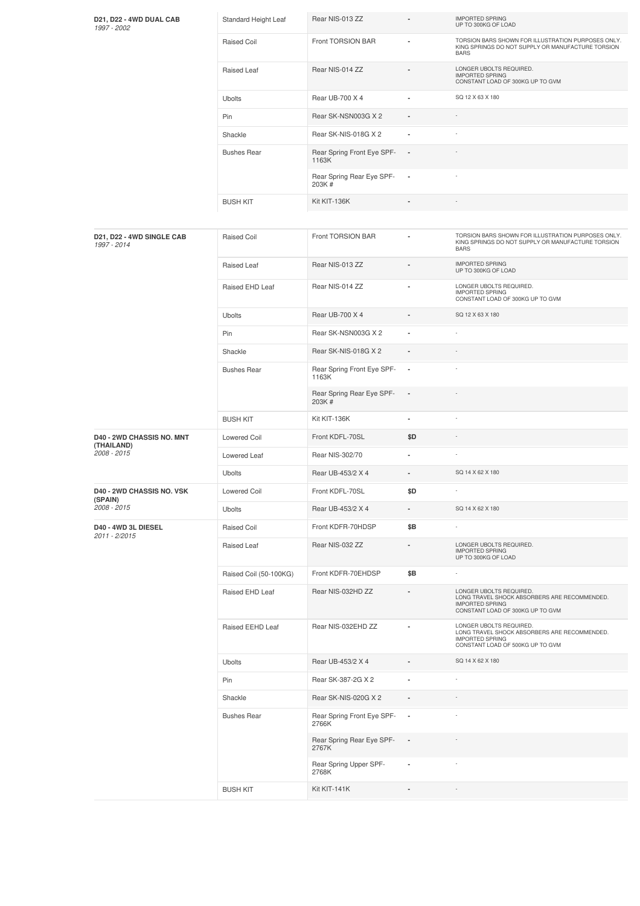| D21, D22 - 4WD DUAL CAB<br>1997 - 2002         | Standard Height Leaf   | Rear NIS-013 ZZ                     |                          | <b>IMPORTED SPRING</b><br>UP TO 300KG OF LOAD                                                                                         |
|------------------------------------------------|------------------------|-------------------------------------|--------------------------|---------------------------------------------------------------------------------------------------------------------------------------|
|                                                | Raised Coil            | Front TORSION BAR                   |                          | TORSION BARS SHOWN FOR ILLUSTRATION PURPOSES ONLY.<br>KING SPRINGS DO NOT SUPPLY OR MANUFACTURE TORSION<br><b>BARS</b>                |
|                                                | Raised Leaf            | Rear NIS-014 ZZ                     |                          | LONGER UBOLTS REQUIRED.<br><b>IMPORTED SPRING</b><br>CONSTANT LOAD OF 300KG UP TO GVM                                                 |
|                                                | <b>Ubolts</b>          | Rear UB-700 X 4                     | $\blacksquare$           | SQ 12 X 63 X 180                                                                                                                      |
|                                                | Pin                    | Rear SK-NSN003G X 2                 |                          |                                                                                                                                       |
|                                                | Shackle                | Rear SK-NIS-018G X 2                | ä,                       |                                                                                                                                       |
|                                                | <b>Bushes Rear</b>     | Rear Spring Front Eye SPF-<br>1163K | $\blacksquare$           |                                                                                                                                       |
|                                                |                        | Rear Spring Rear Eye SPF-<br>203K#  | $\overline{\phantom{a}}$ |                                                                                                                                       |
|                                                | <b>BUSH KIT</b>        | Kit KIT-136K                        |                          |                                                                                                                                       |
|                                                |                        |                                     |                          |                                                                                                                                       |
| D21, D22 - 4WD SINGLE CAB<br>1997 - 2014       | Raised Coil            | Front TORSION BAR                   |                          | TORSION BARS SHOWN FOR ILLUSTRATION PURPOSES ONLY.<br>KING SPRINGS DO NOT SUPPLY OR MANUFACTURE TORSION<br><b>BARS</b>                |
|                                                | Raised Leaf            | Rear NIS-013 ZZ                     |                          | <b>IMPORTED SPRING</b><br>UP TO 300KG OF LOAD                                                                                         |
|                                                | Raised EHD Leaf        | Rear NIS-014 ZZ                     |                          | LONGER UBOLTS REQUIRED.<br><b>IMPORTED SPRING</b><br>CONSTANT LOAD OF 300KG UP TO GVM                                                 |
|                                                | Ubolts                 | Rear UB-700 X 4                     |                          | SQ 12 X 63 X 180                                                                                                                      |
|                                                | Pin                    | Rear SK-NSN003G X 2                 | ٠                        |                                                                                                                                       |
|                                                | Shackle                | Rear SK-NIS-018G X 2                |                          |                                                                                                                                       |
|                                                | <b>Bushes Rear</b>     | Rear Spring Front Eye SPF-<br>1163K | $\overline{\phantom{a}}$ |                                                                                                                                       |
|                                                |                        | Rear Spring Rear Eye SPF-<br>203K#  | $\overline{\phantom{a}}$ |                                                                                                                                       |
|                                                | <b>BUSH KIT</b>        | Kit KIT-136K                        | ä,                       |                                                                                                                                       |
| <b>D40 - 2WD CHASSIS NO. MNT</b><br>(THAILAND) | <b>Lowered Coil</b>    | Front KDFL-70SL                     | \$D                      |                                                                                                                                       |
| 2008 - 2015                                    | Lowered Leaf           | Rear NIS-302/70                     | ٠                        |                                                                                                                                       |
|                                                | <b>Ubolts</b>          | Rear UB-453/2 X 4                   |                          | SQ 14 X 62 X 180                                                                                                                      |
| <b>D40 - 2WD CHASSIS NO. VSK</b><br>(SPAIN)    | <b>Lowered Coil</b>    | Front KDFL-70SL                     | \$D                      |                                                                                                                                       |
| 2008 - 2015                                    | <b>Ubolts</b>          | Rear UB-453/2 X 4                   |                          | SQ 14 X 62 X 180                                                                                                                      |
| D40 - 4WD 3L DIESEL<br>2011 - 2/2015           | Raised Coil            | Front KDFR-70HDSP                   | \$Β                      |                                                                                                                                       |
|                                                | Raised Leaf            | Rear NIS-032 ZZ                     |                          | LONGER UBOLTS REQUIRED.<br><b>IMPORTED SPRING</b><br>UP TO 300KG OF LOAD                                                              |
|                                                | Raised Coil (50-100KG) | Front KDFR-70EHDSP                  | \$Β                      |                                                                                                                                       |
|                                                | Raised EHD Leaf        | Rear NIS-032HD ZZ                   |                          | LONGER UBOLTS REQUIRED.<br>LONG TRAVEL SHOCK ABSORBERS ARE RECOMMENDED.<br><b>IMPORTED SPRING</b><br>CONSTANT LOAD OF 300KG UP TO GVM |
|                                                | Raised EEHD Leaf       | Rear NIS-032EHD ZZ                  | ä,                       | LONGER UBOLTS REQUIRED.<br>LONG TRAVEL SHOCK ABSORBERS ARE RECOMMENDED.<br><b>IMPORTED SPRING</b><br>CONSTANT LOAD OF 500KG UP TO GVM |
|                                                | <b>Ubolts</b>          | Rear UB-453/2 X 4                   |                          | SQ 14 X 62 X 180                                                                                                                      |
|                                                | Pin                    | Rear SK-387-2G X 2                  |                          |                                                                                                                                       |
|                                                | Shackle                | Rear SK-NIS-020G X 2                | $\blacksquare$           |                                                                                                                                       |
|                                                | <b>Bushes Rear</b>     | Rear Spring Front Eye SPF-<br>2766K | $\overline{\phantom{a}}$ |                                                                                                                                       |
|                                                |                        | Rear Spring Rear Eye SPF-<br>2767K  | $\overline{\phantom{a}}$ |                                                                                                                                       |
|                                                |                        | Rear Spring Upper SPF-<br>2768K     |                          |                                                                                                                                       |
|                                                | <b>BUSH KIT</b>        | Kit KIT-141K                        |                          |                                                                                                                                       |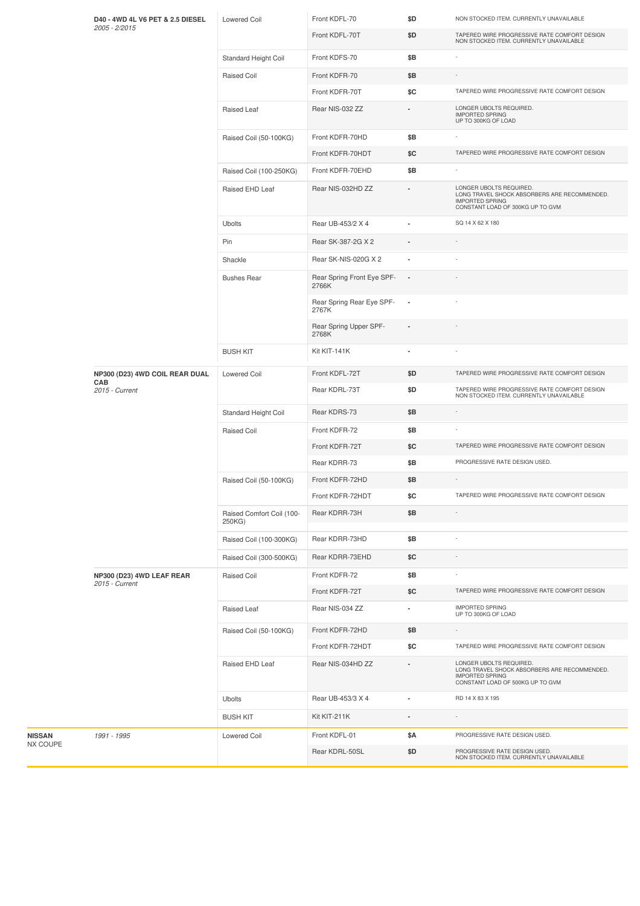|          | D40 - 4WD 4L V6 PET & 2.5 DIESEL<br>2005 - 2/2015       | <b>Lowered Coil</b>                 | Front KDFL-70                       | \$D                      | NON STOCKED ITEM. CURRENTLY UNAVAILABLE                                                                                               |
|----------|---------------------------------------------------------|-------------------------------------|-------------------------------------|--------------------------|---------------------------------------------------------------------------------------------------------------------------------------|
|          |                                                         |                                     | Front KDFL-70T                      | \$D                      | TAPERED WIRE PROGRESSIVE RATE COMFORT DESIGN<br>NON STOCKED ITEM. CURRENTLY UNAVAILABLE                                               |
|          |                                                         | Standard Height Coil                | Front KDFS-70                       | \$B                      |                                                                                                                                       |
|          |                                                         | Raised Coil                         | Front KDFR-70                       | \$Β                      |                                                                                                                                       |
|          |                                                         |                                     | Front KDFR-70T                      | \$C                      | TAPERED WIRE PROGRESSIVE RATE COMFORT DESIGN                                                                                          |
|          |                                                         | Raised Leaf                         | Rear NIS-032 ZZ                     |                          | LONGER UBOLTS REQUIRED.<br><b>IMPORTED SPRING</b><br>UP TO 300KG OF LOAD                                                              |
|          |                                                         | Raised Coil (50-100KG)              | Front KDFR-70HD                     | \$B                      |                                                                                                                                       |
|          |                                                         |                                     | Front KDFR-70HDT                    | \$C                      | TAPERED WIRE PROGRESSIVE RATE COMFORT DESIGN                                                                                          |
|          |                                                         | Raised Coil (100-250KG)             | Front KDFR-70EHD                    | \$B                      |                                                                                                                                       |
|          |                                                         | Raised EHD Leaf                     | Rear NIS-032HD ZZ                   |                          | LONGER UBOLTS REQUIRED.<br>LONG TRAVEL SHOCK ABSORBERS ARE RECOMMENDED.<br><b>IMPORTED SPRING</b><br>CONSTANT LOAD OF 300KG UP TO GVM |
|          |                                                         | Ubolts                              | Rear UB-453/2 X 4                   |                          | SQ 14 X 62 X 180                                                                                                                      |
|          |                                                         | Pin                                 | Rear SK-387-2G X 2                  |                          |                                                                                                                                       |
|          |                                                         | Shackle                             | Rear SK-NIS-020G X 2                | $\blacksquare$           |                                                                                                                                       |
|          |                                                         | <b>Bushes Rear</b>                  | Rear Spring Front Eye SPF-<br>2766K |                          |                                                                                                                                       |
|          |                                                         |                                     | Rear Spring Rear Eye SPF-<br>2767K  | $\overline{\phantom{a}}$ |                                                                                                                                       |
|          |                                                         |                                     | Rear Spring Upper SPF-<br>2768K     |                          |                                                                                                                                       |
|          |                                                         | <b>BUSH KIT</b>                     | Kit KIT-141K                        |                          |                                                                                                                                       |
|          | NP300 (D23) 4WD COIL REAR DUAL<br>CAB<br>2015 - Current | <b>Lowered Coil</b>                 | Front KDFL-72T                      | \$D                      | TAPERED WIRE PROGRESSIVE RATE COMFORT DESIGN                                                                                          |
|          |                                                         |                                     | Rear KDRL-73T                       | \$D                      | TAPERED WIRE PROGRESSIVE RATE COMFORT DESIGN<br>NON STOCKED ITEM. CURRENTLY UNAVAILABLE                                               |
|          |                                                         | Standard Height Coil                | Rear KDRS-73                        | \$B                      |                                                                                                                                       |
|          |                                                         | Raised Coil                         | Front KDFR-72                       | \$B                      |                                                                                                                                       |
|          |                                                         |                                     | Front KDFR-72T                      | \$C                      | TAPERED WIRE PROGRESSIVE RATE COMFORT DESIGN                                                                                          |
|          |                                                         |                                     | Rear KDRR-73                        | \$B                      | PROGRESSIVE RATE DESIGN USED.                                                                                                         |
|          |                                                         | Raised Coil (50-100KG)              | Front KDFR-72HD                     | \$B                      |                                                                                                                                       |
|          |                                                         |                                     | Front KDFR-72HDT                    | \$C                      | TAPERED WIRE PROGRESSIVE RATE COMFORT DESIGN                                                                                          |
|          |                                                         | Raised Comfort Coil (100-<br>250KG) | Rear KDRR-73H                       | \$Β                      |                                                                                                                                       |
|          |                                                         | Raised Coil (100-300KG)             | Rear KDRR-73HD                      | \$Β                      |                                                                                                                                       |
|          |                                                         | Raised Coil (300-500KG)             | Rear KDRR-73EHD                     | \$C                      |                                                                                                                                       |
|          | NP300 (D23) 4WD LEAF REAR<br>2015 - Current             | Raised Coil                         | Front KDFR-72                       | \$B                      |                                                                                                                                       |
|          |                                                         |                                     | Front KDFR-72T                      | \$C                      | TAPERED WIRE PROGRESSIVE RATE COMFORT DESIGN                                                                                          |
|          |                                                         | Raised Leaf                         | Rear NIS-034 ZZ                     | $\blacksquare$           | <b>IMPORTED SPRING</b><br>UP TO 300KG OF LOAD                                                                                         |
|          |                                                         | Raised Coil (50-100KG)              | Front KDFR-72HD                     | \$Β                      |                                                                                                                                       |
|          |                                                         |                                     | Front KDFR-72HDT                    | \$C                      | TAPERED WIRE PROGRESSIVE RATE COMFORT DESIGN                                                                                          |
|          |                                                         | Raised EHD Leaf                     | Rear NIS-034HD ZZ                   | $\blacksquare$           | LONGER UBOLTS REQUIRED.<br>LONG TRAVEL SHOCK ABSORBERS ARE RECOMMENDED.<br><b>IMPORTED SPRING</b><br>CONSTANT LOAD OF 500KG UP TO GVM |
|          |                                                         | Ubolts                              | Rear UB-453/3 X 4                   | $\blacksquare$           | RD 14 X 83 X 195                                                                                                                      |
|          |                                                         | <b>BUSH KIT</b>                     | Kit KIT-211K                        |                          |                                                                                                                                       |
| NISSAN   | 1991 - 1995                                             | <b>Lowered Coil</b>                 | Front KDFL-01                       | \$Α                      | PROGRESSIVE RATE DESIGN USED.                                                                                                         |
| NX COUPE |                                                         |                                     | Rear KDRL-50SL                      | \$D                      | PROGRESSIVE RATE DESIGN USED.<br>NON STOCKED ITEM. CURRENTLY UNAVAILABLE                                                              |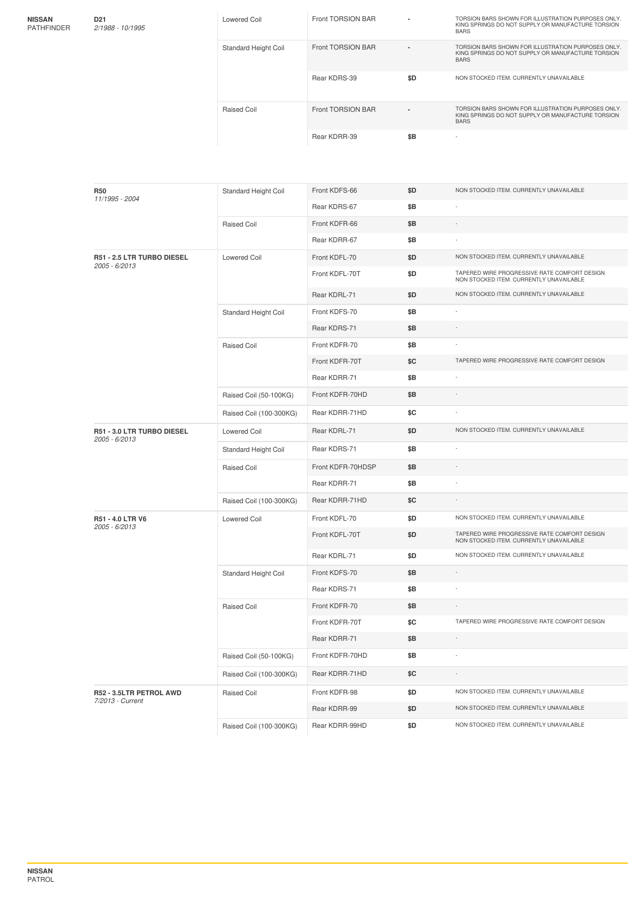| <b>NISSAN</b>     |  |
|-------------------|--|
| <b>PATHFINDER</b> |  |

| D21<br>2/1988 - 10/1995 | Lowered Coil         | Front TORSION BAR |     | TORSION BARS SHOWN FOR ILLUSTRATION PURPOSES ONLY.<br>KING SPRINGS DO NOT SUPPLY OR MANUFACTURE TORSION<br><b>BARS</b> |
|-------------------------|----------------------|-------------------|-----|------------------------------------------------------------------------------------------------------------------------|
|                         | Standard Height Coil | Front TORSION BAR |     | TORSION BARS SHOWN FOR ILLUSTRATION PURPOSES ONLY.<br>KING SPRINGS DO NOT SUPPLY OR MANUFACTURE TORSION<br><b>BARS</b> |
|                         |                      | Rear KDRS-39      | \$D | NON STOCKED ITEM. CURRENTLY UNAVAILABLE                                                                                |
|                         | Raised Coil          | Front TORSION BAR |     | TORSION BARS SHOWN FOR ILLUSTRATION PURPOSES ONLY.<br>KING SPRINGS DO NOT SUPPLY OR MANUFACTURE TORSION<br><b>BARS</b> |
|                         |                      | Rear KDRR-39      | \$B | $\overline{\phantom{a}}$                                                                                               |
|                         |                      |                   |     |                                                                                                                        |

| <b>R50</b><br>11/1995 - 2004                | Standard Height Coil    | Front KDFS-66     | \$D | NON STOCKED ITEM. CURRENTLY UNAVAILABLE                                                 |
|---------------------------------------------|-------------------------|-------------------|-----|-----------------------------------------------------------------------------------------|
|                                             |                         | Rear KDRS-67      | \$B |                                                                                         |
|                                             | <b>Raised Coil</b>      | Front KDFR-66     | \$B |                                                                                         |
|                                             |                         | Rear KDRR-67      | \$B |                                                                                         |
| R51 - 2.5 LTR TURBO DIESEL<br>2005 - 6/2013 | <b>Lowered Coil</b>     | Front KDFL-70     | \$D | NON STOCKED ITEM. CURRENTLY UNAVAILABLE                                                 |
|                                             |                         | Front KDFL-70T    | \$D | TAPERED WIRE PROGRESSIVE RATE COMFORT DESIGN<br>NON STOCKED ITEM. CURRENTLY UNAVAILABLE |
|                                             |                         | Rear KDRL-71      | \$D | NON STOCKED ITEM. CURRENTLY UNAVAILABLE                                                 |
|                                             | Standard Height Coil    | Front KDFS-70     | \$Β |                                                                                         |
|                                             |                         | Rear KDRS-71      | \$B |                                                                                         |
|                                             | <b>Raised Coil</b>      | Front KDFR-70     | \$B |                                                                                         |
|                                             |                         | Front KDFR-70T    | \$C | TAPERED WIRE PROGRESSIVE RATE COMFORT DESIGN                                            |
|                                             |                         | Rear KDRR-71      | \$Β |                                                                                         |
|                                             | Raised Coil (50-100KG)  | Front KDFR-70HD   | \$Β |                                                                                         |
|                                             | Raised Coil (100-300KG) | Rear KDRR-71HD    | \$C |                                                                                         |
| R51 - 3.0 LTR TURBO DIESEL<br>2005 - 6/2013 | <b>Lowered Coil</b>     | Rear KDRL-71      | \$D | NON STOCKED ITEM. CURRENTLY UNAVAILABLE                                                 |
|                                             | Standard Height Coil    | Rear KDRS-71      | \$Β |                                                                                         |
|                                             | <b>Raised Coil</b>      | Front KDFR-70HDSP | \$Β |                                                                                         |
|                                             |                         | Rear KDRR-71      | \$Β |                                                                                         |
|                                             | Raised Coil (100-300KG) | Rear KDRR-71HD    | \$C |                                                                                         |
| R51 - 4.0 LTR V6<br>2005 - 6/2013           | <b>Lowered Coil</b>     | Front KDFL-70     | \$D | NON STOCKED ITEM. CURRENTLY UNAVAILABLE                                                 |
|                                             |                         | Front KDFL-70T    | \$D | TAPERED WIRE PROGRESSIVE RATE COMFORT DESIGN<br>NON STOCKED ITEM. CURRENTLY UNAVAILABLE |
|                                             |                         | Rear KDRL-71      | \$D | NON STOCKED ITEM. CURRENTLY UNAVAILABLE                                                 |
|                                             | Standard Height Coil    | Front KDFS-70     | \$Β |                                                                                         |
|                                             |                         | Rear KDRS-71      | \$Β |                                                                                         |
|                                             | Raised Coil             | Front KDFR-70     | \$Β |                                                                                         |
|                                             |                         | Front KDFR-70T    | \$C | TAPERED WIRE PROGRESSIVE RATE COMFORT DESIGN                                            |
|                                             |                         | Rear KDRR-71      | \$Β |                                                                                         |
|                                             | Raised Coil (50-100KG)  | Front KDFR-70HD   | \$B |                                                                                         |
|                                             | Raised Coil (100-300KG) | Rear KDRR-71HD    | \$C |                                                                                         |
| R52 - 3.5LTR PETROL AWD<br>7/2013 - Current | <b>Raised Coil</b>      | Front KDFR-98     | \$D | NON STOCKED ITEM. CURRENTLY UNAVAILABLE                                                 |
|                                             |                         | Rear KDRR-99      | \$D | NON STOCKED ITEM. CURRENTLY UNAVAILABLE                                                 |
|                                             | Raised Coil (100-300KG) | Rear KDRR-99HD    | \$D | NON STOCKED ITEM. CURRENTLY UNAVAILABLE                                                 |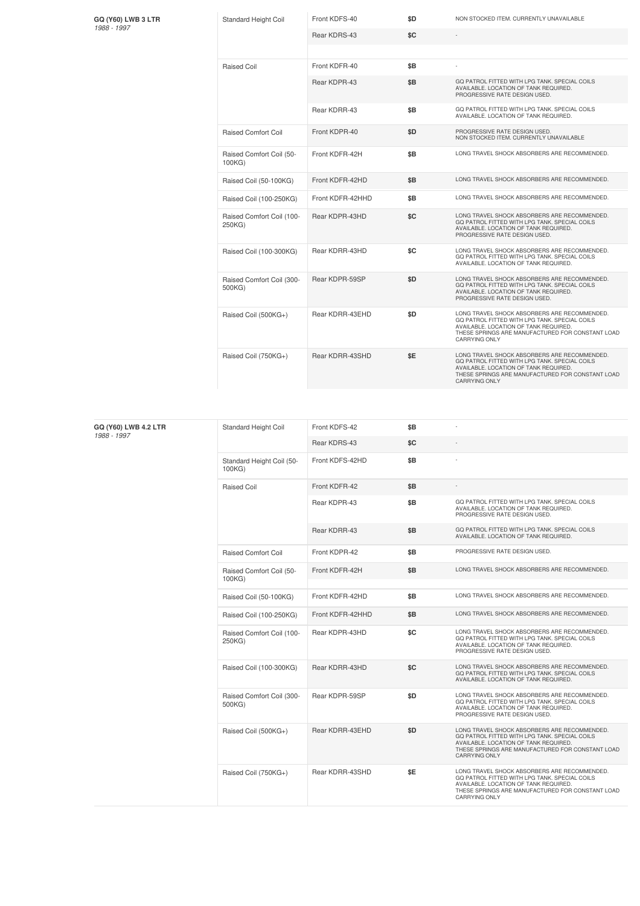| <b>GQ (Y60) LWB 3 LTR</b> |
|---------------------------|
| 1988 - 1997               |
|                           |

| GQ (Y60) LWB 3 LTR<br>1988 - 1997 | <b>Standard Height Coil</b>         | Front KDFS-40    | \$D | NON STOCKED ITEM. CURRENTLY UNAVAILABLE                                                                                                                                                                            |
|-----------------------------------|-------------------------------------|------------------|-----|--------------------------------------------------------------------------------------------------------------------------------------------------------------------------------------------------------------------|
|                                   |                                     | Rear KDRS-43     | \$C |                                                                                                                                                                                                                    |
|                                   |                                     |                  |     |                                                                                                                                                                                                                    |
|                                   | <b>Raised Coil</b>                  | Front KDFR-40    | \$B |                                                                                                                                                                                                                    |
|                                   |                                     | Rear KDPR-43     | \$B | GO PATROL FITTED WITH LPG TANK, SPECIAL COILS<br>AVAILABLE. LOCATION OF TANK REQUIRED.<br>PROGRESSIVE RATE DESIGN USED.                                                                                            |
|                                   |                                     | Rear KDRR-43     | \$B | GQ PATROL FITTED WITH LPG TANK. SPECIAL COILS<br>AVAILABLE, LOCATION OF TANK REQUIRED.                                                                                                                             |
|                                   | <b>Raised Comfort Coil</b>          | Front KDPR-40    | \$D | PROGRESSIVE RATE DESIGN USED.<br>NON STOCKED ITEM. CURRENTLY UNAVAILABLE                                                                                                                                           |
|                                   | Raised Comfort Coil (50-<br>100KG)  | Front KDFR-42H   | \$B | LONG TRAVEL SHOCK ABSORBERS ARE RECOMMENDED.                                                                                                                                                                       |
|                                   | Raised Coil (50-100KG)              | Front KDFR-42HD  | \$B | LONG TRAVEL SHOCK ABSORBERS ARE RECOMMENDED.                                                                                                                                                                       |
|                                   | Raised Coil (100-250KG)             | Front KDFR-42HHD | \$B | LONG TRAVEL SHOCK ABSORBERS ARE RECOMMENDED.                                                                                                                                                                       |
|                                   | Raised Comfort Coil (100-<br>250KG) | Rear KDPR-43HD   | \$C | LONG TRAVEL SHOCK ABSORBERS ARE RECOMMENDED.<br>GQ PATROL FITTED WITH LPG TANK. SPECIAL COILS<br>AVAILABLE. LOCATION OF TANK REQUIRED.<br>PROGRESSIVE RATE DESIGN USED.                                            |
|                                   | Raised Coil (100-300KG)             | Rear KDRR-43HD   | \$C | LONG TRAVEL SHOCK ABSORBERS ARE RECOMMENDED.<br>GQ PATROL FITTED WITH LPG TANK. SPECIAL COILS<br>AVAILABLE. LOCATION OF TANK REQUIRED.                                                                             |
|                                   | Raised Comfort Coil (300-<br>500KG) | Rear KDPR-59SP   | \$D | LONG TRAVEL SHOCK ABSORBERS ARE RECOMMENDED.<br>GQ PATROL FITTED WITH LPG TANK. SPECIAL COILS<br>AVAILABLE. LOCATION OF TANK REQUIRED.<br>PROGRESSIVE RATE DESIGN USED.                                            |
|                                   | Raised Coil (500KG+)                | Rear KDRR-43EHD  | \$D | LONG TRAVEL SHOCK ABSORBERS ARE RECOMMENDED.<br>GQ PATROL FITTED WITH LPG TANK. SPECIAL COILS<br>AVAILABLE. LOCATION OF TANK REQUIRED.<br>THESE SPRINGS ARE MANUFACTURED FOR CONSTANT LOAD<br><b>CARRYING ONLY</b> |
|                                   | Raised Coil (750KG+)                | Rear KDRR-43SHD  | \$E | LONG TRAVEL SHOCK ABSORBERS ARE RECOMMENDED.<br>GQ PATROL FITTED WITH LPG TANK. SPECIAL COILS<br>AVAILABLE, LOCATION OF TANK REQUIRED<br>THESE SPRINGS ARE MANUFACTURED FOR CONSTANT LOAD<br><b>CARRYING ONLY</b>  |

| GQ (Y60) LWB 4.2 LTR<br>1988 - 1997 | Standard Height Coil                | Front KDFS-42    | \$B |                                                                                                                                                                                                                    |
|-------------------------------------|-------------------------------------|------------------|-----|--------------------------------------------------------------------------------------------------------------------------------------------------------------------------------------------------------------------|
|                                     |                                     | Rear KDRS-43     | \$C |                                                                                                                                                                                                                    |
|                                     | Standard Height Coil (50-<br>100KG) | Front KDFS-42HD  | \$B |                                                                                                                                                                                                                    |
|                                     | Raised Coil                         | Front KDFR-42    | \$B |                                                                                                                                                                                                                    |
|                                     |                                     | Rear KDPR-43     | \$B | GQ PATROL FITTED WITH LPG TANK. SPECIAL COILS<br>AVAILABLE. LOCATION OF TANK REQUIRED.<br>PROGRESSIVE RATE DESIGN USED.                                                                                            |
|                                     |                                     | Rear KDRR-43     | \$B | GQ PATROL FITTED WITH LPG TANK. SPECIAL COILS<br>AVAILABLE. LOCATION OF TANK REQUIRED.                                                                                                                             |
|                                     | <b>Raised Comfort Coil</b>          | Front KDPR-42    | \$B | PROGRESSIVE RATE DESIGN USED.                                                                                                                                                                                      |
|                                     | Raised Comfort Coil (50-<br>100KG)  | Front KDFR-42H   | \$B | LONG TRAVEL SHOCK ABSORBERS ARE RECOMMENDED.                                                                                                                                                                       |
|                                     | Raised Coil (50-100KG)              | Front KDFR-42HD  | \$B | LONG TRAVEL SHOCK ABSORBERS ARE RECOMMENDED.                                                                                                                                                                       |
|                                     | Raised Coil (100-250KG)             | Front KDFR-42HHD | \$B | LONG TRAVEL SHOCK ABSORBERS ARE RECOMMENDED.                                                                                                                                                                       |
|                                     | Raised Comfort Coil (100-<br>250KG) | Rear KDPR-43HD   | \$C | LONG TRAVEL SHOCK ABSORBERS ARE RECOMMENDED.<br>GQ PATROL FITTED WITH LPG TANK. SPECIAL COILS<br>AVAILABLE. LOCATION OF TANK REQUIRED.<br>PROGRESSIVE RATE DESIGN USED.                                            |
|                                     | Raised Coil (100-300KG)             | Rear KDRR-43HD   | \$C | LONG TRAVEL SHOCK ABSORBERS ARE RECOMMENDED.<br>GQ PATROL FITTED WITH LPG TANK. SPECIAL COILS<br>AVAILABLE. LOCATION OF TANK REQUIRED.                                                                             |
|                                     | Raised Comfort Coil (300-<br>500KG) | Rear KDPR-59SP   | \$D | LONG TRAVEL SHOCK ABSORBERS ARE RECOMMENDED.<br>GQ PATROL FITTED WITH LPG TANK. SPECIAL COILS<br>AVAILABLE. LOCATION OF TANK REQUIRED.<br>PROGRESSIVE RATE DESIGN USED.                                            |
|                                     | Raised Coil (500KG+)                | Rear KDRR-43EHD  | \$D | LONG TRAVEL SHOCK ABSORBERS ARE RECOMMENDED.<br>GQ PATROL FITTED WITH LPG TANK. SPECIAL COILS<br>AVAILABLE. LOCATION OF TANK REQUIRED.<br>THESE SPRINGS ARE MANUFACTURED FOR CONSTANT LOAD<br><b>CARRYING ONLY</b> |
|                                     | Raised Coil (750KG+)                | Rear KDRR-43SHD  | \$E | LONG TRAVEL SHOCK ABSORBERS ARE RECOMMENDED.<br>GQ PATROL FITTED WITH LPG TANK. SPECIAL COILS<br>AVAILABLE. LOCATION OF TANK REQUIRED.<br>THESE SPRINGS ARE MANUFACTURED FOR CONSTANT LOAD<br><b>CARRYING ONLY</b> |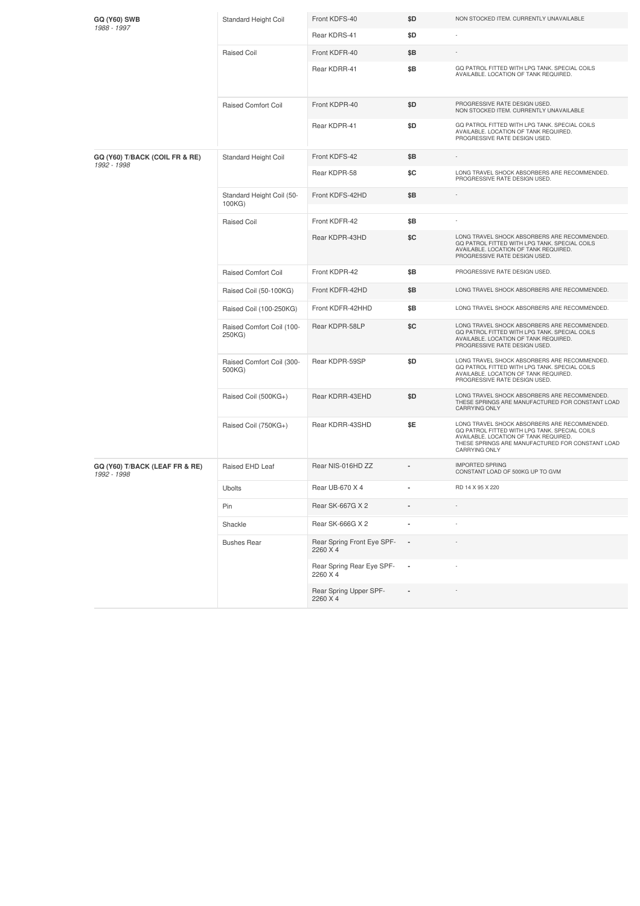| <b>GQ (Y60) SWB</b>                           | Standard Height Coil                | Front KDFS-40                          | \$D | NON STOCKED ITEM. CURRENTLY UNAVAILABLE                                                                                                                                                                            |
|-----------------------------------------------|-------------------------------------|----------------------------------------|-----|--------------------------------------------------------------------------------------------------------------------------------------------------------------------------------------------------------------------|
| 1988 - 1997                                   |                                     | Rear KDRS-41                           | \$D |                                                                                                                                                                                                                    |
|                                               | <b>Raised Coil</b>                  | Front KDFR-40                          | \$Β |                                                                                                                                                                                                                    |
|                                               |                                     | Rear KDRR-41                           | \$Β | GQ PATROL FITTED WITH LPG TANK. SPECIAL COILS<br>AVAILABLE. LOCATION OF TANK REQUIRED.                                                                                                                             |
|                                               | <b>Raised Comfort Coil</b>          | Front KDPR-40                          | \$D | PROGRESSIVE RATE DESIGN USED.<br>NON STOCKED ITEM. CURRENTLY UNAVAILABLE                                                                                                                                           |
|                                               |                                     | Rear KDPR-41                           | \$D | GQ PATROL FITTED WITH LPG TANK. SPECIAL COILS<br>AVAILABLE. LOCATION OF TANK REQUIRED.<br>PROGRESSIVE RATE DESIGN USED.                                                                                            |
| GQ (Y60) T/BACK (COIL FR & RE)<br>1992 - 1998 | Standard Height Coil                | Front KDFS-42                          | \$Β |                                                                                                                                                                                                                    |
|                                               |                                     | Rear KDPR-58                           | \$C | LONG TRAVEL SHOCK ABSORBERS ARE RECOMMENDED.<br>PROGRESSIVE RATE DESIGN USED.                                                                                                                                      |
|                                               | Standard Height Coil (50-<br>100KG) | Front KDFS-42HD                        | \$Β |                                                                                                                                                                                                                    |
|                                               | <b>Raised Coil</b>                  | Front KDFR-42                          | \$Β |                                                                                                                                                                                                                    |
|                                               |                                     | Rear KDPR-43HD                         | \$C | LONG TRAVEL SHOCK ABSORBERS ARE RECOMMENDED.<br>GQ PATROL FITTED WITH LPG TANK. SPECIAL COILS<br>AVAILABLE. LOCATION OF TANK REQUIRED.<br>PROGRESSIVE RATE DESIGN USED.                                            |
|                                               | <b>Raised Comfort Coil</b>          | Front KDPR-42                          | \$Β | PROGRESSIVE RATE DESIGN USED.                                                                                                                                                                                      |
|                                               | Raised Coil (50-100KG)              | Front KDFR-42HD                        | \$Β | LONG TRAVEL SHOCK ABSORBERS ARE RECOMMENDED.                                                                                                                                                                       |
|                                               | Raised Coil (100-250KG)             | Front KDFR-42HHD                       | \$Β | LONG TRAVEL SHOCK ABSORBERS ARE RECOMMENDED.                                                                                                                                                                       |
|                                               | Raised Comfort Coil (100-<br>250KG) | Rear KDPR-58LP                         | \$C | LONG TRAVEL SHOCK ABSORBERS ARE RECOMMENDED.<br>GQ PATROL FITTED WITH LPG TANK. SPECIAL COILS<br>AVAILABLE. LOCATION OF TANK REQUIRED.<br>PROGRESSIVE RATE DESIGN USED.                                            |
|                                               | Raised Comfort Coil (300-<br>500KG) | Rear KDPR-59SP                         | \$D | LONG TRAVEL SHOCK ABSORBERS ARE RECOMMENDED.<br>GQ PATROL FITTED WITH LPG TANK. SPECIAL COILS<br>AVAILABLE. LOCATION OF TANK REQUIRED.<br>PROGRESSIVE RATE DESIGN USED.                                            |
|                                               | Raised Coil (500KG+)                | Rear KDRR-43EHD                        | \$D | LONG TRAVEL SHOCK ABSORBERS ARE RECOMMENDED.<br>THESE SPRINGS ARE MANUFACTURED FOR CONSTANT LOAD<br>CARRYING ONLY                                                                                                  |
|                                               | Raised Coil (750KG+)                | Rear KDRR-43SHD                        | \$E | LONG TRAVEL SHOCK ABSORBERS ARE RECOMMENDED.<br>GQ PATROL FITTED WITH LPG TANK. SPECIAL COILS<br>AVAILABLE. LOCATION OF TANK REQUIRED.<br>THESE SPRINGS ARE MANUFACTURED FOR CONSTANT LOAD<br><b>CARRYING ONLY</b> |
| GQ (Y60) T/BACK (LEAF FR & RE)<br>1992 - 1998 | Raised EHD Leaf                     | Rear NIS-016HD ZZ                      |     | <b>IMPORTED SPRING</b><br>CONSTANT LOAD OF 500KG UP TO GVM                                                                                                                                                         |
|                                               | <b>Ubolts</b>                       | Rear UB-670 X 4                        |     | RD 14 X 95 X 220                                                                                                                                                                                                   |
|                                               | Pin                                 | Rear SK-667G X 2                       |     |                                                                                                                                                                                                                    |
|                                               | Shackle                             | Rear SK-666G X 2                       |     |                                                                                                                                                                                                                    |
|                                               | <b>Bushes Rear</b>                  | Rear Spring Front Eye SPF-<br>2260 X 4 |     |                                                                                                                                                                                                                    |
|                                               |                                     | Rear Spring Rear Eye SPF-<br>2260 X 4  | ×,  |                                                                                                                                                                                                                    |
|                                               |                                     | Rear Spring Upper SPF-<br>2260 X 4     |     |                                                                                                                                                                                                                    |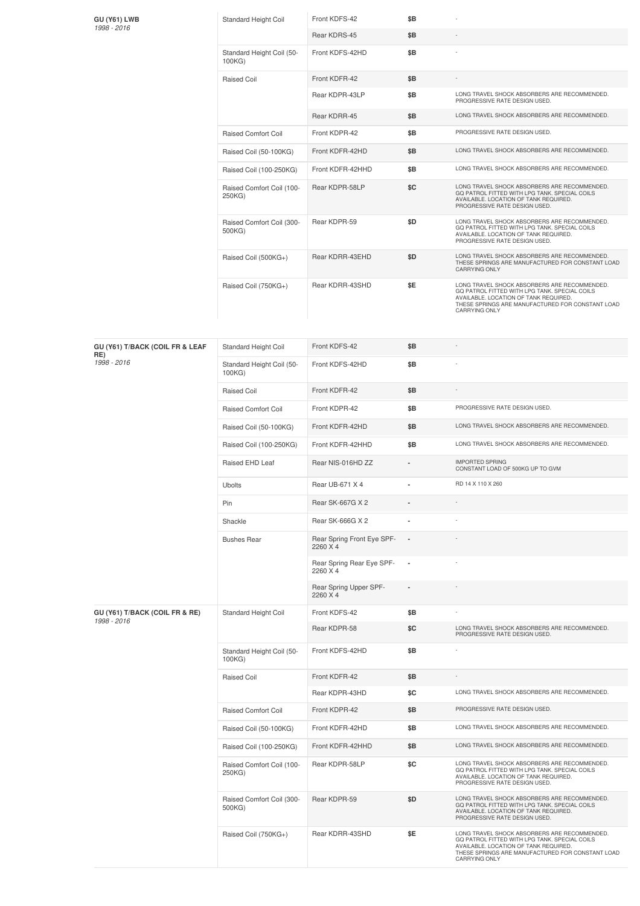| GU (Y61) LWB<br>1998 - 2016 | <b>Standard Height Coil</b>         | Front KDFS-42    | \$B |                                                                                                                                                                                                                    |
|-----------------------------|-------------------------------------|------------------|-----|--------------------------------------------------------------------------------------------------------------------------------------------------------------------------------------------------------------------|
|                             |                                     | Rear KDRS-45     | \$B |                                                                                                                                                                                                                    |
|                             | Standard Height Coil (50-<br>100KG) | Front KDFS-42HD  | \$B |                                                                                                                                                                                                                    |
|                             | <b>Raised Coil</b>                  | Front KDFR-42    | \$B |                                                                                                                                                                                                                    |
|                             |                                     | Rear KDPR-43LP   | \$B | LONG TRAVEL SHOCK ABSORBERS ARE RECOMMENDED.<br>PROGRESSIVE RATE DESIGN USED.                                                                                                                                      |
|                             |                                     | Rear KDRR-45     | \$B | LONG TRAVEL SHOCK ABSORBERS ARE RECOMMENDED.                                                                                                                                                                       |
|                             | <b>Raised Comfort Coil</b>          | Front KDPR-42    | \$B | PROGRESSIVE RATE DESIGN USED.                                                                                                                                                                                      |
|                             | Raised Coil (50-100KG)              | Front KDFR-42HD  | \$B | LONG TRAVEL SHOCK ABSORBERS ARE RECOMMENDED.                                                                                                                                                                       |
|                             | Raised Coil (100-250KG)             | Front KDFR-42HHD | \$B | LONG TRAVEL SHOCK ABSORBERS ARE RECOMMENDED.                                                                                                                                                                       |
|                             | Raised Comfort Coil (100-<br>250KG) | Rear KDPR-58LP   | \$C | LONG TRAVEL SHOCK ABSORBERS ARE RECOMMENDED.<br>GQ PATROL FITTED WITH LPG TANK. SPECIAL COILS<br>AVAILABLE. LOCATION OF TANK REQUIRED.<br>PROGRESSIVE RATE DESIGN USED.                                            |
|                             | Raised Comfort Coil (300-<br>500KG) | Rear KDPR-59     | \$D | LONG TRAVEL SHOCK ABSORBERS ARE RECOMMENDED.<br>GO PATROL FITTED WITH LPG TANK, SPECIAL COILS<br>AVAILABLE. LOCATION OF TANK REQUIRED.<br>PROGRESSIVE RATE DESIGN USED.                                            |
|                             | Raised Coil (500KG+)                | Rear KDRR-43EHD  | \$D | LONG TRAVEL SHOCK ABSORBERS ARE RECOMMENDED.<br>THESE SPRINGS ARE MANUFACTURED FOR CONSTANT LOAD<br><b>CARRYING ONLY</b>                                                                                           |
|                             | Raised Coil (750KG+)                | Rear KDRR-43SHD  | \$E | LONG TRAVEL SHOCK ABSORBERS ARE RECOMMENDED.<br>GQ PATROL FITTED WITH LPG TANK. SPECIAL COILS<br>AVAILABLE, LOCATION OF TANK REQUIRED.<br>THESE SPRINGS ARE MANUFACTURED FOR CONSTANT LOAD<br><b>CARRYING ONLY</b> |

| GU (Y61) T/BACK (COIL FR & LEAF<br>RE)<br>1998 - 2016 | Standard Height Coil                | Front KDFS-42                          | \$Β |                                                                                                                                                                                                             |
|-------------------------------------------------------|-------------------------------------|----------------------------------------|-----|-------------------------------------------------------------------------------------------------------------------------------------------------------------------------------------------------------------|
|                                                       | Standard Height Coil (50-<br>100KG) | Front KDFS-42HD                        | \$B |                                                                                                                                                                                                             |
|                                                       | Raised Coil                         | Front KDFR-42                          | \$B |                                                                                                                                                                                                             |
|                                                       | <b>Raised Comfort Coil</b>          | Front KDPR-42                          | \$B | PROGRESSIVE RATE DESIGN USED.                                                                                                                                                                               |
|                                                       | Raised Coil (50-100KG)              | Front KDFR-42HD                        | \$B | LONG TRAVEL SHOCK ABSORBERS ARE RECOMMENDED.                                                                                                                                                                |
|                                                       | Raised Coil (100-250KG)             | Front KDFR-42HHD                       | \$B | LONG TRAVEL SHOCK ABSORBERS ARE RECOMMENDED.                                                                                                                                                                |
|                                                       | Raised EHD Leaf                     | Rear NIS-016HD ZZ                      |     | <b>IMPORTED SPRING</b><br>CONSTANT LOAD OF 500KG UP TO GVM                                                                                                                                                  |
|                                                       | <b>Ubolts</b>                       | Rear UB-671 X 4                        |     | RD 14 X 110 X 260                                                                                                                                                                                           |
|                                                       | Pin                                 | Rear SK-667G X 2                       |     |                                                                                                                                                                                                             |
|                                                       | Shackle                             | Rear SK-666G X 2                       |     |                                                                                                                                                                                                             |
|                                                       | <b>Bushes Rear</b>                  | Rear Spring Front Eye SPF-<br>2260 X 4 |     |                                                                                                                                                                                                             |
|                                                       |                                     | Rear Spring Rear Eye SPF-<br>2260 X 4  |     |                                                                                                                                                                                                             |
|                                                       |                                     | Rear Spring Upper SPF-<br>2260 X 4     |     |                                                                                                                                                                                                             |
| GU (Y61) T/BACK (COIL FR & RE)<br>1998 - 2016         | Standard Height Coil                | Front KDFS-42                          | \$B |                                                                                                                                                                                                             |
|                                                       |                                     | Rear KDPR-58                           | \$C | LONG TRAVEL SHOCK ABSORBERS ARE RECOMMENDED.<br>PROGRESSIVE RATE DESIGN USED.                                                                                                                               |
|                                                       | Standard Height Coil (50-<br>100KG) | Front KDFS-42HD                        | \$B |                                                                                                                                                                                                             |
|                                                       | Raised Coil                         | Front KDFR-42                          | \$B |                                                                                                                                                                                                             |
|                                                       |                                     | Rear KDPR-43HD                         | \$C | LONG TRAVEL SHOCK ABSORBERS ARE RECOMMENDED.                                                                                                                                                                |
|                                                       | <b>Raised Comfort Coil</b>          | Front KDPR-42                          | \$B | PROGRESSIVE RATE DESIGN USED.                                                                                                                                                                               |
|                                                       | Raised Coil (50-100KG)              | Front KDFR-42HD                        | \$B | LONG TRAVEL SHOCK ABSORBERS ARE RECOMMENDED.                                                                                                                                                                |
|                                                       | Raised Coil (100-250KG)             | Front KDFR-42HHD                       | \$B | LONG TRAVEL SHOCK ABSORBERS ARE RECOMMENDED.                                                                                                                                                                |
|                                                       | Raised Comfort Coil (100-<br>250KG) | Rear KDPR-58LP                         | \$C | LONG TRAVEL SHOCK ABSORBERS ARE RECOMMENDED.<br>GQ PATROL FITTED WITH LPG TANK. SPECIAL COILS<br>AVAILABLE. LOCATION OF TANK REQUIRED.<br>PROGRESSIVE RATE DESIGN USED.                                     |
|                                                       | Raised Comfort Coil (300-<br>500KG) | Rear KDPR-59                           | \$D | LONG TRAVEL SHOCK ABSORBERS ARE RECOMMENDED.<br>GQ PATROL FITTED WITH LPG TANK. SPECIAL COILS<br>AVAILABLE. LOCATION OF TANK REQUIRED.<br>PROGRESSIVE RATE DESIGN USED.                                     |
|                                                       | Raised Coil (750KG+)                | Rear KDRR-43SHD                        | \$E | LONG TRAVEL SHOCK ABSORBERS ARE RECOMMENDED.<br>GQ PATROL FITTED WITH LPG TANK. SPECIAL COILS<br>AVAILABLE. LOCATION OF TANK REQUIRED.<br>THESE SPRINGS ARE MANUFACTURED FOR CONSTANT LOAD<br>CARRYING ONLY |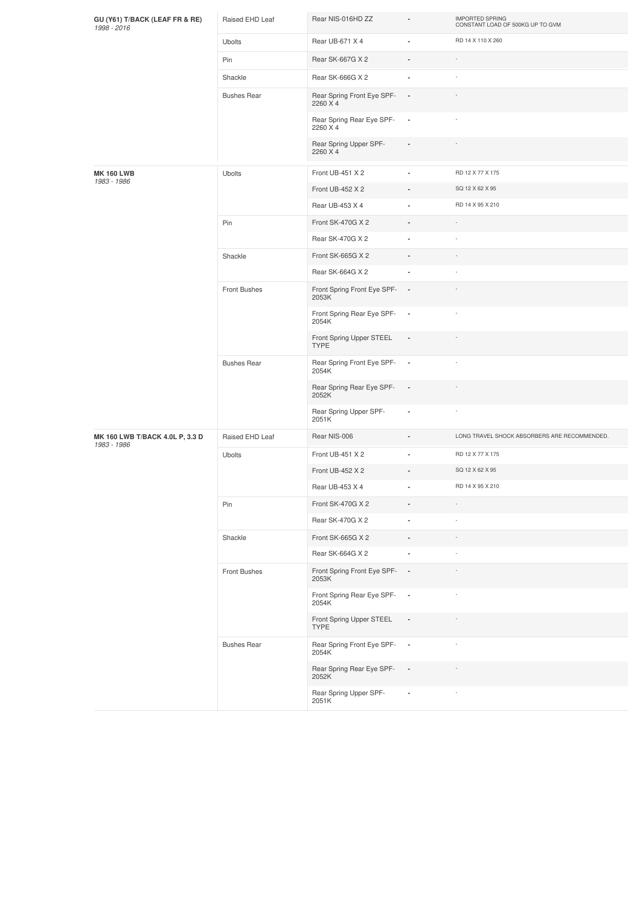| GU (Y61) T/BACK (LEAF FR & RE)<br>1998 - 2016  | Raised EHD Leaf    | Rear NIS-016HD ZZ                       | $\blacksquare$           | <b>IMPORTED SPRING</b><br>CONSTANT LOAD OF 500KG UP TO GVM |
|------------------------------------------------|--------------------|-----------------------------------------|--------------------------|------------------------------------------------------------|
|                                                | <b>Ubolts</b>      | Rear UB-671 X 4                         |                          | RD 14 X 110 X 260                                          |
|                                                | Pin                | Rear SK-667G X 2                        |                          |                                                            |
|                                                | Shackle            | Rear SK-666G X 2                        | $\blacksquare$           |                                                            |
|                                                | <b>Bushes Rear</b> | Rear Spring Front Eye SPF-<br>2260 X 4  | $\blacksquare$           |                                                            |
|                                                |                    | Rear Spring Rear Eye SPF-<br>2260 X 4   | $\overline{\phantom{a}}$ |                                                            |
|                                                |                    | Rear Spring Upper SPF-<br>2260 X 4      |                          |                                                            |
| <b>MK 160 LWB</b>                              | <b>Ubolts</b>      | Front UB-451 X 2                        | $\overline{\phantom{a}}$ | RD 12 X 77 X 175                                           |
| 1983 - 1986                                    |                    | Front UB-452 X 2                        |                          | SQ 12 X 62 X 95                                            |
|                                                |                    | Rear UB-453 X 4                         |                          | RD 14 X 95 X 210                                           |
|                                                | Pin                | Front SK-470G X 2                       | $\blacksquare$           |                                                            |
|                                                |                    | Rear SK-470G X 2                        |                          |                                                            |
|                                                | Shackle            | Front SK-665G X 2                       |                          |                                                            |
|                                                |                    | Rear SK-664G X 2                        | $\overline{\phantom{a}}$ |                                                            |
|                                                | Front Bushes       | Front Spring Front Eye SPF-<br>2053K    | $\sim$                   |                                                            |
|                                                |                    | Front Spring Rear Eye SPF-<br>2054K     | $\sim$                   |                                                            |
|                                                |                    | Front Spring Upper STEEL<br><b>TYPE</b> | $\overline{\phantom{a}}$ |                                                            |
|                                                | <b>Bushes Rear</b> | Rear Spring Front Eye SPF-<br>2054K     | $\overline{\phantom{a}}$ |                                                            |
|                                                |                    | Rear Spring Rear Eye SPF-<br>2052K      | $\overline{\phantom{a}}$ |                                                            |
|                                                |                    | Rear Spring Upper SPF-<br>2051K         |                          |                                                            |
| MK 160 LWB T/BACK 4.0L P, 3.3 D<br>1983 - 1986 | Raised EHD Leaf    | Rear NIS-006                            |                          | LONG TRAVEL SHOCK ABSORBERS ARE RECOMMENDED.               |
|                                                | Ubolts             | Front UB-451 X 2                        |                          | RD 12 X 77 X 175                                           |
|                                                |                    | Front UB-452 X 2                        |                          | SQ 12 X 62 X 95                                            |
|                                                |                    | Rear UB-453 X 4                         |                          | RD 14 X 95 X 210                                           |
|                                                | Pin                | Front SK-470G X 2                       | $\overline{\phantom{a}}$ | $\overline{\phantom{a}}$                                   |
|                                                |                    | Rear SK-470G X 2                        | $\blacksquare$           |                                                            |
|                                                | Shackle            | Front SK-665G X 2                       | $\overline{\phantom{a}}$ |                                                            |
|                                                |                    | Rear SK-664G X 2                        | ä,                       |                                                            |
|                                                | Front Bushes       | Front Spring Front Eye SPF-<br>2053K    | $\blacksquare$           |                                                            |
|                                                |                    | Front Spring Rear Eye SPF-<br>2054K     | $\overline{\phantom{a}}$ |                                                            |
|                                                |                    | Front Spring Upper STEEL<br><b>TYPE</b> | $\overline{\phantom{a}}$ |                                                            |
|                                                | <b>Bushes Rear</b> | Rear Spring Front Eye SPF-<br>2054K     | $\overline{\phantom{a}}$ |                                                            |
|                                                |                    | Rear Spring Rear Eye SPF-<br>2052K      | $\overline{\phantom{a}}$ |                                                            |
|                                                |                    | Rear Spring Upper SPF-<br>2051K         | ×,                       |                                                            |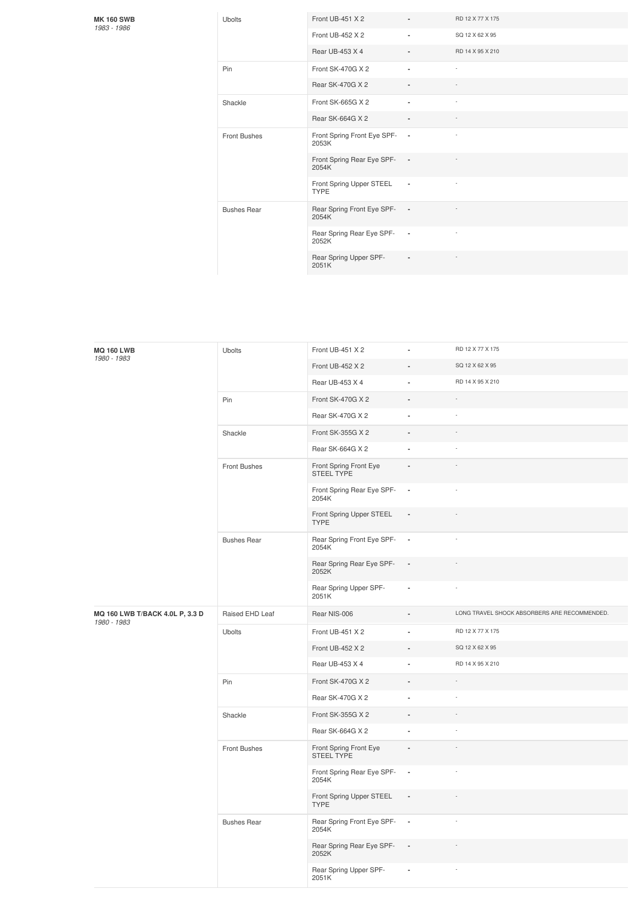## **MK 160 SWB** *1983 -1986*

| <b>Ubolts</b>       | Front UB-451 X 2                        |                | RD 12 X 77 X 175 |
|---------------------|-----------------------------------------|----------------|------------------|
|                     | Front UB-452 X 2                        | ٠              | SQ 12 X 62 X 95  |
|                     | Rear UB-453 X 4                         | ۰              | RD 14 X 95 X 210 |
| Pin                 | Front SK-470G X 2                       | ä,             | ٠                |
|                     | Rear SK-470G X 2                        |                | ٠                |
| Shackle             | Front SK-665G X 2                       | ٠              | ×,               |
|                     | Rear SK-664G X 2                        |                |                  |
| <b>Front Bushes</b> | Front Spring Front Eye SPF-<br>2053K    | $\sim$         |                  |
|                     | Front Spring Rear Eye SPF-<br>2054K     | $\sim$         |                  |
|                     | Front Spring Upper STEEL<br><b>TYPE</b> | $\sim$         |                  |
| <b>Bushes Rear</b>  | Rear Spring Front Eye SPF-<br>2054K     | $\sim$         |                  |
|                     | Rear Spring Rear Eye SPF-<br>2052K      | $\sim$         |                  |
|                     | Rear Spring Upper SPF-<br>2051K         | $\blacksquare$ |                  |

| <b>MQ 160 LWB</b><br>1980 - 1983               | Ubolts              | Front UB-451 X 2                        |                          | RD 12 X 77 X 175                             |
|------------------------------------------------|---------------------|-----------------------------------------|--------------------------|----------------------------------------------|
|                                                |                     | Front UB-452 X 2                        |                          | SQ 12 X 62 X 95                              |
|                                                |                     | Rear UB-453 X 4                         |                          | RD 14 X 95 X 210                             |
|                                                | Pin                 | Front SK-470G X 2                       |                          |                                              |
|                                                |                     | Rear SK-470G X 2                        | ä,                       |                                              |
|                                                | Shackle             | Front SK-355G X 2                       | L.                       |                                              |
|                                                |                     | Rear SK-664G X 2                        |                          |                                              |
|                                                | Front Bushes        | Front Spring Front Eye<br>STEEL TYPE    | ÷,                       |                                              |
|                                                |                     | Front Spring Rear Eye SPF-<br>2054K     | $\overline{\phantom{a}}$ |                                              |
|                                                |                     | Front Spring Upper STEEL<br><b>TYPE</b> | $\blacksquare$           |                                              |
|                                                | <b>Bushes Rear</b>  | Rear Spring Front Eye SPF-<br>2054K     | $\overline{\phantom{a}}$ |                                              |
|                                                |                     | Rear Spring Rear Eye SPF-<br>2052K      | $\overline{\phantom{a}}$ |                                              |
|                                                |                     | Rear Spring Upper SPF-<br>2051K         | ä,                       |                                              |
| MQ 160 LWB T/BACK 4.0L P, 3.3 D<br>1980 - 1983 | Raised EHD Leaf     | Rear NIS-006                            |                          | LONG TRAVEL SHOCK ABSORBERS ARE RECOMMENDED. |
|                                                | Ubolts              | Front UB-451 X 2                        |                          | RD 12 X 77 X 175                             |
|                                                |                     | Front UB-452 X 2                        |                          | SQ 12 X 62 X 95                              |
|                                                |                     | Rear UB-453 X 4                         |                          | RD 14 X 95 X 210                             |
|                                                | Pin                 | Front SK-470G X 2                       |                          |                                              |
|                                                |                     | Rear SK-470G X 2                        | ä,                       |                                              |
|                                                | Shackle             | Front SK-355G X 2                       |                          |                                              |
|                                                |                     | Rear SK-664G X 2                        | ä,                       |                                              |
|                                                | <b>Front Bushes</b> | Front Spring Front Eye<br>STEEL TYPE    |                          |                                              |
|                                                |                     | Front Spring Rear Eye SPF-<br>2054K     | $\overline{\phantom{a}}$ |                                              |
|                                                |                     | Front Spring Upper STEEL<br><b>TYPE</b> | $\blacksquare$           |                                              |
|                                                | <b>Bushes Rear</b>  | Rear Spring Front Eye SPF-<br>2054K     | $\blacksquare$           |                                              |
|                                                |                     | Rear Spring Rear Eye SPF-<br>2052K      | $\blacksquare$           |                                              |
|                                                |                     | Rear Spring Upper SPF-<br>2051K         |                          |                                              |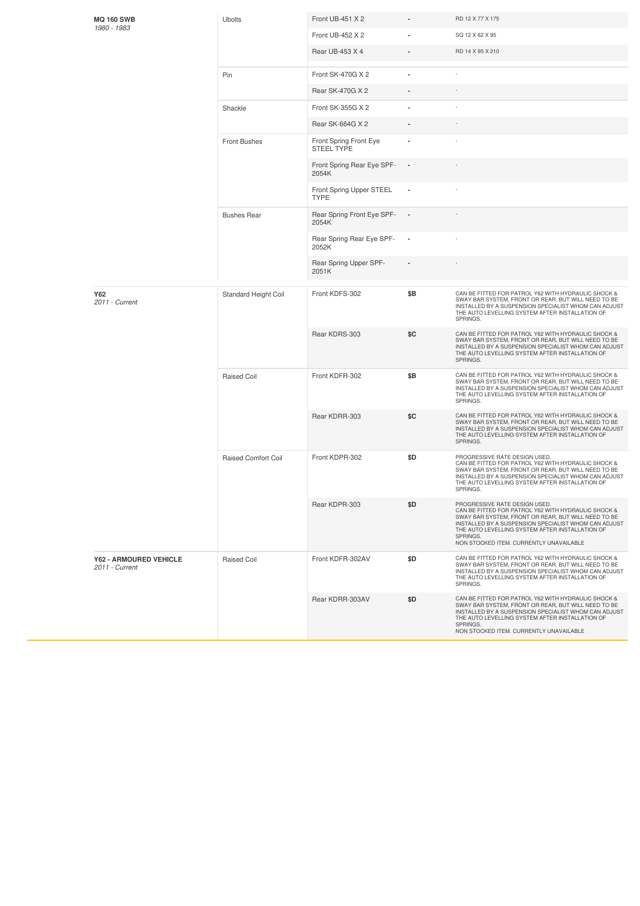| <b>MQ 160 SWB</b>                               | <b>Ubolts</b>              | Front UB-451 X 2                            |     | RD 12 X 77 X 175                                                                                                                                                                                                                                                                                              |
|-------------------------------------------------|----------------------------|---------------------------------------------|-----|---------------------------------------------------------------------------------------------------------------------------------------------------------------------------------------------------------------------------------------------------------------------------------------------------------------|
| 1980 - 1983                                     |                            | Front UB-452 X 2                            |     | SQ 12 X 62 X 95                                                                                                                                                                                                                                                                                               |
|                                                 |                            | Rear UB-453 X 4                             |     | RD 14 X 95 X 210                                                                                                                                                                                                                                                                                              |
|                                                 | Pin                        | Front SK-470G X 2                           |     |                                                                                                                                                                                                                                                                                                               |
|                                                 |                            | Rear SK-470G X 2                            |     |                                                                                                                                                                                                                                                                                                               |
|                                                 | Shackle                    | Front SK-355G X 2                           |     |                                                                                                                                                                                                                                                                                                               |
|                                                 |                            | Rear SK-664G X 2                            |     |                                                                                                                                                                                                                                                                                                               |
|                                                 | Front Bushes               | Front Spring Front Eye<br><b>STEEL TYPE</b> |     |                                                                                                                                                                                                                                                                                                               |
|                                                 |                            | Front Spring Rear Eye SPF-<br>2054K         |     |                                                                                                                                                                                                                                                                                                               |
|                                                 |                            | Front Spring Upper STEEL<br><b>TYPE</b>     |     |                                                                                                                                                                                                                                                                                                               |
|                                                 | <b>Bushes Rear</b>         | Rear Spring Front Eye SPF-<br>2054K         |     |                                                                                                                                                                                                                                                                                                               |
|                                                 |                            | Rear Spring Rear Eye SPF-<br>2052K          | ٠   |                                                                                                                                                                                                                                                                                                               |
|                                                 |                            | Rear Spring Upper SPF-<br>2051K             |     |                                                                                                                                                                                                                                                                                                               |
| Y62<br>2011 - Current                           | Standard Height Coil       | Front KDFS-302                              | \$Β | CAN BE FITTED FOR PATROL Y62 WITH HYDRAULIC SHOCK &<br>SWAY BAR SYSTEM, FRONT OR REAR, BUT WILL NEED TO BE<br>INSTALLED BY A SUSPENSION SPECIALIST WHOM CAN ADJUST<br>THE AUTO LEVELLING SYSTEM AFTER INSTALLATION OF<br>SPRINGS.                                                                             |
|                                                 |                            | Rear KDRS-303                               | \$C | CAN BE FITTED FOR PATROL Y62 WITH HYDRAULIC SHOCK &<br>SWAY BAR SYSTEM, FRONT OR REAR, BUT WILL NEED TO BE<br>INSTALLED BY A SUSPENSION SPECIALIST WHOM CAN ADJUST<br>THE AUTO LEVELLING SYSTEM AFTER INSTALLATION OF<br>SPRINGS.                                                                             |
|                                                 | <b>Raised Coil</b>         | Front KDFR-302                              | \$Β | CAN BE FITTED FOR PATROL Y62 WITH HYDRAULIC SHOCK &<br>SWAY BAR SYSTEM, FRONT OR REAR, BUT WILL NEED TO BE<br>INSTALLED BY A SUSPENSION SPECIALIST WHOM CAN ADJUST<br>THE AUTO LEVELLING SYSTEM AFTER INSTALLATION OF<br>SPRINGS.                                                                             |
|                                                 |                            | Rear KDRR-303                               | \$C | CAN BE FITTED FOR PATROL Y62 WITH HYDRAULIC SHOCK &<br>SWAY BAR SYSTEM, FRONT OR REAR, BUT WILL NEED TO BE<br>INSTALLED BY A SUSPENSION SPECIALIST WHOM CAN ADJUST<br>THE AUTO LEVELLING SYSTEM AFTER INSTALLATION OF<br>SPRINGS.                                                                             |
|                                                 | <b>Raised Comfort Coil</b> | Front KDPR-302                              | \$D | PROGRESSIVE RATE DESIGN USED.<br>CAN BE FITTED FOR PATROL Y62 WITH HYDRAULIC SHOCK &<br>SWAY BAR SYSTEM, FRONT OR REAR, BUT WILL NEED TO BE<br>INSTALLED BY A SUSPENSION SPECIALIST WHOM CAN ADJUST<br>THE AUTO LEVELLING SYSTEM AFTER INSTALLATION OF<br>SPRINGS.                                            |
|                                                 |                            | Rear KDPR-303                               | \$D | PROGRESSIVE RATE DESIGN USED.<br>CAN BE FITTED FOR PATROL Y62 WITH HYDRAULIC SHOCK &<br>SWAY BAR SYSTEM, FRONT OR REAR, BUT WILL NEED TO BE<br>INSTALLED BY A SUSPENSION SPECIALIST WHOM CAN ADJUST<br>THE AUTO LEVELLING SYSTEM AFTER INSTALLATION OF<br>SPRINGS.<br>NON STOCKED ITEM. CURRENTLY UNAVAILABLE |
| <b>Y62 - ARMOURED VEHICLE</b><br>2011 - Current | <b>Raised Coil</b>         | Front KDFR-302AV                            | \$D | CAN BE FITTED FOR PATROL Y62 WITH HYDRAULIC SHOCK &<br>SWAY BAR SYSTEM, FRONT OR REAR, BUT WILL NEED TO BE<br>INSTALLED BY A SUSPENSION SPECIALIST WHOM CAN ADJUST<br>THE AUTO LEVELLING SYSTEM AFTER INSTALLATION OF<br>SPRINGS.                                                                             |
|                                                 |                            | Rear KDRR-303AV                             | \$D | CAN BE FITTED FOR PATROL Y62 WITH HYDRAULIC SHOCK &<br>SWAY BAR SYSTEM, FRONT OR REAR, BUT WILL NEED TO BE<br>INSTALLED BY A SUSPENSION SPECIALIST WHOM CAN ADJUST<br>THE AUTO LEVELLING SYSTEM AFTER INSTALLATION OF<br>SPRINGS.<br>NON STOCKED ITEM. CURRENTLY UNAVAILABLE                                  |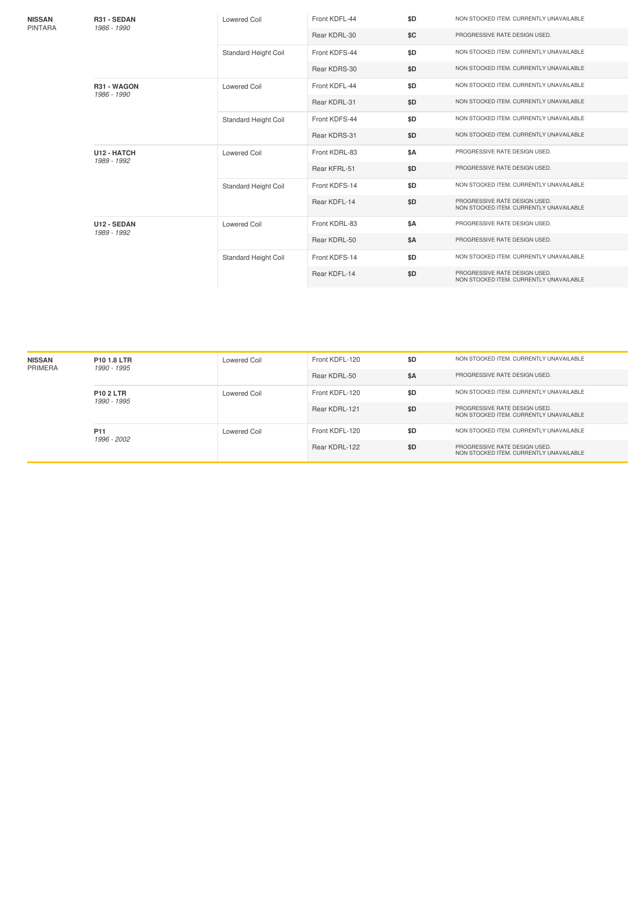| <b>NISSAN</b><br><b>PINTARA</b> | R31 - SEDAN<br>1986 - 1990 | Lowered Coil                | Front KDFL-44 | \$D        | NON STOCKED ITEM. CURRENTLY UNAVAILABLE                                  |
|---------------------------------|----------------------------|-----------------------------|---------------|------------|--------------------------------------------------------------------------|
|                                 |                            |                             | Rear KDRL-30  | \$C        | PROGRESSIVE RATE DESIGN USED.                                            |
|                                 |                            | <b>Standard Height Coil</b> | Front KDFS-44 | \$D        | NON STOCKED ITEM. CURRENTLY UNAVAILABLE                                  |
|                                 |                            |                             | Rear KDRS-30  | \$D        | NON STOCKED ITEM. CURRENTLY UNAVAILABLE                                  |
|                                 | R31 - WAGON<br>1986 - 1990 | <b>Lowered Coil</b>         | Front KDFL-44 | \$D        | NON STOCKED ITEM. CURRENTLY UNAVAILABLE                                  |
|                                 |                            |                             | Rear KDRL-31  | \$D        | NON STOCKED ITEM. CURRENTLY UNAVAILABLE                                  |
|                                 |                            | <b>Standard Height Coil</b> | Front KDFS-44 | \$D        | NON STOCKED ITEM. CURRENTLY UNAVAILABLE                                  |
|                                 |                            |                             | Rear KDRS-31  | \$D        | NON STOCKED ITEM. CURRENTLY UNAVAILABLE                                  |
|                                 | U12 - HATCH<br>1989 - 1992 | <b>Lowered Coil</b>         | Front KDRL-83 | <b>\$A</b> | PROGRESSIVE RATE DESIGN USED.                                            |
|                                 |                            |                             | Rear KFRL-51  | \$D        | PROGRESSIVE RATE DESIGN USED.                                            |
|                                 |                            | Standard Height Coil        | Front KDFS-14 | \$D        | NON STOCKED ITEM. CURRENTLY UNAVAILABLE                                  |
|                                 |                            |                             | Rear KDFL-14  | \$D        | PROGRESSIVE RATE DESIGN USED.<br>NON STOCKED ITEM. CURRENTLY UNAVAILABLE |
|                                 | U12 - SEDAN<br>1989 - 1992 | <b>Lowered Coil</b>         | Front KDRL-83 | \$A        | PROGRESSIVE RATE DESIGN USED.                                            |
|                                 |                            |                             | Rear KDRL-50  | <b>\$A</b> | PROGRESSIVE RATE DESIGN USED.                                            |
|                                 |                            | <b>Standard Height Coil</b> | Front KDFS-14 | \$D        | NON STOCKED ITEM. CURRENTLY UNAVAILABLE                                  |
|                                 |                            |                             | Rear KDFL-14  | \$D        | PROGRESSIVE RATE DESIGN USED.<br>NON STOCKED ITEM. CURRENTLY UNAVAILABLE |

| <b>NISSAN</b><br>PRIMERA | P <sub>10</sub> 1.8 LTR<br>1990 - 1995 | Lowered Coil        | Front KDFL-120 | \$D | NON STOCKED ITEM. CURRENTLY UNAVAILABLE                                  |
|--------------------------|----------------------------------------|---------------------|----------------|-----|--------------------------------------------------------------------------|
|                          |                                        |                     | Rear KDRL-50   | \$A | PROGRESSIVE RATE DESIGN USED.                                            |
|                          | <b>P10 2 LTR</b><br>1990 - 1995        | Lowered Coil        | Front KDFL-120 | \$D | NON STOCKED ITEM, CURRENTLY UNAVAILABLE                                  |
|                          |                                        |                     | Rear KDRL-121  | \$D | PROGRESSIVE RATE DESIGN USED.<br>NON STOCKED ITEM. CURRENTLY UNAVAILABLE |
|                          | P <sub>11</sub><br>1996 - 2002         | <b>Lowered Coil</b> | Front KDFL-120 | \$D | NON STOCKED ITEM. CURRENTLY UNAVAILABLE                                  |
|                          |                                        |                     | Rear KDRL-122  | \$D | PROGRESSIVE RATE DESIGN USED.<br>NON STOCKED ITEM, CURRENTLY UNAVAILABLE |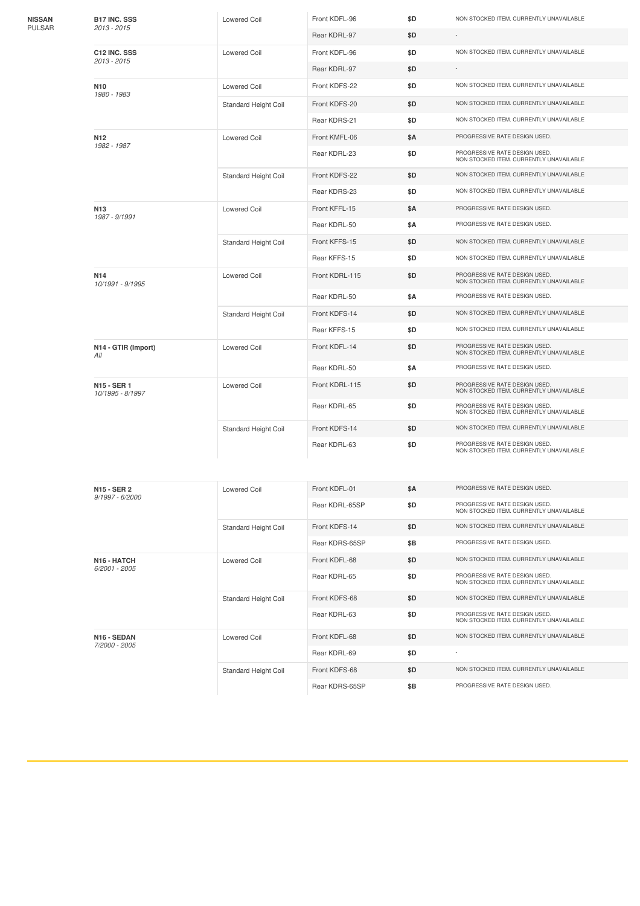| NISSAN<br>PULSAR | <b>B17 INC. SSS</b>                 | Lowered Coil                | Front KDFL-96  | \$D        | NON STOCKED ITEM. CURRENTLY UNAVAILABLE                                  |
|------------------|-------------------------------------|-----------------------------|----------------|------------|--------------------------------------------------------------------------|
|                  | 2013 - 2015                         |                             | Rear KDRL-97   | \$D        |                                                                          |
|                  | C12 INC. SSS<br>2013 - 2015         | Lowered Coil                | Front KDFL-96  | \$D        | NON STOCKED ITEM. CURRENTLY UNAVAILABLE                                  |
|                  |                                     |                             | Rear KDRL-97   | \$D        |                                                                          |
|                  | N <sub>10</sub><br>1980 - 1983      | <b>Lowered Coil</b>         | Front KDFS-22  | \$D        | NON STOCKED ITEM. CURRENTLY UNAVAILABLE                                  |
|                  |                                     | Standard Height Coil        | Front KDFS-20  | \$D        | NON STOCKED ITEM. CURRENTLY UNAVAILABLE                                  |
|                  |                                     |                             | Rear KDRS-21   | \$D        | NON STOCKED ITEM. CURRENTLY UNAVAILABLE                                  |
|                  | N <sub>12</sub><br>1982 - 1987      | <b>Lowered Coil</b>         | Front KMFL-06  | \$Α        | PROGRESSIVE RATE DESIGN USED.                                            |
|                  |                                     |                             | Rear KDRL-23   | \$D        | PROGRESSIVE RATE DESIGN USED.<br>NON STOCKED ITEM, CURRENTLY UNAVAILABLE |
|                  |                                     | Standard Height Coil        | Front KDFS-22  | \$D        | NON STOCKED ITEM. CURRENTLY UNAVAILABLE                                  |
|                  |                                     |                             | Rear KDRS-23   | \$D        | NON STOCKED ITEM. CURRENTLY UNAVAILABLE                                  |
|                  | N <sub>13</sub><br>1987 - 9/1991    | Lowered Coil                | Front KFFL-15  | \$Α        | PROGRESSIVE RATE DESIGN USED.                                            |
|                  |                                     |                             | Rear KDRL-50   | \$Α        | PROGRESSIVE RATE DESIGN USED.                                            |
|                  |                                     | <b>Standard Height Coil</b> | Front KFFS-15  | \$D        | NON STOCKED ITEM. CURRENTLY UNAVAILABLE                                  |
|                  |                                     |                             | Rear KFFS-15   | \$D        | NON STOCKED ITEM. CURRENTLY UNAVAILABLE                                  |
|                  | N <sub>14</sub><br>10/1991 - 9/1995 | <b>Lowered Coil</b>         | Front KDRL-115 | \$D        | PROGRESSIVE RATE DESIGN USED.<br>NON STOCKED ITEM. CURRENTLY UNAVAILABLE |
|                  |                                     |                             | Rear KDRL-50   | \$Α        | PROGRESSIVE RATE DESIGN USED.                                            |
|                  |                                     | <b>Standard Height Coil</b> | Front KDFS-14  | \$D        | NON STOCKED ITEM. CURRENTLY UNAVAILABLE                                  |
|                  |                                     |                             | Rear KFFS-15   | \$D        | NON STOCKED ITEM. CURRENTLY UNAVAILABLE                                  |
|                  | N14 - GTIR (Import)<br>All          | <b>Lowered Coil</b>         | Front KDFL-14  | \$D        | PROGRESSIVE RATE DESIGN USED.<br>NON STOCKED ITEM. CURRENTLY UNAVAILABLE |
|                  |                                     |                             | Rear KDRL-50   | \$Α        | PROGRESSIVE RATE DESIGN USED.                                            |
|                  | N15 - SER 1<br>10/1995 - 8/1997     | <b>Lowered Coil</b>         | Front KDRL-115 | \$D        | PROGRESSIVE RATE DESIGN USED.<br>NON STOCKED ITEM. CURRENTLY UNAVAILABLE |
|                  |                                     |                             | Rear KDRL-65   | \$D        | PROGRESSIVE RATE DESIGN USED.<br>NON STOCKED ITEM. CURRENTLY UNAVAILABLE |
|                  |                                     | Standard Height Coil        | Front KDFS-14  | \$D        | NON STOCKED ITEM. CURRENTLY UNAVAILABLE                                  |
|                  |                                     |                             | Rear KDRL-63   | \$D        | PROGRESSIVE RATE DESIGN USED.<br>NON STOCKED ITEM. CURRENTLY UNAVAILABLE |
|                  | N15 - SER 2                         | <b>Lowered Coil</b>         | Front KDFL-01  | <b>\$A</b> | PROGRESSIVE RATE DESIGN USED.                                            |
|                  | 9/1997 - 6/2000                     |                             | Rear KDRL-65SP | \$D        | PROGRESSIVE RATE DESIGN USED.                                            |
|                  |                                     |                             |                |            | NON STOCKED ITEM. CURRENTLY UNAVAILABLE                                  |
|                  |                                     | Standard Height Coil        | Front KDFS-14  | \$D        | NON STOCKED ITEM. CURRENTLY UNAVAILABLE                                  |
|                  |                                     |                             | Rear KDRS-65SP | \$Β        | PROGRESSIVE RATE DESIGN USED.                                            |
|                  | N16 - HATCH<br>$6/2001 - 2005$      | <b>Lowered Coil</b>         | Front KDFL-68  | \$D        | NON STOCKED ITEM. CURRENTLY UNAVAILABLE                                  |
|                  |                                     |                             | Rear KDRL-65   | \$D        | PROGRESSIVE RATE DESIGN USED.<br>NON STOCKED ITEM. CURRENTLY UNAVAILABLE |
|                  |                                     | Standard Height Coil        | Front KDFS-68  | \$D        | NON STOCKED ITEM. CURRENTLY UNAVAILABLE                                  |
|                  |                                     |                             | Rear KDRL-63   | \$D        | PROGRESSIVE RATE DESIGN USED.<br>NON STOCKED ITEM. CURRENTLY UNAVAILABLE |
|                  | N16 - SEDAN<br>7/2000 - 2005        | <b>Lowered Coil</b>         | Front KDFL-68  | \$D        | NON STOCKED ITEM. CURRENTLY UNAVAILABLE                                  |
|                  |                                     |                             | Rear KDRL-69   | \$D        |                                                                          |
|                  |                                     | Standard Height Coil        | Front KDFS-68  | \$D        | NON STOCKED ITEM. CURRENTLY UNAVAILABLE                                  |
|                  |                                     |                             | Rear KDRS-65SP | \$Β        | PROGRESSIVE RATE DESIGN USED.                                            |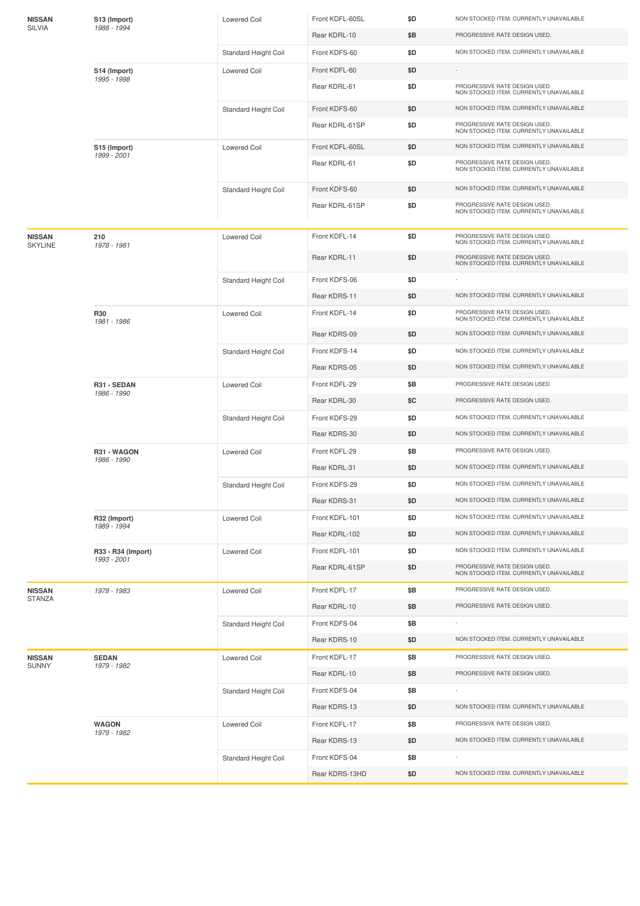| 1988 - 1994<br>SILVIA                                                                                       |                                                                          |
|-------------------------------------------------------------------------------------------------------------|--------------------------------------------------------------------------|
| Rear KDRL-10<br>\$Β                                                                                         | PROGRESSIVE RATE DESIGN USED.                                            |
| Front KDFS-60<br>\$D<br>Standard Height Coil                                                                | NON STOCKED ITEM. CURRENTLY UNAVAILABLE                                  |
| Front KDFL-60<br>\$D<br>S14 (Import)<br>Lowered Coil<br>1995 - 1998                                         |                                                                          |
| Rear KDRL-61<br>\$D                                                                                         | PROGRESSIVE RATE DESIGN USED.<br>NON STOCKED ITEM. CURRENTLY UNAVAILABLE |
| \$D<br>Standard Height Coil<br>Front KDFS-60                                                                | NON STOCKED ITEM. CURRENTLY UNAVAILABLE                                  |
| \$D<br>Rear KDRL-61SP                                                                                       | PROGRESSIVE RATE DESIGN USED.<br>NON STOCKED ITEM. CURRENTLY UNAVAILABLE |
| \$D<br>Front KDFL-60SL<br><b>Lowered Coil</b><br>S15 (Import)<br>1999 - 2001                                | NON STOCKED ITEM. CURRENTLY UNAVAILABLE                                  |
| Rear KDRL-61<br>\$D                                                                                         | PROGRESSIVE RATE DESIGN USED.<br>NON STOCKED ITEM. CURRENTLY UNAVAILABLE |
| Front KDFS-60<br>Standard Height Coil<br>\$D                                                                | NON STOCKED ITEM. CURRENTLY UNAVAILABLE                                  |
| Rear KDRL-61SP<br>\$D                                                                                       | PROGRESSIVE RATE DESIGN USED.<br>NON STOCKED ITEM. CURRENTLY UNAVAILABLE |
| <b>NISSAN</b><br>Front KDFL-14<br>\$D<br>210<br><b>Lowered Coil</b><br><b>SKYLINE</b><br>1978 - 1981        | PROGRESSIVE RATE DESIGN USED.<br>NON STOCKED ITEM. CURRENTLY UNAVAILABLE |
| Rear KDRL-11<br>\$D                                                                                         | PROGRESSIVE RATE DESIGN USED.<br>NON STOCKED ITEM. CURRENTLY UNAVAILABLE |
| \$D<br>Standard Height Coil<br>Front KDFS-06                                                                |                                                                          |
| Rear KDRS-11<br>\$D                                                                                         | NON STOCKED ITEM. CURRENTLY UNAVAILABLE                                  |
| Front KDFL-14<br>\$D<br><b>R30</b><br><b>Lowered Coil</b><br>1981 - 1986                                    | PROGRESSIVE RATE DESIGN USED.<br>NON STOCKED ITEM. CURRENTLY UNAVAILABLE |
| Rear KDRS-09<br>\$D                                                                                         | NON STOCKED ITEM. CURRENTLY UNAVAILABLE                                  |
| Front KDFS-14<br>\$D<br>Standard Height Coil                                                                | NON STOCKED ITEM. CURRENTLY UNAVAILABLE                                  |
| Rear KDRS-05<br>\$D                                                                                         | NON STOCKED ITEM. CURRENTLY UNAVAILABLE                                  |
| Front KDFL-29<br>\$Β<br>R31 - SEDAN<br><b>Lowered Coil</b>                                                  | PROGRESSIVE RATE DESIGN USED.                                            |
| 1986 - 1990<br>\$C<br>Rear KDRL-30                                                                          | PROGRESSIVE RATE DESIGN USED.                                            |
| \$D<br>Front KDFS-29<br>Standard Height Coil                                                                | NON STOCKED ITEM. CURRENTLY UNAVAILABLE                                  |
| Rear KDRS-30<br>\$D                                                                                         | NON STOCKED ITEM. CURRENTLY UNAVAILABLE                                  |
| R31 - WAGON<br>Front KDFL-29<br>\$Β<br><b>Lowered Coil</b><br>1986 - 1990                                   | PROGRESSIVE RATE DESIGN USED.                                            |
| Rear KDRL-31<br>\$D                                                                                         | NON STOCKED ITEM. CURRENTLY UNAVAILABLE                                  |
| Front KDFS-29<br>\$D<br>Standard Height Coil                                                                | NON STOCKED ITEM. CURRENTLY UNAVAILABLE                                  |
| Rear KDRS-31<br>\$D                                                                                         | NON STOCKED ITEM. CURRENTLY UNAVAILABLE                                  |
| <b>Lowered Coil</b><br>Front KDFL-101<br>\$D<br>R32 (Import)<br>1989 - 1994                                 | NON STOCKED ITEM. CURRENTLY UNAVAILABLE                                  |
| Rear KDRL-102<br>\$D                                                                                        | NON STOCKED ITEM. CURRENTLY UNAVAILABLE                                  |
| Front KDFL-101<br>\$D<br>R33 - R34 (Import)<br><b>Lowered Coil</b><br>1993 - 2001                           | NON STOCKED ITEM. CURRENTLY UNAVAILABLE                                  |
| Rear KDRL-61SP<br>\$D                                                                                       | PROGRESSIVE RATE DESIGN USED.<br>NON STOCKED ITEM. CURRENTLY UNAVAILABLE |
| Front KDFL-17<br>\$Β<br><b>NISSAN</b><br>Lowered Coil<br>1978 - 1983<br>STANZA                              | PROGRESSIVE RATE DESIGN USED.                                            |
| Rear KDRL-10<br>\$Β                                                                                         | PROGRESSIVE RATE DESIGN USED.                                            |
| Front KDFS-04<br>\$Β<br>Standard Height Coil                                                                |                                                                          |
| \$D<br>Rear KDRS-10                                                                                         | NON STOCKED ITEM. CURRENTLY UNAVAILABLE                                  |
| \$Β<br><b>NISSAN</b><br><b>SEDAN</b><br>Front KDFL-17<br><b>Lowered Coil</b><br>1979 - 1982<br><b>SUNNY</b> | PROGRESSIVE RATE DESIGN USED.                                            |
| Rear KDRL-10<br>\$Β                                                                                         | PROGRESSIVE RATE DESIGN USED.                                            |
| Standard Height Coil<br>Front KDFS-04<br>\$Β                                                                |                                                                          |
| Rear KDRS-13<br>\$D                                                                                         | NON STOCKED ITEM. CURRENTLY UNAVAILABLE                                  |
| Front KDFL-17<br>\$Β<br><b>WAGON</b><br><b>Lowered Coil</b><br>1979 - 1982                                  | PROGRESSIVE RATE DESIGN USED.                                            |
| Rear KDRS-13<br>\$D                                                                                         | NON STOCKED ITEM. CURRENTLY UNAVAILABLE                                  |
| Standard Height Coil<br>Front KDFS-04<br>\$Β                                                                |                                                                          |
| Rear KDRS-13HD<br>\$D                                                                                       | NON STOCKED ITEM. CURRENTLY UNAVAILABLE                                  |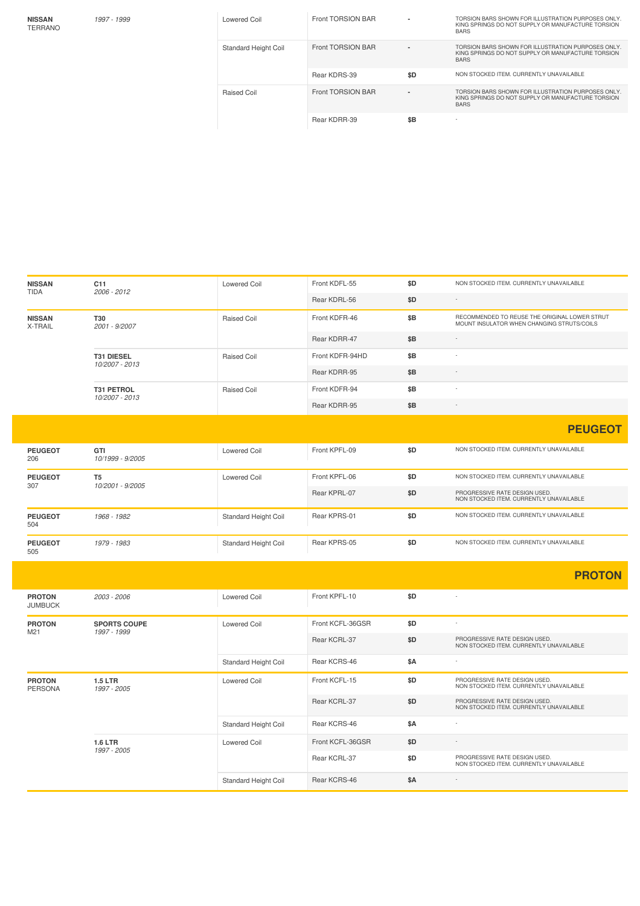**NISSAN** TERRANO

| 1997 - 1999 | Lowered Coil         | Front TORSION BAR        |     | TORSION BARS SHOWN FOR ILLUSTRATION PURPOSES ONLY.<br>KING SPRINGS DO NOT SUPPLY OR MANUFACTURE TORSION<br><b>BARS</b> |
|-------------|----------------------|--------------------------|-----|------------------------------------------------------------------------------------------------------------------------|
|             | Standard Height Coil | <b>Front TORSION BAR</b> |     | TORSION BARS SHOWN FOR ILLUSTRATION PURPOSES ONLY.<br>KING SPRINGS DO NOT SUPPLY OR MANUFACTURE TORSION<br><b>BARS</b> |
|             |                      | Rear KDRS-39             | \$D | NON STOCKED ITEM. CURRENTLY UNAVAILABLE                                                                                |
|             | Raised Coil          | Front TORSION BAR        |     | TORSION BARS SHOWN FOR ILLUSTRATION PURPOSES ONLY.<br>KING SPRINGS DO NOT SUPPLY OR MANUFACTURE TORSION<br><b>BARS</b> |
|             |                      | Rear KDRR-39             | \$B | $\overline{\phantom{a}}$                                                                                               |

| <b>NISSAN</b><br><b>TIDA</b>    | C11<br>2006 - 2012                  | <b>Lowered Coil</b>  | Front KDFL-55    | \$D | NON STOCKED ITEM. CURRENTLY UNAVAILABLE                                                     |
|---------------------------------|-------------------------------------|----------------------|------------------|-----|---------------------------------------------------------------------------------------------|
|                                 |                                     |                      | Rear KDRL-56     | \$D |                                                                                             |
| <b>NISSAN</b><br>X-TRAIL        | T30<br>2001 - 9/2007                | Raised Coil          | Front KDFR-46    | \$Β | RECOMMENDED TO REUSE THE ORIGINAL LOWER STRUT<br>MOUNT INSULATOR WHEN CHANGING STRUTS/COILS |
|                                 |                                     |                      | Rear KDRR-47     | \$B | $\sim$                                                                                      |
|                                 | T31 DIESEL<br>10/2007 - 2013        | Raised Coil          | Front KDFR-94HD  | \$B |                                                                                             |
|                                 |                                     |                      | Rear KDRR-95     | \$B | $\overline{\phantom{a}}$                                                                    |
|                                 | <b>T31 PETROL</b><br>10/2007 - 2013 | Raised Coil          | Front KDFR-94    | \$B |                                                                                             |
|                                 |                                     |                      | Rear KDRR-95     | \$B | ÷,                                                                                          |
|                                 |                                     |                      |                  |     | <b>PEUGEOT</b>                                                                              |
| <b>PEUGEOT</b><br>206           | GTI<br>10/1999 - 9/2005             | <b>Lowered Coil</b>  | Front KPFL-09    | \$D | NON STOCKED ITEM. CURRENTLY UNAVAILABLE                                                     |
| <b>PEUGEOT</b>                  | T <sub>5</sub>                      | <b>Lowered Coil</b>  | Front KPFL-06    | \$D | NON STOCKED ITEM. CURRENTLY UNAVAILABLE                                                     |
| 307                             | 10/2001 - 9/2005                    |                      | Rear KPRL-07     | \$D | PROGRESSIVE RATE DESIGN USED.<br>NON STOCKED ITEM. CURRENTLY UNAVAILABLE                    |
| <b>PEUGEOT</b><br>504           | 1968 - 1982                         | Standard Height Coil | Rear KPRS-01     | \$D | NON STOCKED ITEM. CURRENTLY UNAVAILABLE                                                     |
| <b>PEUGEOT</b><br>505           | 1979 - 1983                         | Standard Height Coil | Rear KPRS-05     | \$D | NON STOCKED ITEM. CURRENTLY UNAVAILABLE                                                     |
|                                 |                                     |                      |                  |     | <b>PROTON</b>                                                                               |
| <b>PROTON</b><br><b>JUMBUCK</b> | 2003 - 2006                         | Lowered Coil         | Front KPFL-10    | \$D |                                                                                             |
| <b>PROTON</b>                   | <b>SPORTS COUPE</b>                 | Lowered Coil         | Front KCFL-36GSR | \$D |                                                                                             |
| M21                             | 1997 - 1999                         |                      | Rear KCRL-37     | \$D | PROGRESSIVE RATE DESIGN USED.<br>NON STOCKED ITEM. CURRENTLY UNAVAILABLE                    |
|                                 |                                     | Standard Height Coil | Rear KCRS-46     | \$Α | $\sim$                                                                                      |
| <b>PROTON</b><br><b>PERSONA</b> | <b>1.5 LTR</b><br>1997 - 2005       | Lowered Coil         | Front KCFL-15    | \$D | PROGRESSIVE RATE DESIGN USED.<br>NON STOCKED ITEM. CURRENTLY UNAVAILABLE                    |
|                                 |                                     |                      | Rear KCRL-37     | \$D | PROGRESSIVE RATE DESIGN USED.<br>NON STOCKED ITEM. CURRENTLY UNAVAILABLE                    |
|                                 |                                     | Standard Height Coil | Rear KCRS-46     | \$Α |                                                                                             |
|                                 | <b>1.6 LTR</b><br>1997 - 2005       | <b>Lowered Coil</b>  | Front KCFL-36GSR | \$D |                                                                                             |
|                                 |                                     |                      | Rear KCRL-37     | \$D | PROGRESSIVE RATE DESIGN USED.<br>NON STOCKED ITEM. CURRENTLY UNAVAILABLE                    |
|                                 |                                     | Standard Height Coil | Rear KCRS-46     | \$A | ÷                                                                                           |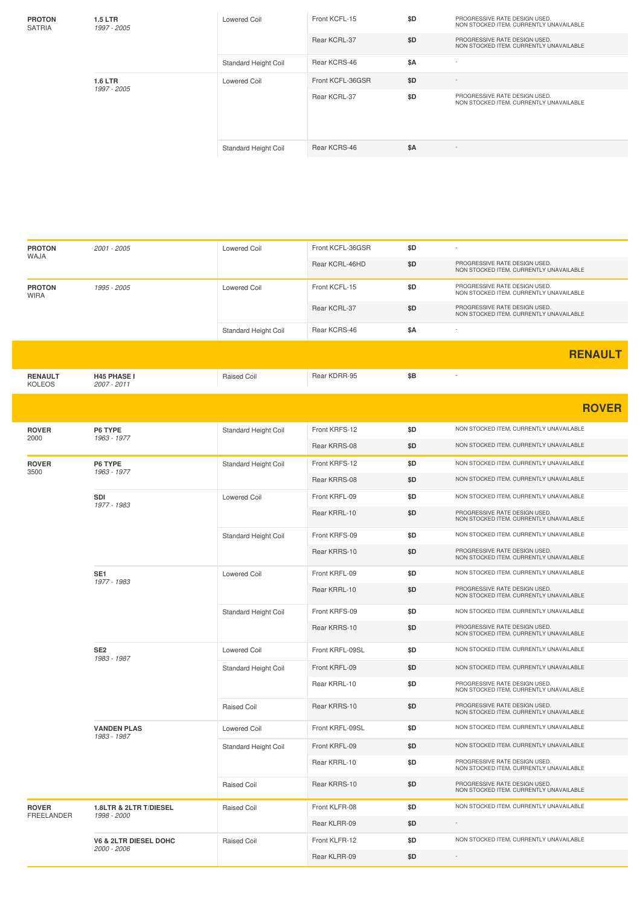| <b>PROTON</b><br><b>SATRIA</b> | <b>1.5 LTR</b><br>1997 - 2005 | Lowered Coil                | Front KCFL-15<br>Rear KCRL-37 | \$D<br>\$D | PROGRESSIVE RATE DESIGN USED.<br>NON STOCKED ITEM. CURRENTLY UNAVAILABLE<br>PROGRESSIVE RATE DESIGN USED.<br>NON STOCKED ITEM, CURRENTLY UNAVAILABLE |
|--------------------------------|-------------------------------|-----------------------------|-------------------------------|------------|------------------------------------------------------------------------------------------------------------------------------------------------------|
|                                |                               | <b>Standard Height Coil</b> | Rear KCRS-46                  | \$A        | $\sim$                                                                                                                                               |
| <b>1.6 LTR</b><br>1997 - 2005  |                               | Lowered Coil                | Front KCFL-36GSR              | \$D        | $\sim$                                                                                                                                               |
|                                |                               |                             | Rear KCRL-37                  | \$D        | PROGRESSIVE RATE DESIGN USED.<br>NON STOCKED ITEM, CURRENTLY UNAVAILABLE                                                                             |
|                                |                               | <b>Standard Height Coil</b> | Rear KCRS-46                  | \$A        | $\sim$                                                                                                                                               |

| <b>PROTON</b>                   | 2001 - 2005                       | Lowered Coil                | Front KCFL-36GSR | \$D |                                                                          |
|---------------------------------|-----------------------------------|-----------------------------|------------------|-----|--------------------------------------------------------------------------|
| WAJA                            |                                   |                             | Rear KCRL-46HD   | \$D | PROGRESSIVE RATE DESIGN USED.<br>NON STOCKED ITEM. CURRENTLY UNAVAILABLE |
| <b>PROTON</b><br><b>WIRA</b>    | 1995 - 2005                       | <b>Lowered Coil</b>         | Front KCFL-15    | \$D | PROGRESSIVE RATE DESIGN USED.<br>NON STOCKED ITEM. CURRENTLY UNAVAILABLE |
|                                 |                                   |                             | Rear KCRL-37     | \$D | PROGRESSIVE RATE DESIGN USED.<br>NON STOCKED ITEM. CURRENTLY UNAVAILABLE |
|                                 |                                   | Standard Height Coil        | Rear KCRS-46     | \$Α |                                                                          |
|                                 |                                   |                             |                  |     | <b>RENAULT</b>                                                           |
| <b>RENAULT</b><br><b>KOLEOS</b> | <b>H45 PHASE I</b><br>2007 - 2011 | Raised Coil                 | Rear KDRR-95     | \$Β |                                                                          |
|                                 |                                   |                             |                  |     | <b>ROVER</b>                                                             |
| <b>ROVER</b>                    | P6 TYPE                           | Standard Height Coil        | Front KRFS-12    | \$D | NON STOCKED ITEM. CURRENTLY UNAVAILABLE                                  |
| 2000                            | 1963 - 1977                       |                             | Rear KRRS-08     | \$D | NON STOCKED ITEM. CURRENTLY UNAVAILABLE                                  |
| <b>ROVER</b><br>3500            | P6 TYPE<br>1963 - 1977            | Standard Height Coil        | Front KRFS-12    | \$D | NON STOCKED ITEM. CURRENTLY UNAVAILABLE                                  |
|                                 |                                   |                             | Rear KRRS-08     | \$D | NON STOCKED ITEM. CURRENTLY UNAVAILABLE                                  |
|                                 | SDI<br>1977 - 1983                | <b>Lowered Coil</b>         | Front KRFL-09    | \$D | NON STOCKED ITEM. CURRENTLY UNAVAILABLE                                  |
|                                 |                                   |                             | Rear KRRL-10     | \$D | PROGRESSIVE RATE DESIGN USED.<br>NON STOCKED ITEM. CURRENTLY UNAVAILABLE |
|                                 |                                   | Standard Height Coil        | Front KRFS-09    | \$D | NON STOCKED ITEM. CURRENTLY UNAVAILABLE                                  |
|                                 |                                   |                             | Rear KRRS-10     | \$D | PROGRESSIVE RATE DESIGN USED.<br>NON STOCKED ITEM. CURRENTLY UNAVAILABLE |
|                                 | SE <sub>1</sub>                   | <b>Lowered Coil</b>         | Front KRFL-09    | \$D | NON STOCKED ITEM. CURRENTLY UNAVAILABLE                                  |
|                                 | 1977 - 1983                       |                             | Rear KRRL-10     | \$D | PROGRESSIVE RATE DESIGN USED.<br>NON STOCKED ITEM. CURRENTLY UNAVAILABLE |
|                                 |                                   | Standard Height Coil        | Front KRFS-09    | \$D | NON STOCKED ITEM. CURRENTLY UNAVAILABLE                                  |
|                                 |                                   |                             | Rear KRRS-10     | \$D | PROGRESSIVE RATE DESIGN USED.<br>NON STOCKED ITEM. CURRENTLY UNAVAILABLE |
|                                 | SE <sub>2</sub><br>1983 - 1987    | <b>Lowered Coil</b>         | Front KRFL-09SL  | \$D | NON STOCKED ITEM. CURRENTLY UNAVAILABLE                                  |
|                                 |                                   | Standard Height Coil        | Front KRFL-09    | \$D | NON STOCKED ITEM. CURRENTLY UNAVAILABLE                                  |
|                                 |                                   |                             | Rear KRRL-10     | \$D | PROGRESSIVE RATE DESIGN USED.<br>NON STOCKED ITEM. CURRENTLY UNAVAILABLE |
|                                 |                                   | <b>Raised Coil</b>          | Rear KRRS-10     | \$D | PROGRESSIVE RATE DESIGN USED.<br>NON STOCKED ITEM. CURRENTLY UNAVAILABLE |
|                                 | <b>VANDEN PLAS</b><br>1983 - 1987 | Lowered Coil                | Front KRFL-09SL  | \$D | NON STOCKED ITEM. CURRENTLY UNAVAILABLE                                  |
|                                 |                                   | <b>Standard Height Coil</b> | Front KRFL-09    | \$D | NON STOCKED ITEM. CURRENTLY UNAVAILABLE                                  |
|                                 |                                   |                             | Rear KRRL-10     | \$D | PROGRESSIVE RATE DESIGN USED.<br>NON STOCKED ITEM. CURRENTLY UNAVAILABLE |
|                                 |                                   | Raised Coil                 | Rear KRRS-10     | \$D | PROGRESSIVE RATE DESIGN USED.<br>NON STOCKED ITEM. CURRENTLY UNAVAILABLE |
| <b>ROVER</b>                    | 1.8LTR & 2LTR T/DIESEL            | Raised Coil                 | Front KLFR-08    | \$D | NON STOCKED ITEM. CURRENTLY UNAVAILABLE                                  |
| FREELANDER                      | 1998 - 2000                       |                             | Rear KLRR-09     | \$D |                                                                          |
|                                 | V6 & 2LTR DIESEL DOHC             | Raised Coil                 | Front KLFR-12    | \$D | NON STOCKED ITEM. CURRENTLY UNAVAILABLE                                  |
|                                 | 2000 - 2006                       |                             | Rear KLRR-09     | \$D |                                                                          |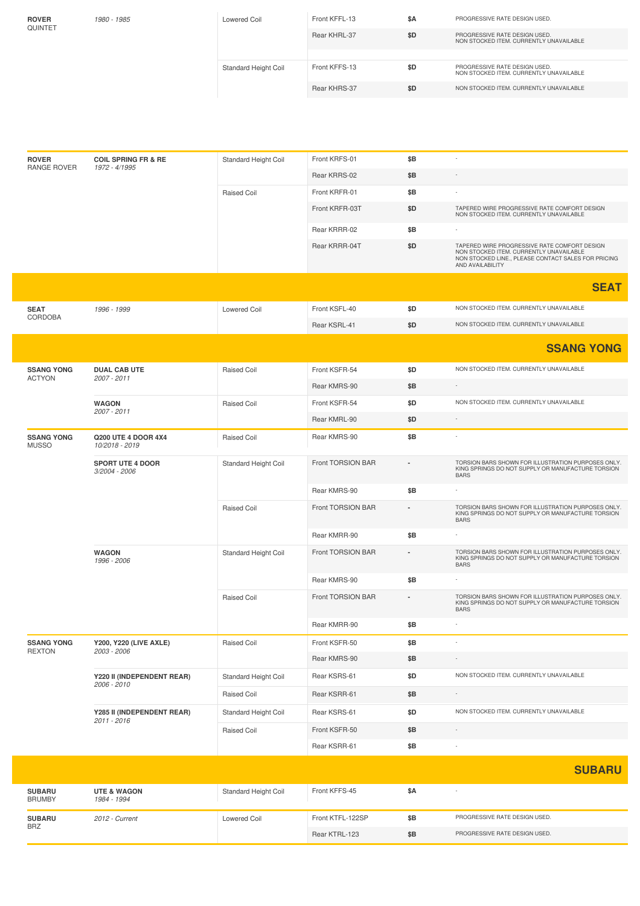| <b>ROVER</b><br>QUINTET | 1980 - 1985 | <b>Lowered Coil</b>  | Front KFFL-13 | \$A | PROGRESSIVE RATE DESIGN USED.                                            |
|-------------------------|-------------|----------------------|---------------|-----|--------------------------------------------------------------------------|
|                         |             |                      | Rear KHRL-37  | \$D | PROGRESSIVE RATE DESIGN USED.<br>NON STOCKED ITEM, CURRENTLY UNAVAILABLE |
|                         |             |                      |               |     |                                                                          |
|                         |             | Standard Height Coil | Front KFFS-13 | \$D | PROGRESSIVE RATE DESIGN USED.<br>NON STOCKED ITEM. CURRENTLY UNAVAILABLE |
|                         |             |                      | Rear KHRS-37  | \$D | NON STOCKED ITEM, CURRENTLY UNAVAILABLE                                  |

| <b>ROVER</b><br>RANGE ROVER              | <b>COIL SPRING FR &amp; RE</b><br>1972 - 4/1995 | Standard Height Coil | Front KRFS-01     | \$Β                                                                                                                    |                                                                                                                                                                    |
|------------------------------------------|-------------------------------------------------|----------------------|-------------------|------------------------------------------------------------------------------------------------------------------------|--------------------------------------------------------------------------------------------------------------------------------------------------------------------|
|                                          |                                                 |                      | Rear KRRS-02      | \$Β                                                                                                                    |                                                                                                                                                                    |
|                                          |                                                 | Raised Coil          | Front KRFR-01     | \$Β                                                                                                                    |                                                                                                                                                                    |
|                                          |                                                 |                      | Front KRFR-03T    | \$D                                                                                                                    | TAPERED WIRE PROGRESSIVE RATE COMFORT DESIGN<br>NON STOCKED ITEM. CURRENTLY UNAVAILABLE                                                                            |
|                                          |                                                 |                      | Rear KRRR-02      | \$Β                                                                                                                    |                                                                                                                                                                    |
|                                          |                                                 |                      | Rear KRRR-04T     | \$D                                                                                                                    | TAPERED WIRE PROGRESSIVE RATE COMFORT DESIGN<br>NON STOCKED ITEM. CURRENTLY UNAVAILABLE<br>NON STOCKED LINE., PLEASE CONTACT SALES FOR PRICING<br>AND AVAILABILITY |
|                                          |                                                 |                      |                   |                                                                                                                        | <b>SEAT</b>                                                                                                                                                        |
| <b>SEAT</b>                              | 1996 - 1999                                     | <b>Lowered Coil</b>  | Front KSFL-40     | \$D                                                                                                                    | NON STOCKED ITEM. CURRENTLY UNAVAILABLE                                                                                                                            |
| CORDOBA                                  |                                                 |                      | Rear KSRL-41      | \$D                                                                                                                    | NON STOCKED ITEM. CURRENTLY UNAVAILABLE                                                                                                                            |
|                                          |                                                 |                      |                   |                                                                                                                        | <b>SSANG YONG</b>                                                                                                                                                  |
| <b>SSANG YONG</b>                        | <b>DUAL CAB UTE</b>                             | Raised Coil          | Front KSFR-54     | \$D                                                                                                                    | NON STOCKED ITEM. CURRENTLY UNAVAILABLE                                                                                                                            |
| <b>ACTYON</b>                            | 2007 - 2011                                     |                      | Rear KMRS-90      | \$Β                                                                                                                    | $\overline{\phantom{a}}$                                                                                                                                           |
|                                          | <b>WAGON</b>                                    | Raised Coil          | Front KSFR-54     | \$D                                                                                                                    | NON STOCKED ITEM. CURRENTLY UNAVAILABLE                                                                                                                            |
|                                          | 2007 - 2011                                     |                      | Rear KMRL-90      | \$D                                                                                                                    | $\sim$                                                                                                                                                             |
| <b>SSANG YONG</b><br><b>MUSSO</b>        | <b>Q200 UTE 4 DOOR 4X4</b><br>10/2018 - 2019    | Raised Coil          | Rear KMRS-90      | \$Β                                                                                                                    | ×,                                                                                                                                                                 |
| <b>SPORT UTE 4 DOOR</b><br>3/2004 - 2006 | Standard Height Coil                            | Front TORSION BAR    |                   | TORSION BARS SHOWN FOR ILLUSTRATION PURPOSES ONLY.<br>KING SPRINGS DO NOT SUPPLY OR MANUFACTURE TORSION<br><b>BARS</b> |                                                                                                                                                                    |
|                                          |                                                 | Rear KMRS-90         | \$Β               |                                                                                                                        |                                                                                                                                                                    |
|                                          |                                                 | <b>Raised Coil</b>   | Front TORSION BAR |                                                                                                                        | TORSION BARS SHOWN FOR ILLUSTRATION PURPOSES ONLY.<br>KING SPRINGS DO NOT SUPPLY OR MANUFACTURE TORSION<br><b>BARS</b>                                             |
|                                          |                                                 |                      | Rear KMRR-90      | \$B                                                                                                                    |                                                                                                                                                                    |
|                                          | <b>WAGON</b><br>1996 - 2006                     | Standard Height Coil | Front TORSION BAR |                                                                                                                        | TORSION BARS SHOWN FOR ILLUSTRATION PURPOSES ONLY.<br>KING SPRINGS DO NOT SUPPLY OR MANUFACTURE TORSION<br><b>BARS</b>                                             |
|                                          |                                                 |                      | Rear KMRS-90      | \$B                                                                                                                    |                                                                                                                                                                    |
|                                          |                                                 | <b>Raised Coil</b>   | Front TORSION BAR |                                                                                                                        | TORSION BARS SHOWN FOR ILLUSTRATION PURPOSES ONLY.<br>KING SPRINGS DO NOT SUPPLY OR MANUFACTURE TORSION<br><b>BARS</b>                                             |
|                                          |                                                 |                      | Rear KMRR-90      | \$Β                                                                                                                    |                                                                                                                                                                    |
| <b>SSANG YONG</b>                        | <b>Y200, Y220 (LIVE AXLE)</b>                   | Raised Coil          | Front KSFR-50     | \$B                                                                                                                    |                                                                                                                                                                    |
| <b>REXTON</b>                            | 2003 - 2006                                     |                      | Rear KMRS-90      | \$Β                                                                                                                    |                                                                                                                                                                    |
|                                          | Y220 II (INDEPENDENT REAR)<br>2006 - 2010       | Standard Height Coil | Rear KSRS-61      | \$D                                                                                                                    | NON STOCKED ITEM. CURRENTLY UNAVAILABLE                                                                                                                            |
|                                          |                                                 | Raised Coil          | Rear KSRR-61      | \$B                                                                                                                    |                                                                                                                                                                    |
|                                          | Y285 II (INDEPENDENT REAR)                      | Standard Height Coil | Rear KSRS-61      | \$D                                                                                                                    | NON STOCKED ITEM. CURRENTLY UNAVAILABLE                                                                                                                            |
|                                          | 2011 - 2016                                     | Raised Coil          | Front KSFR-50     | \$Β                                                                                                                    |                                                                                                                                                                    |
|                                          |                                                 |                      | Rear KSRR-61      | \$B                                                                                                                    |                                                                                                                                                                    |
|                                          |                                                 |                      |                   |                                                                                                                        | <b>SUBARU</b>                                                                                                                                                      |
| <b>SUBARU</b><br><b>BRUMBY</b>           | <b>UTE &amp; WAGON</b><br>1984 - 1994           | Standard Height Coil | Front KFFS-45     | \$A                                                                                                                    |                                                                                                                                                                    |
|                                          |                                                 |                      | Front KTFL-122SP  |                                                                                                                        | PROGRESSIVE RATE DESIGN USED.                                                                                                                                      |
| <b>SUBARU</b><br><b>BRZ</b>              | 2012 - Current                                  | Lowered Coil         |                   | \$B                                                                                                                    |                                                                                                                                                                    |

I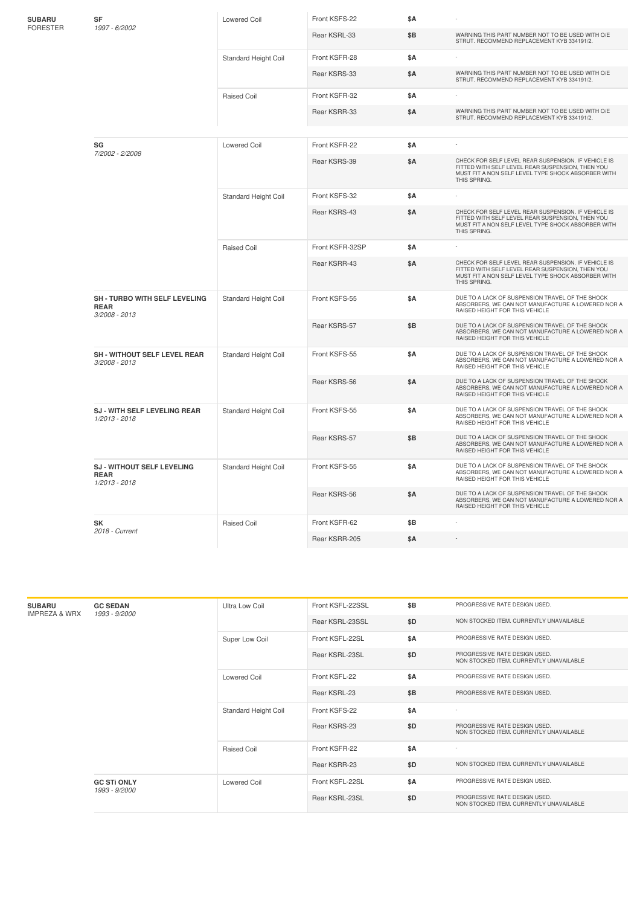| <b>SUBARU</b><br>SF<br><b>FORESTER</b><br>1997 - 6/2002 |                                                                   | <b>Lowered Coil</b>         | Front KSFS-22   | \$Α        |                                                                                                                                                                               |
|---------------------------------------------------------|-------------------------------------------------------------------|-----------------------------|-----------------|------------|-------------------------------------------------------------------------------------------------------------------------------------------------------------------------------|
|                                                         |                                                                   |                             | Rear KSRL-33    | \$Β        | WARNING THIS PART NUMBER NOT TO BE USED WITH O/E<br>STRUT. RECOMMEND REPLACEMENT KYB 334191/2.                                                                                |
|                                                         |                                                                   | Standard Height Coil        | Front KSFR-28   | \$Α        |                                                                                                                                                                               |
|                                                         |                                                                   |                             | Rear KSRS-33    | <b>\$A</b> | WARNING THIS PART NUMBER NOT TO BE USED WITH O/E<br>STRUT. RECOMMEND REPLACEMENT KYB 334191/2.                                                                                |
|                                                         |                                                                   | Raised Coil                 | Front KSFR-32   | \$Α        |                                                                                                                                                                               |
|                                                         |                                                                   |                             | Rear KSRR-33    | \$Α        | WARNING THIS PART NUMBER NOT TO BE USED WITH O/E<br>STRUT. RECOMMEND REPLACEMENT KYB 334191/2.                                                                                |
|                                                         |                                                                   |                             |                 |            |                                                                                                                                                                               |
|                                                         | SG<br>7/2002 - 2/2008                                             | Lowered Coil                | Front KSFR-22   | \$Α        |                                                                                                                                                                               |
|                                                         |                                                                   |                             | Rear KSRS-39    | <b>\$A</b> | CHECK FOR SELF LEVEL REAR SUSPENSION. IF VEHICLE IS<br>FITTED WITH SELF LEVEL REAR SUSPENSION, THEN YOU<br>MUST FIT A NON SELF LEVEL TYPE SHOCK ABSORBER WITH<br>THIS SPRING. |
|                                                         |                                                                   | Standard Height Coil        | Front KSFS-32   | \$Α        |                                                                                                                                                                               |
|                                                         |                                                                   |                             | Rear KSRS-43    | \$Α        | CHECK FOR SELF LEVEL REAR SUSPENSION. IF VEHICLE IS<br>FITTED WITH SELF LEVEL REAR SUSPENSION, THEN YOU<br>MUST FIT A NON SELF LEVEL TYPE SHOCK ABSORBER WITH<br>THIS SPRING. |
|                                                         |                                                                   | Raised Coil                 | Front KSFR-32SP | \$Α        |                                                                                                                                                                               |
|                                                         |                                                                   |                             | Rear KSRR-43    | \$Α        | CHECK FOR SELF LEVEL REAR SUSPENSION. IF VEHICLE IS<br>FITTED WITH SELF LEVEL REAR SUSPENSION, THEN YOU<br>MUST FIT A NON SELF LEVEL TYPE SHOCK ABSORBER WITH<br>THIS SPRING. |
|                                                         | SH - TURBO WITH SELF LEVELING<br><b>REAR</b><br>3/2008 - 2013     | Standard Height Coil        | Front KSFS-55   | \$Α        | DUE TO A LACK OF SUSPENSION TRAVEL OF THE SHOCK<br>ABSORBERS, WE CAN NOT MANUFACTURE A LOWERED NOR A<br>RAISED HEIGHT FOR THIS VEHICLE                                        |
|                                                         |                                                                   |                             | Rear KSRS-57    | \$Β        | DUE TO A LACK OF SUSPENSION TRAVEL OF THE SHOCK<br>ABSORBERS, WE CAN NOT MANUFACTURE A LOWERED NOR A<br>RAISED HEIGHT FOR THIS VEHICLE                                        |
|                                                         | <b>SH - WITHOUT SELF LEVEL REAR</b><br>3/2008 - 2013              | Standard Height Coil        | Front KSFS-55   | \$Α        | DUE TO A LACK OF SUSPENSION TRAVEL OF THE SHOCK<br>ABSORBERS, WE CAN NOT MANUFACTURE A LOWERED NOR A<br>RAISED HEIGHT FOR THIS VEHICLE                                        |
|                                                         |                                                                   |                             | Rear KSRS-56    | <b>\$A</b> | DUE TO A LACK OF SUSPENSION TRAVEL OF THE SHOCK<br>ABSORBERS, WE CAN NOT MANUFACTURE A LOWERED NOR A<br>RAISED HEIGHT FOR THIS VEHICLE                                        |
|                                                         | SJ - WITH SELF LEVELING REAR<br>1/2013 - 2018                     | Standard Height Coil        | Front KSFS-55   | \$Α        | DUE TO A LACK OF SUSPENSION TRAVEL OF THE SHOCK<br>ABSORBERS, WE CAN NOT MANUFACTURE A LOWERED NOR A<br>RAISED HEIGHT FOR THIS VEHICLE                                        |
|                                                         |                                                                   |                             | Rear KSRS-57    | \$B        | DUE TO A LACK OF SUSPENSION TRAVEL OF THE SHOCK<br>ABSORBERS, WE CAN NOT MANUFACTURE A LOWERED NOR A<br>RAISED HEIGHT FOR THIS VEHICLE                                        |
|                                                         | <b>SJ - WITHOUT SELF LEVELING</b><br><b>REAR</b><br>1/2013 - 2018 | <b>Standard Height Coil</b> | Front KSFS-55   | \$Α        | DUE TO A LACK OF SUSPENSION TRAVEL OF THE SHOCK<br>ABSORBERS, WE CAN NOT MANUFACTURE A LOWERED NOR A<br>RAISED HEIGHT FOR THIS VEHICLE                                        |
|                                                         |                                                                   |                             | Rear KSRS-56    | <b>\$A</b> | DUE TO A LACK OF SUSPENSION TRAVEL OF THE SHOCK<br>ABSORBERS, WE CAN NOT MANUFACTURE A LOWERED NOR A<br>RAISED HEIGHT FOR THIS VEHICLE                                        |
|                                                         | <b>SK</b>                                                         | <b>Raised Coil</b>          | Front KSFR-62   | \$Β        |                                                                                                                                                                               |
|                                                         | 2018 - Current                                                    |                             | Rear KSRR-205   | \$A        |                                                                                                                                                                               |

| <b>SUBARU</b><br><b>IMPREZA &amp; WRX</b> | <b>GC SEDAN</b><br>1993 - 9/2000    | Ultra Low Coil              | Front KSFL-22SSL | \$B | PROGRESSIVE RATE DESIGN USED.                                            |
|-------------------------------------------|-------------------------------------|-----------------------------|------------------|-----|--------------------------------------------------------------------------|
|                                           |                                     |                             | Rear KSRL-23SSL  | \$D | NON STOCKED ITEM. CURRENTLY UNAVAILABLE                                  |
|                                           |                                     | Super Low Coil              | Front KSFL-22SL  | \$A | PROGRESSIVE RATE DESIGN USED.                                            |
|                                           |                                     |                             | Rear KSRL-23SL   | \$D | PROGRESSIVE RATE DESIGN USED.<br>NON STOCKED ITEM. CURRENTLY UNAVAILABLE |
|                                           |                                     | Lowered Coil                | Front KSFL-22    | \$A | PROGRESSIVE RATE DESIGN USED.                                            |
|                                           |                                     |                             | Rear KSRL-23     | \$B | PROGRESSIVE RATE DESIGN USED.                                            |
|                                           |                                     | <b>Standard Height Coil</b> | Front KSFS-22    | \$A |                                                                          |
|                                           |                                     |                             | Rear KSRS-23     | \$D | PROGRESSIVE RATE DESIGN USED.<br>NON STOCKED ITEM. CURRENTLY UNAVAILABLE |
|                                           |                                     | Raised Coil                 | Front KSFR-22    | \$A | $\overline{a}$                                                           |
|                                           |                                     |                             | Rear KSRR-23     | \$D | NON STOCKED ITEM. CURRENTLY UNAVAILABLE                                  |
|                                           | <b>GC STI ONLY</b><br>1993 - 9/2000 | <b>Lowered Coil</b>         | Front KSFL-22SL  | \$A | PROGRESSIVE RATE DESIGN USED.                                            |
|                                           |                                     |                             | Rear KSRL-23SL   | \$D | PROGRESSIVE RATE DESIGN USED.<br>NON STOCKED ITEM. CURRENTLY UNAVAILABLE |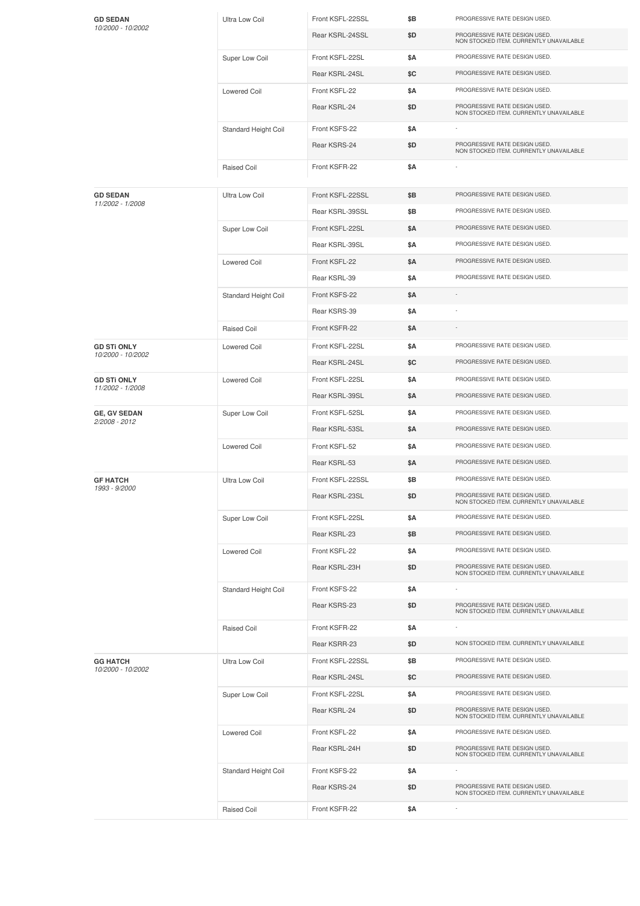| <b>GD SEDAN</b><br>10/2000 - 10/2002 | Ultra Low Coil       | Front KSFL-22SSL | \$Β | PROGRESSIVE RATE DESIGN USED.                                            |
|--------------------------------------|----------------------|------------------|-----|--------------------------------------------------------------------------|
|                                      |                      | Rear KSRL-24SSL  | \$D | PROGRESSIVE RATE DESIGN USED.<br>NON STOCKED ITEM. CURRENTLY UNAVAILABLE |
|                                      | Super Low Coil       | Front KSFL-22SL  | \$Α | PROGRESSIVE RATE DESIGN USED.                                            |
|                                      |                      | Rear KSRL-24SL   | \$C | PROGRESSIVE RATE DESIGN USED.                                            |
|                                      | <b>Lowered Coil</b>  | Front KSFL-22    | \$Α | PROGRESSIVE RATE DESIGN USED.                                            |
|                                      |                      | Rear KSRL-24     | \$D | PROGRESSIVE RATE DESIGN USED.<br>NON STOCKED ITEM. CURRENTLY UNAVAILABLE |
|                                      | Standard Height Coil | Front KSFS-22    | \$Α |                                                                          |
|                                      |                      | Rear KSRS-24     | \$D | PROGRESSIVE RATE DESIGN USED.<br>NON STOCKED ITEM. CURRENTLY UNAVAILABLE |
|                                      | Raised Coil          | Front KSFR-22    | \$Α |                                                                          |
| <b>GD SEDAN</b>                      | Ultra Low Coil       | Front KSFL-22SSL | \$Β | PROGRESSIVE RATE DESIGN USED.                                            |
| 11/2002 - 1/2008                     |                      | Rear KSRL-39SSL  | \$Β | PROGRESSIVE RATE DESIGN USED.                                            |
|                                      | Super Low Coil       | Front KSFL-22SL  | \$Α | PROGRESSIVE RATE DESIGN USED.                                            |
|                                      |                      | Rear KSRL-39SL   | \$Α | PROGRESSIVE RATE DESIGN USED.                                            |
|                                      | <b>Lowered Coil</b>  | Front KSFL-22    | \$Α | PROGRESSIVE RATE DESIGN USED.                                            |
|                                      |                      | Rear KSRL-39     | \$Α | PROGRESSIVE RATE DESIGN USED.                                            |
|                                      | Standard Height Coil | Front KSFS-22    | \$Α |                                                                          |
|                                      |                      | Rear KSRS-39     | \$Α |                                                                          |
|                                      | Raised Coil          | Front KSFR-22    | \$Α |                                                                          |
| <b>GD STI ONLY</b>                   | <b>Lowered Coil</b>  | Front KSFL-22SL  | \$Α | PROGRESSIVE RATE DESIGN USED.                                            |
| 10/2000 - 10/2002                    |                      | Rear KSRL-24SL   | \$C | PROGRESSIVE RATE DESIGN USED.                                            |
| <b>GD STI ONLY</b>                   | <b>Lowered Coil</b>  | Front KSFL-22SL  | \$Α | PROGRESSIVE RATE DESIGN USED.                                            |
| 11/2002 - 1/2008                     |                      | Rear KSRL-39SL   | \$Α | PROGRESSIVE RATE DESIGN USED.                                            |
| <b>GE, GV SEDAN</b>                  | Super Low Coil       | Front KSFL-52SL  | \$Α | PROGRESSIVE RATE DESIGN USED.                                            |
| 2/2008 - 2012                        |                      | Rear KSRL-53SL   | \$Α | PROGRESSIVE RATE DESIGN USED.                                            |
|                                      | <b>Lowered Coil</b>  | Front KSFL-52    | \$Α | PROGRESSIVE RATE DESIGN USED.                                            |
|                                      |                      | Rear KSRL-53     | \$Α | PROGRESSIVE RATE DESIGN USED.                                            |
| <b>GF HATCH</b><br>1993 - 9/2000     | Ultra Low Coil       | Front KSFL-22SSL | \$Β | PROGRESSIVE RATE DESIGN USED.                                            |
|                                      |                      | Rear KSRL-23SL   | \$D | PROGRESSIVE RATE DESIGN USED.<br>NON STOCKED ITEM. CURRENTLY UNAVAILABLE |
|                                      | Super Low Coil       | Front KSFL-22SL  | \$Α | PROGRESSIVE RATE DESIGN USED.                                            |
|                                      |                      | Rear KSRL-23     | \$Β | PROGRESSIVE RATE DESIGN USED.                                            |
|                                      | <b>Lowered Coil</b>  | Front KSFL-22    | \$Α | PROGRESSIVE RATE DESIGN USED.                                            |
|                                      |                      | Rear KSRL-23H    | \$D | PROGRESSIVE RATE DESIGN USED.<br>NON STOCKED ITEM. CURRENTLY UNAVAILABLE |
|                                      | Standard Height Coil | Front KSFS-22    | \$Α |                                                                          |
|                                      |                      | Rear KSRS-23     | \$D | PROGRESSIVE RATE DESIGN USED.<br>NON STOCKED ITEM. CURRENTLY UNAVAILABLE |
|                                      | <b>Raised Coil</b>   | Front KSFR-22    | \$Α |                                                                          |
|                                      |                      | Rear KSRR-23     | \$D | NON STOCKED ITEM. CURRENTLY UNAVAILABLE                                  |
| <b>GG HATCH</b><br>10/2000 - 10/2002 | Ultra Low Coil       | Front KSFL-22SSL | \$B | PROGRESSIVE RATE DESIGN USED.                                            |
|                                      |                      | Rear KSRL-24SL   | \$C | PROGRESSIVE RATE DESIGN USED.                                            |
|                                      | Super Low Coil       | Front KSFL-22SL  | \$Α | PROGRESSIVE RATE DESIGN USED.                                            |
|                                      |                      | Rear KSRL-24     | \$D | PROGRESSIVE RATE DESIGN USED.<br>NON STOCKED ITEM. CURRENTLY UNAVAILABLE |
|                                      | <b>Lowered Coil</b>  | Front KSFL-22    | \$Α | PROGRESSIVE RATE DESIGN USED.                                            |
|                                      |                      | Rear KSRL-24H    | \$D | PROGRESSIVE RATE DESIGN USED.<br>NON STOCKED ITEM. CURRENTLY UNAVAILABLE |
|                                      | Standard Height Coil | Front KSFS-22    | \$Α |                                                                          |
|                                      |                      | Rear KSRS-24     | \$D | PROGRESSIVE RATE DESIGN USED.<br>NON STOCKED ITEM. CURRENTLY UNAVAILABLE |
|                                      | Raised Coil          | Front KSFR-22    | \$Α |                                                                          |
|                                      |                      |                  |     |                                                                          |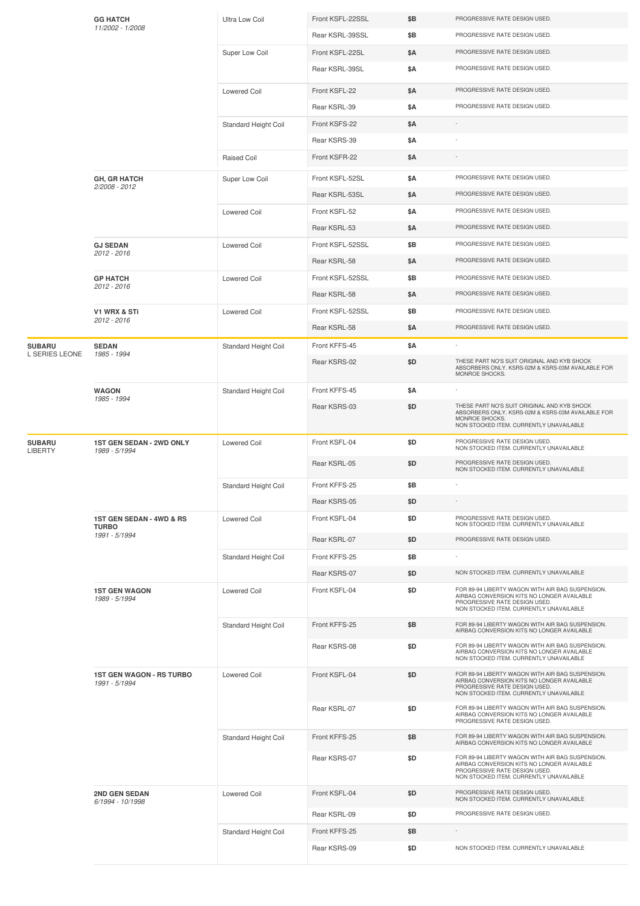|                                 | <b>GG HATCH</b><br>11/2002 - 1/2008                       | Ultra Low Coil       | Front KSFL-22SSL | \$Β        | PROGRESSIVE RATE DESIGN USED.                                                                                                                                              |
|---------------------------------|-----------------------------------------------------------|----------------------|------------------|------------|----------------------------------------------------------------------------------------------------------------------------------------------------------------------------|
|                                 |                                                           |                      | Rear KSRL-39SSL  | \$Β        | PROGRESSIVE RATE DESIGN USED.                                                                                                                                              |
|                                 |                                                           | Super Low Coil       | Front KSFL-22SL  | \$A        | PROGRESSIVE RATE DESIGN USED.                                                                                                                                              |
|                                 |                                                           |                      | Rear KSRL-39SL   | \$Α        | PROGRESSIVE RATE DESIGN USED.                                                                                                                                              |
|                                 |                                                           | <b>Lowered Coil</b>  | Front KSFL-22    | \$Α        | PROGRESSIVE RATE DESIGN USED.                                                                                                                                              |
|                                 |                                                           |                      | Rear KSRL-39     | \$Α        | PROGRESSIVE RATE DESIGN USED.                                                                                                                                              |
|                                 |                                                           | Standard Height Coil | Front KSFS-22    | \$Α        |                                                                                                                                                                            |
|                                 |                                                           |                      | Rear KSRS-39     | \$Α        |                                                                                                                                                                            |
|                                 |                                                           | Raised Coil          | Front KSFR-22    | \$A        |                                                                                                                                                                            |
|                                 | <b>GH, GR HATCH</b><br>2/2008 - 2012                      | Super Low Coil       | Front KSFL-52SL  | \$Α        | PROGRESSIVE RATE DESIGN USED.                                                                                                                                              |
|                                 |                                                           |                      | Rear KSRL-53SL   | \$A        | PROGRESSIVE RATE DESIGN USED.                                                                                                                                              |
|                                 |                                                           | <b>Lowered Coil</b>  | Front KSFL-52    | <b>\$A</b> | PROGRESSIVE RATE DESIGN USED.                                                                                                                                              |
|                                 |                                                           |                      | Rear KSRL-53     | \$Α        | PROGRESSIVE RATE DESIGN USED.                                                                                                                                              |
|                                 | <b>GJ SEDAN</b><br>2012 - 2016                            | <b>Lowered Coil</b>  | Front KSFL-52SSL | \$Β        | PROGRESSIVE RATE DESIGN USED.                                                                                                                                              |
|                                 |                                                           |                      | Rear KSRL-58     | \$Α        | PROGRESSIVE RATE DESIGN USED.                                                                                                                                              |
|                                 | <b>GP HATCH</b><br>2012 - 2016                            | <b>Lowered Coil</b>  | Front KSFL-52SSL | \$B        | PROGRESSIVE RATE DESIGN USED.                                                                                                                                              |
|                                 |                                                           |                      | Rear KSRL-58     | \$A        | PROGRESSIVE RATE DESIGN USED.                                                                                                                                              |
|                                 | <b>V1 WRX &amp; STi</b>                                   | <b>Lowered Coil</b>  | Front KSFL-52SSL | \$Β        | PROGRESSIVE RATE DESIGN USED.                                                                                                                                              |
|                                 | 2012 - 2016                                               |                      | Rear KSRL-58     | \$Α        | PROGRESSIVE RATE DESIGN USED.                                                                                                                                              |
| <b>SUBARU</b>                   | <b>SEDAN</b>                                              | Standard Height Coil | Front KFFS-45    | \$Α        |                                                                                                                                                                            |
| L SERIES LEONE                  | 1985 - 1994                                               |                      | Rear KSRS-02     | \$D        | THESE PART NO'S SUIT ORIGINAL AND KYB SHOCK<br>ABSORBERS ONLY. KSRS-02M & KSRS-03M AVAILABLE FOR<br>MONROE SHOCKS.                                                         |
|                                 | <b>WAGON</b><br>1985 - 1994                               | Standard Height Coil | Front KFFS-45    | \$Α        |                                                                                                                                                                            |
|                                 |                                                           |                      | Rear KSRS-03     | \$D        | THESE PART NO'S SUIT ORIGINAL AND KYB SHOCK<br>ABSORBERS ONLY. KSRS-02M & KSRS-03M AVAILABLE FOR<br>MONROE SHOCKS.<br>NON STOCKED ITEM. CURRENTLY UNAVAILABLE              |
| <b>SUBARU</b><br><b>LIBERTY</b> | <b>1ST GEN SEDAN - 2WD ONLY</b><br>1989 - 5/1994          | <b>Lowered Coil</b>  | Front KSFL-04    | \$D        | PROGRESSIVE RATE DESIGN USED.<br>NON STOCKED ITEM. CURRENTLY UNAVAILABLE                                                                                                   |
|                                 |                                                           |                      | Rear KSRL-05     | \$D        | PROGRESSIVE RATE DESIGN USED.<br>NON STOCKED ITEM. CURRENTLY UNAVAILABLE                                                                                                   |
|                                 |                                                           | Standard Height Coil | Front KFFS-25    | \$Β        |                                                                                                                                                                            |
|                                 |                                                           |                      | Rear KSRS-05     | \$D        |                                                                                                                                                                            |
|                                 | 1ST GEN SEDAN - 4WD & RS<br><b>TURBO</b><br>1991 - 5/1994 | <b>Lowered Coil</b>  | Front KSFL-04    | \$D        | PROGRESSIVE RATE DESIGN USED.<br>NON STOCKED ITEM. CURRENTLY UNAVAILABLE                                                                                                   |
|                                 |                                                           |                      | Rear KSRL-07     | \$D        | PROGRESSIVE RATE DESIGN USED.                                                                                                                                              |
|                                 |                                                           | Standard Height Coil | Front KFFS-25    | \$Β        |                                                                                                                                                                            |
|                                 |                                                           |                      | Rear KSRS-07     | \$D        | NON STOCKED ITEM. CURRENTLY UNAVAILABLE                                                                                                                                    |
|                                 | <b>1ST GEN WAGON</b><br>1989 - 5/1994                     | <b>Lowered Coil</b>  | Front KSFL-04    | \$D        | FOR 89-94 LIBERTY WAGON WITH AIR BAG SUSPENSION.<br>AIRBAG CONVERSION KITS NO LONGER AVAILABLE<br>PROGRESSIVE RATE DESIGN USED.<br>NON STOCKED ITEM. CURRENTLY UNAVAILABLE |
|                                 |                                                           | Standard Height Coil | Front KFFS-25    | \$Β        | FOR 89-94 LIBERTY WAGON WITH AIR BAG SUSPENSION.<br>AIRBAG CONVERSION KITS NO LONGER AVAILABLE                                                                             |
|                                 |                                                           |                      | Rear KSRS-08     | \$D        | FOR 89-94 LIBERTY WAGON WITH AIR BAG SUSPENSION.<br>AIRBAG CONVERSION KITS NO LONGER AVAILABLE<br>NON STOCKED ITEM. CURRENTLY UNAVAILABLE                                  |
|                                 | <b>1ST GEN WAGON - RS TURBO</b><br>1991 - 5/1994          | <b>Lowered Coil</b>  | Front KSFL-04    | \$D        | FOR 89-94 LIBERTY WAGON WITH AIR BAG SUSPENSION.<br>AIRBAG CONVERSION KITS NO LONGER AVAILABLE<br>PROGRESSIVE RATE DESIGN USED.<br>NON STOCKED ITEM. CURRENTLY UNAVAILABLE |
|                                 |                                                           |                      | Rear KSRL-07     | \$D        | FOR 89-94 LIBERTY WAGON WITH AIR BAG SUSPENSION.<br>AIRBAG CONVERSION KITS NO LONGER AVAILABLE<br>PROGRESSIVE RATE DESIGN USED.                                            |
|                                 |                                                           | Standard Height Coil | Front KFFS-25    | \$Β        | FOR 89-94 LIBERTY WAGON WITH AIR BAG SUSPENSION.<br>AIRBAG CONVERSION KITS NO LONGER AVAILABLE                                                                             |
|                                 |                                                           |                      | Rear KSRS-07     | \$D        | FOR 89-94 LIBERTY WAGON WITH AIR BAG SUSPENSION.<br>AIRBAG CONVERSION KITS NO LONGER AVAILABLE<br>PROGRESSIVE RATE DESIGN USED.<br>NON STOCKED ITEM. CURRENTLY UNAVAILABLE |
|                                 | 2ND GEN SEDAN<br>6/1994 - 10/1998                         | <b>Lowered Coil</b>  | Front KSFL-04    | \$D        | PROGRESSIVE RATE DESIGN USED.<br>NON STOCKED ITEM. CURRENTLY UNAVAILABLE                                                                                                   |
|                                 |                                                           |                      | Rear KSRL-09     | \$D        | PROGRESSIVE RATE DESIGN USED.                                                                                                                                              |
|                                 |                                                           | Standard Height Coil | Front KFFS-25    | \$Β        |                                                                                                                                                                            |
|                                 |                                                           |                      | Rear KSRS-09     | \$D        | NON STOCKED ITEM. CURRENTLY UNAVAILABLE                                                                                                                                    |
|                                 |                                                           |                      |                  |            |                                                                                                                                                                            |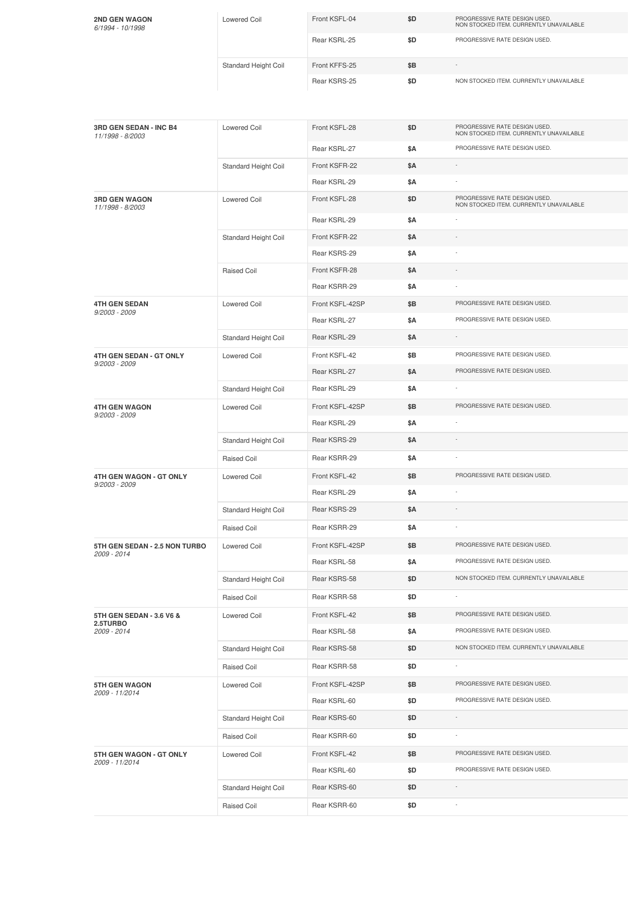| <b>2ND GEN WAGON</b><br>6/1994 - 10/1998   | <b>Lowered Coil</b>         | Front KSFL-04   | \$D | PROGRESSIVE RATE DESIGN USED.<br>NON STOCKED ITEM. CURRENTLY UNAVAILABLE |
|--------------------------------------------|-----------------------------|-----------------|-----|--------------------------------------------------------------------------|
|                                            |                             | Rear KSRL-25    | \$D | PROGRESSIVE RATE DESIGN USED.                                            |
|                                            | Standard Height Coil        | Front KFFS-25   | \$Β |                                                                          |
|                                            |                             | Rear KSRS-25    | \$D | NON STOCKED ITEM. CURRENTLY UNAVAILABLE                                  |
| 3RD GEN SEDAN - INC B4<br>11/1998 - 8/2003 | <b>Lowered Coil</b>         | Front KSFL-28   | \$D | PROGRESSIVE RATE DESIGN USED.<br>NON STOCKED ITEM. CURRENTLY UNAVAILABLE |
|                                            |                             | Rear KSRL-27    | \$Α | PROGRESSIVE RATE DESIGN USED.                                            |
|                                            | Standard Height Coil        | Front KSFR-22   | \$Α |                                                                          |
|                                            |                             | Rear KSRL-29    | \$Α |                                                                          |
| <b>3RD GEN WAGON</b><br>11/1998 - 8/2003   | <b>Lowered Coil</b>         | Front KSFL-28   | \$D | PROGRESSIVE RATE DESIGN USED.<br>NON STOCKED ITEM. CURRENTLY UNAVAILABLE |
|                                            |                             | Rear KSRL-29    | \$Α |                                                                          |
|                                            | Standard Height Coil        | Front KSFR-22   | \$Α |                                                                          |
|                                            |                             | Rear KSRS-29    | \$Α |                                                                          |
|                                            | Raised Coil                 | Front KSFR-28   | \$Α |                                                                          |
|                                            |                             | Rear KSRR-29    | \$Α |                                                                          |
| <b>4TH GEN SEDAN</b><br>$9/2003 - 2009$    | <b>Lowered Coil</b>         | Front KSFL-42SP | \$Β | PROGRESSIVE RATE DESIGN USED.                                            |
|                                            |                             | Rear KSRL-27    | \$Α | PROGRESSIVE RATE DESIGN USED.                                            |
|                                            | Standard Height Coil        | Rear KSRL-29    | \$Α |                                                                          |
| 4TH GEN SEDAN - GT ONLY<br>9/2003 - 2009   | <b>Lowered Coil</b>         | Front KSFL-42   | \$Β | PROGRESSIVE RATE DESIGN USED.                                            |
|                                            |                             | Rear KSRL-27    | \$Α | PROGRESSIVE RATE DESIGN USED.                                            |
|                                            | Standard Height Coil        | Rear KSRL-29    | \$Α |                                                                          |
| <b>4TH GEN WAGON</b>                       | Lowered Coil                | Front KSFL-42SP | \$Β | PROGRESSIVE RATE DESIGN USED.                                            |
| 9/2003 - 2009                              |                             | Rear KSRL-29    | \$Α |                                                                          |
|                                            | Standard Height Coil        | Rear KSRS-29    | \$Α |                                                                          |
|                                            | Raised Coil                 | Rear KSRR-29    | \$Α |                                                                          |
| 4TH GEN WAGON - GT ONLY                    | <b>Lowered Coil</b>         | Front KSFL-42   | \$Β | PROGRESSIVE RATE DESIGN USED.                                            |
| $9/2003 - 2009$                            |                             | Rear KSRL-29    | \$Α |                                                                          |
|                                            | Standard Height Coil        | Rear KSRS-29    | \$Α |                                                                          |
|                                            | Raised Coil                 | Rear KSRR-29    | \$Α |                                                                          |
| 5TH GEN SEDAN - 2.5 NON TURBO              | Lowered Coil                | Front KSFL-42SP | \$Β | PROGRESSIVE RATE DESIGN USED.                                            |
| 2009 - 2014                                |                             | Rear KSRL-58    | \$Α | PROGRESSIVE RATE DESIGN USED.                                            |
|                                            | <b>Standard Height Coil</b> | Rear KSRS-58    | \$D | NON STOCKED ITEM. CURRENTLY UNAVAILABLE                                  |
|                                            | Raised Coil                 | Rear KSRR-58    | \$D |                                                                          |
| 5TH GEN SEDAN - 3.6 V6 &                   | Lowered Coil                | Front KSFL-42   | \$Β | PROGRESSIVE RATE DESIGN USED.                                            |
| 2.5TURBO<br>2009 - 2014                    |                             | Rear KSRL-58    | \$Α | PROGRESSIVE RATE DESIGN USED.                                            |
|                                            | Standard Height Coil        | Rear KSRS-58    | \$D | NON STOCKED ITEM. CURRENTLY UNAVAILABLE                                  |
|                                            | Raised Coil                 | Rear KSRR-58    | \$D |                                                                          |
| <b>5TH GEN WAGON</b>                       | Lowered Coil                | Front KSFL-42SP | \$Β | PROGRESSIVE RATE DESIGN USED.                                            |
| 2009 - 11/2014                             |                             | Rear KSRL-60    | \$D | PROGRESSIVE RATE DESIGN USED.                                            |
|                                            | Standard Height Coil        | Rear KSRS-60    | \$D |                                                                          |
|                                            | Raised Coil                 | Rear KSRR-60    | \$D | $\sim$                                                                   |
| 5TH GEN WAGON - GT ONLY                    | Lowered Coil                | Front KSFL-42   | \$Β | PROGRESSIVE RATE DESIGN USED.                                            |
| 2009 - 11/2014                             |                             | Rear KSRL-60    | \$D | PROGRESSIVE RATE DESIGN USED.                                            |
|                                            | Standard Height Coil        | Rear KSRS-60    | \$D |                                                                          |
|                                            | Raised Coil                 | Rear KSRR-60    | \$D |                                                                          |
|                                            |                             |                 |     |                                                                          |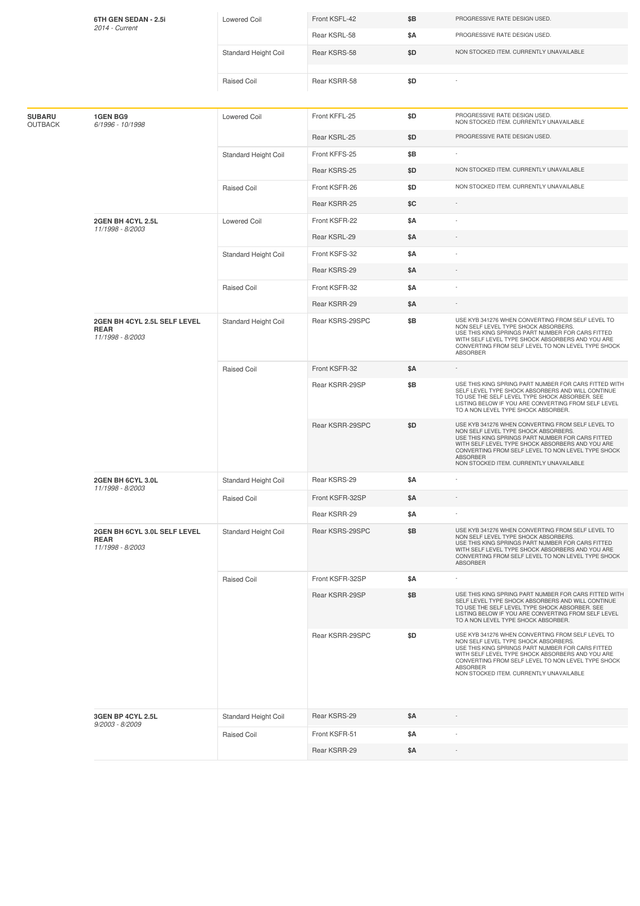| 6TH GEN SEDAN - 2.5i            |                                                                 | Lowered Coil         | Front KSFL-42   | \$Β        | PROGRESSIVE RATE DESIGN USED.                                                                                                                                                                                                                                                                                   |
|---------------------------------|-----------------------------------------------------------------|----------------------|-----------------|------------|-----------------------------------------------------------------------------------------------------------------------------------------------------------------------------------------------------------------------------------------------------------------------------------------------------------------|
|                                 | 2014 - Current                                                  |                      | Rear KSRL-58    | \$Α        | PROGRESSIVE RATE DESIGN USED.                                                                                                                                                                                                                                                                                   |
|                                 |                                                                 | Standard Height Coil | Rear KSRS-58    | \$D        | NON STOCKED ITEM. CURRENTLY UNAVAILABLE                                                                                                                                                                                                                                                                         |
|                                 |                                                                 |                      |                 |            |                                                                                                                                                                                                                                                                                                                 |
|                                 |                                                                 | <b>Raised Coil</b>   | Rear KSRR-58    | \$D        |                                                                                                                                                                                                                                                                                                                 |
|                                 |                                                                 |                      |                 |            |                                                                                                                                                                                                                                                                                                                 |
| <b>SUBARU</b><br><b>OUTBACK</b> | <b>1GEN BG9</b><br>6/1996 - 10/1998                             | Lowered Coil         | Front KFFL-25   | \$D        | PROGRESSIVE RATE DESIGN USED.<br>NON STOCKED ITEM. CURRENTLY UNAVAILABLE                                                                                                                                                                                                                                        |
|                                 |                                                                 |                      | Rear KSRL-25    | \$D        | PROGRESSIVE RATE DESIGN USED.                                                                                                                                                                                                                                                                                   |
|                                 |                                                                 | Standard Height Coil | Front KFFS-25   | \$B        |                                                                                                                                                                                                                                                                                                                 |
|                                 |                                                                 |                      | Rear KSRS-25    | \$D        | NON STOCKED ITEM. CURRENTLY UNAVAILABLE                                                                                                                                                                                                                                                                         |
|                                 |                                                                 | <b>Raised Coil</b>   | Front KSFR-26   | \$D        | NON STOCKED ITEM. CURRENTLY UNAVAILABLE                                                                                                                                                                                                                                                                         |
|                                 |                                                                 |                      | Rear KSRR-25    | \$C        | $\sim$                                                                                                                                                                                                                                                                                                          |
|                                 | 2GEN BH 4CYL 2.5L<br>11/1998 - 8/2003                           | Lowered Coil         | Front KSFR-22   | \$Α        |                                                                                                                                                                                                                                                                                                                 |
|                                 |                                                                 |                      | Rear KSRL-29    | \$Α        |                                                                                                                                                                                                                                                                                                                 |
|                                 |                                                                 | Standard Height Coil | Front KSFS-32   | \$Α        |                                                                                                                                                                                                                                                                                                                 |
|                                 |                                                                 |                      | Rear KSRS-29    | \$Α        |                                                                                                                                                                                                                                                                                                                 |
|                                 |                                                                 | <b>Raised Coil</b>   | Front KSFR-32   | \$Α        |                                                                                                                                                                                                                                                                                                                 |
|                                 |                                                                 |                      | Rear KSRR-29    | \$Α        |                                                                                                                                                                                                                                                                                                                 |
|                                 | 2GEN BH 4CYL 2.5L SELF LEVEL<br><b>REAR</b><br>11/1998 - 8/2003 | Standard Height Coil | Rear KSRS-29SPC | \$Β        | USE KYB 341276 WHEN CONVERTING FROM SELF LEVEL TO<br>NON SELF LEVEL TYPE SHOCK ABSORBERS.<br>USE THIS KING SPRINGS PART NUMBER FOR CARS FITTED<br>WITH SELF LEVEL TYPE SHOCK ABSORBERS AND YOU ARE<br>CONVERTING FROM SELF LEVEL TO NON LEVEL TYPE SHOCK<br>ABSORBER                                            |
|                                 |                                                                 | <b>Raised Coil</b>   | Front KSFR-32   | <b>\$A</b> |                                                                                                                                                                                                                                                                                                                 |
|                                 |                                                                 |                      | Rear KSRR-29SP  | \$B        | USE THIS KING SPRING PART NUMBER FOR CARS FITTED WITH<br>SELF LEVEL TYPE SHOCK ABSORBERS AND WILL CONTINUE<br>TO USE THE SELF LEVEL TYPE SHOCK ABSORBER. SEE<br>LISTING BELOW IF YOU ARE CONVERTING FROM SELF LEVEL<br>TO A NON LEVEL TYPE SHOCK ABSORBER.                                                      |
|                                 |                                                                 |                      | Rear KSRR-29SPC | \$D        | USE KYB 341276 WHEN CONVERTING FROM SELF LEVEL TO<br>NON SELF LEVEL TYPE SHOCK ABSORBERS.<br>USE THIS KING SPRINGS PART NUMBER FOR CARS FITTED<br>WITH SELF LEVEL TYPE SHOCK ABSORBERS AND YOU ARE<br>CONVERTING FROM SELF LEVEL TO NON LEVEL TYPE SHOCK<br>ABSORBER<br>NON STOCKED ITEM. CURRENTLY UNAVAILABLE |
|                                 | 2GEN BH 6CYL 3.0L                                               | Standard Height Coil | Rear KSRS-29    | \$Α        |                                                                                                                                                                                                                                                                                                                 |
|                                 | 11/1998 - 8/2003                                                | <b>Raised Coil</b>   | Front KSFR-32SP | \$Α        |                                                                                                                                                                                                                                                                                                                 |
|                                 |                                                                 |                      | Rear KSRR-29    | \$Α        |                                                                                                                                                                                                                                                                                                                 |
|                                 | 2GEN BH 6CYL 3.0L SELF LEVEL<br><b>REAR</b><br>11/1998 - 8/2003 | Standard Height Coil | Rear KSRS-29SPC | \$Β        | USE KYB 341276 WHEN CONVERTING FROM SELF LEVEL TO<br>NON SELF LEVEL TYPE SHOCK ABSORBERS.<br>USE THIS KING SPRINGS PART NUMBER FOR CARS FITTED<br>WITH SELF LEVEL TYPE SHOCK ABSORBERS AND YOU ARE<br>CONVERTING FROM SELF LEVEL TO NON LEVEL TYPE SHOCK<br>ABSORBER                                            |
|                                 |                                                                 | <b>Raised Coil</b>   | Front KSFR-32SP | \$Α        |                                                                                                                                                                                                                                                                                                                 |
|                                 |                                                                 |                      | Rear KSRR-29SP  | \$Β        | USE THIS KING SPRING PART NUMBER FOR CARS FITTED WITH<br>SELF LEVEL TYPE SHOCK ABSORBERS AND WILL CONTINUE<br>TO USE THE SELF LEVEL TYPE SHOCK ABSORBER. SEE<br>LISTING BELOW IF YOU ARE CONVERTING FROM SELF LEVEL<br>TO A NON LEVEL TYPE SHOCK ABSORBER.                                                      |
|                                 |                                                                 |                      | Rear KSRR-29SPC | \$D        | USE KYB 341276 WHEN CONVERTING FROM SELF LEVEL TO<br>NON SELF LEVEL TYPE SHOCK ABSORBERS.<br>USE THIS KING SPRINGS PART NUMBER FOR CARS FITTED<br>WITH SELF LEVEL TYPE SHOCK ABSORBERS AND YOU ARE<br>CONVERTING FROM SELF LEVEL TO NON LEVEL TYPE SHOCK<br>ABSORBER<br>NON STOCKED ITEM. CURRENTLY UNAVAILABLE |
|                                 | 3GEN BP 4CYL 2.5L                                               | Standard Height Coil | Rear KSRS-29    | \$Α        |                                                                                                                                                                                                                                                                                                                 |
|                                 | 9/2003 - 8/2009                                                 | Raised Coil          | Front KSFR-51   | \$Α        |                                                                                                                                                                                                                                                                                                                 |
|                                 |                                                                 |                      | Rear KSRR-29    | \$Α        |                                                                                                                                                                                                                                                                                                                 |
|                                 |                                                                 |                      |                 |            |                                                                                                                                                                                                                                                                                                                 |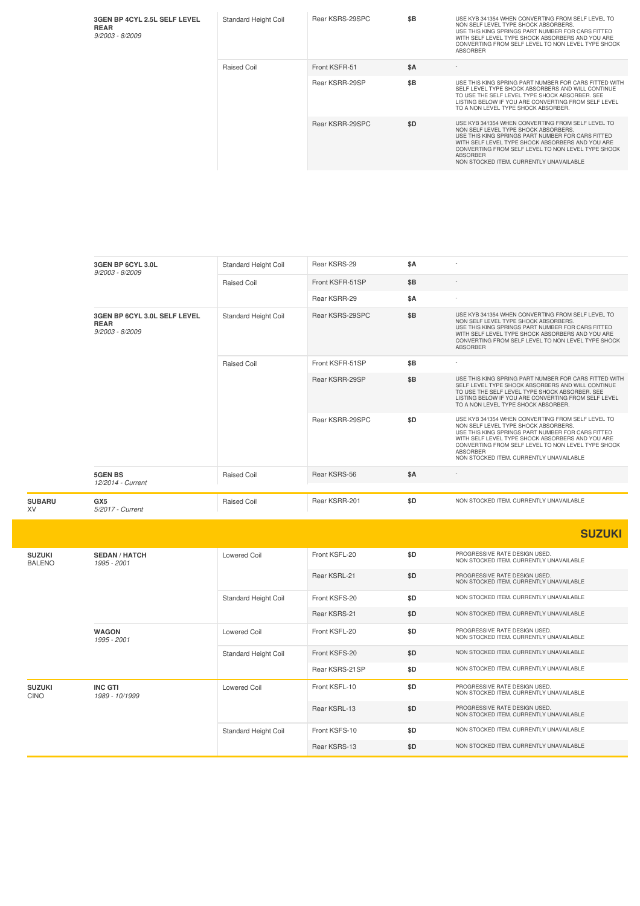| 3GEN BP 4CYL 2.5L SELF LEVEL<br><b>REAR</b><br>$9/2003 - 8/2009$ | <b>Standard Height Coil</b> | Rear KSRS-29SPC | \$B | USE KYB 341354 WHEN CONVERTING FROM SELF LEVEL TO<br>NON SELF LEVEL TYPE SHOCK ABSORBERS.<br>USE THIS KING SPRINGS PART NUMBER FOR CARS FITTED<br>WITH SELF LEVEL TYPE SHOCK ABSORBERS AND YOU ARE<br>CONVERTING FROM SELF LEVEL TO NON LEVEL TYPE SHOCK<br><b>ABSORBER</b>                                            |
|------------------------------------------------------------------|-----------------------------|-----------------|-----|------------------------------------------------------------------------------------------------------------------------------------------------------------------------------------------------------------------------------------------------------------------------------------------------------------------------|
|                                                                  | Raised Coil                 | Front KSFR-51   | \$A |                                                                                                                                                                                                                                                                                                                        |
|                                                                  |                             | Rear KSRR-29SP  | \$B | USE THIS KING SPRING PART NUMBER FOR CARS FITTED WITH<br>SELF LEVEL TYPE SHOCK ABSORBERS AND WILL CONTINUE<br>TO USE THE SELF LEVEL TYPE SHOCK ABSORBER, SEE<br>LISTING BELOW IF YOU ARE CONVERTING FROM SELF LEVEL<br>TO A NON LEVEL TYPE SHOCK ABSORBER.                                                             |
|                                                                  |                             | Rear KSRR-29SPC | \$D | USE KYB 341354 WHEN CONVERTING FROM SELF LEVEL TO<br>NON SELF LEVEL TYPE SHOCK ABSORBERS.<br>USE THIS KING SPRINGS PART NUMBER FOR CARS FITTED<br>WITH SELF LEVEL TYPE SHOCK ABSORBERS AND YOU ARE<br>CONVERTING FROM SELF LEVEL TO NON LEVEL TYPE SHOCK<br><b>ABSORBER</b><br>NON STOCKED ITEM. CURRENTLY UNAVAILABLE |

|                     | 3GEN BP 6CYL 3.0L<br>$9/2003 - 8/2009$                           | Standard Height Coil | Rear KSRS-29    | \$A |                                                                                                                                                                                                                                                                                                                        |
|---------------------|------------------------------------------------------------------|----------------------|-----------------|-----|------------------------------------------------------------------------------------------------------------------------------------------------------------------------------------------------------------------------------------------------------------------------------------------------------------------------|
|                     |                                                                  | Raised Coil          | Front KSFR-51SP | \$B |                                                                                                                                                                                                                                                                                                                        |
|                     |                                                                  |                      | Rear KSRR-29    | \$A |                                                                                                                                                                                                                                                                                                                        |
|                     | 3GEN BP 6CYL 3.0L SELF LEVEL<br><b>REAR</b><br>$9/2003 - 8/2009$ | Standard Height Coil | Rear KSRS-29SPC | \$B | USE KYB 341354 WHEN CONVERTING FROM SELF LEVEL TO<br>NON SELF LEVEL TYPE SHOCK ABSORBERS.<br>USE THIS KING SPRINGS PART NUMBER FOR CARS FITTED<br>WITH SELF LEVEL TYPE SHOCK ABSORBERS AND YOU ARE<br>CONVERTING FROM SELF LEVEL TO NON LEVEL TYPE SHOCK<br><b>ABSORBER</b>                                            |
|                     |                                                                  | <b>Raised Coil</b>   | Front KSFR-51SP | \$B |                                                                                                                                                                                                                                                                                                                        |
|                     |                                                                  |                      | Rear KSRR-29SP  | \$B | USE THIS KING SPRING PART NUMBER FOR CARS FITTED WITH<br>SELF LEVEL TYPE SHOCK ABSORBERS AND WILL CONTINUE<br>TO USE THE SELF LEVEL TYPE SHOCK ABSORBER. SEE<br>LISTING BELOW IF YOU ARE CONVERTING FROM SELF LEVEL<br>TO A NON LEVEL TYPE SHOCK ABSORBER.                                                             |
|                     |                                                                  |                      | Rear KSRR-29SPC | \$D | USE KYB 341354 WHEN CONVERTING FROM SELF LEVEL TO<br>NON SELF LEVEL TYPE SHOCK ABSORBERS.<br>USE THIS KING SPRINGS PART NUMBER FOR CARS FITTED<br>WITH SELF LEVEL TYPE SHOCK ABSORBERS AND YOU ARE<br>CONVERTING FROM SELF LEVEL TO NON LEVEL TYPE SHOCK<br><b>ABSORBER</b><br>NON STOCKED ITEM. CURRENTLY UNAVAILABLE |
|                     | <b>5GEN BS</b><br>12/2014 - Current                              | Raised Coil          | Rear KSRS-56    | \$A |                                                                                                                                                                                                                                                                                                                        |
| <b>SUBARU</b><br>XV | GX <sub>5</sub><br>5/2017 - Current                              | Raised Coil          | Rear KSRR-201   | \$D | NON STOCKED ITEM. CURRENTLY UNAVAILABLE                                                                                                                                                                                                                                                                                |

|                                |                                     |                             |                |     | <b>SUZUKI</b>                                                            |
|--------------------------------|-------------------------------------|-----------------------------|----------------|-----|--------------------------------------------------------------------------|
| <b>SUZUKI</b><br><b>BALENO</b> | <b>SEDAN / HATCH</b><br>1995 - 2001 | Lowered Coil                | Front KSFL-20  | \$D | PROGRESSIVE RATE DESIGN USED.<br>NON STOCKED ITEM. CURRENTLY UNAVAILABLE |
|                                |                                     |                             | Rear KSRL-21   | \$D | PROGRESSIVE RATE DESIGN USED.<br>NON STOCKED ITEM. CURRENTLY UNAVAILABLE |
|                                |                                     | Standard Height Coil        | Front KSFS-20  | \$D | NON STOCKED ITEM. CURRENTLY UNAVAILABLE                                  |
|                                |                                     |                             | Rear KSRS-21   | \$D | NON STOCKED ITEM. CURRENTLY UNAVAILABLE                                  |
| <b>WAGON</b><br>1995 - 2001    |                                     | Lowered Coil                | Front KSFL-20  | \$D | PROGRESSIVE RATE DESIGN USED.<br>NON STOCKED ITEM. CURRENTLY UNAVAILABLE |
|                                |                                     | Standard Height Coil        | Front KSFS-20  | \$D | NON STOCKED ITEM. CURRENTLY UNAVAILABLE                                  |
|                                |                                     |                             | Rear KSRS-21SP | \$D | NON STOCKED ITEM. CURRENTLY UNAVAILABLE                                  |
| <b>SUZUKI</b><br>CINO          | <b>INC GTI</b><br>1989 - 10/1999    | <b>Lowered Coil</b>         | Front KSFL-10  | \$D | PROGRESSIVE RATE DESIGN USED.<br>NON STOCKED ITEM. CURRENTLY UNAVAILABLE |
|                                |                                     |                             | Rear KSRL-13   | \$D | PROGRESSIVE RATE DESIGN USED.<br>NON STOCKED ITEM. CURRENTLY UNAVAILABLE |
|                                |                                     | <b>Standard Height Coil</b> | Front KSFS-10  | \$D | NON STOCKED ITEM. CURRENTLY UNAVAILABLE                                  |
|                                |                                     |                             | Rear KSRS-13   | \$D | NON STOCKED ITEM. CURRENTLY UNAVAILABLE                                  |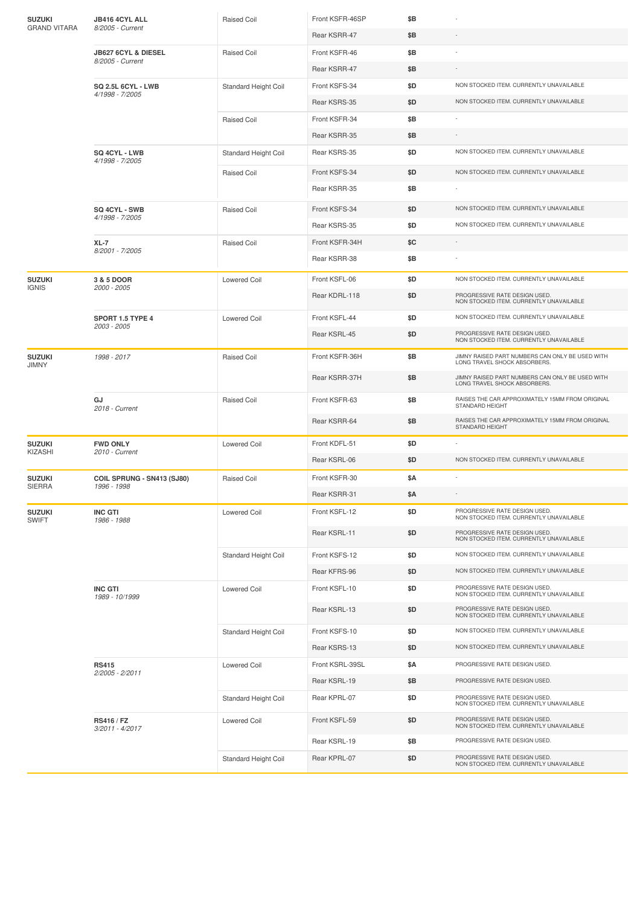| <b>SUZUKI</b><br><b>GRAND VITARA</b> | JB416 4CYL ALL<br>8/2005 - Current                 | <b>Raised Coil</b>   | Front KSFR-46SP | \$Β |                                                                                 |
|--------------------------------------|----------------------------------------------------|----------------------|-----------------|-----|---------------------------------------------------------------------------------|
|                                      |                                                    |                      | Rear KSRR-47    | \$Β |                                                                                 |
|                                      | <b>JB627 6CYL &amp; DIESEL</b><br>8/2005 - Current | Raised Coil          | Front KSFR-46   | \$B |                                                                                 |
|                                      |                                                    |                      | Rear KSRR-47    | \$B |                                                                                 |
|                                      | <b>SQ 2.5L 6CYL - LWB</b>                          | Standard Height Coil | Front KSFS-34   | \$D | NON STOCKED ITEM. CURRENTLY UNAVAILABLE                                         |
|                                      | 4/1998 - 7/2005                                    |                      | Rear KSRS-35    | \$D | NON STOCKED ITEM. CURRENTLY UNAVAILABLE                                         |
|                                      |                                                    | Raised Coil          | Front KSFR-34   | \$B |                                                                                 |
|                                      |                                                    |                      | Rear KSRR-35    | \$B |                                                                                 |
|                                      | SQ 4CYL - LWB<br>4/1998 - 7/2005                   | Standard Height Coil | Rear KSRS-35    | \$D | NON STOCKED ITEM. CURRENTLY UNAVAILABLE                                         |
|                                      |                                                    | Raised Coil          | Front KSFS-34   | \$D | NON STOCKED ITEM. CURRENTLY UNAVAILABLE                                         |
|                                      |                                                    |                      | Rear KSRR-35    | \$Β |                                                                                 |
|                                      | <b>SQ 4CYL - SWB</b><br>4/1998 - 7/2005            | Raised Coil          | Front KSFS-34   | \$D | NON STOCKED ITEM. CURRENTLY UNAVAILABLE                                         |
|                                      |                                                    |                      | Rear KSRS-35    | \$D | NON STOCKED ITEM. CURRENTLY UNAVAILABLE                                         |
|                                      | XL-7<br>8/2001 - 7/2005                            | Raised Coil          | Front KSFR-34H  | \$C |                                                                                 |
|                                      |                                                    |                      | Rear KSRR-38    | \$Β |                                                                                 |
| <b>SUZUKI</b><br><b>IGNIS</b>        | 3 & 5 DOOR<br>2000 - 2005                          | <b>Lowered Coil</b>  | Front KSFL-06   | \$D | NON STOCKED ITEM. CURRENTLY UNAVAILABLE                                         |
|                                      |                                                    |                      | Rear KDRL-118   | \$D | PROGRESSIVE RATE DESIGN USED.<br>NON STOCKED ITEM. CURRENTLY UNAVAILABLE        |
|                                      | SPORT 1.5 TYPE 4<br>2003 - 2005                    | <b>Lowered Coil</b>  | Front KSFL-44   | \$D | NON STOCKED ITEM. CURRENTLY UNAVAILABLE                                         |
|                                      |                                                    |                      | Rear KSRL-45    | \$D | PROGRESSIVE RATE DESIGN USED.<br>NON STOCKED ITEM. CURRENTLY UNAVAILABLE        |
| <b>SUZUKI</b><br><b>JIMNY</b>        | 1998 - 2017                                        | Raised Coil          | Front KSFR-36H  | \$Β | JIMNY RAISED PART NUMBERS CAN ONLY BE USED WITH<br>LONG TRAVEL SHOCK ABSORBERS. |
|                                      |                                                    |                      | Rear KSRR-37H   | \$Β | JIMNY RAISED PART NUMBERS CAN ONLY BE USED WITH<br>LONG TRAVEL SHOCK ABSORBERS. |
|                                      | GJ<br>2018 - Current                               | <b>Raised Coil</b>   | Front KSFR-63   | \$B | RAISES THE CAR APPROXIMATELY 15MM FROM ORIGINAL<br>STANDARD HEIGHT              |
|                                      |                                                    |                      | Rear KSRR-64    | \$Β | RAISES THE CAR APPROXIMATELY 15MM FROM ORIGINAL<br>STANDARD HEIGHT              |
| <b>SUZUKI</b><br>KIZASHI             | <b>FWD ONLY</b><br>2010 - Current                  | Lowered Coil         | Front KDFL-51   | \$D |                                                                                 |
|                                      |                                                    |                      | Rear KSRL-06    | \$D | NON STOCKED ITEM. CURRENTLY UNAVAILABLE                                         |
| <b>SUZUKI</b><br><b>SIERRA</b>       | COIL SPRUNG - SN413 (SJ80)<br>1996 - 1998          | Raised Coil          | Front KSFR-30   | \$Α |                                                                                 |
|                                      |                                                    |                      | Rear KSRR-31    | \$Α |                                                                                 |
| <b>SUZUKI</b><br>SWIFT               | <b>INC GTI</b><br>1986 - 1988                      | <b>Lowered Coil</b>  | Front KSFL-12   | \$D | PROGRESSIVE RATE DESIGN USED.<br>NON STOCKED ITEM. CURRENTLY UNAVAILABLE        |
|                                      |                                                    |                      | Rear KSRL-11    | \$D | PROGRESSIVE RATE DESIGN USED.<br>NON STOCKED ITEM. CURRENTLY UNAVAILABLE        |
|                                      |                                                    | Standard Height Coil | Front KSFS-12   | \$D | NON STOCKED ITEM. CURRENTLY UNAVAILABLE                                         |
|                                      |                                                    |                      | Rear KFRS-96    | \$D | NON STOCKED ITEM. CURRENTLY UNAVAILABLE                                         |
|                                      | <b>INC GTI</b><br>1989 - 10/1999                   | <b>Lowered Coil</b>  | Front KSFL-10   | \$D | PROGRESSIVE RATE DESIGN USED.<br>NON STOCKED ITEM. CURRENTLY UNAVAILABLE        |
|                                      |                                                    |                      | Rear KSRL-13    | \$D | PROGRESSIVE RATE DESIGN USED.<br>NON STOCKED ITEM. CURRENTLY UNAVAILABLE        |
|                                      |                                                    | Standard Height Coil | Front KSFS-10   | \$D | NON STOCKED ITEM. CURRENTLY UNAVAILABLE                                         |
|                                      |                                                    |                      | Rear KSRS-13    | \$D | NON STOCKED ITEM. CURRENTLY UNAVAILABLE                                         |
|                                      | <b>RS415</b><br>2/2005 - 2/2011                    | Lowered Coil         | Front KSRL-39SL | \$Α | PROGRESSIVE RATE DESIGN USED.                                                   |
|                                      |                                                    |                      | Rear KSRL-19    | \$Β | PROGRESSIVE RATE DESIGN USED.                                                   |
|                                      |                                                    | Standard Height Coil | Rear KPRL-07    | \$D | PROGRESSIVE RATE DESIGN USED.<br>NON STOCKED ITEM. CURRENTLY UNAVAILABLE        |
|                                      | RS416 / FZ<br>3/2011 - 4/2017                      | Lowered Coil         | Front KSFL-59   | \$D | PROGRESSIVE RATE DESIGN USED.<br>NON STOCKED ITEM. CURRENTLY UNAVAILABLE        |
|                                      |                                                    |                      | Rear KSRL-19    | \$Β | PROGRESSIVE RATE DESIGN USED.                                                   |
|                                      |                                                    | Standard Height Coil | Rear KPRL-07    | \$D | PROGRESSIVE RATE DESIGN USED.<br>NON STOCKED ITEM. CURRENTLY UNAVAILABLE        |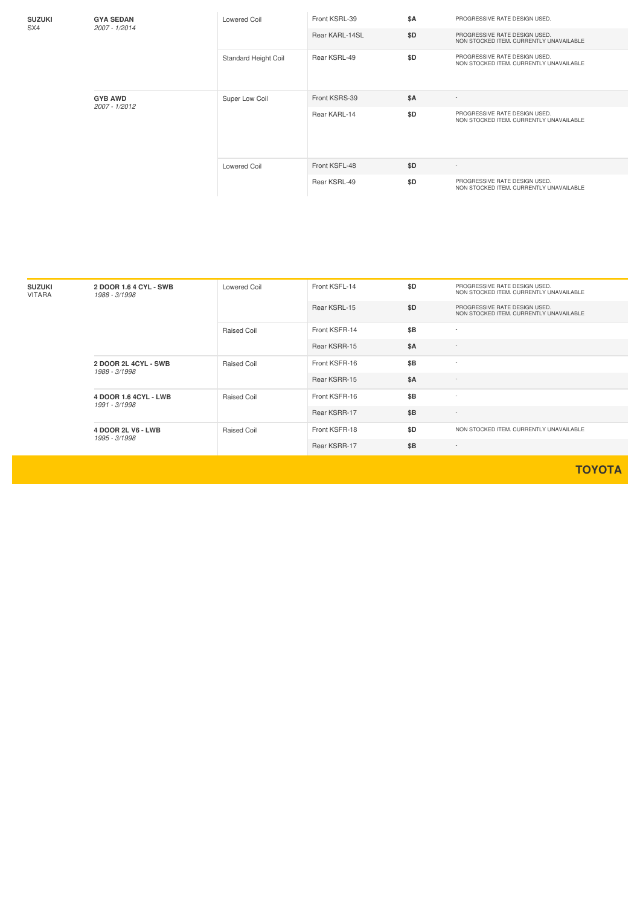| <b>SUZUKI</b><br>SX4            | <b>GYA SEDAN</b><br>2007 - 1/2014 | Lowered Coil         | Front KSRL-39  | <b>\$A</b> | PROGRESSIVE RATE DESIGN USED.                                            |
|---------------------------------|-----------------------------------|----------------------|----------------|------------|--------------------------------------------------------------------------|
|                                 |                                   |                      | Rear KARL-14SL | \$D        | PROGRESSIVE RATE DESIGN USED.<br>NON STOCKED ITEM. CURRENTLY UNAVAILABLE |
| <b>GYB AWD</b><br>2007 - 1/2012 |                                   | Standard Height Coil | Rear KSRL-49   | \$D        | PROGRESSIVE RATE DESIGN USED.<br>NON STOCKED ITEM. CURRENTLY UNAVAILABLE |
|                                 |                                   | Super Low Coil       | Front KSRS-39  | <b>\$A</b> |                                                                          |
|                                 |                                   |                      | Rear KARL-14   | \$D        | PROGRESSIVE RATE DESIGN USED.<br>NON STOCKED ITEM, CURRENTLY UNAVAILABLE |
|                                 |                                   | Lowered Coil         | Front KSFL-48  | \$D        | $\sim$                                                                   |
|                                 |                                   |                      | Rear KSRL-49   | \$D        | PROGRESSIVE RATE DESIGN USED.<br>NON STOCKED ITEM. CURRENTLY UNAVAILABLE |

| <b>SUZUKI</b><br><b>VITARA</b> | 2 DOOR 1.6 4 CYL - SWB<br>1988 - 3/1998 | Lowered Coil | Front KSFL-14 | \$D | PROGRESSIVE RATE DESIGN USED.<br>NON STOCKED ITEM. CURRENTLY UNAVAILABLE |
|--------------------------------|-----------------------------------------|--------------|---------------|-----|--------------------------------------------------------------------------|
|                                |                                         |              | Rear KSRL-15  | \$D | PROGRESSIVE RATE DESIGN USED.<br>NON STOCKED ITEM, CURRENTLY UNAVAILABLE |
|                                |                                         | Raised Coil  | Front KSFR-14 | \$B | $\sim$                                                                   |
|                                |                                         |              | Rear KSRR-15  | \$A | $\sim$                                                                   |
|                                | 2 DOOR 2L 4CYL - SWB<br>1988 - 3/1998   | Raised Coil  | Front KSFR-16 | \$B | $\sim$                                                                   |
|                                |                                         |              | Rear KSRR-15  | \$A | $\sim$                                                                   |
|                                | 4 DOOR 1.6 4CYL - LWB<br>1991 - 3/1998  | Raised Coil  | Front KSFR-16 | \$B | $\sim$                                                                   |
|                                |                                         |              | Rear KSRR-17  | \$B | $\sim$                                                                   |
|                                | 4 DOOR 2L V6 - LWB<br>1995 - 3/1998     | Raised Coil  | Front KSFR-18 | \$D | NON STOCKED ITEM. CURRENTLY UNAVAILABLE                                  |
|                                |                                         |              | Rear KSRR-17  | \$B | $\sim$                                                                   |

**TOYOTA**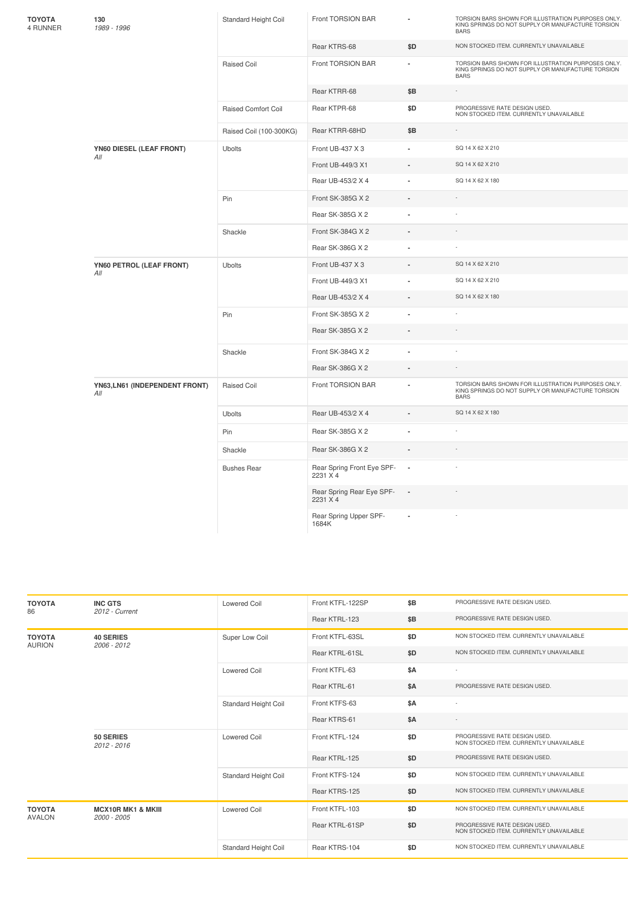| ΤΟΥΟΤΑ<br>4 RUNNER | 130<br>1989 - 1996                    | Standard Height Coil       | Front TORSION BAR                      |                | TORSION BARS SHOWN FOR ILLUSTRATION PURPOSES ONLY.<br>KING SPRINGS DO NOT SUPPLY OR MANUFACTURE TORSION<br><b>BARS</b> |
|--------------------|---------------------------------------|----------------------------|----------------------------------------|----------------|------------------------------------------------------------------------------------------------------------------------|
|                    |                                       |                            | Rear KTRS-68                           | \$D            | NON STOCKED ITEM. CURRENTLY UNAVAILABLE                                                                                |
|                    |                                       | <b>Raised Coil</b>         | Front TORSION BAR                      |                | TORSION BARS SHOWN FOR ILLUSTRATION PURPOSES ONLY.<br>KING SPRINGS DO NOT SUPPLY OR MANUFACTURE TORSION<br><b>BARS</b> |
|                    |                                       |                            | Rear KTRR-68                           | \$B            | $\sim$                                                                                                                 |
|                    |                                       | <b>Raised Comfort Coil</b> | Rear KTPR-68                           | \$D            | PROGRESSIVE RATE DESIGN USED.<br>NON STOCKED ITEM. CURRENTLY UNAVAILABLE                                               |
|                    |                                       | Raised Coil (100-300KG)    | Rear KTRR-68HD                         | \$Β            | $\sim$                                                                                                                 |
|                    | YN60 DIESEL (LEAF FRONT)<br>All       | <b>Ubolts</b>              | Front UB-437 X 3                       | i.             | SQ 14 X 62 X 210                                                                                                       |
|                    |                                       |                            | Front UB-449/3 X1                      |                | SQ 14 X 62 X 210                                                                                                       |
|                    |                                       |                            | Rear UB-453/2 X 4                      | ä,             | SQ 14 X 62 X 180                                                                                                       |
|                    |                                       | Pin                        | Front SK-385G X 2                      | ÷,             |                                                                                                                        |
|                    |                                       |                            | Rear SK-385G X 2                       | ä,             |                                                                                                                        |
|                    |                                       | Shackle                    | Front SK-384G X 2                      | ÷,             |                                                                                                                        |
|                    |                                       |                            | Rear SK-386G X 2                       |                |                                                                                                                        |
|                    | YN60 PETROL (LEAF FRONT)<br>All       | <b>Ubolts</b>              | Front UB-437 X 3                       |                | SQ 14 X 62 X 210                                                                                                       |
|                    |                                       |                            | Front UB-449/3 X1                      |                | SQ 14 X 62 X 210                                                                                                       |
|                    |                                       |                            | Rear UB-453/2 X 4                      | $\blacksquare$ | SQ 14 X 62 X 180                                                                                                       |
|                    |                                       | Pin                        | Front SK-385G X 2                      | $\blacksquare$ |                                                                                                                        |
|                    |                                       |                            | Rear SK-385G X 2                       | ÷,             |                                                                                                                        |
|                    |                                       | Shackle                    | Front SK-384G X 2                      | ä,             |                                                                                                                        |
|                    |                                       |                            | Rear SK-386G X 2                       | ÷,             |                                                                                                                        |
|                    | YN63, LN61 (INDEPENDENT FRONT)<br>All | Raised Coil                | Front TORSION BAR                      | ä,             | TORSION BARS SHOWN FOR ILLUSTRATION PURPOSES ONLY.<br>KING SPRINGS DO NOT SUPPLY OR MANUFACTURE TORSION<br><b>BARS</b> |
|                    |                                       | Ubolts                     | Rear UB-453/2 X 4                      |                | SQ 14 X 62 X 180                                                                                                       |
|                    |                                       | Pin                        | Rear SK-385G X 2                       | ä,             |                                                                                                                        |
|                    |                                       | Shackle                    | Rear SK-386G X 2                       | ä,             |                                                                                                                        |
|                    |                                       | <b>Bushes Rear</b>         | Rear Spring Front Eye SPF-<br>2231 X 4 | $\cdot$        |                                                                                                                        |
|                    |                                       |                            | Rear Spring Rear Eye SPF-<br>2231 X 4  | $\blacksquare$ |                                                                                                                        |
|                    |                                       |                            | Rear Spring Upper SPF-<br>1684K        |                |                                                                                                                        |

| <b>TOYOTA</b><br>86            | <b>INC GTS</b><br>2012 - Current             | <b>Lowered Coil</b>  |                 | \$B        | PROGRESSIVE RATE DESIGN USED.                                            |
|--------------------------------|----------------------------------------------|----------------------|-----------------|------------|--------------------------------------------------------------------------|
|                                |                                              |                      | Rear KTRL-123   | \$B        | PROGRESSIVE RATE DESIGN USED.                                            |
| <b>TOYOTA</b><br><b>AURION</b> | <b>40 SERIES</b><br>$2006 - 2012$            | Super Low Coil       | Front KTFL-63SL | \$D        | NON STOCKED ITEM. CURRENTLY UNAVAILABLE                                  |
|                                |                                              |                      | Rear KTRL-61SL  | \$D        | NON STOCKED ITEM. CURRENTLY UNAVAILABLE                                  |
|                                |                                              | Lowered Coil         | Front KTFL-63   | \$A        |                                                                          |
|                                |                                              |                      | Rear KTRL-61    | <b>\$A</b> | PROGRESSIVE RATE DESIGN USED.                                            |
|                                |                                              | Standard Height Coil | Front KTFS-63   | \$A        |                                                                          |
|                                |                                              |                      | Rear KTRS-61    | <b>\$A</b> |                                                                          |
|                                | 50 SERIES<br>2012 - 2016                     | Lowered Coil         | Front KTFL-124  | \$D        | PROGRESSIVE RATE DESIGN USED.<br>NON STOCKED ITEM. CURRENTLY UNAVAILABLE |
|                                |                                              |                      | Rear KTRL-125   | \$D        | PROGRESSIVE RATE DESIGN USED.                                            |
|                                |                                              | Standard Height Coil | Front KTFS-124  | \$D        | NON STOCKED ITEM, CURRENTLY UNAVAILABLE                                  |
|                                |                                              |                      | Rear KTRS-125   | \$D        | NON STOCKED ITEM. CURRENTLY UNAVAILABLE                                  |
| <b>TOYOTA</b><br><b>AVALON</b> | <b>MCX10R MK1 &amp; MKIII</b><br>2000 - 2005 | <b>Lowered Coil</b>  | Front KTFL-103  | \$D        | NON STOCKED ITEM. CURRENTLY UNAVAILABLE                                  |
|                                |                                              |                      | Rear KTRL-61SP  | \$D        | PROGRESSIVE RATE DESIGN USED.<br>NON STOCKED ITEM. CURRENTLY UNAVAILABLE |
|                                |                                              | Standard Height Coil | Rear KTRS-104   | \$D        | NON STOCKED ITEM, CURRENTLY UNAVAILABLE                                  |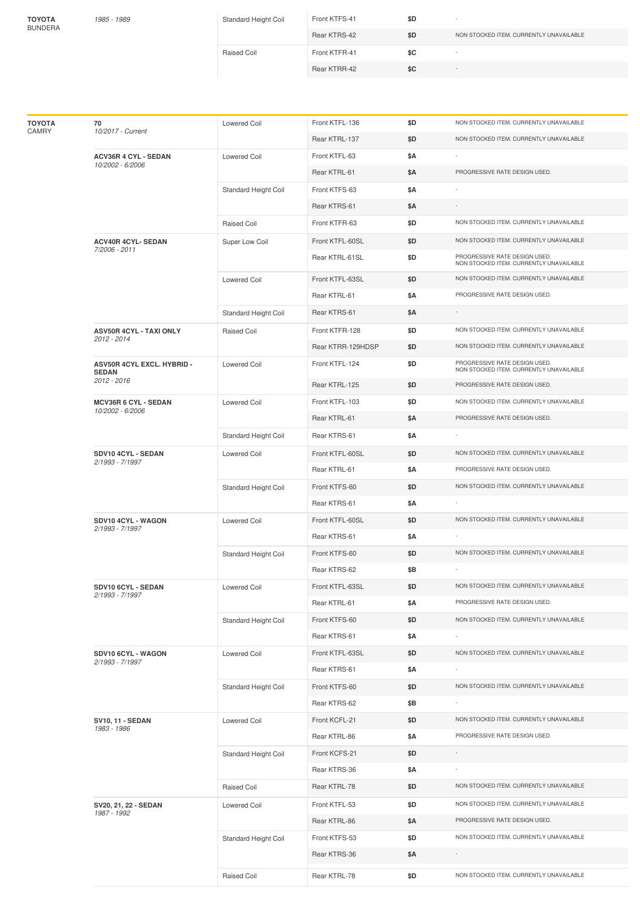**TOYOTA** BUNDERA

| 1985 - 1989 | Standard Height Coil | Front KTFS-41 | \$D |                                         |
|-------------|----------------------|---------------|-----|-----------------------------------------|
|             |                      | Rear KTRS-42  | \$D | NON STOCKED ITEM, CURRENTLY UNAVAILABLE |
|             | Raised Coil          | Front KTFR-41 | \$C |                                         |
|             |                      | Rear KTRR-42  | \$C | $\sim$                                  |

| ΤΟΥΟΤΑ<br>CAMRY | 70<br>10/2017 - Current                         | <b>Lowered Coil</b>  | Front KTFL-136    | \$D | NON STOCKED ITEM. CURRENTLY UNAVAILABLE                                  |
|-----------------|-------------------------------------------------|----------------------|-------------------|-----|--------------------------------------------------------------------------|
|                 |                                                 |                      | Rear KTRL-137     | \$D | NON STOCKED ITEM. CURRENTLY UNAVAILABLE                                  |
|                 | <b>ACV36R 4 CYL - SEDAN</b><br>10/2002 - 6/2006 | <b>Lowered Coil</b>  | Front KTFL-63     | \$Α |                                                                          |
|                 |                                                 |                      | Rear KTRL-61      | \$Α | PROGRESSIVE RATE DESIGN USED.                                            |
|                 |                                                 | Standard Height Coil | Front KTFS-63     | \$Α |                                                                          |
|                 |                                                 |                      | Rear KTRS-61      | \$Α |                                                                          |
|                 |                                                 | Raised Coil          | Front KTFR-63     | \$D | NON STOCKED ITEM. CURRENTLY UNAVAILABLE                                  |
|                 | <b>ACV40R 4CYL- SEDAN</b>                       | Super Low Coil       | Front KTFL-60SL   | \$D | NON STOCKED ITEM. CURRENTLY UNAVAILABLE                                  |
|                 | 7/2006 - 2011                                   |                      | Rear KTRL-61SL    | \$D | PROGRESSIVE RATE DESIGN USED.<br>NON STOCKED ITEM. CURRENTLY UNAVAILABLE |
|                 |                                                 | <b>Lowered Coil</b>  | Front KTFL-63SL   | \$D | NON STOCKED ITEM. CURRENTLY UNAVAILABLE                                  |
|                 |                                                 |                      | Rear KTRL-61      | \$Α | PROGRESSIVE RATE DESIGN USED.                                            |
|                 |                                                 | Standard Height Coil | Rear KTRS-61      | \$Α |                                                                          |
|                 | <b>ASV50R 4CYL - TAXI ONLY</b><br>2012 - 2014   | Raised Coil          | Front KTFR-128    | \$D | NON STOCKED ITEM. CURRENTLY UNAVAILABLE                                  |
|                 |                                                 |                      | Rear KTRR-129HDSP | \$D | NON STOCKED ITEM. CURRENTLY UNAVAILABLE                                  |
|                 | ASV50R 4CYL EXCL. HYBRID -<br><b>SEDAN</b>      | Lowered Coil         | Front KTFL-124    | \$D | PROGRESSIVE RATE DESIGN USED.<br>NON STOCKED ITEM. CURRENTLY UNAVAILABLE |
|                 | 2012 - 2016                                     |                      | Rear KTRL-125     | \$D | PROGRESSIVE RATE DESIGN USED.                                            |
|                 | <b>MCV36R 6 CYL - SEDAN</b><br>10/2002 - 6/2006 | <b>Lowered Coil</b>  | Front KTFL-103    | \$D | NON STOCKED ITEM. CURRENTLY UNAVAILABLE                                  |
|                 |                                                 |                      | Rear KTRL-61      | \$Α | PROGRESSIVE RATE DESIGN USED.                                            |
|                 |                                                 | Standard Height Coil | Rear KTRS-61      | \$Α |                                                                          |
|                 | SDV10 4CYL - SEDAN                              | <b>Lowered Coil</b>  | Front KTFL-60SL   | \$D | NON STOCKED ITEM. CURRENTLY UNAVAILABLE                                  |
|                 | 2/1993 - 7/1997                                 |                      | Rear KTRL-61      | \$Α | PROGRESSIVE RATE DESIGN USED.                                            |
|                 |                                                 | Standard Height Coil | Front KTFS-60     | \$D | NON STOCKED ITEM. CURRENTLY UNAVAILABLE                                  |
|                 |                                                 |                      | Rear KTRS-61      | \$Α |                                                                          |
|                 | SDV10 4CYL - WAGON                              | <b>Lowered Coil</b>  | Front KTFL-60SL   | \$D | NON STOCKED ITEM. CURRENTLY UNAVAILABLE                                  |
|                 | 2/1993 - 7/1997                                 |                      | Rear KTRS-61      | \$Α |                                                                          |
|                 |                                                 | Standard Height Coil | Front KTFS-60     | \$D | NON STOCKED ITEM. CURRENTLY UNAVAILABLE                                  |
|                 |                                                 |                      | Rear KTRS-62      | \$Β |                                                                          |
|                 | SDV10 6CYL - SEDAN                              | <b>Lowered Coil</b>  | Front KTFL-63SL   | \$D | NON STOCKED ITEM. CURRENTLY UNAVAILABLE                                  |
|                 | 2/1993 - 7/1997                                 |                      | Rear KTRL-61      | \$Α | PROGRESSIVE RATE DESIGN USED.                                            |
|                 |                                                 | Standard Height Coil | Front KTFS-60     | \$D | NON STOCKED ITEM. CURRENTLY UNAVAILABLE                                  |
|                 |                                                 |                      | Rear KTRS-61      | \$Α |                                                                          |
|                 | SDV10 6CYL - WAGON<br>2/1993 - 7/1997           | <b>Lowered Coil</b>  | Front KTFL-63SL   | \$D | NON STOCKED ITEM. CURRENTLY UNAVAILABLE                                  |
|                 |                                                 |                      | Rear KTRS-61      | \$Α |                                                                          |
|                 |                                                 | Standard Height Coil | Front KTFS-60     | \$D | NON STOCKED ITEM. CURRENTLY UNAVAILABLE                                  |
|                 |                                                 |                      | Rear KTRS-62      | \$Β |                                                                          |
|                 | <b>SV10, 11 - SEDAN</b><br>1983 - 1986          | Lowered Coil         | Front KCFL-21     | \$D | NON STOCKED ITEM. CURRENTLY UNAVAILABLE                                  |
|                 |                                                 |                      | Rear KTRL-86      | \$Α | PROGRESSIVE RATE DESIGN USED.                                            |
|                 |                                                 | Standard Height Coil | Front KCFS-21     | \$D |                                                                          |
|                 |                                                 |                      | Rear KTRS-36      | \$Α |                                                                          |
|                 |                                                 | Raised Coil          | Rear KTRL-78      | \$D | NON STOCKED ITEM. CURRENTLY UNAVAILABLE                                  |
|                 | SV20, 21, 22 - SEDAN<br>1987 - 1992             | Lowered Coil         | Front KTFL-53     | \$D | NON STOCKED ITEM. CURRENTLY UNAVAILABLE                                  |
|                 |                                                 |                      | Rear KTRL-86      | \$Α | PROGRESSIVE RATE DESIGN USED.                                            |
|                 |                                                 | Standard Height Coil | Front KTFS-53     | \$D | NON STOCKED ITEM. CURRENTLY UNAVAILABLE                                  |
|                 |                                                 |                      | Rear KTRS-36      | \$Α | $\sim$                                                                   |
|                 |                                                 | Raised Coil          | Rear KTRL-78      | \$D | NON STOCKED ITEM. CURRENTLY UNAVAILABLE                                  |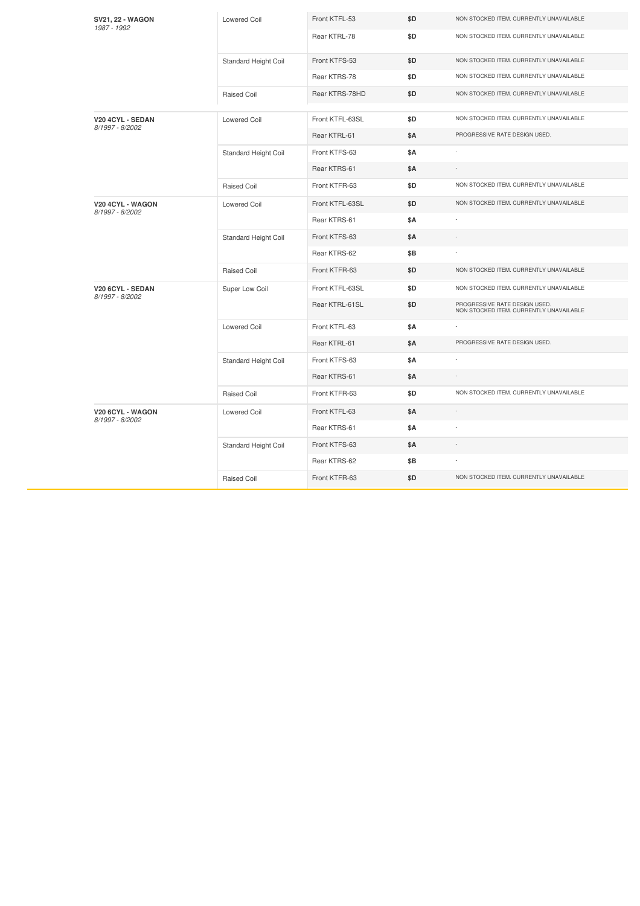| <b>SV21, 22 - WAGON</b><br>1987 - 1992 | <b>Lowered Coil</b>  | Front KTFL-53   | \$D        | NON STOCKED ITEM. CURRENTLY UNAVAILABLE                                  |
|----------------------------------------|----------------------|-----------------|------------|--------------------------------------------------------------------------|
|                                        |                      | Rear KTRL-78    | \$D        | NON STOCKED ITEM. CURRENTLY UNAVAILABLE                                  |
|                                        | Standard Height Coil | Front KTFS-53   | \$D        | NON STOCKED ITEM. CURRENTLY UNAVAILABLE                                  |
|                                        |                      | Rear KTRS-78    | \$D        | NON STOCKED ITEM. CURRENTLY UNAVAILABLE                                  |
|                                        | Raised Coil          | Rear KTRS-78HD  | \$D        | NON STOCKED ITEM. CURRENTLY UNAVAILABLE                                  |
| V20 4CYL - SEDAN                       | <b>Lowered Coil</b>  | Front KTFL-63SL | \$D        | NON STOCKED ITEM. CURRENTLY UNAVAILABLE                                  |
| 8/1997 - 8/2002                        |                      | Rear KTRL-61    | <b>\$A</b> | PROGRESSIVE RATE DESIGN USED.                                            |
|                                        | Standard Height Coil | Front KTFS-63   | \$Α        |                                                                          |
|                                        |                      | Rear KTRS-61    | <b>\$A</b> |                                                                          |
|                                        | <b>Raised Coil</b>   | Front KTFR-63   | \$D        | NON STOCKED ITEM. CURRENTLY UNAVAILABLE                                  |
| V20 4CYL - WAGON                       | <b>Lowered Coil</b>  | Front KTFL-63SL | \$D        | NON STOCKED ITEM. CURRENTLY UNAVAILABLE                                  |
| 8/1997 - 8/2002                        |                      | Rear KTRS-61    | <b>\$A</b> |                                                                          |
|                                        | Standard Height Coil | Front KTFS-63   | \$Α        |                                                                          |
|                                        |                      | Rear KTRS-62    | \$Β        |                                                                          |
|                                        | <b>Raised Coil</b>   | Front KTFR-63   | \$D        | NON STOCKED ITEM. CURRENTLY UNAVAILABLE                                  |
| V20 6CYL - SEDAN<br>8/1997 - 8/2002    | Super Low Coil       | Front KTFL-63SL | \$D        | NON STOCKED ITEM. CURRENTLY UNAVAILABLE                                  |
|                                        |                      | Rear KTRL-61SL  | \$D        | PROGRESSIVE RATE DESIGN USED.<br>NON STOCKED ITEM. CURRENTLY UNAVAILABLE |
|                                        | <b>Lowered Coil</b>  | Front KTFL-63   | \$Α        |                                                                          |
|                                        |                      | Rear KTRL-61    | <b>\$A</b> | PROGRESSIVE RATE DESIGN USED.                                            |
|                                        | Standard Height Coil | Front KTFS-63   | \$Α        |                                                                          |
|                                        |                      | Rear KTRS-61    | \$Α        |                                                                          |
|                                        | <b>Raised Coil</b>   | Front KTFR-63   | \$D        | NON STOCKED ITEM. CURRENTLY UNAVAILABLE                                  |
| V20 6CYL - WAGON<br>8/1997 - 8/2002    | <b>Lowered Coil</b>  | Front KTFL-63   | <b>\$A</b> |                                                                          |
|                                        |                      | Rear KTRS-61    | \$Α        |                                                                          |
|                                        | Standard Height Coil | Front KTFS-63   | \$Α        |                                                                          |
|                                        |                      | Rear KTRS-62    | \$Β        |                                                                          |
|                                        | Raised Coil          | Front KTFR-63   | \$D        | NON STOCKED ITEM. CURRENTLY UNAVAILABLE                                  |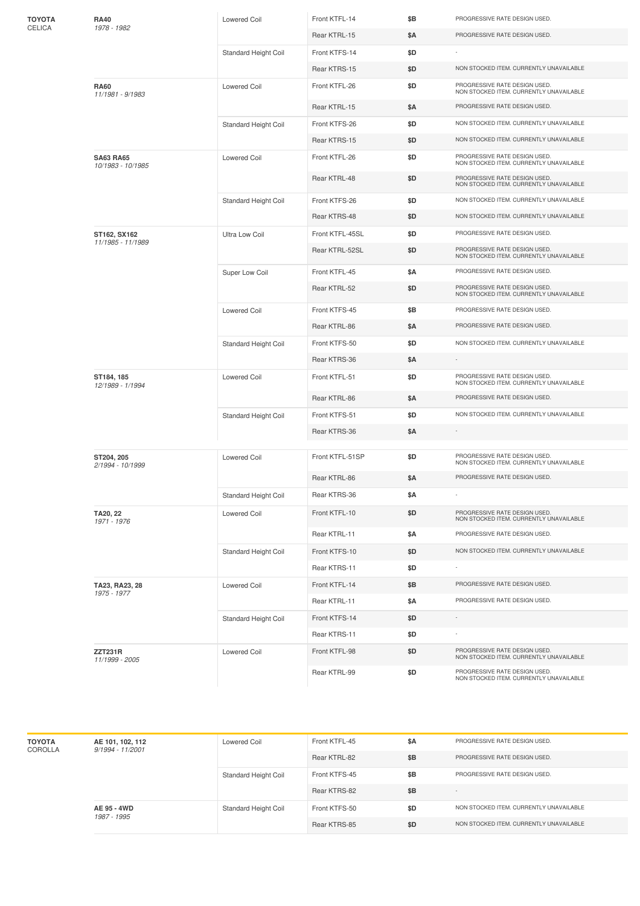| ΤΟΥΟΤΑ<br>CELICA | <b>RA40</b><br>1978 - 1982            | <b>Lowered Coil</b>         | Front KTFL-14   | \$B | PROGRESSIVE RATE DESIGN USED.                                            |
|------------------|---------------------------------------|-----------------------------|-----------------|-----|--------------------------------------------------------------------------|
|                  |                                       |                             | Rear KTRL-15    | \$Α | PROGRESSIVE RATE DESIGN USED.                                            |
|                  |                                       | Standard Height Coil        | Front KTFS-14   | \$D |                                                                          |
|                  |                                       |                             | Rear KTRS-15    | \$D | NON STOCKED ITEM. CURRENTLY UNAVAILABLE                                  |
|                  | <b>RA60</b><br>11/1981 - 9/1983       | <b>Lowered Coil</b>         | Front KTFL-26   | \$D | PROGRESSIVE RATE DESIGN USED.<br>NON STOCKED ITEM. CURRENTLY UNAVAILABLE |
|                  |                                       |                             | Rear KTRL-15    | \$Α | PROGRESSIVE RATE DESIGN USED.                                            |
|                  |                                       | Standard Height Coil        | Front KTFS-26   | \$D | NON STOCKED ITEM. CURRENTLY UNAVAILABLE                                  |
|                  |                                       |                             | Rear KTRS-15    | \$D | NON STOCKED ITEM. CURRENTLY UNAVAILABLE                                  |
|                  | <b>SA63 RA65</b><br>10/1983 - 10/1985 | <b>Lowered Coil</b>         | Front KTFL-26   | \$D | PROGRESSIVE RATE DESIGN USED.<br>NON STOCKED ITEM. CURRENTLY UNAVAILABLE |
|                  |                                       |                             | Rear KTRL-48    | \$D | PROGRESSIVE RATE DESIGN USED.<br>NON STOCKED ITEM. CURRENTLY UNAVAILABLE |
|                  |                                       | Standard Height Coil        | Front KTFS-26   | \$D | NON STOCKED ITEM. CURRENTLY UNAVAILABLE                                  |
|                  |                                       |                             | Rear KTRS-48    | \$D | NON STOCKED ITEM. CURRENTLY UNAVAILABLE                                  |
|                  | ST162, SX162<br>11/1985 - 11/1989     | <b>Ultra Low Coil</b>       | Front KTFL-45SL | \$D | PROGRESSIVE RATE DESIGN USED.                                            |
|                  |                                       |                             | Rear KTRL-52SL  | \$D | PROGRESSIVE RATE DESIGN USED.<br>NON STOCKED ITEM. CURRENTLY UNAVAILABLE |
|                  |                                       | Super Low Coil              | Front KTFL-45   | \$Α | PROGRESSIVE RATE DESIGN USED.                                            |
|                  |                                       |                             | Rear KTRL-52    | \$D | PROGRESSIVE RATE DESIGN USED.<br>NON STOCKED ITEM. CURRENTLY UNAVAILABLE |
|                  |                                       | <b>Lowered Coil</b>         | Front KTFS-45   | \$Β | PROGRESSIVE RATE DESIGN USED.                                            |
|                  |                                       |                             | Rear KTRL-86    | \$Α | PROGRESSIVE RATE DESIGN USED.                                            |
|                  |                                       | Standard Height Coil        | Front KTFS-50   | \$D | NON STOCKED ITEM. CURRENTLY UNAVAILABLE                                  |
|                  |                                       |                             | Rear KTRS-36    | \$Α | $\sim$                                                                   |
|                  | ST184, 185<br>12/1989 - 1/1994        | <b>Lowered Coil</b>         | Front KTFL-51   | \$D | PROGRESSIVE RATE DESIGN USED.<br>NON STOCKED ITEM. CURRENTLY UNAVAILABLE |
|                  |                                       |                             | Rear KTRL-86    | \$Α | PROGRESSIVE RATE DESIGN USED.                                            |
|                  |                                       | Standard Height Coil        | Front KTFS-51   | \$D | NON STOCKED ITEM. CURRENTLY UNAVAILABLE                                  |
|                  |                                       |                             | Rear KTRS-36    | \$Α |                                                                          |
|                  | ST204, 205                            | <b>Lowered Coil</b>         | Front KTFL-51SP | \$D | PROGRESSIVE RATE DESIGN USED.                                            |
|                  | 2/1994 - 10/1999                      |                             |                 |     | NON STOCKED ITEM. CURRENTLY UNAVAILABLE                                  |
|                  |                                       |                             | Rear KTRL-86    | \$Α | PROGRESSIVE RATE DESIGN USED.                                            |
|                  |                                       | Standard Height Coil        | Rear KTRS-36    | ŞΑ  |                                                                          |
|                  | TA20, 22<br>1971 - 1976               | <b>Lowered Coil</b>         | Front KTFL-10   | \$D | PROGRESSIVE RATE DESIGN USED.<br>NON STOCKED ITEM. CURRENTLY UNAVAILABLE |
|                  |                                       |                             | Rear KTRL-11    | \$Α | PROGRESSIVE RATE DESIGN USED.                                            |
|                  |                                       | Standard Height Coil        | Front KTFS-10   | \$D | NON STOCKED ITEM. CURRENTLY UNAVAILABLE                                  |
|                  |                                       |                             | Rear KTRS-11    | \$D |                                                                          |
|                  | TA23, RA23, 28<br>1975 - 1977         | <b>Lowered Coil</b>         | Front KTFL-14   | \$Β | PROGRESSIVE RATE DESIGN USED.                                            |
|                  |                                       |                             | Rear KTRL-11    | \$Α | PROGRESSIVE RATE DESIGN USED.                                            |
|                  |                                       | <b>Standard Height Coil</b> | Front KTFS-14   | \$D |                                                                          |
|                  |                                       |                             | Rear KTRS-11    | \$D |                                                                          |
|                  | <b>ZZT231R</b><br>11/1999 - 2005      | <b>Lowered Coil</b>         | Front KTFL-98   | \$D | PROGRESSIVE RATE DESIGN USED.<br>NON STOCKED ITEM. CURRENTLY UNAVAILABLE |
|                  |                                       |                             | Rear KTRL-99    | \$D | PROGRESSIVE RATE DESIGN USED.<br>NON STOCKED ITEM. CURRENTLY UNAVAILABLE |

| <b>TOYOTA</b><br>COROLLA | AE 101, 102, 112<br>$9/1994 - 11/2001$ | Lowered Coil         | Front KTFL-45 | \$Α | PROGRESSIVE RATE DESIGN USED.           |
|--------------------------|----------------------------------------|----------------------|---------------|-----|-----------------------------------------|
|                          |                                        |                      | Rear KTRL-82  | \$Β | PROGRESSIVE RATE DESIGN USED.           |
|                          |                                        | Standard Height Coil | Front KTFS-45 | \$Β | PROGRESSIVE RATE DESIGN USED.           |
|                          |                                        |                      | Rear KTRS-82  | \$Β | $\sim$                                  |
|                          | AE 95 - 4WD<br>1987 - 1995             | Standard Height Coil | Front KTFS-50 | \$D | NON STOCKED ITEM, CURRENTLY UNAVAILABLE |
|                          |                                        |                      | Rear KTRS-85  | \$D | NON STOCKED ITEM, CURRENTLY UNAVAILABLE |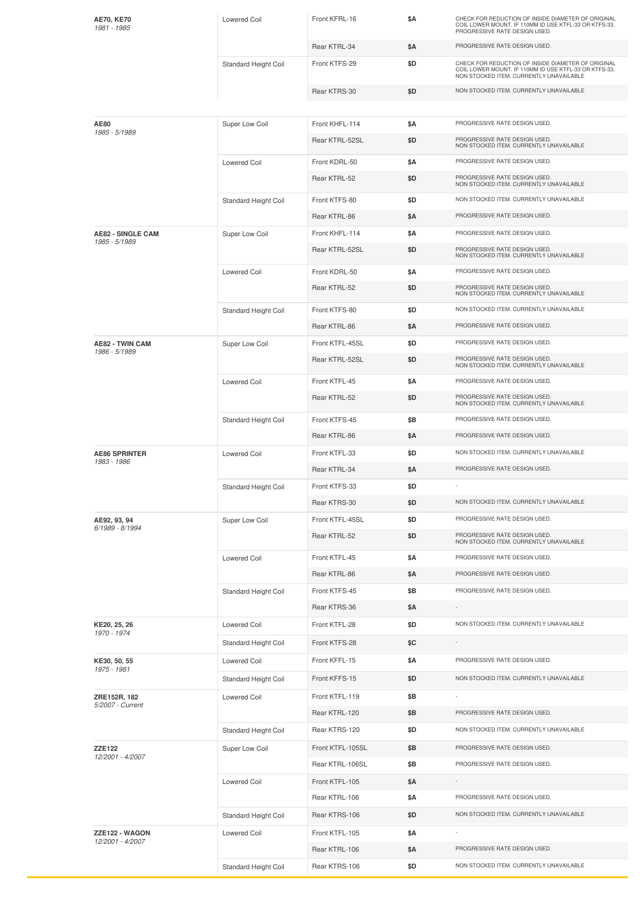| <b>AE70, KE70</b><br>1981 - 1985          | <b>Lowered Coil</b>  | Front KFRL-16    | \$Α | CHECK FOR REDUCTION OF INSIDE DIAMETER OF ORIGINAL<br>COIL LOWER MOUNT. IF 110MM ID USE KTFL-33 OR KTFS-33.<br>PROGRESSIVE RATE DESIGN USED.           |
|-------------------------------------------|----------------------|------------------|-----|--------------------------------------------------------------------------------------------------------------------------------------------------------|
|                                           |                      | Rear KTRL-34     | \$Α | PROGRESSIVE RATE DESIGN USED.                                                                                                                          |
|                                           | Standard Height Coil | Front KTFS-29    | \$D | CHECK FOR REDUCTION OF INSIDE DIAMETER OF ORIGINAL<br>COIL LOWER MOUNT. IF 110MM ID USE KTFL-33 OR KTFS-33.<br>NON STOCKED ITEM. CURRENTLY UNAVAILABLE |
|                                           |                      | Rear KTRS-30     | \$D | NON STOCKED ITEM. CURRENTLY UNAVAILABLE                                                                                                                |
|                                           |                      |                  |     |                                                                                                                                                        |
| AE80<br>1985 - 5/1989                     | Super Low Coil       | Front KHFL-114   | \$Α | PROGRESSIVE RATE DESIGN USED.                                                                                                                          |
|                                           |                      | Rear KTRL-52SL   | \$D | PROGRESSIVE RATE DESIGN USED.<br>NON STOCKED ITEM. CURRENTLY UNAVAILABLE                                                                               |
|                                           | <b>Lowered Coil</b>  | Front KDRL-50    | \$Α | PROGRESSIVE RATE DESIGN USED.                                                                                                                          |
|                                           |                      | Rear KTRL-52     | \$D | PROGRESSIVE RATE DESIGN USED.<br>NON STOCKED ITEM. CURRENTLY UNAVAILABLE                                                                               |
|                                           | Standard Height Coil | Front KTFS-80    | \$D | NON STOCKED ITEM. CURRENTLY UNAVAILABLE                                                                                                                |
|                                           |                      | Rear KTRL-86     | \$Α | PROGRESSIVE RATE DESIGN USED.                                                                                                                          |
| <b>AE82 - SINGLE CAM</b><br>1985 - 5/1989 | Super Low Coil       | Front KHFL-114   | \$Α | PROGRESSIVE RATE DESIGN USED.                                                                                                                          |
|                                           |                      | Rear KTRL-52SL   | \$D | PROGRESSIVE RATE DESIGN USED.<br>NON STOCKED ITEM. CURRENTLY UNAVAILABLE                                                                               |
|                                           | <b>Lowered Coil</b>  | Front KDRL-50    | \$Α | PROGRESSIVE RATE DESIGN USED.                                                                                                                          |
|                                           |                      | Rear KTRL-52     | \$D | PROGRESSIVE RATE DESIGN USED.<br>NON STOCKED ITEM. CURRENTLY UNAVAILABLE                                                                               |
|                                           | Standard Height Coil | Front KTFS-80    | \$D | NON STOCKED ITEM. CURRENTLY UNAVAILABLE                                                                                                                |
|                                           |                      | Rear KTRL-86     | \$Α | PROGRESSIVE RATE DESIGN USED.                                                                                                                          |
| <b>AE82 - TWIN CAM</b><br>1986 - 5/1989   | Super Low Coil       | Front KTFL-45SL  | \$D | PROGRESSIVE RATE DESIGN USED.                                                                                                                          |
|                                           |                      | Rear KTRL-52SL   | \$D | PROGRESSIVE RATE DESIGN USED.<br>NON STOCKED ITEM. CURRENTLY UNAVAILABLE                                                                               |
|                                           | <b>Lowered Coil</b>  | Front KTFL-45    | \$Α | PROGRESSIVE RATE DESIGN USED.                                                                                                                          |
|                                           |                      | Rear KTRL-52     | \$D | PROGRESSIVE RATE DESIGN USED.<br>NON STOCKED ITEM. CURRENTLY UNAVAILABLE                                                                               |
|                                           | Standard Height Coil | Front KTFS-45    | \$B | PROGRESSIVE RATE DESIGN USED.                                                                                                                          |
|                                           |                      | Rear KTRL-86     | \$Α | PROGRESSIVE RATE DESIGN USED.                                                                                                                          |
| <b>AE86 SPRINTER</b><br>1983 - 1986       | <b>Lowered Coil</b>  | Front KTFL-33    | \$D | NON STOCKED ITEM. CURRENTLY UNAVAILABLE                                                                                                                |
|                                           |                      | Rear KTRL-34     | \$Α | PROGRESSIVE RATE DESIGN USED.                                                                                                                          |
|                                           | Standard Height Coil | Front KTFS-33    | \$D |                                                                                                                                                        |
|                                           |                      | Rear KTRS-30     | \$D | NON STOCKED ITEM. CURRENTLY UNAVAILABLE                                                                                                                |
| AE92, 93, 94<br>6/1989 - 8/1994           | Super Low Coil       | Front KTFL-45SL  | \$D | PROGRESSIVE RATE DESIGN USED.                                                                                                                          |
|                                           |                      | Rear KTRL-52     | \$D | PROGRESSIVE RATE DESIGN USED.<br>NON STOCKED ITEM. CURRENTLY UNAVAILABLE                                                                               |
|                                           | <b>Lowered Coil</b>  | Front KTFL-45    | \$Α | PROGRESSIVE RATE DESIGN USED.                                                                                                                          |
|                                           |                      | Rear KTRL-86     | \$Α | PROGRESSIVE RATE DESIGN USED.                                                                                                                          |
|                                           | Standard Height Coil | Front KTFS-45    | \$Β | PROGRESSIVE RATE DESIGN USED.                                                                                                                          |
|                                           |                      | Rear KTRS-36     | \$Α |                                                                                                                                                        |
| KE20, 25, 26<br>1970 - 1974               | <b>Lowered Coil</b>  | Front KTFL-28    | \$D | NON STOCKED ITEM. CURRENTLY UNAVAILABLE                                                                                                                |
|                                           | Standard Height Coil | Front KTFS-28    | \$C |                                                                                                                                                        |
| KE30, 50, 55<br>1975 - 1981               | <b>Lowered Coil</b>  | Front KFFL-15    | \$Α | PROGRESSIVE RATE DESIGN USED.                                                                                                                          |
|                                           | Standard Height Coil | Front KFFS-15    | \$D | NON STOCKED ITEM. CURRENTLY UNAVAILABLE                                                                                                                |
| ZRE152R, 182<br>5/2007 - Current          | Lowered Coil         | Front KTFL-119   | \$B | ÷                                                                                                                                                      |
|                                           |                      | Rear KTRL-120    | \$Β | PROGRESSIVE RATE DESIGN USED.                                                                                                                          |
|                                           | Standard Height Coil | Rear KTRS-120    | \$D | NON STOCKED ITEM. CURRENTLY UNAVAILABLE                                                                                                                |
| <b>ZZE122</b>                             | Super Low Coil       | Front KTFL-105SL | \$Β | PROGRESSIVE RATE DESIGN USED.                                                                                                                          |
| 12/2001 - 4/2007                          |                      | Rear KTRL-106SL  | \$Β | PROGRESSIVE RATE DESIGN USED.                                                                                                                          |
|                                           | <b>Lowered Coil</b>  | Front KTFL-105   | \$Α |                                                                                                                                                        |
|                                           |                      | Rear KTRL-106    | \$Α | PROGRESSIVE RATE DESIGN USED.                                                                                                                          |
|                                           | Standard Height Coil | Rear KTRS-106    | \$D | NON STOCKED ITEM. CURRENTLY UNAVAILABLE                                                                                                                |
| ZZE122 - WAGON                            | <b>Lowered Coil</b>  | Front KTFL-105   | \$Α |                                                                                                                                                        |
| 12/2001 - 4/2007                          |                      | Rear KTRL-106    | \$Α | PROGRESSIVE RATE DESIGN USED.                                                                                                                          |
|                                           | Standard Height Coil | Rear KTRS-106    | \$D | NON STOCKED ITEM. CURRENTLY UNAVAILABLE                                                                                                                |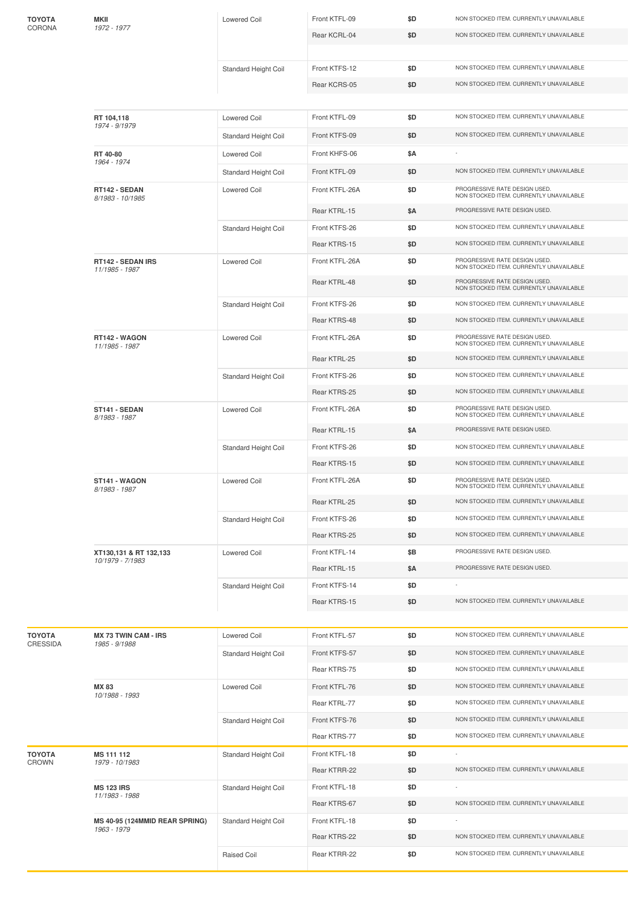| ΤΟΥΟΤΑ<br>CORONA | MKII<br>1972 - 1977                        | <b>Lowered Coil</b>  | Front KTFL-09  | \$D | NON STOCKED ITEM. CURRENTLY UNAVAILABLE                                  |
|------------------|--------------------------------------------|----------------------|----------------|-----|--------------------------------------------------------------------------|
|                  |                                            |                      | Rear KCRL-04   | \$D | NON STOCKED ITEM. CURRENTLY UNAVAILABLE                                  |
|                  |                                            |                      |                |     |                                                                          |
|                  |                                            | Standard Height Coil | Front KTFS-12  | \$D | NON STOCKED ITEM. CURRENTLY UNAVAILABLE                                  |
|                  |                                            |                      | Rear KCRS-05   | \$D | NON STOCKED ITEM. CURRENTLY UNAVAILABLE                                  |
|                  |                                            |                      |                |     |                                                                          |
|                  | RT 104,118<br>1974 - 9/1979                | <b>Lowered Coil</b>  | Front KTFL-09  | \$D | NON STOCKED ITEM. CURRENTLY UNAVAILABLE                                  |
|                  |                                            | Standard Height Coil | Front KTFS-09  | \$D | NON STOCKED ITEM. CURRENTLY UNAVAILABLE                                  |
|                  | RT 40-80<br>1964 - 1974                    | <b>Lowered Coil</b>  | Front KHFS-06  | \$Α |                                                                          |
|                  |                                            | Standard Height Coil | Front KTFL-09  | \$D | NON STOCKED ITEM. CURRENTLY UNAVAILABLE                                  |
|                  | RT142 - SEDAN<br>8/1983 - 10/1985          | <b>Lowered Coil</b>  | Front KTFL-26A | \$D | PROGRESSIVE RATE DESIGN USED.<br>NON STOCKED ITEM. CURRENTLY UNAVAILABLE |
|                  |                                            |                      | Rear KTRL-15   | \$Α | PROGRESSIVE RATE DESIGN USED.                                            |
|                  |                                            | Standard Height Coil | Front KTFS-26  | \$D | NON STOCKED ITEM. CURRENTLY UNAVAILABLE                                  |
|                  |                                            |                      | Rear KTRS-15   | \$D | NON STOCKED ITEM. CURRENTLY UNAVAILABLE                                  |
|                  | RT142 - SEDAN IRS<br>11/1985 - 1987        | <b>Lowered Coil</b>  | Front KTFL-26A | \$D | PROGRESSIVE RATE DESIGN USED.<br>NON STOCKED ITEM. CURRENTLY UNAVAILABLE |
|                  |                                            |                      | Rear KTRL-48   | \$D | PROGRESSIVE RATE DESIGN USED.<br>NON STOCKED ITEM. CURRENTLY UNAVAILABLE |
|                  |                                            | Standard Height Coil | Front KTFS-26  | \$D | NON STOCKED ITEM. CURRENTLY UNAVAILABLE                                  |
|                  |                                            |                      | Rear KTRS-48   | \$D | NON STOCKED ITEM. CURRENTLY UNAVAILABLE                                  |
|                  | RT142 - WAGON<br>11/1985 - 1987            | <b>Lowered Coil</b>  | Front KTFL-26A | \$D | PROGRESSIVE RATE DESIGN USED.<br>NON STOCKED ITEM. CURRENTLY UNAVAILABLE |
|                  |                                            |                      | Rear KTRL-25   | \$D | NON STOCKED ITEM. CURRENTLY UNAVAILABLE                                  |
|                  |                                            | Standard Height Coil | Front KTFS-26  | \$D | NON STOCKED ITEM. CURRENTLY UNAVAILABLE                                  |
|                  |                                            |                      | Rear KTRS-25   | \$D | NON STOCKED ITEM. CURRENTLY UNAVAILABLE                                  |
|                  | ST141 - SEDAN<br>8/1983 - 1987             | <b>Lowered Coil</b>  | Front KTFL-26A | \$D | PROGRESSIVE RATE DESIGN USED.<br>NON STOCKED ITEM. CURRENTLY UNAVAILABLE |
|                  |                                            |                      | Rear KTRL-15   | \$Α | PROGRESSIVE RATE DESIGN USED.                                            |
|                  |                                            | Standard Height Coil | Front KTFS-26  | \$D | NON STOCKED ITEM. CURRENTLY UNAVAILABLE                                  |
|                  |                                            |                      | Rear KTRS-15   | \$D | NON STOCKED ITEM. CURRENTLY UNAVAILABLE                                  |
|                  | ST141 - WAGON<br>8/1983 - 1987             | <b>Lowered Coil</b>  | Front KTFL-26A | \$D | PROGRESSIVE RATE DESIGN USED.<br>NON STOCKED ITEM. CURRENTLY UNAVAILABLE |
|                  |                                            |                      | Rear KTRL-25   | \$D | NON STOCKED ITEM. CURRENTLY UNAVAILABLE                                  |
|                  |                                            | Standard Height Coil | Front KTFS-26  | \$D | NON STOCKED ITEM. CURRENTLY UNAVAILABLE                                  |
|                  |                                            |                      | Rear KTRS-25   | \$D | NON STOCKED ITEM. CURRENTLY UNAVAILABLE                                  |
|                  | XT130,131 & RT 132,133<br>10/1979 - 7/1983 | <b>Lowered Coil</b>  | Front KTFL-14  | \$Β | PROGRESSIVE RATE DESIGN USED.                                            |
|                  |                                            |                      | Rear KTRL-15   | \$Α | PROGRESSIVE RATE DESIGN USED.                                            |
|                  |                                            | Standard Height Coil | Front KTFS-14  | \$D | NON STOCKED ITEM. CURRENTLY UNAVAILABLE                                  |
|                  |                                            |                      | Rear KTRS-15   | \$D |                                                                          |
| ΤΟΥΟΤΑ           | <b>MX 73 TWIN CAM - IRS</b>                | <b>Lowered Coil</b>  | Front KTFL-57  | \$D | NON STOCKED ITEM. CURRENTLY UNAVAILABLE                                  |
| CRESSIDA         | 1985 - 9/1988                              |                      | Front KTFS-57  | \$D | NON STOCKED ITEM. CURRENTLY UNAVAILABLE                                  |
|                  |                                            | Standard Height Coil | Rear KTRS-75   | \$D | NON STOCKED ITEM. CURRENTLY UNAVAILABLE                                  |
|                  | <b>MX 83</b>                               | <b>Lowered Coil</b>  | Front KTFL-76  | \$D | NON STOCKED ITEM. CURRENTLY UNAVAILABLE                                  |
|                  | 10/1988 - 1993                             |                      | Rear KTRL-77   | \$D | NON STOCKED ITEM. CURRENTLY UNAVAILABLE                                  |
|                  |                                            |                      | Front KTFS-76  | \$D | NON STOCKED ITEM. CURRENTLY UNAVAILABLE                                  |
|                  |                                            | Standard Height Coil | Rear KTRS-77   | \$D | NON STOCKED ITEM. CURRENTLY UNAVAILABLE                                  |
| ΤΟΥΟΤΑ           | MS 111 112                                 | Standard Height Coil | Front KTFL-18  | \$D | $\overline{\phantom{a}}$                                                 |
| CROWN            | 1979 - 10/1983                             |                      | Rear KTRR-22   | \$D | NON STOCKED ITEM. CURRENTLY UNAVAILABLE                                  |
|                  | <b>MS 123 IRS</b>                          | Standard Height Coil | Front KTFL-18  | \$D |                                                                          |
|                  | 11/1983 - 1988                             |                      | Rear KTRS-67   | \$D | NON STOCKED ITEM. CURRENTLY UNAVAILABLE                                  |
|                  | MS 40-95 (124MMID REAR SPRING)             | Standard Height Coil | Front KTFL-18  | \$D |                                                                          |
|                  | 1963 - 1979                                |                      | Rear KTRS-22   | \$D | NON STOCKED ITEM. CURRENTLY UNAVAILABLE                                  |
|                  |                                            | Raised Coil          | Rear KTRR-22   | \$D | NON STOCKED ITEM. CURRENTLY UNAVAILABLE                                  |
|                  |                                            |                      |                |     |                                                                          |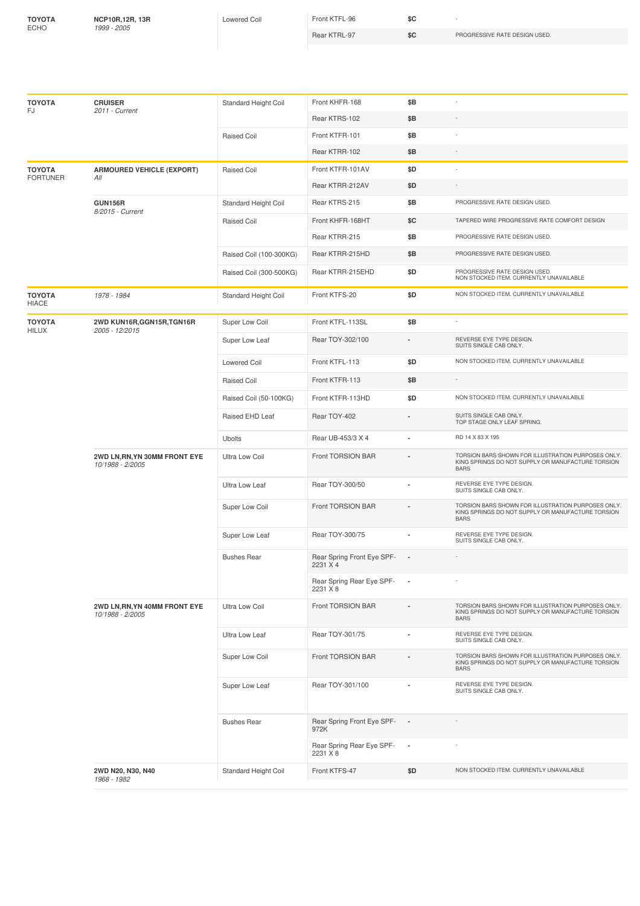**TOYOTA** ECHO

**NCP10R,12R, 13R** *1999 -2005*

Lowered Coil Front KTFL-96 **\$C** -

Rear KTRL-97 **\$C** PROGRESSIVE RATE DESIGN USED.

|                                  | <b>CRUISER</b>                                    |                         | Front KHFR-168                         | \$Β                      | ÷,                                                                                                                     |
|----------------------------------|---------------------------------------------------|-------------------------|----------------------------------------|--------------------------|------------------------------------------------------------------------------------------------------------------------|
| <b>TOYOTA</b><br>FJ              | 2011 - Current                                    | Standard Height Coil    |                                        |                          |                                                                                                                        |
|                                  |                                                   |                         | Rear KTRS-102                          | \$B                      |                                                                                                                        |
|                                  |                                                   | <b>Raised Coil</b>      | Front KTFR-101                         | \$B                      |                                                                                                                        |
|                                  |                                                   |                         | Rear KTRR-102                          | \$Β                      | $\overline{\phantom{a}}$                                                                                               |
| <b>TOYOTA</b><br><b>FORTUNER</b> | <b>ARMOURED VEHICLE (EXPORT)</b><br>All           | Raised Coil             | Front KTFR-101AV                       | \$D                      | ł,                                                                                                                     |
|                                  |                                                   |                         | Rear KTRR-212AV                        | \$D                      | ÷                                                                                                                      |
|                                  | <b>GUN156R</b><br>8/2015 - Current                | Standard Height Coil    | Rear KTRS-215                          | \$Β                      | PROGRESSIVE RATE DESIGN USED.                                                                                          |
|                                  |                                                   | <b>Raised Coil</b>      | Front KHFR-168HT                       | \$C                      | TAPERED WIRE PROGRESSIVE RATE COMFORT DESIGN                                                                           |
|                                  |                                                   |                         | Rear KTRR-215                          | \$Β                      | PROGRESSIVE RATE DESIGN USED.                                                                                          |
|                                  |                                                   | Raised Coil (100-300KG) | Rear KTRR-215HD                        | \$B                      | PROGRESSIVE RATE DESIGN USED.                                                                                          |
|                                  |                                                   | Raised Coil (300-500KG) | Rear KTRR-215EHD                       | \$D                      | PROGRESSIVE RATE DESIGN USED.<br>NON STOCKED ITEM. CURRENTLY UNAVAILABLE                                               |
| <b>TOYOTA</b><br><b>HIACE</b>    | 1978 - 1984                                       | Standard Height Coil    | Front KTFS-20                          | \$D                      | NON STOCKED ITEM. CURRENTLY UNAVAILABLE                                                                                |
| <b>TOYOTA</b><br><b>HILUX</b>    | 2WD KUN16R, GGN15R, TGN16R<br>2005 - 12/2015      | Super Low Coil          | Front KTFL-113SL                       | \$Β                      |                                                                                                                        |
|                                  |                                                   | Super Low Leaf          | Rear TOY-302/100                       |                          | REVERSE EYE TYPE DESIGN.<br>SUITS SINGLE CAB ONLY.                                                                     |
|                                  |                                                   | <b>Lowered Coil</b>     | Front KTFL-113                         | \$D                      | NON STOCKED ITEM. CURRENTLY UNAVAILABLE                                                                                |
|                                  |                                                   | <b>Raised Coil</b>      | Front KTFR-113                         | \$B                      |                                                                                                                        |
|                                  |                                                   | Raised Coil (50-100KG)  | Front KTFR-113HD                       | \$D                      | NON STOCKED ITEM. CURRENTLY UNAVAILABLE                                                                                |
|                                  |                                                   | Raised EHD Leaf         | Rear TOY-402                           |                          | SUITS SINGLE CAB ONLY.<br>TOP STAGE ONLY LEAF SPRING.                                                                  |
|                                  |                                                   | Ubolts                  | Rear UB-453/3 X 4                      |                          | RD 14 X 83 X 195                                                                                                       |
|                                  | 2WD LN, RN, YN 30MM FRONT EYE<br>10/1988 - 2/2005 | Ultra Low Coil          | Front TORSION BAR                      |                          | TORSION BARS SHOWN FOR ILLUSTRATION PURPOSES ONLY.<br>KING SPRINGS DO NOT SUPPLY OR MANUFACTURE TORSION<br><b>BARS</b> |
|                                  |                                                   | Ultra Low Leaf          | Rear TOY-300/50                        |                          | REVERSE EYE TYPE DESIGN.<br>SUITS SINGLE CAB ONLY.                                                                     |
|                                  |                                                   | Super Low Coil          | Front TORSION BAR                      |                          | TORSION BARS SHOWN FOR ILLUSTRATION PURPOSES ONLY.<br>KING SPRINGS DO NOT SUPPLY OR MANUFACTURE TORSION<br><b>BARS</b> |
|                                  |                                                   | Super Low Leaf          | Rear TOY-300/75                        |                          | REVERSE EYE TYPE DESIGN.<br>SUITS SINGLE CAB ONLY.                                                                     |
|                                  |                                                   | <b>Bushes Rear</b>      | Rear Spring Front Eye SPF-<br>2231 X 4 |                          |                                                                                                                        |
|                                  |                                                   |                         | Rear Spring Rear Eye SPF-<br>2231 X 8  |                          | ×,                                                                                                                     |
|                                  | 2WD LN, RN, YN 40MM FRONT EYE<br>10/1988 - 2/2005 | Ultra Low Coil          | Front TORSION BAR                      |                          | TORSION BARS SHOWN FOR ILLUSTRATION PURPOSES ONLY.<br>KING SPRINGS DO NOT SUPPLY OR MANUFACTURE TORSION<br><b>BARS</b> |
|                                  |                                                   | Ultra Low Leaf          | Rear TOY-301/75                        |                          | REVERSE EYE TYPE DESIGN.<br>SUITS SINGLE CAB ONLY.                                                                     |
|                                  |                                                   | Super Low Coil          | Front TORSION BAR                      |                          | TORSION BARS SHOWN FOR ILLUSTRATION PURPOSES ONLY.<br>KING SPRINGS DO NOT SUPPLY OR MANUFACTURE TORSION<br><b>BARS</b> |
|                                  |                                                   | Super Low Leaf          | Rear TOY-301/100                       |                          | REVERSE EYE TYPE DESIGN.<br>SUITS SINGLE CAB ONLY.                                                                     |
|                                  |                                                   | <b>Bushes Rear</b>      | Rear Spring Front Eye SPF-<br>972K     |                          |                                                                                                                        |
|                                  |                                                   |                         | Rear Spring Rear Eye SPF-<br>2231 X 8  | $\overline{\phantom{a}}$ |                                                                                                                        |
|                                  | 2WD N20, N30, N40<br>1968 - 1982                  | Standard Height Coil    | Front KTFS-47                          | \$D                      | NON STOCKED ITEM. CURRENTLY UNAVAILABLE                                                                                |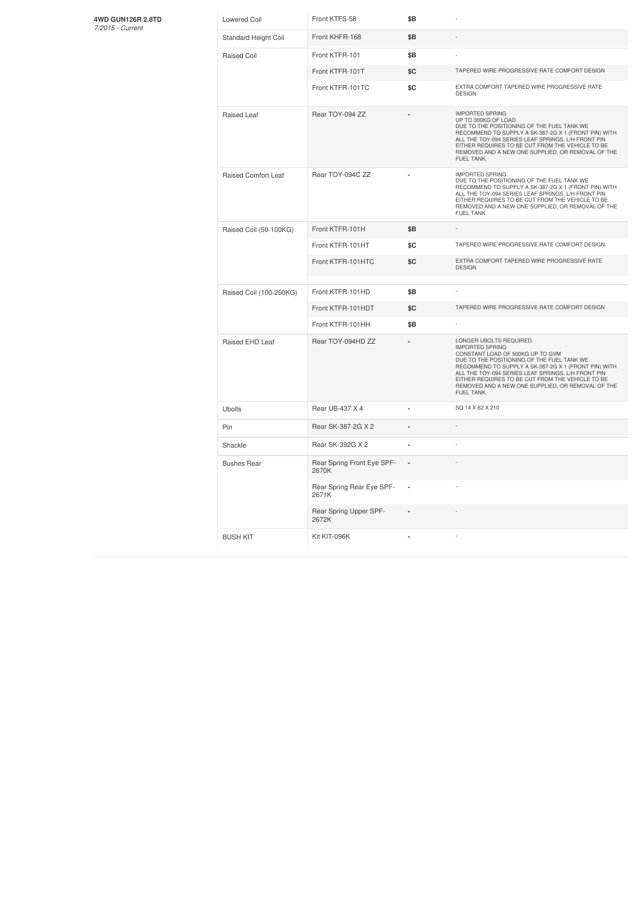## **4WD GUN126R 2.8TD** *7/2015 -Current*

| <b>Lowered Coil</b>     | Front KTFS-58                       | \$B |                                                                                                                                                                                                                                                                                                                                                                          |
|-------------------------|-------------------------------------|-----|--------------------------------------------------------------------------------------------------------------------------------------------------------------------------------------------------------------------------------------------------------------------------------------------------------------------------------------------------------------------------|
| Standard Height Coil    | Front KHFR-168                      | \$Β |                                                                                                                                                                                                                                                                                                                                                                          |
| Raised Coil             | Front KTFR-101                      | \$B |                                                                                                                                                                                                                                                                                                                                                                          |
|                         | Front KTFR-101T                     | \$C | TAPERED WIRE PROGRESSIVE RATE COMFORT DESIGN                                                                                                                                                                                                                                                                                                                             |
|                         | Front KTFR-101TC                    | \$C | EXTRA COMFORT TAPERED WIRE PROGRESSIVE RATE<br><b>DESIGN</b>                                                                                                                                                                                                                                                                                                             |
| Raised Leaf             | Rear TOY-094 ZZ                     |     | <b>IMPORTED SPRING</b><br>UP TO 300KG OF LOAD<br>DUE TO THE POSITIONING OF THE FUEL TANK WE<br>RECOMMEND TO SUPPLY A SK-387-2G X 1 (FRONT PIN) WITH<br>ALL THE TOY-094 SERIES LEAF SPRINGS. L/H FRONT PIN<br>EITHER REQUIRES TO BE CUT FROM THE VEHICLE TO BE<br>REMOVED AND A NEW ONE SUPPLIED, OR REMOVAL OF THE<br>FUEL TANK.                                         |
| Raised Comfort Leaf     | Rear TOY-094C ZZ                    |     | <b>IMPORTED SPRING</b><br>DUE TO THE POSITIONING OF THE FUEL TANK WE<br>RECOMMEND TO SUPPLY A SK-387-2G X 1 (FRONT PIN) WITH<br>ALL THE TOY-094 SERIES LEAF SPRINGS. L/H FRONT PIN<br>EITHER REQUIRES TO BE CUT FROM THE VEHICLE TO BE<br>REMOVED AND A NEW ONE SUPPLIED, OR REMOVAL OF THE<br>FUEL TANK.                                                                |
| Raised Coil (50-100KG)  | Front KTFR-101H                     | \$Β |                                                                                                                                                                                                                                                                                                                                                                          |
|                         | Front KTFR-101HT                    | \$C | TAPERED WIRE PROGRESSIVE RATE COMFORT DESIGN                                                                                                                                                                                                                                                                                                                             |
|                         | Front KTFR-101HTC                   | \$C | EXTRA COMFORT TAPERED WIRE PROGRESSIVE RATE<br><b>DESIGN</b>                                                                                                                                                                                                                                                                                                             |
| Raised Coil (100-250KG) | Front KTFR-101HD                    | \$B |                                                                                                                                                                                                                                                                                                                                                                          |
|                         | Front KTFR-101HDT                   | \$C | TAPERED WIRE PROGRESSIVE RATE COMFORT DESIGN                                                                                                                                                                                                                                                                                                                             |
|                         | Front KTFR-101HH                    | \$B |                                                                                                                                                                                                                                                                                                                                                                          |
| Raised EHD Leaf         | Rear TOY-094HD ZZ                   |     | LONGER UBOLTS REQUIRED.<br><b>IMPORTED SPRING</b><br>CONSTANT LOAD OF 500KG UP TO GVM<br>DUE TO THE POSITIONING OF THE FUEL TANK WE<br>RECOMMEND TO SUPPLY A SK-387-2G X 1 (FRONT PIN) WITH<br>ALL THE TOY-094 SERIES LEAF SPRINGS. L/H FRONT PIN<br>EITHER REQUIRES TO BE CUT FROM THE VEHICLE TO BE<br>REMOVED AND A NEW ONE SUPPLIED, OR REMOVAL OF THE<br>FUEL TANK. |
| <b>Ubolts</b>           | Rear UB-437 X 4                     |     | SQ 14 X 62 X 210                                                                                                                                                                                                                                                                                                                                                         |
| Pin                     | Rear SK-387-2G X 2                  |     |                                                                                                                                                                                                                                                                                                                                                                          |
| Shackle                 | Rear SK-392G X 2                    | ä,  |                                                                                                                                                                                                                                                                                                                                                                          |
| <b>Bushes Rear</b>      | Rear Spring Front Eye SPF-<br>2670K |     |                                                                                                                                                                                                                                                                                                                                                                          |
|                         | Rear Spring Rear Eye SPF-<br>2671K  | ä,  |                                                                                                                                                                                                                                                                                                                                                                          |
|                         | Rear Spring Upper SPF-<br>2672K     |     |                                                                                                                                                                                                                                                                                                                                                                          |
| <b>BUSH KIT</b>         | Kit KIT-096K                        |     |                                                                                                                                                                                                                                                                                                                                                                          |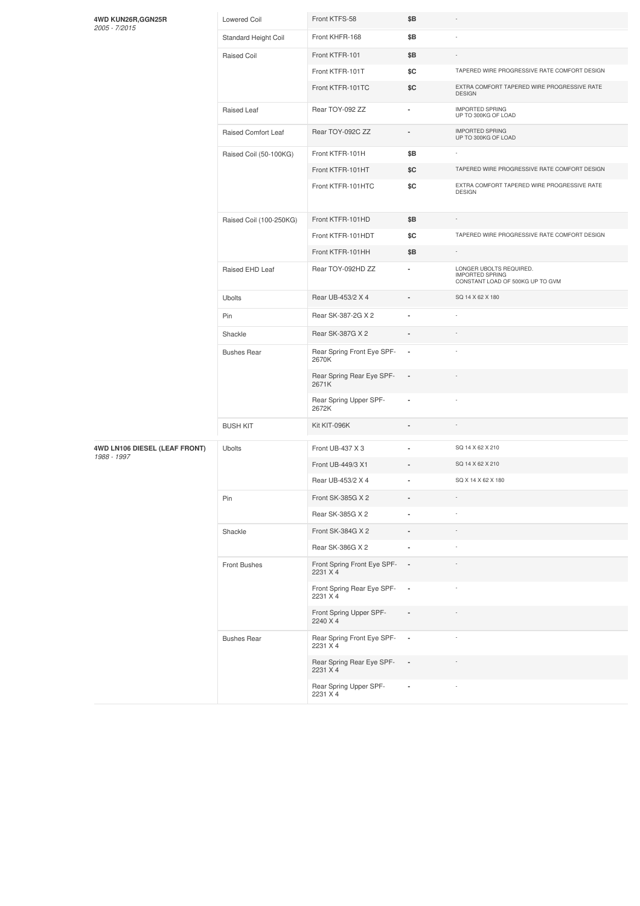|  | 4WD KUN26R, GGN25R<br>2005 - 7/2015 | <b>Lowered Coil</b>                | Front KTFS-58                           | \$Β                      |                                                                                       |
|--|-------------------------------------|------------------------------------|-----------------------------------------|--------------------------|---------------------------------------------------------------------------------------|
|  |                                     | Standard Height Coil               | Front KHFR-168                          | \$Β                      |                                                                                       |
|  |                                     | Raised Coil                        | Front KTFR-101                          | \$Β                      | $\sim$                                                                                |
|  |                                     |                                    | Front KTFR-101T                         | \$C                      | TAPERED WIRE PROGRESSIVE RATE COMFORT DESIGN                                          |
|  |                                     |                                    | Front KTFR-101TC                        | \$C                      | EXTRA COMFORT TAPERED WIRE PROGRESSIVE RATE<br><b>DESIGN</b>                          |
|  |                                     | Raised Leaf                        | Rear TOY-092 ZZ                         | ۰                        | <b>IMPORTED SPRING</b><br>UP TO 300KG OF LOAD                                         |
|  |                                     | Raised Comfort Leaf                | Rear TOY-092C ZZ                        | $\overline{a}$           | <b>IMPORTED SPRING</b><br>UP TO 300KG OF LOAD                                         |
|  |                                     | Raised Coil (50-100KG)             | Front KTFR-101H                         | \$Β                      |                                                                                       |
|  |                                     |                                    | Front KTFR-101HT                        | \$C                      | TAPERED WIRE PROGRESSIVE RATE COMFORT DESIGN                                          |
|  |                                     |                                    | Front KTFR-101HTC                       | \$C                      | EXTRA COMFORT TAPERED WIRE PROGRESSIVE RATE<br><b>DESIGN</b>                          |
|  |                                     | Raised Coil (100-250KG)            | Front KTFR-101HD                        | \$B                      |                                                                                       |
|  |                                     |                                    | Front KTFR-101HDT                       | \$C                      | TAPERED WIRE PROGRESSIVE RATE COMFORT DESIGN                                          |
|  |                                     |                                    | Front KTFR-101HH                        | \$Β                      | $\overline{\phantom{a}}$                                                              |
|  |                                     | Raised EHD Leaf                    | Rear TOY-092HD ZZ                       | ٠                        | LONGER UBOLTS REQUIRED.<br><b>IMPORTED SPRING</b><br>CONSTANT LOAD OF 500KG UP TO GVM |
|  |                                     | Ubolts                             | Rear UB-453/2 X 4                       |                          | SQ 14 X 62 X 180                                                                      |
|  |                                     | Pin                                | Rear SK-387-2G X 2                      | ä,                       |                                                                                       |
|  |                                     | Shackle                            | Rear SK-387G X 2                        |                          |                                                                                       |
|  |                                     | <b>Bushes Rear</b>                 | Rear Spring Front Eye SPF-<br>2670K     | $\overline{\phantom{a}}$ |                                                                                       |
|  |                                     | Rear Spring Rear Eye SPF-<br>2671K | $\overline{\phantom{a}}$                |                          |                                                                                       |
|  |                                     |                                    | Rear Spring Upper SPF-<br>2672K         | ٠                        |                                                                                       |
|  |                                     | <b>BUSH KIT</b>                    | Kit KIT-096K                            |                          |                                                                                       |
|  | 4WD LN106 DIESEL (LEAF FRONT)       | Ubolts                             | Front UB-437 X 3                        |                          | SQ 14 X 62 X 210                                                                      |
|  | 1988 - 1997                         |                                    | Front UB-449/3 X1                       | ٠                        | SQ 14 X 62 X 210                                                                      |
|  |                                     |                                    | Rear UB-453/2 X 4                       | ä,                       | SQ X 14 X 62 X 180                                                                    |
|  |                                     | Pin                                | Front SK-385G X 2                       | $\overline{\phantom{a}}$ | $\sim$                                                                                |
|  |                                     |                                    | Rear SK-385G X 2                        | ×,                       |                                                                                       |
|  |                                     | Shackle                            | Front SK-384G X 2                       | ÷,                       |                                                                                       |
|  |                                     |                                    | Rear SK-386G X 2                        | $\blacksquare$           |                                                                                       |
|  |                                     | Front Bushes                       | Front Spring Front Eye SPF-<br>2231 X 4 | $\sim$                   |                                                                                       |
|  |                                     |                                    | Front Spring Rear Eye SPF-<br>2231 X 4  | $\sim$                   |                                                                                       |
|  |                                     |                                    | Front Spring Upper SPF-<br>2240 X 4     |                          |                                                                                       |
|  |                                     | <b>Bushes Rear</b>                 | Rear Spring Front Eye SPF-<br>2231 X 4  | $\overline{\phantom{a}}$ |                                                                                       |
|  |                                     |                                    | Rear Spring Rear Eye SPF-<br>2231 X 4   | $\overline{\phantom{a}}$ |                                                                                       |
|  |                                     |                                    | Rear Spring Upper SPF-<br>2231 X 4      |                          |                                                                                       |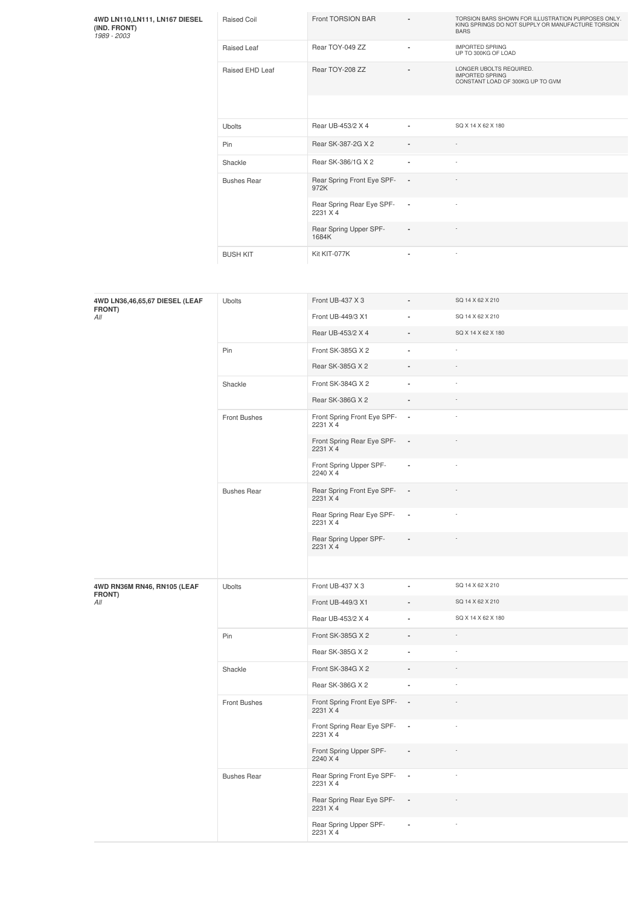**4WD LN110,LN111, LN167 DIESEL (IND. FRONT)** *1989 -2003*

| EL. | Raised Coil        | Front TORSION BAR                     | $\blacksquare$           | TORSION BARS SHOWN FOR ILLUSTRATION PURPOSES ONLY.<br>KING SPRINGS DO NOT SUPPLY OR MANUFACTURE TORSION<br><b>BARS</b> |
|-----|--------------------|---------------------------------------|--------------------------|------------------------------------------------------------------------------------------------------------------------|
|     | Raised Leaf        | Rear TOY-049 ZZ                       | $\overline{\phantom{a}}$ | <b>IMPORTED SPRING</b><br>UP TO 300KG OF LOAD                                                                          |
|     | Raised EHD Leaf    | Rear TOY-208 ZZ                       | $\blacksquare$           | LONGER UBOLTS REQUIRED.<br><b>IMPORTED SPRING</b><br>CONSTANT LOAD OF 300KG UP TO GVM                                  |
|     |                    |                                       |                          |                                                                                                                        |
|     | <b>Ubolts</b>      | Rear UB-453/2 X 4                     | $\overline{a}$           | SQ X 14 X 62 X 180                                                                                                     |
|     | Pin                | Rear SK-387-2G X 2                    | $\blacksquare$           | ÷                                                                                                                      |
|     | Shackle            | Rear SK-386/1G X 2                    | ٠                        | ٠                                                                                                                      |
|     | <b>Bushes Rear</b> | Rear Spring Front Eye SPF-<br>972K    | $\overline{\phantom{a}}$ |                                                                                                                        |
|     |                    | Rear Spring Rear Eye SPF-<br>2231 X 4 | $\sim$                   | ×,                                                                                                                     |
|     |                    | Rear Spring Upper SPF-<br>1684K       | $\blacksquare$           |                                                                                                                        |
|     | <b>BUSH KIT</b>    | Kit KIT-077K                          | ٠                        | $\sim$                                                                                                                 |

| 4WD LN36,46,65,67 DIESEL (LEAF<br>FRONT)<br>All | <b>Ubolts</b>      | Front UB-437 X 3                        |                          | SQ 14 X 62 X 210   |
|-------------------------------------------------|--------------------|-----------------------------------------|--------------------------|--------------------|
|                                                 |                    | Front UB-449/3 X1                       |                          | SQ 14 X 62 X 210   |
|                                                 |                    | Rear UB-453/2 X 4                       | $\overline{\phantom{a}}$ | SQ X 14 X 62 X 180 |
|                                                 | Pin                | Front SK-385G X 2                       | $\overline{a}$           |                    |
|                                                 |                    | Rear SK-385G X 2                        | ä,                       |                    |
|                                                 | Shackle            | Front SK-384G X 2                       | ä,                       | ÷,                 |
|                                                 |                    | Rear SK-386G X 2                        |                          |                    |
|                                                 | Front Bushes       | Front Spring Front Eye SPF-<br>2231 X 4 | $\overline{\phantom{a}}$ |                    |
|                                                 |                    | Front Spring Rear Eye SPF-<br>2231 X 4  | $\overline{\phantom{a}}$ |                    |
|                                                 |                    | Front Spring Upper SPF-<br>2240 X 4     | $\overline{\phantom{a}}$ |                    |
|                                                 | <b>Bushes Rear</b> | Rear Spring Front Eye SPF-<br>2231 X 4  | $\blacksquare$           |                    |
|                                                 |                    | Rear Spring Rear Eye SPF-<br>2231 X 4   | $\overline{\phantom{a}}$ |                    |
|                                                 |                    | Rear Spring Upper SPF-<br>2231 X 4      | $\blacksquare$           |                    |
|                                                 |                    |                                         |                          |                    |
| 4WD RN36M RN46, RN105 (LEAF<br>FRONT)           | Ubolts             | Front UB-437 X 3                        |                          | SQ 14 X 62 X 210   |
| All                                             |                    | Front UB-449/3 X1                       | ٠                        | SQ 14 X 62 X 210   |
|                                                 |                    | Rear UB-453/2 X 4                       | ä,                       | SQ X 14 X 62 X 180 |
|                                                 |                    |                                         |                          |                    |
|                                                 | Pin                | Front SK-385G X 2                       |                          | $\overline{a}$     |
|                                                 |                    | Rear SK-385G X 2                        | ä,                       |                    |
|                                                 | Shackle            | Front SK-384G X 2                       |                          |                    |
|                                                 |                    | Rear SK-386G X 2                        | $\blacksquare$           |                    |
|                                                 | Front Bushes       | Front Spring Front Eye SPF-<br>2231 X 4 | $\overline{\phantom{a}}$ |                    |
|                                                 |                    | Front Spring Rear Eye SPF-<br>2231 X 4  | $\overline{\phantom{a}}$ |                    |
|                                                 |                    | Front Spring Upper SPF-<br>2240 X 4     | $\overline{\phantom{a}}$ |                    |
|                                                 | <b>Bushes Rear</b> | Rear Spring Front Eye SPF-<br>2231 X 4  | $\overline{\phantom{a}}$ | ÷                  |
|                                                 |                    | Rear Spring Rear Eye SPF-<br>2231 X 4   | $\overline{\phantom{a}}$ |                    |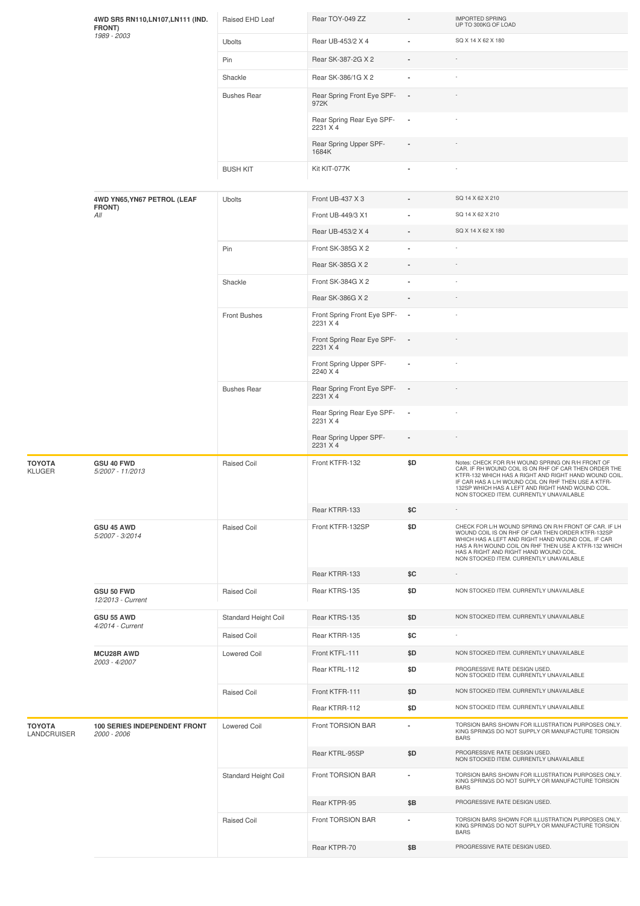|                       | 4WD SR5 RN110, LN107, LN111 (IND.<br>FRONT)        | Raised EHD Leaf      | Rear TOY-049 ZZ                           |                          | <b>IMPORTED SPRING</b><br>UP TO 300KG OF LOAD                                                                                                                                                                                                                                                                              |
|-----------------------|----------------------------------------------------|----------------------|-------------------------------------------|--------------------------|----------------------------------------------------------------------------------------------------------------------------------------------------------------------------------------------------------------------------------------------------------------------------------------------------------------------------|
|                       | 1989 - 2003                                        | Ubolts               | Rear UB-453/2 X 4                         |                          | SQ X 14 X 62 X 180                                                                                                                                                                                                                                                                                                         |
|                       |                                                    | Pin                  | Rear SK-387-2G X 2                        |                          |                                                                                                                                                                                                                                                                                                                            |
|                       |                                                    | Shackle              | Rear SK-386/1G X 2                        |                          |                                                                                                                                                                                                                                                                                                                            |
|                       |                                                    | <b>Bushes Rear</b>   | Rear Spring Front Eye SPF-<br>972K        | ٠.                       |                                                                                                                                                                                                                                                                                                                            |
|                       |                                                    |                      | Rear Spring Rear Eye SPF-<br>2231 X 4     |                          |                                                                                                                                                                                                                                                                                                                            |
|                       |                                                    |                      | Rear Spring Upper SPF-<br>1684K           |                          |                                                                                                                                                                                                                                                                                                                            |
|                       |                                                    | <b>BUSH KIT</b>      | Kit KIT-077K                              |                          |                                                                                                                                                                                                                                                                                                                            |
|                       | 4WD YN65, YN67 PETROL (LEAF                        | <b>Ubolts</b>        | Front UB-437 X 3                          |                          | SQ 14 X 62 X 210                                                                                                                                                                                                                                                                                                           |
|                       | FRONT)<br>All                                      |                      | Front UB-449/3 X1                         |                          | SQ 14 X 62 X 210                                                                                                                                                                                                                                                                                                           |
|                       |                                                    |                      | Rear UB-453/2 X 4                         |                          | SQ X 14 X 62 X 180                                                                                                                                                                                                                                                                                                         |
|                       |                                                    | Pin                  | Front SK-385G X 2                         |                          |                                                                                                                                                                                                                                                                                                                            |
|                       |                                                    |                      | Rear SK-385G X 2                          |                          |                                                                                                                                                                                                                                                                                                                            |
|                       |                                                    | Shackle              | Front SK-384G X 2                         |                          |                                                                                                                                                                                                                                                                                                                            |
|                       |                                                    |                      | Rear SK-386G X 2                          | $\frac{1}{2}$            |                                                                                                                                                                                                                                                                                                                            |
|                       |                                                    | Front Bushes         | Front Spring Front Eye SPF- -<br>2231 X 4 |                          |                                                                                                                                                                                                                                                                                                                            |
|                       |                                                    |                      | Front Spring Rear Eye SPF-<br>2231 X 4    |                          |                                                                                                                                                                                                                                                                                                                            |
|                       |                                                    |                      | Front Spring Upper SPF-<br>2240 X 4       |                          |                                                                                                                                                                                                                                                                                                                            |
|                       |                                                    | <b>Bushes Rear</b>   | Rear Spring Front Eye SPF-<br>2231 X 4    |                          |                                                                                                                                                                                                                                                                                                                            |
|                       |                                                    |                      | Rear Spring Rear Eye SPF-<br>2231 X 4     | $\overline{\phantom{a}}$ |                                                                                                                                                                                                                                                                                                                            |
|                       |                                                    |                      | Rear Spring Upper SPF-<br>2231 X 4        |                          |                                                                                                                                                                                                                                                                                                                            |
| ΤΟΥΟΤΑ<br>KLUGER      | GSU 40 FWD<br>5/2007 - 11/2013                     | Raised Coil          | Front KTFR-132                            | \$D                      | Notes: CHECK FOR R/H WOUND SPRING ON R/H FRONT OF<br>CAR. IF RH WOUND COIL IS ON RHF OF CAR THEN ORDER THE<br>KTFR-132 WHICH HAS A RIGHT AND RIGHT HAND WOUND COIL.<br>IF CAR HAS A L/H WOUND COIL ON RHF THEN USE A KTFR-<br>132SP WHICH HAS A LEFT AND RIGHT HAND WOUND COIL.<br>NON STOCKED ITEM. CURRENTLY UNAVAILABLE |
|                       |                                                    |                      | Rear KTRR-133                             | \$C                      |                                                                                                                                                                                                                                                                                                                            |
|                       | <b>GSU 45 AWD</b><br>5/2007 - 3/2014               | Raised Coil          | Front KTFR-132SP                          | \$D                      | CHECK FOR L/H WOUND SPRING ON R/H FRONT OF CAR. IF LH<br>WOUND COIL IS ON RHF OF CAR THEN ORDER KTFR-132SP<br>WHICH HAS A LEFT AND RIGHT HAND WOUND COIL. IF CAR<br>HAS A R/H WOUND COIL ON RHF THEN USE A KTFR-132 WHICH<br>HAS A RIGHT AND RIGHT HAND WOUND COIL.<br>NON STOCKED ITEM. CURRENTLY UNAVAILABLE             |
|                       |                                                    |                      | Rear KTRR-133                             | \$C                      |                                                                                                                                                                                                                                                                                                                            |
|                       | GSU 50 FWD<br>12/2013 - Current                    | Raised Coil          | Rear KTRS-135                             | \$D                      | NON STOCKED ITEM. CURRENTLY UNAVAILABLE                                                                                                                                                                                                                                                                                    |
|                       | <b>GSU 55 AWD</b><br>4/2014 - Current              | Standard Height Coil | Rear KTRS-135                             | \$D                      | NON STOCKED ITEM. CURRENTLY UNAVAILABLE                                                                                                                                                                                                                                                                                    |
|                       |                                                    | Raised Coil          | Rear KTRR-135                             | \$C                      |                                                                                                                                                                                                                                                                                                                            |
|                       | <b>MCU28R AWD</b>                                  | Lowered Coil         | Front KTFL-111                            | \$D                      | NON STOCKED ITEM. CURRENTLY UNAVAILABLE                                                                                                                                                                                                                                                                                    |
|                       | 2003 - 4/2007                                      |                      | Rear KTRL-112                             | \$D                      | PROGRESSIVE RATE DESIGN USED.<br>NON STOCKED ITEM. CURRENTLY UNAVAILABLE                                                                                                                                                                                                                                                   |
|                       |                                                    | <b>Raised Coil</b>   | Front KTFR-111                            | \$D                      | NON STOCKED ITEM. CURRENTLY UNAVAILABLE                                                                                                                                                                                                                                                                                    |
|                       |                                                    |                      | Rear KTRR-112                             | \$D                      | NON STOCKED ITEM. CURRENTLY UNAVAILABLE                                                                                                                                                                                                                                                                                    |
| ΤΟΥΟΤΑ<br>LANDCRUISER | <b>100 SERIES INDEPENDENT FRONT</b><br>2000 - 2006 | <b>Lowered Coil</b>  | Front TORSION BAR                         | $\overline{\phantom{a}}$ | TORSION BARS SHOWN FOR ILLUSTRATION PURPOSES ONLY.<br>KING SPRINGS DO NOT SUPPLY OR MANUFACTURE TORSION<br><b>BARS</b>                                                                                                                                                                                                     |
|                       |                                                    |                      | Rear KTRL-95SP                            | \$D                      | PROGRESSIVE RATE DESIGN USED.<br>NON STOCKED ITEM. CURRENTLY UNAVAILABLE                                                                                                                                                                                                                                                   |
|                       |                                                    | Standard Height Coil | Front TORSION BAR                         | $\blacksquare$           | TORSION BARS SHOWN FOR ILLUSTRATION PURPOSES ONLY.<br>KING SPRINGS DO NOT SUPPLY OR MANUFACTURE TORSION<br><b>BARS</b>                                                                                                                                                                                                     |
|                       |                                                    |                      | Rear KTPR-95                              | \$B                      | PROGRESSIVE RATE DESIGN USED.                                                                                                                                                                                                                                                                                              |
|                       |                                                    | <b>Raised Coil</b>   | Front TORSION BAR                         | ٠                        | TORSION BARS SHOWN FOR ILLUSTRATION PURPOSES ONLY.<br>KING SPRINGS DO NOT SUPPLY OR MANUFACTURE TORSION<br><b>BARS</b>                                                                                                                                                                                                     |
|                       |                                                    |                      | Rear KTPR-70                              | \$Β                      | PROGRESSIVE RATE DESIGN USED.                                                                                                                                                                                                                                                                                              |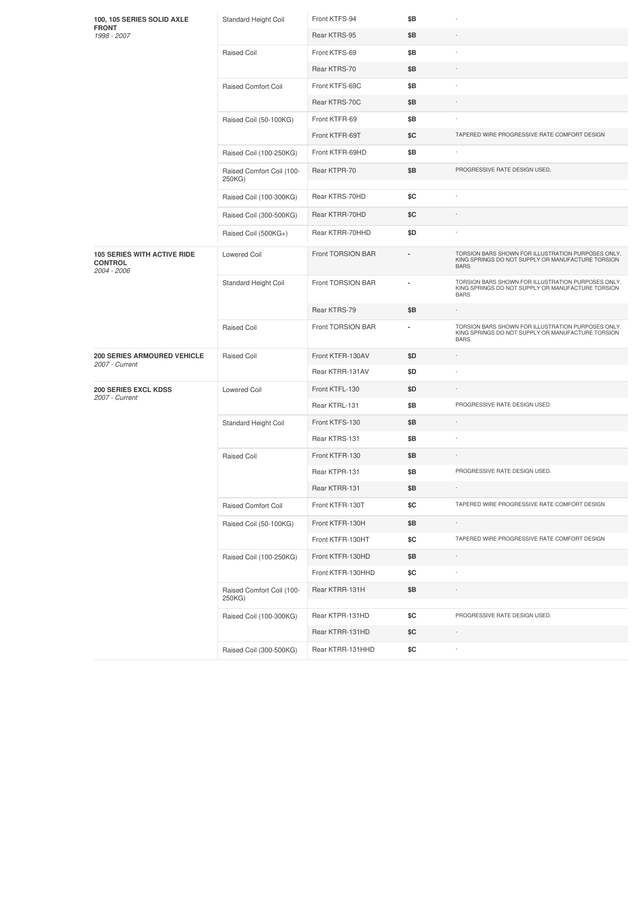| 100, 105 SERIES SOLID AXLE<br><b>FRONT</b><br>1998 - 2007           | Standard Height Coil                | Front KTFS-94     | \$Β |                                                                                                                        |
|---------------------------------------------------------------------|-------------------------------------|-------------------|-----|------------------------------------------------------------------------------------------------------------------------|
|                                                                     |                                     | Rear KTRS-95      | \$Β |                                                                                                                        |
|                                                                     | Raised Coil                         | Front KTFS-69     | \$Β |                                                                                                                        |
|                                                                     |                                     | Rear KTRS-70      | \$Β |                                                                                                                        |
|                                                                     | <b>Raised Comfort Coil</b>          | Front KTFS-69C    | \$Β |                                                                                                                        |
|                                                                     |                                     | Rear KTRS-70C     | \$Β |                                                                                                                        |
|                                                                     | Raised Coil (50-100KG)              | Front KTFR-69     | \$Β |                                                                                                                        |
|                                                                     |                                     | Front KTFR-69T    | \$C | TAPERED WIRE PROGRESSIVE RATE COMFORT DESIGN                                                                           |
|                                                                     | Raised Coil (100-250KG)             | Front KTFR-69HD   | \$Β |                                                                                                                        |
|                                                                     | Raised Comfort Coil (100-<br>250KG) | Rear KTPR-70      | \$Β | PROGRESSIVE RATE DESIGN USED.                                                                                          |
|                                                                     | Raised Coil (100-300KG)             | Rear KTRS-70HD    | \$C | ÷,                                                                                                                     |
|                                                                     | Raised Coil (300-500KG)             | Rear KTRR-70HD    | \$C |                                                                                                                        |
|                                                                     | Raised Coil (500KG+)                | Rear KTRR-70HHD   | \$D |                                                                                                                        |
| <b>105 SERIES WITH ACTIVE RIDE</b><br><b>CONTROL</b><br>2004 - 2006 | <b>Lowered Coil</b>                 | Front TORSION BAR |     | TORSION BARS SHOWN FOR ILLUSTRATION PURPOSES ONLY.<br>KING SPRINGS DO NOT SUPPLY OR MANUFACTURE TORSION<br><b>BARS</b> |
|                                                                     | Standard Height Coil                | Front TORSION BAR |     | TORSION BARS SHOWN FOR ILLUSTRATION PURPOSES ONLY.<br>KING SPRINGS DO NOT SUPPLY OR MANUFACTURE TORSION<br><b>BARS</b> |
|                                                                     |                                     | Rear KTRS-79      | \$Β |                                                                                                                        |
|                                                                     | Raised Coil                         | Front TORSION BAR | ä,  | TORSION BARS SHOWN FOR ILLUSTRATION PURPOSES ONLY.<br>KING SPRINGS DO NOT SUPPLY OR MANUFACTURE TORSION<br><b>BARS</b> |
| <b>200 SERIES ARMOURED VEHICLE</b>                                  | Raised Coil                         | Front KTFR-130AV  | \$D |                                                                                                                        |
| 2007 - Current                                                      |                                     | Rear KTRR-131AV   | \$D |                                                                                                                        |
| 200 SERIES EXCL KDSS                                                | <b>Lowered Coil</b>                 | Front KTFL-130    | \$D |                                                                                                                        |
| 2007 - Current                                                      |                                     | Rear KTRL-131     | \$Β | PROGRESSIVE RATE DESIGN USED.                                                                                          |
|                                                                     | Standard Height Coil                | Front KTFS-130    | \$Β |                                                                                                                        |
|                                                                     |                                     | Rear KTRS-131     | \$Β |                                                                                                                        |
|                                                                     | Raised Coil                         | Front KTFR-130    | \$Β |                                                                                                                        |
|                                                                     |                                     | Rear KTPR-131     | \$Β | PROGRESSIVE RATE DESIGN USED.                                                                                          |
|                                                                     |                                     | Rear KTRR-131     | \$Β |                                                                                                                        |
|                                                                     | Raised Comfort Coil                 | Front KTFR-130T   | \$C | TAPERED WIRE PROGRESSIVE RATE COMFORT DESIGN                                                                           |
|                                                                     | Raised Coil (50-100KG)              | Front KTFR-130H   | \$Β |                                                                                                                        |
|                                                                     |                                     | Front KTFR-130HT  | \$C | TAPERED WIRE PROGRESSIVE RATE COMFORT DESIGN                                                                           |
|                                                                     | Raised Coil (100-250KG)             | Front KTFR-130HD  | \$Β |                                                                                                                        |
|                                                                     |                                     | Front KTFR-130HHD | \$C |                                                                                                                        |
|                                                                     | Raised Comfort Coil (100-<br>250KG) | Rear KTRR-131H    | \$Β |                                                                                                                        |
|                                                                     | Raised Coil (100-300KG)             | Rear KTPR-131HD   | \$C | PROGRESSIVE RATE DESIGN USED.                                                                                          |
|                                                                     |                                     | Rear KTRR-131HD   | \$C | $\overline{\phantom{a}}$                                                                                               |
|                                                                     | Raised Coil (300-500KG)             | Rear KTRR-131HHD  | \$C |                                                                                                                        |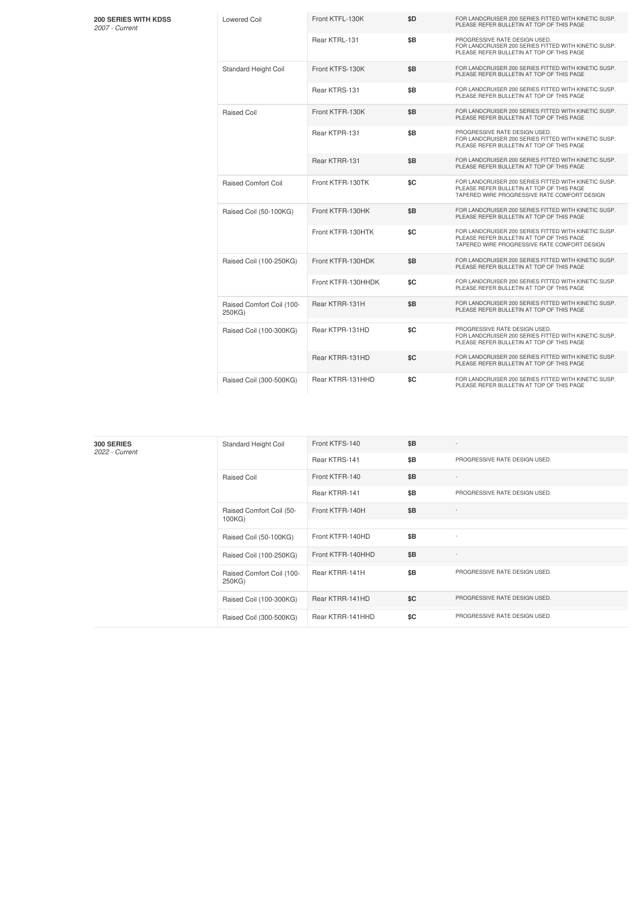### **200 SERIES WITH KDSS** *2007 -Current*

| <b>Lowered Coil</b>                 | Front KTFL-130K    | \$D | FOR LANDCRUISER 200 SERIES FITTED WITH KINETIC SUSP.<br>PLEASE REFER BULLETIN AT TOP OF THIS PAGE                                                 |
|-------------------------------------|--------------------|-----|---------------------------------------------------------------------------------------------------------------------------------------------------|
|                                     | Rear KTRL-131      | \$B | PROGRESSIVE RATE DESIGN USED.<br>FOR LANDCRUISER 200 SERIES FITTED WITH KINETIC SUSP.<br>PLEASE REFER BULLETIN AT TOP OF THIS PAGE                |
| Standard Height Coil                | Front KTFS-130K    | \$B | FOR LANDCRUISER 200 SERIES FITTED WITH KINETIC SUSP.<br>PLEASE REFER BULLETIN AT TOP OF THIS PAGE                                                 |
|                                     | Rear KTRS-131      | \$B | FOR LANDCRUISER 200 SERIES FITTED WITH KINETIC SUSP.<br>PLEASE REFER BULLETIN AT TOP OF THIS PAGE                                                 |
| Raised Coil                         | Front KTFR-130K    | \$Β | FOR LANDCRUISER 200 SERIES FITTED WITH KINETIC SUSP.<br>PLEASE REFER BULLETIN AT TOP OF THIS PAGE                                                 |
|                                     | Rear KTPR-131      | \$B | PROGRESSIVE RATE DESIGN USED.<br>FOR LANDCRUISER 200 SERIES FITTED WITH KINETIC SUSP.<br>PLEASE REFER BULLETIN AT TOP OF THIS PAGE                |
|                                     | Rear KTRR-131      | \$B | FOR LANDCRUISER 200 SERIES FITTED WITH KINETIC SUSP.<br>PLEASE REFER BULLETIN AT TOP OF THIS PAGE                                                 |
| <b>Raised Comfort Coil</b>          | Front KTFR-130TK   | \$C | FOR LANDCRUISER 200 SERIES FITTED WITH KINETIC SUSP.<br>PLEASE REFER BULLETIN AT TOP OF THIS PAGE<br>TAPERED WIRE PROGRESSIVE RATE COMFORT DESIGN |
| Raised Coil (50-100KG)              | Front KTFR-130HK   | \$B | FOR LANDCRUISER 200 SERIES FITTED WITH KINETIC SUSP.<br>PLEASE REFER BULLETIN AT TOP OF THIS PAGE                                                 |
|                                     | Front KTFR-130HTK  | \$C | FOR LANDCRUISER 200 SERIES FITTED WITH KINETIC SUSP.<br>PLEASE REFER BULLETIN AT TOP OF THIS PAGE<br>TAPERED WIRE PROGRESSIVE RATE COMFORT DESIGN |
| Raised Coil (100-250KG)             | Front KTFR-130HDK  | \$B | FOR LANDCRUISER 200 SERIES FITTED WITH KINETIC SUSP.<br>PLEASE REFER BULLETIN AT TOP OF THIS PAGE                                                 |
|                                     | Front KTFR-130HHDK | \$C | FOR LANDCRUISER 200 SERIES FITTED WITH KINETIC SUSP.<br>PLEASE REFER BULLETIN AT TOP OF THIS PAGE                                                 |
| Raised Comfort Coil (100-<br>250KG) | Rear KTRR-131H     | \$B | FOR LANDCRUISER 200 SERIES FITTED WITH KINETIC SUSP.<br>PLEASE REFER BULLETIN AT TOP OF THIS PAGE                                                 |
| Raised Coil (100-300KG)             | Rear KTPR-131HD    | \$C | PROGRESSIVE RATE DESIGN USED.<br>FOR LANDCRUISER 200 SERIES FITTED WITH KINETIC SUSP.<br>PLEASE REFER BULLETIN AT TOP OF THIS PAGE                |
|                                     | Rear KTRR-131HD    | \$C | FOR LANDCRUISER 200 SERIES FITTED WITH KINETIC SUSP.<br>PLEASE REFER BULLETIN AT TOP OF THIS PAGE                                                 |
| Raised Coil (300-500KG)             | Rear KTRR-131HHD   | \$C | FOR LANDCRUISER 200 SERIES FITTED WITH KINETIC SUSP.<br>PLEASE REFER BULLETIN AT TOP OF THIS PAGE                                                 |

| 300 SERIES<br>2022 - Current | Standard Height Coil                | Front KTFS-140    | \$B | $\sim$                        |
|------------------------------|-------------------------------------|-------------------|-----|-------------------------------|
|                              |                                     | Rear KTRS-141     | \$B | PROGRESSIVE RATE DESIGN USED. |
|                              | <b>Raised Coil</b>                  | Front KTFR-140    | \$B |                               |
|                              |                                     | Rear KTRR-141     | \$B | PROGRESSIVE RATE DESIGN USED. |
|                              | Raised Comfort Coil (50-<br>100KG)  | Front KTFR-140H   | \$B |                               |
|                              |                                     |                   |     |                               |
|                              | Raised Coil (50-100KG)              | Front KTFR-140HD  | \$B | ٠                             |
|                              | Raised Coil (100-250KG)             | Front KTFR-140HHD | \$B | $\overline{\phantom{a}}$      |
|                              | Raised Comfort Coil (100-<br>250KG) | Rear KTRR-141H    | \$B | PROGRESSIVE RATE DESIGN USED. |
|                              | Raised Coil (100-300KG)             | Rear KTRR-141HD   | \$C | PROGRESSIVE RATE DESIGN USED. |
|                              | Raised Coil (300-500KG)             | Rear KTRR-141HHD  | \$C | PROGRESSIVE RATE DESIGN USED. |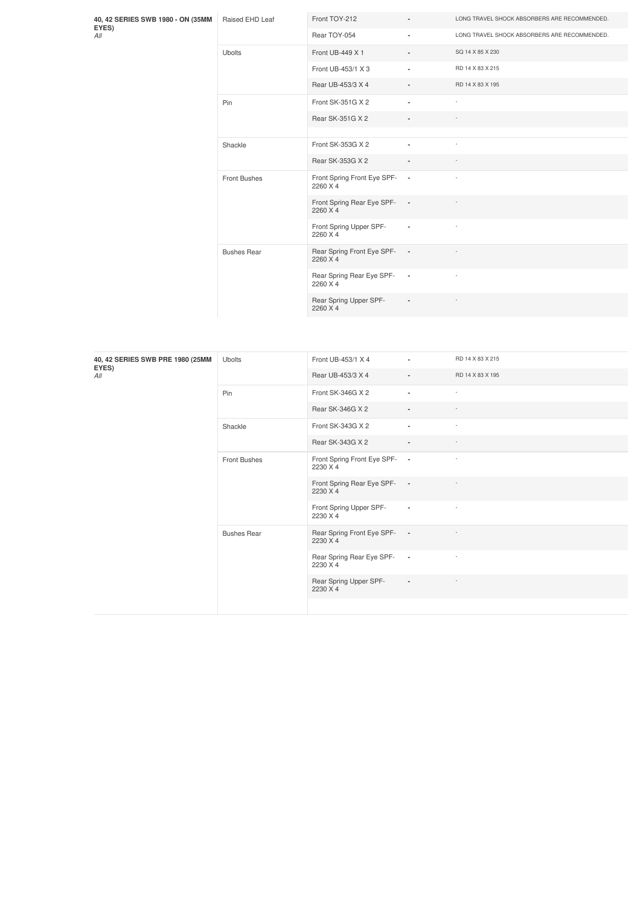| 40, 42 SERIES SWB 1980 - ON (35MM<br>EYES)<br>All | Raised EHD Leaf     | Front TOY-212                             | ٠                        | LONG TRAVEL SHOCK ABSORBERS ARE RECOMMENDED. |
|---------------------------------------------------|---------------------|-------------------------------------------|--------------------------|----------------------------------------------|
|                                                   |                     | Rear TOY-054                              | ٠                        | LONG TRAVEL SHOCK ABSORBERS ARE RECOMMENDED. |
|                                                   | <b>Ubolts</b>       | Front UB-449 X 1                          | ٠                        | SQ 14 X 85 X 230                             |
|                                                   |                     | Front UB-453/1 X 3                        | ٠                        | RD 14 X 83 X 215                             |
|                                                   |                     | Rear UB-453/3 X 4                         | $\blacksquare$           | RD 14 X 83 X 195                             |
|                                                   | Pin                 | Front SK-351G X 2                         | ٠                        | $\overline{\phantom{a}}$                     |
|                                                   |                     | Rear SK-351G X 2                          | $\overline{\phantom{a}}$ |                                              |
|                                                   |                     |                                           |                          |                                              |
|                                                   | Shackle             | Front SK-353G X 2                         | ٠                        | $\overline{\phantom{a}}$                     |
|                                                   |                     | Rear SK-353G X 2                          | $\blacksquare$           |                                              |
|                                                   | <b>Front Bushes</b> | Front Spring Front Eye SPF- -<br>2260 X 4 |                          | $\overline{\phantom{a}}$                     |
|                                                   |                     | Front Spring Rear Eye SPF- -<br>2260 X 4  |                          |                                              |
|                                                   |                     | Front Spring Upper SPF-<br>2260 X 4       | $\overline{\phantom{a}}$ | $\overline{\phantom{a}}$                     |
|                                                   | <b>Bushes Rear</b>  | Rear Spring Front Eye SPF-<br>2260 X 4    | $\sim$                   |                                              |
|                                                   |                     | Rear Spring Rear Eye SPF- -<br>2260 X 4   |                          | $\overline{\phantom{a}}$                     |
|                                                   |                     | Rear Spring Upper SPF-<br>2260 X 4        | $\blacksquare$           |                                              |

| 40, 42 SERIES SWB PRE 1980 (25MM<br>EYES)<br>All | <b>Ubolts</b>      | Front UB-453/1 X 4                        | $\sim$                   | RD 14 X 83 X 215         |
|--------------------------------------------------|--------------------|-------------------------------------------|--------------------------|--------------------------|
|                                                  |                    | Rear UB-453/3 X 4                         | $\sim$                   | RD 14 X 83 X 195         |
|                                                  | Pin                | Front SK-346G X 2                         | $\blacksquare$           | $\sim$                   |
|                                                  |                    | Rear SK-346G X 2                          | $\overline{\phantom{a}}$ | $\sim$                   |
|                                                  | Shackle            | Front SK-343G X 2                         | $\blacksquare$           | $\sim$                   |
|                                                  |                    | Rear SK-343G X 2                          | $\overline{\phantom{a}}$ | $\sim$                   |
|                                                  | Front Bushes       | Front Spring Front Eye SPF- -<br>2230 X 4 |                          | $\sim$                   |
|                                                  |                    | Front Spring Rear Eye SPF- -<br>2230 X 4  |                          | $\overline{\phantom{a}}$ |
|                                                  |                    | Front Spring Upper SPF-<br>2230 X 4       | $\blacksquare$           | $\sim$                   |
|                                                  | <b>Bushes Rear</b> | Rear Spring Front Eye SPF- -<br>2230 X 4  |                          |                          |
|                                                  |                    | Rear Spring Rear Eye SPF-<br>2230 X 4     | $\sim$ 100 $\pm$         | $\overline{\phantom{a}}$ |
|                                                  |                    | Rear Spring Upper SPF-<br>2230 X 4        | $\blacksquare$           | $\overline{\phantom{a}}$ |
|                                                  |                    |                                           |                          |                          |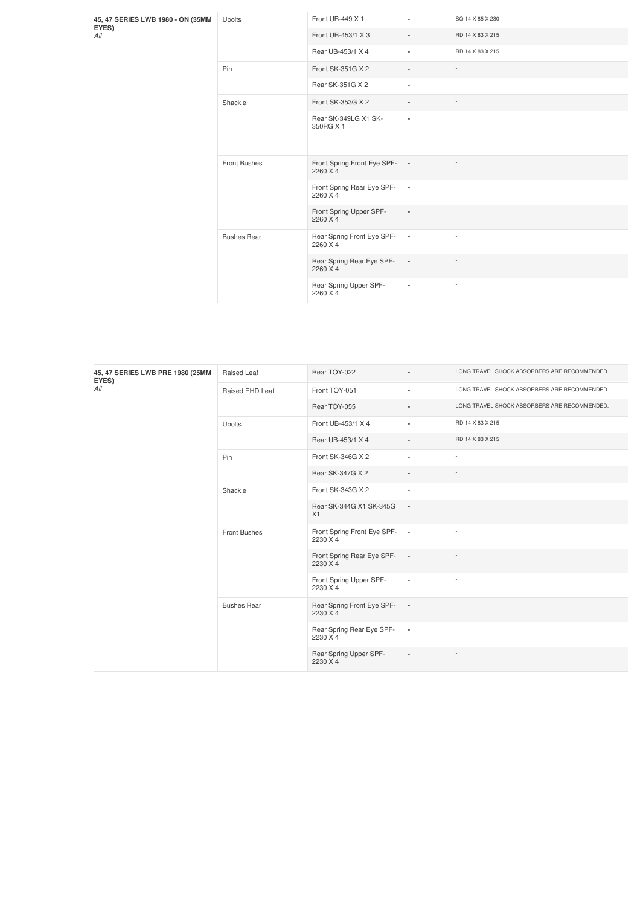**45, 47 SERIES LWB 1980 - ON (35MM EYES)** *All*

| <b>Ubolts</b>       | Front UB-449 X 1                        | ٠                        | SQ 14 X 85 X 230         |
|---------------------|-----------------------------------------|--------------------------|--------------------------|
|                     | Front UB-453/1 X 3                      | $\blacksquare$           | RD 14 X 83 X 215         |
|                     | Rear UB-453/1 X 4                       | ٠                        | RD 14 X 83 X 215         |
| Pin                 | Front SK-351G X 2                       | $\overline{\phantom{a}}$ |                          |
|                     | Rear SK-351G X 2                        | ٠                        | ÷,                       |
| Shackle             | Front SK-353G X 2                       | $\blacksquare$           |                          |
|                     | Rear SK-349LG X1 SK-<br>350RG X 1       | ٠                        | ×,                       |
| <b>Front Bushes</b> | Front Spring Front Eye SPF-<br>2260 X 4 | $\overline{\phantom{a}}$ |                          |
|                     | Front Spring Rear Eye SPF-<br>2260 X 4  | $\sim$                   |                          |
|                     | Front Spring Upper SPF-<br>2260 X 4     | $\overline{\phantom{a}}$ | $\overline{\phantom{a}}$ |
| <b>Bushes Rear</b>  | Rear Spring Front Eye SPF-<br>2260 X 4  | $\overline{\phantom{a}}$ | $\overline{\phantom{a}}$ |
|                     | Rear Spring Rear Eye SPF-<br>2260 X 4   | $\overline{\phantom{a}}$ |                          |
|                     | Rear Spring Upper SPF-<br>2260 X 4      | ×,                       | ×,                       |

| 45, 47 SERIES LWB PRE 1980 (25MM<br>EYES) | Raised Leaf         | Rear TOY-022                              | $\blacksquare$ | LONG TRAVEL SHOCK ABSORBERS ARE RECOMMENDED. |
|-------------------------------------------|---------------------|-------------------------------------------|----------------|----------------------------------------------|
| All                                       | Raised EHD Leaf     | Front TOY-051                             | ٠              | LONG TRAVEL SHOCK ABSORBERS ARE RECOMMENDED. |
|                                           |                     | Rear TOY-055                              | $\blacksquare$ | LONG TRAVEL SHOCK ABSORBERS ARE RECOMMENDED. |
|                                           | <b>Ubolts</b>       | Front UB-453/1 X 4                        | ٠              | RD 14 X 83 X 215                             |
|                                           |                     | Rear UB-453/1 X 4                         | $\blacksquare$ | RD 14 X 83 X 215                             |
|                                           | Pin                 | Front SK-346G X 2                         | $\blacksquare$ | ٠                                            |
|                                           |                     | Rear SK-347G X 2                          | $\blacksquare$ |                                              |
|                                           | Shackle             | Front SK-343G X 2                         | $\blacksquare$ |                                              |
|                                           |                     | Rear SK-344G X1 SK-345G -<br>X1           |                |                                              |
|                                           | <b>Front Bushes</b> | Front Spring Front Eye SPF- -<br>2230 X 4 |                |                                              |
|                                           |                     | Front Spring Rear Eye SPF- -<br>2230 X 4  |                |                                              |
|                                           |                     | Front Spring Upper SPF-<br>2230 X 4       | $\blacksquare$ |                                              |
|                                           | <b>Bushes Rear</b>  | Rear Spring Front Eye SPF-<br>2230 X 4    | $\sim$ $-$     |                                              |
|                                           |                     | Rear Spring Rear Eye SPF-<br>2230 X 4     | $\sim$         |                                              |
|                                           |                     | Rear Spring Upper SPF-<br>2230 X 4        | $\blacksquare$ |                                              |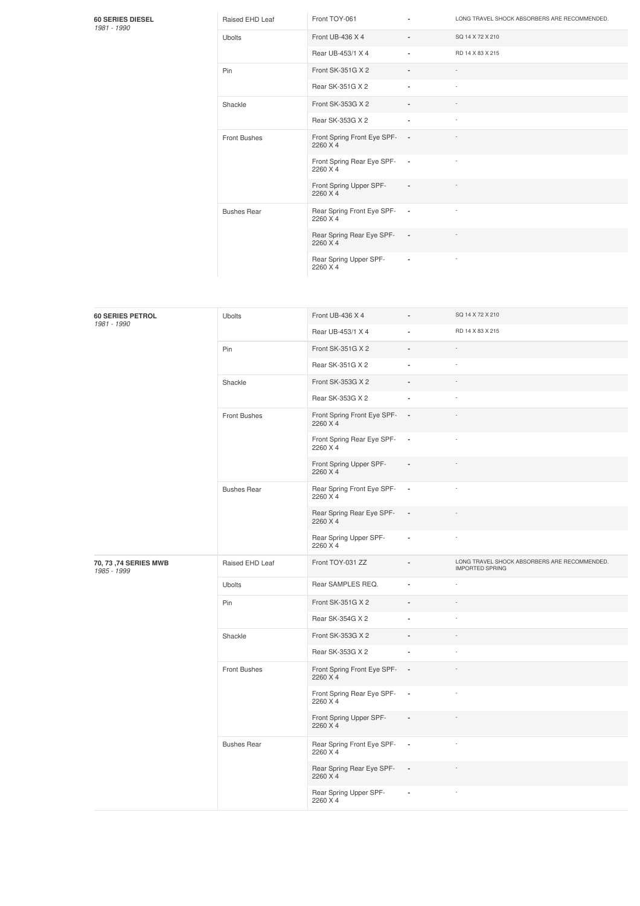### **60 SERIES DIESEL** *1981 -1990*

|  | 981 - 1990 |  |
|--|------------|--|
|  |            |  |

| Raised EHD Leaf     | Front TOY-061                           | ٠                        | LONG TRAVEL SHOCK ABSORBERS ARE RECOMMENDED. |
|---------------------|-----------------------------------------|--------------------------|----------------------------------------------|
| Ubolts              | Front UB-436 X 4                        | $\blacksquare$           | SQ 14 X 72 X 210                             |
|                     | Rear UB-453/1 X 4                       | $\blacksquare$           | RD 14 X 83 X 215                             |
| Pin                 | Front SK-351G X 2                       | $\blacksquare$           |                                              |
|                     | Rear SK-351G X 2                        | $\blacksquare$           | $\overline{\phantom{a}}$                     |
| Shackle             | Front SK-353G X 2                       | $\overline{\phantom{a}}$ |                                              |
|                     | Rear SK-353G X 2                        | ٠                        | $\overline{\phantom{a}}$                     |
| <b>Front Bushes</b> | Front Spring Front Eye SPF-<br>2260 X 4 | $\blacksquare$           |                                              |
|                     | Front Spring Rear Eye SPF-<br>2260 X 4  | $\blacksquare$           |                                              |
|                     | Front Spring Upper SPF-<br>2260 X 4     | $\blacksquare$           |                                              |
| <b>Bushes Rear</b>  | Rear Spring Front Eye SPF-<br>2260 X 4  | $\blacksquare$           |                                              |
|                     | Rear Spring Rear Eye SPF-<br>2260 X 4   | $\sim$                   |                                              |
|                     | Rear Spring Upper SPF-<br>2260 X 4      | ٠                        |                                              |

| <b>60 SERIES PETROL</b><br>1981 - 1990 | Ubolts              | Front UB-436 X 4                        | $\overline{a}$           | SQ 14 X 72 X 210                                                       |
|----------------------------------------|---------------------|-----------------------------------------|--------------------------|------------------------------------------------------------------------|
|                                        |                     | Rear UB-453/1 X 4                       |                          | RD 14 X 83 X 215                                                       |
|                                        | Pin                 | Front SK-351G X 2                       |                          |                                                                        |
|                                        |                     | Rear SK-351G X 2                        |                          |                                                                        |
|                                        | Shackle             | Front SK-353G X 2                       |                          |                                                                        |
|                                        |                     | Rear SK-353G X 2                        | ÷,                       |                                                                        |
|                                        | <b>Front Bushes</b> | Front Spring Front Eye SPF-<br>2260 X 4 | $\overline{\phantom{a}}$ |                                                                        |
|                                        |                     | Front Spring Rear Eye SPF-<br>2260 X 4  | $\sim$                   |                                                                        |
|                                        |                     | Front Spring Upper SPF-<br>2260 X 4     |                          |                                                                        |
|                                        | <b>Bushes Rear</b>  | Rear Spring Front Eye SPF-<br>2260 X 4  | $\overline{\phantom{a}}$ |                                                                        |
|                                        |                     | Rear Spring Rear Eye SPF-<br>2260 X 4   | $\overline{\phantom{a}}$ |                                                                        |
|                                        |                     | Rear Spring Upper SPF-<br>2260 X 4      | $\overline{a}$           | ×                                                                      |
| 70, 73, 74 SERIES MWB<br>1985 - 1999   | Raised EHD Leaf     | Front TOY-031 ZZ                        |                          | LONG TRAVEL SHOCK ABSORBERS ARE RECOMMENDED.<br><b>IMPORTED SPRING</b> |
|                                        | Ubolts              | Rear SAMPLES REQ.                       |                          |                                                                        |
|                                        | Pin                 | Front SK-351G X 2                       |                          |                                                                        |
|                                        |                     | Rear SK-354G X 2                        | ä,                       | ÷.                                                                     |
|                                        | Shackle             | Front SK-353G X 2                       | $\blacksquare$           |                                                                        |
|                                        |                     | Rear SK-353G X 2                        | ä,                       |                                                                        |
|                                        | <b>Front Bushes</b> | Front Spring Front Eye SPF-<br>2260 X 4 | $\sim$                   |                                                                        |
|                                        |                     | Front Spring Rear Eye SPF-<br>2260 X 4  | $\overline{\phantom{a}}$ |                                                                        |
|                                        |                     | Front Spring Upper SPF-<br>2260 X 4     |                          |                                                                        |
|                                        | <b>Bushes Rear</b>  | Rear Spring Front Eye SPF-<br>2260 X 4  | $\blacksquare$           |                                                                        |
|                                        |                     | Rear Spring Rear Eye SPF-<br>2260 X 4   | $\blacksquare$           |                                                                        |
|                                        |                     | Rear Spring Upper SPF-<br>2260 X 4      |                          |                                                                        |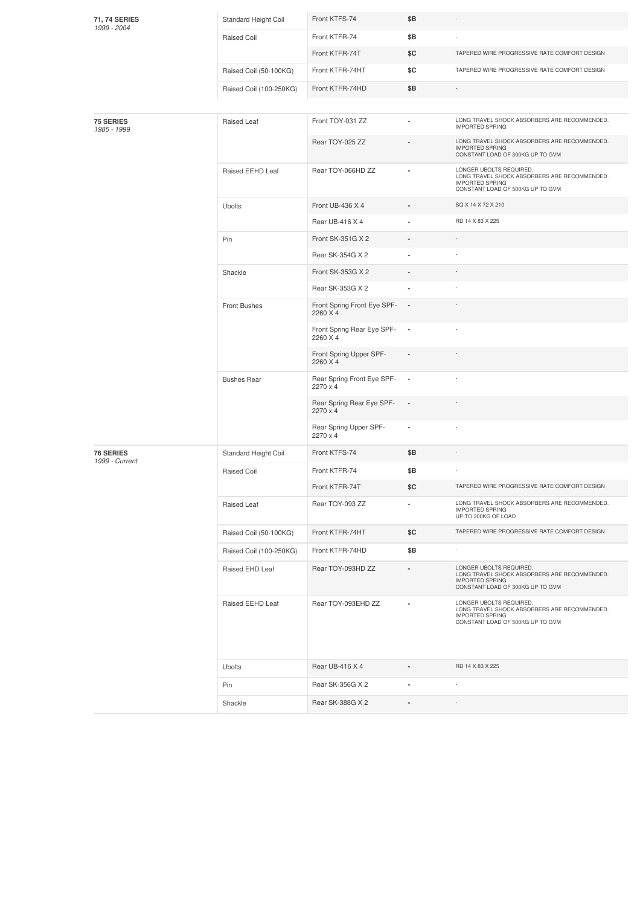| 71, 74 SERIES<br>1999 - 2004       | Standard Height Coil    | Front KTFS-74                           | \$Β                      |                                                                                                                                       |
|------------------------------------|-------------------------|-----------------------------------------|--------------------------|---------------------------------------------------------------------------------------------------------------------------------------|
|                                    | Raised Coil             | Front KTFR-74                           | \$Β                      |                                                                                                                                       |
|                                    |                         | Front KTFR-74T                          | \$C                      | TAPERED WIRE PROGRESSIVE RATE COMFORT DESIGN                                                                                          |
|                                    | Raised Coil (50-100KG)  | Front KTFR-74HT                         | \$C                      | TAPERED WIRE PROGRESSIVE RATE COMFORT DESIGN                                                                                          |
|                                    | Raised Coil (100-250KG) | Front KTFR-74HD                         | \$Β                      |                                                                                                                                       |
|                                    |                         |                                         |                          |                                                                                                                                       |
| <b>75 SERIES</b><br>1985 - 1999    | Raised Leaf             | Front TOY-031 ZZ                        |                          | LONG TRAVEL SHOCK ABSORBERS ARE RECOMMENDED.<br><b>IMPORTED SPRING</b>                                                                |
|                                    |                         | Rear TOY-025 ZZ                         |                          | LONG TRAVEL SHOCK ABSORBERS ARE RECOMMENDED.<br><b>IMPORTED SPRING</b><br>CONSTANT LOAD OF 300KG UP TO GVM                            |
|                                    | Raised EEHD Leaf        | Rear TOY-066HD ZZ                       |                          | LONGER UBOLTS REQUIRED.<br>LONG TRAVEL SHOCK ABSORBERS ARE RECOMMENDED.<br><b>IMPORTED SPRING</b><br>CONSTANT LOAD OF 500KG UP TO GVM |
|                                    | Ubolts                  | Front UB-436 X 4                        |                          | SQ X 14 X 72 X 210                                                                                                                    |
|                                    |                         | Rear UB-416 X 4                         |                          | RD 14 X 83 X 225                                                                                                                      |
|                                    | Pin                     | Front SK-351G X 2                       |                          |                                                                                                                                       |
|                                    |                         | Rear SK-354G X 2                        |                          |                                                                                                                                       |
|                                    | Shackle                 | Front SK-353G X 2                       |                          |                                                                                                                                       |
|                                    |                         | Rear SK-353G X 2                        |                          |                                                                                                                                       |
|                                    | Front Bushes            | Front Spring Front Eye SPF-<br>2260 X 4 | $\overline{\phantom{a}}$ |                                                                                                                                       |
|                                    |                         | Front Spring Rear Eye SPF-<br>2260 X 4  | ×,                       |                                                                                                                                       |
|                                    |                         | Front Spring Upper SPF-<br>2260 X 4     |                          |                                                                                                                                       |
|                                    | <b>Bushes Rear</b>      | Rear Spring Front Eye SPF-<br>2270 x 4  | $\overline{\phantom{a}}$ |                                                                                                                                       |
|                                    |                         | Rear Spring Rear Eye SPF-<br>2270 x 4   | $\overline{\phantom{a}}$ |                                                                                                                                       |
|                                    |                         | Rear Spring Upper SPF-<br>2270 x 4      | ٠                        |                                                                                                                                       |
| <b>76 SERIES</b><br>1999 - Current | Standard Height Coil    | Front KTFS-74                           | \$Β                      |                                                                                                                                       |
|                                    | <b>Raised Coil</b>      | Front KTFR-74                           | \$Β                      |                                                                                                                                       |
|                                    |                         | Front KTFR-74T                          | \$C                      | TAPERED WIRE PROGRESSIVE RATE COMFORT DESIGN                                                                                          |
|                                    | Raised Leaf             | Rear TOY-093 ZZ                         | ٠                        | LONG TRAVEL SHOCK ABSORBERS ARE RECOMMENDED.<br><b>IMPORTED SPRING</b><br>UP TO 300KG OF LOAD                                         |
|                                    | Raised Coil (50-100KG)  | Front KTFR-74HT                         | \$C                      | TAPERED WIRE PROGRESSIVE RATE COMFORT DESIGN                                                                                          |
|                                    | Raised Coil (100-250KG) | Front KTFR-74HD                         | \$Β                      | $\sim$                                                                                                                                |
|                                    | Raised EHD Leaf         | Rear TOY-093HD ZZ                       |                          | LONGER UBOLTS REQUIRED.<br>LONG TRAVEL SHOCK ABSORBERS ARE RECOMMENDED.<br><b>IMPORTED SPRING</b><br>CONSTANT LOAD OF 300KG UP TO GVM |
|                                    | Raised EEHD Leaf        | Rear TOY-093EHD ZZ                      |                          | LONGER UBOLTS REQUIRED.<br>LONG TRAVEL SHOCK ABSORBERS ARE RECOMMENDED.<br><b>IMPORTED SPRING</b><br>CONSTANT LOAD OF 500KG UP TO GVM |
|                                    | <b>Ubolts</b>           | Rear UB-416 X 4                         |                          | RD 14 X 83 X 225                                                                                                                      |
|                                    | Pin                     | Rear SK-356G X 2                        |                          |                                                                                                                                       |
|                                    | Shackle                 | Rear SK-388G X 2                        | $\blacksquare$           |                                                                                                                                       |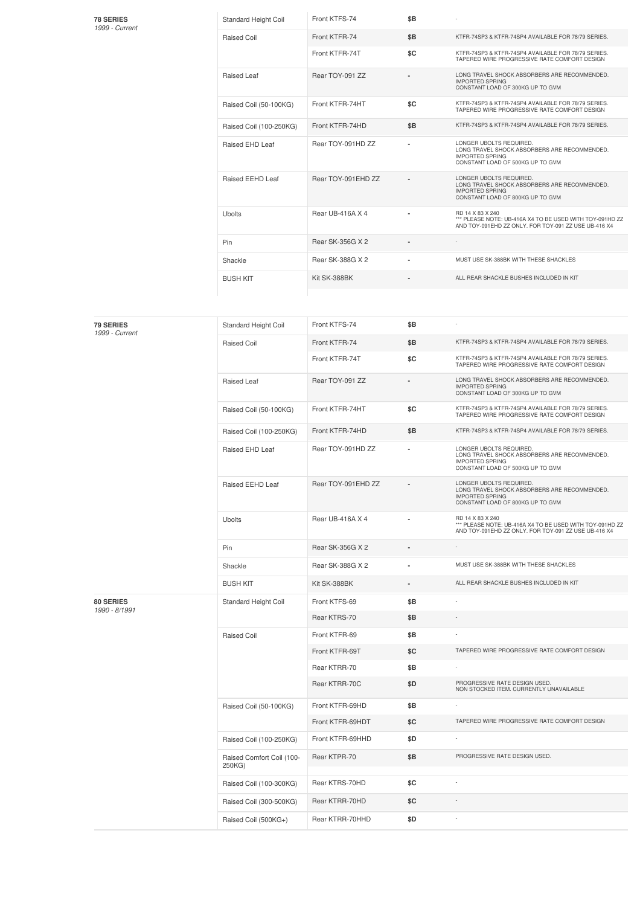| <b>78 SERIES</b> |
|------------------|
| 1999 - Current   |

| <b>78 SERIES</b><br>1999 - Current | <b>Standard Height Coil</b> | Front KTFS-74      | \$B |                                                                                                                                       |
|------------------------------------|-----------------------------|--------------------|-----|---------------------------------------------------------------------------------------------------------------------------------------|
|                                    | Raised Coil                 | Front KTFR-74      | \$B | KTFR-74SP3 & KTFR-74SP4 AVAILABLE FOR 78/79 SERIES.                                                                                   |
|                                    |                             | Front KTFR-74T     | \$C | KTFR-74SP3 & KTFR-74SP4 AVAILABLE FOR 78/79 SERIES.<br>TAPERED WIRE PROGRESSIVE RATE COMFORT DESIGN                                   |
|                                    | Raised Leaf                 | Rear TOY-091 ZZ    |     | LONG TRAVEL SHOCK ABSORBERS ARE RECOMMENDED.<br><b>IMPORTED SPRING</b><br>CONSTANT LOAD OF 300KG UP TO GVM                            |
|                                    | Raised Coil (50-100KG)      | Front KTFR-74HT    | \$C | KTFR-74SP3 & KTFR-74SP4 AVAILABLE FOR 78/79 SERIES.<br>TAPERED WIRE PROGRESSIVE RATE COMFORT DESIGN                                   |
|                                    | Raised Coil (100-250KG)     | Front KTFR-74HD    | \$B | KTFR-74SP3 & KTFR-74SP4 AVAILABLE FOR 78/79 SERIES.                                                                                   |
|                                    | Raised EHD Leaf             | Rear TOY-091HD ZZ  |     | LONGER UBOLTS REQUIRED.<br>LONG TRAVEL SHOCK ABSORBERS ARE RECOMMENDED.<br><b>IMPORTED SPRING</b><br>CONSTANT LOAD OF 500KG UP TO GVM |
|                                    | Raised EEHD Leaf            | Rear TOY-091EHD ZZ |     | LONGER UBOLTS REQUIRED.<br>LONG TRAVEL SHOCK ABSORBERS ARE RECOMMENDED.<br><b>IMPORTED SPRING</b><br>CONSTANT LOAD OF 800KG UP TO GVM |
|                                    | Ubolts                      | Rear UB-416A X 4   |     | BD 14 X 83 X 240<br>*** PLEASE NOTE: UB-416A X4 TO BE USED WITH TOY-091HD ZZ<br>AND TOY-091EHD ZZ ONLY, FOR TOY-091 ZZ USE UB-416 X4  |
|                                    | Pin                         | Rear SK-356G X 2   |     |                                                                                                                                       |
|                                    | Shackle                     | Rear SK-388G X 2   |     | MUST USE SK-388BK WITH THESE SHACKLES                                                                                                 |
|                                    | <b>BUSH KIT</b>             | Kit SK-388BK       |     | ALL REAR SHACKLE BUSHES INCLUDED IN KIT                                                                                               |

| <b>79 SERIES</b><br>1999 - Current | Standard Height Coil                | Front KTFS-74      | \$B |                                                                                                                                       |
|------------------------------------|-------------------------------------|--------------------|-----|---------------------------------------------------------------------------------------------------------------------------------------|
|                                    | Raised Coil                         | Front KTFR-74      | \$Β | KTFR-74SP3 & KTFR-74SP4 AVAILABLE FOR 78/79 SERIES.                                                                                   |
|                                    |                                     | Front KTFR-74T     | \$C | KTFR-74SP3 & KTFR-74SP4 AVAILABLE FOR 78/79 SERIES.<br>TAPERED WIRE PROGRESSIVE RATE COMFORT DESIGN                                   |
|                                    | Raised Leaf                         | Rear TOY-091 ZZ    |     | LONG TRAVEL SHOCK ABSORBERS ARE RECOMMENDED.<br><b>IMPORTED SPRING</b><br>CONSTANT LOAD OF 300KG UP TO GVM                            |
|                                    | Raised Coil (50-100KG)              | Front KTFR-74HT    | \$C | KTFR-74SP3 & KTFR-74SP4 AVAILABLE FOR 78/79 SERIES.<br>TAPERED WIRE PROGRESSIVE RATE COMFORT DESIGN                                   |
|                                    | Raised Coil (100-250KG)             | Front KTFR-74HD    | \$Β | KTFR-74SP3 & KTFR-74SP4 AVAILABLE FOR 78/79 SERIES.                                                                                   |
|                                    | Raised EHD Leaf                     | Rear TOY-091HD ZZ  |     | LONGER UBOLTS REQUIRED.<br>LONG TRAVEL SHOCK ABSORBERS ARE RECOMMENDED.<br><b>IMPORTED SPRING</b><br>CONSTANT LOAD OF 500KG UP TO GVM |
|                                    | Raised EEHD Leaf                    | Rear TOY-091EHD ZZ |     | LONGER UBOLTS REQUIRED.<br>LONG TRAVEL SHOCK ABSORBERS ARE RECOMMENDED.<br><b>IMPORTED SPRING</b><br>CONSTANT LOAD OF 800KG UP TO GVM |
|                                    | <b>Ubolts</b>                       | Rear UB-416A X 4   |     | RD 14 X 83 X 240<br>*** PLEASE NOTE: UB-416A X4 TO BE USED WITH TOY-091HD ZZ<br>AND TOY-091EHD ZZ ONLY. FOR TOY-091 ZZ USE UB-416 X4  |
|                                    | Pin                                 | Rear SK-356G X 2   |     |                                                                                                                                       |
|                                    | Shackle                             | Rear SK-388G X 2   |     | MUST USE SK-388BK WITH THESE SHACKLES                                                                                                 |
|                                    | <b>BUSH KIT</b>                     | Kit SK-388BK       |     | ALL REAR SHACKLE BUSHES INCLUDED IN KIT                                                                                               |
| 80 SERIES<br>1990 - 8/1991         | Standard Height Coil                | Front KTFS-69      | \$B |                                                                                                                                       |
|                                    |                                     | Rear KTRS-70       | \$Β |                                                                                                                                       |
|                                    | <b>Raised Coil</b>                  | Front KTFR-69      | \$B |                                                                                                                                       |
|                                    |                                     | Front KTFR-69T     | \$C | TAPERED WIRE PROGRESSIVE RATE COMFORT DESIGN                                                                                          |
|                                    |                                     | Rear KTRR-70       | \$Β |                                                                                                                                       |
|                                    |                                     | Rear KTRR-70C      | \$D | PROGRESSIVE RATE DESIGN USED.<br>NON STOCKED ITEM. CURRENTLY UNAVAILABLE                                                              |
|                                    | Raised Coil (50-100KG)              | Front KTFR-69HD    | \$Β |                                                                                                                                       |
|                                    |                                     | Front KTFR-69HDT   | \$C | TAPERED WIRE PROGRESSIVE RATE COMFORT DESIGN                                                                                          |
|                                    | Raised Coil (100-250KG)             | Front KTFR-69HHD   | \$D |                                                                                                                                       |
|                                    | Raised Comfort Coil (100-<br>250KG) | Rear KTPR-70       | \$Β | PROGRESSIVE RATE DESIGN USED.                                                                                                         |
|                                    | Raised Coil (100-300KG)             | Rear KTRS-70HD     | \$C |                                                                                                                                       |
|                                    | Raised Coil (300-500KG)             | Rear KTRR-70HD     | \$C |                                                                                                                                       |
|                                    | Raised Coil (500KG+)                | Rear KTRR-70HHD    | \$D |                                                                                                                                       |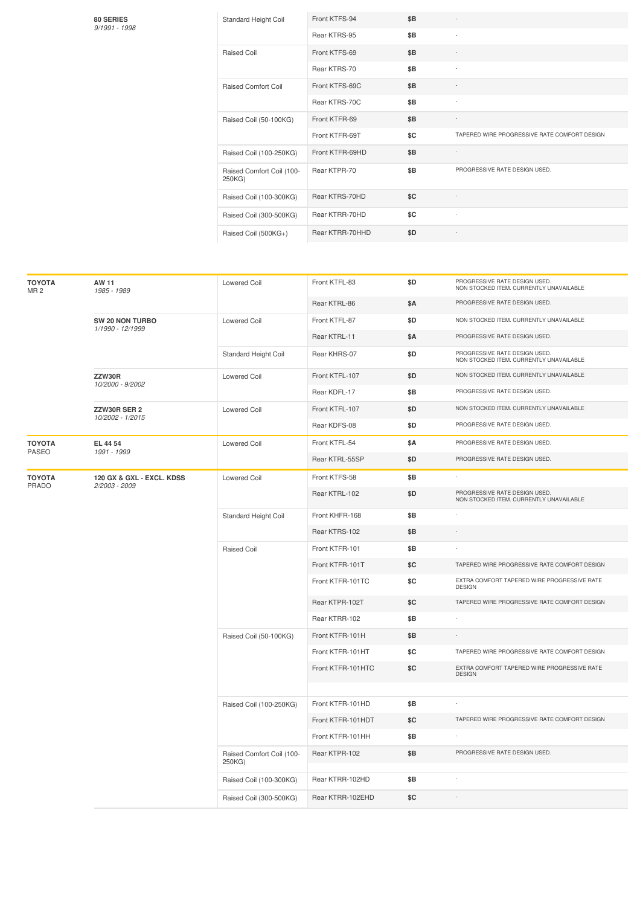| Standard Height Coil                | Front KTFS-94   | \$B |                                              |
|-------------------------------------|-----------------|-----|----------------------------------------------|
|                                     | Rear KTRS-95    | \$B | ٠                                            |
| Raised Coil                         | Front KTFS-69   | \$B |                                              |
|                                     | Rear KTRS-70    | \$B | ٠                                            |
| <b>Raised Comfort Coil</b>          | Front KTFS-69C  | \$B |                                              |
|                                     | Rear KTRS-70C   | \$B |                                              |
| Raised Coil (50-100KG)              | Front KTFR-69   | \$B |                                              |
|                                     | Front KTFR-69T  | \$C | TAPERED WIRE PROGRESSIVE RATE COMFORT DESIGN |
| Raised Coil (100-250KG)             | Front KTFR-69HD | \$B |                                              |
| Raised Comfort Coil (100-<br>250KG) | Rear KTPR-70    | \$B | PROGRESSIVE RATE DESIGN USED.                |
| Raised Coil (100-300KG)             | Rear KTRS-70HD  | SC  |                                              |
| Raised Coil (300-500KG)             | Rear KTRR-70HD  | \$C | ٠                                            |
| Raised Coil (500KG+)                | Rear KTRR-70HHD | \$D |                                              |

**80 SERIES** *9/1991 -1998*

| <b>TOYOTA</b><br>MR <sub>2</sub> | AW 11<br>1985 - 1989                       | <b>Lowered Coil</b>                 | Front KTFL-83     | \$D        | PROGRESSIVE RATE DESIGN USED.<br>NON STOCKED ITEM. CURRENTLY UNAVAILABLE |
|----------------------------------|--------------------------------------------|-------------------------------------|-------------------|------------|--------------------------------------------------------------------------|
|                                  |                                            |                                     | Rear KTRL-86      | \$Α        | PROGRESSIVE RATE DESIGN USED.                                            |
|                                  | SW 20 NON TURBO                            | Lowered Coil                        | Front KTFL-87     | \$D        | NON STOCKED ITEM. CURRENTLY UNAVAILABLE                                  |
|                                  | 1/1990 - 12/1999                           |                                     | Rear KTRL-11      | <b>\$A</b> | PROGRESSIVE RATE DESIGN USED.                                            |
|                                  |                                            | Standard Height Coil                | Rear KHRS-07      | \$D        | PROGRESSIVE RATE DESIGN USED.<br>NON STOCKED ITEM. CURRENTLY UNAVAILABLE |
|                                  | ZZW30R<br>10/2000 - 9/2002                 | <b>Lowered Coil</b>                 | Front KTFL-107    | \$D        | NON STOCKED ITEM. CURRENTLY UNAVAILABLE                                  |
|                                  |                                            |                                     | Rear KDFL-17      | \$B        | PROGRESSIVE RATE DESIGN USED.                                            |
|                                  | ZZW30R SER 2<br>10/2002 - 1/2015           | Lowered Coil                        | Front KTFL-107    | \$D        | NON STOCKED ITEM. CURRENTLY UNAVAILABLE                                  |
|                                  |                                            |                                     | Rear KDFS-08      | \$D        | PROGRESSIVE RATE DESIGN USED.                                            |
| <b>TOYOTA</b>                    | EL 44 54                                   | Lowered Coil                        | Front KTFL-54     | \$Α        | PROGRESSIVE RATE DESIGN USED.                                            |
| <b>PASEO</b>                     | 1991 - 1999                                |                                     | Rear KTRL-55SP    | \$D        | PROGRESSIVE RATE DESIGN USED.                                            |
| <b>TOYOTA</b>                    | 120 GX & GXL - EXCL. KDSS<br>2/2003 - 2009 | <b>Lowered Coil</b>                 | Front KTFS-58     | \$Β        |                                                                          |
| PRADO                            |                                            |                                     | Rear KTRL-102     | \$D        | PROGRESSIVE RATE DESIGN USED.<br>NON STOCKED ITEM. CURRENTLY UNAVAILABLE |
|                                  |                                            | Standard Height Coil                | Front KHFR-168    | \$B        |                                                                          |
|                                  |                                            |                                     | Rear KTRS-102     | \$Β        |                                                                          |
|                                  |                                            | <b>Raised Coil</b>                  | Front KTFR-101    | \$B        |                                                                          |
|                                  |                                            |                                     | Front KTFR-101T   | \$C        | TAPERED WIRE PROGRESSIVE RATE COMFORT DESIGN                             |
|                                  |                                            |                                     | Front KTFR-101TC  | \$C        | EXTRA COMFORT TAPERED WIRE PROGRESSIVE RATE<br><b>DESIGN</b>             |
|                                  |                                            |                                     | Rear KTPR-102T    | \$C        | TAPERED WIRE PROGRESSIVE RATE COMFORT DESIGN                             |
|                                  |                                            |                                     | Rear KTRR-102     | \$B        |                                                                          |
|                                  |                                            | Raised Coil (50-100KG)              | Front KTFR-101H   | \$Β        |                                                                          |
|                                  |                                            |                                     | Front KTFR-101HT  | \$C        | TAPERED WIRE PROGRESSIVE RATE COMFORT DESIGN                             |
|                                  |                                            |                                     | Front KTFR-101HTC | \$C        | EXTRA COMFORT TAPERED WIRE PROGRESSIVE RATE<br><b>DESIGN</b>             |
|                                  |                                            |                                     |                   |            |                                                                          |
|                                  |                                            | Raised Coil (100-250KG)             | Front KTFR-101HD  | \$Β        |                                                                          |
|                                  |                                            |                                     | Front KTFR-101HDT | \$C        | TAPERED WIRE PROGRESSIVE RATE COMFORT DESIGN                             |
|                                  |                                            |                                     | Front KTFR-101HH  | \$Β        |                                                                          |
|                                  |                                            | Raised Comfort Coil (100-<br>250KG) | Rear KTPR-102     | \$B        | PROGRESSIVE RATE DESIGN USED.                                            |
|                                  |                                            | Raised Coil (100-300KG)             | Rear KTRR-102HD   | \$Β        |                                                                          |
|                                  |                                            | Raised Coil (300-500KG)             | Rear KTRR-102EHD  | \$C        |                                                                          |
|                                  |                                            |                                     |                   |            |                                                                          |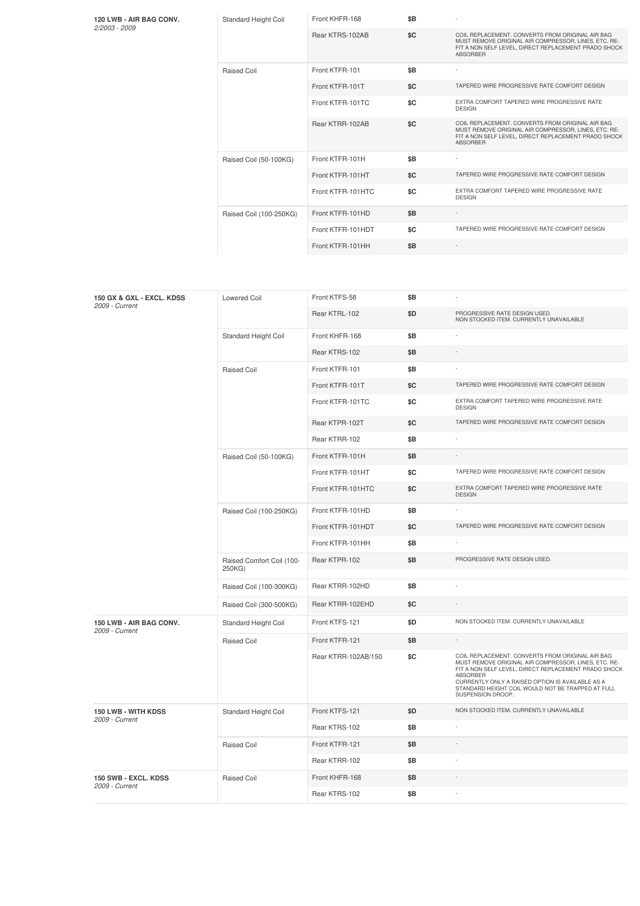**120 LWB - AIR BAG CONV.** *2/2003 -2009*

|  | Standard Height Coil    | Front KHFR-168    | \$B |                                                                                                                                                                                     |
|--|-------------------------|-------------------|-----|-------------------------------------------------------------------------------------------------------------------------------------------------------------------------------------|
|  |                         | Rear KTRS-102AB   | \$C | COIL REPLACEMENT, CONVERTS FROM ORIGINAL AIR BAG<br>MUST REMOVE ORIGINAL AIR COMPRESSOR, LINES, ETC. RE-<br>FIT A NON SELF LEVEL, DIRECT REPLACEMENT PRADO SHOCK<br><b>ABSORBER</b> |
|  | <b>Raised Coil</b>      | Front KTFR-101    | \$B |                                                                                                                                                                                     |
|  |                         | Front KTFR-101T   | \$C | TAPERED WIRE PROGRESSIVE RATE COMFORT DESIGN                                                                                                                                        |
|  |                         | Front KTFR-101TC  | \$C | EXTRA COMFORT TAPERED WIRE PROGRESSIVE RATE<br><b>DESIGN</b>                                                                                                                        |
|  |                         | Rear KTRR-102AB   | \$C | COIL REPLACEMENT, CONVERTS FROM ORIGINAL AIR BAG<br>MUST REMOVE ORIGINAL AIR COMPRESSOR, LINES, ETC. RE-<br>FIT A NON SELF LEVEL, DIRECT REPLACEMENT PRADO SHOCK<br><b>ABSORBER</b> |
|  | Raised Coil (50-100KG)  | Front KTFR-101H   | \$B |                                                                                                                                                                                     |
|  |                         | Front KTFR-101HT  | \$C | TAPERED WIRE PROGRESSIVE RATE COMFORT DESIGN                                                                                                                                        |
|  |                         | Front KTFR-101HTC | \$C | EXTRA COMFORT TAPERED WIRE PROGRESSIVE RATE<br><b>DESIGN</b>                                                                                                                        |
|  | Raised Coil (100-250KG) | Front KTFR-101HD  | \$B |                                                                                                                                                                                     |
|  |                         | Front KTFR-101HDT | \$C | TAPERED WIRE PROGRESSIVE RATE COMFORT DESIGN                                                                                                                                        |
|  |                         | Front KTFR-101HH  | \$B |                                                                                                                                                                                     |

| 150 GX & GXL - EXCL. KDSS<br>2009 - Current | <b>Lowered Coil</b>                 | Front KTFS-58       | \$B |                                                                                                                                                                                                                                                                                                            |
|---------------------------------------------|-------------------------------------|---------------------|-----|------------------------------------------------------------------------------------------------------------------------------------------------------------------------------------------------------------------------------------------------------------------------------------------------------------|
|                                             |                                     | Rear KTRL-102       | \$D | PROGRESSIVE RATE DESIGN USED.<br>NON STOCKED ITEM. CURRENTLY UNAVAILABLE                                                                                                                                                                                                                                   |
|                                             | Standard Height Coil                | Front KHFR-168      | \$Β |                                                                                                                                                                                                                                                                                                            |
|                                             |                                     | Rear KTRS-102       | \$Β |                                                                                                                                                                                                                                                                                                            |
|                                             | Raised Coil                         | Front KTFR-101      | \$B |                                                                                                                                                                                                                                                                                                            |
|                                             |                                     | Front KTFR-101T     | \$C | TAPERED WIRE PROGRESSIVE RATE COMFORT DESIGN                                                                                                                                                                                                                                                               |
|                                             |                                     | Front KTFR-101TC    | \$C | EXTRA COMFORT TAPERED WIRE PROGRESSIVE RATE<br><b>DESIGN</b>                                                                                                                                                                                                                                               |
|                                             |                                     | Rear KTPR-102T      | \$C | TAPERED WIRE PROGRESSIVE RATE COMFORT DESIGN                                                                                                                                                                                                                                                               |
|                                             |                                     | Rear KTRR-102       | \$Β |                                                                                                                                                                                                                                                                                                            |
|                                             | Raised Coil (50-100KG)              | Front KTFR-101H     | \$B |                                                                                                                                                                                                                                                                                                            |
|                                             |                                     | Front KTFR-101HT    | \$C | TAPERED WIRE PROGRESSIVE RATE COMFORT DESIGN                                                                                                                                                                                                                                                               |
|                                             |                                     | Front KTFR-101HTC   | \$C | EXTRA COMFORT TAPERED WIRE PROGRESSIVE RATE<br><b>DESIGN</b>                                                                                                                                                                                                                                               |
|                                             | Raised Coil (100-250KG)             | Front KTFR-101HD    | \$B |                                                                                                                                                                                                                                                                                                            |
|                                             |                                     | Front KTFR-101HDT   | \$C | TAPERED WIRE PROGRESSIVE RATE COMFORT DESIGN                                                                                                                                                                                                                                                               |
|                                             |                                     | Front KTFR-101HH    | \$B |                                                                                                                                                                                                                                                                                                            |
|                                             | Raised Comfort Coil (100-<br>250KG) | Rear KTPR-102       | \$B | PROGRESSIVE RATE DESIGN USED.                                                                                                                                                                                                                                                                              |
|                                             | Raised Coil (100-300KG)             | Rear KTRR-102HD     | \$B |                                                                                                                                                                                                                                                                                                            |
|                                             | Raised Coil (300-500KG)             | Rear KTRR-102EHD    | \$C |                                                                                                                                                                                                                                                                                                            |
| 150 LWB - AIR BAG CONV.<br>2009 - Current   | Standard Height Coil                | Front KTFS-121      | \$D | NON STOCKED ITEM. CURRENTLY UNAVAILABLE                                                                                                                                                                                                                                                                    |
|                                             | Raised Coil                         | Front KTFR-121      | \$B |                                                                                                                                                                                                                                                                                                            |
|                                             |                                     | Rear KTRR-102AB/150 | \$C | COIL REPLACEMENT. CONVERTS FROM ORIGINAL AIR BAG<br>MUST REMOVE ORIGINAL AIR COMPRESSOR, LINES, ETC. RE-<br>FIT A NON SELF LEVEL, DIRECT REPLACEMENT PRADO SHOCK<br>ABSORBER<br>CURRENTLY ONLY A RAISED OPTION IS AVAILABLE AS A<br>STANDARD HEIGHT COIL WOULD NOT BE TRAPPED AT FULL<br>SUSPENSION DROOP. |
| 150 LWB - WITH KDSS                         | Standard Height Coil                | Front KTFS-121      | \$D | NON STOCKED ITEM. CURRENTLY UNAVAILABLE                                                                                                                                                                                                                                                                    |
| 2009 - Current                              |                                     | Rear KTRS-102       | \$B |                                                                                                                                                                                                                                                                                                            |
|                                             | Raised Coil                         | Front KTFR-121      | \$B |                                                                                                                                                                                                                                                                                                            |
|                                             |                                     | Rear KTRR-102       | \$B |                                                                                                                                                                                                                                                                                                            |
| 150 SWB - EXCL. KDSS                        | Raised Coil                         | Front KHFR-168      | \$B |                                                                                                                                                                                                                                                                                                            |
| 2009 - Current                              |                                     | Rear KTRS-102       | \$B |                                                                                                                                                                                                                                                                                                            |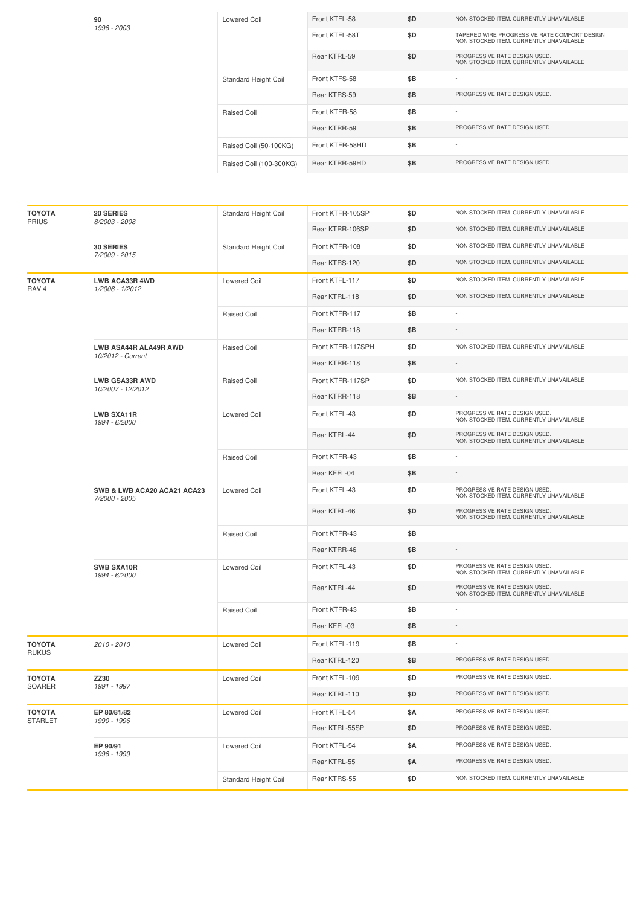| 90<br>1996 - 2003 | Lowered Coil            | Front KTFL-58   | \$D | NON STOCKED ITEM, CURRENTLY UNAVAILABLE                                                 |
|-------------------|-------------------------|-----------------|-----|-----------------------------------------------------------------------------------------|
|                   |                         | Front KTFL-58T  | \$D | TAPERED WIRE PROGRESSIVE RATE COMFORT DESIGN<br>NON STOCKED ITEM. CURRENTLY UNAVAILABLE |
|                   |                         | Rear KTRL-59    | \$D | PROGRESSIVE RATE DESIGN USED.<br>NON STOCKED ITEM. CURRENTLY UNAVAILABLE                |
|                   | Standard Height Coil    | Front KTFS-58   | \$B |                                                                                         |
|                   |                         | Rear KTRS-59    | \$B | PROGRESSIVE RATE DESIGN USED.                                                           |
|                   | Raised Coil             | Front KTFR-58   | \$B |                                                                                         |
|                   |                         | Rear KTRR-59    | \$B | PROGRESSIVE RATE DESIGN USED.                                                           |
|                   | Raised Coil (50-100KG)  | Front KTFR-58HD | \$B |                                                                                         |
|                   | Raised Coil (100-300KG) | Rear KTRR-59HD  | \$B | PROGRESSIVE RATE DESIGN USED.                                                           |

| <b>TOYOTA</b>                 | <b>20 SERIES</b>                                  | Standard Height Coil | Front KTFR-105SP  | \$D  | NON STOCKED ITEM. CURRENTLY UNAVAILABLE                                  |
|-------------------------------|---------------------------------------------------|----------------------|-------------------|------|--------------------------------------------------------------------------|
| <b>PRIUS</b>                  | 8/2003 - 2008                                     |                      | Rear KTRR-106SP   | \$D  | NON STOCKED ITEM. CURRENTLY UNAVAILABLE                                  |
|                               | <b>30 SERIES</b>                                  | Standard Height Coil | Front KTFR-108    | \$D  | NON STOCKED ITEM. CURRENTLY UNAVAILABLE                                  |
|                               | 7/2009 - 2015                                     |                      | Rear KTRS-120     | \$D  | NON STOCKED ITEM. CURRENTLY UNAVAILABLE                                  |
| <b>TOYOTA</b>                 | <b>LWB ACA33R 4WD</b>                             | <b>Lowered Coil</b>  | Front KTFL-117    | \$D  | NON STOCKED ITEM. CURRENTLY UNAVAILABLE                                  |
| RAV <sub>4</sub>              | 1/2006 - 1/2012                                   |                      | Rear KTRL-118     | \$D  | NON STOCKED ITEM. CURRENTLY UNAVAILABLE                                  |
|                               |                                                   | Raised Coil          | Front KTFR-117    | \$Β  |                                                                          |
|                               |                                                   |                      | Rear KTRR-118     | \$Β  | $\overline{\phantom{a}}$                                                 |
|                               | <b>LWB ASA44R ALA49R AWD</b><br>10/2012 - Current | Raised Coil          | Front KTFR-117SPH | \$D  | NON STOCKED ITEM. CURRENTLY UNAVAILABLE                                  |
|                               |                                                   |                      | Rear KTRR-118     | \$Β  |                                                                          |
|                               | <b>LWB GSA33R AWD</b><br>10/2007 - 12/2012        | Raised Coil          | Front KTFR-117SP  | \$D  | NON STOCKED ITEM. CURRENTLY UNAVAILABLE                                  |
|                               |                                                   |                      | Rear KTRR-118     | \$B  |                                                                          |
|                               | <b>LWB SXA11R</b><br>1994 - 6/2000                | <b>Lowered Coil</b>  | Front KTFL-43     | \$D  | PROGRESSIVE RATE DESIGN USED.<br>NON STOCKED ITEM. CURRENTLY UNAVAILABLE |
|                               |                                                   |                      | Rear KTRL-44      | \$D  | PROGRESSIVE RATE DESIGN USED.<br>NON STOCKED ITEM. CURRENTLY UNAVAILABLE |
|                               |                                                   | Raised Coil          | Front KTFR-43     | \$Β  |                                                                          |
|                               |                                                   |                      | Rear KFFL-04      | \$Β  |                                                                          |
|                               | SWB & LWB ACA20 ACA21 ACA23<br>7/2000 - 2005      | <b>Lowered Coil</b>  | Front KTFL-43     | \$D  | PROGRESSIVE RATE DESIGN USED.<br>NON STOCKED ITEM. CURRENTLY UNAVAILABLE |
|                               |                                                   |                      | Rear KTRL-46      | \$D. | PROGRESSIVE RATE DESIGN USED.<br>NON STOCKED ITEM. CURRENTLY UNAVAILABLE |
|                               |                                                   | Raised Coil          | Front KTFR-43     | \$Β  |                                                                          |
|                               |                                                   |                      | Rear KTRR-46      | \$Β  | $\overline{\phantom{a}}$                                                 |
|                               | <b>SWB SXA10R</b><br>1994 - 6/2000                | <b>Lowered Coil</b>  | Front KTFL-43     | \$D  | PROGRESSIVE RATE DESIGN USED.<br>NON STOCKED ITEM. CURRENTLY UNAVAILABLE |
|                               |                                                   |                      | Rear KTRL-44      | \$D  | PROGRESSIVE RATE DESIGN USED.<br>NON STOCKED ITEM. CURRENTLY UNAVAILABLE |
|                               |                                                   | Raised Coil          | Front KTFR-43     | \$Β  |                                                                          |
|                               |                                                   |                      | Rear KFFL-03      | \$Β  | ٠                                                                        |
| <b>TOYOTA</b><br><b>RUKUS</b> | 2010 - 2010                                       | <b>Lowered Coil</b>  | Front KTFL-119    | \$Β  | ×,                                                                       |
|                               |                                                   |                      | Rear KTRL-120     | \$Β  | PROGRESSIVE RATE DESIGN USED.                                            |
| <b>TOYOTA</b>                 | ZZ30                                              | <b>Lowered Coil</b>  | Front KTFL-109    | \$D  | PROGRESSIVE RATE DESIGN USED.                                            |
| SOARER                        | 1991 - 1997                                       |                      | Rear KTRL-110     | \$D  | PROGRESSIVE RATE DESIGN USED.                                            |
| <b>TOYOTA</b>                 | EP 80/81/82                                       | <b>Lowered Coil</b>  | Front KTFL-54     | \$Α  | PROGRESSIVE RATE DESIGN USED.                                            |
| <b>STARLET</b>                | 1990 - 1996                                       |                      | Rear KTRL-55SP    | \$D  | PROGRESSIVE RATE DESIGN USED.                                            |
|                               | EP 90/91                                          | <b>Lowered Coil</b>  | Front KTFL-54     | \$Α  | PROGRESSIVE RATE DESIGN USED.                                            |
|                               | 1996 - 1999                                       |                      | Rear KTRL-55      | \$Α  | PROGRESSIVE RATE DESIGN USED.                                            |
|                               |                                                   | Standard Height Coil | Rear KTRS-55      | \$D  | NON STOCKED ITEM. CURRENTLY UNAVAILABLE                                  |
|                               |                                                   |                      |                   |      |                                                                          |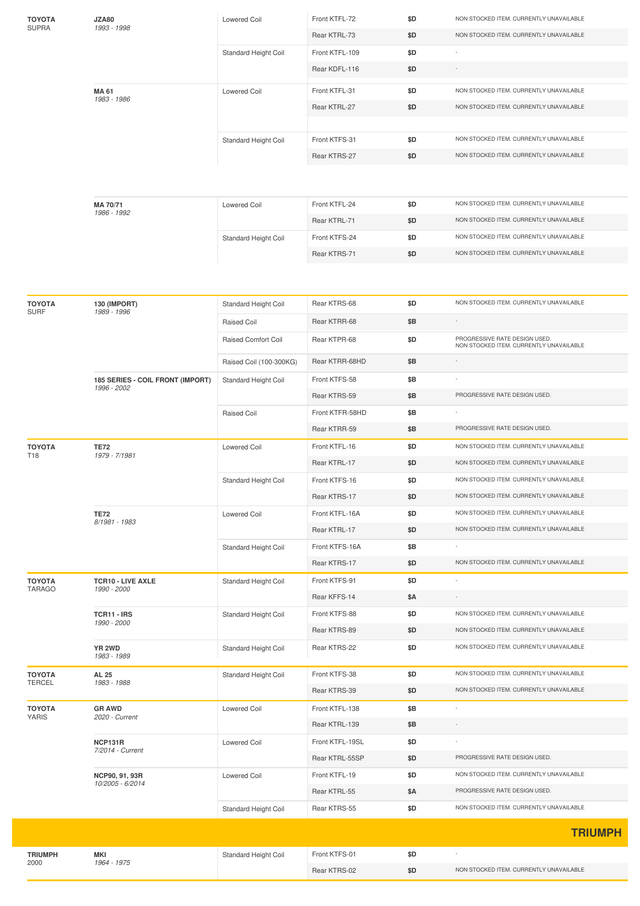| TOYOTA<br><b>SUPRA</b>         | JZA80<br>1993 - 1998               | Lowered Coil            | Front KTFL-72                 | \$D        | NON STOCKED ITEM. CURRENTLY UNAVAILABLE                                  |
|--------------------------------|------------------------------------|-------------------------|-------------------------------|------------|--------------------------------------------------------------------------|
|                                |                                    |                         | Rear KTRL-73                  | \$D        | NON STOCKED ITEM. CURRENTLY UNAVAILABLE                                  |
|                                |                                    | Standard Height Coil    | Front KTFL-109                | \$D        |                                                                          |
|                                |                                    |                         | Rear KDFL-116                 | \$D        |                                                                          |
|                                | <b>MA 61</b>                       | <b>Lowered Coil</b>     | Front KTFL-31                 | \$D        | NON STOCKED ITEM. CURRENTLY UNAVAILABLE                                  |
|                                | 1983 - 1986                        |                         | Rear KTRL-27                  | \$D        | NON STOCKED ITEM. CURRENTLY UNAVAILABLE                                  |
|                                |                                    |                         |                               |            |                                                                          |
|                                |                                    | Standard Height Coil    | Front KTFS-31                 | \$D        | NON STOCKED ITEM. CURRENTLY UNAVAILABLE                                  |
|                                |                                    |                         | Rear KTRS-27                  | \$D        | NON STOCKED ITEM. CURRENTLY UNAVAILABLE                                  |
|                                |                                    |                         |                               |            |                                                                          |
|                                |                                    |                         |                               |            |                                                                          |
|                                | MA 70/71<br>1986 - 1992            | <b>Lowered Coil</b>     | Front KTFL-24                 | \$D        | NON STOCKED ITEM. CURRENTLY UNAVAILABLE                                  |
|                                |                                    |                         | Rear KTRL-71                  | \$D        | NON STOCKED ITEM. CURRENTLY UNAVAILABLE                                  |
|                                |                                    | Standard Height Coil    | Front KTFS-24                 | \$D        | NON STOCKED ITEM. CURRENTLY UNAVAILABLE                                  |
|                                |                                    |                         | Rear KTRS-71                  | \$D        | NON STOCKED ITEM. CURRENTLY UNAVAILABLE                                  |
|                                |                                    |                         |                               |            |                                                                          |
|                                |                                    |                         |                               |            |                                                                          |
| <b>TOYOTA</b><br><b>SURF</b>   | 130 (IMPORT)<br>1989 - 1996        | Standard Height Coil    | Rear KTRS-68                  | \$D        | NON STOCKED ITEM. CURRENTLY UNAVAILABLE                                  |
|                                |                                    | Raised Coil             | Rear KTRR-68                  | \$Β        |                                                                          |
|                                |                                    | Raised Comfort Coil     | Rear KTPR-68                  | \$D        | PROGRESSIVE RATE DESIGN USED.<br>NON STOCKED ITEM. CURRENTLY UNAVAILABLE |
|                                |                                    | Raised Coil (100-300KG) | Rear KTRR-68HD                | \$Β        |                                                                          |
|                                | 185 SERIES - COIL FRONT (IMPORT)   | Standard Height Coil    | Front KTFS-58                 | \$Β        |                                                                          |
|                                | 1996 - 2002                        |                         | Rear KTRS-59                  | \$Β        | PROGRESSIVE RATE DESIGN USED.                                            |
|                                |                                    | Raised Coil             | Front KTFR-58HD               | \$B        |                                                                          |
|                                |                                    |                         | Rear KTRR-59                  | \$Β        | PROGRESSIVE RATE DESIGN USED.                                            |
| ΤΟΥΟΤΑ                         | <b>TE72</b>                        | Lowered Coil            | Front KTFL-16                 | \$D        | NON STOCKED ITEM. CURRENTLY UNAVAILABLE                                  |
| T18                            | 1979 - 7/1981                      |                         | Rear KTRL-17                  | \$D        | NON STOCKED ITEM. CURRENTLY UNAVAILABLE                                  |
|                                |                                    | Standard Height Coil    | Front KTFS-16                 | \$D        | NON STOCKED ITEM. CURRENTLY UNAVAILABLE                                  |
|                                |                                    |                         | Rear KTRS-17                  | \$D        | NON STOCKED ITEM. CURRENTLY UNAVAILABLE                                  |
|                                | <b>TE72</b><br>8/1981 - 1983       | Lowered Coil            | Front KTFL-16A                | \$D        | NON STOCKED ITEM. CURRENTLY UNAVAILABLE                                  |
|                                |                                    |                         | Rear KTRL-17                  | \$D        | NON STOCKED ITEM. CURRENTLY UNAVAILABLE                                  |
|                                |                                    | Standard Height Coil    | Front KTFS-16A                | \$Β        |                                                                          |
|                                |                                    |                         | Rear KTRS-17                  | \$D        | NON STOCKED ITEM. CURRENTLY UNAVAILABLE                                  |
| ΤΟΥΟΤΑ                         | <b>TCR10 - LIVE AXLE</b>           | Standard Height Coil    | Front KTFS-91                 | \$D        |                                                                          |
| <b>TARAGO</b>                  | 1990 - 2000                        |                         | Rear KFFS-14                  | \$Α        |                                                                          |
|                                | TCR11 - IRS                        | Standard Height Coil    | Front KTFS-88                 | \$D        | NON STOCKED ITEM. CURRENTLY UNAVAILABLE                                  |
|                                | 1990 - 2000                        |                         | Rear KTRS-89                  | \$D        | NON STOCKED ITEM. CURRENTLY UNAVAILABLE                                  |
|                                | YR 2WD                             | Standard Height Coil    | Rear KTRS-22                  | \$D        | NON STOCKED ITEM. CURRENTLY UNAVAILABLE                                  |
|                                | 1983 - 1989                        |                         |                               |            |                                                                          |
| <b>TOYOTA</b><br><b>TERCEL</b> | <b>AL 25</b><br>1983 - 1988        | Standard Height Coil    | Front KTFS-38                 | \$D        | NON STOCKED ITEM. CURRENTLY UNAVAILABLE                                  |
|                                |                                    |                         | Rear KTRS-39                  | \$D        | NON STOCKED ITEM. CURRENTLY UNAVAILABLE                                  |
| <b>TOYOTA</b><br><b>YARIS</b>  | <b>GR AWD</b><br>2020 - Current    | Lowered Coil            | Front KTFL-138                | \$Β        | ÷                                                                        |
|                                |                                    |                         | Rear KTRL-139                 | \$Β        |                                                                          |
|                                | NCP131R<br>7/2014 - Current        | <b>Lowered Coil</b>     | Front KTFL-19SL               | \$D        |                                                                          |
|                                |                                    |                         | Rear KTRL-55SP                | \$D        | PROGRESSIVE RATE DESIGN USED.                                            |
|                                | NCP90, 91, 93R<br>10/2005 - 6/2014 | Lowered Coil            | Front KTFL-19                 | \$D        | NON STOCKED ITEM. CURRENTLY UNAVAILABLE                                  |
|                                |                                    |                         | Rear KTRL-55                  | \$Α        | PROGRESSIVE RATE DESIGN USED.                                            |
|                                |                                    | Standard Height Coil    | Rear KTRS-55                  | \$D        | NON STOCKED ITEM. CURRENTLY UNAVAILABLE                                  |
|                                |                                    |                         |                               |            | <b>TRIUMPH</b>                                                           |
|                                |                                    |                         |                               |            |                                                                          |
| <b>TRIUMPH</b><br>2000         | <b>MKI</b><br>1964 - 1975          | Standard Height Coil    | Front KTFS-01<br>Rear KTRS-02 | \$D<br>\$D | NON STOCKED ITEM. CURRENTLY UNAVAILABLE                                  |
|                                |                                    |                         |                               |            |                                                                          |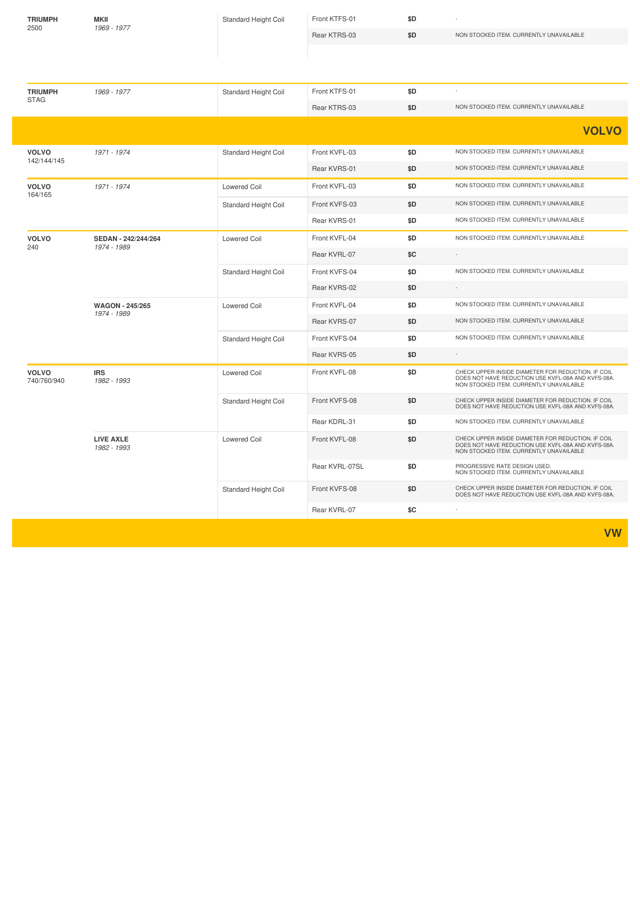| <b>TRIUMPH</b><br>2500      | <b>MKII</b><br>1969 - 1977            | Standard Height Coil        | Front KTFS-01  | \$D |                                                                                                                                                     |
|-----------------------------|---------------------------------------|-----------------------------|----------------|-----|-----------------------------------------------------------------------------------------------------------------------------------------------------|
|                             |                                       |                             | Rear KTRS-03   | \$D | NON STOCKED ITEM. CURRENTLY UNAVAILABLE                                                                                                             |
|                             |                                       |                             |                |     |                                                                                                                                                     |
|                             |                                       |                             |                |     |                                                                                                                                                     |
| <b>TRIUMPH</b>              | 1969 - 1977                           | Standard Height Coil        | Front KTFS-01  | \$D |                                                                                                                                                     |
| <b>STAG</b>                 |                                       |                             | Rear KTRS-03   | \$D | NON STOCKED ITEM. CURRENTLY UNAVAILABLE                                                                                                             |
|                             |                                       |                             |                |     | <b>VOLVO</b>                                                                                                                                        |
| <b>VOLVO</b>                | 1971 - 1974                           | <b>Standard Height Coil</b> | Front KVFL-03  | \$D | NON STOCKED ITEM. CURRENTLY UNAVAILABLE                                                                                                             |
| 142/144/145                 |                                       |                             | Rear KVRS-01   | \$D | NON STOCKED ITEM. CURRENTLY UNAVAILABLE                                                                                                             |
| <b>VOLVO</b>                | 1971 - 1974                           | <b>Lowered Coil</b>         | Front KVFL-03  | \$D | NON STOCKED ITEM. CURRENTLY UNAVAILABLE                                                                                                             |
| 164/165                     |                                       | Standard Height Coil        | Front KVFS-03  | \$D | NON STOCKED ITEM. CURRENTLY UNAVAILABLE                                                                                                             |
|                             |                                       |                             | Rear KVRS-01   | \$D | NON STOCKED ITEM. CURRENTLY UNAVAILABLE                                                                                                             |
| <b>VOLVO</b>                | SEDAN - 242/244/264                   | Lowered Coil                | Front KVFL-04  | \$D | NON STOCKED ITEM. CURRENTLY UNAVAILABLE                                                                                                             |
| 240                         | 1974 - 1989                           |                             | Rear KVRL-07   | \$C |                                                                                                                                                     |
|                             |                                       | Standard Height Coil        | Front KVFS-04  | \$D | NON STOCKED ITEM. CURRENTLY UNAVAILABLE                                                                                                             |
|                             |                                       |                             | Rear KVRS-02   | \$D | $\sim$                                                                                                                                              |
|                             | <b>WAGON - 245/265</b><br>1974 - 1989 | <b>Lowered Coil</b>         | Front KVFL-04  | \$D | NON STOCKED ITEM. CURRENTLY UNAVAILABLE                                                                                                             |
|                             |                                       |                             | Rear KVRS-07   | \$D | NON STOCKED ITEM. CURRENTLY UNAVAILABLE                                                                                                             |
|                             |                                       | Standard Height Coil        | Front KVFS-04  | \$D | NON STOCKED ITEM. CURRENTLY UNAVAILABLE                                                                                                             |
|                             |                                       |                             | Rear KVRS-05   | \$D |                                                                                                                                                     |
| <b>VOLVO</b><br>740/760/940 | <b>IRS</b><br>1982 - 1993             | Lowered Coil                | Front KVFL-08  | \$D | CHECK UPPER INSIDE DIAMETER FOR REDUCTION. IF COIL<br>DOES NOT HAVE REDUCTION USE KVFL-08A AND KVFS-08A.<br>NON STOCKED ITEM. CURRENTLY UNAVAILABLE |
|                             |                                       | Standard Height Coil        | Front KVFS-08  | \$D | CHECK UPPER INSIDE DIAMETER FOR REDUCTION. IF COIL<br>DOES NOT HAVE REDUCTION USE KVFL-08A AND KVFS-08A.                                            |
|                             |                                       |                             | Rear KDRL-31   | \$D | NON STOCKED ITEM. CURRENTLY UNAVAILABLE                                                                                                             |
|                             | <b>LIVE AXLE</b><br>1982 - 1993       | <b>Lowered Coil</b>         | Front KVFL-08  | \$D | CHECK UPPER INSIDE DIAMETER FOR REDUCTION. IF COIL<br>DOES NOT HAVE REDUCTION USE KVFL-08A AND KVFS-08A.<br>NON STOCKED ITEM. CURRENTLY UNAVAILABLE |
|                             |                                       |                             | Rear KVRL-07SL | \$D | PROGRESSIVE RATE DESIGN USED.<br>NON STOCKED ITEM. CURRENTLY UNAVAILABLE                                                                            |
|                             |                                       | Standard Height Coil        | Front KVFS-08  | \$D | CHECK UPPER INSIDE DIAMETER FOR REDUCTION. IF COIL<br>DOES NOT HAVE REDUCTION USE KVFL-08A AND KVFS-08A.                                            |
|                             |                                       |                             | Rear KVRL-07   | \$C |                                                                                                                                                     |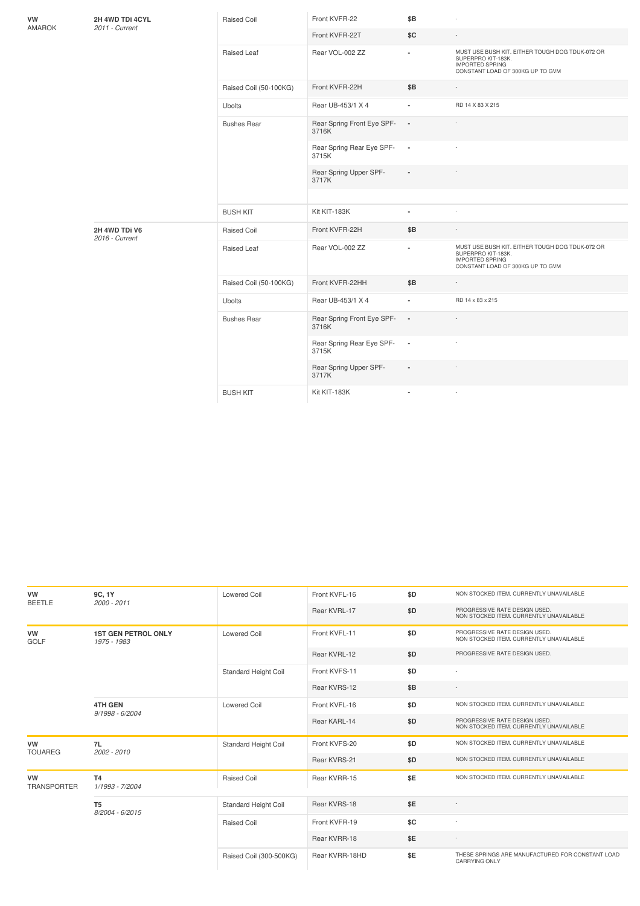| VW<br>AMAROK | 2H 4WD TDi 4CYL<br>2011 - Current | <b>Raised Coil</b>     | Front KVFR-22                       | \$B                      |                                                                                                                                     |
|--------------|-----------------------------------|------------------------|-------------------------------------|--------------------------|-------------------------------------------------------------------------------------------------------------------------------------|
|              |                                   |                        | Front KVFR-22T                      | \$C                      | $\overline{a}$                                                                                                                      |
|              |                                   | Raised Leaf            | Rear VOL-002 ZZ                     | $\blacksquare$           | MUST USE BUSH KIT. EITHER TOUGH DOG TDUK-072 OR<br>SUPERPRO KIT-183K.<br><b>IMPORTED SPRING</b><br>CONSTANT LOAD OF 300KG UP TO GVM |
|              |                                   | Raised Coil (50-100KG) | Front KVFR-22H                      | \$B                      |                                                                                                                                     |
|              |                                   | <b>Ubolts</b>          | Rear UB-453/1 X 4                   |                          | RD 14 X 83 X 215                                                                                                                    |
|              |                                   | <b>Bushes Rear</b>     | Rear Spring Front Eye SPF-<br>3716K | $\blacksquare$           |                                                                                                                                     |
|              |                                   |                        | Rear Spring Rear Eye SPF-<br>3715K  | $\overline{\phantom{a}}$ |                                                                                                                                     |
|              |                                   |                        | Rear Spring Upper SPF-<br>3717K     |                          |                                                                                                                                     |
|              |                                   |                        |                                     |                          |                                                                                                                                     |
|              |                                   | <b>BUSH KIT</b>        | Kit KIT-183K                        |                          |                                                                                                                                     |
|              | 2H 4WD TDi V6<br>2016 - Current   | <b>Raised Coil</b>     | Front KVFR-22H                      | \$B                      |                                                                                                                                     |
|              |                                   | Raised Leaf            | Rear VOL-002 ZZ                     | ×,                       | MUST USE BUSH KIT. EITHER TOUGH DOG TDUK-072 OR<br>SUPERPRO KIT-183K.<br><b>IMPORTED SPRING</b><br>CONSTANT LOAD OF 300KG UP TO GVM |
|              |                                   | Raised Coil (50-100KG) | Front KVFR-22HH                     | \$B                      |                                                                                                                                     |
|              |                                   | <b>Ubolts</b>          | Rear UB-453/1 X 4                   | ä,                       | RD 14 x 83 x 215                                                                                                                    |
|              |                                   | <b>Bushes Rear</b>     | Rear Spring Front Eye SPF-<br>3716K | $\blacksquare$           |                                                                                                                                     |
|              |                                   |                        | Rear Spring Rear Eye SPF-<br>3715K  | $\overline{\phantom{a}}$ |                                                                                                                                     |
|              |                                   |                        | Rear Spring Upper SPF-<br>3717K     | $\blacksquare$           | $\sim$                                                                                                                              |
|              |                                   | <b>BUSH KIT</b>        | Kit KIT-183K                        |                          |                                                                                                                                     |
|              |                                   |                        |                                     |                          |                                                                                                                                     |

| VW<br><b>BEETLE</b>             | 9C, 1Y<br>2000 - 2011                     | Lowered Coil            | Front KVFL-16  | \$D | NON STOCKED ITEM. CURRENTLY UNAVAILABLE                                  |
|---------------------------------|-------------------------------------------|-------------------------|----------------|-----|--------------------------------------------------------------------------|
|                                 |                                           |                         | Rear KVRL-17   | \$D | PROGRESSIVE RATE DESIGN USED.<br>NON STOCKED ITEM. CURRENTLY UNAVAILABLE |
| <b>VW</b><br><b>GOLF</b>        | <b>1ST GEN PETROL ONLY</b><br>1975 - 1983 | Lowered Coil            | Front KVFL-11  | \$D | PROGRESSIVE RATE DESIGN USED.<br>NON STOCKED ITEM. CURRENTLY UNAVAILABLE |
|                                 |                                           |                         | Rear KVRL-12   | \$D | PROGRESSIVE RATE DESIGN USED.                                            |
|                                 |                                           | Standard Height Coil    | Front KVFS-11  | \$D |                                                                          |
|                                 |                                           |                         | Rear KVRS-12   | \$B |                                                                          |
|                                 | <b>4TH GEN</b><br>9/1998 - 6/2004         | <b>Lowered Coil</b>     | Front KVFL-16  | \$D | NON STOCKED ITEM. CURRENTLY UNAVAILABLE                                  |
|                                 |                                           |                         | Rear KARL-14   | \$D | PROGRESSIVE RATE DESIGN USED.<br>NON STOCKED ITEM. CURRENTLY UNAVAILABLE |
| <b>VW</b><br><b>TOUAREG</b>     | 7L<br>$2002 - 2010$                       | Standard Height Coil    | Front KVFS-20  | \$D | NON STOCKED ITEM. CURRENTLY UNAVAILABLE                                  |
|                                 |                                           |                         | Rear KVRS-21   | \$D | NON STOCKED ITEM. CURRENTLY UNAVAILABLE                                  |
| <b>VW</b><br><b>TRANSPORTER</b> | <b>T4</b><br>1/1993 - 7/2004              | Raised Coil             | Rear KVRR-15   | \$E | NON STOCKED ITEM. CURRENTLY UNAVAILABLE                                  |
|                                 | T <sub>5</sub><br>8/2004 - 6/2015         | Standard Height Coil    | Rear KVRS-18   | \$E |                                                                          |
|                                 |                                           | Raised Coil             | Front KVFR-19  | \$C |                                                                          |
|                                 |                                           |                         | Rear KVRR-18   | \$E |                                                                          |
|                                 |                                           | Raised Coil (300-500KG) | Rear KVRR-18HD | \$E | THESE SPRINGS ARE MANUFACTURED FOR CONSTANT LOAD<br><b>CARRYING ONLY</b> |